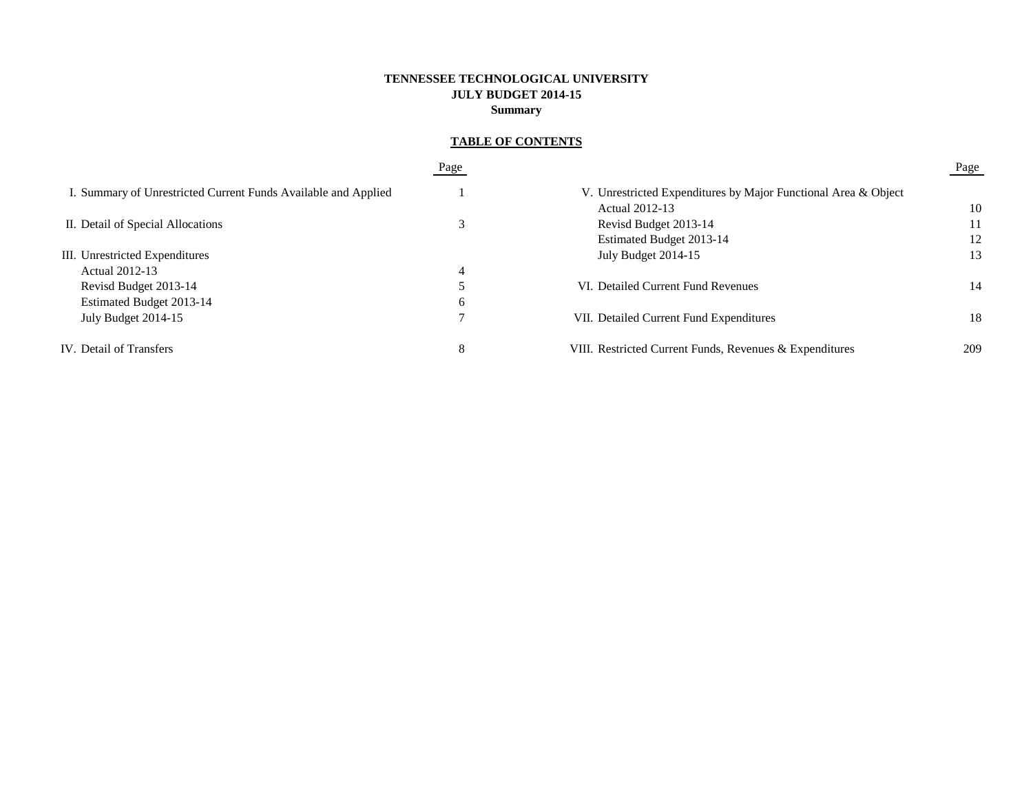# **TENNESSEE TECHNOLOGICAL UNIVERSITY JULY BUDGET 2014-15 Summary**

# **TABLE OF CONTENTS**

|                                                                | Page |                                                                | Page |
|----------------------------------------------------------------|------|----------------------------------------------------------------|------|
| I. Summary of Unrestricted Current Funds Available and Applied |      | V. Unrestricted Expenditures by Major Functional Area & Object |      |
|                                                                |      | Actual 2012-13                                                 | 10   |
| II. Detail of Special Allocations                              |      | Revisd Budget 2013-14                                          | 11   |
|                                                                |      | Estimated Budget 2013-14                                       | 12   |
| III. Unrestricted Expenditures                                 |      | July Budget 2014-15                                            | 13   |
| Actual 2012-13                                                 | 4    |                                                                |      |
| Revisd Budget 2013-14                                          |      | VI. Detailed Current Fund Revenues                             | 14   |
| Estimated Budget 2013-14                                       | 6    |                                                                |      |
| July Budget 2014-15                                            |      | VII. Detailed Current Fund Expenditures                        | 18   |
| IV. Detail of Transfers                                        | 8    | VIII. Restricted Current Funds, Revenues & Expenditures        | 209  |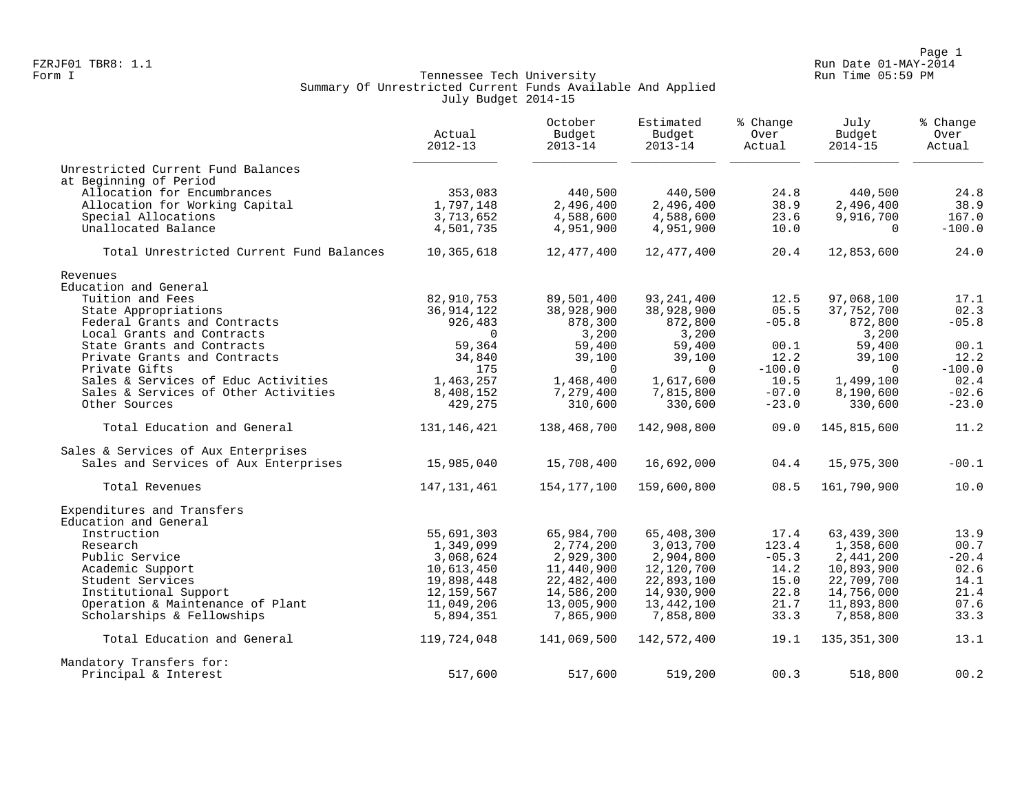Page 1<br>Page 1 Run Date 01-MAY-2014 FZRJF01 TBR8: 1.1 Run Date 01-MAY-2014

## Form I Georgian Communication of the Communication of Tennessee Tech University Communication Run Time 05:59 PM Summary Of Unrestricted Current Funds Available And Applied July Budget 2014-15

|                                          | Actual<br>$2012 - 13$ | October<br>Budget<br>$2013 - 14$ | Estimated<br>Budget<br>$2013 - 14$ | % Change<br>Over<br>Actual | July<br>Budget<br>$2014 - 15$ | % Change<br>Over<br>Actual |
|------------------------------------------|-----------------------|----------------------------------|------------------------------------|----------------------------|-------------------------------|----------------------------|
| Unrestricted Current Fund Balances       |                       |                                  |                                    |                            |                               |                            |
| at Beginning of Period                   |                       |                                  |                                    |                            |                               |                            |
| Allocation for Encumbrances              | 353,083               | 440,500                          | 440,500                            | 24.8                       | 440,500                       | 24.8                       |
| Allocation for Working Capital           | 1,797,148             | 2,496,400                        | 2,496,400                          | 38.9                       | 2,496,400                     | 38.9                       |
| Special Allocations                      | 3,713,652             | 4,588,600                        | 4,588,600                          | 23.6                       | 9,916,700                     | 167.0                      |
| Unallocated Balance                      | 4,501,735             | 4,951,900                        | 4,951,900                          | 10.0                       | $\mathbf 0$                   | $-100.0$                   |
| Total Unrestricted Current Fund Balances | 10,365,618            | 12,477,400                       | 12,477,400                         | 20.4                       | 12,853,600                    | 24.0                       |
| Revenues                                 |                       |                                  |                                    |                            |                               |                            |
| Education and General                    |                       |                                  |                                    |                            |                               |                            |
| Tuition and Fees                         | 82,910,753            | 89,501,400                       | 93, 241, 400                       | 12.5                       | 97,068,100                    | 17.1                       |
| State Appropriations                     | 36, 914, 122          | 38,928,900                       | 38,928,900                         | 05.5                       | 37,752,700                    | 02.3                       |
| Federal Grants and Contracts             | 926,483               | 878,300                          | 872,800                            | $-05.8$                    | 872,800                       | $-05.8$                    |
| Local Grants and Contracts               | $\mathbf 0$           | 3,200                            | 3,200                              |                            | 3,200                         |                            |
| State Grants and Contracts               | 59,364                | 59,400                           | 59,400                             | 00.1                       | 59,400                        | 00.1                       |
| Private Grants and Contracts             | 34,840                | 39,100                           | 39,100                             | 12.2                       | 39,100                        | 12.2                       |
| Private Gifts                            | 175                   | $\Omega$                         | $\Omega$                           | $-100.0$                   | $\Omega$                      | $-100.0$                   |
| Sales & Services of Educ Activities      | 1,463,257             | 1,468,400                        | 1,617,600                          | 10.5                       | 1,499,100                     | 02.4                       |
| Sales & Services of Other Activities     | 8,408,152             | 7,279,400                        | 7,815,800                          | $-07.0$                    | 8,190,600                     | $-02.6$                    |
| Other Sources                            | 429,275               | 310,600                          | 330,600                            | $-23.0$                    | 330,600                       | $-23.0$                    |
| Total Education and General              | 131, 146, 421         | 138,468,700                      | 142,908,800                        | 09.0                       | 145,815,600                   | 11.2                       |
| Sales & Services of Aux Enterprises      |                       |                                  |                                    |                            |                               |                            |
| Sales and Services of Aux Enterprises    | 15,985,040            | 15,708,400                       | 16,692,000                         | 04.4                       | 15,975,300                    | $-00.1$                    |
| Total Revenues                           | 147, 131, 461         | 154,177,100                      | 159,600,800                        | 08.5                       | 161,790,900                   | 10.0                       |
| Expenditures and Transfers               |                       |                                  |                                    |                            |                               |                            |
| Education and General<br>Instruction     | 55,691,303            | 65,984,700                       | 65,408,300                         | 17.4                       | 63,439,300                    | 13.9                       |
| Research                                 | 1,349,099             | 2,774,200                        | 3,013,700                          | 123.4                      | 1,358,600                     | 00.7                       |
| Public Service                           | 3,068,624             | 2,929,300                        | 2,904,800                          | $-05.3$                    | 2,441,200                     | $-20.4$                    |
| Academic Support                         | 10,613,450            | 11,440,900                       | 12,120,700                         | 14.2                       | 10,893,900                    | 02.6                       |
| Student Services                         | 19,898,448            | 22,482,400                       | 22,893,100                         | 15.0                       | 22,709,700                    | 14.1                       |
| Institutional Support                    | 12,159,567            | 14,586,200                       | 14,930,900                         | 22.8                       | 14,756,000                    | 21.4                       |
| Operation & Maintenance of Plant         | 11,049,206            | 13,005,900                       | 13,442,100                         | 21.7                       | 11,893,800                    | 07.6                       |
| Scholarships & Fellowships               | 5,894,351             | 7,865,900                        | 7,858,800                          | 33.3                       | 7,858,800                     | 33.3                       |
| Total Education and General              | 119,724,048           | 141,069,500                      | 142,572,400                        | 19.1                       | 135, 351, 300                 | 13.1                       |
| Mandatory Transfers for:                 |                       |                                  |                                    |                            |                               |                            |
| Principal & Interest                     | 517,600               | 517,600                          | 519,200                            | 00.3                       | 518,800                       | 00.2                       |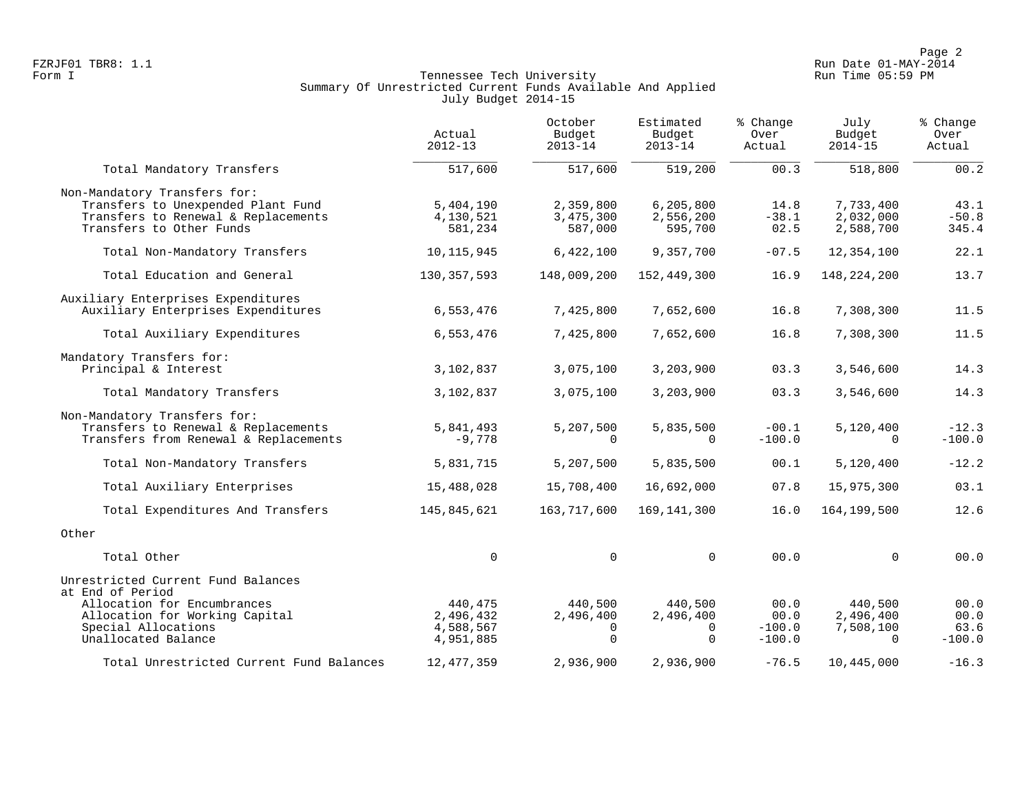Page 2<br>Page 2 Run Date 01-MAY-2014 FZRJF01 TBR8: 1.1 Run Date 01-MAY-2014

## Form I Georgian Communication of the Communication of Tennessee Tech University Communication Run Time 05:59 PM Summary Of Unrestricted Current Funds Available And Applied July Budget 2014-15

|                                                                                                                                                                       | Actual<br>$2012 - 13$                          | October<br>Budget<br>$2013 - 14$                      | Estimated<br>Budget<br>$2013 - 14$    | % Change<br>Over<br>Actual           | July<br>Budget<br>$2014 - 15$                 | % Change<br>Over<br>Actual       |
|-----------------------------------------------------------------------------------------------------------------------------------------------------------------------|------------------------------------------------|-------------------------------------------------------|---------------------------------------|--------------------------------------|-----------------------------------------------|----------------------------------|
| Total Mandatory Transfers                                                                                                                                             | 517,600                                        | 517,600                                               | 519,200                               | 00.3                                 | 518,800                                       | 00.2                             |
| Non-Mandatory Transfers for:<br>Transfers to Unexpended Plant Fund<br>Transfers to Renewal & Replacements<br>Transfers to Other Funds                                 | 5,404,190<br>4,130,521<br>581,234              | 2,359,800<br>3,475,300<br>587,000                     | 6, 205, 800<br>2,556,200<br>595,700   | 14.8<br>$-38.1$<br>02.5              | 7,733,400<br>2,032,000<br>2,588,700           | 43.1<br>$-50.8$<br>345.4         |
| Total Non-Mandatory Transfers                                                                                                                                         | 10, 115, 945                                   | 6,422,100                                             | 9,357,700                             | $-07.5$                              | 12,354,100                                    | 22.1                             |
| Total Education and General                                                                                                                                           | 130, 357, 593                                  | 148,009,200                                           | 152,449,300                           | 16.9                                 | 148, 224, 200                                 | 13.7                             |
| Auxiliary Enterprises Expenditures<br>Auxiliary Enterprises Expenditures                                                                                              | 6,553,476                                      | 7,425,800                                             | 7,652,600                             | 16.8                                 | 7,308,300                                     | 11.5                             |
| Total Auxiliary Expenditures                                                                                                                                          | 6,553,476                                      | 7,425,800                                             | 7,652,600                             | 16.8                                 | 7,308,300                                     | 11.5                             |
| Mandatory Transfers for:<br>Principal & Interest                                                                                                                      | 3,102,837                                      | 3,075,100                                             | 3,203,900                             | 03.3                                 | 3,546,600                                     | 14.3                             |
| Total Mandatory Transfers                                                                                                                                             | 3,102,837                                      | 3,075,100                                             | 3,203,900                             | 03.3                                 | 3,546,600                                     | 14.3                             |
| Non-Mandatory Transfers for:<br>Transfers to Renewal & Replacements<br>Transfers from Renewal & Replacements                                                          | 5,841,493<br>$-9,778$                          | 5,207,500<br>$\Omega$                                 | 5,835,500<br>0                        | $-00.1$<br>$-100.0$                  | 5,120,400<br>$\Omega$                         | $-12.3$<br>$-100.0$              |
| Total Non-Mandatory Transfers                                                                                                                                         | 5,831,715                                      | 5,207,500                                             | 5,835,500                             | 00.1                                 | 5,120,400                                     | $-12.2$                          |
| Total Auxiliary Enterprises                                                                                                                                           | 15,488,028                                     | 15,708,400                                            | 16,692,000                            | 07.8                                 | 15,975,300                                    | 03.1                             |
| Total Expenditures And Transfers                                                                                                                                      | 145,845,621                                    | 163,717,600                                           | 169, 141, 300                         | 16.0                                 | 164, 199, 500                                 | 12.6                             |
| Other                                                                                                                                                                 |                                                |                                                       |                                       |                                      |                                               |                                  |
| Total Other                                                                                                                                                           | 0                                              | $\mathbf 0$                                           | $\mathbf 0$                           | 00.0                                 | $\Omega$                                      | 00.0                             |
| Unrestricted Current Fund Balances<br>at End of Period<br>Allocation for Encumbrances<br>Allocation for Working Capital<br>Special Allocations<br>Unallocated Balance | 440,475<br>2,496,432<br>4,588,567<br>4,951,885 | 440,500<br>2,496,400<br>$\overline{0}$<br>$\mathbf 0$ | 440,500<br>2,496,400<br>0<br>$\Omega$ | 00.0<br>00.0<br>$-100.0$<br>$-100.0$ | 440,500<br>2,496,400<br>7,508,100<br>$\Omega$ | 00.0<br>00.0<br>63.6<br>$-100.0$ |
| Total Unrestricted Current Fund Balances                                                                                                                              | 12, 477, 359                                   | 2,936,900                                             | 2,936,900                             | $-76.5$                              | 10,445,000                                    | $-16.3$                          |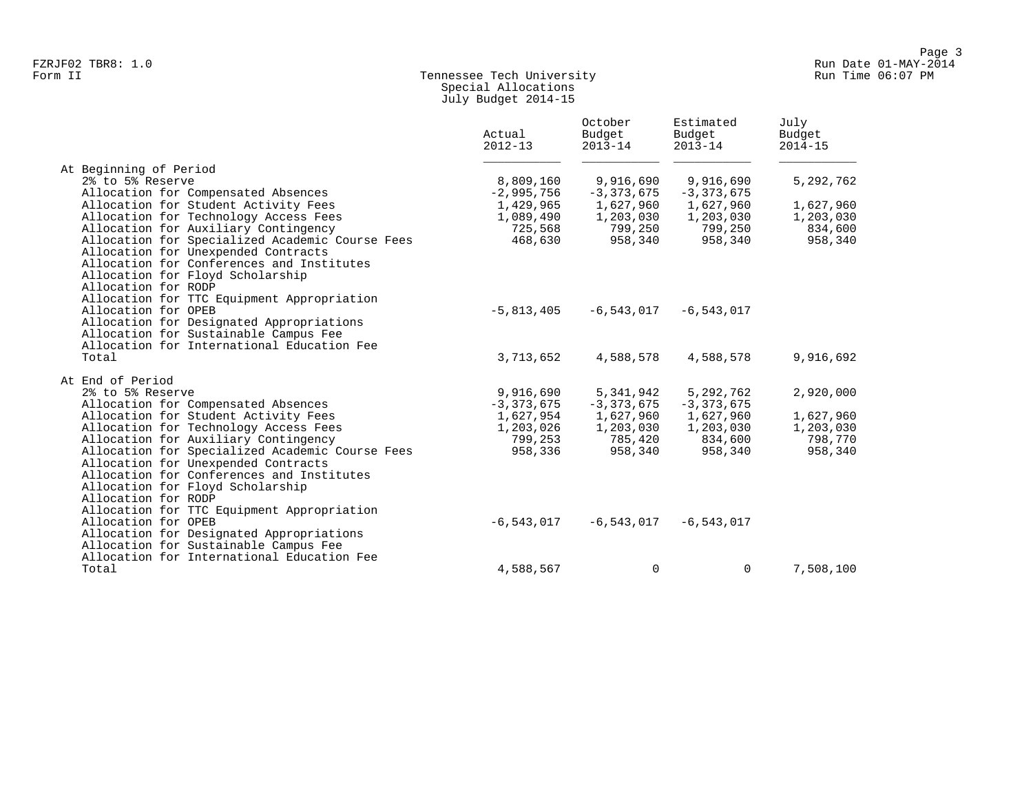## Form II Tennessee Tech University Run Time 06:07 PM Special Allocations July Budget 2014-15

|                                                 | Actual<br>$2012 - 13$ | October<br>Budget<br>$2013 - 14$ | Estimated<br>Budget<br>$2013 - 14$ | July<br>Budget<br>$2014 - 15$ |
|-------------------------------------------------|-----------------------|----------------------------------|------------------------------------|-------------------------------|
| At Beginning of Period                          |                       |                                  |                                    |                               |
| 2% to 5% Reserve                                | 8,809,160             | 9,916,690                        | 9,916,690                          | 5, 292, 762                   |
| Allocation for Compensated Absences             | $-2,995,756$          | $-3,373,675$                     | $-3, 373, 675$                     |                               |
| Allocation for Student Activity Fees            | 1,429,965             | 1,627,960                        | 1,627,960                          | 1,627,960                     |
| Allocation for Technology Access Fees           | 1,089,490             | 1,203,030                        | 1,203,030                          | 1,203,030                     |
| Allocation for Auxiliary Contingency            | 725,568               | 799,250                          | 799,250                            | 834,600                       |
| Allocation for Specialized Academic Course Fees | 468,630               | 958,340                          | 958,340                            | 958,340                       |
| Allocation for Unexpended Contracts             |                       |                                  |                                    |                               |
| Allocation for Conferences and Institutes       |                       |                                  |                                    |                               |
| Allocation for Floyd Scholarship                |                       |                                  |                                    |                               |
| Allocation for RODP                             |                       |                                  |                                    |                               |
| Allocation for TTC Equipment Appropriation      |                       |                                  |                                    |                               |
| Allocation for OPEB                             | $-5,813,405$          | $-6,543,017$                     | $-6, 543, 017$                     |                               |
| Allocation for Designated Appropriations        |                       |                                  |                                    |                               |
| Allocation for Sustainable Campus Fee           |                       |                                  |                                    |                               |
| Allocation for International Education Fee      |                       |                                  |                                    |                               |
| Total                                           | 3,713,652             | 4,588,578                        | 4,588,578                          | 9,916,692                     |
| At End of Period                                |                       |                                  |                                    |                               |
| 2% to 5% Reserve                                | 9,916,690             | 5,341,942                        | 5,292,762                          | 2,920,000                     |
| Allocation for Compensated Absences             | $-3,373,675$          | $-3,373,675$                     | $-3,373,675$                       |                               |
| Allocation for Student Activity Fees            | 1,627,954             | 1,627,960                        | 1,627,960                          | 1,627,960                     |
| Allocation for Technology Access Fees           | 1,203,026             | 1,203,030                        | 1,203,030                          | 1,203,030                     |
| Allocation for Auxiliary Contingency            | 799,253               | 785,420                          | 834,600                            | 798,770                       |
| Allocation for Specialized Academic Course Fees | 958,336               | 958,340                          | 958,340                            | 958,340                       |
| Allocation for Unexpended Contracts             |                       |                                  |                                    |                               |
| Allocation for Conferences and Institutes       |                       |                                  |                                    |                               |
| Allocation for Floyd Scholarship                |                       |                                  |                                    |                               |
| Allocation for RODP                             |                       |                                  |                                    |                               |
| Allocation for TTC Equipment Appropriation      |                       |                                  |                                    |                               |
| Allocation for OPEB                             | $-6,543,017$          | $-6$ ,543,017                    | $-6, 543, 017$                     |                               |
| Allocation for Designated Appropriations        |                       |                                  |                                    |                               |
| Allocation for Sustainable Campus Fee           |                       |                                  |                                    |                               |
| Allocation for International Education Fee      |                       |                                  |                                    |                               |
| Total                                           | 4,588,567             | 0                                | 0                                  | 7,508,100                     |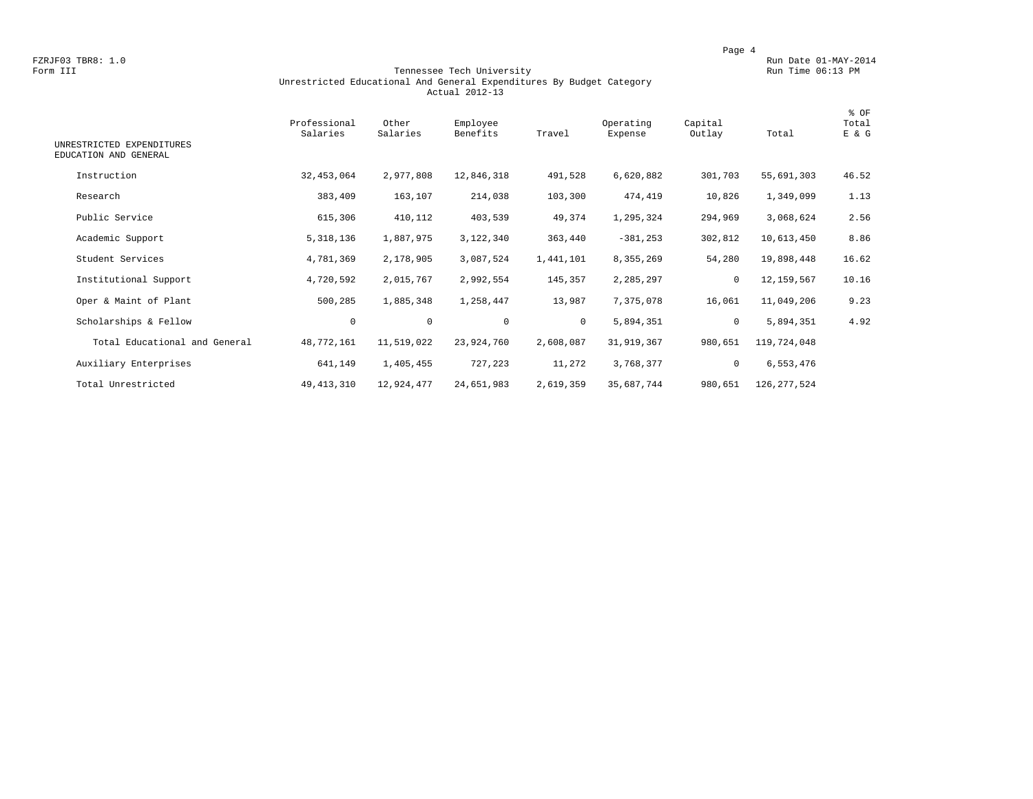#### Form III Tennessee Tech University Run Time 06:13 PM Unrestricted Educational And General Expenditures By Budget Category Actual 2012-13

| UNRESTRICTED EXPENDITURES<br>EDUCATION AND GENERAL | Professional<br>Salaries | Other<br>Salaries | Employee<br>Benefits | Travel       | Operating<br>Expense | Capital<br>Outlay | Total         | % OF<br>Total<br>E & G |
|----------------------------------------------------|--------------------------|-------------------|----------------------|--------------|----------------------|-------------------|---------------|------------------------|
|                                                    |                          |                   |                      |              |                      |                   |               |                        |
| Instruction                                        | 32, 453, 064             | 2,977,808         | 12,846,318           | 491,528      | 6,620,882            | 301,703           | 55,691,303    | 46.52                  |
| Research                                           | 383,409                  | 163,107           | 214,038              | 103,300      | 474,419              | 10,826            | 1,349,099     | 1.13                   |
| Public Service                                     | 615,306                  | 410,112           | 403,539              | 49,374       | 1,295,324            | 294,969           | 3,068,624     | 2.56                   |
| Academic Support                                   | 5, 318, 136              | 1,887,975         | 3,122,340            | 363,440      | $-381, 253$          | 302,812           | 10,613,450    | 8.86                   |
| Student Services                                   | 4,781,369                | 2,178,905         | 3,087,524            | 1,441,101    | 8,355,269            | 54,280            | 19,898,448    | 16.62                  |
| Institutional Support                              | 4,720,592                | 2,015,767         | 2,992,554            | 145,357      | 2,285,297            | $\mathbf 0$       | 12,159,567    | 10.16                  |
| Oper & Maint of Plant                              | 500,285                  | 1,885,348         | 1,258,447            | 13,987       | 7,375,078            | 16,061            | 11,049,206    | 9.23                   |
| Scholarships & Fellow                              | 0                        | $\mathbf 0$       | $\mathbf 0$          | $\mathbf{0}$ | 5,894,351            | $\mathbf 0$       | 5,894,351     | 4.92                   |
| Total Educational and General                      | 48,772,161               | 11,519,022        | 23,924,760           | 2,608,087    | 31,919,367           | 980,651           | 119,724,048   |                        |
| Auxiliary Enterprises                              | 641,149                  | 1,405,455         | 727,223              | 11,272       | 3,768,377            | 0                 | 6,553,476     |                        |
| Total Unrestricted                                 | 49, 413, 310             | 12,924,477        | 24,651,983           | 2,619,359    | 35,687,744           | 980,651           | 126, 277, 524 |                        |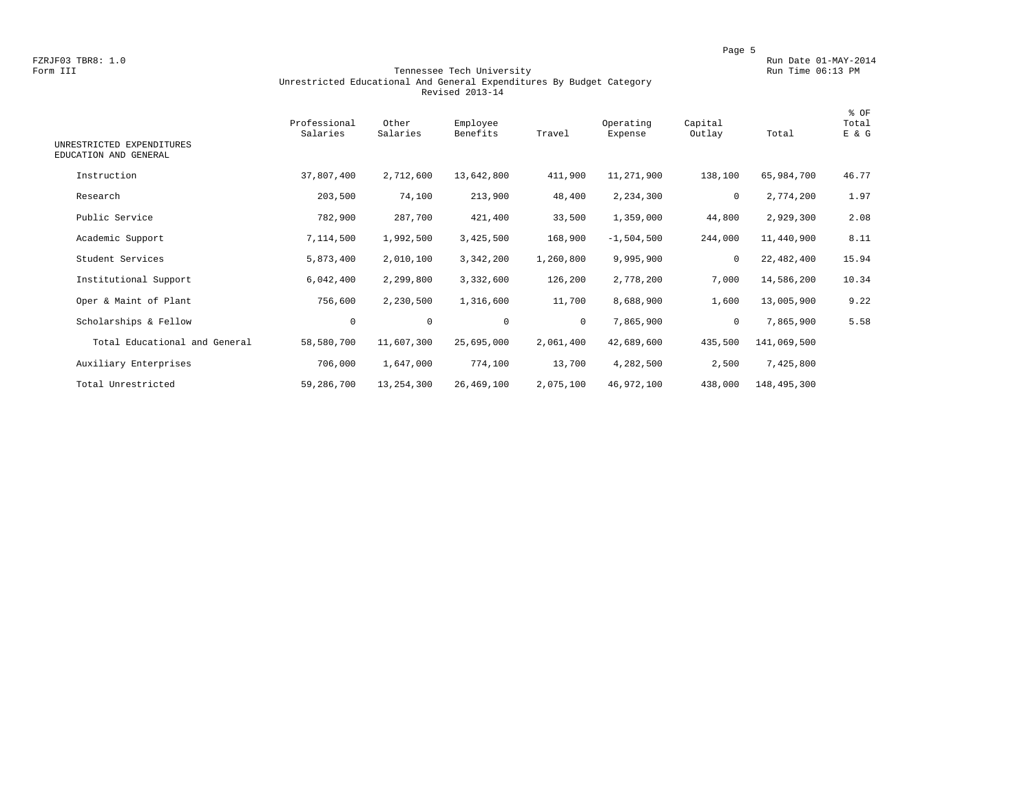#### Form III Tennessee Tech University Run Time 06:13 PM Unrestricted Educational And General Expenditures By Budget Category Revised 2013-14

| UNRESTRICTED EXPENDITURES<br>EDUCATION AND GENERAL | Professional<br>Salaries | Other<br>Salaries | Employee<br>Benefits | Travel       | Operating<br>Expense | Capital<br>Outlay | Total       | % OF<br>Total<br>E & G |
|----------------------------------------------------|--------------------------|-------------------|----------------------|--------------|----------------------|-------------------|-------------|------------------------|
| Instruction                                        | 37,807,400               | 2,712,600         | 13,642,800           | 411,900      | 11,271,900           | 138,100           | 65,984,700  | 46.77                  |
| Research                                           | 203,500                  | 74,100            | 213,900              | 48,400       | 2,234,300            | 0                 | 2,774,200   | 1.97                   |
| Public Service                                     | 782,900                  | 287,700           | 421,400              | 33,500       | 1,359,000            | 44,800            | 2,929,300   | 2.08                   |
| Academic Support                                   | 7,114,500                | 1,992,500         | 3,425,500            | 168,900      | $-1,504,500$         | 244,000           | 11,440,900  | 8.11                   |
| Student Services                                   | 5,873,400                | 2,010,100         | 3,342,200            | 1,260,800    | 9,995,900            | 0                 | 22,482,400  | 15.94                  |
| Institutional Support                              | 6,042,400                | 2,299,800         | 3,332,600            | 126,200      | 2,778,200            | 7,000             | 14,586,200  | 10.34                  |
| Oper & Maint of Plant                              | 756,600                  | 2,230,500         | 1,316,600            | 11,700       | 8,688,900            | 1,600             | 13,005,900  | 9.22                   |
| Scholarships & Fellow                              | $\circ$                  | 0                 | $\mathbf 0$          | $\mathbf{0}$ | 7,865,900            | 0                 | 7,865,900   | 5.58                   |
| Total Educational and General                      | 58,580,700               | 11,607,300        | 25,695,000           | 2,061,400    | 42,689,600           | 435,500           | 141,069,500 |                        |
| Auxiliary Enterprises                              | 706,000                  | 1,647,000         | 774,100              | 13,700       | 4,282,500            | 2,500             | 7,425,800   |                        |
| Total Unrestricted                                 | 59,286,700               | 13,254,300        | 26,469,100           | 2,075,100    | 46,972,100           | 438,000           | 148,495,300 |                        |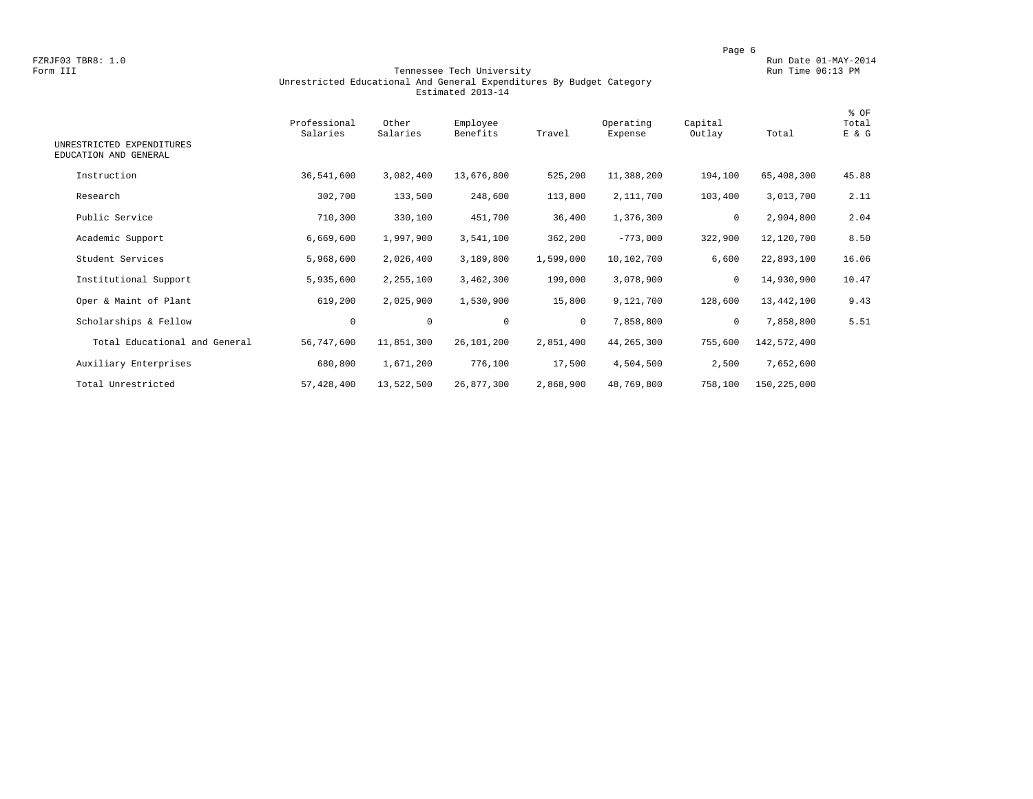#### Form III Tennessee Tech University Run Time 06:13 PM Unrestricted Educational And General Expenditures By Budget Category Estimated 2013-14

| UNRESTRICTED EXPENDITURES<br>EDUCATION AND GENERAL | Professional<br>Salaries | Other<br>Salaries | Employee<br>Benefits | Travel    | Operating<br>Expense | Capital<br>Outlay | Total       | % OF<br>Total<br>E & G |
|----------------------------------------------------|--------------------------|-------------------|----------------------|-----------|----------------------|-------------------|-------------|------------------------|
| Instruction                                        | 36,541,600               | 3,082,400         | 13,676,800           | 525,200   | 11,388,200           | 194,100           | 65,408,300  | 45.88                  |
| Research                                           | 302,700                  | 133,500           | 248,600              | 113,800   | 2,111,700            | 103,400           | 3,013,700   | 2.11                   |
| Public Service                                     | 710,300                  | 330,100           | 451,700              | 36,400    | 1,376,300            | 0                 | 2,904,800   | 2.04                   |
| Academic Support                                   | 6,669,600                | 1,997,900         | 3,541,100            | 362,200   | $-773,000$           | 322,900           | 12,120,700  | 8.50                   |
| Student Services                                   | 5,968,600                | 2,026,400         | 3,189,800            | 1,599,000 | 10,102,700           | 6,600             | 22,893,100  | 16.06                  |
| Institutional Support                              | 5,935,600                | 2,255,100         | 3,462,300            | 199,000   | 3,078,900            | 0                 | 14,930,900  | 10.47                  |
| Oper & Maint of Plant                              | 619,200                  | 2,025,900         | 1,530,900            | 15,800    | 9,121,700            | 128,600           | 13,442,100  | 9.43                   |
| Scholarships & Fellow                              | $\mathbf 0$              | $\mathbf 0$       | $\mathbf 0$          | $\circ$   | 7,858,800            | $\mathbf 0$       | 7,858,800   | 5.51                   |
| Total Educational and General                      | 56,747,600               | 11,851,300        | 26,101,200           | 2,851,400 | 44, 265, 300         | 755,600           | 142,572,400 |                        |
| Auxiliary Enterprises                              | 680,800                  | 1,671,200         | 776,100              | 17,500    | 4,504,500            | 2,500             | 7,652,600   |                        |
| Total Unrestricted                                 | 57,428,400               | 13,522,500        | 26,877,300           | 2,868,900 | 48,769,800           | 758,100           | 150,225,000 |                        |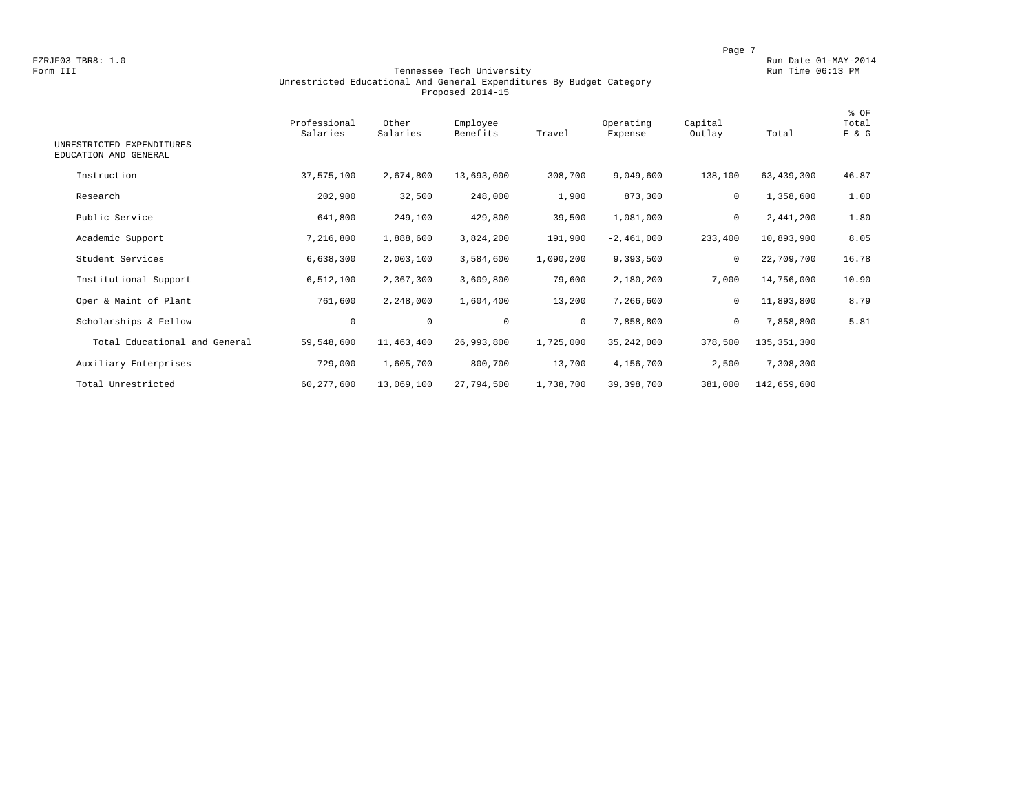#### Form III Tennessee Tech University Run Time 06:13 PM Unrestricted Educational And General Expenditures By Budget Category Proposed 2014-15

| UNRESTRICTED EXPENDITURES<br>EDUCATION AND GENERAL | Professional<br>Salaries | Other<br>Salaries | Employee<br>Benefits | Travel       | Operating<br>Expense | Capital<br>Outlay | Total         | % OF<br>Total<br>E & G |
|----------------------------------------------------|--------------------------|-------------------|----------------------|--------------|----------------------|-------------------|---------------|------------------------|
| Instruction                                        | 37,575,100               | 2,674,800         | 13,693,000           | 308,700      | 9,049,600            | 138,100           | 63,439,300    | 46.87                  |
| Research                                           | 202,900                  | 32,500            | 248,000              | 1,900        | 873,300              | 0                 | 1,358,600     | 1.00                   |
| Public Service                                     | 641,800                  | 249,100           | 429,800              | 39,500       | 1,081,000            | 0                 | 2,441,200     | 1.80                   |
| Academic Support                                   | 7,216,800                | 1,888,600         | 3,824,200            | 191,900      | $-2,461,000$         | 233,400           | 10,893,900    | 8.05                   |
| Student Services                                   | 6,638,300                | 2,003,100         | 3,584,600            | 1,090,200    | 9,393,500            | $\mathbf 0$       | 22,709,700    | 16.78                  |
| Institutional Support                              | 6,512,100                | 2,367,300         | 3,609,800            | 79,600       | 2,180,200            | 7,000             | 14,756,000    | 10.90                  |
| Oper & Maint of Plant                              | 761,600                  | 2,248,000         | 1,604,400            | 13,200       | 7,266,600            | $\mathbf 0$       | 11,893,800    | 8.79                   |
| Scholarships & Fellow                              | 0                        | $\circ$           | $\mathbf 0$          | $\mathbf{0}$ | 7,858,800            | 0                 | 7,858,800     | 5.81                   |
| Total Educational and General                      | 59,548,600               | 11,463,400        | 26,993,800           | 1,725,000    | 35, 242, 000         | 378,500           | 135, 351, 300 |                        |
| Auxiliary Enterprises                              | 729,000                  | 1,605,700         | 800,700              | 13,700       | 4,156,700            | 2,500             | 7,308,300     |                        |
| Total Unrestricted                                 | 60, 277, 600             | 13,069,100        | 27,794,500           | 1,738,700    | 39, 398, 700         | 381,000           | 142,659,600   |                        |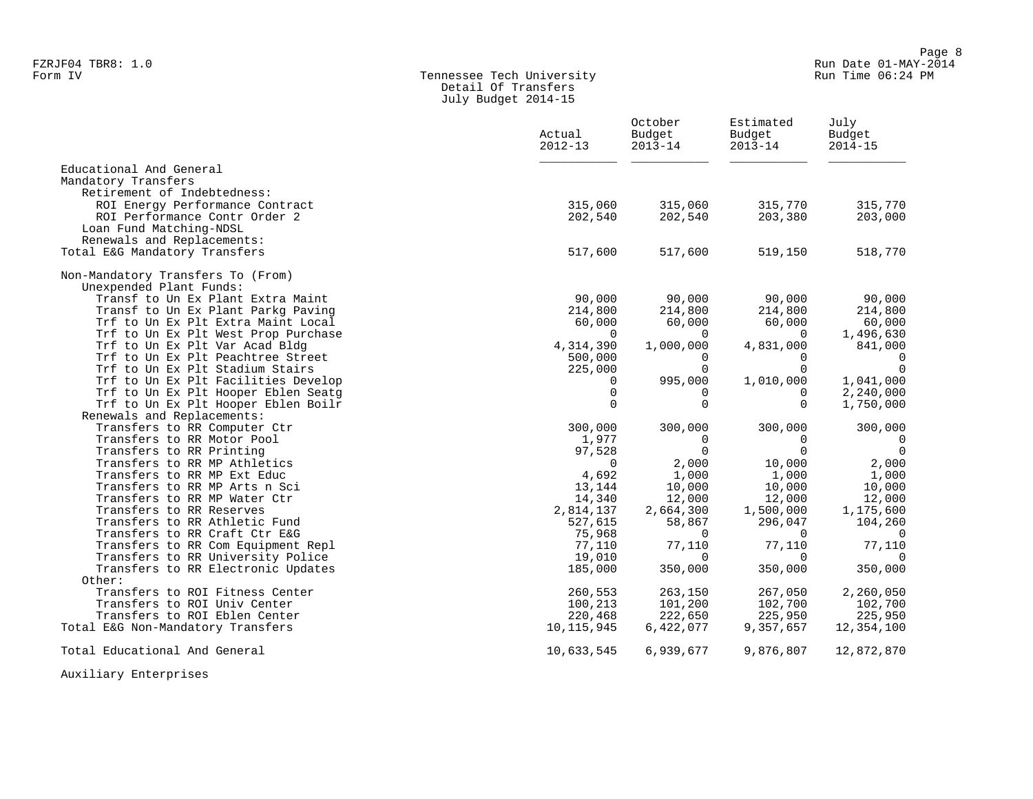#### Form IV Tennessee Tech University Run Time 06:24 PM Detail Of Transfers July Budget 2014-15

|                                                                         | Actual<br>$2012 - 13$ | October<br>Budget<br>$2013 - 14$ | Estimated<br>Budget<br>$2013 - 14$ | July<br>Budget<br>$2014 - 15$ |
|-------------------------------------------------------------------------|-----------------------|----------------------------------|------------------------------------|-------------------------------|
| Educational And General<br>Mandatory Transfers                          |                       |                                  |                                    |                               |
| Retirement of Indebtedness:                                             |                       |                                  |                                    |                               |
| ROI Energy Performance Contract                                         | 315,060               | 315,060                          | 315,770                            | 315,770                       |
| ROI Performance Contr Order 2                                           | 202,540               | 202,540                          | 203,380                            | 203,000                       |
| Loan Fund Matching-NDSL                                                 |                       |                                  |                                    |                               |
| Renewals and Replacements:                                              |                       |                                  |                                    |                               |
| Total E&G Mandatory Transfers                                           | 517,600               | 517,600                          | 519,150                            | 518,770                       |
| Non-Mandatory Transfers To (From)                                       |                       |                                  |                                    |                               |
| Unexpended Plant Funds:                                                 |                       |                                  |                                    |                               |
| Transf to Un Ex Plant Extra Maint                                       | 90,000                | 90,000                           | 90,000                             | 90,000                        |
| Transf to Un Ex Plant Parkg Paving                                      | 214,800               | 214,800                          | 214,800                            | 214,800                       |
| Trf to Un Ex Plt Extra Maint Local                                      | 60,000                | 60,000                           | 60,000                             | 60,000                        |
| Trf to Un Ex Plt West Prop Purchase                                     | $\Omega$              | $\Omega$                         | $\Omega$                           | 1,496,630                     |
| Trf to Un Ex Plt Var Acad Bldg<br>Trf to Un Ex Plt Peachtree Street     | 4,314,390<br>500,000  | 1,000,000<br>$\Omega$            | 4,831,000<br>$\Omega$              | 841,000<br>$\Omega$           |
| Trf to Un Ex Plt Stadium Stairs                                         | 225,000               | $\Omega$                         | $\Omega$                           | $\Omega$                      |
| Trf to Un Ex Plt Facilities Develop                                     | $\Omega$              | 995,000                          | 1,010,000                          | 1,041,000                     |
| Trf to Un Ex Plt Hooper Eblen Seatq                                     | 0                     | 0                                | $\Omega$                           | 2,240,000                     |
| Trf to Un Ex Plt Hooper Eblen Boilr                                     | $\Omega$              | $\Omega$                         | $\Omega$                           | 1,750,000                     |
| Renewals and Replacements:                                              |                       |                                  |                                    |                               |
| Transfers to RR Computer Ctr                                            | 300,000               | 300,000                          | 300,000                            | 300,000                       |
| Transfers to RR Motor Pool                                              | 1,977                 | $\Omega$                         | $\Omega$                           | $\overline{0}$                |
| Transfers to RR Printing                                                | 97,528                | $\Omega$                         | $\Omega$                           | $\Omega$                      |
| Transfers to RR MP Athletics                                            | $\Omega$              | 2,000                            | 10,000                             | 2,000                         |
| Transfers to RR MP Ext Educ                                             | 4,692                 | 1,000                            | 1,000                              | 1,000                         |
| Transfers to RR MP Arts n Sci                                           | 13,144                | 10,000                           | 10,000                             | 10,000                        |
| Transfers to RR MP Water Ctr                                            | 14,340                | 12,000                           | 12,000                             | 12,000                        |
| Transfers to RR Reserves                                                | 2,814,137             | 2,664,300                        | 1,500,000                          | 1,175,600                     |
| Transfers to RR Athletic Fund                                           | 527,615               | 58,867                           | 296,047                            | 104,260                       |
| Transfers to RR Craft Ctr E&G                                           | 75,968<br>77,110      | $\Omega$<br>77,110               | $\Omega$<br>77,110                 | $\Omega$                      |
| Transfers to RR Com Equipment Repl<br>Transfers to RR University Police | 19,010                | $\Omega$                         | $\Omega$                           | 77,110<br>$\Omega$            |
| Transfers to RR Electronic Updates                                      | 185,000               | 350,000                          | 350,000                            | 350,000                       |
| Other:                                                                  |                       |                                  |                                    |                               |
| Transfers to ROI Fitness Center                                         | 260,553               | 263,150                          | 267,050                            | 2,260,050                     |
| Transfers to ROI Univ Center                                            | 100,213               | 101,200                          | 102,700                            | 102,700                       |
| Transfers to ROI Eblen Center                                           | 220,468               | 222,650                          | 225,950                            | 225,950                       |
| Total E&G Non-Mandatory Transfers                                       | 10, 115, 945          | 6,422,077                        | 9,357,657                          | 12,354,100                    |
| Total Educational And General                                           | 10,633,545            | 6,939,677                        | 9,876,807                          | 12,872,870                    |

Auxiliary Enterprises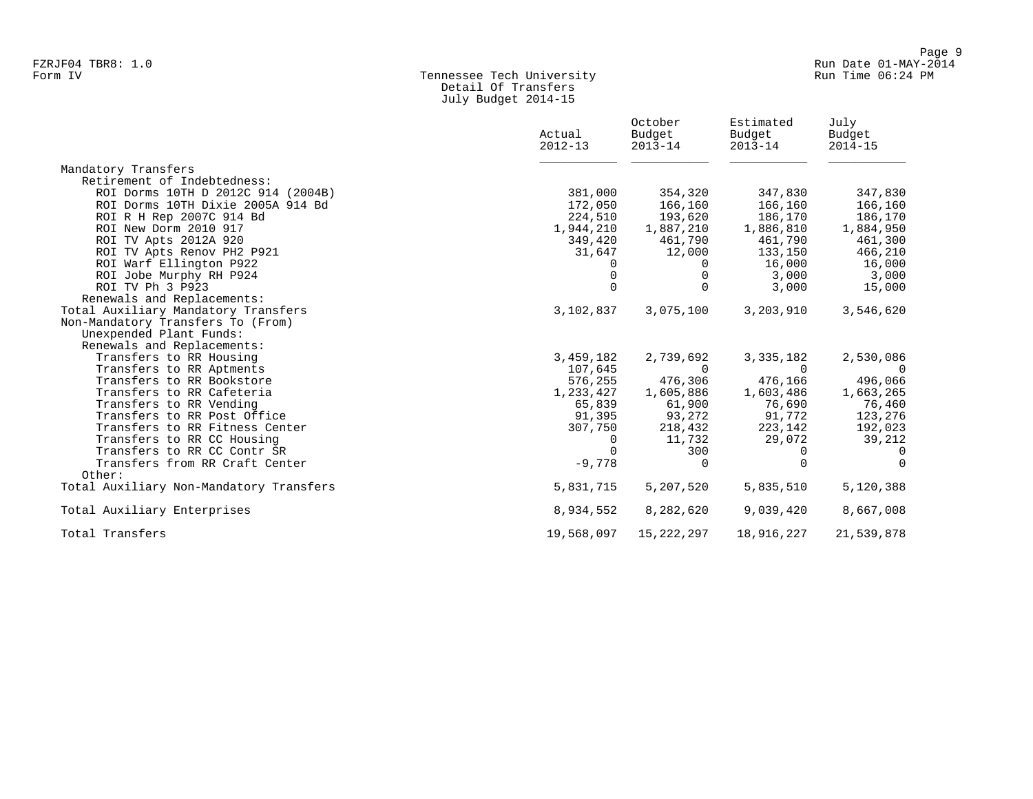#### Form IV Tennessee Tech University Run Time 06:24 PM Detail Of Transfers July Budget 2014-15

|                                          | Actual<br>$2012 - 13$ | October<br>Budget<br>$2013 - 14$ | Estimated<br>Budget<br>$2013 - 14$ | July<br>Budget<br>$2014 - 15$ |
|------------------------------------------|-----------------------|----------------------------------|------------------------------------|-------------------------------|
| Mandatory Transfers                      |                       |                                  |                                    |                               |
| Retirement of Indebtedness:              |                       |                                  |                                    |                               |
| ROI Dorms 10TH D 2012C 914 (2004B)       | 381,000               | 354,320                          | 347,830                            | 347,830                       |
| ROI Dorms 10TH Dixie 2005A 914 Bd        | 172,050               | 166,160                          | 166,160                            | 166,160                       |
| ROI R H Rep 2007C 914 Bd                 | 224,510               | 193,620                          | 186,170                            | 186,170                       |
| ROI New Dorm 2010 917                    | 1,944,210             | 1,887,210                        | 1,886,810                          | 1,884,950                     |
| ROI TV Apts 2012A 920                    | 349,420               | 461,790                          | 461,790                            | 461,300                       |
| ROI TV Apts Renov PH2 P921               | 31,647                | 12,000                           | 133,150                            | 466,210                       |
| ROI Warf Ellington P922                  | 0                     | $\mathbf{0}$                     | 16,000                             | 16,000                        |
| ROI Jobe Murphy RH P924                  | $\Omega$              | 0                                | 3,000                              | 3,000                         |
| ROI TV Ph 3 P923                         | $\Omega$              | $\Omega$                         | 3,000                              | 15,000                        |
| Renewals and Replacements:               |                       |                                  |                                    |                               |
| Total Auxiliary Mandatory Transfers      | 3,102,837             | 3,075,100                        | 3,203,910                          | 3,546,620                     |
| Non-Mandatory Transfers To (From)        |                       |                                  |                                    |                               |
| Unexpended Plant Funds:                  |                       |                                  |                                    |                               |
| Renewals and Replacements:               |                       |                                  |                                    |                               |
| Transfers to RR Housing                  | 3,459,182             | 2,739,692                        | 3,335,182                          | 2,530,086                     |
| Transfers to RR Aptments                 | 107,645               | $\Omega$                         | $\Omega$                           | $\Omega$                      |
| Transfers to RR Bookstore                | 576,255               | 476,306                          | 476,166                            | 496,066                       |
| Transfers to RR Cafeteria                | 1,233,427             | 1,605,886                        | 1,603,486                          | 1,663,265                     |
| Transfers to RR Vending                  | 65,839                | 61,900                           | 76,690                             | 76,460                        |
| Transfers to RR Post Office              | 91,395                | 93,272                           | 91,772                             | 123,276                       |
| Transfers to RR Fitness Center           | 307,750               | 218,432                          | 223,142                            | 192,023                       |
| Transfers to RR CC Housing               | 0                     | 11,732                           | 29,072                             | 39,212                        |
| Transfers to RR CC Contr SR              | $\Omega$              | 300                              | $\Omega$                           | $\Omega$                      |
| Transfers from RR Craft Center<br>Other: | $-9,778$              | $\Omega$                         | $\Omega$                           | $\Omega$                      |
| Total Auxiliary Non-Mandatory Transfers  | 5,831,715             | 5,207,520                        | 5,835,510                          | 5,120,388                     |
| Total Auxiliary Enterprises              | 8,934,552             | 8,282,620                        | 9,039,420                          | 8,667,008                     |
| Total Transfers                          | 19,568,097            | 15,222,297                       | 18,916,227                         | 21,539,878                    |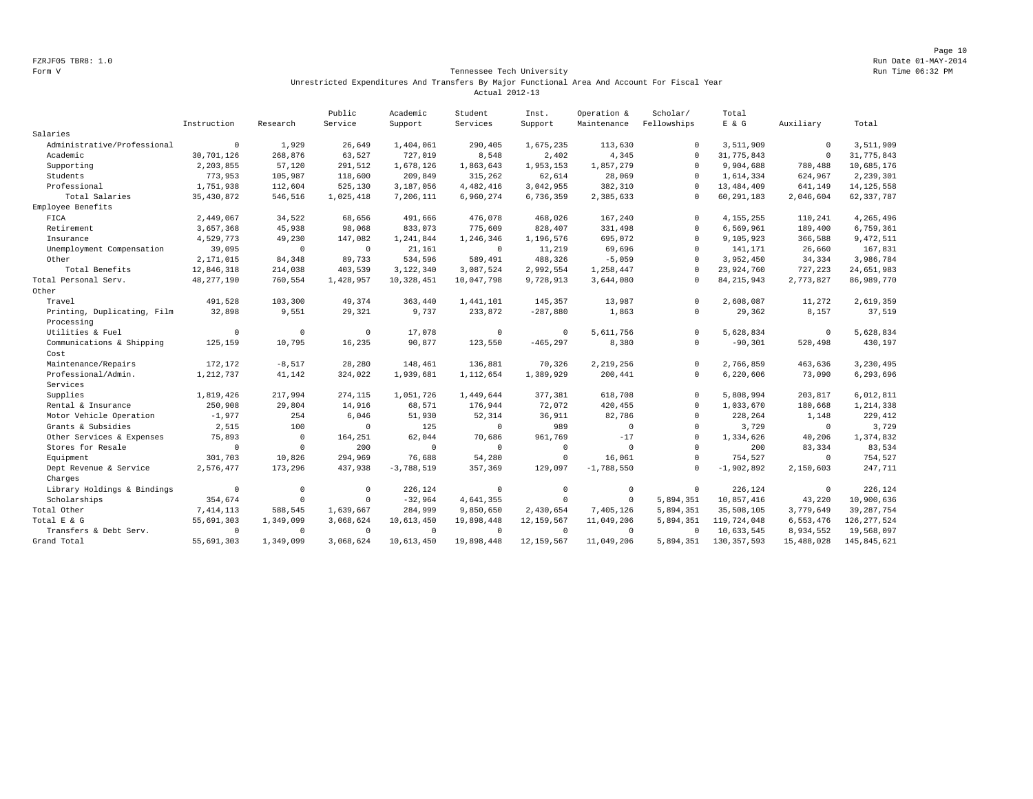Page 10 FZRJF05 TBR8: 1.0 Run Date 01-MAY-2014

#### Form V Tennessee Tech University Run Time 06:32 PM Unrestricted Expenditures And Transfers By Major Functional Area And Account For Fiscal Year Actual 2012-13

|                             |                |              | Public     | Academic     | Student     | Inst.        | Operation &  | Scholar/    | Total         |             |               |
|-----------------------------|----------------|--------------|------------|--------------|-------------|--------------|--------------|-------------|---------------|-------------|---------------|
|                             | Instruction    | Research     | Service    | Support      | Services    | Support      | Maintenance  | Fellowships | $E$ & $G$     | Auxiliary   | Total         |
| Salaries                    |                |              |            |              |             |              |              |             |               |             |               |
| Administrative/Professional | $\overline{0}$ | 1,929        | 26,649     | 1,404,061    | 290,405     | 1,675,235    | 113,630      | $\Omega$    | 3,511,909     | $^{\circ}$  | 3,511,909     |
| Academic                    | 30,701,126     | 268,876      | 63,527     | 727,019      | 8,548       | 2,402        | 4,345        | $\Omega$    | 31,775,843    | $\mathbf 0$ | 31,775,843    |
| Supporting                  | 2,203,855      | 57,120       | 291,512    | 1,678,126    | 1,863,643   | 1,953,153    | 1,857,279    | $\Omega$    | 9,904,688     | 780,488     | 10,685,176    |
| Students                    | 773,953        | 105,987      | 118,600    | 209,849      | 315,262     | 62,614       | 28,069       | $\Omega$    | 1,614,334     | 624,967     | 2,239,301     |
| Professional                | 1,751,938      | 112,604      | 525,130    | 3,187,056    | 4, 482, 416 | 3,042,955    | 382,310      | $\Omega$    | 13, 484, 409  | 641,149     | 14, 125, 558  |
| Total Salaries              | 35, 430, 872   | 546,516      | 1,025,418  | 7,206,111    | 6,960,274   | 6,736,359    | 2,385,633    | $\Omega$    | 60, 291, 183  | 2,046,604   | 62, 337, 787  |
| Employee Benefits           |                |              |            |              |             |              |              |             |               |             |               |
| FICA                        | 2,449,067      | 34,522       | 68,656     | 491,666      | 476,078     | 468,026      | 167,240      | $\Omega$    | 4, 155, 255   | 110,241     | 4,265,496     |
| Retirement                  | 3,657,368      | 45,938       | 98,068     | 833,073      | 775,609     | 828,407      | 331,498      | $\cap$      | 6,569,961     | 189,400     | 6,759,361     |
| Insurance                   | 4,529,773      | 49,230       | 147,082    | 1,241,844    | 1,246,346   | 1,196,576    | 695,072      | $\Omega$    | 9,105,923     | 366,588     | 9,472,511     |
| Unemployment Compensation   | 39,095         | $^{\circ}$   | $\circ$    | 21,161       | $\mathbf 0$ | 11,219       | 69,696       | $\cap$      | 141,171       | 26,660      | 167,831       |
| Other                       | 2,171,015      | 84,348       | 89,733     | 534,596      | 589,491     | 488,326      | $-5,059$     | $\Omega$    | 3,952,450     | 34,334      | 3,986,784     |
| Total Benefits              | 12,846,318     | 214,038      | 403,539    | 3,122,340    | 3,087,524   | 2,992,554    | 1,258,447    | $\Omega$    | 23,924,760    | 727,223     | 24,651,983    |
| Total Personal Serv.        | 48, 277, 190   | 760,554      | 1,428,957  | 10,328,451   | 10,047,798  | 9,728,913    | 3,644,080    | $\Omega$    | 84, 215, 943  | 2,773,827   | 86,989,770    |
| Other                       |                |              |            |              |             |              |              |             |               |             |               |
| Travel                      | 491,528        | 103,300      | 49,374     | 363,440      | 1,441,101   | 145,357      | 13,987       | $\Omega$    | 2,608,087     | 11,272      | 2,619,359     |
| Printing, Duplicating, Film | 32,898         | 9,551        | 29,321     | 9,737        | 233,872     | $-287,880$   | 1,863        | $\circ$     | 29,362        | 8,157       | 37,519        |
| Processing                  |                |              |            |              |             |              |              |             |               |             |               |
| Utilities & Fuel            | $\overline{0}$ | $\mathbf 0$  | $^{\circ}$ | 17,078       | $\mathbf 0$ | $\circ$      | 5,611,756    | $\Omega$    | 5,628,834     | $^{\circ}$  | 5,628,834     |
| Communications & Shipping   | 125,159        | 10,795       | 16,235     | 90,877       | 123,550     | $-465, 297$  | 8,380        | $\circ$     | $-90, 301$    | 520,498     | 430,197       |
| Cost                        |                |              |            |              |             |              |              |             |               |             |               |
| Maintenance/Repairs         | 172,172        | $-8,517$     | 28,280     | 148,461      | 136,881     | 70,326       | 2,219,256    | $\Omega$    | 2,766,859     | 463,636     | 3,230,495     |
| Professional/Admin.         | 1,212,737      | 41,142       | 324,022    | 1,939,681    | 1,112,654   | 1,389,929    | 200,441      | $\cap$      | 6,220,606     | 73,090      | 6,293,696     |
| Services                    |                |              |            |              |             |              |              |             |               |             |               |
| Supplies                    | 1,819,426      | 217,994      | 274,115    | 1,051,726    | 1,449,644   | 377,381      | 618,708      | $\Omega$    | 5,808,994     | 203,817     | 6,012,811     |
| Rental & Insurance          | 250,908        | 29,804       | 14,916     | 68,571       | 176,944     | 72,072       | 420,455      | $\circ$     | 1,033,670     | 180,668     | 1,214,338     |
| Motor Vehicle Operation     | $-1,977$       | 254          | 6,046      | 51,930       | 52,314      | 36,911       | 82,786       | $\Omega$    | 228,264       | 1,148       | 229,412       |
| Grants & Subsidies          | 2,515          | 100          | $\Omega$   | 125          | $\Omega$    | 989          | $\circ$      | $\cap$      | 3,729         | $\circ$     | 3,729         |
| Other Services & Expenses   | 75,893         | $\mathbf{0}$ | 164,251    | 62,044       | 70,686      | 961,769      | $-17$        | $\Omega$    | 1,334,626     | 40,206      | 1,374,832     |
| Stores for Resale           | $\mathbf 0$    | $\mathbf{0}$ | 200        | $\mathbf 0$  | $\mathbf 0$ | $\circ$      | $\circ$      | $\Omega$    | 200           | 83,334      | 83,534        |
| Equipment                   | 301,703        | 10,826       | 294,969    | 76,688       | 54,280      | $\mathbb O$  | 16,061       | $\cap$      | 754,527       | $\circ$     | 754,527       |
| Dept Revenue & Service      | 2,576,477      | 173,296      | 437,938    | $-3,788,519$ | 357,369     | 129,097      | $-1,788,550$ | $\Omega$    | $-1,902,892$  | 2,150,603   | 247,711       |
| Charges                     |                |              |            |              |             |              |              |             |               |             |               |
| Library Holdings & Bindings | $^{\circ}$     | $^{\circ}$   | $\Omega$   | 226,124      | $^{\circ}$  | $^{\circ}$   | $^{\circ}$   | $^{\circ}$  | 226,124       | $^{\circ}$  | 226,124       |
| Scholarships                | 354,674        | $\mathbf{0}$ | $\Omega$   | $-32,964$    | 4,641,355   | $\circ$      | $\circ$      | 5,894,351   | 10,857,416    | 43,220      | 10,900,636    |
| Total Other                 | 7, 414, 113    | 588,545      | 1,639,667  | 284,999      | 9,850,650   | 2,430,654    | 7,405,126    | 5,894,351   | 35,508,105    | 3,779,649   | 39, 287, 754  |
| Total E & G                 | 55,691,303     | 1,349,099    | 3,068,624  | 10,613,450   | 19,898,448  | 12, 159, 567 | 11,049,206   | 5,894,351   | 119,724,048   | 6,553,476   | 126, 277, 524 |
| Transfers & Debt Serv.      | $\Omega$       | $\mathbf 0$  | $\Omega$   | $^{\circ}$   | $\Omega$    | $\circ$      | $^{\circ}$   | $\Omega$    | 10,633,545    | 8,934,552   | 19,568,097    |
| Grand Total                 | 55,691,303     | 1,349,099    | 3,068,624  | 10,613,450   | 19,898,448  | 12, 159, 567 | 11,049,206   | 5,894,351   | 130, 357, 593 | 15,488,028  | 145,845,621   |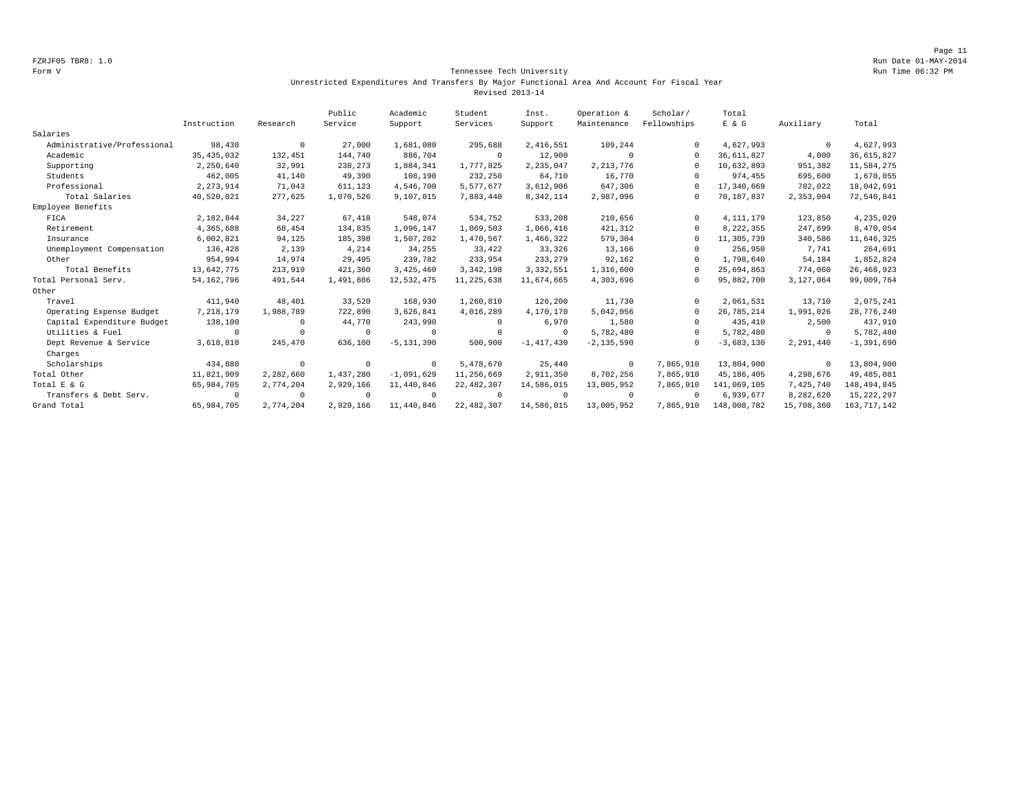#### Form V Tennessee Tech University Run Time 06:32 PM Unrestricted Expenditures And Transfers By Major Functional Area And Account For Fiscal Year Revised 2013-14

|                             |              |            | Public    | Academic       | Student      | Inst.        | Operation &    | Scholar/    | Total        |              |               |
|-----------------------------|--------------|------------|-----------|----------------|--------------|--------------|----------------|-------------|--------------|--------------|---------------|
|                             | Instruction  | Research   | Service   | Support        | Services     | Support      | Maintenance    | Fellowships | E & G        | Auxiliary    | Total         |
| Salaries                    |              |            |           |                |              |              |                |             |              |              |               |
| Administrative/Professional | 98,430       | $^{\circ}$ | 27,000    | 1,681,080      | 295,688      | 2,416,551    | 109,244        |             | 4,627,993    | $\mathbf{0}$ | 4,627,993     |
| Academic                    | 35, 435, 032 | 132,451    | 144,740   | 886,704        | $\circ$      | 12,900       | $\Omega$       | $\Omega$    | 36,611,827   | 4,000        | 36,615,827    |
| Supporting                  | 2,250,640    | 32,991     | 238,273   | 1,884,341      | 1,777,825    | 2,235,047    | 2, 213, 776    | $\Omega$    | 10,632,893   | 951,382      | 11,584,275    |
| Students                    | 462,005      | 41,140     | 49,390    | 108,190        | 232,250      | 64,710       | 16,770         | $\Omega$    | 974,455      | 695,600      | 1,670,055     |
| Professional                | 2, 273, 914  | 71,043     | 611,123   | 4,546,700      | 5,577,677    | 3,612,906    | 647,306        | $\Omega$    | 17,340,669   | 702,022      | 18,042,691    |
| Total Salaries              | 40,520,021   | 277,625    | 1,070,526 | 9,107,015      | 7,883,440    | 8,342,114    | 2,987,096      | $\Omega$    | 70,187,837   | 2,353,004    | 72,540,841    |
| Employee Benefits           |              |            |           |                |              |              |                |             |              |              |               |
| FICA                        | 2,182,844    | 34,227     | 67,418    | 548,074        | 534,752      | 533,208      | 210,656        | $\Omega$    | 4, 111, 179  | 123,850      | 4,235,029     |
| Retirement                  | 4,365,688    | 68,454     | 134,835   | 1,096,147      | 1,069,503    | 1,066,416    | 421,312        | $\Omega$    | 8,222,355    | 247,699      | 8,470,054     |
| Insurance                   | 6,002,821    | 94,125     | 185,398   | 1,507,202      | 1,470,567    | 1,466,322    | 579,304        | $\Omega$    | 11,305,739   | 340,586      | 11,646,325    |
| Unemployment Compensation   | 136,428      | 2,139      | 4,214     | 34,255         | 33,422       | 33,326       | 13,166         |             | 256,950      | 7,741        | 264,691       |
| Other                       | 954,994      | 14,974     | 29,495    | 239,782        | 233,954      | 233,279      | 92,162         | $\Omega$    | 1,798,640    | 54,184       | 1,852,824     |
| Total Benefits              | 13,642,775   | 213,919    | 421,360   | 3,425,460      | 3, 342, 198  | 3, 332, 551  | 1,316,600      |             | 25,694,863   | 774,060      | 26, 468, 923  |
| Total Personal Serv.        | 54, 162, 796 | 491,544    | 1,491,886 | 12,532,475     | 11, 225, 638 | 11,674,665   | 4,303,696      |             | 95,882,700   | 3,127,064    | 99,009,764    |
| Other                       |              |            |           |                |              |              |                |             |              |              |               |
| Travel                      | 411,940      | 48,401     | 33,520    | 168,930        | 1,260,810    | 126,200      | 11,730         | $\Omega$    | 2,061,531    | 13,710       | 2,075,241     |
| Operating Expense Budget    | 7,218,179    | 1,988,789  | 722,890   | 3,626,841      | 4,016,289    | 4,170,170    | 5,042,056      | $\Omega$    | 26,785,214   | 1,991,026    | 28,776,240    |
| Capital Expenditure Budget  | 138,100      | $\Omega$   | 44,770    | 243,990        | 0            | 6,970        | 1,580          |             | 435,410      | 2,500        | 437,910       |
| Utilities & Fuel            |              | $\Omega$   |           | 0              | $^{\circ}$   | $\Omega$     | 5,782,480      | $\Omega$    | 5,782,480    | $\Omega$     | 5,782,480     |
| Dept Revenue & Service      | 3,618,810    | 245,470    | 636,100   | $-5, 131, 390$ | 500,900      | $-1.417.430$ | $-2, 135, 590$ |             | $-3,683,130$ | 2,291,440    | $-1,391,690$  |
| Charges                     |              |            |           |                |              |              |                |             |              |              |               |
| Scholarships                | 434,880      | $\circ$    | $\Omega$  | $^{\circ}$     | 5,478,670    | 25,440       | $\circ$        | 7,865,910   | 13,804,900   | $\mathbf{0}$ | 13,804,900    |
| Total Other                 | 11,821,909   | 2,282,660  | 1,437,280 | $-1,091,629$   | 11,256,669   | 2,911,350    | 8,702,256      | 7,865,910   | 45, 186, 405 | 4,298,676    | 49,485,081    |
| Total E & G                 | 65,984,705   | 2,774,204  | 2,929,166 | 11,440,846     | 22, 482, 307 | 14,586,015   | 13,005,952     | 7,865,910   | 141,069,105  | 7,425,740    | 148,494,845   |
| Transfers & Debt Serv.      | $\Omega$     | $^{\circ}$ |           | $^{\circ}$     | $^{\circ}$   | $\Omega$     | $^{\circ}$     | $\Omega$    | 6,939,677    | 8,282,620    | 15, 222, 297  |
| Grand Total                 | 65,984,705   | 2,774,204  | 2,929,166 | 11,440,846     | 22, 482, 307 | 14,586,015   | 13,005,952     | 7,865,910   | 148,008,782  | 15,708,360   | 163, 717, 142 |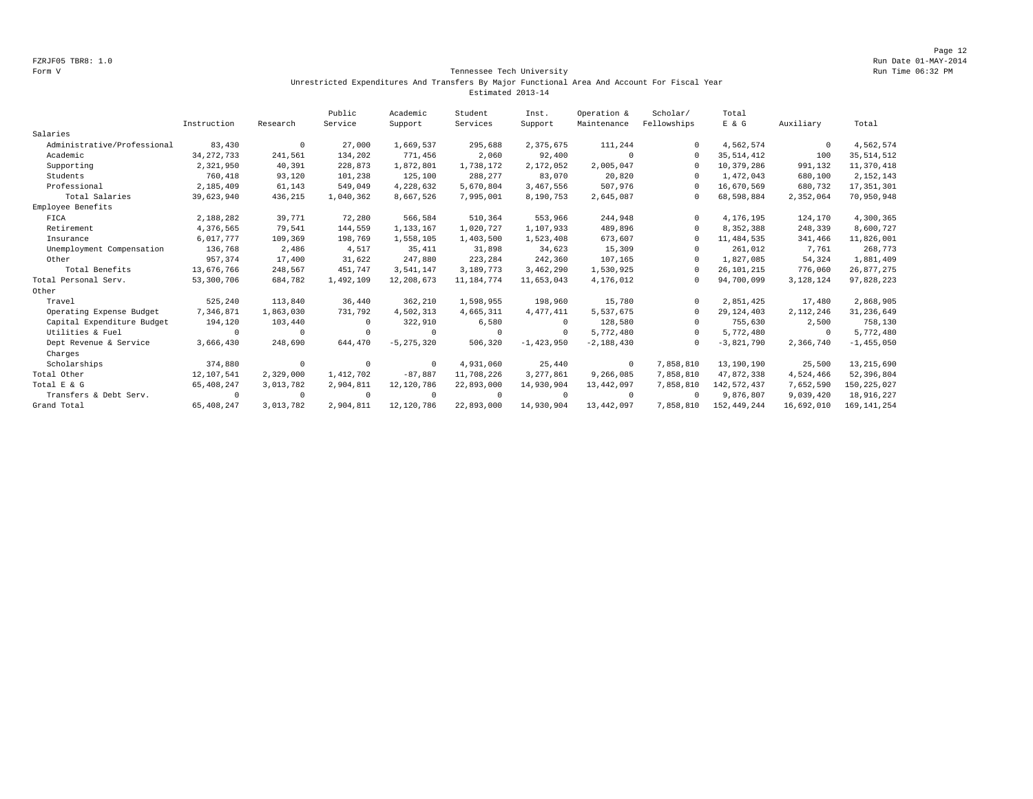Page 12 FZRJF05 TBR8: 1.0 Run Date 01-MAY-2014

#### Form V Tennessee Tech University Run Time 06:32 PM Unrestricted Expenditures And Transfers By Major Functional Area And Account For Fiscal Year Estimated 2013-14

|                             |              |            | Public    | Academic       | Student      | Inst.          | Operation &  | Scholar/    | Total         |             |                |
|-----------------------------|--------------|------------|-----------|----------------|--------------|----------------|--------------|-------------|---------------|-------------|----------------|
|                             | Instruction  | Research   | Service   | Support        | Services     | Support        | Maintenance  | Fellowships | $E$ & $G$     | Auxiliary   | Total          |
| Salaries                    |              |            |           |                |              |                |              |             |               |             |                |
| Administrative/Professional | 83,430       | $^{\circ}$ | 27,000    | 1,669,537      | 295,688      | 2,375,675      | 111,244      | $\Omega$    | 4,562,574     | $\mathbf 0$ | 4,562,574      |
| Academic                    | 34, 272, 733 | 241,561    | 134,202   | 771,456        | 2,060        | 92,400         | $\Omega$     | $\cap$      | 35, 514, 412  | 100         | 35, 514, 512   |
| Supporting                  | 2,321,950    | 40,391     | 228,873   | 1,872,801      | 1,738,172    | 2,172,052      | 2,005,047    |             | 10,379,286    | 991,132     | 11,370,418     |
| Students                    | 760,418      | 93,120     | 101,238   | 125,100        | 288,277      | 83,070         | 20,820       | $\Omega$    | 1,472,043     | 680,100     | 2, 152, 143    |
| Professional                | 2,185,409    | 61,143     | 549,049   | 4,228,632      | 5,670,804    | 3,467,556      | 507,976      | $\cap$      | 16,670,569    | 680,732     | 17, 351, 301   |
| Total Salaries              | 39,623,940   | 436,215    | 1,040,362 | 8,667,526      | 7,995,001    | 8,190,753      | 2,645,087    | $\Omega$    | 68,598,884    | 2,352,064   | 70,950,948     |
| Employee Benefits           |              |            |           |                |              |                |              |             |               |             |                |
| FICA                        | 2,188,282    | 39,771     | 72,280    | 566,584        | 510,364      | 553,966        | 244,948      | $\Omega$    | 4,176,195     | 124,170     | 4,300,365      |
| Retirement                  | 4,376,565    | 79,541     | 144,559   | 1,133,167      | 1,020,727    | 1,107,933      | 489,896      | $\Omega$    | 8,352,388     | 248,339     | 8,600,727      |
| Insurance                   | 6,017,777    | 109,369    | 198,769   | 1,558,105      | 1,403,500    | 1,523,408      | 673,607      | $\Omega$    | 11, 484, 535  | 341,466     | 11,826,001     |
| Unemployment Compensation   | 136,768      | 2,486      | 4,517     | 35,411         | 31,898       | 34,623         | 15,309       | $\Omega$    | 261,012       | 7,761       | 268,773        |
| Other                       | 957,374      | 17,400     | 31,622    | 247.880        | 223,284      | 242,360        | 107,165      | $\Omega$    | 1,827,085     | 54,324      | 1,881,409      |
| Total Benefits              | 13,676,766   | 248,567    | 451,747   | 3,541,147      | 3,189,773    | 3,462,290      | 1,530,925    | $\Omega$    | 26, 101, 215  | 776,060     | 26,877,275     |
| Total Personal Serv.        | 53,300,706   | 684,782    | 1,492,109 | 12,208,673     | 11, 184, 774 | 11,653,043     | 4,176,012    | 0           | 94,700,099    | 3,128,124   | 97,828,223     |
| Other                       |              |            |           |                |              |                |              |             |               |             |                |
| Travel                      | 525,240      | 113,840    | 36,440    | 362,210        | 1,598,955    | 198,960        | 15,780       | $\Omega$    | 2,851,425     | 17,480      | 2,868,905      |
| Operating Expense Budget    | 7,346,871    | 1,863,030  | 731,792   | 4,502,313      | 4,665,311    | 4, 477, 411    | 5,537,675    | $\Omega$    | 29, 124, 403  | 2, 112, 246 | 31, 236, 649   |
| Capital Expenditure Budget  | 194,120      | 103,440    |           | 322,910        | 6,580        | $\Omega$       | 128,580      | $\Omega$    | 755,630       | 2,500       | 758,130        |
| Utilities & Fuel            | $\Omega$     | 0          |           | 0              | $\mathbf 0$  | $\Omega$       | 5,772,480    | $\Omega$    | 5,772,480     | 0           | 5,772,480      |
| Dept Revenue & Service      | 3,666,430    | 248,690    | 644,470   | $-5, 275, 320$ | 506,320      | $-1, 423, 950$ | $-2,188,430$ | $\Omega$    | $-3,821,790$  | 2,366,740   | $-1, 455, 050$ |
| Charges                     |              |            |           |                |              |                |              |             |               |             |                |
| Scholarships                | 374,880      | $\circ$    | $\Omega$  | $\mathbf 0$    | 4,931,060    | 25,440         | $^{\circ}$   | 7,858,810   | 13,190,190    | 25,500      | 13, 215, 690   |
| Total Other                 | 12,107,541   | 2,329,000  | 1,412,702 | $-87,887$      | 11,708,226   | 3, 277, 861    | 9,266,085    | 7,858,810   | 47,872,338    | 4,524,466   | 52,396,804     |
| Total E & G                 | 65,408,247   | 3,013,782  | 2,904,811 | 12, 120, 786   | 22,893,000   | 14,930,904     | 13,442,097   | 7,858,810   | 142, 572, 437 | 7,652,590   | 150, 225, 027  |
| Transfers & Debt Serv.      | $\Omega$     | $^{\circ}$ |           | $^{\circ}$     | $\Omega$     | $\Omega$       | $^{\circ}$   | $\Omega$    | 9,876,807     | 9,039,420   | 18,916,227     |
| Grand Total                 | 65, 408, 247 | 3,013,782  | 2,904,811 | 12, 120, 786   | 22,893,000   | 14,930,904     | 13,442,097   | 7,858,810   | 152, 449, 244 | 16,692,010  | 169, 141, 254  |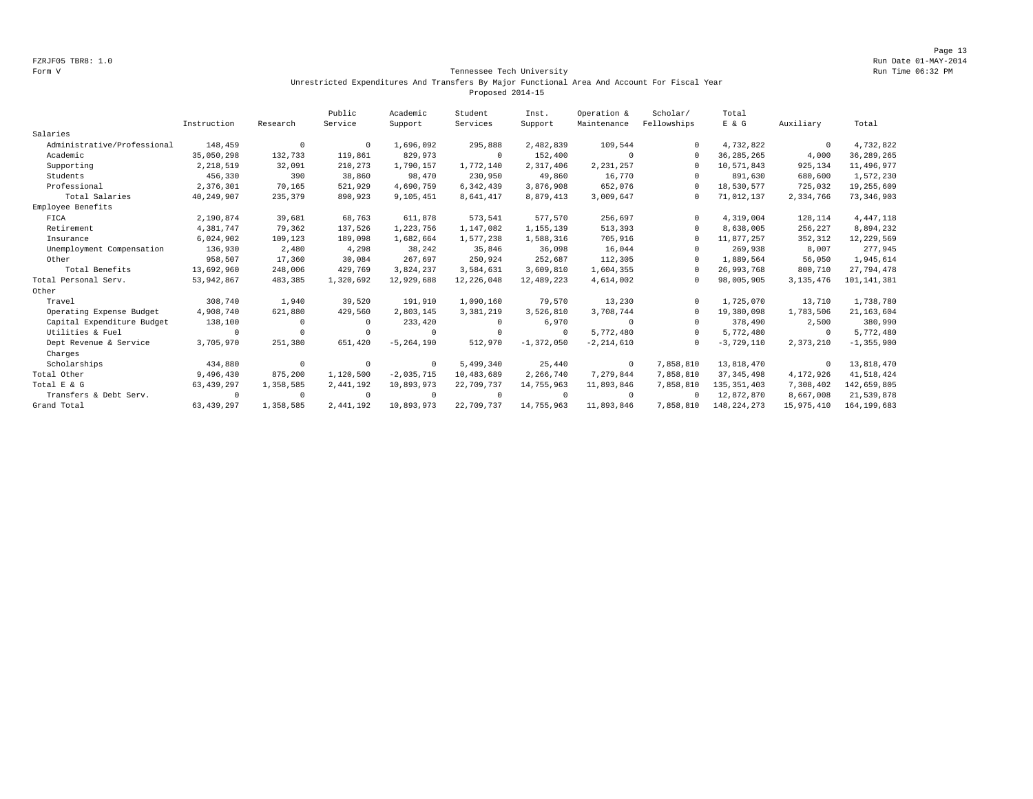Page 13 FZRJF05 TBR8: 1.0 Run Date 01-MAY-2014

#### Form V Tennessee Tech University Run Time 06:32 PM Unrestricted Expenditures And Transfers By Major Functional Area And Account For Fiscal Year Proposed 2014-15

|                             |              |            | Public    | Academic       | Student    | Inst.        | Operation &    | Scholar/    | Total         |             |                |
|-----------------------------|--------------|------------|-----------|----------------|------------|--------------|----------------|-------------|---------------|-------------|----------------|
|                             | Instruction  | Research   | Service   | Support        | Services   | Support      | Maintenance    | Fellowships | $E$ & $G$     | Auxiliary   | Total          |
| Salaries                    |              |            |           |                |            |              |                |             |               |             |                |
| Administrative/Professional | 148,459      | $^{\circ}$ | $\Omega$  | 1,696,092      | 295,888    | 2,482,839    | 109,544        | $\Omega$    | 4,732,822     | $^{\circ}$  | 4,732,822      |
| Academic                    | 35,050,298   | 132,733    | 119,861   | 829,973        | $\circ$    | 152,400      | $^{\circ}$     | $\Omega$    | 36, 285, 265  | 4,000       | 36, 289, 265   |
| Supporting                  | 2,218,519    | 32,091     | 210,273   | 1,790,157      | 1,772,140  | 2,317,406    | 2, 231, 257    |             | 10,571,843    | 925,134     | 11,496,977     |
| Students                    | 456,330      | 390        | 38,860    | 98,470         | 230,950    | 49,860       | 16,770         |             | 891,630       | 680,600     | 1,572,230      |
| Professional                | 2,376,301    | 70,165     | 521,929   | 4,690,759      | 6,342,439  | 3,876,908    | 652,076        | $\Omega$    | 18,530,577    | 725,032     | 19,255,609     |
| Total Salaries              | 40,249,907   | 235,379    | 890,923   | 9,105,451      | 8,641,417  | 8,879,413    | 3,009,647      | $\Omega$    | 71,012,137    | 2,334,766   | 73, 346, 903   |
| Employee Benefits           |              |            |           |                |            |              |                |             |               |             |                |
| FICA                        | 2,190,874    | 39,681     | 68,763    | 611,878        | 573,541    | 577,570      | 256,697        | $\Omega$    | 4,319,004     | 128,114     | 4, 447, 118    |
| Retirement                  | 4,381,747    | 79,362     | 137,526   | 1,223,756      | 1,147,082  | 1,155,139    | 513,393        | $\Omega$    | 8,638,005     | 256,227     | 8,894,232      |
| Insurance                   | 6,024,902    | 109,123    | 189,098   | 1,682,664      | 1,577,238  | 1,588,316    | 705,916        | $\Omega$    | 11,877,257    | 352,312     | 12,229,569     |
| Unemployment Compensation   | 136,930      | 2,480      | 4,298     | 38,242         | 35,846     | 36,098       | 16,044         |             | 269,938       | 8,007       | 277,945        |
| Other                       | 958,507      | 17,360     | 30,084    | 267,697        | 250,924    | 252,687      | 112,305        | $\cap$      | 1,889,564     | 56,050      | 1,945,614      |
| Total Benefits              | 13,692,960   | 248,006    | 429,769   | 3,824,237      | 3,584,631  | 3,609,810    | 1,604,355      |             | 26,993,768    | 800,710     | 27,794,478     |
| Total Personal Serv.        | 53, 942, 867 | 483,385    | 1,320,692 | 12,929,688     | 12,226,048 | 12,489,223   | 4,614,002      | $\Omega$    | 98,005,905    | 3, 135, 476 | 101, 141, 381  |
| Other                       |              |            |           |                |            |              |                |             |               |             |                |
| Travel                      | 308,740      | 1,940      | 39,520    | 191,910        | 1,090,160  | 79,570       | 13,230         | $\Omega$    | 1,725,070     | 13,710      | 1,738,780      |
| Operating Expense Budget    | 4,908,740    | 621,880    | 429,560   | 2.803.145      | 3,381,219  | 3,526,810    | 3,708,744      | $\Omega$    | 19,380,098    | 1,783,506   | 21, 163, 604   |
| Capital Expenditure Budget  | 138,100      | $\Omega$   |           | 233,420        | 0          | 6,970        | $^{\circ}$     |             | 378,490       | 2,500       | 380,990        |
| Utilities & Fuel            | $\Omega$     | $\Omega$   |           | $^{\circ}$     | $\Omega$   | $^{\circ}$   | 5,772,480      | $\cap$      | 5,772,480     | $^{\circ}$  | 5,772,480      |
| Dept Revenue & Service      | 3,705,970    | 251,380    | 651,420   | $-5, 264, 190$ | 512,970    | $-1,372,050$ | $-2, 214, 610$ | $\Omega$    | $-3,729,110$  | 2,373,210   | $-1, 355, 900$ |
| Charges                     |              |            |           |                |            |              |                |             |               |             |                |
| Scholarships                | 434,880      | $^{\circ}$ | $\Omega$  | $^{\circ}$     | 5,499,340  | 25,440       | $^{\circ}$     | 7,858,810   | 13,818,470    | $^{\circ}$  | 13,818,470     |
| Total Other                 | 9,496,430    | 875,200    | 1,120,500 | $-2.035.715$   | 10,483,689 | 2,266,740    | 7,279,844      | 7,858,810   | 37, 345, 498  | 4,172,926   | 41,518,424     |
| Total E & G                 | 63, 439, 297 | 1,358,585  | 2,441,192 | 10,893,973     | 22,709,737 | 14,755,963   | 11,893,846     | 7,858,810   | 135, 351, 403 | 7,308,402   | 142,659,805    |
| Transfers & Debt Serv.      | $\Omega$     | $^{\circ}$ | $\Omega$  | $^{\circ}$     | $\circ$    | $\Omega$     | $^{\circ}$     | $\Omega$    | 12,872,870    | 8,667,008   | 21,539,878     |
| Grand Total                 | 63, 439, 297 | 1,358,585  | 2,441,192 | 10,893,973     | 22,709,737 | 14,755,963   | 11,893,846     | 7,858,810   | 148, 224, 273 | 15,975,410  | 164, 199, 683  |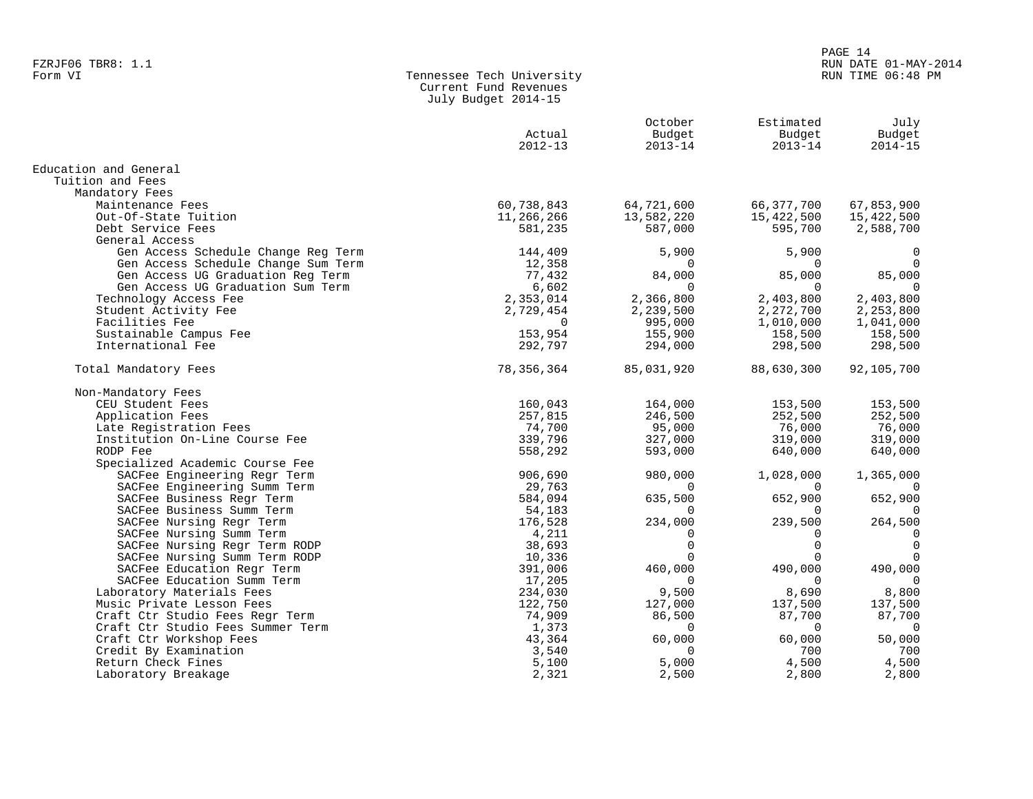#### PAGE 14 FZRJF06 TBR8: 1.1 RUN DATE 01-MAY-2014 RUN TIME 06:48 PM

| Form VI | Tennessee Tech University |
|---------|---------------------------|
|         | Current Fund Revenues     |
|         | July Budget 2014-15       |

|                                     | Actual<br>$2012 - 13$ | October<br>Budget<br>$2013 - 14$ | Estimated<br>Budget<br>$2013 - 14$ | July<br>Budget<br>$2014 - 15$ |
|-------------------------------------|-----------------------|----------------------------------|------------------------------------|-------------------------------|
| Education and General               |                       |                                  |                                    |                               |
| Tuition and Fees                    |                       |                                  |                                    |                               |
| Mandatory Fees                      |                       |                                  |                                    |                               |
| Maintenance Fees                    | 60,738,843            | 64,721,600                       | 66, 377, 700                       | 67,853,900                    |
| Out-Of-State Tuition                | 11,266,266            | 13,582,220                       | 15,422,500                         | 15,422,500                    |
| Debt Service Fees                   | 581,235               | 587,000                          | 595,700                            | 2,588,700                     |
| General Access                      |                       |                                  |                                    |                               |
| Gen Access Schedule Change Reg Term | 144,409               | 5,900                            | 5,900                              | 0                             |
| Gen Access Schedule Change Sum Term | 12,358                | $\Omega$                         | $\Omega$                           | $\Omega$                      |
| Gen Access UG Graduation Reg Term   | 77,432                | 84,000                           | 85,000                             | 85,000                        |
| Gen Access UG Graduation Sum Term   | 6,602                 | $\Omega$                         | $\Omega$                           | $\Omega$                      |
| Technology Access Fee               | 2,353,014             | 2,366,800                        | 2,403,800                          | 2,403,800                     |
| Student Activity Fee                | 2,729,454             | 2,239,500                        | 2,272,700                          | 2,253,800                     |
| Facilities Fee                      | $\Omega$              | 995,000                          | 1,010,000                          | 1,041,000                     |
| Sustainable Campus Fee              | 153,954               | 155,900                          | 158,500                            | 158,500                       |
| International Fee                   | 292,797               | 294,000                          | 298,500                            | 298,500                       |
| Total Mandatory Fees                | 78, 356, 364          | 85,031,920                       | 88,630,300                         | 92,105,700                    |
| Non-Mandatory Fees                  |                       |                                  |                                    |                               |
| CEU Student Fees                    | 160,043               | 164,000                          | 153,500                            | 153,500                       |
| Application Fees                    | 257,815               | 246,500                          | 252,500                            | 252,500                       |
| Late Registration Fees              | 74,700                | 95,000                           | 76,000                             | 76,000                        |
| Institution On-Line Course Fee      | 339,796               | 327,000                          | 319,000                            | 319,000                       |
| RODP Fee                            | 558,292               | 593,000                          | 640,000                            | 640,000                       |
| Specialized Academic Course Fee     |                       |                                  |                                    |                               |
| SACFee Engineering Regr Term        | 906,690               | 980,000                          | 1,028,000                          | 1,365,000                     |
| SACFee Engineering Summ Term        | 29,763                | $\Omega$                         | $\Omega$                           |                               |
| SACFee Business Regr Term           | 584,094               | 635,500                          | 652,900                            | 652,900                       |
| SACFee Business Summ Term           | 54,183                | O                                | $\Omega$                           | $\Omega$                      |
| SACFee Nursing Regr Term            | 176,528               | 234,000                          | 239,500                            | 264,500                       |
| SACFee Nursing Summ Term            | 4,211                 | ∩                                | $\Omega$                           | 0                             |
| SACFee Nursing Regr Term RODP       | 38,693                | $\Omega$                         | $\Omega$                           | $\Omega$                      |
| SACFee Nursing Summ Term RODP       | 10,336                | O                                | $\Omega$                           | $\mathbf 0$                   |
| SACFee Education Regr Term          | 391,006               | 460,000                          | 490,000                            | 490,000                       |
| SACFee Education Summ Term          | 17,205                | $\Omega$                         | $\Omega$                           | 0                             |
| Laboratory Materials Fees           | 234,030               | 9,500                            | 8,690                              | 8,800                         |
| Music Private Lesson Fees           | 122,750               | 127,000                          | 137,500                            | 137,500                       |
| Craft Ctr Studio Fees Regr Term     | 74,909                | 86,500                           | 87,700                             | 87,700                        |
| Craft Ctr Studio Fees Summer Term   | 1,373                 | $\mathbf 0$                      | $\mathbf 0$                        | $\overline{0}$                |
| Craft Ctr Workshop Fees             | 43,364                | 60,000                           | 60,000                             | 50,000                        |
| Credit By Examination               | 3,540                 | $\Omega$                         | 700                                | 700                           |
| Return Check Fines                  | 5,100                 | 5,000                            | 4,500                              | 4,500                         |
| Laboratory Breakage                 | 2,321                 | 2,500                            | 2,800                              | 2,800                         |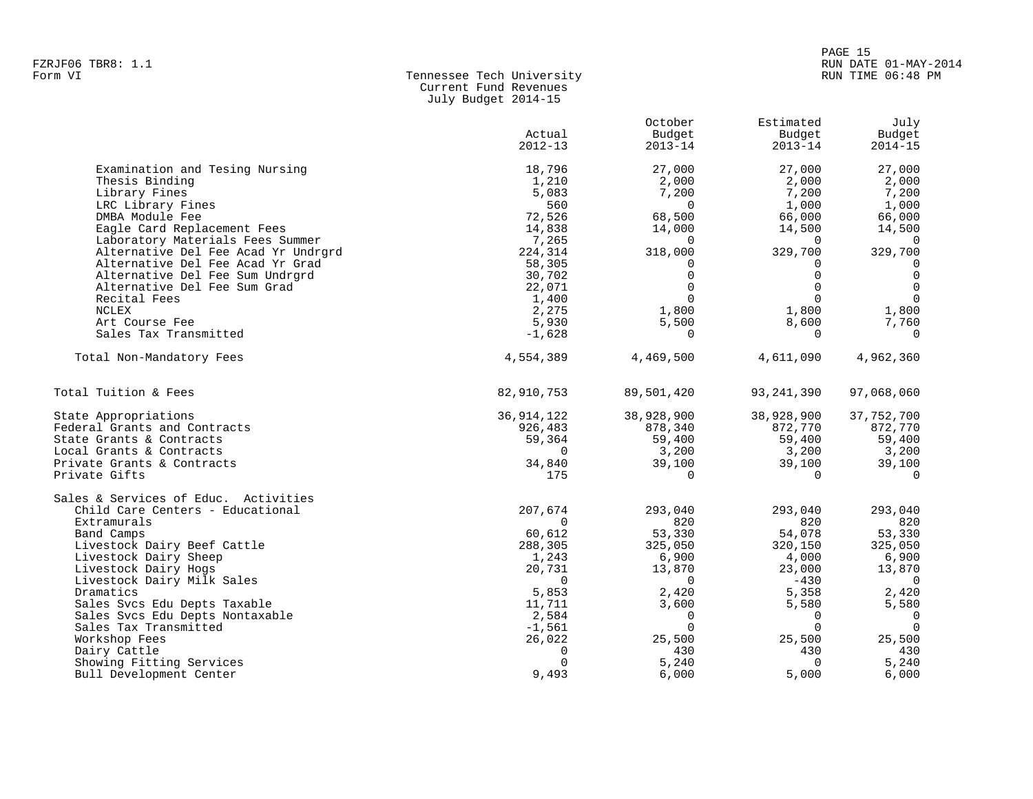| Form VI | Tennessee Tech University |
|---------|---------------------------|
|         | Current Fund Revenues     |
|         | July Budget 2014-15       |

|                                      | Actual<br>$2012 - 13$ | October<br>Budget<br>$2013 - 14$ | Estimated<br>Budget<br>$2013 - 14$ | July<br>Budget<br>$2014 - 15$ |
|--------------------------------------|-----------------------|----------------------------------|------------------------------------|-------------------------------|
|                                      |                       |                                  |                                    |                               |
| Examination and Tesing Nursing       | 18,796                | 27,000                           | 27,000                             | 27,000                        |
| Thesis Binding                       | 1,210                 | 2,000                            | 2,000                              | 2,000                         |
| Library Fines                        | 5,083                 | 7,200                            | 7,200                              | 7,200                         |
| LRC Library Fines                    | 560                   | $\Omega$                         | 1,000                              | 1,000                         |
| DMBA Module Fee                      | 72,526                | 68,500                           | 66,000                             | 66,000                        |
| Eagle Card Replacement Fees          | 14,838                | 14,000                           | 14,500                             | 14,500                        |
| Laboratory Materials Fees Summer     | 7,265                 | $\Omega$                         | $\Omega$                           | $\Omega$                      |
| Alternative Del Fee Acad Yr Undrgrd  | 224,314               | 318,000                          | 329,700                            | 329,700                       |
| Alternative Del Fee Acad Yr Grad     | 58,305                | $\Omega$                         | $\Omega$                           | $\Omega$                      |
| Alternative Del Fee Sum Undrgrd      | 30,702                | $\Omega$                         | $\Omega$                           | $\mathbf 0$                   |
| Alternative Del Fee Sum Grad         | 22,071                | $\Omega$                         | $\Omega$                           | $\Omega$                      |
| Recital Fees                         | 1,400                 | $\Omega$                         | $\Omega$                           | $\Omega$                      |
| NCLEX                                | 2,275                 | 1,800                            | 1,800                              | 1,800                         |
| Art Course Fee                       | 5,930                 | 5,500                            | 8,600                              | 7,760                         |
| Sales Tax Transmitted                | $-1,628$              | $\Omega$                         | $\Omega$                           | $\Omega$                      |
|                                      |                       |                                  |                                    |                               |
| Total Non-Mandatory Fees             | 4,554,389             | 4,469,500                        | 4,611,090                          | 4,962,360                     |
| Total Tuition & Fees                 | 82,910,753            | 89,501,420                       | 93, 241, 390                       | 97,068,060                    |
|                                      |                       | 38,928,900                       | 38,928,900                         | 37,752,700                    |
| State Appropriations                 | 36, 914, 122          |                                  |                                    |                               |
| Federal Grants and Contracts         | 926,483               | 878,340                          | 872,770                            | 872,770                       |
| State Grants & Contracts             | 59,364<br>$\Omega$    | 59,400                           | 59,400                             | 59,400                        |
| Local Grants & Contracts             |                       | 3,200                            | 3,200                              | 3,200                         |
| Private Grants & Contracts           | 34,840                | 39,100                           | 39,100                             | 39,100                        |
| Private Gifts                        | 175                   | $\Omega$                         | $\Omega$                           | $\Omega$                      |
| Sales & Services of Educ. Activities |                       |                                  |                                    |                               |
| Child Care Centers - Educational     | 207,674               | 293,040                          | 293,040                            | 293,040                       |
| Extramurals                          | $\Omega$              | 820                              | 820                                | 820                           |
| Band Camps                           | 60,612                | 53,330                           | 54,078                             | 53,330                        |
| Livestock Dairy Beef Cattle          | 288,305               | 325,050                          | 320,150                            | 325,050                       |
| Livestock Dairy Sheep                | 1,243                 | 6,900                            | 4,000                              | 6,900                         |
| Livestock Dairy Hogs                 | 20,731                | 13,870                           | 23,000                             | 13,870                        |
| Livestock Dairy Milk Sales           | 0                     | $\mathbf 0$                      | $-430$                             | $\overline{0}$                |
| Dramatics                            | 5,853                 | 2,420                            | 5,358                              | 2,420                         |
| Sales Svcs Edu Depts Taxable         | 11,711                | 3,600                            | 5,580                              | 5,580                         |
| Sales Svcs Edu Depts Nontaxable      | 2,584                 | $\Omega$                         | $\Omega$                           | $\Omega$                      |
| Sales Tax Transmitted                | $-1,561$              | $\Omega$                         | $\Omega$                           | $\Omega$                      |
| Workshop Fees                        | 26,022                | 25,500                           | 25,500                             | 25,500                        |
| Dairy Cattle                         | 0                     | 430                              | 430                                | 430                           |
| Showing Fitting Services             | $\Omega$              | 5,240                            | $\Omega$                           | 5,240                         |
| Bull Development Center              | 9,493                 | 6,000                            | 5,000                              | 6,000                         |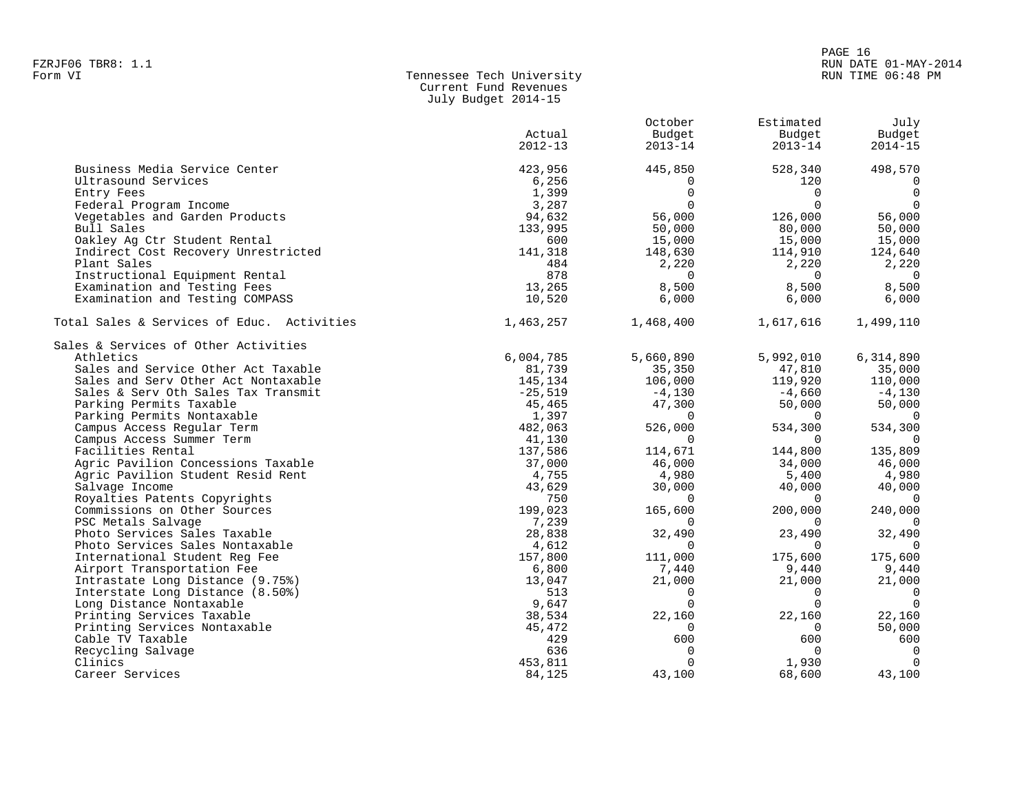#### PAGE 16 FZRJF06 TBR8: 1.1 RUN DATE 01-MAY-2014 RUN TIME 06:48 PM

| Form VI | Tennessee Tech University |
|---------|---------------------------|
|         | Current Fund Revenues     |
|         | July Budget 2014-15       |

|                                            |             | October        | Estimated   | July           |
|--------------------------------------------|-------------|----------------|-------------|----------------|
|                                            | Actual      | Budget         | Budget      | Budget         |
|                                            | $2012 - 13$ | $2013 - 14$    | $2013 - 14$ | $2014 - 15$    |
| Business Media Service Center              | 423,956     | 445,850        | 528,340     | 498,570        |
| Ultrasound Services                        | 6,256       | 0              | 120         | $\mathbf 0$    |
| Entry Fees                                 | 1,399       | $\mathbf 0$    | $\Omega$    | $\overline{0}$ |
| Federal Program Income                     | 3,287       | $\Omega$       | $\Omega$    | $\Omega$       |
| Vegetables and Garden Products             | 94,632      | 56,000         | 126,000     | 56,000         |
| Bull Sales                                 | 133,995     | 50,000         | 80,000      | 50,000         |
| Oakley Ag Ctr Student Rental               | 600         | 15,000         | 15,000      | 15,000         |
| Indirect Cost Recovery Unrestricted        | 141,318     | 148,630        | 114,910     | 124,640        |
| Plant Sales                                | 484         | 2,220          | 2,220       | 2,220          |
| Instructional Equipment Rental             | 878         | $\overline{0}$ | $\Omega$    | $\overline{0}$ |
| Examination and Testing Fees               | 13,265      | 8,500          | 8,500       | 8,500          |
| Examination and Testing COMPASS            | 10,520      | 6,000          | 6,000       | 6,000          |
| Total Sales & Services of Educ. Activities | 1,463,257   | 1,468,400      | 1,617,616   | 1,499,110      |
| Sales & Services of Other Activities       |             |                |             |                |
| Athletics                                  | 6,004,785   | 5,660,890      | 5,992,010   | 6,314,890      |
| Sales and Service Other Act Taxable        | 81,739      | 35,350         | 47,810      | 35,000         |
| Sales and Serv Other Act Nontaxable        | 145,134     | 106,000        | 119,920     | 110,000        |
| Sales & Serv Oth Sales Tax Transmit        | $-25,519$   | $-4,130$       | $-4,660$    | $-4,130$       |
| Parking Permits Taxable                    | 45,465      | 47,300         | 50,000      | 50,000         |
| Parking Permits Nontaxable                 | 1,397       | $\mathbf 0$    | $\Omega$    | $\overline{0}$ |
| Campus Access Regular Term                 | 482,063     | 526,000        | 534,300     | 534,300        |
| Campus Access Summer Term                  | 41,130      | $\Omega$       | $\Omega$    | $\Omega$       |
| Facilities Rental                          | 137,586     | 114,671        | 144,800     | 135,809        |
| Agric Pavilion Concessions Taxable         | 37,000      | 46,000         | 34,000      | 46,000         |
| Agric Pavilion Student Resid Rent          | 4,755       | 4,980          | 5,400       | 4,980          |
| Salvage Income                             | 43,629      | 30,000         | 40,000      | 40,000         |
| Royalties Patents Copyrights               | 750         | $\mathbf 0$    | $\Omega$    | $\overline{0}$ |
| Commissions on Other Sources               | 199,023     | 165,600        | 200,000     | 240,000        |
| PSC Metals Salvage                         | 7,239       | $\Omega$       | $\Omega$    | $\overline{0}$ |
| Photo Services Sales Taxable               | 28,838      | 32,490         | 23,490      | 32,490         |
| Photo Services Sales Nontaxable            | 4,612       | $\Omega$       | $\Omega$    | $\Omega$       |
| International Student Reg Fee              | 157,800     | 111,000        | 175,600     | 175,600        |
| Airport Transportation Fee                 | 6,800       | 7,440          | 9,440       | 9,440          |
| Intrastate Long Distance (9.75%)           | 13,047      | 21,000         | 21,000      | 21,000         |
| Interstate Long Distance (8.50%)           | 513         | $\mathbf 0$    | $\mathbf 0$ | $\overline{0}$ |
| Long Distance Nontaxable                   | 9,647       | $\mathbf 0$    | $\Omega$    | $\overline{0}$ |
| Printing Services Taxable                  | 38,534      | 22,160         | 22,160      | 22,160         |
| Printing Services Nontaxable               | 45,472      | $\Omega$       | $\mathbf 0$ | 50,000         |
| Cable TV Taxable                           | 429         | 600            | 600         | 600            |
| Recycling Salvage                          | 636         | $\mathbf 0$    | $\Omega$    | $\overline{0}$ |
| Clinics                                    | 453,811     | 0              | 1,930       | $\Omega$       |
| Career Services                            | 84,125      | 43,100         | 68,600      | 43,100         |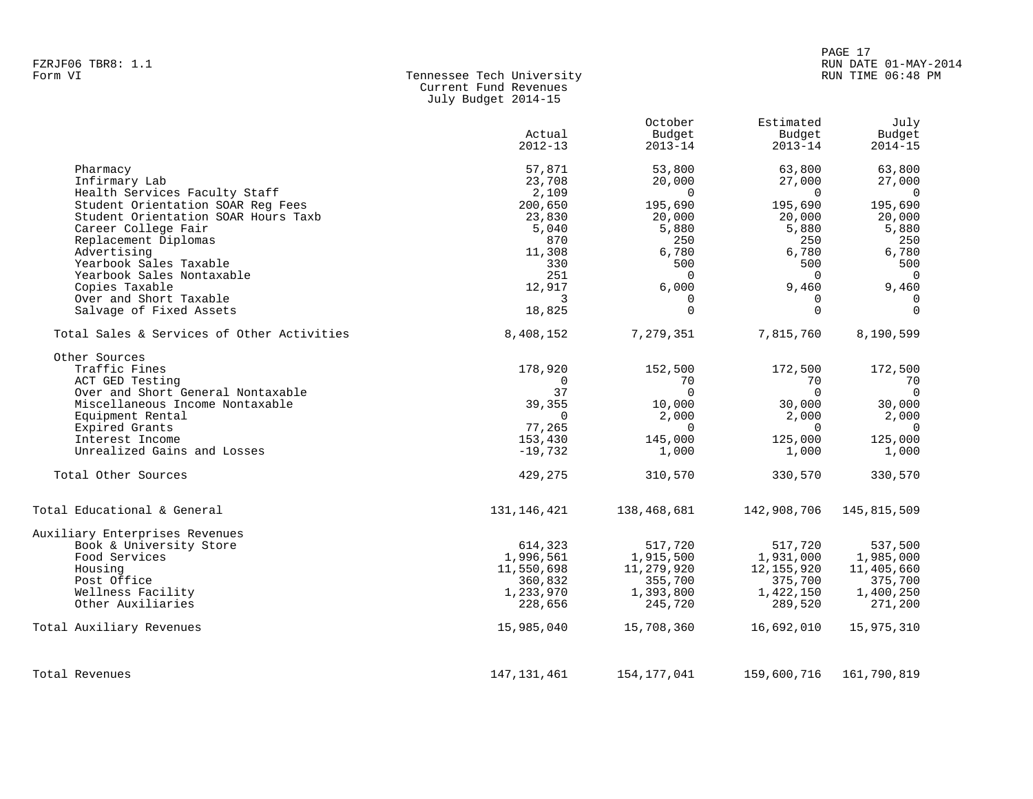Current Fund Revenues

|                                             | Actual<br>$2012 - 13$ | October<br>Budget<br>$2013 - 14$ | Estimated<br>Budget<br>$2013 - 14$ | July<br>Budget<br>$2014 - 15$ |
|---------------------------------------------|-----------------------|----------------------------------|------------------------------------|-------------------------------|
| Pharmacy                                    | 57,871                | 53,800                           | 63,800                             | 63,800                        |
| Infirmary Lab                               | 23,708                | 20,000                           | 27,000                             | 27,000                        |
| Health Services Faculty Staff               | 2,109                 | $\Omega$                         | $\Omega$                           | $\overline{0}$                |
| Student Orientation SOAR Req Fees           | 200,650               | 195,690                          | 195,690                            | 195,690                       |
| Student Orientation SOAR Hours Taxb         | 23,830                | 20,000                           | 20,000                             | 20,000                        |
| Career College Fair                         | 5,040                 | 5,880                            | 5,880                              | 5,880                         |
| Replacement Diplomas                        | 870                   | 250                              | 250                                | 250                           |
| Advertising                                 | 11,308                | 6,780                            | 6,780                              | 6,780                         |
| Yearbook Sales Taxable                      | 330                   | 500                              | 500                                | 500                           |
| Yearbook Sales Nontaxable<br>Copies Taxable | 251<br>12,917         | $\Omega$<br>6,000                | $\Omega$<br>9,460                  | $\mathbf 0$                   |
| Over and Short Taxable                      | 3                     | 0                                | $\mathbf 0$                        | 9,460<br>$\Omega$             |
| Salvage of Fixed Assets                     | 18,825                | $\Omega$                         | $\Omega$                           | $\Omega$                      |
|                                             |                       |                                  |                                    |                               |
| Total Sales & Services of Other Activities  | 8,408,152             | 7,279,351                        | 7,815,760                          | 8,190,599                     |
| Other Sources                               |                       |                                  |                                    |                               |
| Traffic Fines                               | 178,920               | 152,500                          | 172,500                            | 172,500                       |
| ACT GED Testing                             | $\Omega$              | 70                               | 70                                 | 70                            |
| Over and Short General Nontaxable           | 37                    | $\Omega$                         | $\Omega$                           | $\overline{0}$                |
| Miscellaneous Income Nontaxable             | 39,355                | 10,000                           | 30,000                             | 30,000                        |
| Equipment Rental                            | $\Omega$              | 2,000                            | 2,000                              | 2,000                         |
| Expired Grants                              | 77,265                | $\Omega$                         | $\Omega$                           | $\mathbf 0$                   |
| Interest Income                             | 153,430               | 145,000                          | 125,000                            | 125,000                       |
| Unrealized Gains and Losses                 | $-19,732$             | 1,000                            | 1,000                              | 1,000                         |
| Total Other Sources                         | 429,275               | 310,570                          | 330,570                            | 330,570                       |
| Total Educational & General                 | 131, 146, 421         | 138,468,681                      | 142,908,706                        | 145,815,509                   |
| Auxiliary Enterprises Revenues              |                       |                                  |                                    |                               |
| Book & University Store                     | 614,323               | 517,720                          | 517,720                            | 537,500                       |
| Food Services                               | 1,996,561             | 1,915,500                        | 1,931,000                          | 1,985,000                     |
| Housing                                     | 11,550,698            | 11,279,920                       | 12, 155, 920                       | 11,405,660                    |
| Post Office                                 | 360,832               | 355,700                          | 375,700                            | 375,700                       |
| Wellness Facility                           | 1,233,970             | 1,393,800                        | 1,422,150                          | 1,400,250                     |
| Other Auxiliaries                           | 228,656               | 245,720                          | 289,520                            | 271,200                       |
| Total Auxiliary Revenues                    | 15,985,040            | 15,708,360                       | 16,692,010                         | 15,975,310                    |
|                                             |                       |                                  |                                    |                               |

July Budget 2014-15

Total Revenues 147,131,461 154,177,041 159,600,716 161,790,819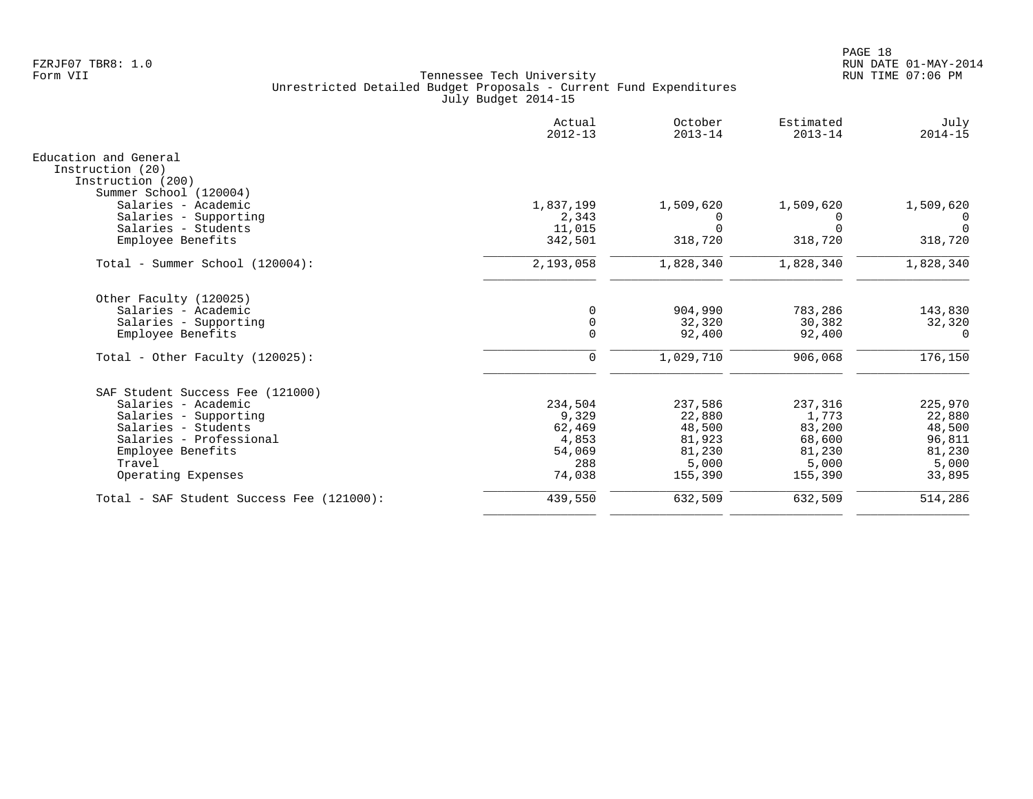|                                               | Actual<br>$2012 - 13$ | October<br>$2013 - 14$ | Estimated<br>$2013 - 14$ | July<br>$2014 - 15$ |
|-----------------------------------------------|-----------------------|------------------------|--------------------------|---------------------|
| Education and General                         |                       |                        |                          |                     |
| Instruction (20)                              |                       |                        |                          |                     |
| Instruction (200)                             |                       |                        |                          |                     |
| Summer School (120004)<br>Salaries - Academic | 1,837,199             | 1,509,620              | 1,509,620                | 1,509,620           |
| Salaries - Supporting                         | 2,343                 | 0                      | 0                        | $\Omega$            |
| Salaries - Students                           | 11,015                | $\Omega$               | $\Omega$                 | $\Omega$            |
| Employee Benefits                             | 342,501               | 318,720                | 318,720                  | 318,720             |
| Total - Summer School (120004):               | 2,193,058             | 1,828,340              | 1,828,340                | 1,828,340           |
|                                               |                       |                        |                          |                     |
| Other Faculty (120025)                        |                       |                        |                          |                     |
| Salaries - Academic                           |                       | 904,990                | 783,286                  | 143,830             |
| Salaries - Supporting                         | $\Omega$              | 32,320                 | 30,382                   | 32,320              |
| Employee Benefits                             | $\Omega$              | 92,400                 | 92,400                   | $\Omega$            |
| Total - Other Faculty $(120025)$ :            | 0                     | 1,029,710              | 906,068                  | 176,150             |
| SAF Student Success Fee (121000)              |                       |                        |                          |                     |
| Salaries - Academic                           | 234,504               | 237,586                | 237,316                  | 225,970             |
| Salaries - Supporting                         | 9,329                 | 22,880                 | 1,773                    | 22,880              |
| Salaries - Students                           | 62,469                | 48,500                 | 83,200                   | 48,500              |
| Salaries - Professional                       | 4,853                 | 81,923                 | 68,600                   | 96,811              |
| Employee Benefits                             | 54,069                | 81,230                 | 81,230                   | 81,230              |
| Travel                                        | 288                   | 5,000                  | 5,000                    | 5,000               |
| Operating Expenses                            | 74,038                | 155,390                | 155,390                  | 33,895              |
| Total - SAF Student Success Fee (121000):     | 439,550               | 632,509                | 632,509                  | 514,286             |
|                                               |                       |                        |                          |                     |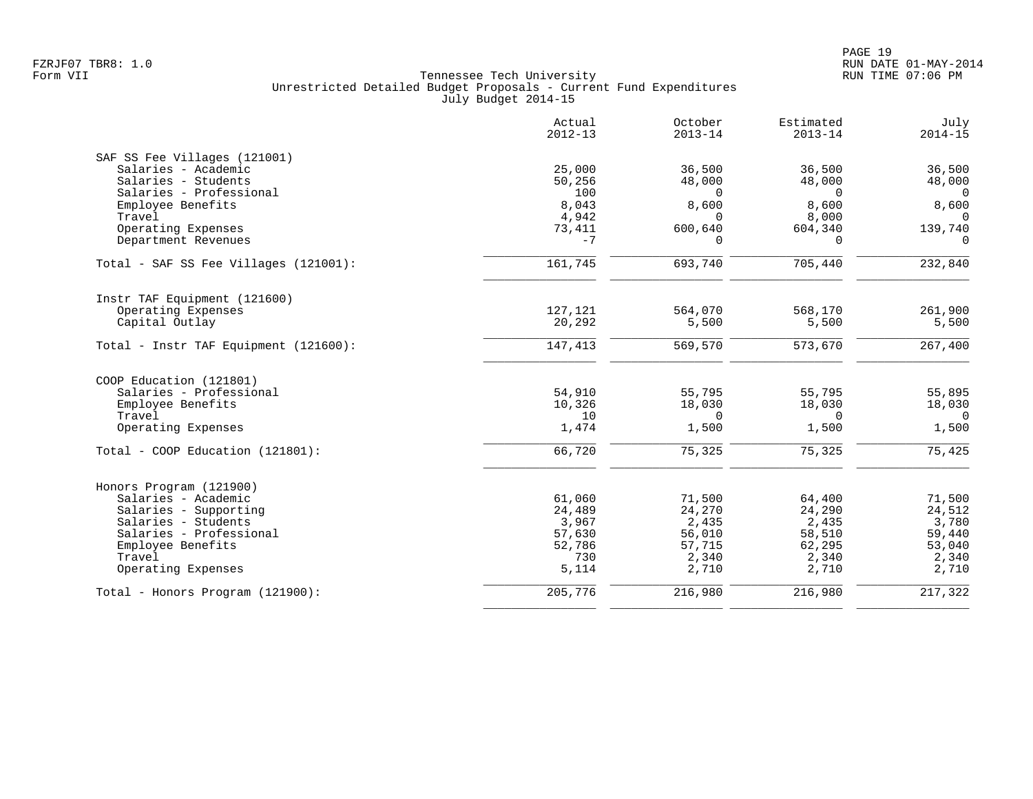|                                           | Actual<br>$2012 - 13$ | October<br>$2013 - 14$ | Estimated<br>$2013 - 14$ | July<br>$2014 - 15$ |
|-------------------------------------------|-----------------------|------------------------|--------------------------|---------------------|
| SAF SS Fee Villages (121001)              |                       |                        |                          |                     |
| Salaries - Academic                       | 25,000                | 36,500                 | 36,500                   | 36,500              |
| Salaries - Students                       | 50,256                | 48,000                 | 48,000                   | 48,000              |
| Salaries - Professional                   | 100                   | $\Omega$               | $\mathbf 0$              | $\mathbf 0$         |
| Employee Benefits                         | 8,043                 | 8,600                  | 8,600                    | 8,600               |
| Travel                                    | 4,942                 | $\cap$                 | 8,000                    | $\Omega$            |
| Operating Expenses<br>Department Revenues | 73,411<br>$-7$        | 600,640<br>$\Omega$    | 604,340<br>$\Omega$      | 139,740<br>$\Omega$ |
| Total - SAF SS Fee Villages (121001):     | 161,745               | 693,740                | 705,440                  | 232,840             |
|                                           |                       |                        |                          |                     |
| Instr TAF Equipment (121600)              |                       |                        |                          |                     |
| Operating Expenses<br>Capital Outlay      | 127,121               | 564,070                | 568,170                  | 261,900             |
|                                           | 20,292                | 5,500                  | 5,500                    | 5,500               |
| Total - Instr TAF Equipment (121600):     | 147,413               | 569,570                | 573,670                  | 267,400             |
| COOP Education (121801)                   |                       |                        |                          |                     |
| Salaries - Professional                   | 54,910                | 55,795                 | 55,795                   | 55,895              |
| Employee Benefits                         | 10,326                | 18,030                 | 18,030                   | 18,030              |
| Travel                                    | 10                    | $\Omega$               | $\Omega$                 | $\overline{0}$      |
| Operating Expenses                        | 1,474                 | 1,500                  | 1,500                    | 1,500               |
| Total - COOP Education (121801):          | 66,720                | 75,325                 | 75,325                   | 75,425              |
| Honors Program (121900)                   |                       |                        |                          |                     |
| Salaries - Academic                       | 61,060                | 71,500                 | 64,400                   | 71,500              |
| Salaries - Supporting                     | 24,489                | 24,270                 | 24,290                   | 24,512              |
| Salaries - Students                       | 3,967                 | 2,435                  | 2,435                    | 3,780               |
| Salaries - Professional                   | 57,630                | 56,010                 | 58,510                   | 59,440              |
| Employee Benefits                         | 52,786                | 57,715                 | 62,295                   | 53,040              |
| Travel                                    | 730                   | 2,340                  | 2,340                    | 2,340               |
| Operating Expenses                        | 5,114                 | 2,710                  | 2,710                    | 2,710               |
| Total - Honors Program (121900):          | 205,776               | 216,980                | 216,980                  | 217,322             |
|                                           |                       |                        |                          |                     |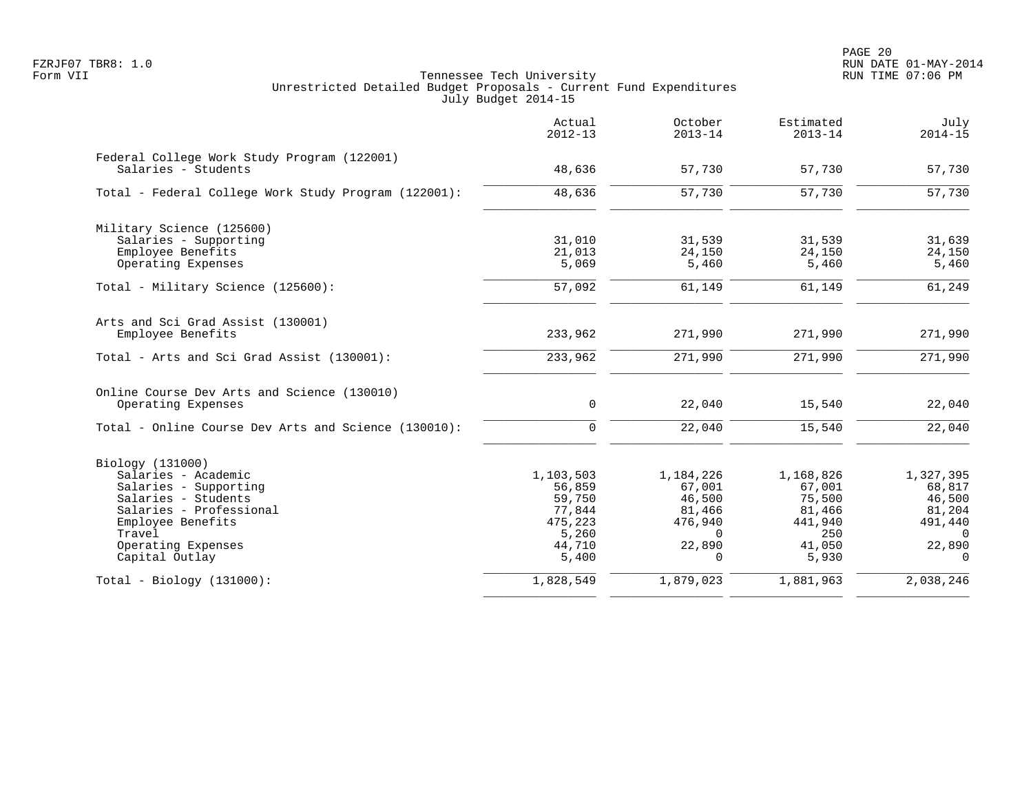|                                                                    | Actual<br>$2012 - 13$ | October<br>$2013 - 14$ | Estimated<br>$2013 - 14$ | July<br>$2014 - 15$ |
|--------------------------------------------------------------------|-----------------------|------------------------|--------------------------|---------------------|
| Federal College Work Study Program (122001)<br>Salaries - Students | 48,636                | 57,730                 | 57,730                   | 57,730              |
| Total - Federal College Work Study Program (122001):               | 48,636                | 57,730                 | 57,730                   | 57,730              |
| Military Science (125600)                                          |                       |                        |                          |                     |
| Salaries - Supporting                                              | 31,010                | 31,539                 | 31,539                   | 31,639              |
| Employee Benefits                                                  | 21,013                | 24,150                 | 24,150                   | 24,150              |
| Operating Expenses                                                 | 5,069                 | 5,460                  | 5,460                    | 5,460               |
| Total - Military Science (125600):                                 | 57,092                | 61,149                 | 61,149                   | 61,249              |
| Arts and Sci Grad Assist (130001)                                  |                       |                        |                          |                     |
| Employee Benefits                                                  | 233,962               | 271,990                | 271,990                  | 271,990             |
| Total - Arts and Sci Grad Assist (130001):                         | 233,962               | 271,990                | 271,990                  | 271,990             |
| Online Course Dev Arts and Science (130010)                        |                       |                        |                          |                     |
| Operating Expenses                                                 | 0                     | 22,040                 | 15,540                   | 22,040              |
| Total - Online Course Dev Arts and Science (130010):               | $\Omega$              | 22,040                 | 15,540                   | 22,040              |
| Biology (131000)                                                   |                       |                        |                          |                     |
| Salaries - Academic                                                | 1,103,503             | 1,184,226              | 1,168,826                | 1,327,395           |
| Salaries - Supporting                                              | 56,859                | 67,001                 | 67,001                   | 68,817              |
| Salaries - Students                                                | 59,750                | 46,500                 | 75,500                   | 46,500              |
| Salaries - Professional                                            | 77,844                | 81,466                 | 81,466                   | 81,204              |
| Employee Benefits                                                  | 475,223               | 476,940                | 441,940                  | 491,440             |
| Travel                                                             | 5,260                 | $\Omega$               | 250                      | $\cap$              |
| Operating Expenses<br>Capital Outlay                               | 44,710<br>5,400       | 22,890                 | 41,050<br>5,930          | 22,890<br>$\Omega$  |
|                                                                    |                       |                        |                          |                     |
| $Total - Biology (131000):$                                        | 1,828,549             | 1,879,023              | 1,881,963                | 2,038,246           |
|                                                                    |                       |                        |                          |                     |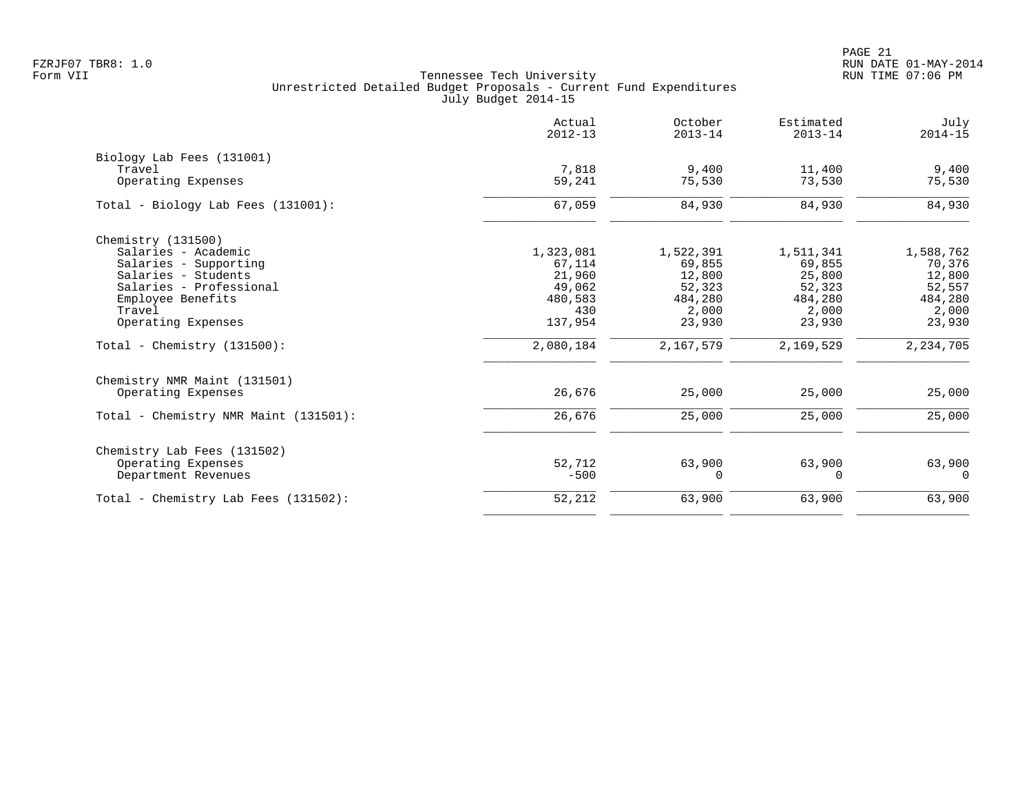PAGE 21 FZRJF07 TBR8: 1.0 RUN DATE 01-MAY-2014

| Actual<br>$2012 - 13$ | October<br>$2013 - 14$ | Estimated<br>$2013 - 14$ | July<br>$2014 - 15$ |
|-----------------------|------------------------|--------------------------|---------------------|
|                       |                        |                          |                     |
| 7,818                 | 9.400                  | 11,400                   | 9,400               |
| 59,241                | 75,530                 | 73,530                   | 75,530              |
| 67,059                | 84,930                 | 84,930                   | 84,930              |
|                       |                        |                          |                     |
|                       |                        |                          | 1,588,762           |
| 67,114                | 69,855                 | 69,855                   | 70,376              |
| 21,960                | 12,800                 | 25,800                   | 12,800              |
| 49,062                | 52,323                 | 52,323                   | 52,557              |
| 480,583               | 484,280                | 484,280                  | 484,280             |
| 430                   | 2,000                  | 2,000                    | 2,000               |
| 137,954               | 23,930                 | 23,930                   | 23,930              |
| 2,080,184             | 2,167,579              | 2,169,529                | 2, 234, 705         |
|                       |                        |                          |                     |
| 26,676                | 25,000                 | 25,000                   | 25,000              |
| 26,676                | 25,000                 | 25,000                   | 25,000              |
|                       |                        |                          |                     |
| 52,712                | 63,900                 | 63,900                   | 63,900              |
| $-500$                | 0                      | 0                        | 0                   |
| 52,212                | 63,900                 | 63,900                   | 63,900              |
|                       | 1,323,081              | 1,522,391                | 1,511,341           |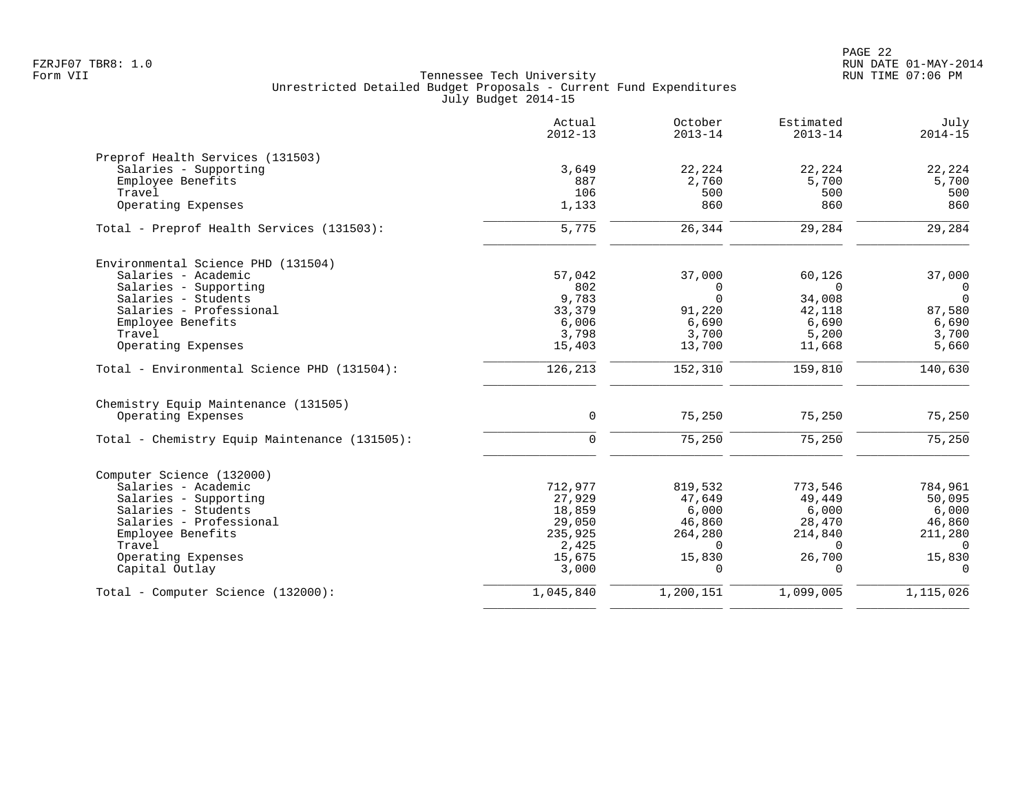|                                               | Actual<br>$2012 - 13$ | October<br>$2013 - 14$ | Estimated<br>$2013 - 14$ | July<br>$2014 - 15$ |
|-----------------------------------------------|-----------------------|------------------------|--------------------------|---------------------|
| Preprof Health Services (131503)              |                       |                        |                          |                     |
| Salaries - Supporting                         | 3,649                 | 22,224                 | 22,224                   | 22,224              |
| Employee Benefits                             | 887                   | 2,760                  | 5,700                    | 5,700               |
| Travel                                        | 106                   | 500                    | 500                      | 500                 |
| Operating Expenses                            | 1,133                 | 860                    | 860                      | 860                 |
| Total - Preprof Health Services (131503):     | 5,775                 | 26,344                 | 29,284                   | 29,284              |
| Environmental Science PHD (131504)            |                       |                        |                          |                     |
| Salaries - Academic                           | 57,042                | 37,000                 | 60,126                   | 37,000              |
| Salaries - Supporting                         | 802                   | $\Omega$               | $\Omega$                 | $\Omega$            |
| Salaries - Students                           | 9,783                 | $\Omega$               | 34,008                   | $\Omega$            |
| Salaries - Professional                       | 33,379                | 91,220                 | 42,118                   | 87,580              |
| Employee Benefits                             | 6,006                 | 6,690                  | 6,690                    | 6,690               |
| Travel                                        | 3,798                 | 3,700                  | 5,200                    | 3,700               |
| Operating Expenses                            | 15,403                | 13,700                 | 11,668                   | 5,660               |
| Total - Environmental Science PHD (131504):   | 126,213               | 152,310                | 159,810                  | 140,630             |
| Chemistry Equip Maintenance (131505)          |                       |                        |                          |                     |
| Operating Expenses                            | $\mathbf 0$           | 75,250                 | 75,250                   | 75,250              |
| Total - Chemistry Equip Maintenance (131505): | $\Omega$              | 75,250                 | 75,250                   | 75,250              |
| Computer Science (132000)                     |                       |                        |                          |                     |
| Salaries - Academic                           | 712,977               | 819,532                | 773,546                  | 784,961             |
| Salaries - Supporting                         | 27,929                | 47,649                 | 49,449                   | 50,095              |
| Salaries - Students                           | 18,859                | 6,000                  | 6,000                    | 6,000               |
| Salaries - Professional                       | 29,050                | 46,860                 | 28,470                   | 46,860              |
| Employee Benefits                             | 235,925               | 264,280                | 214,840                  | 211,280             |
| Travel                                        | 2,425                 | $\Omega$               | $\Omega$                 | $\Omega$            |
| Operating Expenses                            | 15,675                | 15,830                 | 26,700                   | 15,830              |
| Capital Outlay                                | 3,000                 | <sup>n</sup>           | $\Omega$                 | $\Omega$            |
| Total - Computer Science (132000):            | 1,045,840             | 1,200,151              | 1,099,005                | 1,115,026           |
|                                               |                       |                        |                          |                     |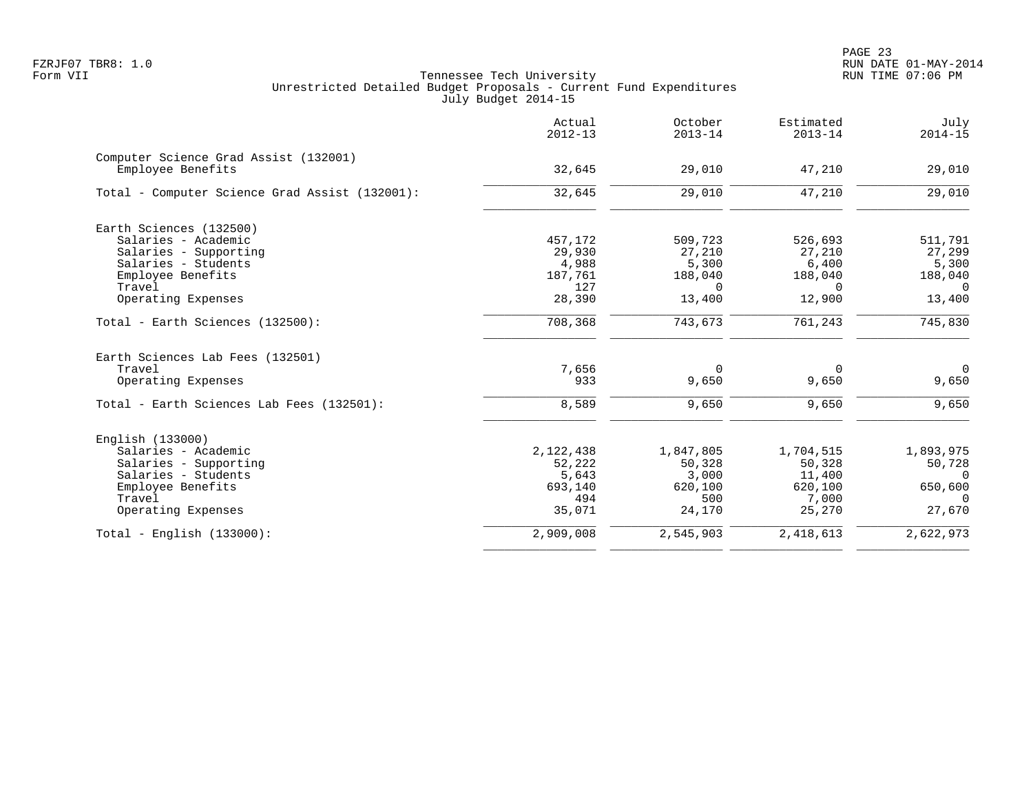|                                                            | Actual<br>$2012 - 13$ | October<br>$2013 - 14$ | Estimated<br>$2013 - 14$ | July<br>$2014 - 15$ |
|------------------------------------------------------------|-----------------------|------------------------|--------------------------|---------------------|
| Computer Science Grad Assist (132001)<br>Employee Benefits | 32,645                | 29,010                 | 47,210                   | 29,010              |
| Total - Computer Science Grad Assist (132001):             | 32,645                | 29,010                 | 47,210                   | 29,010              |
| Earth Sciences (132500)                                    |                       |                        |                          |                     |
| Salaries - Academic                                        | 457,172               | 509,723                | 526,693                  | 511,791             |
| Salaries - Supporting                                      | 29,930                | 27,210                 | 27,210                   | 27,299              |
| Salaries - Students                                        | 4,988                 | 5,300                  | 6,400                    | 5,300               |
| Employee Benefits                                          | 187,761               | 188,040                | 188,040                  | 188,040             |
| Travel                                                     | 127                   | $\Omega$               | $\Omega$                 | $\Omega$            |
| Operating Expenses                                         | 28,390                | 13,400                 | 12,900                   | 13,400              |
| Total - Earth Sciences (132500):                           | 708,368               | 743,673                | 761,243                  | 745,830             |
| Earth Sciences Lab Fees (132501)                           |                       |                        |                          |                     |
| Travel                                                     | 7,656                 | $\Omega$               | 0                        | $\Omega$            |
| Operating Expenses                                         | 933                   | 9,650                  | 9,650                    | 9,650               |
| Total - Earth Sciences Lab Fees (132501):                  | 8,589                 | 9,650                  | 9,650                    | 9,650               |
| English (133000)                                           |                       |                        |                          |                     |
| Salaries - Academic                                        | 2,122,438             | 1,847,805              | 1,704,515                | 1,893,975           |
| Salaries - Supporting                                      | 52,222                | 50,328                 | 50,328                   | 50,728              |
| Salaries - Students                                        | 5,643                 | 3,000                  | 11,400                   | 0                   |
| Employee Benefits                                          | 693,140               | 620,100                | 620,100                  | 650,600             |
| Travel                                                     | 494                   | 500                    | 7,000                    | $\Omega$            |
| Operating Expenses                                         | 35,071                | 24,170                 | 25,270                   | 27,670              |
| Total - English $(133000)$ :                               | 2,909,008             | 2,545,903              | 2,418,613                | 2,622,973           |
|                                                            |                       |                        |                          |                     |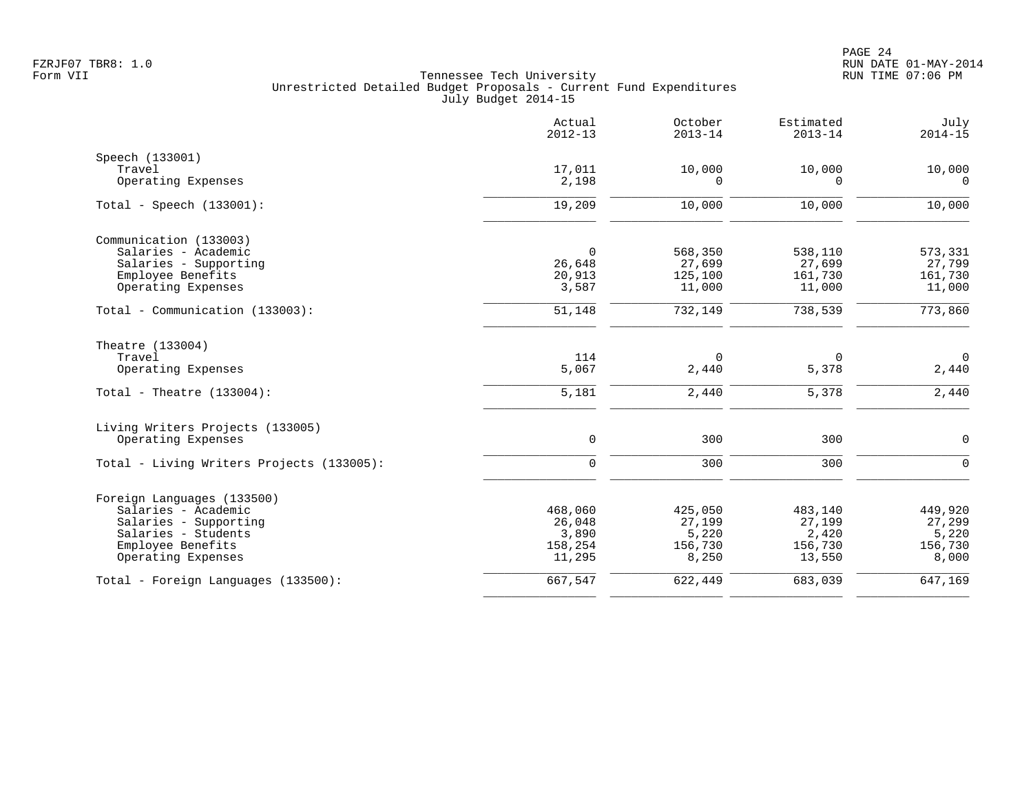|                                            | Actual<br>$2012 - 13$ | October<br>$2013 - 14$ | Estimated<br>$2013 - 14$ | July<br>$2014 - 15$   |
|--------------------------------------------|-----------------------|------------------------|--------------------------|-----------------------|
| Speech (133001)                            |                       |                        |                          |                       |
| Travel<br>Operating Expenses               | 17,011<br>2,198       | 10,000<br>$\Omega$     | 10,000<br>$\Omega$       | 10,000<br>$\mathbf 0$ |
|                                            |                       |                        |                          |                       |
| Total - Speech $(133001)$ :                | 19,209                | 10,000                 | 10,000                   | 10,000                |
| Communication (133003)                     |                       |                        |                          |                       |
| Salaries - Academic                        | $\mathbf 0$           | 568,350                | 538,110                  | 573,331               |
| Salaries - Supporting<br>Employee Benefits | 26,648<br>20,913      | 27,699<br>125,100      | 27,699<br>161,730        | 27,799<br>161,730     |
| Operating Expenses                         | 3,587                 | 11,000                 | 11,000                   | 11,000                |
| Total - Communication (133003):            | 51,148                | 732,149                | 738,539                  | 773,860               |
| Theatre (133004)                           |                       |                        |                          |                       |
| Travel                                     | 114                   | $\mathbf 0$            | 0                        | $\mathbf 0$           |
| Operating Expenses                         | 5,067                 | 2,440                  | 5,378                    | 2,440                 |
| Total - Theatre $(133004)$ :               | 5,181                 | 2,440                  | 5,378                    | 2,440                 |
| Living Writers Projects (133005)           |                       |                        |                          |                       |
| Operating Expenses                         | $\mathbf 0$           | 300                    | 300                      | $\mathbf 0$           |
| Total - Living Writers Projects (133005):  | $\mathbf 0$           | 300                    | 300                      | $\mathbf 0$           |
| Foreign Languages (133500)                 |                       |                        |                          |                       |
| Salaries - Academic                        | 468,060               | 425,050                | 483,140                  | 449,920               |
| Salaries - Supporting                      | 26,048                | 27,199                 | 27,199                   | 27,299                |
| Salaries - Students<br>Employee Benefits   | 3,890<br>158,254      | 5,220<br>156,730       | 2,420<br>156,730         | 5,220<br>156,730      |
| Operating Expenses                         | 11,295                | 8,250                  | 13,550                   | 8,000                 |
| Total - Foreign Languages (133500):        | 667,547               | 622,449                | 683,039                  | 647,169               |
|                                            |                       |                        |                          |                       |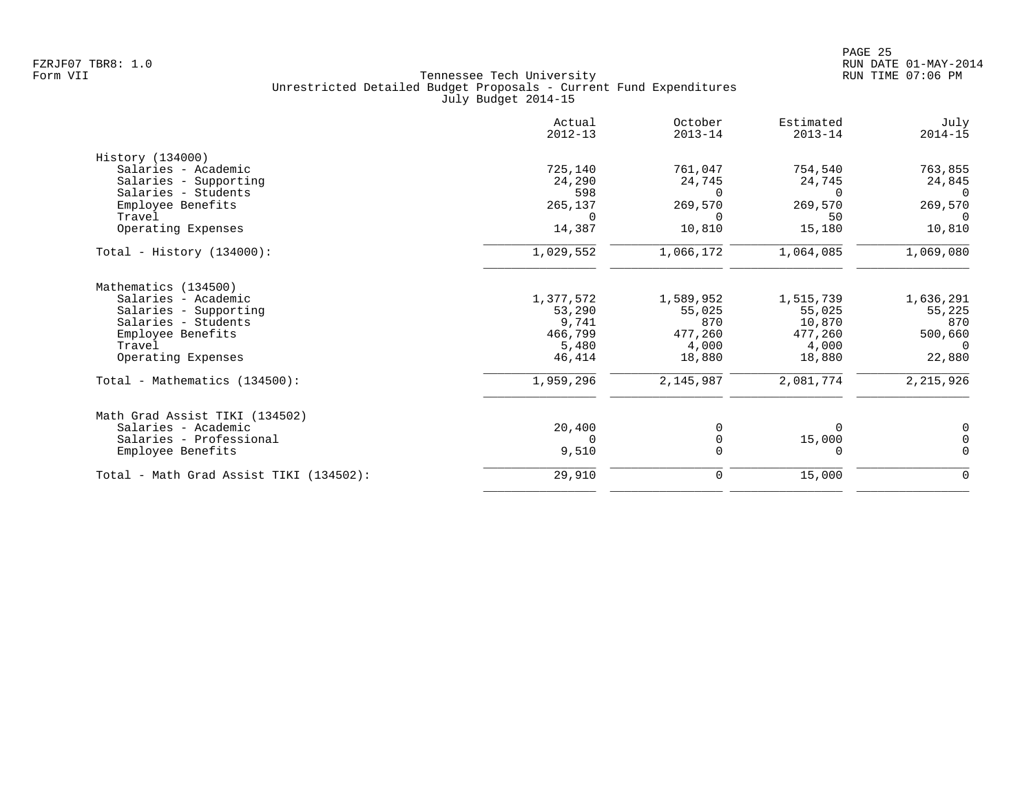| Actual<br>$2012 - 13$ | October<br>$2013 - 14$         | Estimated<br>$2013 - 14$       | July<br>$2014 - 15$            |
|-----------------------|--------------------------------|--------------------------------|--------------------------------|
|                       |                                |                                |                                |
|                       |                                |                                | 763,855                        |
|                       |                                |                                | 24,845                         |
| 598                   | $\Omega$                       | $\Omega$                       | 0                              |
| 265,137               | 269,570                        | 269,570                        | 269,570                        |
| $\Omega$              | $\Omega$                       | 50                             | $\Omega$                       |
| 14,387                | 10,810                         | 15,180                         | 10,810                         |
| 1,029,552             | 1,066,172                      | 1,064,085                      | 1,069,080                      |
|                       |                                |                                |                                |
|                       |                                |                                | 1,636,291                      |
| 53,290                | 55,025                         | 55,025                         | 55,225                         |
| 9,741                 | 870                            | 10,870                         | 870                            |
| 466,799               | 477,260                        | 477,260                        | 500,660                        |
| 5,480                 | 4,000                          | 4,000                          | $\mathbf 0$                    |
| 46,414                | 18,880                         | 18,880                         | 22,880                         |
| 1,959,296             | 2,145,987                      | 2,081,774                      | 2,215,926                      |
|                       |                                |                                |                                |
| 20,400                |                                | $\Omega$                       | 0                              |
| $\Omega$              | $\Omega$                       | 15,000                         | $\Omega$                       |
| 9,510                 | $\Omega$                       | $\Omega$                       | $\Omega$                       |
| 29,910                | 0                              | 15,000                         | 0                              |
|                       | 725,140<br>24,290<br>1,377,572 | 761,047<br>24,745<br>1,589,952 | 754,540<br>24,745<br>1,515,739 |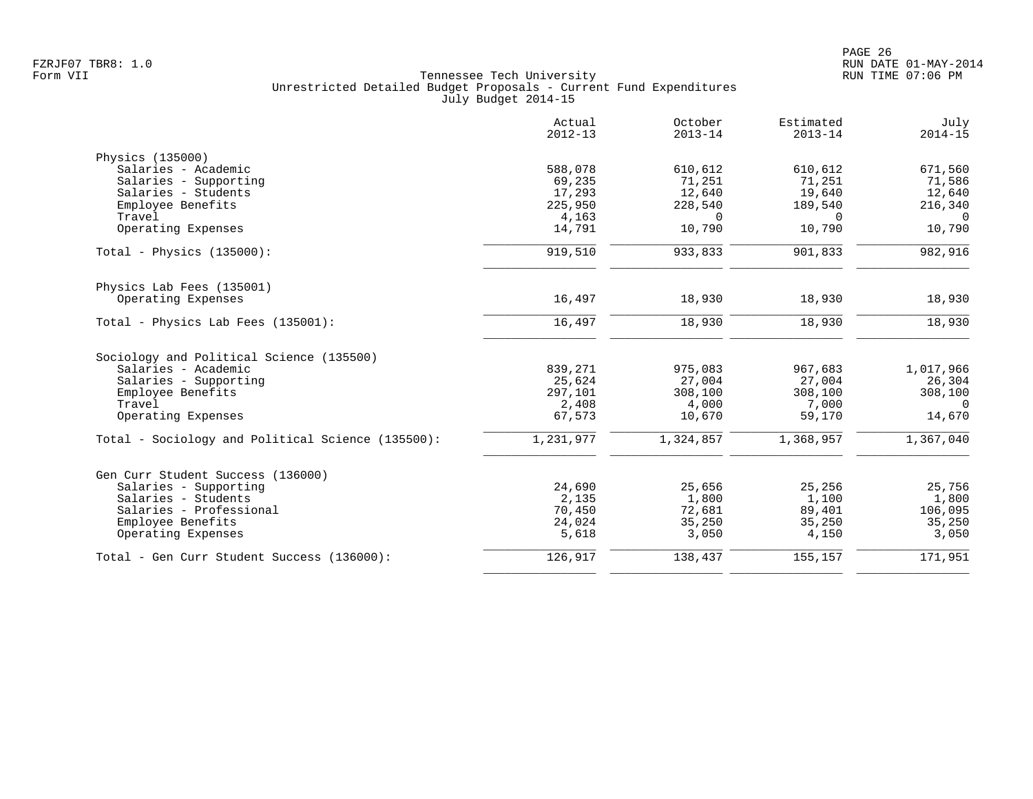|                                                   | Actual<br>$2012 - 13$ | October<br>$2013 - 14$ | Estimated<br>$2013 - 14$ | July<br>$2014 - 15$ |
|---------------------------------------------------|-----------------------|------------------------|--------------------------|---------------------|
| Physics (135000)                                  |                       |                        |                          |                     |
| Salaries - Academic                               | 588,078               | 610,612                | 610,612                  | 671,560             |
| Salaries - Supporting                             | 69,235                | 71,251                 | 71,251                   | 71,586              |
| Salaries - Students                               | 17,293                | 12,640                 | 19,640                   | 12,640              |
| Employee Benefits                                 | 225,950               | 228,540                | 189,540                  | 216,340             |
| Travel                                            | 4,163                 | $\Omega$               | $\Omega$                 | $\bigcap$           |
| Operating Expenses                                | 14,791                | 10,790                 | 10,790                   | 10,790              |
| Total - Physics $(135000)$ :                      | 919,510               | 933,833                | 901,833                  | 982,916             |
| Physics Lab Fees (135001)                         |                       |                        |                          |                     |
| Operating Expenses                                | 16,497                | 18,930                 | 18,930                   | 18,930              |
| Total - Physics Lab Fees (135001):                | 16,497                | 18,930                 | 18,930                   | 18,930              |
| Sociology and Political Science (135500)          |                       |                        |                          |                     |
| Salaries - Academic                               | 839,271               | 975,083                | 967,683                  | 1,017,966           |
| Salaries - Supporting                             | 25,624                | 27,004                 | 27,004                   | 26,304              |
| Employee Benefits                                 | 297,101               | 308,100                | 308,100                  | 308,100             |
| Travel                                            | 2,408                 | 4,000                  | 7,000                    | $\Omega$            |
| Operating Expenses                                | 67,573                | 10,670                 | 59,170                   | 14,670              |
| Total - Sociology and Political Science (135500): | 1,231,977             | 1,324,857              | 1,368,957                | 1,367,040           |
| Gen Curr Student Success (136000)                 |                       |                        |                          |                     |
| Salaries - Supporting                             | 24,690                | 25,656                 | 25,256                   | 25,756              |
| Salaries - Students                               | 2,135                 | 1,800                  | 1,100                    | 1,800               |
| Salaries - Professional                           | 70,450                | 72,681                 | 89,401                   | 106,095             |
| Employee Benefits                                 | 24,024                | 35,250                 | 35,250                   | 35,250              |
| Operating Expenses                                | 5,618                 | 3,050                  | 4,150                    | 3,050               |
| Total - Gen Curr Student Success (136000):        | 126,917               | 138,437                | 155,157                  | 171,951             |
|                                                   |                       |                        |                          |                     |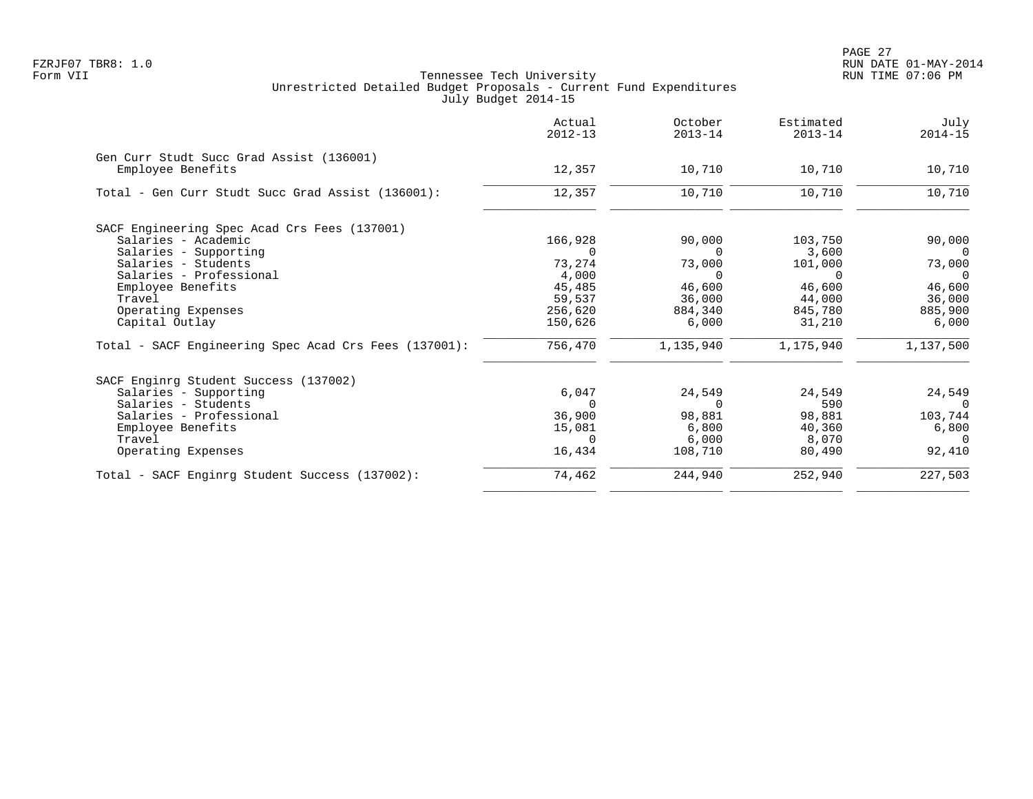|                                                       | Actual<br>$2012 - 13$ | October<br>$2013 - 14$ | Estimated<br>$2013 - 14$ | July<br>$2014 - 15$ |
|-------------------------------------------------------|-----------------------|------------------------|--------------------------|---------------------|
| Gen Curr Studt Succ Grad Assist (136001)              |                       |                        |                          |                     |
| Employee Benefits                                     | 12,357                | 10,710                 | 10,710                   | 10,710              |
| Total - Gen Curr Studt Succ Grad Assist (136001):     | 12,357                | 10,710                 | 10,710                   | 10,710              |
| SACF Engineering Spec Acad Crs Fees (137001)          |                       |                        |                          |                     |
| Salaries - Academic                                   | 166,928               | 90,000                 | 103,750                  | 90,000              |
| Salaries - Supporting                                 |                       | $\Omega$               | 3,600                    | 0                   |
| Salaries - Students                                   | 73,274                | 73,000                 | 101,000                  | 73,000              |
| Salaries - Professional                               | 4,000                 | $\Omega$               | $\Omega$                 | $\Omega$            |
| Employee Benefits                                     | 45,485                | 46,600                 | 46,600                   | 46,600              |
| Travel                                                | 59,537                | 36,000                 | 44,000                   | 36,000              |
| Operating Expenses                                    | 256,620               | 884,340                | 845,780                  | 885,900             |
| Capital Outlay                                        | 150,626               | 6,000                  | 31,210                   | 6,000               |
| Total - SACF Engineering Spec Acad Crs Fees (137001): | 756,470               | 1,135,940              | 1,175,940                | 1,137,500           |
| SACF Enginrg Student Success (137002)                 |                       |                        |                          |                     |
| Salaries - Supporting                                 | 6,047                 | 24,549                 | 24,549                   | 24,549              |
| Salaries - Students                                   | $\Omega$              | $\Omega$               | 590                      | - 0                 |
| Salaries - Professional                               | 36,900                | 98,881                 | 98,881                   | 103,744             |
| Employee Benefits                                     | 15,081                | 6,800                  | 40,360                   | 6,800               |
| Travel                                                | $\Omega$              | 6,000                  | 8,070                    | $\Omega$            |
| Operating Expenses                                    | 16,434                | 108,710                | 80,490                   | 92,410              |
| Total - SACF Enginrg Student Success (137002):        | 74,462                | 244,940                | 252,940                  | 227,503             |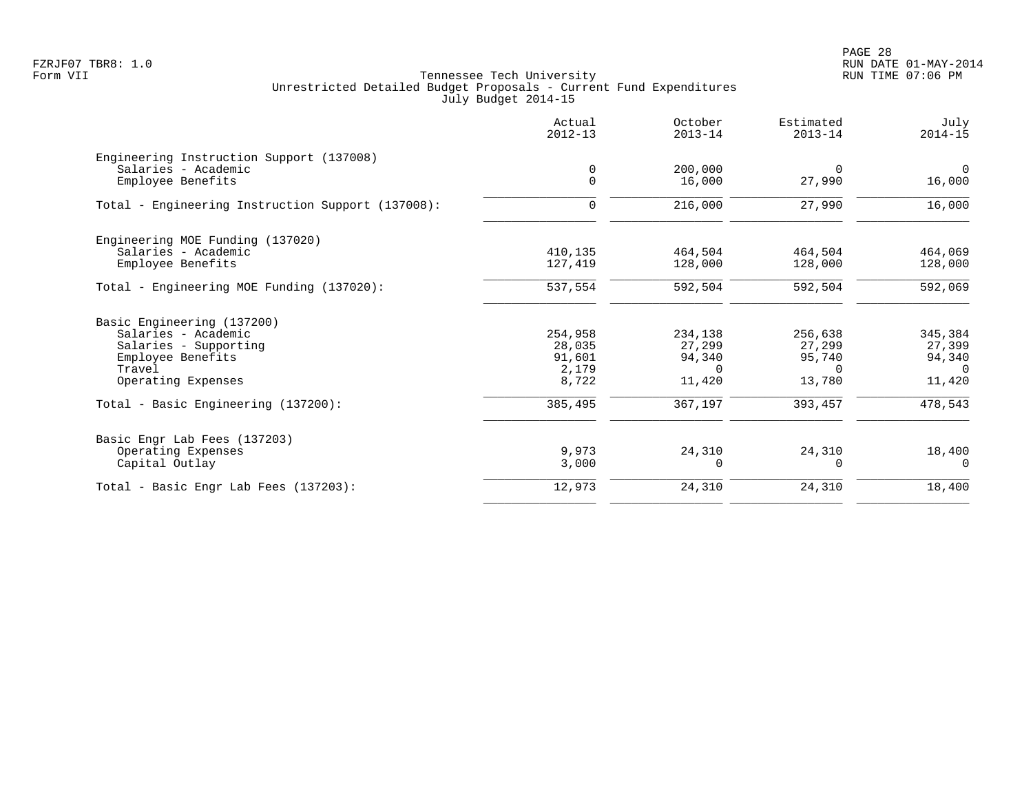PAGE 28 FZRJF07 TBR8: 1.0 RUN DATE 01-MAY-2014

|                                                   | Actual<br>$2012 - 13$   | October<br>$2013 - 14$ | Estimated<br>$2013 - 14$ | July<br>$2014 - 15$      |
|---------------------------------------------------|-------------------------|------------------------|--------------------------|--------------------------|
| Engineering Instruction Support (137008)          |                         |                        |                          |                          |
| Salaries - Academic<br>Employee Benefits          | $\mathbf 0$<br>$\Omega$ | 200,000<br>16,000      | $\Omega$<br>27,990       | $\overline{0}$<br>16,000 |
| Total - Engineering Instruction Support (137008): | 0                       | 216,000                | 27,990                   | 16,000                   |
| Engineering MOE Funding (137020)                  |                         |                        |                          |                          |
| Salaries - Academic<br>Employee Benefits          | 410,135<br>127,419      | 464,504<br>128,000     | 464,504<br>128,000       | 464,069<br>128,000       |
| Total - Engineering MOE Funding (137020):         | 537,554                 | 592,504                | 592,504                  | 592,069                  |
| Basic Engineering (137200)                        |                         |                        |                          |                          |
| Salaries - Academic                               | 254,958                 | 234,138                | 256,638                  | 345,384                  |
| Salaries - Supporting                             | 28,035                  | 27,299                 | 27,299                   | 27,399                   |
| Employee Benefits                                 | 91,601                  | 94,340                 | 95,740                   | 94,340                   |
| Travel<br>Operating Expenses                      | 2,179<br>8,722          | $\Omega$<br>11,420     | $\Omega$<br>13,780       | $\Omega$<br>11,420       |
| Total - Basic Engineering (137200):               | 385,495                 | 367,197                | 393,457                  | 478,543                  |
| Basic Engr Lab Fees (137203)                      |                         |                        |                          |                          |
| Operating Expenses                                | 9,973                   | 24,310                 | 24,310                   | 18,400                   |
| Capital Outlay                                    | 3,000                   | $\Omega$               | $\Omega$                 | $\Omega$                 |
| Total - Basic Engr Lab Fees (137203):             | 12,973                  | 24,310                 | 24,310                   | 18,400                   |
|                                                   |                         |                        |                          |                          |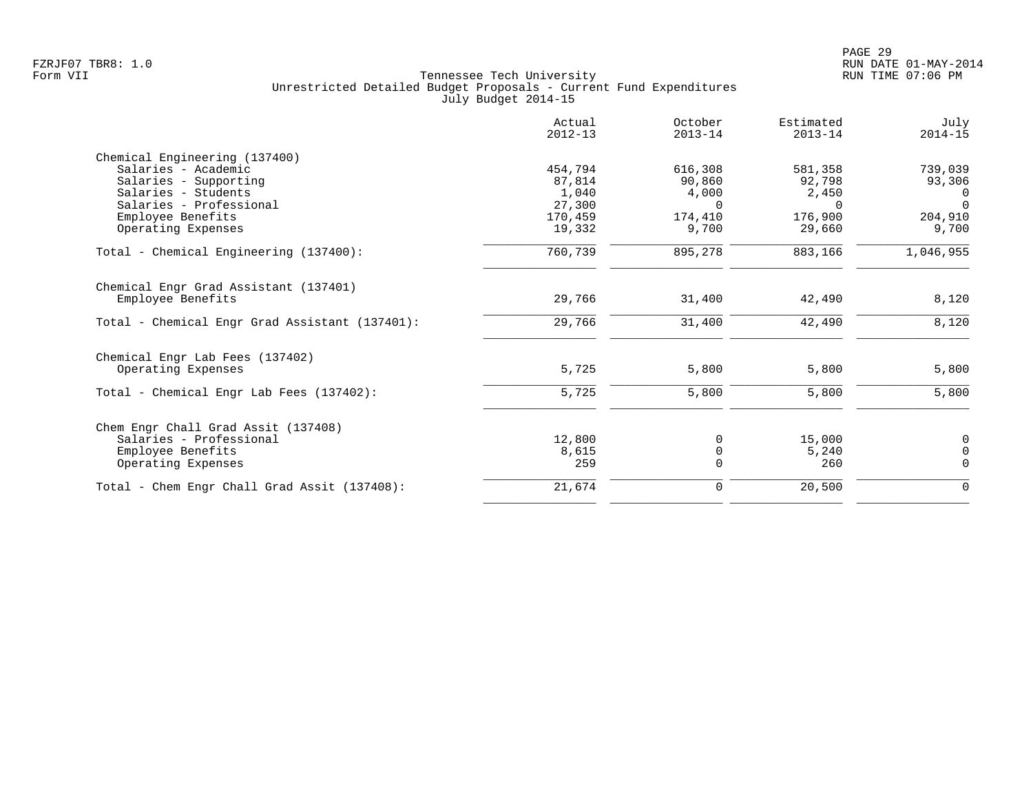|                                                | Actual<br>$2012 - 13$ | October<br>$2013 - 14$ | Estimated<br>$2013 - 14$ | July<br>$2014 - 15$ |
|------------------------------------------------|-----------------------|------------------------|--------------------------|---------------------|
| Chemical Engineering (137400)                  |                       |                        |                          |                     |
| Salaries - Academic                            | 454,794               | 616,308                | 581,358                  | 739,039             |
| Salaries - Supporting                          | 87,814                | 90,860                 | 92,798                   | 93,306              |
| Salaries - Students                            | 1,040                 | 4,000                  | 2,450                    | 0                   |
| Salaries - Professional                        | 27,300                | $\Omega$               | $\Omega$                 | $\Omega$            |
| Employee Benefits                              | 170,459               | 174,410                | 176,900                  | 204,910             |
| Operating Expenses                             | 19,332                | 9,700                  | 29,660                   | 9,700               |
| Total - Chemical Engineering (137400):         | 760,739               | 895,278                | 883,166                  | 1,046,955           |
| Chemical Engr Grad Assistant (137401)          |                       |                        |                          |                     |
| Employee Benefits                              | 29,766                | 31,400                 | 42,490                   | 8,120               |
| Total - Chemical Engr Grad Assistant (137401): | 29,766                | 31,400                 | 42,490                   | 8,120               |
| Chemical Engr Lab Fees (137402)                |                       |                        |                          |                     |
| Operating Expenses                             | 5,725                 | 5,800                  | 5,800                    | 5,800               |
| Total - Chemical Engr Lab Fees (137402):       | 5,725                 | 5,800                  | 5,800                    | 5,800               |
| Chem Engr Chall Grad Assit (137408)            |                       |                        |                          |                     |
| Salaries - Professional                        | 12,800                | 0                      | 15,000                   | 0                   |
| Employee Benefits                              | 8,615                 | 0                      | 5,240                    | $\mathbf 0$         |
| Operating Expenses                             | 259                   | $\Omega$               | 260                      | $\overline{0}$      |
| Total - Chem Engr Chall Grad Assit (137408):   | 21,674                | $\mathbf 0$            | 20,500                   | $\mathbf 0$         |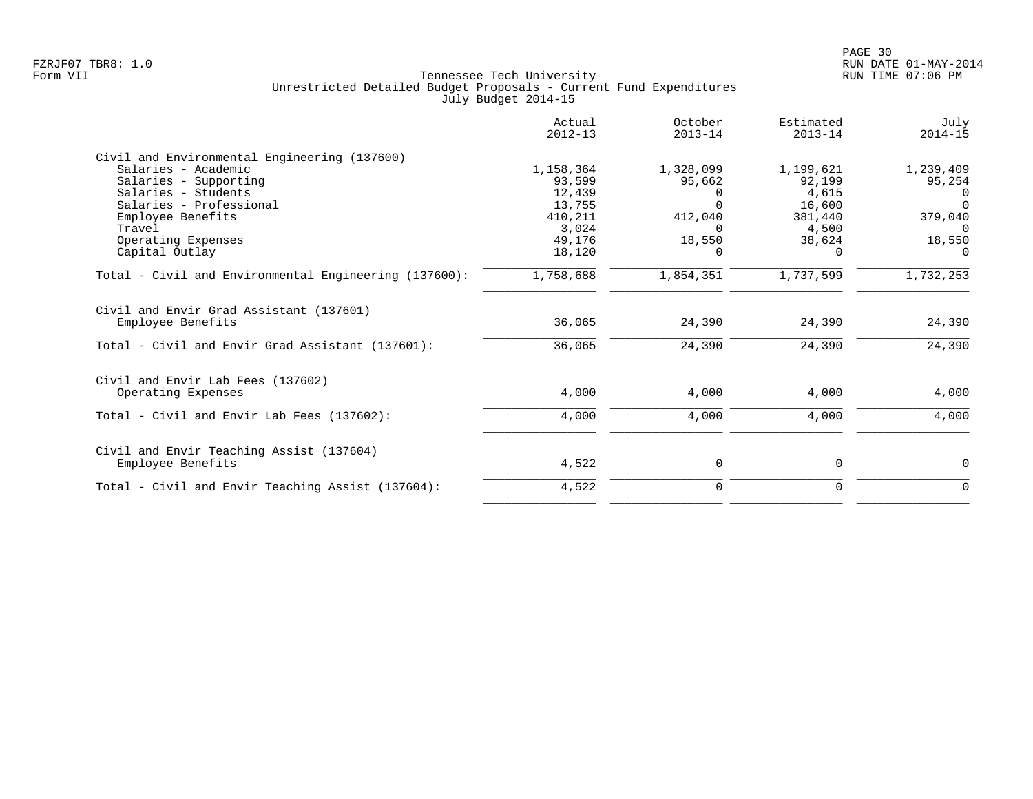|                                                              | Actual<br>$2012 - 13$ | October<br>$2013 - 14$ | Estimated<br>$2013 - 14$ | July<br>$2014 - 15$ |
|--------------------------------------------------------------|-----------------------|------------------------|--------------------------|---------------------|
| Civil and Environmental Engineering (137600)                 |                       |                        |                          |                     |
| Salaries - Academic                                          | 1,158,364             | 1,328,099              | 1,199,621                | 1,239,409           |
| Salaries - Supporting                                        | 93,599                | 95,662                 | 92,199                   | 95,254              |
| Salaries - Students                                          | 12,439                | $\Omega$               | 4,615                    | $\Omega$            |
| Salaries - Professional                                      | 13,755                | $\Omega$               | 16,600                   | $\Omega$            |
| Employee Benefits                                            | 410,211               | 412,040                | 381,440                  | 379,040             |
| Travel                                                       | 3,024                 | $\Omega$               | 4,500                    | $\Omega$            |
| Operating Expenses                                           | 49,176                | 18,550                 | 38,624                   | 18,550              |
| Capital Outlay                                               | 18,120                | $\Omega$               | 0                        | $\Omega$            |
| Total - Civil and Environmental Engineering (137600):        | 1,758,688             | 1,854,351              | 1,737,599                | 1,732,253           |
| Civil and Envir Grad Assistant (137601)<br>Employee Benefits | 36,065                | 24,390                 | 24,390                   | 24,390              |
|                                                              |                       |                        |                          |                     |
| Total - Civil and Envir Grad Assistant (137601):             | 36,065                | 24,390                 | 24,390                   | 24,390              |
| Civil and Envir Lab Fees (137602)                            |                       |                        |                          |                     |
| Operating Expenses                                           | 4,000                 | 4,000                  | 4,000                    | 4,000               |
| Total - Civil and Envir Lab Fees (137602):                   | 4,000                 | 4,000                  | 4,000                    | 4,000               |
| Civil and Envir Teaching Assist (137604)                     |                       |                        |                          |                     |
| Employee Benefits                                            | 4,522                 | 0                      | 0                        | 0                   |
| Total - Civil and Envir Teaching Assist (137604):            | 4,522                 | 0                      | 0                        | 0                   |
|                                                              |                       |                        |                          |                     |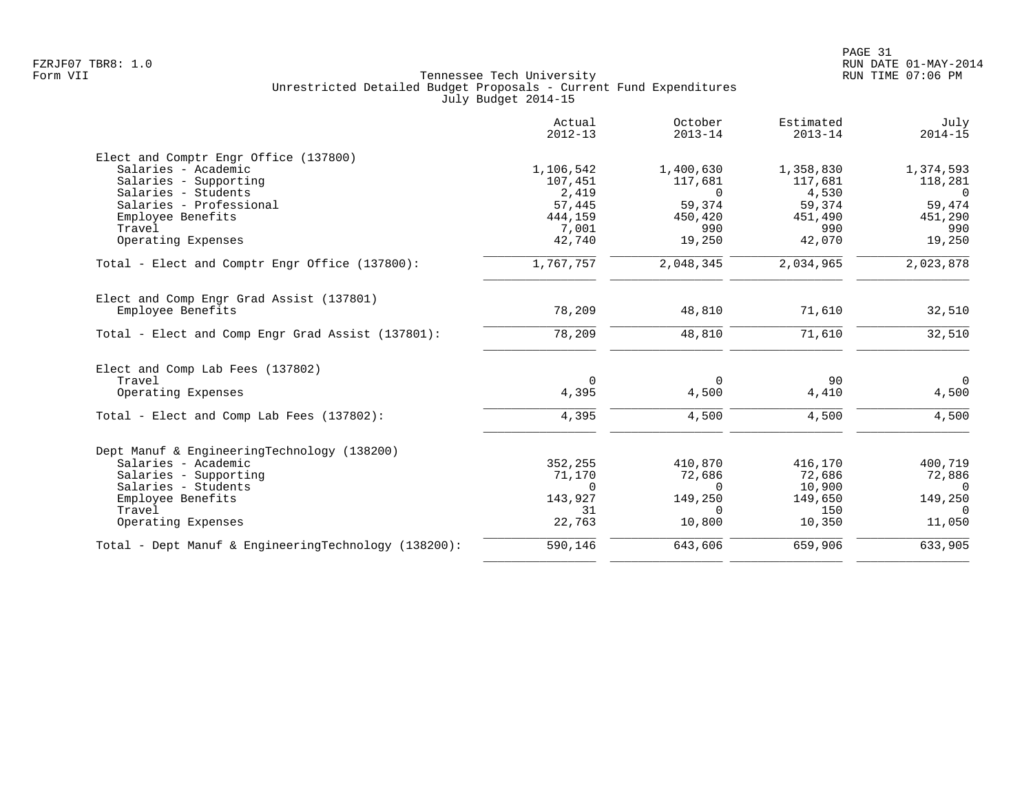|                                                      | Actual<br>$2012 - 13$ | October<br>$2013 - 14$ | Estimated<br>$2013 - 14$ | July<br>$2014 - 15$ |
|------------------------------------------------------|-----------------------|------------------------|--------------------------|---------------------|
| Elect and Comptr Engr Office (137800)                |                       |                        |                          |                     |
| Salaries - Academic                                  | 1,106,542             | 1,400,630              | 1,358,830                | 1,374,593           |
| Salaries - Supporting                                | 107,451               | 117,681                | 117,681                  | 118,281             |
| Salaries - Students                                  | 2,419                 | $\Omega$               | 4,530                    | $\Omega$            |
| Salaries - Professional                              | 57,445                | 59,374                 | 59,374                   | 59,474              |
| Employee Benefits                                    | 444,159               | 450,420                | 451,490                  | 451,290             |
| Travel                                               | 7,001                 | 990                    | 990                      | 990                 |
| Operating Expenses                                   | 42,740                | 19,250                 | 42,070                   | 19,250              |
| Total - Elect and Comptr Engr Office (137800):       | 1,767,757             | 2,048,345              | 2,034,965                | 2,023,878           |
| Elect and Comp Engr Grad Assist (137801)             |                       |                        |                          |                     |
| Employee Benefits                                    | 78,209                | 48,810                 | 71,610                   | 32,510              |
| Total - Elect and Comp Engr Grad Assist (137801):    | 78,209                | 48,810                 | 71,610                   | 32,510              |
| Elect and Comp Lab Fees (137802)                     |                       |                        |                          |                     |
| Travel                                               | 0                     | $\Omega$               | 90                       | $\overline{0}$      |
| Operating Expenses                                   | 4,395                 | 4,500                  | 4,410                    | 4,500               |
| Total - Elect and Comp Lab Fees (137802):            | 4,395                 | 4,500                  | 4,500                    | 4,500               |
| Dept Manuf & EngineeringTechnology (138200)          |                       |                        |                          |                     |
| Salaries - Academic                                  | 352,255               | 410,870                | 416,170                  | 400,719             |
| Salaries - Supporting                                | 71,170                | 72,686                 | 72,686                   | 72,886              |
| Salaries - Students                                  | $\Omega$              | $\Omega$               | 10,900                   | $\Omega$            |
| Employee Benefits                                    | 143,927               | 149,250                | 149,650                  | 149,250             |
| Travel                                               | 31                    | $\Omega$               | 150                      | $\Omega$            |
| Operating Expenses                                   | 22,763                | 10,800                 | 10,350                   | 11,050              |
| Total - Dept Manuf & EngineeringTechnology (138200): | 590,146               | 643,606                | 659,906                  | 633,905             |
|                                                      |                       |                        |                          |                     |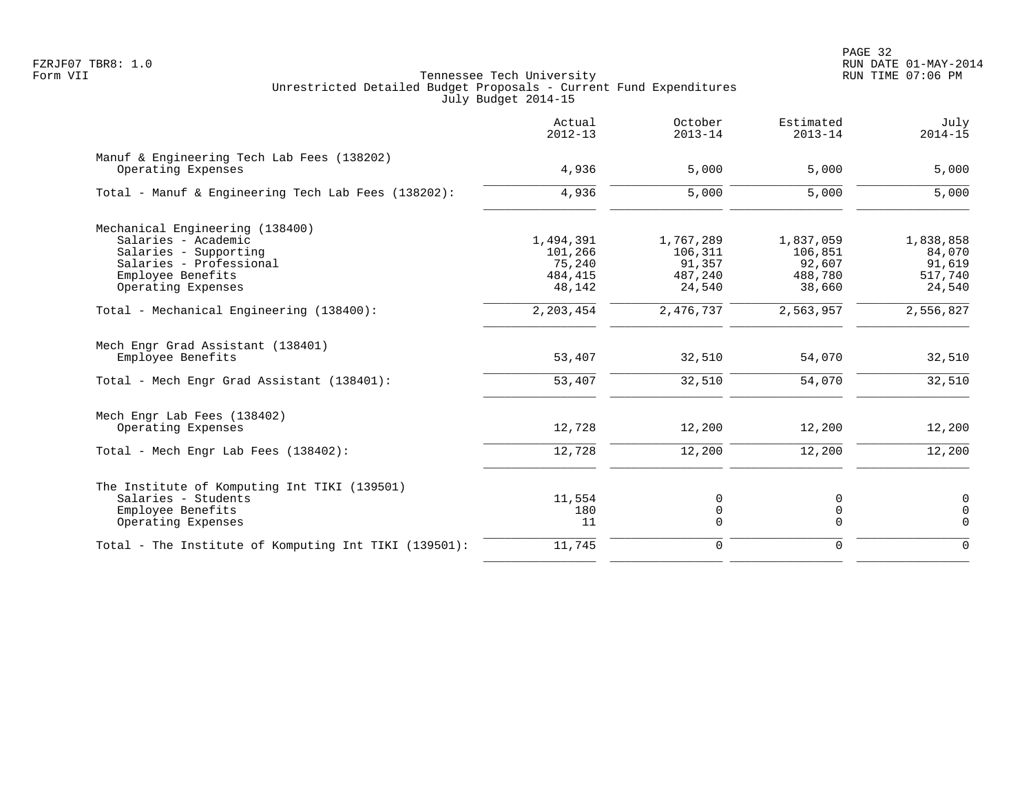|                                                                  | Actual<br>$2012 - 13$ | October<br>$2013 - 14$ | Estimated<br>$2013 - 14$ | July<br>$2014 - 15$ |
|------------------------------------------------------------------|-----------------------|------------------------|--------------------------|---------------------|
| Manuf & Engineering Tech Lab Fees (138202)<br>Operating Expenses | 4,936                 | 5,000                  | 5,000                    | 5,000               |
| Total - Manuf & Engineering Tech Lab Fees (138202):              | 4,936                 | 5,000                  | 5,000                    | 5,000               |
| Mechanical Engineering (138400)                                  |                       |                        |                          |                     |
| Salaries - Academic                                              | 1,494,391             | 1,767,289              | 1,837,059                | 1,838,858           |
| Salaries - Supporting                                            | 101,266               | 106,311                | 106,851                  | 84,070              |
| Salaries - Professional                                          | 75,240                | 91,357                 | 92,607                   | 91,619              |
| Employee Benefits                                                | 484,415               | 487,240                | 488,780                  | 517,740             |
| Operating Expenses                                               | 48,142                | 24,540                 | 38,660                   | 24,540              |
| Total - Mechanical Engineering (138400):                         | 2,203,454             | 2,476,737              | 2,563,957                | 2,556,827           |
| Mech Engr Grad Assistant (138401)<br>Employee Benefits           | 53,407                | 32,510                 | 54,070                   | 32,510              |
| Total - Mech Engr Grad Assistant (138401):                       | 53,407                | 32,510                 | 54,070                   | 32,510              |
|                                                                  |                       |                        |                          |                     |
| Mech Engr Lab Fees (138402)                                      |                       |                        |                          |                     |
| Operating Expenses                                               | 12,728                | 12,200                 | 12,200                   | 12,200              |
| Total - Mech Engr Lab Fees (138402):                             | 12,728                | 12,200                 | 12,200                   | 12,200              |
| The Institute of Komputing Int TIKI (139501)                     |                       |                        |                          |                     |
| Salaries - Students                                              | 11,554                | 0                      | 0                        | $\mathbf 0$         |
| Employee Benefits                                                | 180                   | 0                      | 0                        | $\mathbf 0$         |
| Operating Expenses                                               | 11                    | 0                      | $\Omega$                 | $\Omega$            |
| Total - The Institute of Komputing Int TIKI (139501):            | 11,745                | $\mathbf 0$            | $\mathbf 0$              | $\Omega$            |
|                                                                  |                       |                        |                          |                     |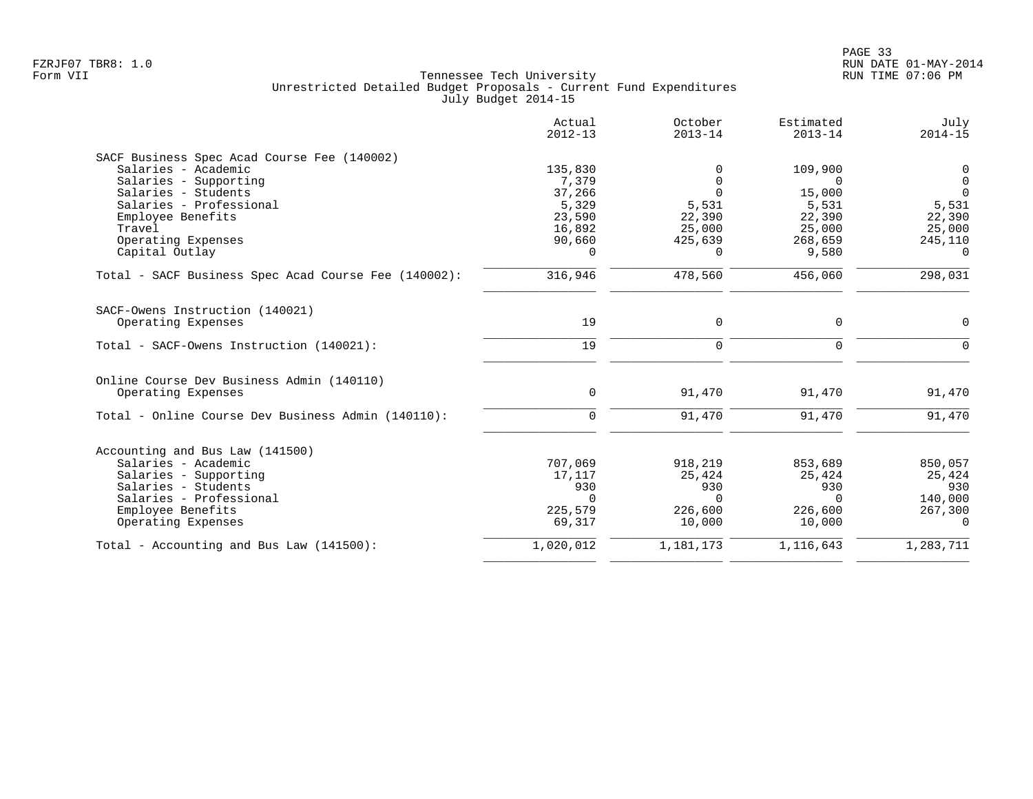|                                                      | Actual<br>$2012 - 13$ | October<br>$2013 - 14$ | Estimated<br>$2013 - 14$ | July<br>$2014 - 15$ |
|------------------------------------------------------|-----------------------|------------------------|--------------------------|---------------------|
| SACF Business Spec Acad Course Fee (140002)          |                       |                        |                          |                     |
| Salaries - Academic                                  | 135,830               | $\Omega$               | 109,900                  | 0                   |
| Salaries - Supporting                                | 7,379                 | $\Omega$               | $\cap$                   | $\Omega$            |
| Salaries - Students                                  | 37,266                | $\Omega$               | 15,000                   | $\Omega$            |
| Salaries - Professional                              | 5,329                 | 5,531                  | 5,531                    | 5,531               |
| Employee Benefits                                    | 23,590                | 22,390                 | 22,390                   | 22,390              |
| Travel                                               | 16,892                | 25,000                 | 25,000                   | 25,000              |
| Operating Expenses                                   | 90,660                | 425,639                | 268,659                  | 245,110             |
| Capital Outlay                                       | $\Omega$              | $\Omega$               | 9,580                    | $\Omega$            |
| Total - SACF Business Spec Acad Course Fee (140002): | 316,946               | 478,560                | 456,060                  | 298,031             |
| SACF-Owens Instruction (140021)                      |                       |                        |                          |                     |
| Operating Expenses                                   | 19                    | $\mathbf 0$            | $\mathbf 0$              | 0                   |
| Total - SACF-Owens Instruction (140021):             | 19                    | $\Omega$               | $\Omega$                 | $\Omega$            |
| Online Course Dev Business Admin (140110)            |                       |                        |                          |                     |
| Operating Expenses                                   | $\mathbf 0$           | 91,470                 | 91,470                   | 91,470              |
| Total - Online Course Dev Business Admin (140110):   | $\Omega$              | 91,470                 | 91,470                   | 91,470              |
| Accounting and Bus Law (141500)                      |                       |                        |                          |                     |
| Salaries - Academic                                  | 707,069               | 918,219                | 853,689                  | 850,057             |
| Salaries - Supporting                                | 17,117                | 25,424                 | 25,424                   | 25,424              |
| Salaries - Students                                  | 930                   | 930                    | 930                      | 930                 |
| Salaries - Professional                              | $\Omega$              | $\Omega$               | $\Omega$                 | 140,000             |
| Employee Benefits                                    | 225,579               | 226,600                | 226,600                  | 267,300             |
| Operating Expenses                                   | 69,317                | 10,000                 | 10,000                   | $\Omega$            |
| Total - Accounting and Bus Law (141500):             | 1,020,012             | 1,181,173              | 1,116,643                | 1,283,711           |
|                                                      |                       |                        |                          |                     |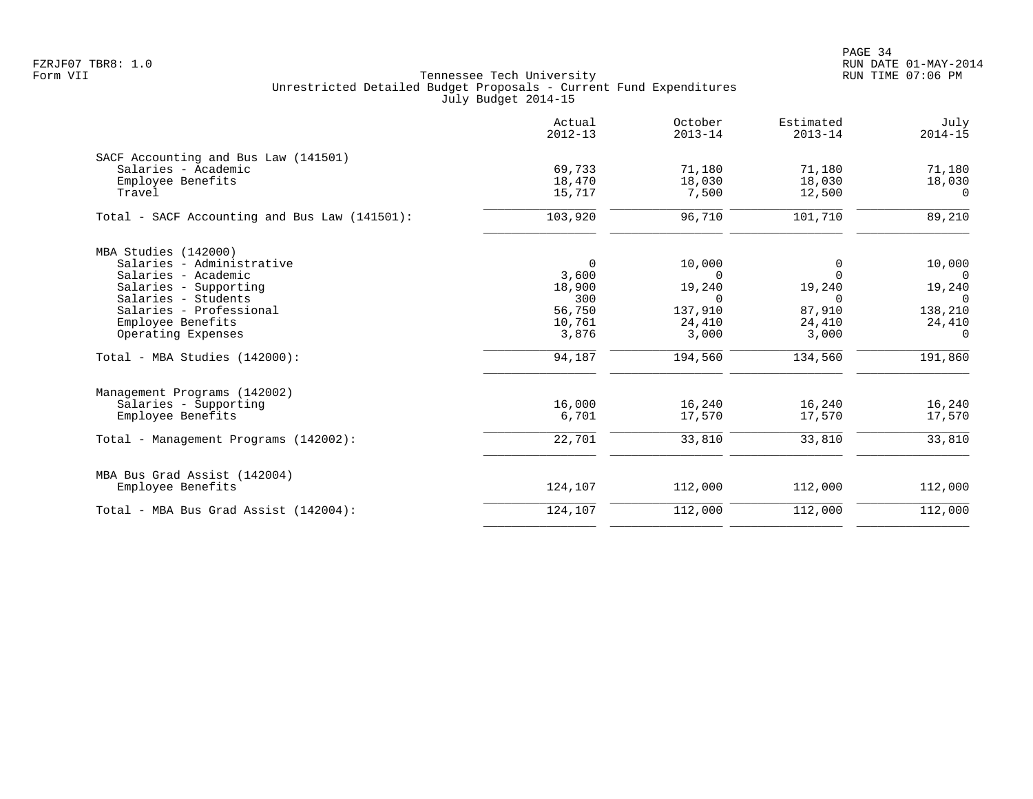PAGE 34 FZRJF07 TBR8: 1.0 RUN DATE 01-MAY-2014

|                                               | Actual<br>$2012 - 13$ | October<br>$2013 - 14$ | Estimated<br>$2013 - 14$ | July<br>$2014 - 15$ |
|-----------------------------------------------|-----------------------|------------------------|--------------------------|---------------------|
| SACF Accounting and Bus Law (141501)          |                       |                        |                          |                     |
| Salaries - Academic                           | 69,733                | 71,180                 | 71,180                   | 71,180              |
| Employee Benefits                             | 18,470                | 18,030                 | 18,030                   | 18,030              |
| Travel                                        | 15,717                | 7,500                  | 12,500                   | $\Omega$            |
| Total - SACF Accounting and Bus Law (141501): | 103,920               | 96,710                 | 101,710                  | 89,210              |
| MBA Studies (142000)                          |                       |                        |                          |                     |
| Salaries - Administrative                     | $\Omega$              | 10,000                 | 0                        | 10,000              |
| Salaries - Academic                           | 3,600                 | $\Omega$               | $\Omega$                 | $\Omega$            |
| Salaries - Supporting                         | 18,900                | 19,240                 | 19,240                   | 19,240              |
| Salaries - Students                           | 300                   | $\Omega$               | $\Omega$                 | $\Omega$            |
| Salaries - Professional                       | 56,750                | 137,910                | 87,910                   | 138,210             |
| Employee Benefits                             | 10,761                | 24,410                 | 24,410                   | 24,410              |
| Operating Expenses                            | 3,876                 | 3,000                  | 3,000                    | $\Omega$            |
| Total - MBA Studies (142000):                 | 94,187                | 194,560                | 134,560                  | 191,860             |
| Management Programs (142002)                  |                       |                        |                          |                     |
| Salaries - Supporting                         | 16,000                | 16,240                 | 16,240                   | 16,240              |
| Employee Benefits                             | 6,701                 | 17,570                 | 17,570                   | 17,570              |
| Total - Management Programs (142002):         | 22,701                | 33,810                 | 33,810                   | 33,810              |
| MBA Bus Grad Assist (142004)                  |                       |                        |                          |                     |
| Employee Benefits                             | 124,107               | 112,000                | 112,000                  | 112,000             |
| Total - MBA Bus Grad Assist (142004):         | 124,107               | 112,000                | 112,000                  | 112,000             |
|                                               |                       |                        |                          |                     |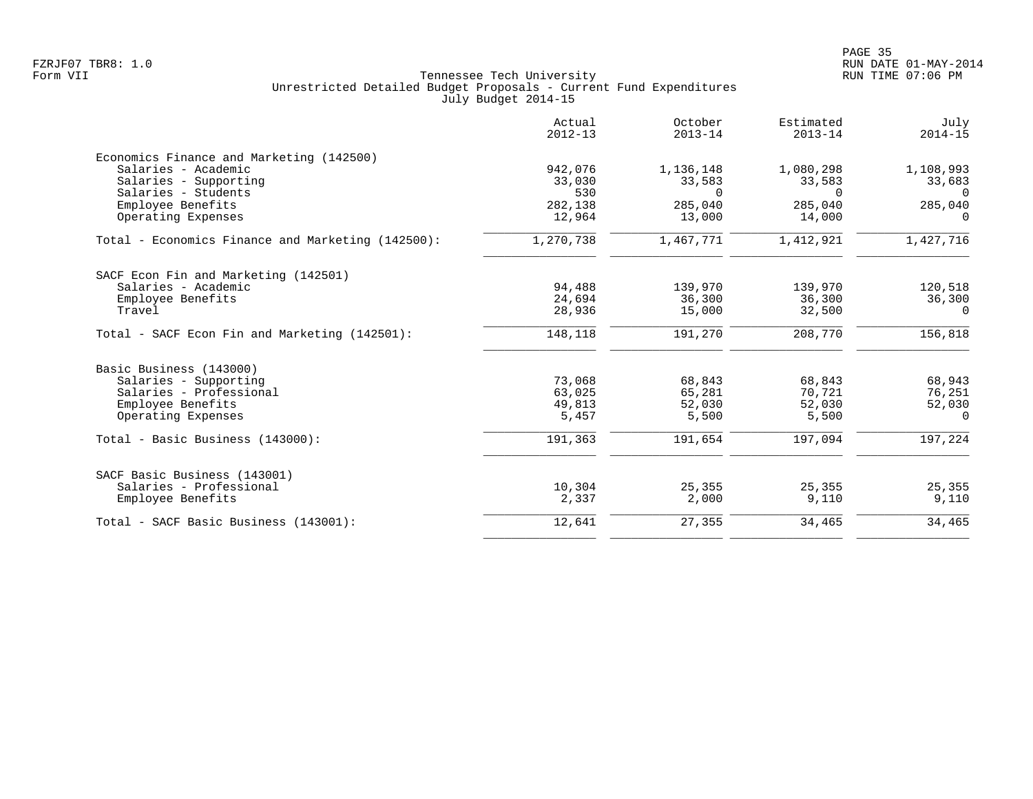| Actual<br>$2012 - 13$ | October<br>$2013 - 14$                                   | Estimated<br>$2013 - 14$                                  | July<br>$2014 - 15$                                       |
|-----------------------|----------------------------------------------------------|-----------------------------------------------------------|-----------------------------------------------------------|
|                       |                                                          |                                                           |                                                           |
| 942,076               | 1,136,148                                                | 1,080,298                                                 | 1,108,993                                                 |
| 33,030                | 33,583                                                   | 33,583                                                    | 33,683                                                    |
| 530                   | $\Omega$                                                 | $\Omega$                                                  | $\Omega$                                                  |
| 282,138               | 285,040                                                  | 285,040                                                   | 285,040                                                   |
| 12,964                | 13,000                                                   | 14,000                                                    | $\Omega$                                                  |
| 1,270,738             | 1,467,771                                                | 1,412,921                                                 | 1,427,716                                                 |
|                       |                                                          |                                                           |                                                           |
|                       |                                                          |                                                           | 120,518                                                   |
|                       |                                                          |                                                           | 36,300                                                    |
| 28,936                | 15,000                                                   | 32,500                                                    | $\Omega$                                                  |
| 148,118               | 191,270                                                  | 208,770                                                   | 156,818                                                   |
|                       |                                                          |                                                           |                                                           |
|                       |                                                          |                                                           | 68,943                                                    |
|                       |                                                          |                                                           | 76,251                                                    |
|                       |                                                          |                                                           | 52,030                                                    |
| 5,457                 | 5,500                                                    | 5,500                                                     | $\Omega$                                                  |
| 191,363               | 191,654                                                  | 197,094                                                   | 197,224                                                   |
|                       |                                                          |                                                           |                                                           |
|                       |                                                          |                                                           | 25,355                                                    |
| 2,337                 | 2,000                                                    | 9,110                                                     | 9,110                                                     |
| 12,641                | 27,355                                                   | 34,465                                                    | 34,465                                                    |
|                       | 94,488<br>24,694<br>73,068<br>63,025<br>49,813<br>10,304 | 139,970<br>36,300<br>68,843<br>65,281<br>52,030<br>25,355 | 139,970<br>36,300<br>68,843<br>70,721<br>52,030<br>25,355 |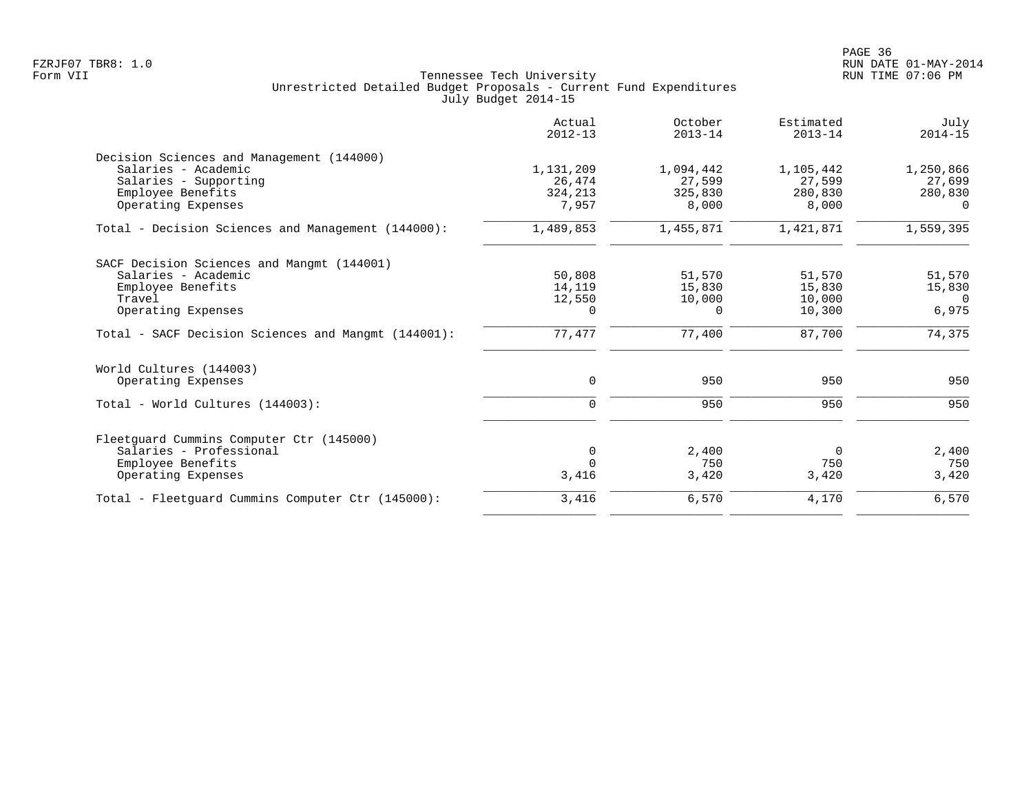|                                                     | Actual<br>$2012 - 13$ | October<br>$2013 - 14$ | Estimated<br>$2013 - 14$ | July<br>$2014 - 15$ |
|-----------------------------------------------------|-----------------------|------------------------|--------------------------|---------------------|
| Decision Sciences and Management (144000)           |                       |                        |                          |                     |
| Salaries - Academic                                 | 1,131,209             | 1,094,442              | 1,105,442                | 1,250,866           |
| Salaries - Supporting                               | 26,474                | 27,599                 | 27,599                   | 27,699              |
| Employee Benefits                                   | 324,213               | 325,830                | 280,830                  | 280,830             |
| Operating Expenses                                  | 7,957                 | 8,000                  | 8,000                    | $\Omega$            |
| Total - Decision Sciences and Management (144000):  | 1,489,853             | 1,455,871              | 1,421,871                | 1,559,395           |
| SACF Decision Sciences and Mangmt (144001)          |                       |                        |                          |                     |
| Salaries - Academic                                 | 50,808                | 51,570                 | 51,570                   | 51,570              |
| Employee Benefits                                   | 14,119                | 15,830                 | 15,830                   | 15,830              |
| Travel                                              | 12,550                | 10,000                 | 10,000                   | $\Omega$            |
| Operating Expenses                                  | 0                     | $\Omega$               | 10,300                   | 6,975               |
| Total - SACF Decision Sciences and Mangmt (144001): | 77,477                | 77,400                 | 87,700                   | 74,375              |
| World Cultures (144003)                             |                       |                        |                          |                     |
| Operating Expenses                                  | $\mathbf 0$           | 950                    | 950                      | 950                 |
| Total - World Cultures (144003):                    | $\mathbf 0$           | 950                    | 950                      | 950                 |
|                                                     |                       |                        |                          |                     |
| Fleetquard Cummins Computer Ctr (145000)            |                       |                        |                          |                     |
| Salaries - Professional                             | $\mathbf 0$           | 2,400                  | $\Omega$                 | 2,400               |
| Employee Benefits                                   | $\Omega$              | 750                    | 750                      | 750                 |
| Operating Expenses                                  | 3,416                 | 3,420                  | 3,420                    | 3,420               |
| Total - Fleetquard Cummins Computer Ctr (145000):   | 3,416                 | 6,570                  | 4,170                    | 6,570               |
|                                                     |                       |                        |                          |                     |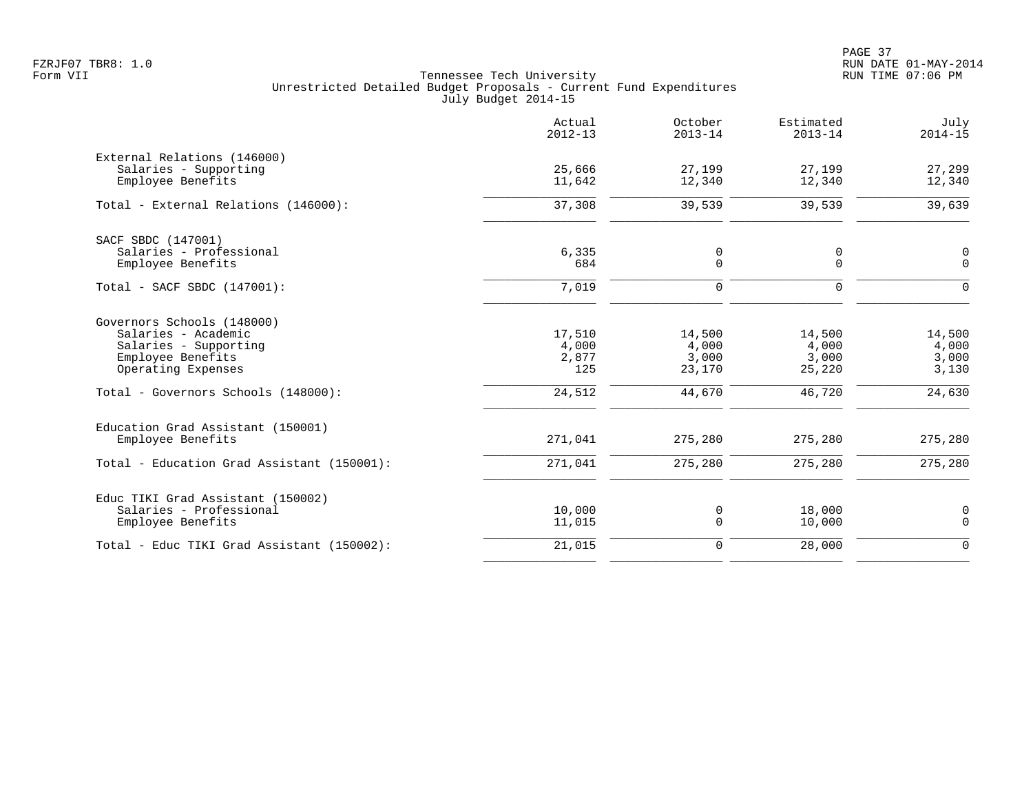PAGE 37 FZRJF07 TBR8: 1.0 RUN DATE 01-MAY-2014

|                                                      | Actual<br>$2012 - 13$ | October<br>$2013 - 14$ | Estimated<br>$2013 - 14$ | July<br>$2014 - 15$        |
|------------------------------------------------------|-----------------------|------------------------|--------------------------|----------------------------|
| External Relations (146000)<br>Salaries - Supporting | 25,666                | 27,199                 | 27,199                   | 27,299                     |
| Employee Benefits                                    | 11,642                | 12,340                 | 12,340                   | 12,340                     |
| Total - External Relations (146000):                 | 37,308                | 39,539                 | 39,539                   | 39,639                     |
| SACF SBDC (147001)                                   |                       |                        |                          |                            |
| Salaries - Professional<br>Employee Benefits         | 6,335<br>684          | 0<br>0                 | 0<br>$\Omega$            | $\mathbf 0$<br>$\Omega$    |
| Total - SACF SBDC (147001):                          | 7,019                 | $\mathbf 0$            | $\mathbf 0$              | $\Omega$                   |
| Governors Schools (148000)                           |                       |                        |                          |                            |
| Salaries - Academic<br>Salaries - Supporting         | 17,510<br>4,000       | 14,500<br>4,000        | 14,500<br>4,000          | 14,500<br>4,000            |
| Employee Benefits                                    | 2,877                 | 3,000                  | 3,000                    | 3,000                      |
| Operating Expenses                                   | 125                   | 23,170                 | 25,220                   | 3,130                      |
| Total - Governors Schools (148000):                  | 24,512                | 44,670                 | 46,720                   | 24,630                     |
| Education Grad Assistant (150001)                    |                       |                        |                          |                            |
| Employee Benefits                                    | 271,041               | 275,280                | 275,280                  | 275,280                    |
| Total - Education Grad Assistant (150001):           | 271,041               | 275,280                | 275,280                  | 275,280                    |
| Educ TIKI Grad Assistant (150002)                    |                       |                        |                          |                            |
| Salaries - Professional<br>Employee Benefits         | 10,000<br>11,015      | 0<br>0                 | 18,000<br>10,000         | $\mathbf 0$<br>$\mathbf 0$ |
| Total - Educ TIKI Grad Assistant (150002):           | 21,015                | $\mathbf 0$            | 28,000                   | $\Omega$                   |
|                                                      |                       |                        |                          |                            |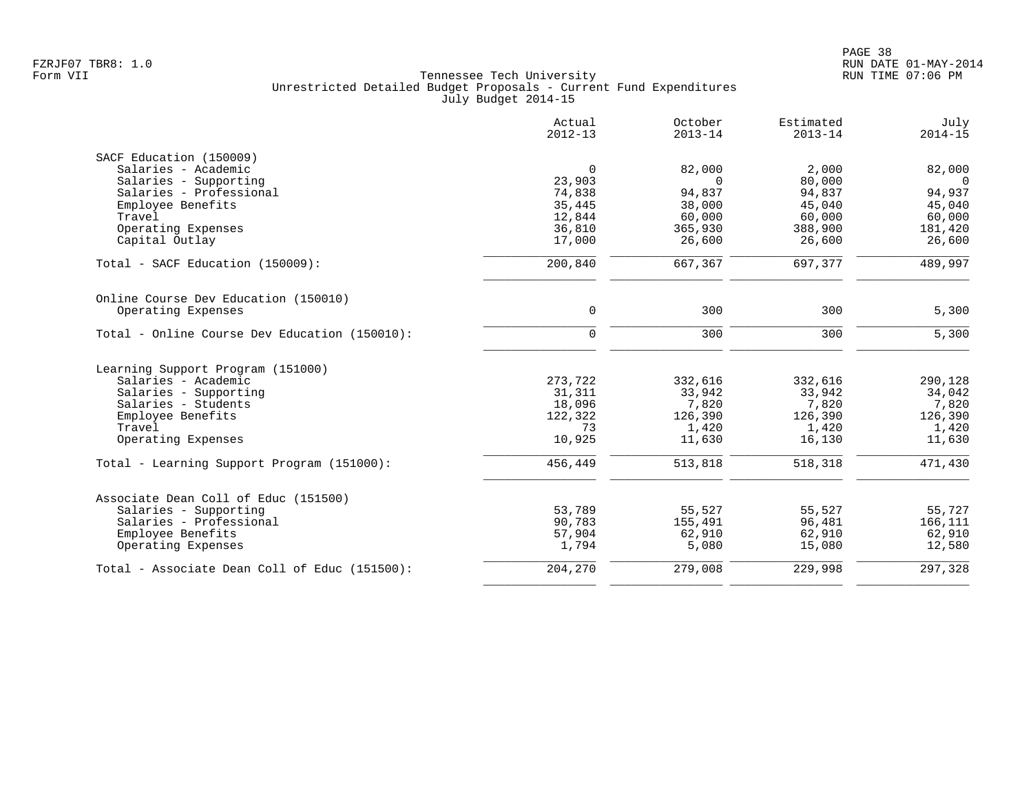|                                               | Actual<br>$2012 - 13$ | October<br>$2013 - 14$ | Estimated<br>$2013 - 14$ | July<br>$2014 - 15$ |
|-----------------------------------------------|-----------------------|------------------------|--------------------------|---------------------|
| SACF Education (150009)                       |                       |                        |                          |                     |
| Salaries - Academic                           | $\mathbf 0$           | 82,000                 | 2,000                    | 82,000              |
| Salaries - Supporting                         | 23,903                | $\Omega$               | 80,000                   | $\overline{0}$      |
| Salaries - Professional                       | 74,838                | 94,837                 | 94,837                   | 94,937              |
| Employee Benefits                             | 35,445                | 38,000                 | 45,040                   | 45,040              |
| Travel                                        | 12,844                | 60,000                 | 60,000                   | 60,000              |
| Operating Expenses                            | 36,810                | 365,930                | 388,900                  | 181,420             |
| Capital Outlay                                | 17,000                | 26,600                 | 26,600                   | 26,600              |
| Total - SACF Education (150009):              | 200,840               | 667,367                | 697,377                  | 489,997             |
| Online Course Dev Education (150010)          |                       |                        |                          |                     |
| Operating Expenses                            | $\mathbf 0$           | 300                    | 300                      | 5,300               |
| Total - Online Course Dev Education (150010): | $\mathbf 0$           | 300                    | 300                      | 5,300               |
|                                               |                       |                        |                          |                     |
| Learning Support Program (151000)             |                       |                        |                          |                     |
| Salaries - Academic                           | 273,722               | 332,616                | 332,616                  | 290,128             |
| Salaries - Supporting<br>Salaries - Students  | 31,311                | 33,942                 | 33,942                   | 34,042              |
| Employee Benefits                             | 18,096<br>122,322     | 7,820<br>126,390       | 7,820<br>126,390         | 7,820<br>126,390    |
| Travel                                        | 73                    | 1,420                  | 1,420                    | 1,420               |
| Operating Expenses                            | 10,925                | 11,630                 | 16,130                   | 11,630              |
| Total - Learning Support Program (151000):    | 456,449               | 513,818                | 518,318                  | 471,430             |
|                                               |                       |                        |                          |                     |
| Associate Dean Coll of Educ (151500)          |                       |                        |                          |                     |
| Salaries - Supporting                         | 53,789                | 55,527                 | 55,527                   | 55,727              |
| Salaries - Professional                       | 90,783                | 155,491                | 96,481                   | 166,111             |
| Employee Benefits                             | 57,904                | 62,910                 | 62,910                   | 62,910              |
| Operating Expenses                            | 1,794                 | 5,080                  | 15,080                   | 12,580              |
| Total - Associate Dean Coll of Educ (151500): | 204,270               | 279,008                | 229,998                  | 297,328             |
|                                               |                       |                        |                          |                     |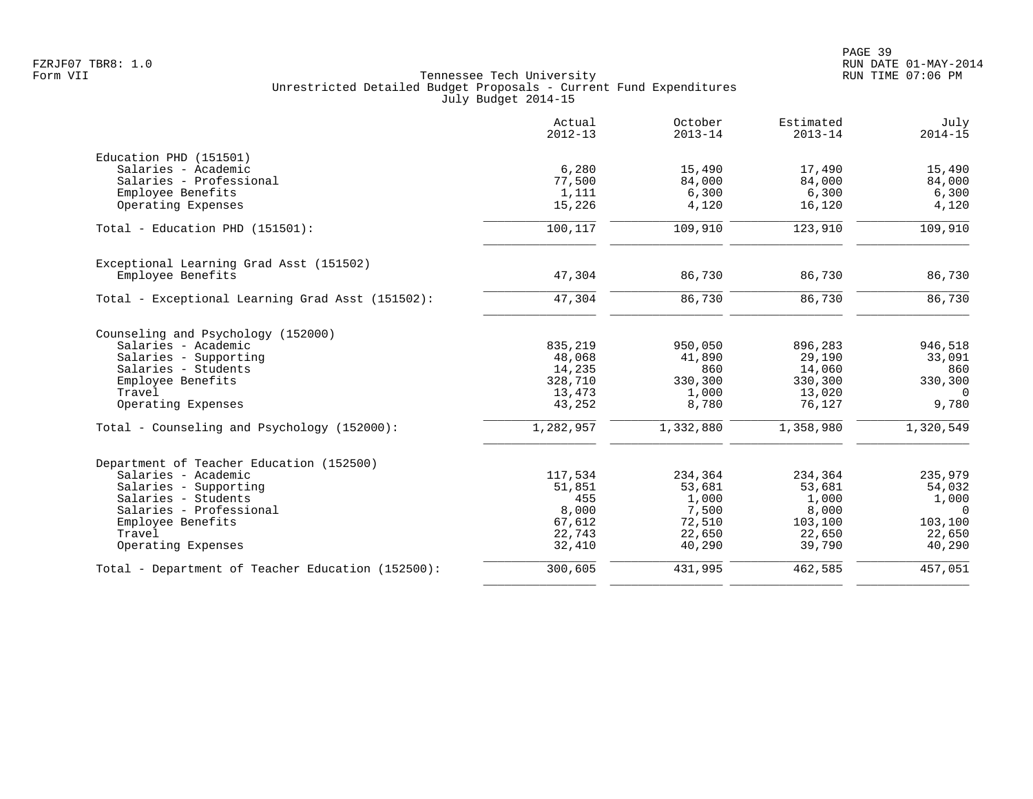|                                                   | Actual<br>$2012 - 13$ | October<br>$2013 - 14$ | Estimated<br>$2013 - 14$ | July<br>$2014 - 15$ |
|---------------------------------------------------|-----------------------|------------------------|--------------------------|---------------------|
| Education PHD (151501)                            |                       |                        |                          |                     |
| Salaries - Academic                               | 6,280                 | 15,490                 | 17,490                   | 15,490              |
| Salaries - Professional                           | 77,500                | 84,000                 | 84,000                   | 84,000              |
| Employee Benefits                                 | 1,111                 | 6,300                  | 6,300                    | 6,300               |
| Operating Expenses                                | 15,226                | 4,120                  | 16,120                   | 4,120               |
| Total - Education PHD (151501):                   | 100,117               | 109,910                | 123,910                  | 109,910             |
| Exceptional Learning Grad Asst (151502)           |                       |                        |                          |                     |
| Employee Benefits                                 | 47,304                | 86,730                 | 86,730                   | 86,730              |
| Total - Exceptional Learning Grad Asst (151502):  | 47,304                | 86,730                 | 86,730                   | 86,730              |
| Counseling and Psychology (152000)                |                       |                        |                          |                     |
| Salaries - Academic                               | 835,219               | 950,050                | 896,283                  | 946,518             |
| Salaries - Supporting                             | 48,068                | 41,890                 | 29,190                   | 33,091              |
| Salaries - Students                               | 14,235                | 860                    | 14,060                   | 860                 |
| Employee Benefits                                 | 328,710               | 330,300                | 330,300                  | 330,300             |
| Travel                                            | 13,473                | 1,000                  | 13,020                   | $\Omega$            |
| Operating Expenses                                | 43,252                | 8,780                  | 76,127                   | 9,780               |
| Total - Counseling and Psychology (152000):       | 1,282,957             | 1,332,880              | 1,358,980                | 1,320,549           |
| Department of Teacher Education (152500)          |                       |                        |                          |                     |
| Salaries - Academic                               | 117,534               | 234,364                | 234,364                  | 235,979             |
| Salaries - Supporting                             | 51,851                | 53,681                 | 53,681                   | 54,032              |
| Salaries - Students                               | 455                   | 1,000                  | 1,000                    | 1,000               |
| Salaries - Professional                           | 8,000                 | 7,500                  | 8,000                    | $\Omega$            |
| Employee Benefits                                 | 67,612                | 72,510                 | 103,100                  | 103,100             |
| Travel                                            | 22,743                | 22,650                 | 22,650                   | 22,650              |
| Operating Expenses                                | 32,410                | 40,290                 | 39,790                   | 40,290              |
| Total - Department of Teacher Education (152500): | 300,605               | 431,995                | 462,585                  | 457,051             |
|                                                   |                       |                        |                          |                     |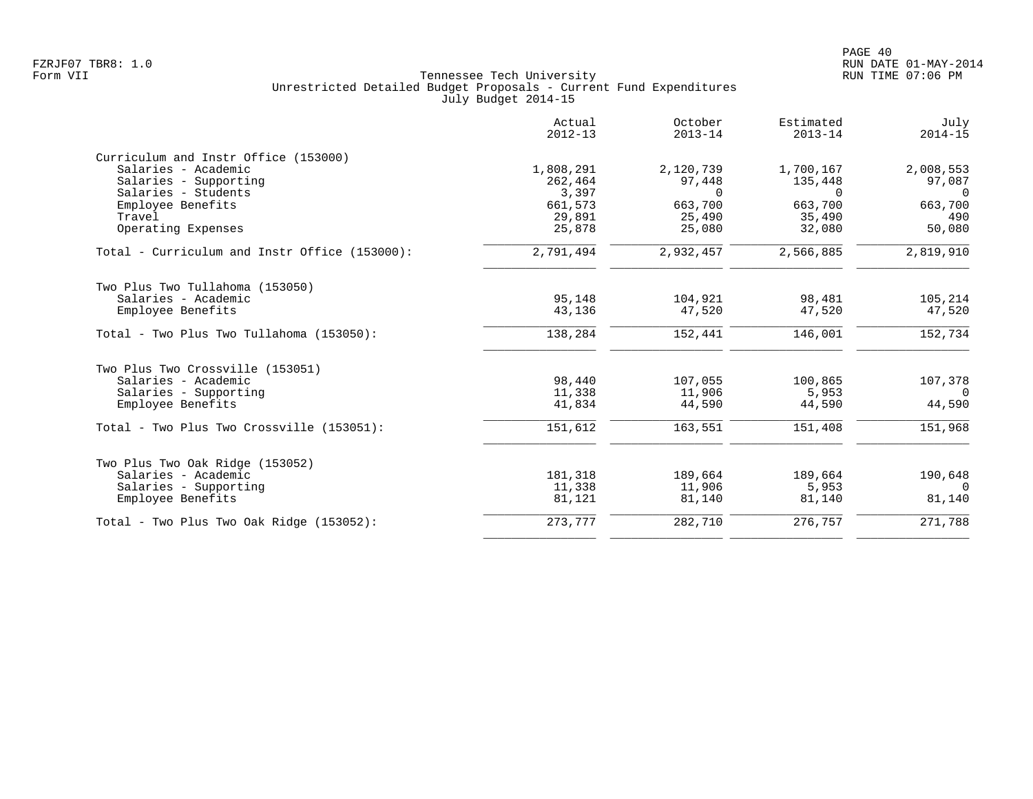|                                               | Actual<br>$2012 - 13$ | October<br>$2013 - 14$ | Estimated<br>$2013 - 14$ | July<br>$2014 - 15$ |
|-----------------------------------------------|-----------------------|------------------------|--------------------------|---------------------|
| Curriculum and Instr Office (153000)          |                       |                        |                          |                     |
| Salaries - Academic                           | 1,808,291             | 2,120,739              | 1,700,167                | 2,008,553           |
| Salaries - Supporting                         | 262,464               | 97,448                 | 135,448                  | 97,087              |
| Salaries - Students                           | 3,397                 | $\Omega$               | $\Omega$                 | $\overline{0}$      |
| Employee Benefits                             | 661,573               | 663,700                | 663,700                  | 663,700             |
| Travel                                        | 29,891                | 25,490                 | 35,490                   | 490                 |
| Operating Expenses                            | 25,878                | 25,080                 | 32,080                   | 50,080              |
| Total - Curriculum and Instr Office (153000): | 2,791,494             | 2,932,457              | 2,566,885                | 2,819,910           |
| Two Plus Two Tullahoma (153050)               |                       |                        |                          |                     |
| Salaries - Academic                           | 95,148                | 104,921                | 98,481                   | 105,214             |
| Employee Benefits                             | 43,136                | 47,520                 | 47,520                   | 47,520              |
| Total - Two Plus Two Tullahoma (153050):      | 138,284               | 152,441                | 146,001                  | 152,734             |
| Two Plus Two Crossville (153051)              |                       |                        |                          |                     |
| Salaries - Academic                           | 98,440                | 107,055                | 100,865                  | 107,378             |
| Salaries - Supporting                         | 11,338                | 11,906                 | 5,953                    | $\Omega$            |
| Employee Benefits                             | 41,834                | 44,590                 | 44,590                   | 44,590              |
| Total - Two Plus Two Crossville (153051):     | 151,612               | 163,551                | 151,408                  | 151,968             |
| Two Plus Two Oak Ridge (153052)               |                       |                        |                          |                     |
| Salaries - Academic                           | 181,318               | 189,664                | 189,664                  | 190,648             |
| Salaries - Supporting                         | 11,338                | 11,906                 | 5,953                    | $\Omega$            |
| Employee Benefits                             | 81,121                | 81,140                 | 81,140                   | 81,140              |
| Total - Two Plus Two Oak Ridge (153052):      | 273,777               | 282,710                | 276,757                  | 271,788             |
|                                               |                       |                        |                          |                     |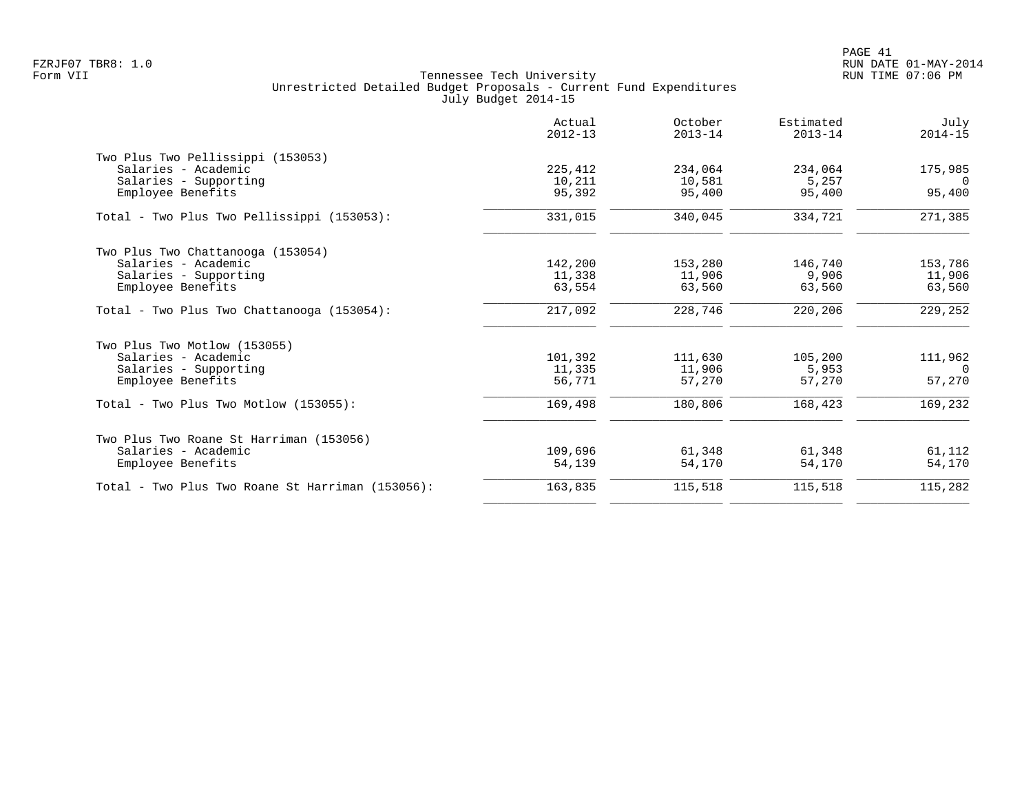|                                                  | Actual<br>$2012 - 13$ | October<br>$2013 - 14$ | Estimated<br>$2013 - 14$ | July<br>$2014 - 15$ |
|--------------------------------------------------|-----------------------|------------------------|--------------------------|---------------------|
| Two Plus Two Pellissippi (153053)                |                       |                        |                          |                     |
| Salaries - Academic                              | 225,412               | 234,064                | 234,064                  | 175,985             |
| Salaries - Supporting                            | 10,211                | 10,581                 | 5,257                    | $\Omega$            |
| Employee Benefits                                | 95,392                | 95,400                 | 95,400                   | 95,400              |
| Total - Two Plus Two Pellissippi (153053):       | 331,015               | 340,045                | 334,721                  | 271,385             |
| Two Plus Two Chattanooga (153054)                |                       |                        |                          |                     |
| Salaries - Academic                              | 142,200               | 153,280                | 146,740                  | 153,786             |
| Salaries - Supporting                            | 11,338                | 11,906                 | 9,906                    | 11,906              |
| Employee Benefits                                | 63,554                | 63,560                 | 63,560                   | 63,560              |
| Total - Two Plus Two Chattanooga (153054):       | 217,092               | 228,746                | 220,206                  | 229,252             |
| Two Plus Two Motlow (153055)                     |                       |                        |                          |                     |
| Salaries - Academic                              | 101,392               | 111,630                | 105,200                  | 111,962             |
| Salaries - Supporting                            | 11,335                | 11,906                 | 5,953                    | $\Omega$            |
| Employee Benefits                                | 56,771                | 57,270                 | 57,270                   | 57,270              |
| $Total - Two Plus Two Motion (153055):$          | 169,498               | 180,806                | 168,423                  | 169,232             |
| Two Plus Two Roane St Harriman (153056)          |                       |                        |                          |                     |
| Salaries - Academic                              | 109,696               | 61,348                 | 61,348                   | 61,112              |
| Employee Benefits                                | 54,139                | 54,170                 | 54,170                   | 54,170              |
| Total - Two Plus Two Roane St Harriman (153056): | 163,835               | 115,518                | 115,518                  | 115,282             |
|                                                  |                       |                        |                          |                     |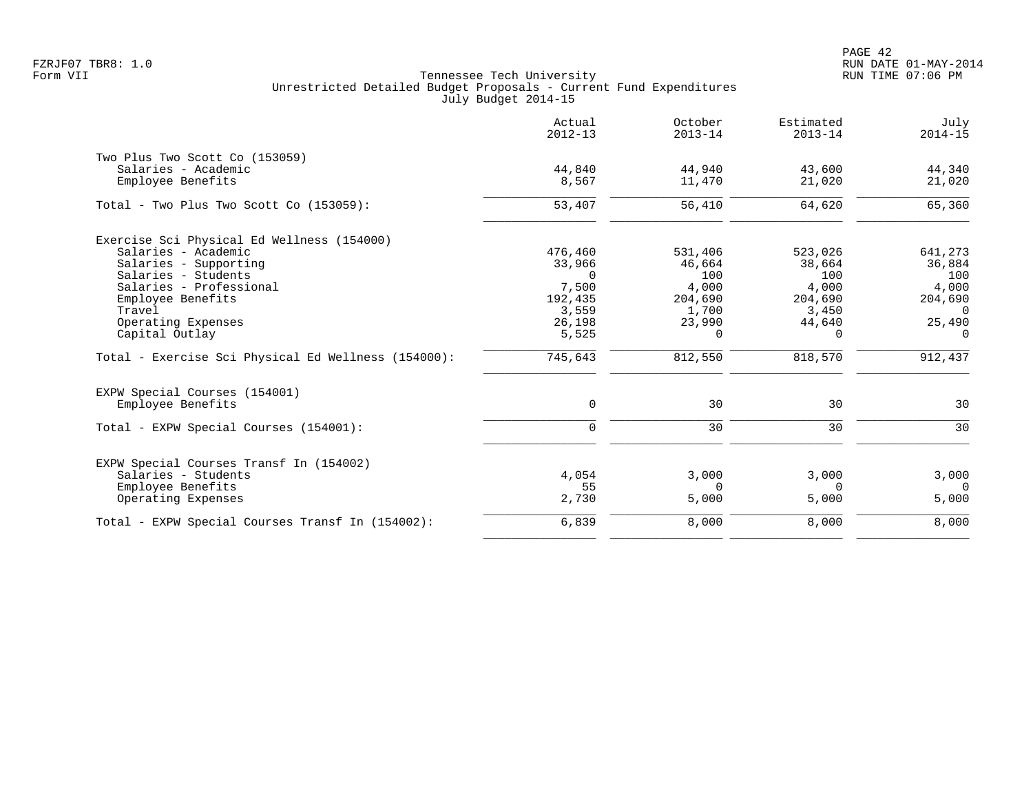PAGE 42 FZRJF07 TBR8: 1.0 RUN DATE 01-MAY-2014

| 44,940   | 43,600                                                                   | 44,340                                                                   |
|----------|--------------------------------------------------------------------------|--------------------------------------------------------------------------|
| 11,470   | 21,020                                                                   | 21,020                                                                   |
| 56,410   | 64,620                                                                   | 65,360                                                                   |
|          |                                                                          |                                                                          |
|          |                                                                          | 641,273                                                                  |
|          |                                                                          | 36,884                                                                   |
|          |                                                                          | 100                                                                      |
|          |                                                                          | 4,000                                                                    |
|          |                                                                          | 204,690                                                                  |
|          |                                                                          | $\Omega$                                                                 |
|          |                                                                          | 25,490                                                                   |
| $\Omega$ | $\Omega$                                                                 | $\Omega$                                                                 |
| 812,550  | 818,570                                                                  | 912,437                                                                  |
|          |                                                                          |                                                                          |
| 30       | 30                                                                       | 30                                                                       |
| 30       | 30                                                                       | 30                                                                       |
|          |                                                                          |                                                                          |
|          |                                                                          | 3,000                                                                    |
| $\Omega$ | $\Omega$                                                                 | $\Omega$                                                                 |
| 5,000    | 5,000                                                                    | 5,000                                                                    |
| 8,000    | 8,000                                                                    | 8,000                                                                    |
|          | 531,406<br>46,664<br>100<br>4,000<br>204,690<br>1,700<br>23,990<br>3,000 | 523,026<br>38,664<br>100<br>4,000<br>204,690<br>3,450<br>44,640<br>3,000 |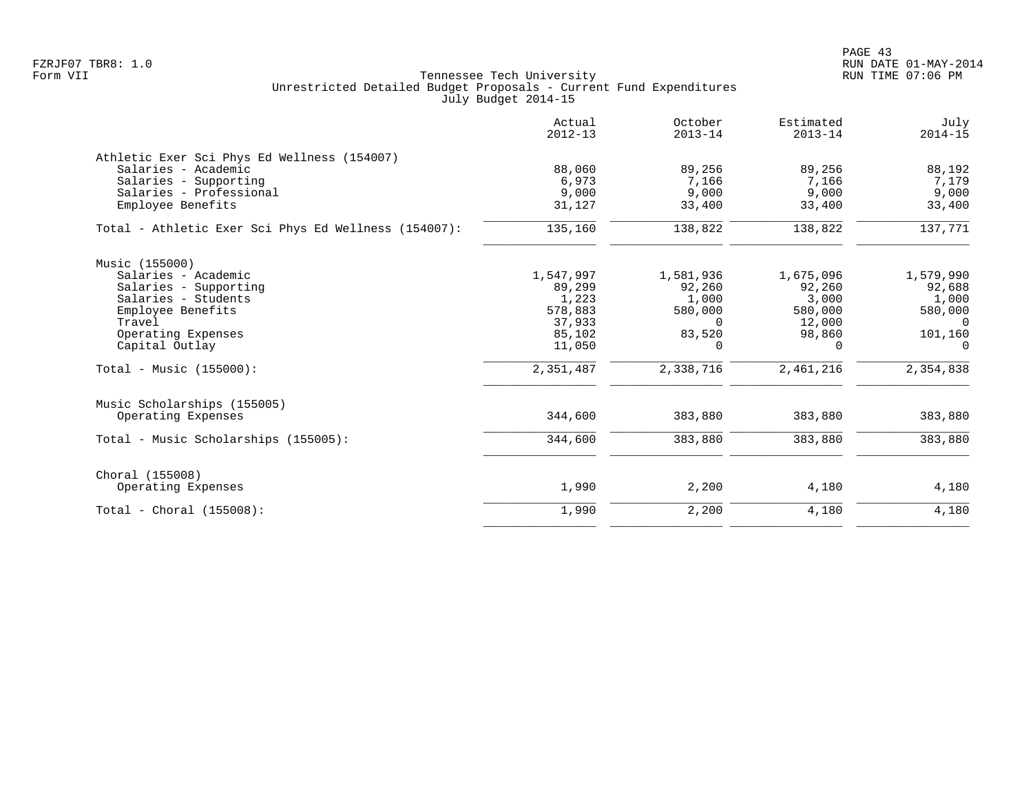| Actual<br>$2012 - 13$ | October<br>$2013 - 14$ | Estimated<br>$2013 - 14$ | July<br>$2014 - 15$ |
|-----------------------|------------------------|--------------------------|---------------------|
|                       |                        |                          |                     |
| 88,060                | 89,256                 | 89,256                   | 88,192              |
| 6,973                 | 7,166                  | 7,166                    | 7,179               |
| 9,000                 | 9,000                  | 9,000                    | 9,000               |
| 31,127                | 33,400                 | 33,400                   | 33,400              |
| 135,160               | 138,822                | 138,822                  | 137,771             |
|                       |                        |                          |                     |
| 1,547,997             | 1,581,936              | 1,675,096                | 1,579,990           |
| 89,299                | 92,260                 | 92,260                   | 92,688              |
| 1,223                 | 1,000                  | 3,000                    | 1,000               |
| 578,883               | 580,000                | 580,000                  | 580,000             |
| 37,933                | $\Omega$               | 12,000                   | $\overline{0}$      |
| 85,102                | 83,520                 | 98,860                   | 101,160             |
| 11,050                | $\Omega$               | $\Omega$                 | $\Omega$            |
| 2,351,487             | 2,338,716              | 2,461,216                | 2,354,838           |
|                       |                        |                          |                     |
| 344,600               | 383,880                | 383,880                  | 383,880             |
| 344,600               | 383,880                | 383,880                  | 383,880             |
|                       |                        |                          |                     |
| 1,990                 | 2,200                  | 4,180                    | 4,180               |
| 1,990                 | 2,200                  | 4,180                    | 4,180               |
|                       |                        |                          |                     |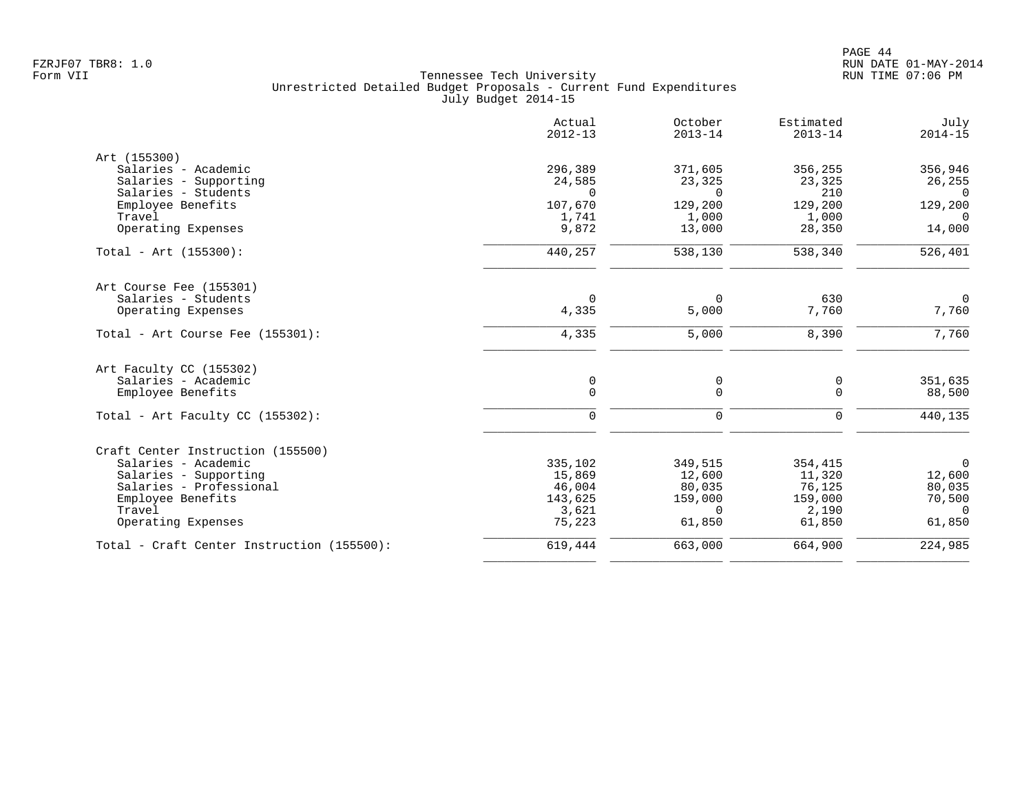|                                            | Actual<br>$2012 - 13$ | October<br>$2013 - 14$ | Estimated<br>$2013 - 14$ | July<br>$2014 - 15$ |
|--------------------------------------------|-----------------------|------------------------|--------------------------|---------------------|
| Art (155300)                               |                       |                        |                          |                     |
| Salaries - Academic                        | 296,389               | 371,605                | 356,255                  | 356,946             |
| Salaries - Supporting                      | 24,585                | 23,325                 | 23,325                   | 26,255              |
| Salaries - Students                        | $\Omega$              | $\Omega$               | 210                      | $\Omega$            |
| Employee Benefits                          | 107,670               | 129,200                | 129,200                  | 129,200             |
| Travel                                     | 1,741                 | 1,000                  | 1,000                    | $\Omega$            |
| Operating Expenses                         | 9,872                 | 13,000                 | 28,350                   | 14,000              |
| $Total - Art (155300):$                    | 440,257               | 538,130                | 538,340                  | 526,401             |
| Art Course Fee (155301)                    |                       |                        |                          |                     |
| Salaries - Students                        | $\Omega$              | $\Omega$               | 630                      | $\overline{0}$      |
| Operating Expenses                         | 4,335                 | 5,000                  | 7,760                    | 7,760               |
| Total - Art Course Fee (155301):           | 4,335                 | 5,000                  | 8,390                    | 7,760               |
| Art Faculty CC (155302)                    |                       |                        |                          |                     |
| Salaries - Academic                        | 0                     | 0                      | 0                        | 351,635             |
| Employee Benefits                          | $\mathbf 0$           | $\mathbf 0$            | $\Omega$                 | 88,500              |
| Total - Art Faculty CC $(155302)$ :        | $\mathbf 0$           | $\mathbf 0$            | $\mathbf 0$              | 440,135             |
| Craft Center Instruction (155500)          |                       |                        |                          |                     |
| Salaries - Academic                        | 335,102               | 349,515                | 354,415                  | $\mathsf{O}$        |
| Salaries - Supporting                      | 15,869                | 12,600                 | 11,320                   | 12,600              |
| Salaries - Professional                    | 46,004                | 80,035                 | 76,125                   | 80,035              |
| Employee Benefits                          | 143,625               | 159,000                | 159,000                  | 70,500              |
| Travel                                     | 3,621                 | $\Omega$               | 2,190                    | $\overline{0}$      |
| Operating Expenses                         | 75,223                | 61,850                 | 61,850                   | 61,850              |
| Total - Craft Center Instruction (155500): | 619,444               | 663,000                | 664,900                  | 224,985             |
|                                            |                       |                        |                          |                     |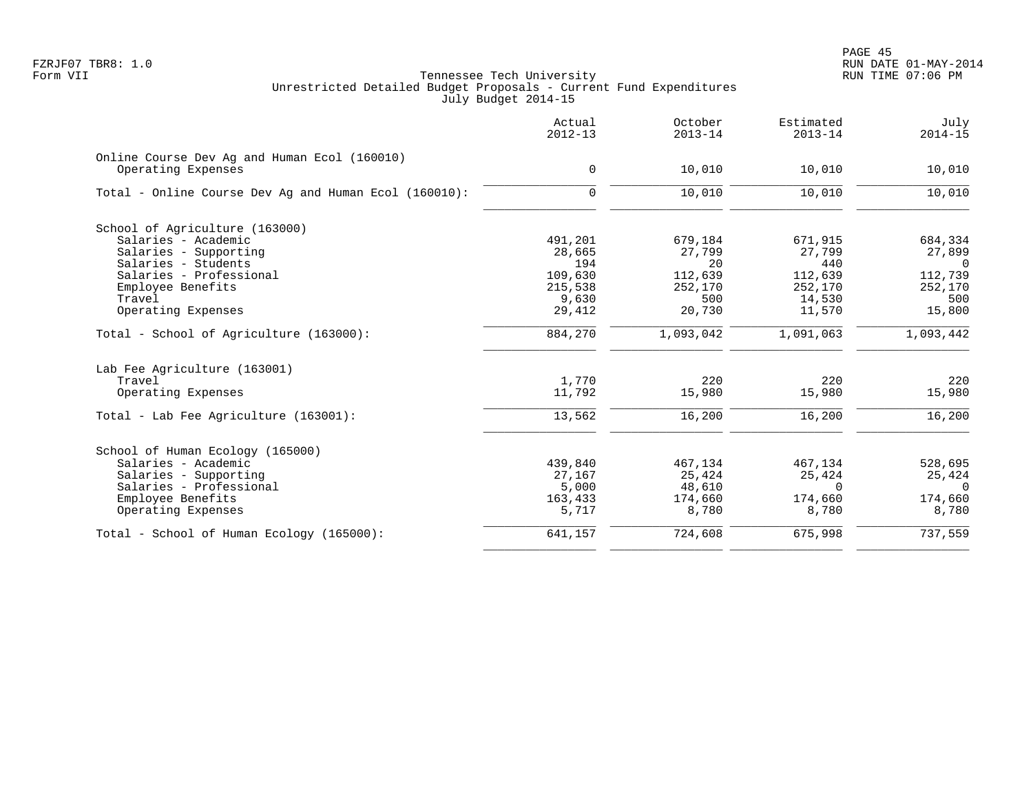|                                                                    | Actual<br>$2012 - 13$ | October<br>$2013 - 14$ | Estimated<br>$2013 - 14$ | July<br>$2014 - 15$ |
|--------------------------------------------------------------------|-----------------------|------------------------|--------------------------|---------------------|
| Online Course Dev Ag and Human Ecol (160010)<br>Operating Expenses | 0                     | 10,010                 | 10,010                   | 10,010              |
|                                                                    |                       |                        |                          |                     |
| Total - Online Course Dev Ag and Human Ecol (160010):              | 0                     | 10,010                 | 10,010                   | 10,010              |
| School of Agriculture (163000)                                     |                       |                        |                          |                     |
| Salaries - Academic                                                | 491,201               | 679,184                | 671,915                  | 684,334             |
| Salaries - Supporting                                              | 28,665                | 27,799                 | 27,799                   | 27,899              |
| Salaries - Students                                                | 194                   | 20                     | 440                      | $\Omega$            |
| Salaries - Professional                                            | 109,630               | 112,639                | 112,639                  | 112,739             |
| Employee Benefits                                                  | 215,538               | 252,170                | 252,170                  | 252,170             |
| Travel                                                             | 9,630                 | 500                    | 14,530                   | 500                 |
| Operating Expenses                                                 | 29,412                | 20,730                 | 11,570                   | 15,800              |
| Total - School of Agriculture (163000):                            | 884,270               | 1,093,042              | 1,091,063                | 1,093,442           |
| Lab Fee Agriculture (163001)                                       |                       |                        |                          |                     |
| Travel                                                             | 1,770                 | 220                    | 220                      | 220                 |
| Operating Expenses                                                 | 11,792                | 15,980                 | 15,980                   | 15,980              |
| Total - Lab Fee Agriculture (163001):                              | 13,562                | 16,200                 | 16,200                   | 16,200              |
| School of Human Ecology (165000)                                   |                       |                        |                          |                     |
| Salaries - Academic                                                | 439,840               | 467,134                | 467,134                  | 528,695             |
| Salaries - Supporting                                              | 27,167                | 25,424                 | 25,424                   | 25,424              |
| Salaries - Professional                                            | 5,000                 | 48,610                 | $\Omega$                 | $\mathbf 0$         |
| Employee Benefits                                                  | 163,433               | 174,660                | 174,660                  | 174,660             |
| Operating Expenses                                                 | 5,717                 | 8,780                  | 8,780                    | 8,780               |
| Total - School of Human Ecology (165000):                          | 641,157               | 724,608                | 675,998                  | 737,559             |
|                                                                    |                       |                        |                          |                     |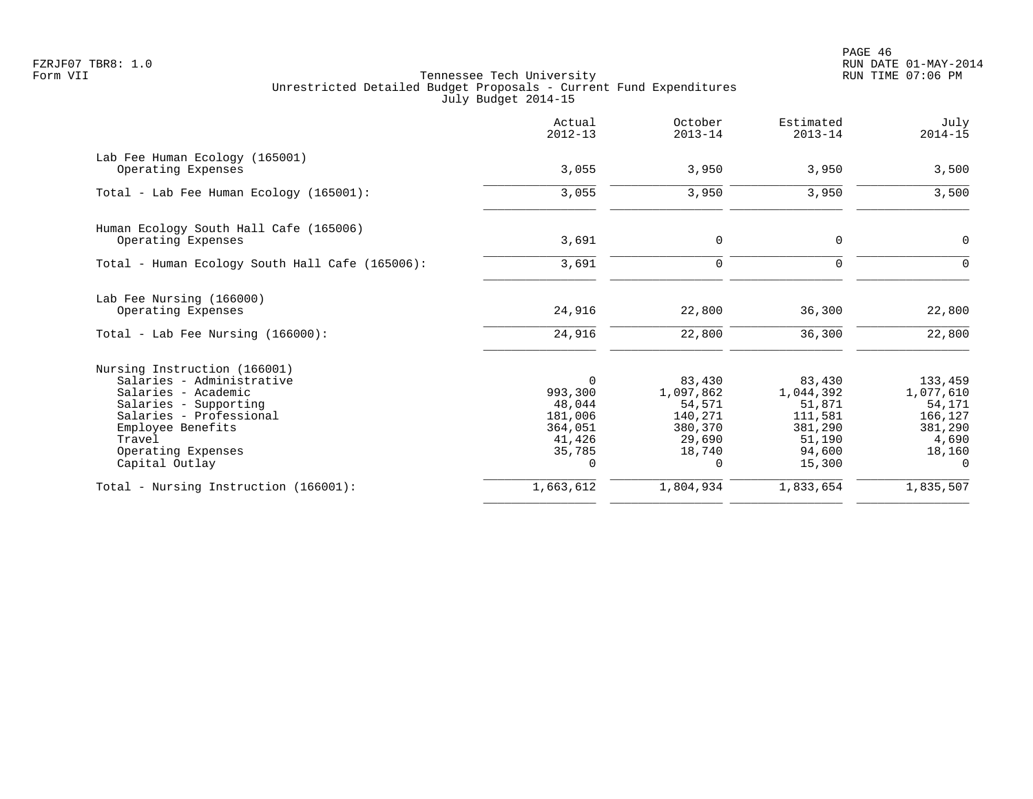PAGE 46 FZRJF07 TBR8: 1.0 RUN DATE 01-MAY-2014

| Actual<br>$2012 - 13$ | October<br>$2013 - 14$                                    | Estimated<br>$2013 - 14$                                  | July<br>$2014 - 15$                                       |
|-----------------------|-----------------------------------------------------------|-----------------------------------------------------------|-----------------------------------------------------------|
|                       |                                                           |                                                           | 3,500                                                     |
|                       |                                                           |                                                           |                                                           |
| 3,055                 | 3,950                                                     | 3,950                                                     | 3,500                                                     |
|                       |                                                           |                                                           |                                                           |
| 3,691                 | 0                                                         | 0                                                         | 0                                                         |
| 3,691                 | $\mathbf 0$                                               | $\Omega$                                                  | $\Omega$                                                  |
|                       |                                                           |                                                           |                                                           |
| 24,916                | 22,800                                                    | 36,300                                                    | 22,800                                                    |
| 24,916                | 22,800                                                    | 36,300                                                    | 22,800                                                    |
|                       |                                                           |                                                           |                                                           |
| $\Omega$              | 83,430                                                    | 83,430                                                    | 133,459                                                   |
| 993,300               | 1,097,862                                                 | 1,044,392                                                 | 1,077,610                                                 |
|                       |                                                           |                                                           | 54,171                                                    |
|                       |                                                           |                                                           | 166,127                                                   |
|                       |                                                           |                                                           | 381,290                                                   |
|                       |                                                           |                                                           | 4,690                                                     |
| 0                     | $\Omega$                                                  | 15,300                                                    | 18,160<br>$\Omega$                                        |
| 1,663,612             | 1,804,934                                                 | 1,833,654                                                 | 1,835,507                                                 |
|                       | 3,055<br>48,044<br>181,006<br>364,051<br>41,426<br>35,785 | 3,950<br>54,571<br>140,271<br>380,370<br>29,690<br>18,740 | 3,950<br>51,871<br>111,581<br>381,290<br>51,190<br>94,600 |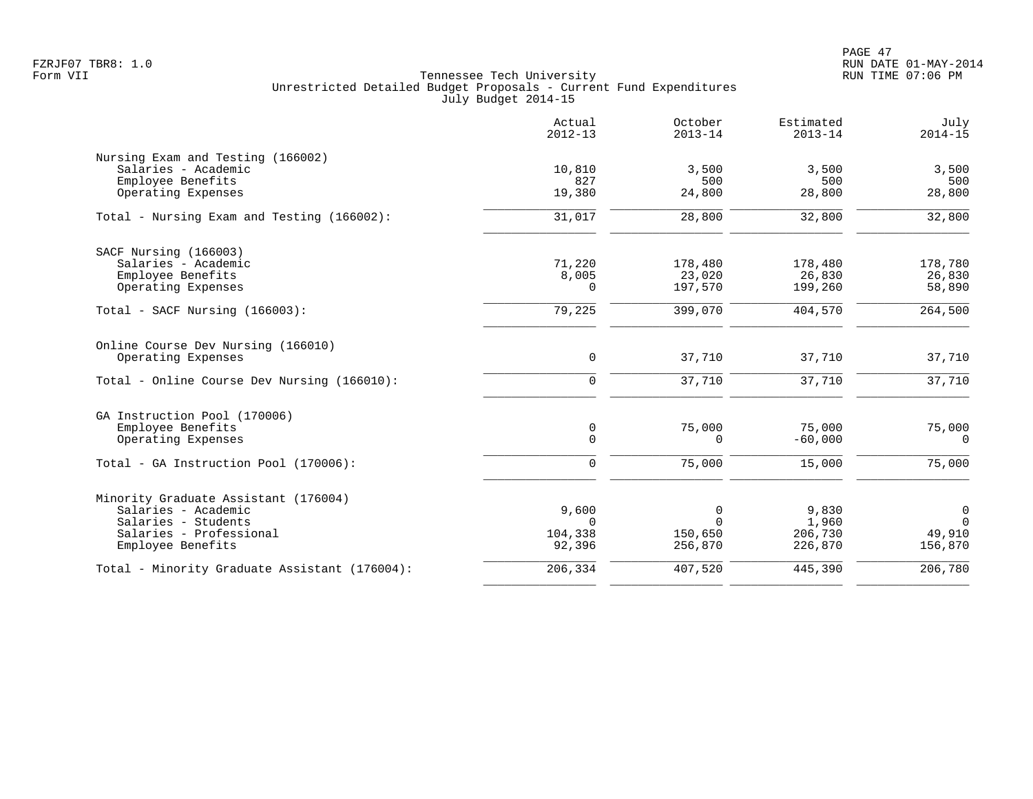|                                               | Actual<br>$2012 - 13$ | October<br>$2013 - 14$ | Estimated<br>$2013 - 14$ | July<br>$2014 - 15$ |
|-----------------------------------------------|-----------------------|------------------------|--------------------------|---------------------|
| Nursing Exam and Testing (166002)             |                       |                        |                          |                     |
| Salaries - Academic                           | 10,810                | 3,500                  | 3,500                    | 3,500               |
| Employee Benefits                             | 827                   | 500                    | 500                      | 500                 |
| Operating Expenses                            | 19,380                | 24,800                 | 28,800                   | 28,800              |
| Total - Nursing Exam and Testing (166002):    | 31,017                | 28,800                 | 32,800                   | 32,800              |
| SACF Nursing (166003)                         |                       |                        |                          |                     |
| Salaries - Academic                           | 71,220                | 178,480                | 178,480                  | 178,780             |
| Employee Benefits                             | 8,005                 | 23,020                 | 26,830                   | 26,830              |
| Operating Expenses                            | 0                     | 197,570                | 199,260                  | 58,890              |
| $Total - SACF Nursing (166003):$              | 79,225                | 399,070                | 404,570                  | 264,500             |
| Online Course Dev Nursing (166010)            |                       |                        |                          |                     |
| Operating Expenses                            | 0                     | 37,710                 | 37,710                   | 37,710              |
| Total - Online Course Dev Nursing (166010):   | $\mathbf 0$           | 37,710                 | 37,710                   | 37,710              |
| GA Instruction Pool (170006)                  |                       |                        |                          |                     |
| Employee Benefits                             | $\mathsf{O}$          | 75,000                 | 75,000                   | 75,000              |
| Operating Expenses                            | $\mathbf 0$           | 0                      | $-60,000$                | $\mathbf 0$         |
| Total - GA Instruction Pool (170006):         | $\mathbf 0$           | 75,000                 | 15,000                   | 75,000              |
| Minority Graduate Assistant (176004)          |                       |                        |                          |                     |
| Salaries - Academic                           | 9,600                 | 0                      | 9,830                    | $\mathsf{O}$        |
| Salaries - Students                           | $\Omega$              | $\Omega$               | 1,960                    | $\Omega$            |
| Salaries - Professional                       | 104,338               | 150,650                | 206,730                  | 49,910              |
| Employee Benefits                             | 92,396                | 256,870                | 226,870                  | 156,870             |
| Total - Minority Graduate Assistant (176004): | 206,334               | 407,520                | 445,390                  | 206,780             |
|                                               |                       |                        |                          |                     |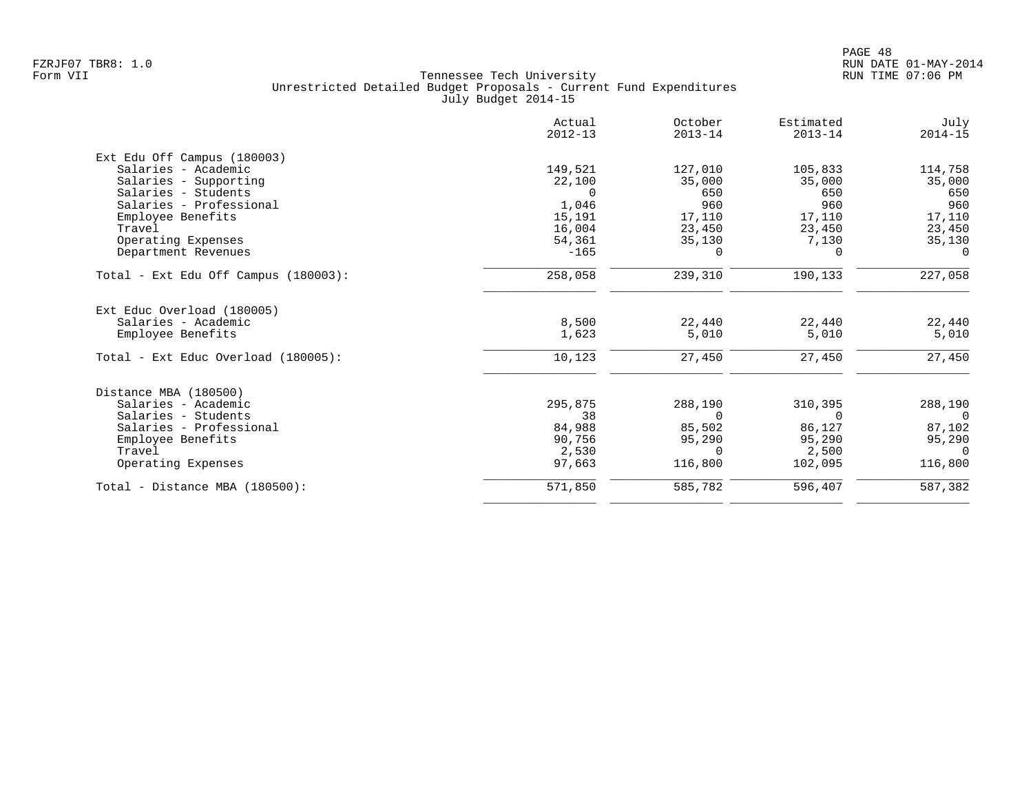| Actual<br>$2012 - 13$ | October<br>$2013 - 14$ | Estimated<br>$2013 - 14$ | July<br>$2014 - 15$        |
|-----------------------|------------------------|--------------------------|----------------------------|
|                       |                        |                          |                            |
| 149,521               | 127,010                | 105,833                  | 114,758                    |
| 22,100                | 35,000                 | 35,000                   | 35,000                     |
| $\Omega$              | 650                    | 650                      | 650                        |
| 1,046                 | 960                    | 960                      | 960                        |
| 15,191                | 17,110                 | 17,110                   | 17,110                     |
| 16,004                |                        | 23,450                   | 23,450                     |
| 54,361                | 35,130                 | 7,130                    | 35,130                     |
| $-165$                | $\Omega$               | $\Omega$                 | $\Omega$                   |
| 258,058               | 239,310                | 190,133                  | 227,058                    |
|                       |                        |                          |                            |
| 8,500                 | 22,440                 |                          | 22,440                     |
| 1,623                 | 5,010                  | 5,010                    | 5,010                      |
| 10,123                | 27,450                 | 27,450                   | 27,450                     |
|                       |                        |                          |                            |
|                       |                        |                          | 288,190                    |
| 38                    | $\Omega$               | $\Omega$                 | $\overline{0}$             |
| 84,988                | 85,502                 | 86,127                   | 87,102                     |
| 90,756                | 95,290                 | 95,290                   | 95,290                     |
|                       | $\Omega$               |                          | $\Omega$                   |
| 97,663                | 116,800                | 102,095                  | 116,800                    |
|                       |                        |                          |                            |
|                       | 295,875<br>2,530       | 23,450<br>288,190        | 22,440<br>310,395<br>2,500 |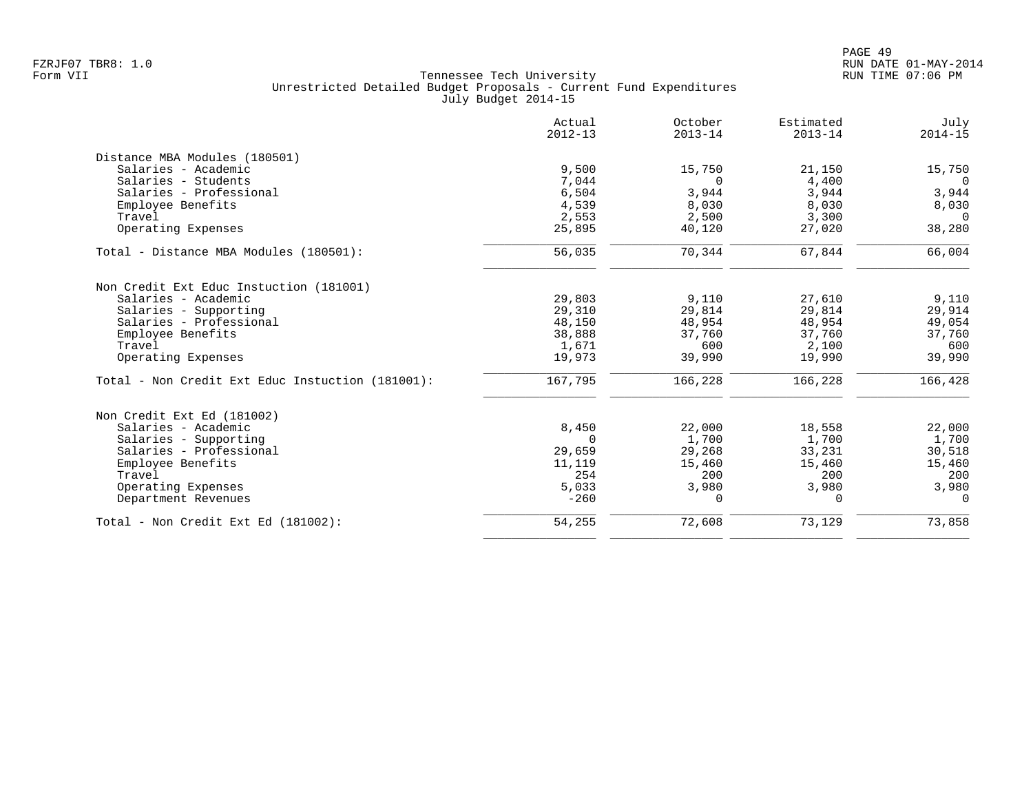|                                                  | Actual<br>$2012 - 13$ | October<br>$2013 - 14$ | Estimated<br>$2013 - 14$ | July<br>$2014 - 15$ |
|--------------------------------------------------|-----------------------|------------------------|--------------------------|---------------------|
| Distance MBA Modules (180501)                    |                       |                        |                          |                     |
| Salaries - Academic                              | 9,500                 | 15,750                 | 21,150                   | 15,750              |
| Salaries - Students                              | 7,044                 | 0                      | 4,400                    | $\overline{0}$      |
| Salaries - Professional                          | 6,504                 | 3,944                  | 3,944                    | 3,944               |
| Employee Benefits                                | 4,539                 | 8,030                  | 8,030                    | 8,030               |
| Travel                                           | 2,553                 | 2,500                  | 3,300                    | $\Omega$            |
| Operating Expenses                               | 25,895                | 40,120                 | 27,020                   | 38,280              |
| Total - Distance MBA Modules (180501):           | 56,035                | 70,344                 | 67,844                   | 66,004              |
| Non Credit Ext Educ Instuction (181001)          |                       |                        |                          |                     |
| Salaries - Academic                              | 29,803                | 9,110                  | 27,610                   | 9,110               |
| Salaries - Supporting                            | 29,310                | 29,814                 | 29,814                   | 29,914              |
| Salaries - Professional                          | 48,150                | 48,954                 | 48,954                   | 49,054              |
| Employee Benefits                                | 38,888                | 37,760                 | 37,760                   | 37,760              |
| Travel                                           | 1,671                 | 600                    | 2,100                    | 600                 |
| Operating Expenses                               | 19,973                | 39,990                 | 19,990                   | 39,990              |
| Total - Non Credit Ext Educ Instuction (181001): | 167,795               | 166,228                | 166,228                  | 166,428             |
| Non Credit Ext Ed (181002)                       |                       |                        |                          |                     |
| Salaries - Academic                              | 8,450                 | 22,000                 | 18,558                   | 22,000              |
| Salaries - Supporting                            | $\Omega$              | 1,700                  | 1,700                    | 1,700               |
| Salaries - Professional                          | 29,659                | 29,268                 | 33,231                   | 30,518              |
| Employee Benefits                                | 11,119                | 15,460                 | 15,460                   | 15,460              |
| Travel                                           | 254                   | 200                    | 200                      | 200                 |
| Operating Expenses                               | 5,033                 | 3,980                  | 3,980                    | 3,980               |
| Department Revenues                              | $-260$                | $\Omega$               | $\Omega$                 | $\Omega$            |
| Total - Non Credit Ext Ed (181002):              | 54,255                | 72,608                 | 73,129                   | 73,858              |
|                                                  |                       |                        |                          |                     |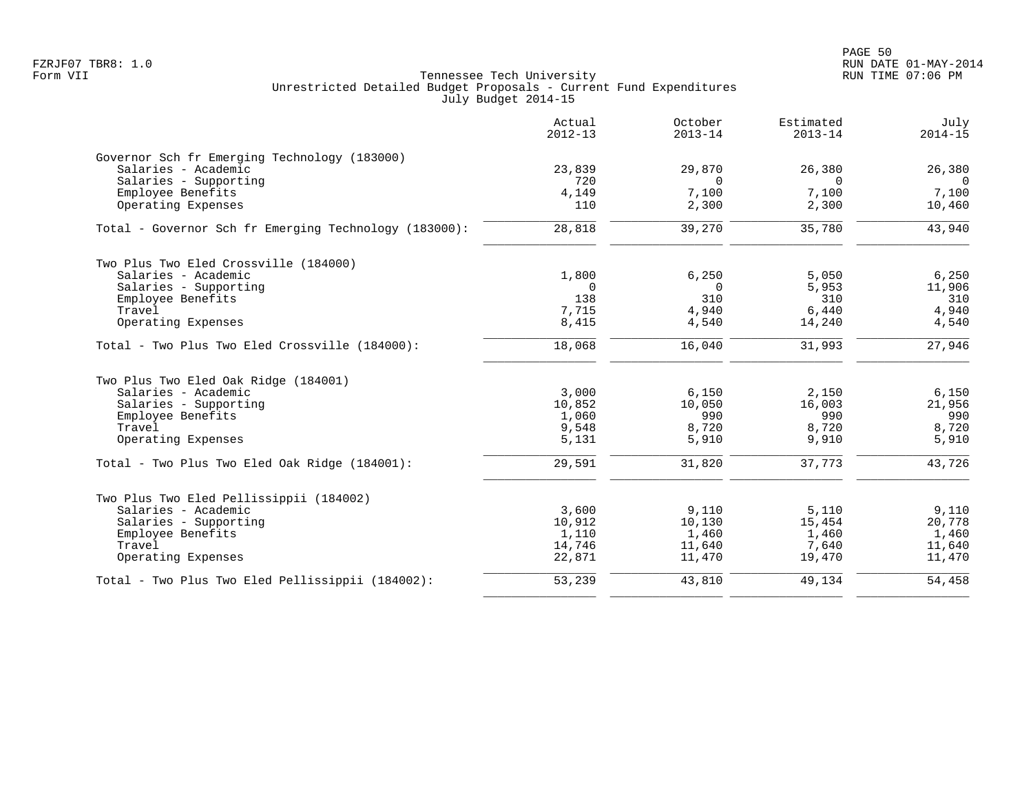|                                                       | Actual<br>$2012 - 13$ | October<br>$2013 - 14$ | Estimated<br>$2013 - 14$ | July<br>$2014 - 15$ |
|-------------------------------------------------------|-----------------------|------------------------|--------------------------|---------------------|
| Governor Sch fr Emerging Technology (183000)          |                       |                        |                          |                     |
| Salaries - Academic                                   | 23,839                | 29,870                 | 26,380                   | 26,380              |
| Salaries - Supporting                                 | 720                   | $\Omega$               | $\Omega$                 | $\overline{0}$      |
| Employee Benefits<br>Operating Expenses               | 4,149<br>110          | 7,100<br>2,300         | 7,100<br>2,300           | 7,100<br>10,460     |
| Total - Governor Sch fr Emerging Technology (183000): | 28,818                | 39,270                 | 35,780                   | 43,940              |
| Two Plus Two Eled Crossville (184000)                 |                       |                        |                          |                     |
| Salaries - Academic                                   | 1,800                 | 6.250                  | 5,050                    | 6,250               |
| Salaries - Supporting                                 | $\overline{0}$        | $\mathbf 0$            | 5,953                    | 11,906              |
| Employee Benefits                                     | 138                   | 310                    | 310                      | 310                 |
| Travel                                                | 7,715                 | 4,940                  | 6,440                    | 4,940               |
| Operating Expenses                                    | 8,415                 | 4,540                  | 14,240                   | 4,540               |
| Total - Two Plus Two Eled Crossville (184000):        | 18,068                | 16,040                 | 31,993                   | 27,946              |
| Two Plus Two Eled Oak Ridge (184001)                  |                       |                        |                          |                     |
| Salaries - Academic                                   | 3,000                 | 6,150                  | 2,150                    | 6,150               |
| Salaries - Supporting                                 | 10,852                | 10,050                 | 16,003                   | 21,956              |
| Employee Benefits                                     | 1,060                 | 990                    | 990                      | 990                 |
| Travel<br>Operating Expenses                          | 9,548                 | 8,720<br>5,910         | 8,720<br>9,910           | 8,720               |
|                                                       | 5,131                 |                        |                          | 5,910               |
| Total - Two Plus Two Eled Oak Ridge (184001):         | 29,591                | 31,820                 | 37,773                   | 43,726              |
| Two Plus Two Eled Pellissippii (184002)               |                       |                        |                          |                     |
| Salaries - Academic                                   | 3,600                 | 9,110                  | 5,110                    | 9,110               |
| Salaries - Supporting                                 | 10,912                | 10,130                 | 15,454                   | 20,778              |
| Employee Benefits                                     | 1,110                 | 1,460                  | 1,460                    | 1,460               |
| Travel                                                | 14,746                | 11,640                 | 7,640                    | 11,640              |
| Operating Expenses                                    | 22,871                | 11,470                 | 19,470                   | 11,470              |
| Total - Two Plus Two Eled Pellissippii (184002):      | 53,239                | 43,810                 | 49,134                   | 54,458              |
|                                                       |                       |                        |                          |                     |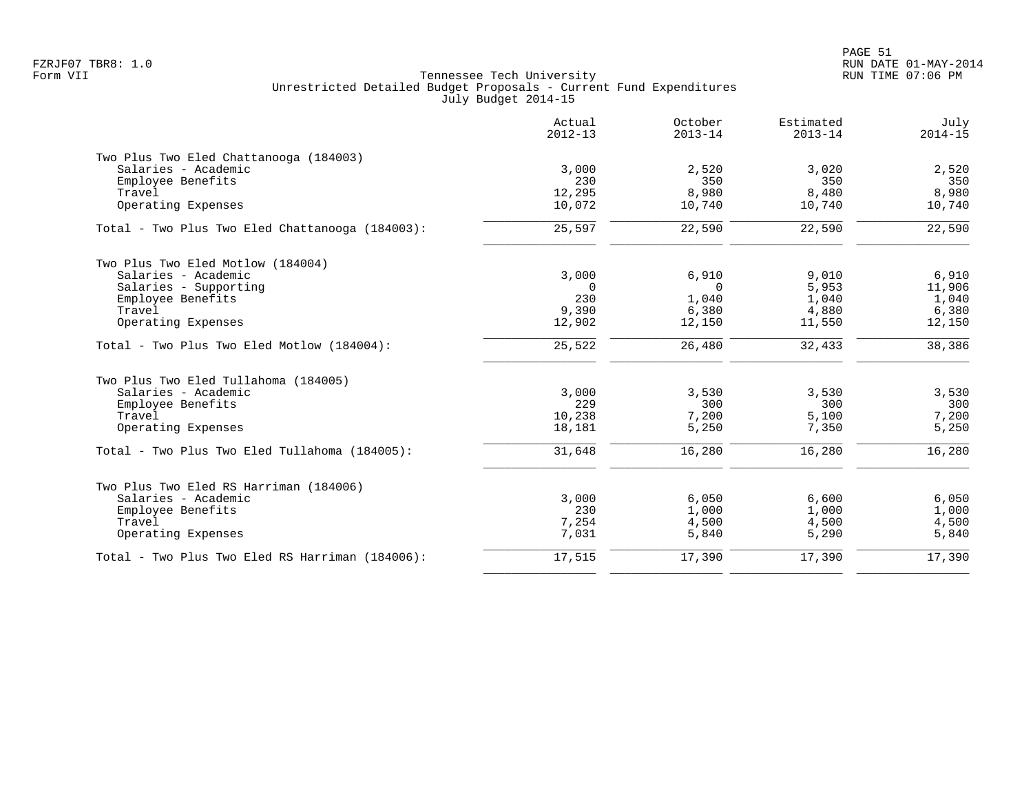|                                                 | Actual<br>$2012 - 13$ | October<br>$2013 - 14$ | Estimated<br>$2013 - 14$ | July<br>$2014 - 15$ |
|-------------------------------------------------|-----------------------|------------------------|--------------------------|---------------------|
| Two Plus Two Eled Chattanooga (184003)          |                       |                        |                          |                     |
| Salaries - Academic                             | 3,000                 | 2,520                  | 3,020                    | 2,520               |
| Employee Benefits                               | 230                   | 350                    | 350                      | 350                 |
| Travel                                          | 12,295                | 8,980                  | 8,480                    | 8,980               |
| Operating Expenses                              | 10,072                | 10,740                 | 10,740                   | 10,740              |
| Total - Two Plus Two Eled Chattanooga (184003): | 25,597                | 22,590                 | 22,590                   | 22,590              |
| Two Plus Two Eled Motlow (184004)               |                       |                        |                          |                     |
| Salaries - Academic                             | 3,000                 | 6,910                  | 9,010                    | 6,910               |
| Salaries - Supporting                           | $\Omega$              | $\Omega$               | 5,953                    | 11,906              |
| Employee Benefits                               | 230                   | 1,040                  | 1,040                    | 1,040               |
| Travel                                          | 9,390                 | 6,380                  | 4,880                    | 6,380               |
| Operating Expenses                              | 12,902                | 12,150                 | 11,550                   | 12,150              |
| Total - Two Plus Two Eled Motlow (184004):      | 25,522                | 26,480                 | 32,433                   | 38,386              |
| Two Plus Two Eled Tullahoma (184005)            |                       |                        |                          |                     |
| Salaries - Academic                             | 3,000                 | 3,530                  | 3,530                    | 3,530               |
| Employee Benefits                               | 229                   | 300                    | 300                      | 300                 |
| Travel                                          | 10,238                | 7,200                  | 5,100                    | 7,200               |
| Operating Expenses                              | 18,181                | 5,250                  | 7,350                    | 5,250               |
| Total - Two Plus Two Eled Tullahoma (184005):   | 31,648                | 16,280                 | 16,280                   | 16,280              |
| Two Plus Two Eled RS Harriman (184006)          |                       |                        |                          |                     |
| Salaries - Academic                             | 3,000                 | 6,050                  | 6,600                    | 6,050               |
| Employee Benefits                               | 230                   | 1,000                  | 1,000                    | 1,000               |
| Travel                                          | 7,254                 | 4,500                  | 4,500                    | 4,500               |
| Operating Expenses                              | 7,031                 | 5,840                  | 5,290                    | 5,840               |
| Total - Two Plus Two Eled RS Harriman (184006): | 17,515                | 17,390                 | 17,390                   | 17,390              |
|                                                 |                       |                        |                          |                     |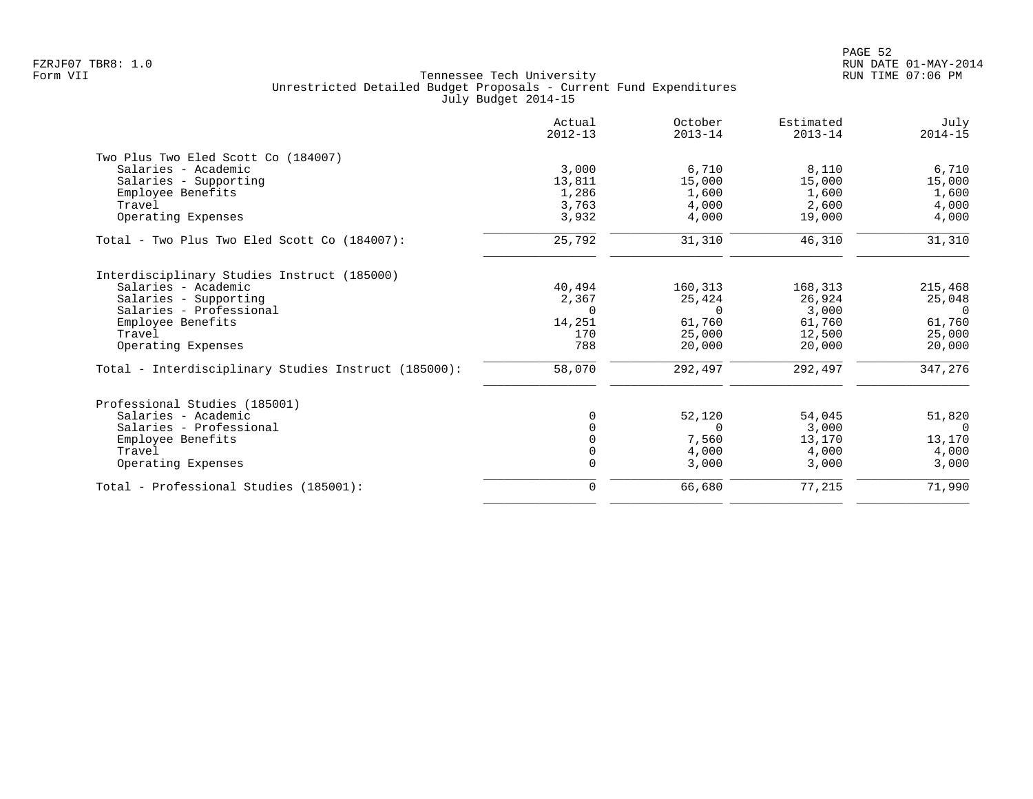|                                                      | Actual<br>$2012 - 13$ | October<br>$2013 - 14$ | Estimated<br>$2013 - 14$ | July<br>$2014 - 15$ |
|------------------------------------------------------|-----------------------|------------------------|--------------------------|---------------------|
| Two Plus Two Eled Scott Co (184007)                  |                       |                        |                          |                     |
| Salaries - Academic                                  | 3,000                 | 6,710                  | 8,110                    | 6,710               |
| Salaries - Supporting                                | 13,811                | 15,000                 | 15,000                   | 15,000              |
| Employee Benefits                                    | 1,286                 | 1,600                  | 1,600                    | 1,600               |
| Travel                                               | 3,763                 | 4,000                  | 2,600                    | 4,000               |
| Operating Expenses                                   | 3,932                 | 4,000                  | 19,000                   | 4,000               |
| Total - Two Plus Two Eled Scott Co (184007):         | 25,792                | 31,310                 | 46,310                   | 31,310              |
| Interdisciplinary Studies Instruct (185000)          |                       |                        |                          |                     |
| Salaries - Academic                                  | 40,494                | 160,313                | 168,313                  | 215,468             |
| Salaries - Supporting                                | 2,367                 | 25,424                 | 26,924                   | 25,048              |
| Salaries - Professional                              | $\Omega$              | $\Omega$               | 3,000                    | $\overline{0}$      |
| Employee Benefits                                    | 14,251                | 61,760                 | 61,760                   | 61,760              |
| Travel                                               | 170                   | 25,000                 | 12,500                   | 25,000              |
| Operating Expenses                                   | 788                   | 20,000                 | 20,000                   | 20,000              |
| Total - Interdisciplinary Studies Instruct (185000): | 58,070                | 292,497                | 292,497                  | 347,276             |
| Professional Studies (185001)                        |                       |                        |                          |                     |
| Salaries - Academic                                  |                       | 52,120                 | 54,045                   | 51,820              |
| Salaries - Professional                              |                       | $\Omega$               | 3,000                    | $\Omega$            |
| Employee Benefits                                    |                       | 7,560                  | 13,170                   | 13,170              |
| Travel                                               |                       | 4,000                  | 4,000                    | 4,000               |
| Operating Expenses                                   |                       | 3,000                  | 3,000                    | 3,000               |
| Total - Professional Studies (185001):               | $\mathbf 0$           | 66,680                 | 77,215                   | 71,990              |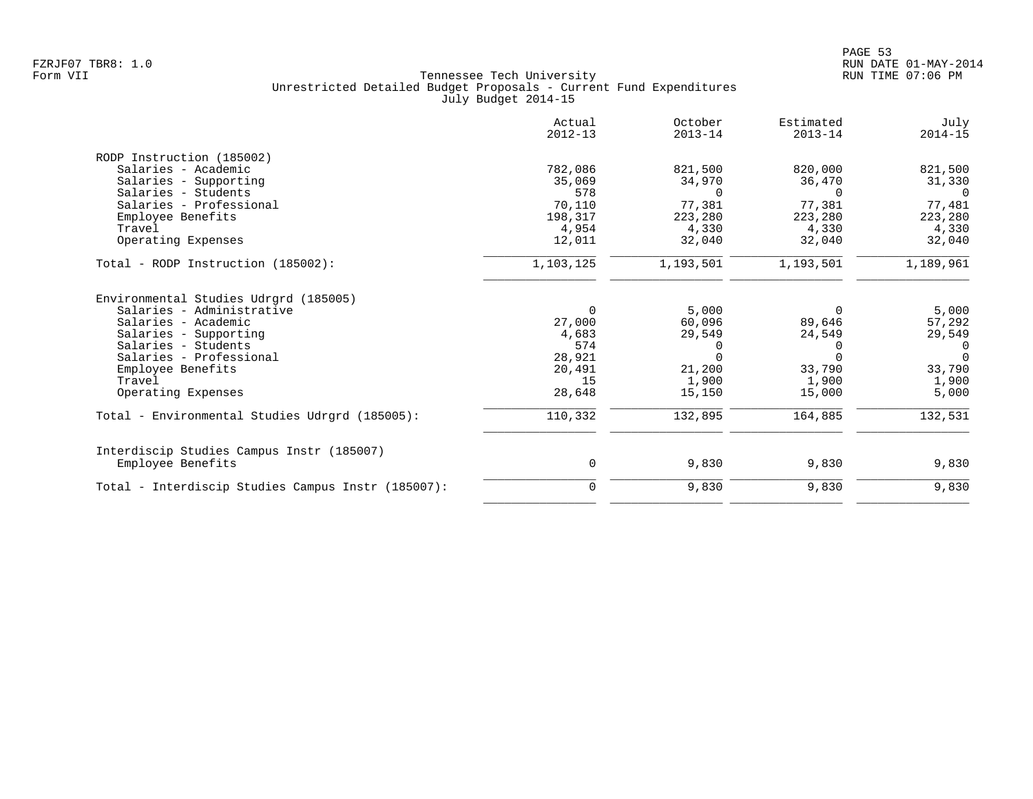|                                                    | Actual<br>$2012 - 13$ | October<br>$2013 - 14$ | Estimated<br>$2013 - 14$ | July<br>$2014 - 15$ |
|----------------------------------------------------|-----------------------|------------------------|--------------------------|---------------------|
| RODP Instruction (185002)                          |                       |                        |                          |                     |
| Salaries - Academic                                | 782,086               | 821,500                | 820,000                  | 821,500             |
| Salaries - Supporting                              | 35,069                | 34,970                 | 36,470                   | 31,330              |
| Salaries - Students                                | 578                   | $\Omega$               | $\Omega$                 | $\Omega$            |
| Salaries - Professional                            | 70,110                | 77,381                 | 77,381                   | 77,481              |
| Employee Benefits                                  | 198,317               | 223,280                | 223,280                  | 223,280             |
| Travel                                             | 4,954                 | 4,330                  | 4,330                    | 4,330               |
| Operating Expenses                                 | 12,011                | 32,040                 | 32,040                   | 32,040              |
| Total - RODP Instruction (185002):                 | 1,103,125             | 1,193,501              | 1,193,501                | 1,189,961           |
| Environmental Studies Udrgrd (185005)              |                       |                        |                          |                     |
| Salaries - Administrative                          | $\Omega$              | 5,000                  | $\Omega$                 | 5,000               |
| Salaries - Academic                                | 27,000                | 60,096                 | 89,646                   | 57,292              |
| Salaries - Supporting                              | 4,683                 | 29,549                 | 24,549                   | 29,549              |
| Salaries - Students                                | 574                   | $\Omega$               | $\Omega$                 | $\Omega$            |
| Salaries - Professional                            | 28,921                | $\Omega$               | $\Omega$                 | $\Omega$            |
| Employee Benefits                                  | 20,491                | 21,200                 | 33,790                   | 33,790              |
| Travel                                             | 15                    | 1,900                  | 1,900                    | 1,900               |
| Operating Expenses                                 | 28,648                | 15,150                 | 15,000                   | 5,000               |
| Total - Environmental Studies Udrgrd (185005):     | 110,332               | 132,895                | 164,885                  | 132,531             |
| Interdiscip Studies Campus Instr (185007)          |                       |                        |                          |                     |
| Employee Benefits                                  | 0                     | 9,830                  | 9,830                    | 9,830               |
| Total - Interdiscip Studies Campus Instr (185007): | $\mathbf 0$           | 9,830                  | 9,830                    | 9,830               |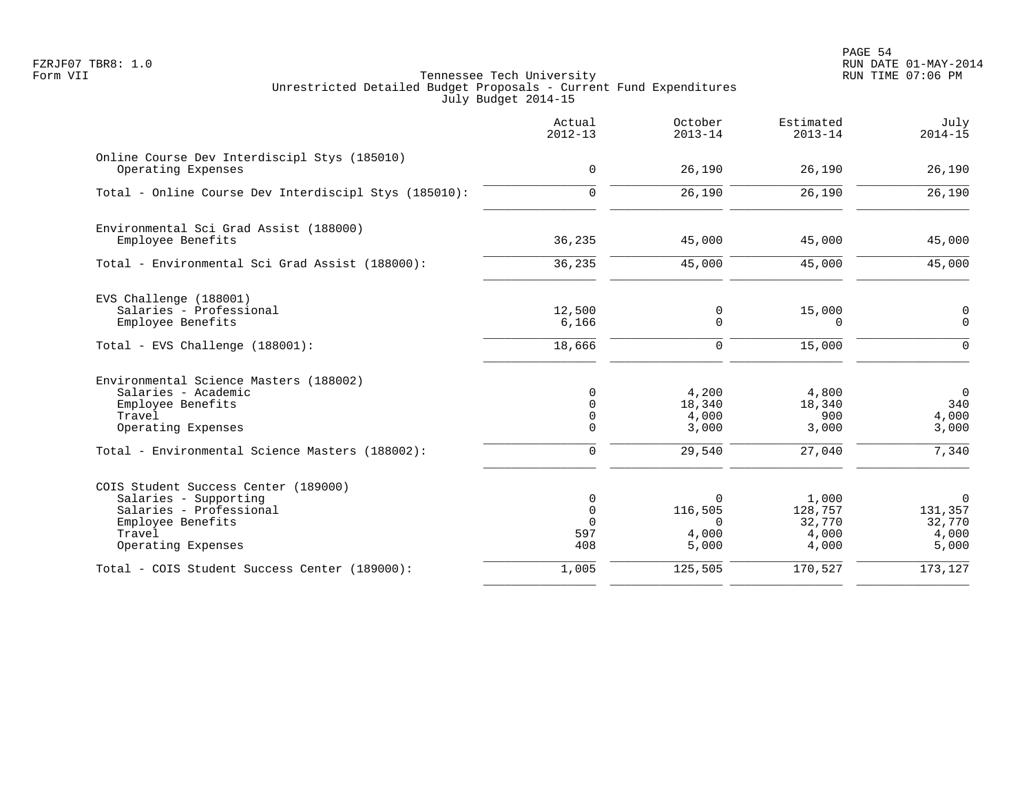PAGE 54 FZRJF07 TBR8: 1.0 RUN DATE 01-MAY-2014

|                                                                                                                                               | Actual<br>$2012 - 13$                                | October<br>$2013 - 14$                            | Estimated<br>$2013 - 14$                     | July<br>$2014 - 15$                                |
|-----------------------------------------------------------------------------------------------------------------------------------------------|------------------------------------------------------|---------------------------------------------------|----------------------------------------------|----------------------------------------------------|
| Online Course Dev Interdiscipl Stys (185010)<br>Operating Expenses                                                                            | $\mathbf 0$                                          | 26,190                                            | 26,190                                       | 26,190                                             |
| Total - Online Course Dev Interdiscipl Stys (185010):                                                                                         | $\Omega$                                             | 26,190                                            | 26,190                                       | 26,190                                             |
| Environmental Sci Grad Assist (188000)<br>Employee Benefits                                                                                   | 36,235                                               | 45,000                                            | 45,000                                       | 45,000                                             |
| Total - Environmental Sci Grad Assist (188000):                                                                                               | 36,235                                               | 45,000                                            | 45,000                                       | 45,000                                             |
| EVS Challenge (188001)<br>Salaries - Professional<br>Employee Benefits                                                                        | 12,500<br>6,166                                      | $\mathbf 0$<br>$\mathbf 0$                        | 15,000<br>$\Omega$                           | $\boldsymbol{0}$<br>$\Omega$                       |
| Total - EVS Challenge (188001):                                                                                                               | 18,666                                               | $\mathbf 0$                                       | 15,000                                       | $\Omega$                                           |
| Environmental Science Masters (188002)<br>Salaries - Academic<br>Employee Benefits<br>Travel<br>Operating Expenses                            | 0<br>$\mathbf 0$<br>$\mathbf 0$<br>$\mathbf 0$       | 4,200<br>18,340<br>4,000<br>3,000                 | 4,800<br>18,340<br>900<br>3,000              | $\mathbf 0$<br>340<br>4,000<br>3,000               |
| Total - Environmental Science Masters (188002):                                                                                               | $\mathbf 0$                                          | 29,540                                            | 27,040                                       | 7,340                                              |
| COIS Student Success Center (189000)<br>Salaries - Supporting<br>Salaries - Professional<br>Employee Benefits<br>Travel<br>Operating Expenses | $\mathbf 0$<br>$\mathbf 0$<br>$\Omega$<br>597<br>408 | $\Omega$<br>116,505<br>$\Omega$<br>4,000<br>5,000 | 1,000<br>128,757<br>32,770<br>4,000<br>4,000 | $\mathbf 0$<br>131,357<br>32,770<br>4,000<br>5,000 |
| Total - COIS Student Success Center (189000):                                                                                                 | 1,005                                                | 125,505                                           | 170,527                                      | 173,127                                            |
|                                                                                                                                               |                                                      |                                                   |                                              |                                                    |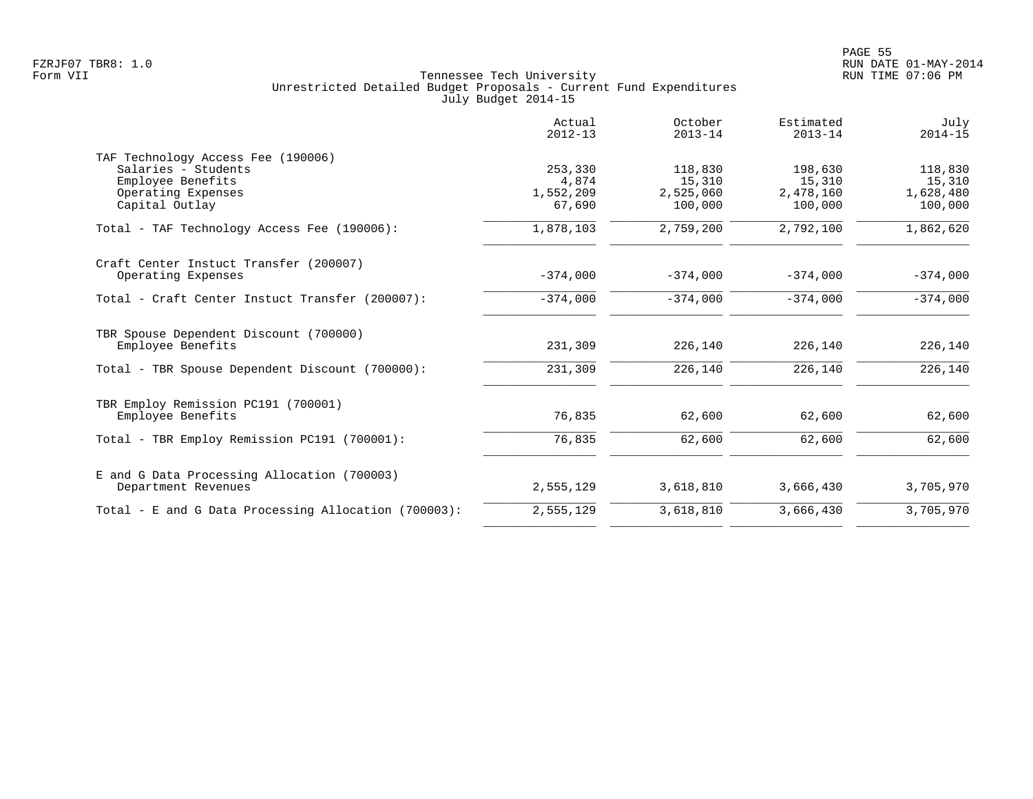|                                                                                                                        | Actual<br>$2012 - 13$                   | October<br>$2013 - 14$                    | Estimated<br>$2013 - 14$                  | July<br>$2014 - 15$                       |
|------------------------------------------------------------------------------------------------------------------------|-----------------------------------------|-------------------------------------------|-------------------------------------------|-------------------------------------------|
| TAF Technology Access Fee (190006)<br>Salaries - Students<br>Employee Benefits<br>Operating Expenses<br>Capital Outlay | 253,330<br>4,874<br>1,552,209<br>67,690 | 118,830<br>15,310<br>2,525,060<br>100,000 | 198,630<br>15,310<br>2,478,160<br>100,000 | 118,830<br>15,310<br>1,628,480<br>100,000 |
| Total - TAF Technology Access Fee (190006):                                                                            | 1,878,103                               | 2,759,200                                 | 2,792,100                                 | 1,862,620                                 |
| Craft Center Instuct Transfer (200007)<br>Operating Expenses                                                           | $-374,000$                              | $-374,000$                                | $-374,000$                                | $-374,000$                                |
| Total - Craft Center Instuct Transfer (200007):                                                                        | $-374,000$                              | $-374,000$                                | $-374,000$                                | $-374,000$                                |
| TBR Spouse Dependent Discount (700000)<br>Employee Benefits                                                            | 231,309                                 | 226,140                                   | 226,140                                   | 226,140                                   |
| Total - TBR Spouse Dependent Discount (700000):                                                                        | 231,309                                 | 226,140                                   | 226,140                                   | 226,140                                   |
| TBR Employ Remission PC191 (700001)<br>Employee Benefits                                                               | 76,835                                  | 62,600                                    | 62,600                                    | 62,600                                    |
| Total - TBR Employ Remission PC191 (700001):                                                                           | 76,835                                  | 62,600                                    | 62,600                                    | 62,600                                    |
| E and G Data Processing Allocation (700003)<br>Department Revenues                                                     | 2,555,129                               | 3,618,810                                 | 3,666,430                                 | 3,705,970                                 |
| Total - E and G Data Processing Allocation (700003):                                                                   | 2,555,129                               | 3,618,810                                 | 3,666,430                                 | 3,705,970                                 |
|                                                                                                                        |                                         |                                           |                                           |                                           |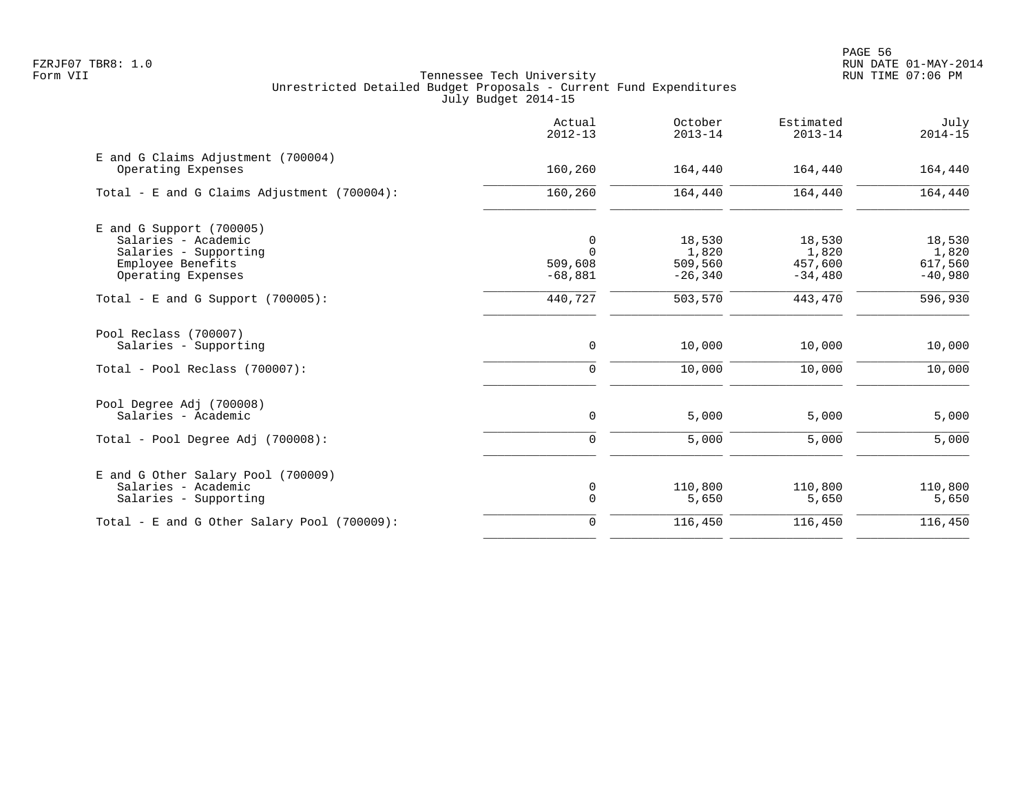en and the state of the state of the state of the state of the state of the state of the state of the state of the state of the state of the state of the state of the state of the state of the state of the state of the sta FZRJF07 TBR8: 1.0 RUN DATE 01-MAY-2014

|                                                          | Actual<br>$2012 - 13$ | October<br>$2013 - 14$ | Estimated<br>$2013 - 14$ | July<br>$2014 - 15$  |
|----------------------------------------------------------|-----------------------|------------------------|--------------------------|----------------------|
| E and G Claims Adjustment (700004)<br>Operating Expenses | 160,260               | 164,440                | 164,440                  | 164,440              |
| Total - E and G Claims Adjustment (700004):              | 160,260               | 164,440                | 164,440                  | 164,440              |
| $E$ and G Support (700005)                               |                       |                        |                          |                      |
| Salaries - Academic                                      | 0                     | 18,530                 | 18,530                   | 18,530               |
| Salaries - Supporting                                    | $\Omega$              | 1,820                  | 1,820                    | 1,820                |
| Employee Benefits                                        | 509,608               | 509,560                | 457,600                  | 617,560              |
| Operating Expenses                                       | $-68,881$             | $-26, 340$             | $-34,480$                | $-40,980$            |
| Total - E and G Support $(700005)$ :                     | 440,727               | 503,570                | 443,470                  | $\overline{596,930}$ |
| Pool Reclass (700007)<br>Salaries - Supporting           | 0                     | 10,000                 | 10,000                   | 10,000               |
|                                                          |                       |                        |                          |                      |
| Total - Pool Reclass (700007):                           | $\mathbf 0$           | 10,000                 | 10,000                   | 10,000               |
| Pool Degree Adj (700008)                                 |                       |                        |                          |                      |
| Salaries - Academic                                      | 0                     | 5,000                  | 5,000                    | 5,000                |
| Total - Pool Degree Adj (700008):                        | $\mathbf 0$           | 5,000                  | 5,000                    | 5,000                |
| E and G Other Salary Pool (700009)                       |                       |                        |                          |                      |
| Salaries - Academic                                      | 0                     | 110,800                | 110,800                  | 110,800              |
| Salaries - Supporting                                    | $\mathbf 0$           | 5,650                  | 5,650                    | 5,650                |
| Total - E and G Other Salary Pool (700009):              | $\mathbf 0$           | 116,450                | 116,450                  | 116,450              |
|                                                          |                       |                        |                          |                      |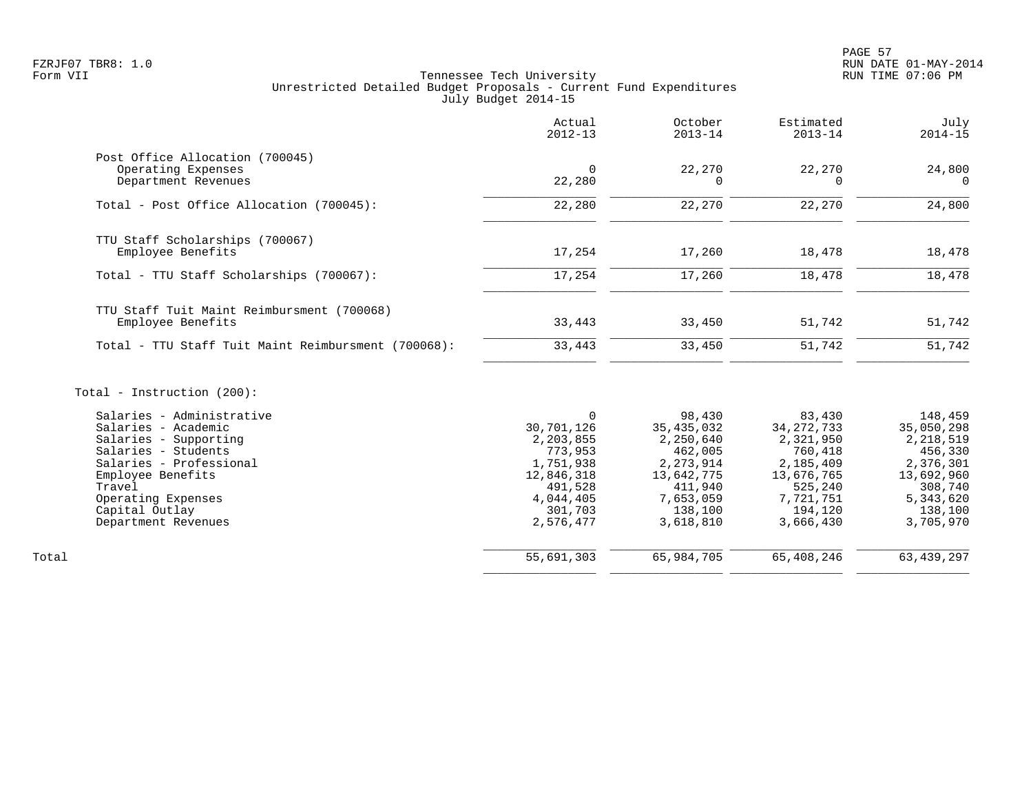# FZRJF07 TBR8: 1.0 RUN DATE 01-MAY-2014 Tennessee Tech University Unrestricted Detailed Budget Proposals - Current Fund Expenditures July Budget 2014-15

|                                                     | Actual<br>$2012 - 13$ | October<br>$2013 - 14$ | Estimated<br>$2013 - 14$ | July<br>$2014 - 15$ |
|-----------------------------------------------------|-----------------------|------------------------|--------------------------|---------------------|
| Post Office Allocation (700045)                     |                       |                        |                          |                     |
| Operating Expenses                                  | $\Omega$              | 22,270                 | 22,270                   | 24,800              |
| Department Revenues                                 | 22,280                | O                      |                          | $\Omega$            |
| Total - Post Office Allocation (700045):            | 22,280                | 22,270                 | 22,270                   | 24,800              |
| TTU Staff Scholarships (700067)                     |                       |                        |                          |                     |
| Employee Benefits                                   | 17,254                | 17,260                 | 18,478                   | 18,478              |
| Total - TTU Staff Scholarships (700067):            | 17,254                | 17,260                 | 18,478                   | 18,478              |
| TTU Staff Tuit Maint Reimbursment (700068)          |                       |                        |                          |                     |
| Employee Benefits                                   | 33,443                | 33,450                 | 51,742                   | 51,742              |
| Total - TTU Staff Tuit Maint Reimbursment (700068): | 33,443                | 33,450                 | 51,742                   | 51,742              |
| Total - Instruction $(200)$ :                       |                       |                        |                          |                     |
| Salaries - Administrative                           | $\Omega$              | 98,430                 | 83,430                   | 148,459             |
| Salaries - Academic                                 | 30,701,126            | 35, 435, 032           | 34, 272, 733             | 35,050,298          |
| Salaries - Supporting                               | 2,203,855             | 2,250,640              | 2,321,950                | 2,218,519           |
| Salaries - Students                                 | 773,953               | 462,005                | 760,418                  | 456,330             |
| Salaries - Professional                             | 1,751,938             | 2, 273, 914            | 2,185,409                | 2,376,301           |
| Employee Benefits                                   | 12,846,318            | 13,642,775             | 13,676,765               | 13,692,960          |
| Travel                                              | 491,528               | 411,940                | 525,240                  | 308,740             |
| Operating Expenses                                  | 4,044,405             | 7,653,059              | 7,721,751                | 5,343,620           |
| Capital Outlay                                      | 301,703               | 138,100                | 194,120                  | 138,100             |
| Department Revenues                                 | 2,576,477             | 3,618,810              | 3,666,430                | 3,705,970           |

\_\_\_\_\_\_\_\_\_\_\_\_\_\_\_\_ \_\_\_\_\_\_\_\_\_\_\_\_\_\_\_\_ \_\_\_\_\_\_\_\_\_\_\_\_\_\_\_\_ \_\_\_\_\_\_\_\_\_\_\_\_\_\_\_\_

\_\_\_\_\_\_\_\_\_\_\_\_\_\_\_\_ \_\_\_\_\_\_\_\_\_\_\_\_\_\_\_\_ \_\_\_\_\_\_\_\_\_\_\_\_\_\_\_\_ \_\_\_\_\_\_\_\_\_\_\_\_\_\_\_\_

Total 55,691,303 65,984,705 65,408,246 63,439,297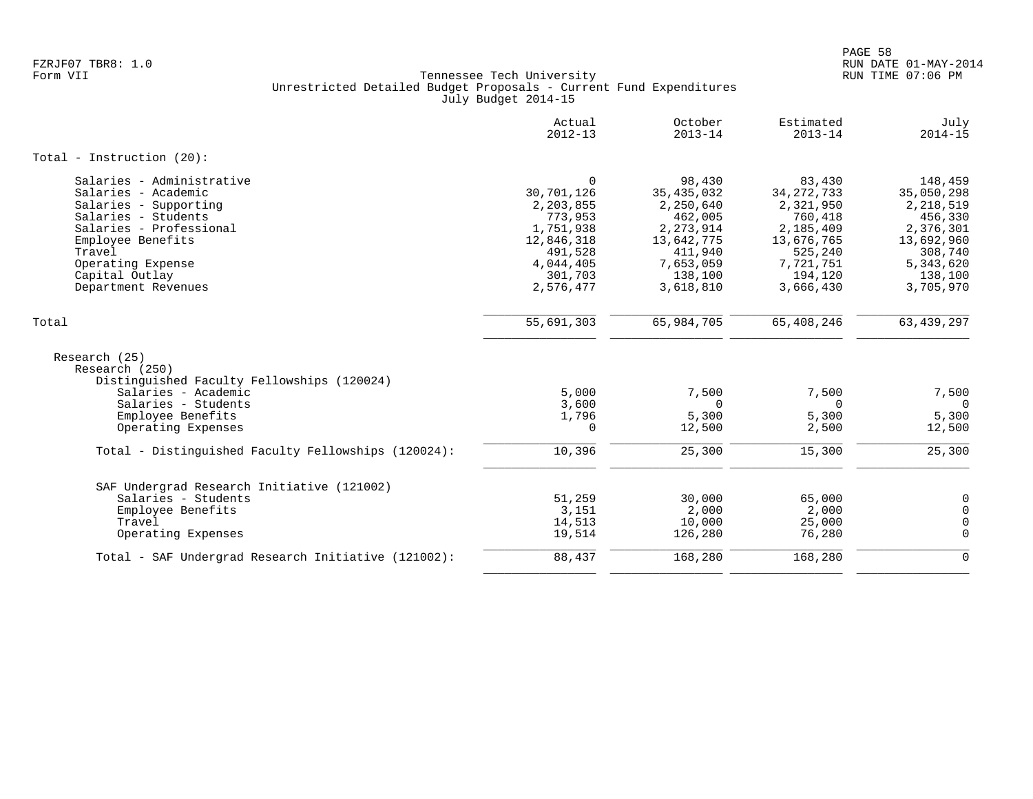|                                                                               | Actual<br>$2012 - 13$ | October<br>$2013 - 14$ | Estimated<br>$2013 - 14$ | July<br>$2014 - 15$ |
|-------------------------------------------------------------------------------|-----------------------|------------------------|--------------------------|---------------------|
| Total - Instruction $(20)$ :                                                  |                       |                        |                          |                     |
| Salaries - Administrative                                                     | $\Omega$              | 98,430                 | 83,430                   | 148,459             |
| Salaries - Academic                                                           | 30,701,126            | 35, 435, 032           | 34, 272, 733             | 35,050,298          |
| Salaries - Supporting                                                         | 2,203,855             | 2,250,640              | 2,321,950                | 2,218,519           |
| Salaries - Students                                                           | 773,953               | 462,005                | 760,418                  | 456,330             |
| Salaries - Professional                                                       | 1,751,938             | 2, 273, 914            | 2,185,409                | 2,376,301           |
| Employee Benefits                                                             | 12,846,318            | 13,642,775             | 13,676,765               | 13,692,960          |
| Travel                                                                        | 491,528               | 411,940                | 525,240                  | 308,740             |
| Operating Expense                                                             | 4,044,405             | 7,653,059              | 7,721,751                | 5,343,620           |
| Capital Outlay                                                                | 301,703               | 138,100                | 194,120                  | 138,100             |
| Department Revenues                                                           | 2,576,477             | 3,618,810              | 3,666,430                | 3,705,970           |
| Total                                                                         | 55,691,303            | 65,984,705             | 65,408,246               | 63, 439, 297        |
| Research (25)<br>Research (250)<br>Distinguished Faculty Fellowships (120024) |                       |                        |                          |                     |
| Salaries - Academic                                                           | 5,000                 | 7,500                  | 7,500                    | 7,500               |
| Salaries - Students                                                           | 3,600                 | $\Omega$               | $\Omega$                 | $\Omega$            |
| Employee Benefits                                                             | 1,796                 | 5,300                  | 5,300                    | 5,300               |
| Operating Expenses                                                            | $\Omega$              | 12,500                 | 2,500                    | 12,500              |
| Total - Distinguished Faculty Fellowships (120024):                           | 10,396                | 25,300                 | 15,300                   | 25,300              |
| SAF Undergrad Research Initiative (121002)                                    |                       |                        |                          |                     |
| Salaries - Students                                                           | 51,259                | 30,000                 | 65,000                   | 0                   |
| Employee Benefits                                                             | 3,151                 | 2,000                  | 2,000                    | $\Omega$            |
| Travel                                                                        | 14,513                | 10,000                 | 25,000                   | 0                   |
| Operating Expenses                                                            | 19,514                | 126,280                | 76,280                   | $\Omega$            |
| Total - SAF Undergrad Research Initiative (121002):                           | 88,437                | 168,280                | 168,280                  | $\mathbf 0$         |
|                                                                               |                       |                        |                          |                     |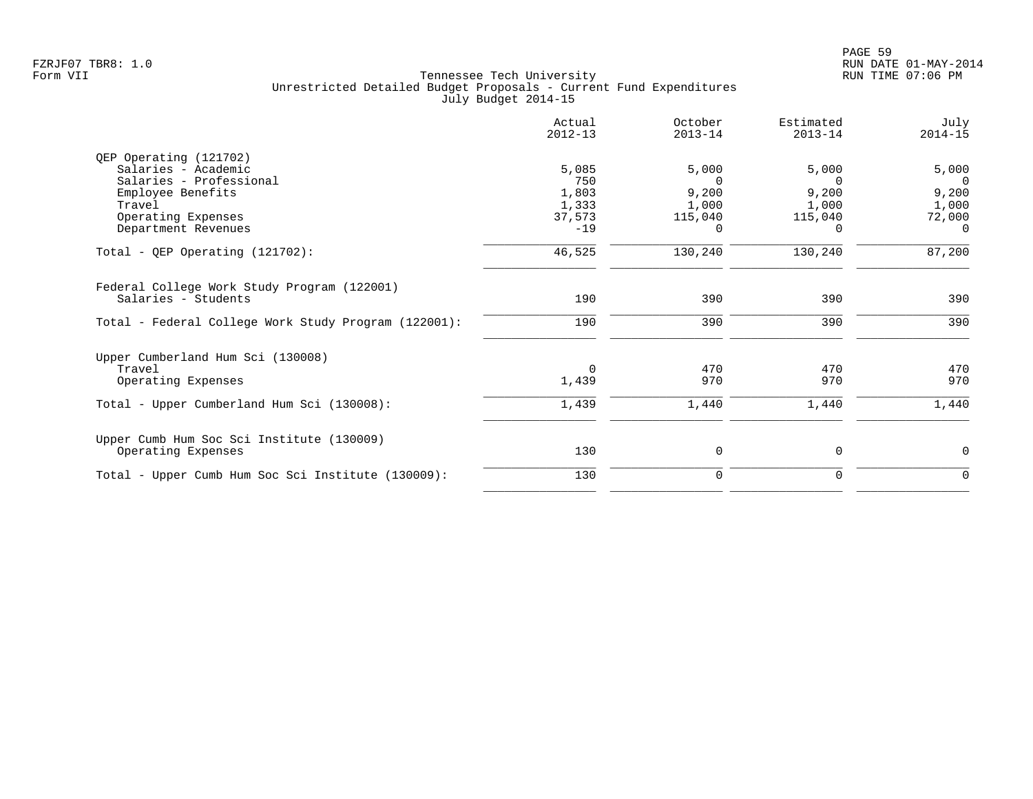|                                                      | Actual<br>$2012 - 13$ | October<br>$2013 - 14$ | Estimated<br>$2013 - 14$ | July<br>$2014 - 15$ |
|------------------------------------------------------|-----------------------|------------------------|--------------------------|---------------------|
| QEP Operating (121702)                               |                       |                        |                          |                     |
| Salaries - Academic                                  | 5,085                 | 5,000                  | 5,000                    | 5,000               |
| Salaries - Professional                              | 750                   | $\Omega$               |                          | $\Omega$            |
| Employee Benefits                                    | 1,803                 | 9,200                  | 9,200                    | 9,200               |
| Travel                                               | 1,333                 | 1,000                  | 1,000                    | 1,000               |
| Operating Expenses                                   | 37,573                | 115,040                | 115,040                  | 72,000              |
| Department Revenues                                  | $-19$                 | $\Omega$               | 0                        | $\Omega$            |
| Total - QEP Operating $(121702)$ :                   | 46,525                | 130,240                | 130,240                  | 87,200              |
| Federal College Work Study Program (122001)          |                       |                        |                          |                     |
| Salaries - Students                                  | 190                   | 390                    | 390                      | 390                 |
| Total - Federal College Work Study Program (122001): | 190                   | 390                    | 390                      | 390                 |
| Upper Cumberland Hum Sci (130008)                    |                       |                        |                          |                     |
| Travel                                               | $\Omega$              | 470                    | 470                      | 470                 |
| Operating Expenses                                   | 1,439                 | 970                    | 970                      | 970                 |
| Total - Upper Cumberland Hum Sci (130008):           | 1,439                 | 1,440                  | 1,440                    | 1,440               |
| Upper Cumb Hum Soc Sci Institute (130009)            |                       |                        |                          |                     |
| Operating Expenses                                   | 130                   | 0                      | 0                        | 0                   |
| Total - Upper Cumb Hum Soc Sci Institute (130009):   | 130                   | 0                      | 0                        | $\Omega$            |
|                                                      |                       |                        |                          |                     |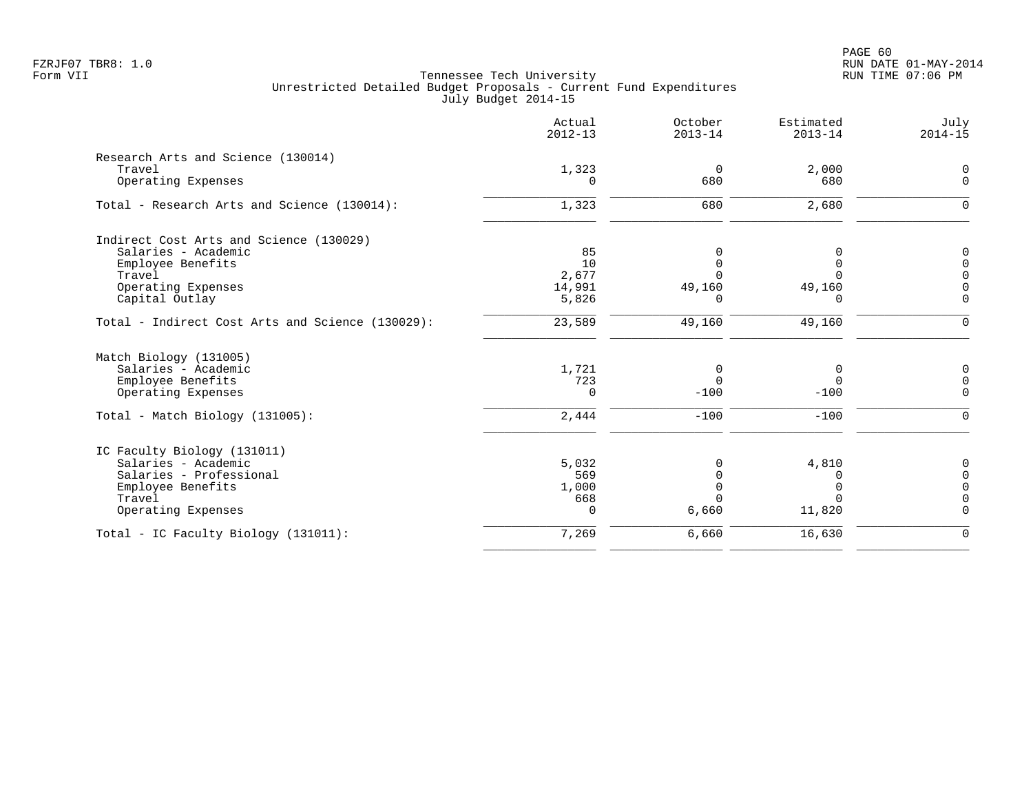|                                                  | Actual<br>$2012 - 13$ | October<br>$2013 - 14$  | Estimated<br>$2013 - 14$ | July<br>$2014 - 15$  |
|--------------------------------------------------|-----------------------|-------------------------|--------------------------|----------------------|
| Research Arts and Science (130014)               |                       |                         |                          |                      |
| Travel                                           | 1,323                 | $\Omega$                | 2,000                    | 0                    |
| Operating Expenses                               | $\Omega$              | 680                     | 680                      | $\mathbf 0$          |
| Total - Research Arts and Science (130014):      | 1,323                 | 680                     | 2,680                    | $\mathbf 0$          |
| Indirect Cost Arts and Science (130029)          |                       |                         |                          |                      |
| Salaries - Academic                              | 85                    | 0                       | <sup>0</sup>             | $\overline{0}$       |
| Employee Benefits                                | 10                    | $\mathbf 0$             | $\Omega$                 | $\mathbf 0$          |
| Travel                                           | 2,677                 | $\Omega$                | $\Omega$                 | $\Omega$             |
| Operating Expenses                               | 14,991                | 49,160                  | 49,160                   | $\mathbf 0$          |
| Capital Outlay                                   | 5,826                 | 0                       | 0                        | $\mathbf 0$          |
| Total - Indirect Cost Arts and Science (130029): | 23,589                | 49,160                  | 49,160                   | $\mathbf 0$          |
| Match Biology (131005)                           |                       |                         |                          |                      |
| Salaries - Academic                              | 1,721                 | 0                       | 0                        | $\mathbf 0$          |
| Employee Benefits                                | 723                   | $\Omega$                | $\mathbf 0$              | $\mathbf 0$          |
| Operating Expenses                               | 0                     | $-100$                  | $-100$                   | $\mathbf 0$          |
| Total - Match Biology (131005):                  | 2,444                 | $-100$                  | $-100$                   | $\mathbf 0$          |
| IC Faculty Biology (131011)                      |                       |                         |                          |                      |
| Salaries - Academic                              | 5,032                 | 0                       | 4,810                    | $\mathbf 0$          |
| Salaries - Professional                          | 569                   | $\mathbf 0$             | 0                        | $\overline{0}$       |
| Employee Benefits                                | 1,000                 | $\mathbf 0$<br>$\Omega$ | 0                        | $\mathbf 0$          |
| Travel<br>Operating Expenses                     | 668<br>$\Omega$       | 6,660                   | $\Omega$<br>11,820       | $\Omega$<br>$\Omega$ |
|                                                  |                       |                         |                          |                      |
| Total - IC Faculty Biology (131011):             | 7,269                 | 6,660                   | 16,630                   | $\mathbf 0$          |
|                                                  |                       |                         |                          |                      |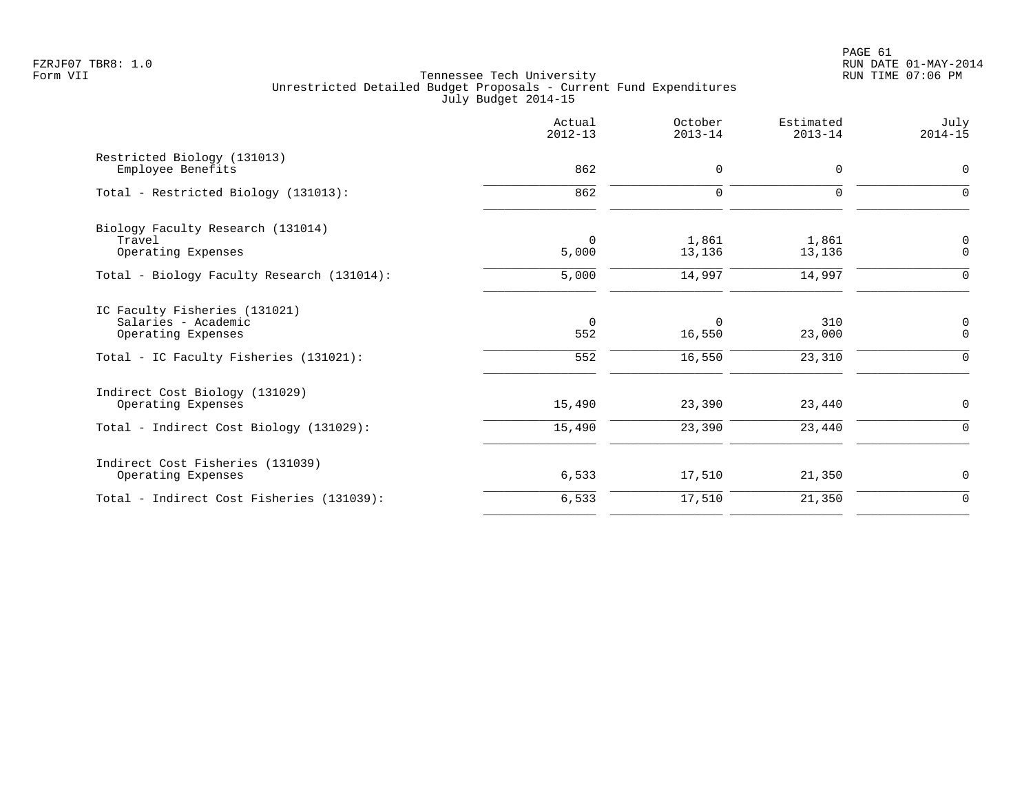PAGE 61 FZRJF07 TBR8: 1.0 RUN DATE 01-MAY-2014

|                                                                                                                      | Actual<br>$2012 - 13$  | October<br>$2013 - 14$       | Estimated<br>$2013 - 14$ | July<br>$2014 - 15$        |
|----------------------------------------------------------------------------------------------------------------------|------------------------|------------------------------|--------------------------|----------------------------|
| Restricted Biology (131013)<br>Employee Benefits                                                                     | 862                    | $\mathbf 0$                  | 0                        | $\mathbf 0$                |
| Total - Restricted Biology (131013):                                                                                 | 862                    | $\mathbf 0$                  | 0                        | $\Omega$                   |
| Biology Faculty Research (131014)<br>Travel<br>Operating Expenses                                                    | $\Omega$<br>5,000      | 1,861<br>13,136              | 1,861<br>13,136          | $\mathbf 0$<br>$\mathbf 0$ |
| Total - Biology Faculty Research (131014):                                                                           | 5,000                  | 14,997                       | 14,997                   | $\Omega$                   |
| IC Faculty Fisheries (131021)<br>Salaries - Academic<br>Operating Expenses<br>Total - IC Faculty Fisheries (131021): | $\Omega$<br>552<br>552 | $\Omega$<br>16,550<br>16,550 | 310<br>23,000<br>23,310  | 0<br>$\Omega$<br>$\Omega$  |
| Indirect Cost Biology (131029)<br>Operating Expenses<br>Total - Indirect Cost Biology (131029):                      | 15,490<br>15,490       | 23,390<br>23,390             | 23,440<br>23,440         | $\mathbf 0$<br>$\mathbf 0$ |
| Indirect Cost Fisheries (131039)<br>Operating Expenses                                                               | 6,533                  | 17,510                       | 21,350                   | 0                          |
| Total - Indirect Cost Fisheries (131039):                                                                            | 6,533                  | 17,510                       | 21,350                   | $\overline{0}$             |
|                                                                                                                      |                        |                              |                          |                            |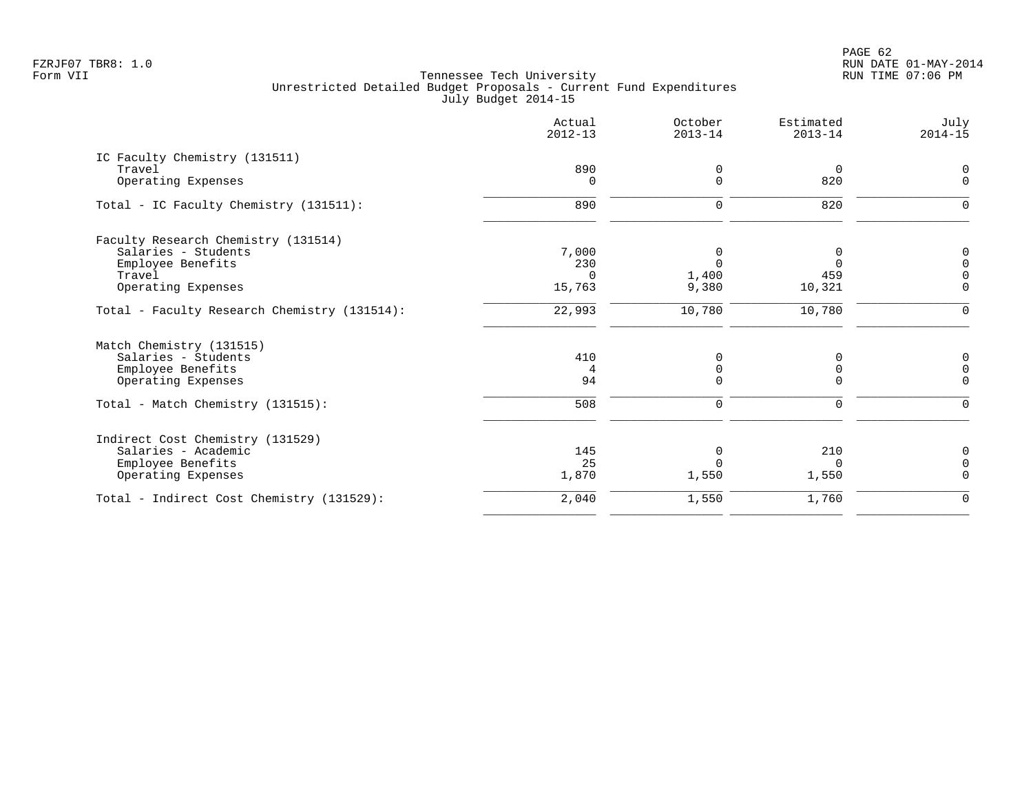|                                              | Actual<br>$2012 - 13$ | October<br>$2013 - 14$ | Estimated<br>$2013 - 14$ | July<br>$2014 - 15$ |
|----------------------------------------------|-----------------------|------------------------|--------------------------|---------------------|
| IC Faculty Chemistry (131511)                |                       |                        |                          |                     |
| Travel                                       | 890                   | 0                      | $\overline{0}$           |                     |
| Operating Expenses                           | $\Omega$              | $\Omega$               | 820                      | $\Omega$            |
| Total - IC Faculty Chemistry (131511):       | 890                   | $\mathbf 0$            | 820                      |                     |
| Faculty Research Chemistry (131514)          |                       |                        |                          |                     |
| Salaries - Students                          | 7,000                 | 0                      | 0                        | $\mathbf 0$         |
| Employee Benefits                            | 230                   | $\Omega$               | $\Omega$                 | $\Omega$            |
| Travel                                       | $\Omega$              | 1,400                  | 459                      |                     |
| Operating Expenses                           | 15,763                | 9,380                  | 10,321                   | $\Omega$            |
| Total - Faculty Research Chemistry (131514): | 22,993                | 10,780                 | 10,780                   | $\Omega$            |
| Match Chemistry (131515)                     |                       |                        |                          |                     |
| Salaries - Students                          | 410                   | 0                      | 0                        | 0                   |
| Employee Benefits                            | 4                     | 0                      | 0                        | $\Omega$            |
| Operating Expenses                           | 94                    | $\Omega$               | 0                        | $\Omega$            |
| Total - Match Chemistry (131515):            | 508                   | $\mathbf 0$            | $\Omega$                 | $\Omega$            |
| Indirect Cost Chemistry (131529)             |                       |                        |                          |                     |
| Salaries - Academic                          | 145                   | $\Omega$               | 210                      | $\Omega$            |
| Employee Benefits                            | 25                    |                        | $\Omega$                 | $\Omega$            |
| Operating Expenses                           | 1,870                 | 1,550                  | 1,550                    | $\Omega$            |
| Total - Indirect Cost Chemistry (131529):    | 2,040                 | 1,550                  | 1,760                    | $\mathbf 0$         |
|                                              |                       |                        |                          |                     |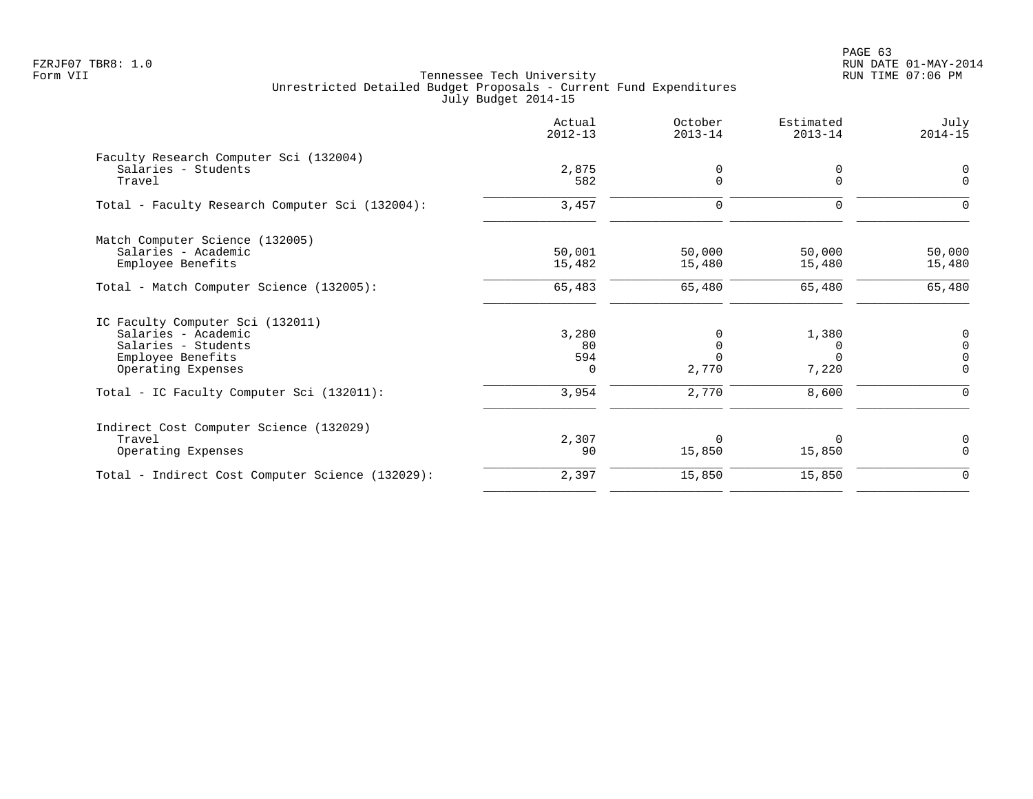PAGE 63 FZRJF07 TBR8: 1.0 RUN DATE 01-MAY-2014

| 0<br>$\Omega$<br>$\Omega$<br>50,000 | 0<br>$\Omega$<br>$\Omega$<br>50,000 |
|-------------------------------------|-------------------------------------|
|                                     |                                     |
|                                     |                                     |
|                                     |                                     |
|                                     |                                     |
|                                     |                                     |
|                                     | 15,480                              |
| 65,480                              | 65,480                              |
|                                     |                                     |
|                                     | $\mathbf 0$                         |
| $\Omega$                            | $\Omega$                            |
| $\Omega$                            | $\Omega$                            |
| 7,220                               | $\Omega$                            |
| 8,600                               |                                     |
|                                     |                                     |
| $\Omega$                            | 0                                   |
| 15,850                              | $\Omega$                            |
| 15,850                              | $\mathbf 0$                         |
|                                     | 15,480<br>1,380                     |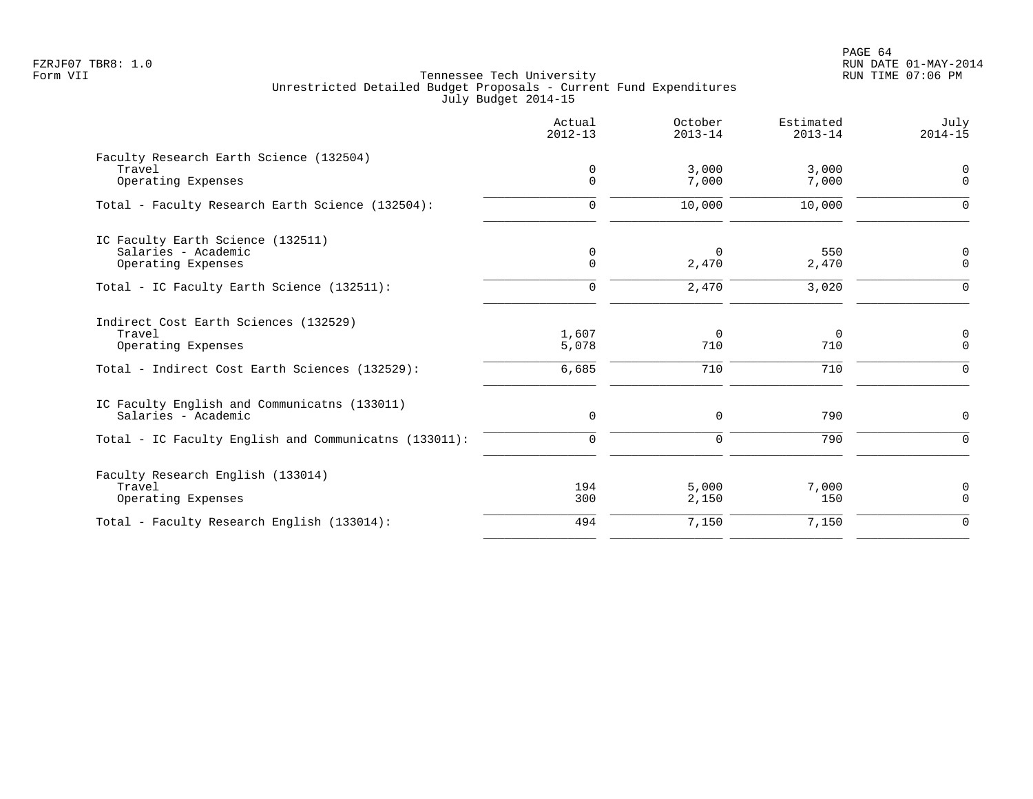PAGE 64 FZRJF07 TBR8: 1.0 RUN DATE 01-MAY-2014

|                                                       | Actual<br>$2012 - 13$      | October<br>$2013 - 14$  | Estimated<br>$2013 - 14$ | July<br>$2014 - 15$          |
|-------------------------------------------------------|----------------------------|-------------------------|--------------------------|------------------------------|
| Faculty Research Earth Science (132504)               |                            |                         |                          |                              |
| Travel<br>Operating Expenses                          | $\mathbf 0$<br>$\mathbf 0$ | 3,000<br>7,000          | 3,000<br>7,000           | $\mathsf{O}$<br>$\mathsf{O}$ |
| Total - Faculty Research Earth Science (132504):      | $\mathbf 0$                | 10,000                  | 10,000                   | $\mathbf 0$                  |
| IC Faculty Earth Science (132511)                     |                            |                         |                          |                              |
| Salaries - Academic<br>Operating Expenses             | 0<br>$\Omega$              | $\overline{0}$<br>2,470 | 550<br>2,470             | $\overline{0}$<br>$\Omega$   |
| Total - IC Faculty Earth Science (132511):            | $\mathbf 0$                | 2,470                   | 3,020                    | $\Omega$                     |
| Indirect Cost Earth Sciences (132529)                 |                            |                         |                          |                              |
| Travel<br>Operating Expenses                          | 1,607<br>5,078             | $\mathbf 0$<br>710      | $\overline{0}$<br>710    | $\mathsf{O}$<br>$\Omega$     |
| Total - Indirect Cost Earth Sciences (132529):        | 6,685                      | 710                     | 710                      | $\Omega$                     |
| IC Faculty English and Communicatns (133011)          |                            |                         |                          |                              |
| Salaries - Academic                                   | $\mathsf{O}$               | $\mathbf 0$             | 790                      | $\mathbf 0$                  |
| Total - IC Faculty English and Communicatns (133011): | 0                          | $\mathbf 0$             | 790                      | $\mathbf 0$                  |
| Faculty Research English (133014)                     |                            |                         |                          |                              |
| Travel<br>Operating Expenses                          | 194<br>300                 | 5,000<br>2,150          | 7,000<br>150             | 0<br>$\mathbf 0$             |
| Total - Faculty Research English (133014):            | 494                        | 7,150                   | 7,150                    | $\mathbf 0$                  |
|                                                       |                            |                         |                          |                              |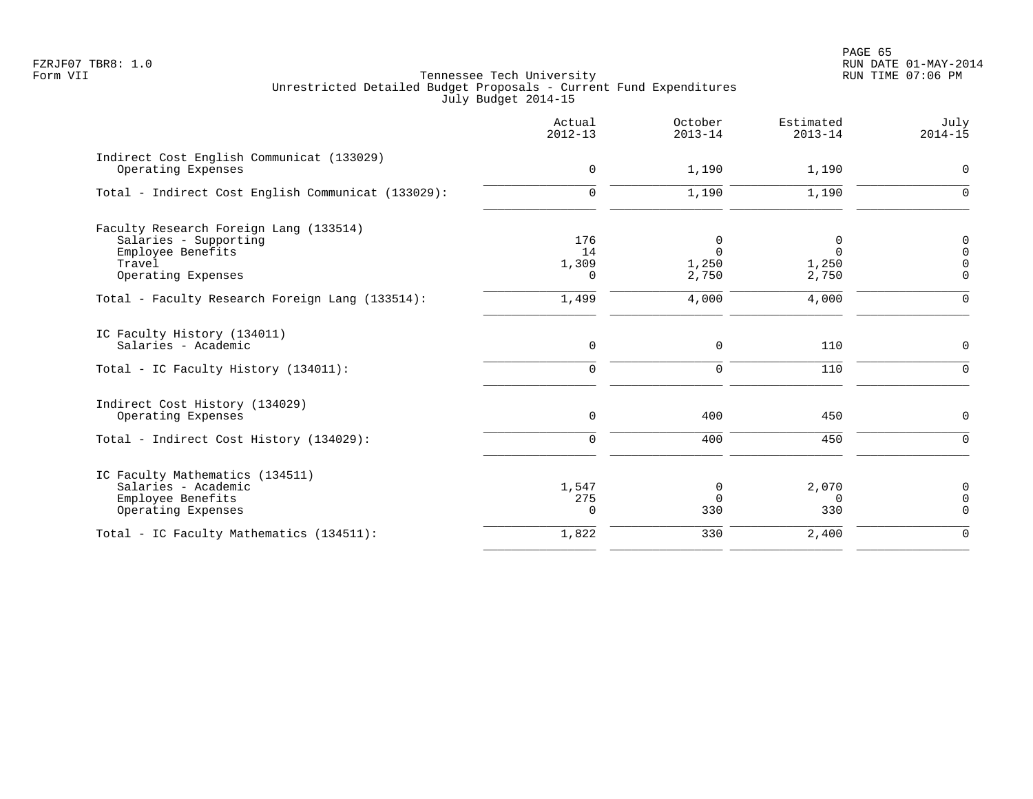PAGE 65 FZRJF07 TBR8: 1.0 RUN DATE 01-MAY-2014

|                                                                                                   | Actual<br>$2012 - 13$ | October<br>$2013 - 14$  | Estimated<br>$2013 - 14$ | July<br>$2014 - 15$              |
|---------------------------------------------------------------------------------------------------|-----------------------|-------------------------|--------------------------|----------------------------------|
| Indirect Cost English Communicat (133029)<br>Operating Expenses                                   | $\mathbf 0$           | 1,190                   | 1,190                    | 0                                |
| Total - Indirect Cost English Communicat (133029):                                                | $\mathbf 0$           | 1,190                   | 1,190                    | $\overline{0}$                   |
| Faculty Research Foreign Lang (133514)<br>Salaries - Supporting<br>Employee Benefits<br>Travel    | 176<br>14<br>1,309    | 0<br>$\Omega$<br>1,250  | 0<br>$\Omega$<br>1,250   | $\mathsf{O}$<br>0<br>$\mathbf 0$ |
| Operating Expenses                                                                                | 0                     | 2,750                   | 2,750                    | $\mathbf 0$                      |
| Total - Faculty Research Foreign Lang (133514):                                                   | 1,499                 | 4,000                   | 4,000                    | $\mathbf 0$                      |
| IC Faculty History (134011)<br>Salaries - Academic                                                | $\mathbf 0$           | $\mathbf 0$             | 110                      | $\mathsf{O}$                     |
| Total - IC Faculty History (134011):                                                              | $\mathbf 0$           | $\mathbf 0$             | 110                      | $\mathbf 0$                      |
| Indirect Cost History (134029)<br>Operating Expenses                                              | $\mathsf{O}$          | 400                     | 450                      | $\mathsf{O}$                     |
| Total - Indirect Cost History (134029):                                                           | 0                     | 400                     | 450                      | $\mathsf{O}$                     |
| IC Faculty Mathematics (134511)<br>Salaries - Academic<br>Employee Benefits<br>Operating Expenses | 1,547<br>275<br>0     | 0<br>$\mathbf 0$<br>330 | 2,070<br>0<br>330        | 0<br>$\mathbf 0$<br>$\mathbf 0$  |
| Total - IC Faculty Mathematics (134511):                                                          | 1,822                 | 330                     | 2,400                    | $\mathbf 0$                      |
|                                                                                                   |                       |                         |                          |                                  |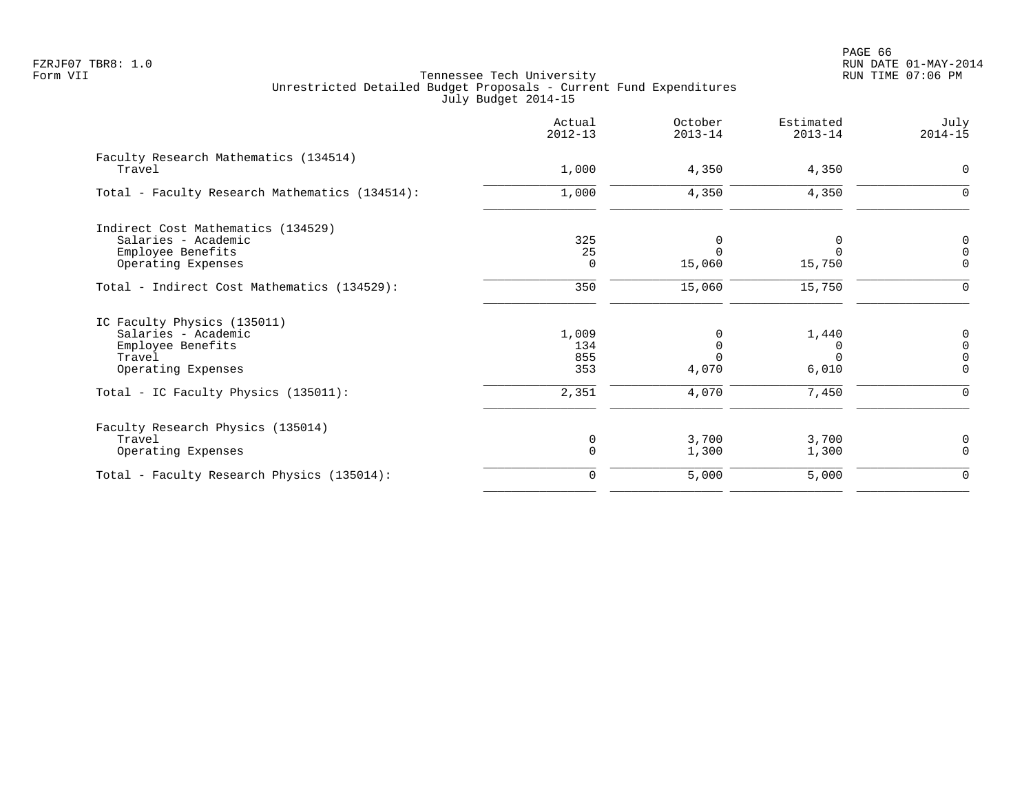|                                                 | Actual<br>$2012 - 13$ | October<br>$2013 - 14$ | Estimated<br>$2013 - 14$ | July<br>$2014 - 15$ |
|-------------------------------------------------|-----------------------|------------------------|--------------------------|---------------------|
| Faculty Research Mathematics (134514)<br>Travel | 1,000                 | 4,350                  | 4,350                    | $\mathbf 0$         |
|                                                 |                       |                        |                          |                     |
| Total - Faculty Research Mathematics (134514):  | 1,000                 | 4,350                  | 4,350                    | $\mathbf 0$         |
| Indirect Cost Mathematics (134529)              |                       |                        |                          |                     |
| Salaries - Academic                             | 325                   | 0                      |                          | 0                   |
| Employee Benefits                               | 25                    | $\Omega$               | $\Omega$                 | $\Omega$            |
| Operating Expenses                              | 0                     | 15,060                 | 15,750                   | $\mathbf 0$         |
| Total - Indirect Cost Mathematics (134529):     | 350                   | 15,060                 | 15,750                   | $\mathbf 0$         |
| IC Faculty Physics (135011)                     |                       |                        |                          |                     |
| Salaries - Academic                             | 1,009                 | $\Omega$               | 1,440                    | 0                   |
| Employee Benefits                               | 134                   | $\mathsf 0$            | 0                        | $\mathsf{O}$        |
| Travel                                          | 855                   | $\Omega$               | $\cap$                   | $\Omega$            |
| Operating Expenses                              | 353                   | 4,070                  | 6,010                    | $\Omega$            |
| Total - IC Faculty Physics (135011):            | 2,351                 | 4,070                  | 7,450                    | $\Omega$            |
| Faculty Research Physics (135014)               |                       |                        |                          |                     |
| Travel                                          | 0                     | 3,700                  | 3,700                    | 0                   |
| Operating Expenses                              | $\Omega$              | 1,300                  | 1,300                    | $\Omega$            |
| Total - Faculty Research Physics (135014):      | $\mathbf 0$           | 5,000                  | 5,000                    | 0                   |
|                                                 |                       |                        |                          |                     |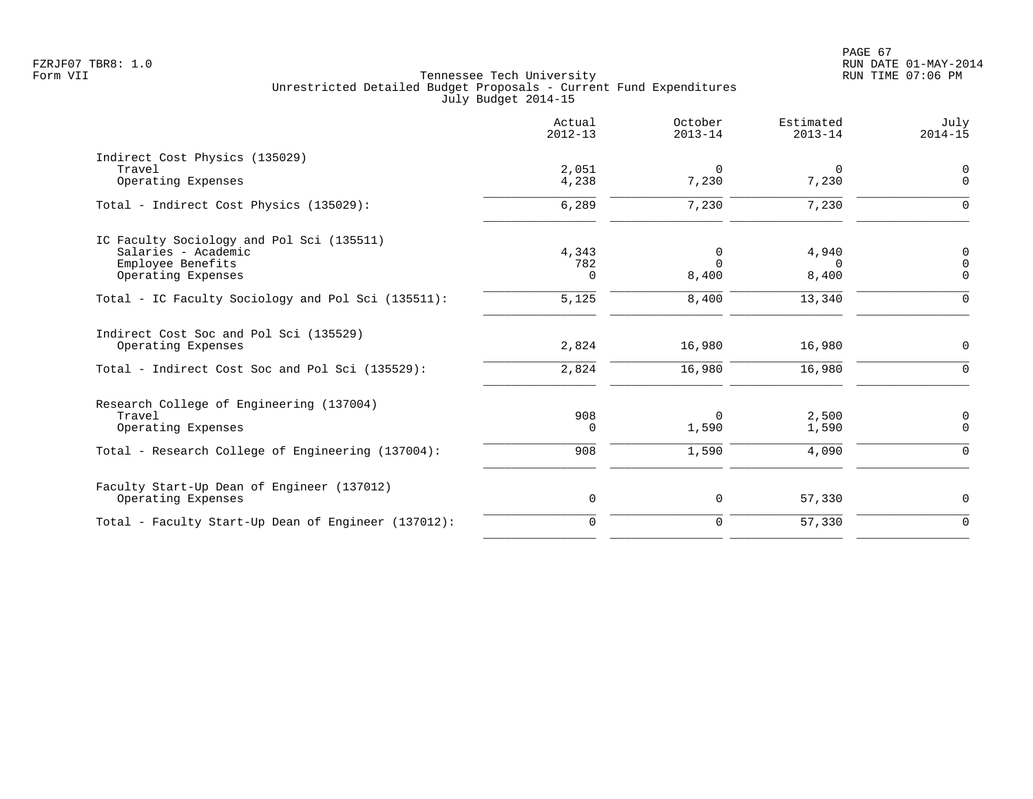|                                                                                                                 | Actual<br>$2012 - 13$    | October<br>$2013 - 14$ | Estimated<br>$2013 - 14$   | July<br>$2014 - 15$        |
|-----------------------------------------------------------------------------------------------------------------|--------------------------|------------------------|----------------------------|----------------------------|
| Indirect Cost Physics (135029)<br>Travel<br>Operating Expenses                                                  | 2,051<br>4,238           | $\Omega$<br>7,230      | 0<br>7,230                 | $\mathbf 0$<br>$\mathbf 0$ |
| Total - Indirect Cost Physics (135029):                                                                         | 6,289                    | 7,230                  | 7,230                      | $\Omega$                   |
| IC Faculty Sociology and Pol Sci (135511)<br>Salaries - Academic<br>Employee Benefits<br>Operating Expenses     | 4,343<br>782<br>$\Omega$ | 0<br>$\Omega$<br>8,400 | 4,940<br>$\Omega$<br>8,400 | 0<br>$\Omega$<br>$\Omega$  |
| Total - IC Faculty Sociology and Pol Sci (135511):                                                              | 5,125                    | 8,400                  | 13,340                     | $\Omega$                   |
| Indirect Cost Soc and Pol Sci (135529)<br>Operating Expenses<br>Total - Indirect Cost Soc and Pol Sci (135529): | 2,824<br>2,824           | 16,980<br>16,980       | 16,980<br>16,980           | $\mathbf 0$<br>$\Omega$    |
|                                                                                                                 |                          |                        |                            |                            |
| Research College of Engineering (137004)<br>Travel<br>Operating Expenses                                        | 908<br>$\Omega$          | 0<br>1,590             | 2,500<br>1,590             | 0<br>$\mathbf 0$           |
| Total - Research College of Engineering (137004):                                                               | 908                      | 1,590                  | 4,090                      | $\mathbf 0$                |
| Faculty Start-Up Dean of Engineer (137012)<br>Operating Expenses                                                | $\mathbf 0$              | 0                      | 57,330                     | 0                          |
| Total - Faculty Start-Up Dean of Engineer (137012):                                                             | $\mathbf 0$              | $\mathbf 0$            | 57,330                     | $\mathbf 0$                |
|                                                                                                                 |                          |                        |                            |                            |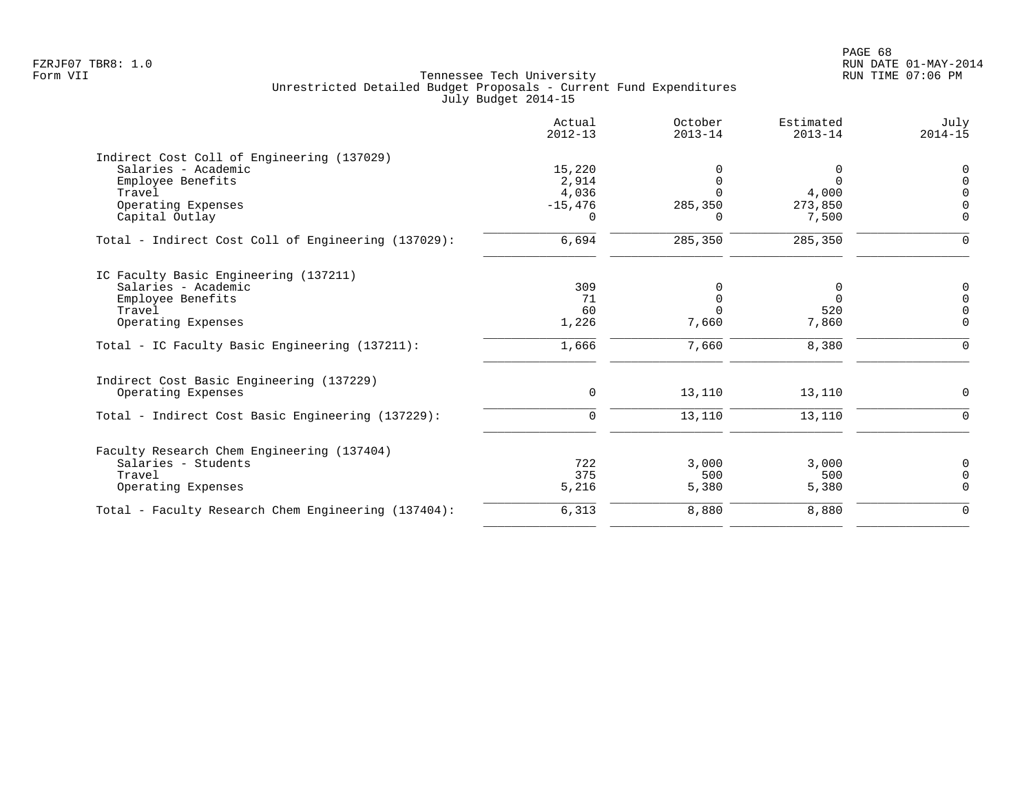|                                                     | Actual<br>$2012 - 13$ | October<br>$2013 - 14$ | Estimated<br>$2013 - 14$ | July<br>$2014 - 15$ |
|-----------------------------------------------------|-----------------------|------------------------|--------------------------|---------------------|
| Indirect Cost Coll of Engineering (137029)          |                       |                        |                          |                     |
| Salaries - Academic                                 | 15,220                |                        | 0                        | $\Omega$            |
| Employee Benefits                                   | 2,914                 |                        | $\Omega$                 |                     |
| Travel                                              | 4,036                 |                        | 4,000                    |                     |
| Operating Expenses                                  | $-15,476$             | 285,350                | 273,850                  |                     |
| Capital Outlay                                      | $\Omega$              | O.                     | 7,500                    | $\Omega$            |
| Total - Indirect Cost Coll of Engineering (137029): | 6,694                 | 285,350                | 285,350                  | $\Omega$            |
| IC Faculty Basic Engineering (137211)               |                       |                        |                          |                     |
| Salaries - Academic                                 | 309                   |                        | 0                        | 0                   |
| Employee Benefits                                   | 71                    | 0                      | $\Omega$                 | $\Omega$            |
| Travel                                              | 60                    |                        | 520                      | $\Omega$            |
| Operating Expenses                                  | 1,226                 | 7,660                  | 7,860                    | $\overline{0}$      |
| Total - IC Faculty Basic Engineering (137211):      | 1,666                 | 7,660                  | 8,380                    | $\Omega$            |
| Indirect Cost Basic Engineering (137229)            |                       |                        |                          |                     |
| Operating Expenses                                  | $\mathbf 0$           | 13,110                 | 13,110                   | $\Omega$            |
| Total - Indirect Cost Basic Engineering (137229):   | $\mathbf 0$           | 13,110                 | 13,110                   | $\Omega$            |
| Faculty Research Chem Engineering (137404)          |                       |                        |                          |                     |
| Salaries - Students                                 | 722                   | 3.000                  | 3,000                    | 0                   |
| Travel                                              | 375                   | 500                    | 500                      | $\Omega$            |
| Operating Expenses                                  | 5,216                 | 5,380                  | 5,380                    | $\Omega$            |
| Total - Faculty Research Chem Engineering (137404): | 6,313                 | 8,880                  | 8,880                    | $\Omega$            |
|                                                     |                       |                        |                          |                     |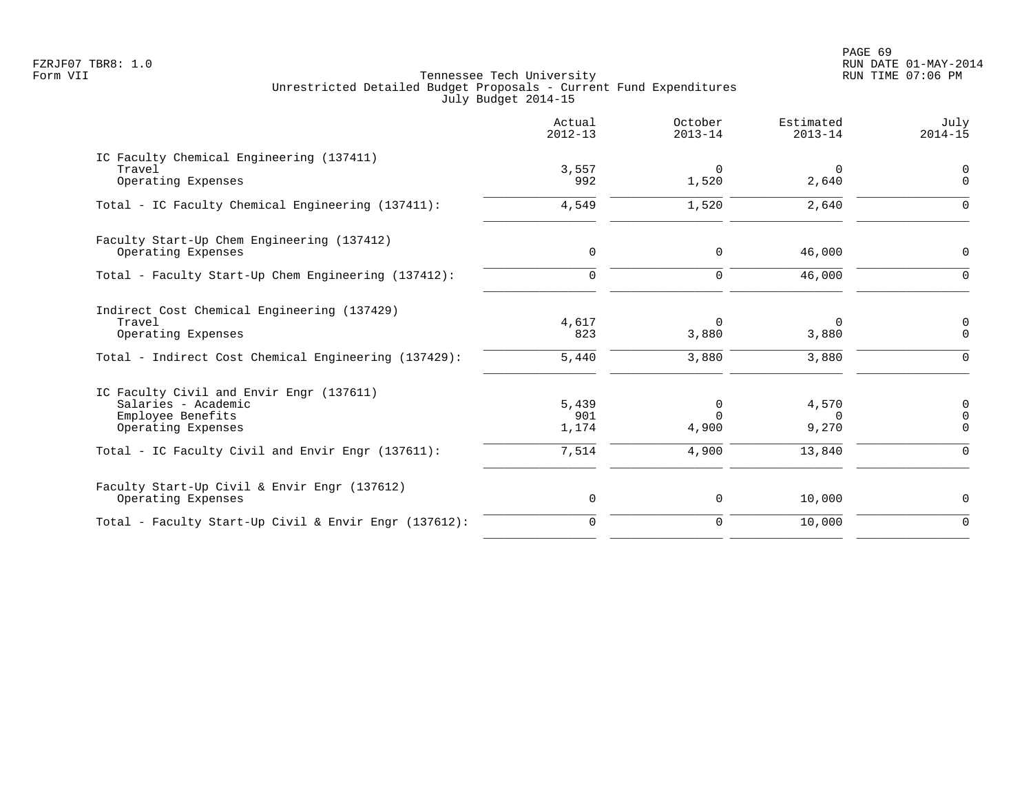PAGE 69 FZRJF07 TBR8: 1.0 RUN DATE 01-MAY-2014

|                                                                                                                                                                 | Actual<br>$2012 - 13$          | October<br>$2013 - 14$                 | Estimated<br>$2013 - 14$ | July<br>$2014 - 15$                             |
|-----------------------------------------------------------------------------------------------------------------------------------------------------------------|--------------------------------|----------------------------------------|--------------------------|-------------------------------------------------|
| IC Faculty Chemical Engineering (137411)<br>Travel<br>Operating Expenses                                                                                        | 3,557<br>992                   | $\Omega$<br>1,520                      | $\mathbf 0$<br>2,640     | $\mathbf 0$<br>$\Omega$                         |
| Total - IC Faculty Chemical Engineering (137411):                                                                                                               | 4,549                          | 1,520                                  | 2,640                    | $\Omega$                                        |
| Faculty Start-Up Chem Engineering (137412)<br>Operating Expenses                                                                                                | $\mathbf 0$                    | $\mathbf 0$                            | 46,000                   | $\Omega$                                        |
| Total - Faculty Start-Up Chem Engineering (137412):                                                                                                             | $\mathbf 0$                    | $\mathbf 0$                            | 46,000                   | $\Omega$                                        |
| Indirect Cost Chemical Engineering (137429)<br>Travel<br>Operating Expenses<br>Total - Indirect Cost Chemical Engineering (137429):                             | 4,617<br>823<br>5,440          | $\Omega$<br>3,880<br>3,880             | 0<br>3,880<br>3,880      | 0<br>$\Omega$<br>$\Omega$                       |
| IC Faculty Civil and Envir Engr (137611)<br>Salaries - Academic<br>Employee Benefits<br>Operating Expenses<br>Total - IC Faculty Civil and Envir Engr (137611): | 5,439<br>901<br>1,174<br>7,514 | $\Omega$<br>$\Omega$<br>4,900<br>4,900 | 4,570<br>9,270<br>13,840 | $\mathbf 0$<br>$\Omega$<br>$\Omega$<br>$\Omega$ |
| Faculty Start-Up Civil & Envir Engr (137612)<br>Operating Expenses                                                                                              | 0                              | 0                                      | 10,000                   | 0                                               |
| Total - Faculty Start-Up Civil & Envir Engr (137612):                                                                                                           | $\mathbf 0$                    | 0                                      | 10,000                   | $\Omega$                                        |
|                                                                                                                                                                 |                                |                                        |                          |                                                 |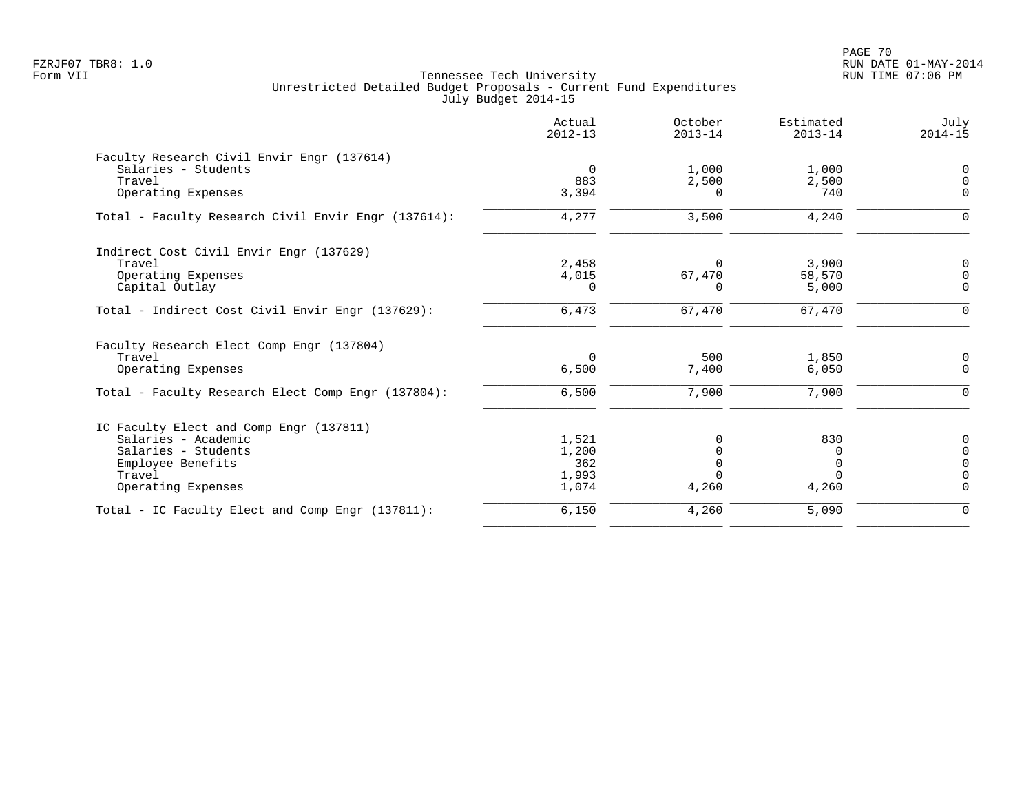PAGE 70 FZRJF07 TBR8: 1.0 RUN DATE 01-MAY-2014

|                                                     | Actual<br>$2012 - 13$ | October<br>$2013 - 14$ | Estimated<br>$2013 - 14$ | July<br>$2014 - 15$ |
|-----------------------------------------------------|-----------------------|------------------------|--------------------------|---------------------|
| Faculty Research Civil Envir Engr (137614)          |                       |                        |                          |                     |
| Salaries - Students                                 | 0                     | 1,000                  | 1,000                    | 0                   |
| Travel                                              | 883                   | 2,500                  | 2,500                    | $\mathsf 0$         |
| Operating Expenses                                  | 3,394                 | $\Omega$               | 740                      | $\Omega$            |
| Total - Faculty Research Civil Envir Engr (137614): | 4,277                 | 3,500                  | 4,240                    | $\Omega$            |
| Indirect Cost Civil Envir Engr (137629)             |                       |                        |                          |                     |
| Travel                                              | 2,458                 | $\Omega$               | 3,900                    | 0                   |
| Operating Expenses                                  | 4,015                 | 67,470                 | 58,570                   | $\mathsf 0$         |
| Capital Outlay                                      | $\Omega$              | O                      | 5,000                    | $\mathbf 0$         |
| Total - Indirect Cost Civil Envir Engr (137629):    | 6,473                 | 67,470                 | 67,470                   | 0                   |
| Faculty Research Elect Comp Engr (137804)           |                       |                        |                          |                     |
| Travel                                              | $\mathbf 0$           | 500                    | 1,850                    | 0                   |
| Operating Expenses                                  | 6,500                 | 7,400                  | 6,050                    | $\mathbf 0$         |
| Total - Faculty Research Elect Comp Engr (137804):  | 6,500                 | 7,900                  | 7,900                    | $\Omega$            |
| IC Faculty Elect and Comp Engr (137811)             |                       |                        |                          |                     |
| Salaries - Academic                                 | 1,521                 | $\Omega$               | 830                      | 0                   |
| Salaries - Students                                 | 1,200                 | $\Omega$               | $\Omega$                 | $\mathsf{O}\xspace$ |
| Employee Benefits                                   | 362                   | $\Omega$               | 0                        | $\mathsf 0$         |
| Travel                                              | 1,993                 | $\Omega$               | $\cap$                   | $\overline{0}$      |
| Operating Expenses                                  | 1,074                 | 4,260                  | 4,260                    | $\Omega$            |
| Total - IC Faculty Elect and Comp Engr (137811):    | 6,150                 | 4,260                  | 5,090                    | $\mathbf 0$         |
|                                                     |                       |                        |                          |                     |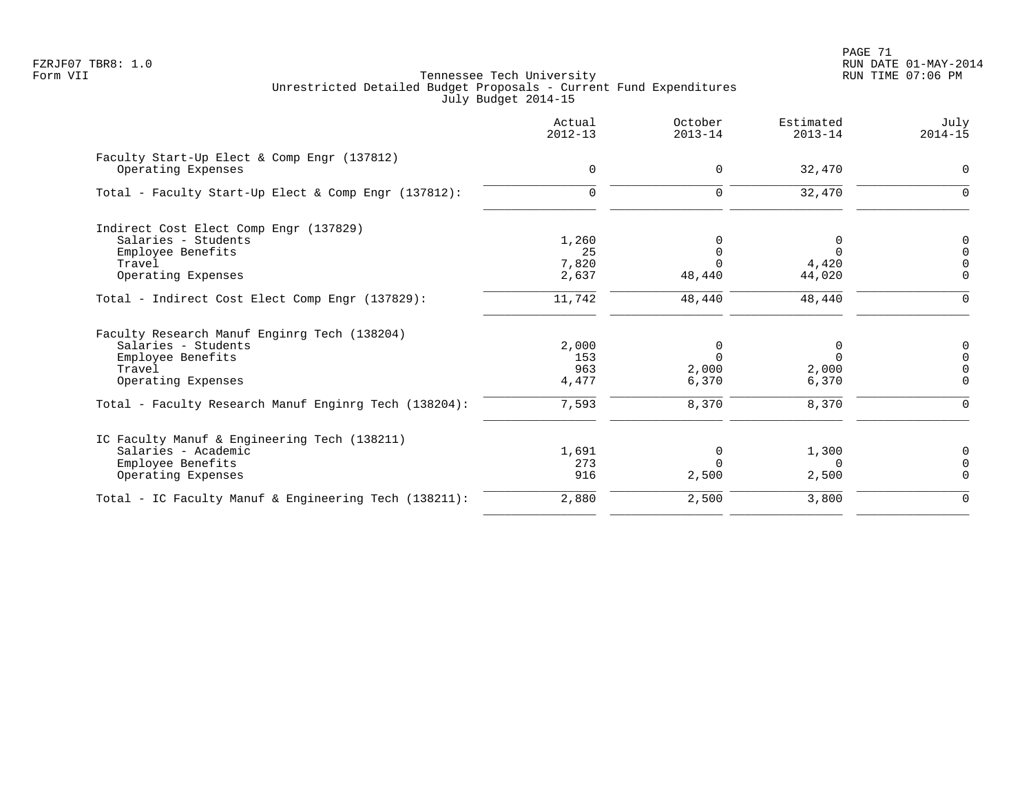PAGE 71 FZRJF07 TBR8: 1.0 RUN DATE 01-MAY-2014

|                                                                   | Actual<br>$2012 - 13$ | October<br>$2013 - 14$ | Estimated<br>$2013 - 14$ | July<br>$2014 - 15$ |
|-------------------------------------------------------------------|-----------------------|------------------------|--------------------------|---------------------|
| Faculty Start-Up Elect & Comp Engr (137812)<br>Operating Expenses | $\mathbf 0$           | $\Omega$               | 32,470                   | $\Omega$            |
|                                                                   |                       |                        |                          |                     |
| Total - Faculty Start-Up Elect & Comp Engr (137812):              | $\mathbf 0$           | $\Omega$               | 32,470                   | $\Omega$            |
| Indirect Cost Elect Comp Engr (137829)                            |                       |                        |                          |                     |
| Salaries - Students                                               | 1,260                 | 0                      | 0                        | $\mathbf 0$         |
| Employee Benefits                                                 | 25                    | $\mathbf 0$            | $\Omega$                 | $\Omega$            |
| Travel                                                            | 7,820                 | $\Omega$               | 4,420                    | $\Omega$            |
| Operating Expenses                                                | 2,637                 | 48,440                 | 44,020                   | $\mathbf 0$         |
| Total - Indirect Cost Elect Comp Engr (137829):                   | 11,742                | 48,440                 | 48,440                   | $\Omega$            |
| Faculty Research Manuf Enginrg Tech (138204)                      |                       |                        |                          |                     |
| Salaries - Students                                               | 2,000                 | 0                      | 0                        | 0                   |
| Employee Benefits                                                 | 153                   | $\Omega$               | $\Omega$                 | $\Omega$            |
| Travel                                                            | 963                   | 2,000                  | 2,000                    |                     |
| Operating Expenses                                                | 4,477                 | 6,370                  | 6,370                    | $\mathbf 0$         |
| Total - Faculty Research Manuf Enginrg Tech (138204):             | 7,593                 | 8,370                  | 8,370                    | $\Omega$            |
| IC Faculty Manuf & Engineering Tech (138211)                      |                       |                        |                          |                     |
| Salaries - Academic                                               | 1,691                 | $\mathbf 0$            | 1,300                    | $\Omega$            |
| Employee Benefits                                                 | 273                   | $\Omega$               | $\Omega$                 | $\Omega$            |
| Operating Expenses                                                | 916                   | 2,500                  | 2,500                    | $\Omega$            |
| Total - IC Faculty Manuf & Engineering Tech (138211):             | 2,880                 | 2,500                  | 3,800                    | $\mathbf 0$         |
|                                                                   |                       |                        |                          |                     |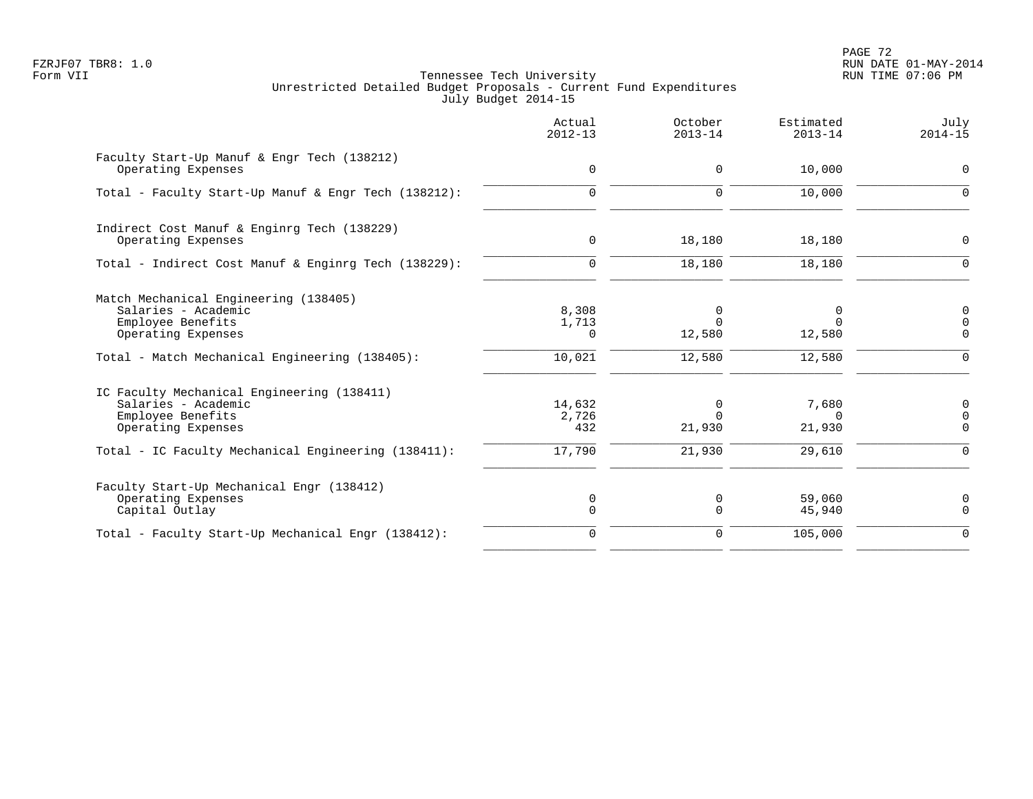PAGE 72 FZRJF07 TBR8: 1.0 RUN DATE 01-MAY-2014

|                                                                                                              | Actual<br>$2012 - 13$  | October<br>$2013 - 14$  | Estimated<br>$2013 - 14$    | July<br>$2014 - 15$              |
|--------------------------------------------------------------------------------------------------------------|------------------------|-------------------------|-----------------------------|----------------------------------|
| Faculty Start-Up Manuf & Engr Tech (138212)<br>Operating Expenses                                            | $\mathbf 0$            | $\mathbf 0$             | 10,000                      | $\mathsf{O}$                     |
| Total - Faculty Start-Up Manuf & Engr Tech (138212):                                                         | $\mathbf 0$            | $\mathbf 0$             | 10,000                      | $\mathbf 0$                      |
| Indirect Cost Manuf & Enginrg Tech (138229)<br>Operating Expenses                                            | $\mathbf 0$            | 18,180                  | 18,180                      | 0                                |
| Total - Indirect Cost Manuf & Enginrg Tech (138229):                                                         | $\mathbf 0$            | 18,180                  | 18,180                      | $\Omega$                         |
| Match Mechanical Engineering (138405)<br>Salaries - Academic<br>Employee Benefits<br>Operating Expenses      | 8,308<br>1,713<br>0    | 0<br>$\Omega$<br>12,580 | 0<br>$\Omega$<br>12,580     | 0<br>$\mathbf 0$<br>$\mathbf 0$  |
| Total - Match Mechanical Engineering (138405):                                                               | 10,021                 | 12,580                  | 12,580                      | 0                                |
| IC Faculty Mechanical Engineering (138411)<br>Salaries - Academic<br>Employee Benefits<br>Operating Expenses | 14,632<br>2,726<br>432 | 0<br>$\Omega$<br>21,930 | 7,680<br>$\Omega$<br>21,930 | 0<br>$\mathbf 0$<br>$\mathsf{O}$ |
| Total - IC Faculty Mechanical Engineering (138411):                                                          | 17,790                 | 21,930                  | 29,610                      | $\mathbf 0$                      |
| Faculty Start-Up Mechanical Engr (138412)<br>Operating Expenses<br>Capital Outlay                            | 0<br>$\mathbf 0$       | 0<br>$\mathbf 0$        | 59,060<br>45,940            | 0<br>$\mathbf 0$                 |
| Total - Faculty Start-Up Mechanical Engr (138412):                                                           | $\mathbf 0$            | $\mathbf 0$             | 105,000                     | $\mathbf{0}$                     |
|                                                                                                              |                        |                         |                             |                                  |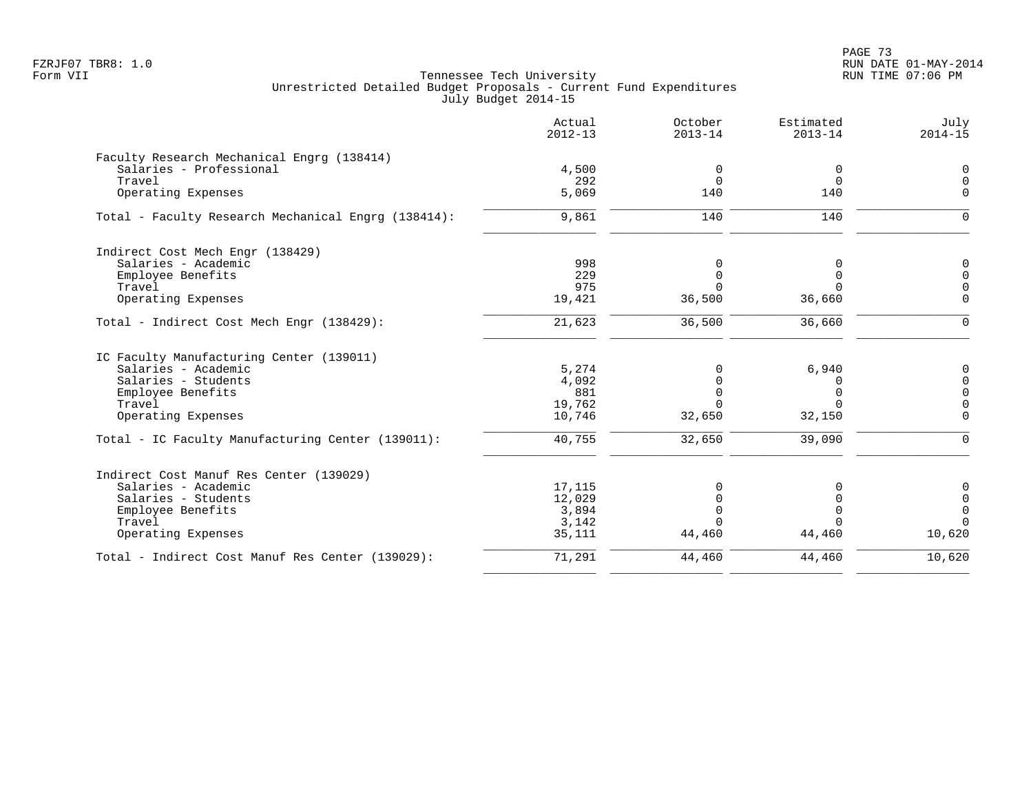PAGE 73 FZRJF07 TBR8: 1.0 RUN DATE 01-MAY-2014

|                                                     | Actual<br>$2012 - 13$ | October<br>$2013 - 14$ | Estimated<br>$2013 - 14$ | July<br>$2014 - 15$ |
|-----------------------------------------------------|-----------------------|------------------------|--------------------------|---------------------|
| Faculty Research Mechanical Engrg (138414)          |                       |                        |                          |                     |
| Salaries - Professional                             | 4,500                 | 0                      | 0                        | $\Omega$            |
| Travel                                              | 292                   | $\Omega$               | $\Omega$                 | $\Omega$            |
| Operating Expenses                                  | 5,069                 | 140                    | 140                      | $\Omega$            |
| Total - Faculty Research Mechanical Engrg (138414): | 9,861                 | 140                    | 140                      | $\Omega$            |
| Indirect Cost Mech Engr (138429)                    |                       |                        |                          |                     |
| Salaries - Academic                                 | 998                   | 0                      | $\Omega$                 | 0                   |
| Employee Benefits                                   | 229                   | $\mathbf 0$            | $\Omega$                 | $\Omega$            |
| Travel                                              | 975                   | $\Omega$               | $\cap$                   | $\Omega$            |
| Operating Expenses                                  | 19,421                | 36,500                 | 36,660                   | $\Omega$            |
| Total - Indirect Cost Mech Engr (138429):           | 21,623                | 36,500                 | 36,660                   | $\Omega$            |
| IC Faculty Manufacturing Center (139011)            |                       |                        |                          |                     |
| Salaries - Academic                                 | 5,274                 | 0                      | 6,940                    | 0                   |
| Salaries - Students                                 | 4,092                 | $\Omega$               | 0                        | $\mathbf 0$         |
| Employee Benefits                                   | 881                   | $\Omega$               | $\Omega$                 | $\Omega$            |
| Travel                                              | 19,762                | $\Omega$               | $\cap$                   | $\Omega$            |
| Operating Expenses                                  | 10,746                | 32,650                 | 32,150                   | $\Omega$            |
| Total - IC Faculty Manufacturing Center (139011):   | 40,755                | 32,650                 | 39,090                   | $\Omega$            |
| Indirect Cost Manuf Res Center (139029)             |                       |                        |                          |                     |
| Salaries - Academic                                 | 17,115                | 0                      | ∩                        | 0                   |
| Salaries - Students                                 | 12,029                | $\Omega$               |                          | 0                   |
| Employee Benefits                                   | 3,894                 | $\Omega$               | $\Omega$                 | $\overline{0}$      |
| Travel                                              | 3,142                 | $\cap$                 |                          | $\Omega$            |
| Operating Expenses                                  | 35,111                | 44,460                 | 44,460                   | 10,620              |
| Total - Indirect Cost Manuf Res Center (139029):    | 71,291                | 44,460                 | 44,460                   | 10,620              |
|                                                     |                       |                        |                          |                     |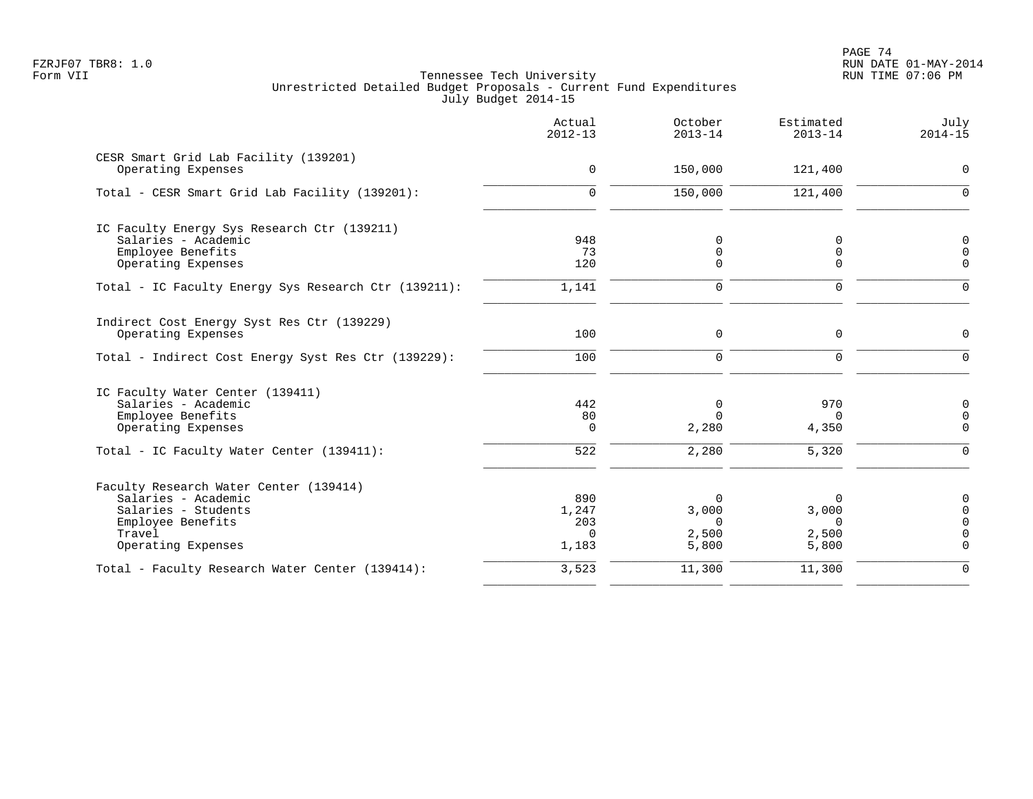PAGE 74 FZRJF07 TBR8: 1.0 RUN DATE 01-MAY-2014

|                                                             | Actual<br>$2012 - 13$ | October<br>$2013 - 14$ | Estimated<br>$2013 - 14$ | July<br>$2014 - 15$ |
|-------------------------------------------------------------|-----------------------|------------------------|--------------------------|---------------------|
| CESR Smart Grid Lab Facility (139201)<br>Operating Expenses | $\mathbf 0$           | 150,000                | 121,400                  | $\Omega$            |
|                                                             |                       |                        |                          |                     |
| Total - CESR Smart Grid Lab Facility (139201):              | $\mathbf 0$           | 150,000                | 121,400                  | $\Omega$            |
| IC Faculty Energy Sys Research Ctr (139211)                 |                       |                        |                          |                     |
| Salaries - Academic                                         | 948                   | $\mathbf 0$            | $\mathbf 0$              | $\mathbf 0$         |
| Employee Benefits                                           | 73                    | 0                      | $\mathbf 0$              | $\overline{0}$      |
| Operating Expenses                                          | 120                   | $\Omega$               | $\mathbf 0$              | $\mathbf 0$         |
| Total - IC Faculty Energy Sys Research Ctr (139211):        | 1,141                 | $\mathbf 0$            | $\mathbf 0$              | $\Omega$            |
| Indirect Cost Energy Syst Res Ctr (139229)                  |                       |                        |                          |                     |
| Operating Expenses                                          | 100                   | $\mathbf 0$            | $\mathbf 0$              | $\Omega$            |
| Total - Indirect Cost Energy Syst Res Ctr (139229):         | 100                   | $\Omega$               | $\Omega$                 | $\Omega$            |
| IC Faculty Water Center (139411)                            |                       |                        |                          |                     |
| Salaries - Academic                                         | 442                   | 0                      | 970                      | 0                   |
| Employee Benefits                                           | 80                    | $\Omega$               | $\Omega$                 | $\mathbf 0$         |
| Operating Expenses                                          | 0                     | 2,280                  | 4,350                    | $\mathbf 0$         |
| Total - IC Faculty Water Center (139411):                   | 522                   | 2,280                  | 5,320                    | $\mathbf 0$         |
| Faculty Research Water Center (139414)                      |                       |                        |                          |                     |
| Salaries - Academic                                         | 890                   | $\Omega$               | $\Omega$                 | $\mathbf 0$         |
| Salaries - Students                                         | 1,247                 | 3,000                  | 3,000                    | $\Omega$            |
| Employee Benefits                                           | 203                   | $\Omega$               | $\Omega$                 | $\Omega$            |
| Travel                                                      | $\Omega$              | 2,500                  | 2,500                    | $\mathbf 0$         |
| Operating Expenses                                          | 1,183                 | 5,800                  | 5,800                    | $\Omega$            |
| Total - Faculty Research Water Center (139414):             | 3,523                 | 11,300                 | 11,300                   | $\Omega$            |
|                                                             |                       |                        |                          |                     |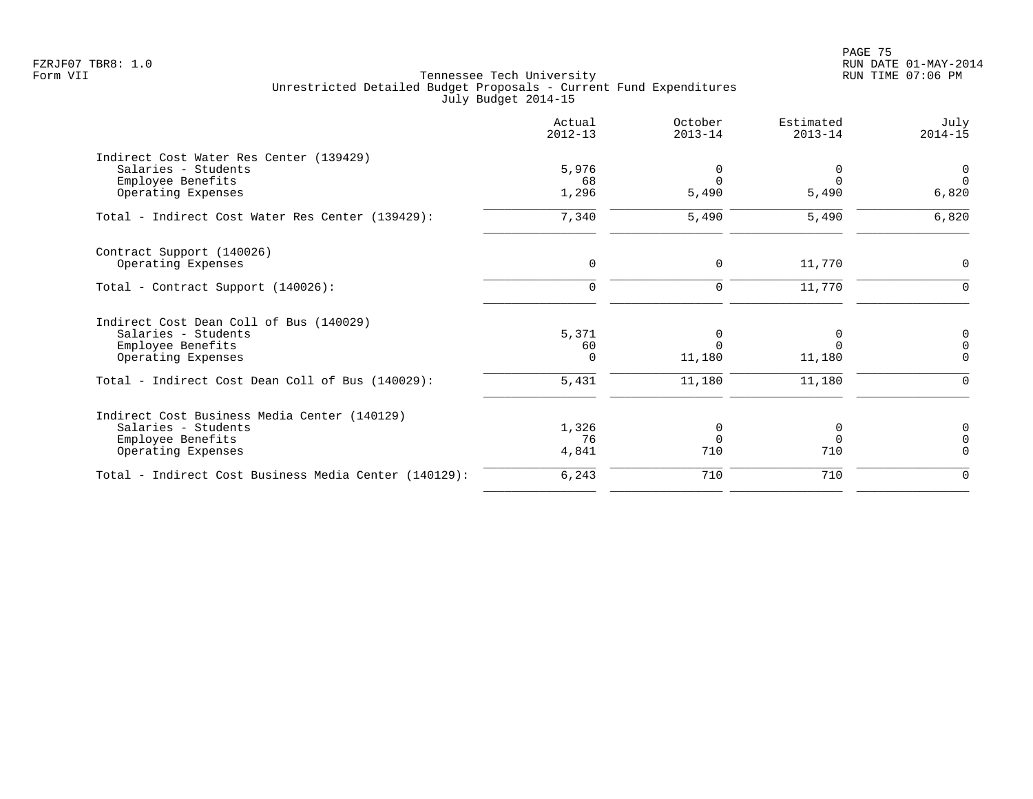PAGE 75 FZRJF07 TBR8: 1.0 RUN DATE 01-MAY-2014

|                                                       | Actual<br>$2012 - 13$ | October<br>$2013 - 14$ | Estimated<br>$2013 - 14$ | July<br>$2014 - 15$ |
|-------------------------------------------------------|-----------------------|------------------------|--------------------------|---------------------|
| Indirect Cost Water Res Center (139429)               |                       |                        |                          |                     |
| Salaries - Students                                   | 5,976                 | 0                      | $\Omega$                 | $\overline{0}$      |
| Employee Benefits                                     | 68                    | $\Omega$               |                          | $\Omega$            |
| Operating Expenses                                    | 1,296                 | 5,490                  | 5,490                    | 6,820               |
| Total - Indirect Cost Water Res Center (139429):      | 7,340                 | 5,490                  | 5,490                    | 6,820               |
| Contract Support (140026)                             |                       |                        |                          |                     |
| Operating Expenses                                    | $\mathbf 0$           | 0                      | 11,770                   | 0                   |
| Total - Contract Support (140026):                    | $\Omega$              | $\mathbf 0$            | 11,770                   | $\Omega$            |
| Indirect Cost Dean Coll of Bus (140029)               |                       |                        |                          |                     |
| Salaries - Students                                   | 5,371                 | 0                      | $\Omega$                 | 0                   |
| Employee Benefits                                     | 60                    | $\Omega$               |                          | $\mathbf 0$         |
| Operating Expenses                                    | $\Omega$              | 11,180                 | 11,180                   | $\Omega$            |
| Total - Indirect Cost Dean Coll of Bus (140029):      | 5,431                 | 11,180                 | 11,180                   | $\Omega$            |
| Indirect Cost Business Media Center (140129)          |                       |                        |                          |                     |
| Salaries - Students                                   | 1,326                 | 0                      | 0                        | 0                   |
| Employee Benefits                                     | 76                    | $\Omega$               | $\Omega$                 | $\mathbf 0$         |
| Operating Expenses                                    | 4,841                 | 710                    | 710                      | $\Omega$            |
| Total - Indirect Cost Business Media Center (140129): | 6,243                 | 710                    | 710                      | 0                   |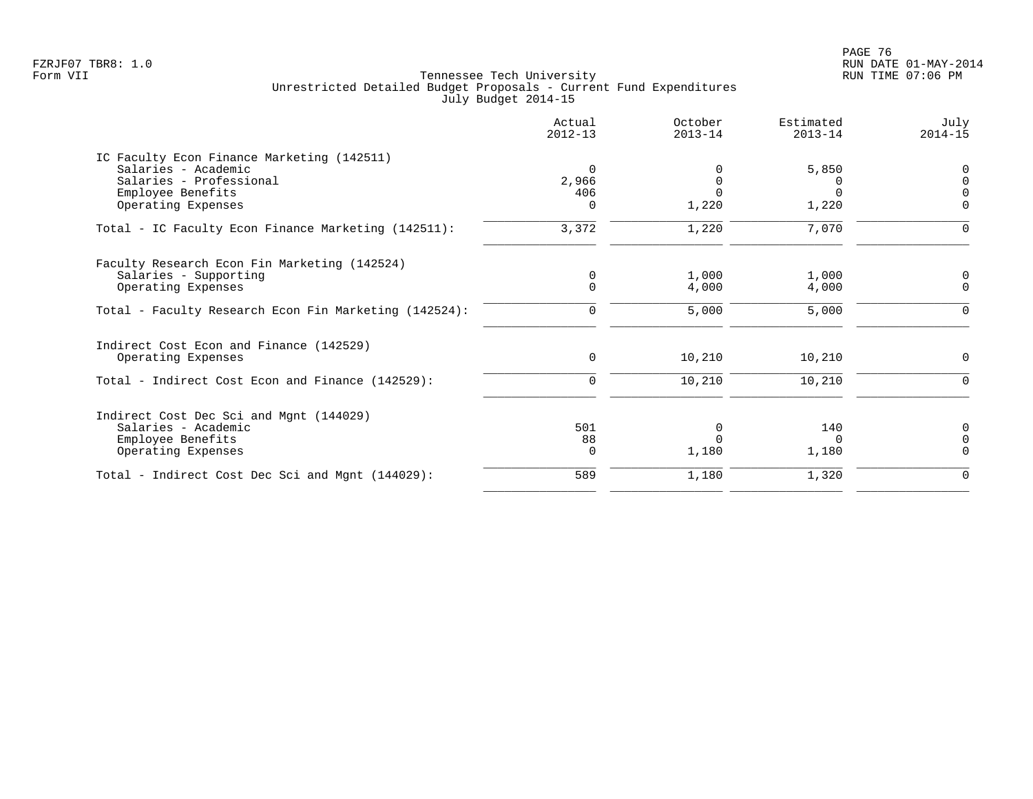| Actual<br>$2012 - 13$ | October<br>$2013 - 14$               | Estimated<br>$2013 - 14$ | July<br>$2014 - 15$     |
|-----------------------|--------------------------------------|--------------------------|-------------------------|
|                       |                                      |                          |                         |
| $\Omega$              |                                      | 5,850                    | 0                       |
|                       |                                      |                          | $\mathbf 0$             |
|                       |                                      |                          | $\Omega$                |
|                       |                                      |                          | $\Omega$                |
| 3,372                 | 1,220                                | 7,070                    | $\Omega$                |
|                       |                                      |                          |                         |
| $\mathbf 0$           |                                      |                          | $\mathbf 0$             |
|                       |                                      |                          | $\Omega$                |
| $\Omega$              | 5,000                                | 5,000                    | $\Omega$                |
|                       |                                      |                          |                         |
| $\mathbf 0$           | 10,210                               | 10,210                   | $\Omega$                |
| $\mathbf 0$           | 10,210                               | 10,210                   | $\Omega$                |
|                       |                                      |                          |                         |
| 501                   | $\Omega$                             | 140                      | 0                       |
| 88                    |                                      | 0                        | $\Omega$                |
| $\Omega$              | 1,180                                | 1,180                    | $\Omega$                |
| 589                   | 1,180                                | 1,320                    | $\Omega$                |
|                       | 2,966<br>406<br>$\Omega$<br>$\Omega$ | 1,220<br>1,000<br>4,000  | 1,220<br>1,000<br>4,000 |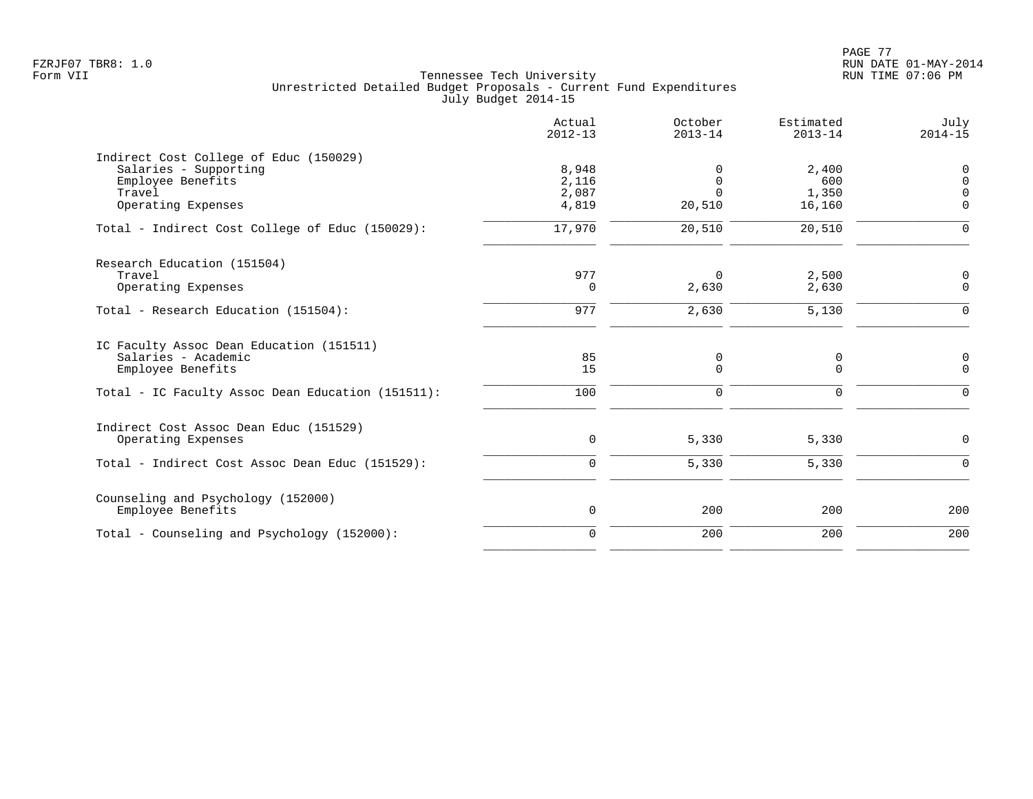|                                                                                                                      | Actual<br>$2012 - 13$            | October<br>$2013 - 14$       | Estimated<br>$2013 - 14$        | July<br>$2014 - 15$                         |
|----------------------------------------------------------------------------------------------------------------------|----------------------------------|------------------------------|---------------------------------|---------------------------------------------|
| Indirect Cost College of Educ (150029)<br>Salaries - Supporting<br>Employee Benefits<br>Travel<br>Operating Expenses | 8,948<br>2,116<br>2,087<br>4,819 | 0<br>0<br>$\Omega$<br>20,510 | 2,400<br>600<br>1,350<br>16,160 | 0<br>$\mathbf 0$<br>$\Omega$<br>$\mathbf 0$ |
| Total - Indirect Cost College of Educ (150029):                                                                      | 17,970                           | 20,510                       | 20,510                          | $\mathsf{O}$                                |
| Research Education (151504)<br>Travel<br>Operating Expenses                                                          | 977<br>0                         | $\mathbf 0$<br>2,630         | 2,500<br>2,630                  | $\mathsf{O}$<br>$\mathbf 0$                 |
| Total - Research Education (151504):                                                                                 | 977                              | 2,630                        | 5,130                           | $\mathbf 0$                                 |
| IC Faculty Assoc Dean Education (151511)<br>Salaries - Academic<br>Employee Benefits                                 | 85<br>15                         | 0<br>$\mathbf 0$             | 0<br>$\mathbf 0$                | $\mathsf{O}$<br>$\mathsf{O}$                |
| Total - IC Faculty Assoc Dean Education (151511):                                                                    | 100                              | $\mathbf 0$                  | $\mathbf 0$                     | $\mathbf 0$                                 |
| Indirect Cost Assoc Dean Educ (151529)<br>Operating Expenses<br>Total - Indirect Cost Assoc Dean Educ (151529):      | $\mathsf{O}$<br>$\mathbf 0$      | 5,330<br>5,330               | 5,330<br>5,330                  | $\mathsf{O}$<br>$\mathbf 0$                 |
|                                                                                                                      |                                  |                              |                                 |                                             |
| Counseling and Psychology (152000)<br>Employee Benefits                                                              | $\mathsf{O}$                     | 200                          | 200                             | 200                                         |
| Total - Counseling and Psychology (152000):                                                                          | $\mathbf 0$                      | 200                          | 200                             | 200                                         |
|                                                                                                                      |                                  |                              |                                 |                                             |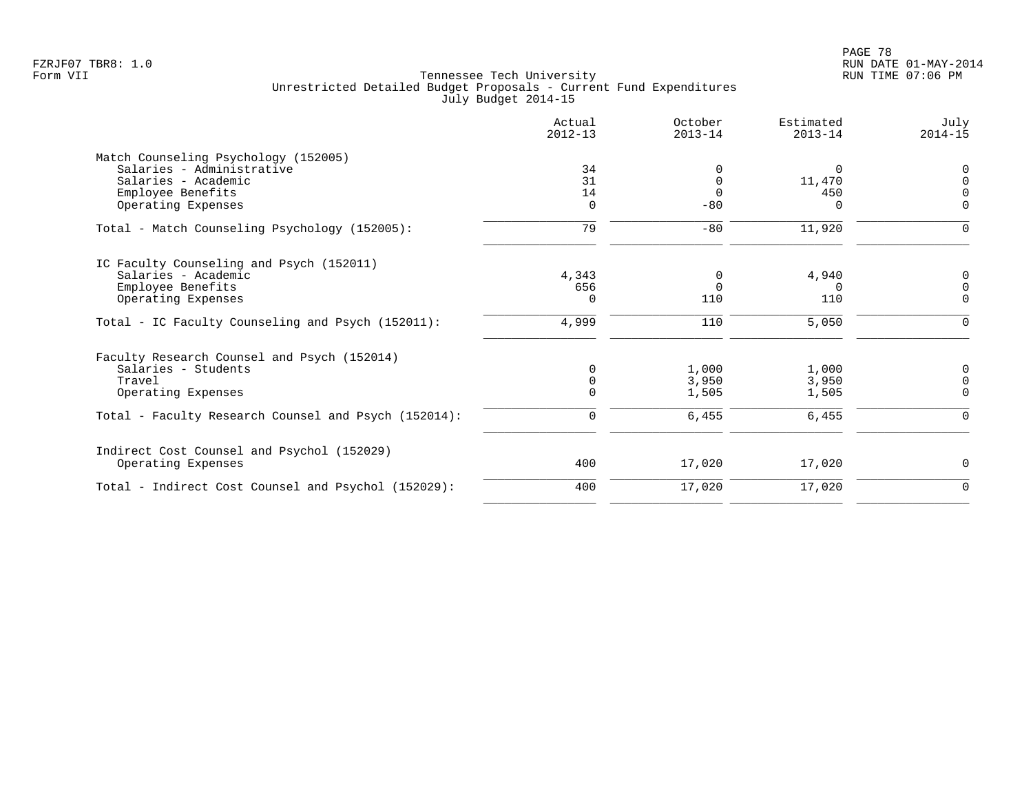|                                                      | Actual<br>$2012 - 13$ | October<br>$2013 - 14$ | Estimated<br>$2013 - 14$ | July<br>$2014 - 15$ |
|------------------------------------------------------|-----------------------|------------------------|--------------------------|---------------------|
| Match Counseling Psychology (152005)                 |                       |                        |                          |                     |
| Salaries - Administrative                            | 34                    | $\Omega$               | $\Omega$                 | $\Omega$            |
| Salaries - Academic                                  | 31                    | $\Omega$               | 11,470                   | $\Omega$            |
| Employee Benefits                                    | 14                    | $\Omega$               | 450                      | $\Omega$            |
| Operating Expenses                                   | 0                     | $-80$                  | O                        | $\mathbf 0$         |
| Total - Match Counseling Psychology (152005):        | 79                    | $-80$                  | 11,920                   | $\mathbf 0$         |
| IC Faculty Counseling and Psych (152011)             |                       |                        |                          |                     |
| Salaries - Academic                                  | 4,343                 | 0                      | 4,940                    | 0                   |
| Employee Benefits                                    | 656                   | $\Omega$               | $\Omega$                 | $\Omega$            |
| Operating Expenses                                   | $\Omega$              | 110                    | 110                      | 0                   |
| Total - IC Faculty Counseling and Psych (152011):    | 4,999                 | 110                    | 5,050                    | $\overline{0}$      |
| Faculty Research Counsel and Psych (152014)          |                       |                        |                          |                     |
| Salaries - Students                                  | $\Omega$              | 1,000                  | 1,000                    | 0                   |
| Travel                                               | 0                     | 3,950                  | 3,950                    | $\Omega$            |
| Operating Expenses                                   | $\mathbf 0$           | 1,505                  | 1,505                    | $\mathbf 0$         |
| Total - Faculty Research Counsel and Psych (152014): | $\mathbf 0$           | 6,455                  | 6,455                    | $\Omega$            |
| Indirect Cost Counsel and Psychol (152029)           |                       |                        |                          |                     |
| Operating Expenses                                   | 400                   | 17,020                 | 17,020                   | $\mathbf 0$         |
| Total - Indirect Cost Counsel and Psychol (152029):  | 400                   | 17,020                 | 17,020                   | $\mathbf 0$         |
|                                                      |                       |                        |                          |                     |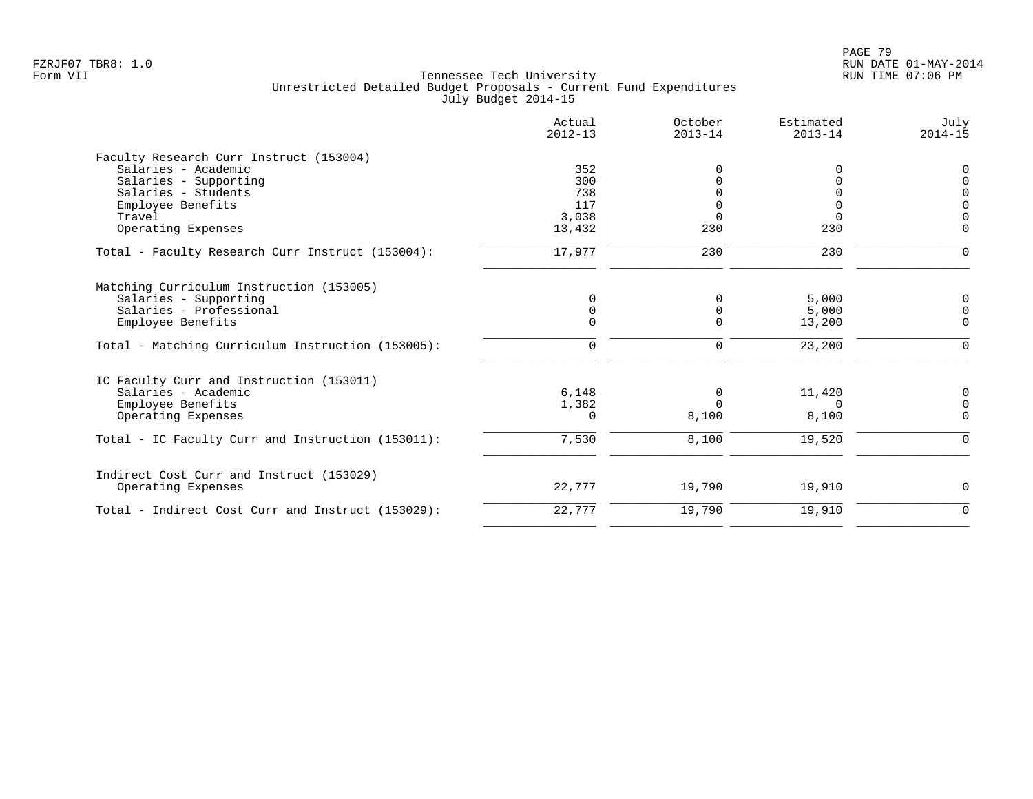|                                                   | Actual<br>$2012 - 13$ | October<br>$2013 - 14$ | Estimated<br>$2013 - 14$ | July<br>$2014 - 15$ |
|---------------------------------------------------|-----------------------|------------------------|--------------------------|---------------------|
| Faculty Research Curr Instruct (153004)           |                       |                        |                          |                     |
| Salaries - Academic                               | 352                   | $\Omega$               | O                        | 0                   |
| Salaries - Supporting                             | 300                   | $\Omega$               | 0                        | $\overline{0}$      |
| Salaries - Students                               | 738                   |                        |                          | $\overline{0}$      |
| Employee Benefits                                 | 117                   |                        |                          | $\mathsf 0$         |
| Travel                                            | 3,038                 | $\Omega$               | $\Omega$                 | $\Omega$            |
| Operating Expenses                                | 13,432                | 230                    | 230                      | $\Omega$            |
| Total - Faculty Research Curr Instruct (153004):  | 17,977                | 230                    | 230                      | $\mathbf 0$         |
| Matching Curriculum Instruction (153005)          |                       |                        |                          |                     |
| Salaries - Supporting                             |                       | 0                      | 5,000                    | 0                   |
| Salaries - Professional                           |                       | 0                      | 5,000                    | $\mathbf 0$         |
| Employee Benefits                                 |                       | $\Omega$               | 13,200                   | $\mathbf 0$         |
| Total - Matching Curriculum Instruction (153005): | $\mathbf 0$           | $\mathbf 0$            | 23,200                   | $\mathbf 0$         |
| IC Faculty Curr and Instruction (153011)          |                       |                        |                          |                     |
| Salaries - Academic                               | 6,148                 | 0                      | 11,420                   | 0                   |
| Employee Benefits                                 | 1,382                 | $\Omega$               | $\Omega$                 | $\mathbf 0$         |
| Operating Expenses                                | $\Omega$              | 8,100                  | 8,100                    | $\Omega$            |
| Total - IC Faculty Curr and Instruction (153011): | 7,530                 | 8,100                  | 19,520                   | $\mathbf 0$         |
| Indirect Cost Curr and Instruct (153029)          |                       |                        |                          |                     |
| Operating Expenses                                | 22,777                | 19,790                 | 19,910                   | 0                   |
| Total - Indirect Cost Curr and Instruct (153029): | 22,777                | 19,790                 | 19,910                   | $\mathbf 0$         |
|                                                   |                       |                        |                          |                     |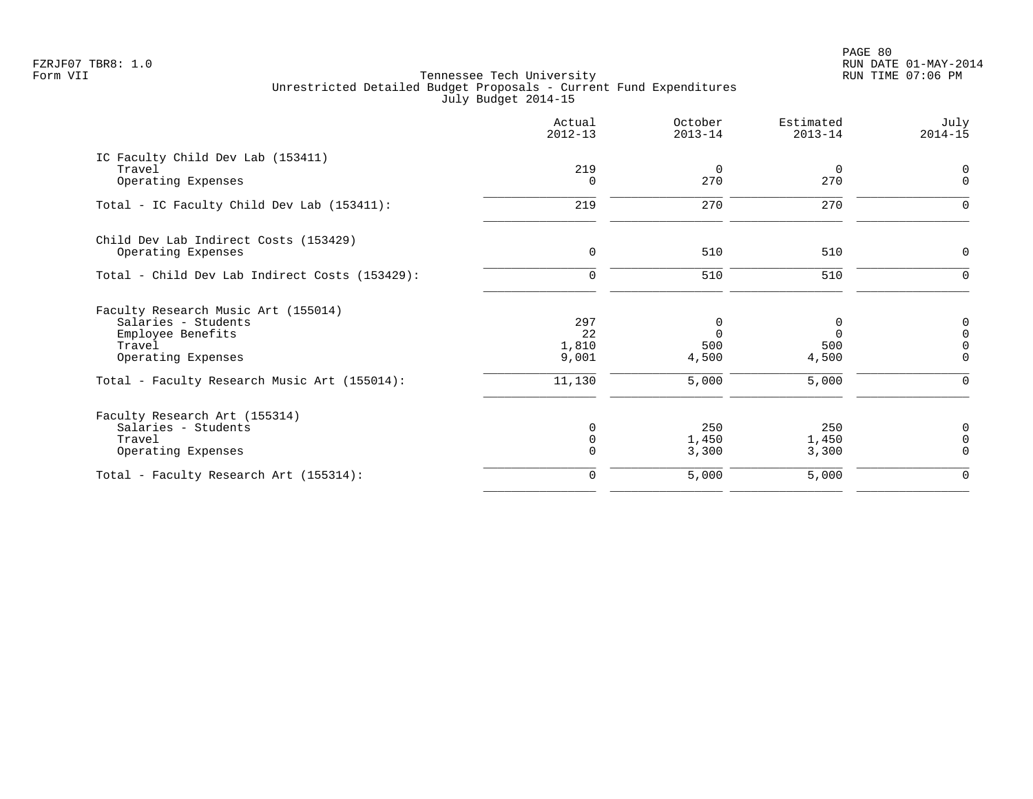PAGE 80 FZRJF07 TBR8: 1.0 RUN DATE 01-MAY-2014

|                                                | Actual<br>$2012 - 13$ | October<br>$2013 - 14$ | Estimated<br>$2013 - 14$ | July<br>$2014 - 15$ |
|------------------------------------------------|-----------------------|------------------------|--------------------------|---------------------|
| IC Faculty Child Dev Lab (153411)<br>Travel    | 219                   | $\mathbf 0$            | $\overline{0}$           | 0<br>$\mathbf 0$    |
| Operating Expenses                             | $\Omega$              | 270                    | 270                      |                     |
| Total - IC Faculty Child Dev Lab (153411):     | 219                   | 270                    | 270                      | 0                   |
| Child Dev Lab Indirect Costs (153429)          |                       |                        |                          |                     |
| Operating Expenses                             | $\mathbf 0$           | 510                    | 510                      | $\mathbf 0$         |
| Total - Child Dev Lab Indirect Costs (153429): | $\mathbf 0$           | 510                    | 510                      | $\Omega$            |
| Faculty Research Music Art (155014)            |                       |                        |                          |                     |
| Salaries - Students                            | 297                   | 0                      | 0                        | $\mathsf 0$         |
| Employee Benefits                              | 22                    | $\Omega$               | $\Omega$                 | $\mathsf{O}\xspace$ |
| Travel                                         | 1,810                 | 500                    | 500                      | $\mathsf 0$         |
| Operating Expenses                             | 9,001                 | 4,500                  | 4,500                    | $\Omega$            |
| Total - Faculty Research Music Art (155014):   | 11,130                | 5,000                  | 5,000                    | 0                   |
| Faculty Research Art (155314)                  |                       |                        |                          |                     |
| Salaries - Students                            | $\Omega$              | 250                    | 250                      | $\mathsf 0$         |
| Travel                                         | $\Omega$              | 1,450                  | 1,450                    | $\mathsf{O}\xspace$ |
| Operating Expenses                             | $\Omega$              | 3,300                  | 3,300                    | $\Omega$            |
| Total - Faculty Research Art (155314):         | $\Omega$              | 5,000                  | 5,000                    | 0                   |
|                                                |                       |                        |                          |                     |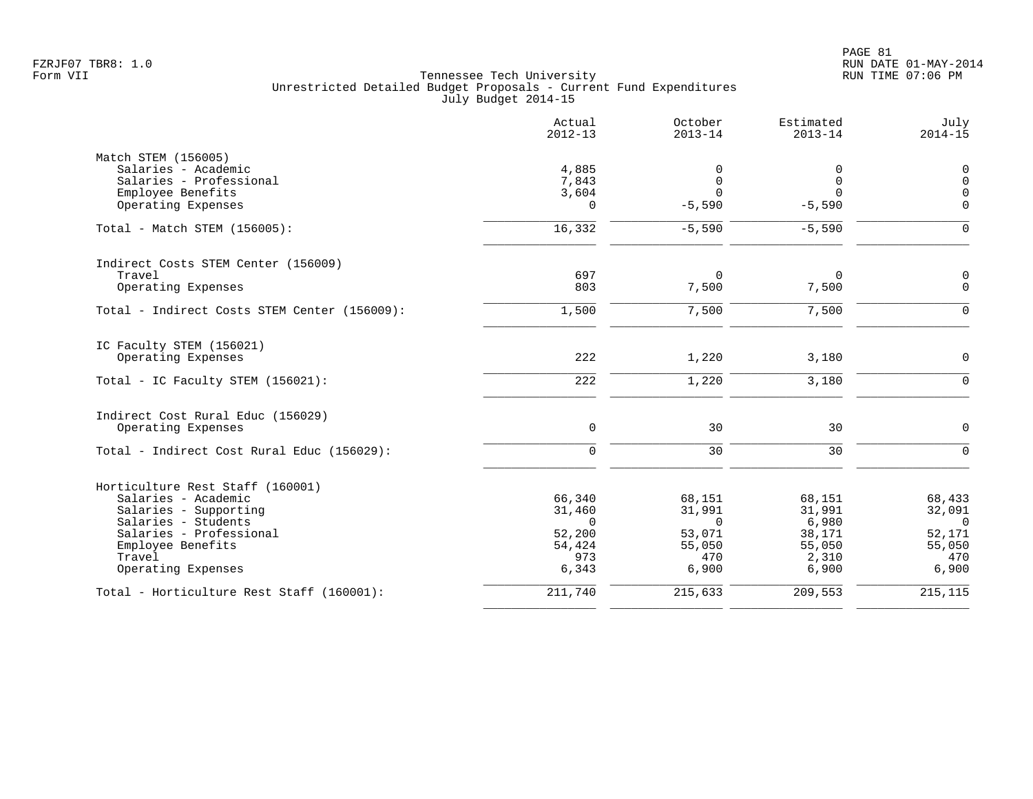|                                              | Actual<br>$2012 - 13$ | October<br>$2013 - 14$ | Estimated<br>$2013 - 14$ | July<br>$2014 - 15$ |
|----------------------------------------------|-----------------------|------------------------|--------------------------|---------------------|
| Match STEM (156005)                          |                       |                        |                          |                     |
| Salaries - Academic                          | 4,885                 | 0                      | 0                        | 0                   |
| Salaries - Professional                      | 7,843                 | $\Omega$               | $\mathbf{0}$             | $\mathsf 0$         |
| Employee Benefits                            | 3,604                 | $\Omega$               | $\Omega$                 | $\mathbf 0$         |
| Operating Expenses                           | 0                     | $-5,590$               | $-5,590$                 | $\mathbf 0$         |
| Total - Match STEM (156005):                 | 16,332                | $-5,590$               | $-5,590$                 | $\Omega$            |
| Indirect Costs STEM Center (156009)          |                       |                        |                          |                     |
| Travel                                       | 697                   | $\Omega$               | 0                        | $\mathbf 0$         |
| Operating Expenses                           | 803                   | 7,500                  | 7,500                    | $\mathbf 0$         |
| Total - Indirect Costs STEM Center (156009): | 1,500                 | 7,500                  | 7,500                    | $\Omega$            |
| IC Faculty STEM (156021)                     |                       |                        |                          |                     |
| Operating Expenses                           | 222                   | 1,220                  | 3,180                    | $\mathbf 0$         |
| Total - IC Faculty STEM (156021):            | 222                   | 1,220                  | 3,180                    | $\Omega$            |
| Indirect Cost Rural Educ (156029)            |                       |                        |                          |                     |
| Operating Expenses                           | $\mathsf{O}\xspace$   | 30                     | 30                       | $\mathsf{O}$        |
| Total - Indirect Cost Rural Educ (156029):   | $\mathbf 0$           | 30                     | 30                       | $\mathbf 0$         |
| Horticulture Rest Staff (160001)             |                       |                        |                          |                     |
| Salaries - Academic                          | 66,340                | 68,151                 | 68,151                   | 68,433              |
| Salaries - Supporting                        | 31,460                | 31,991                 | 31,991                   | 32,091              |
| Salaries - Students                          | $\Omega$              | $\mathbf 0$            | 6,980                    | $\overline{0}$      |
| Salaries - Professional                      | 52,200                | 53,071                 | 38,171                   | 52,171              |
| Employee Benefits                            | 54,424                | 55,050                 | 55,050                   | 55,050              |
| Travel                                       | 973                   | 470                    | 2,310                    | 470                 |
| Operating Expenses                           | 6,343                 | 6,900                  | 6,900                    | 6,900               |
| Total - Horticulture Rest Staff (160001):    | 211,740               | 215,633                | 209,553                  | 215, 115            |
|                                              |                       |                        |                          |                     |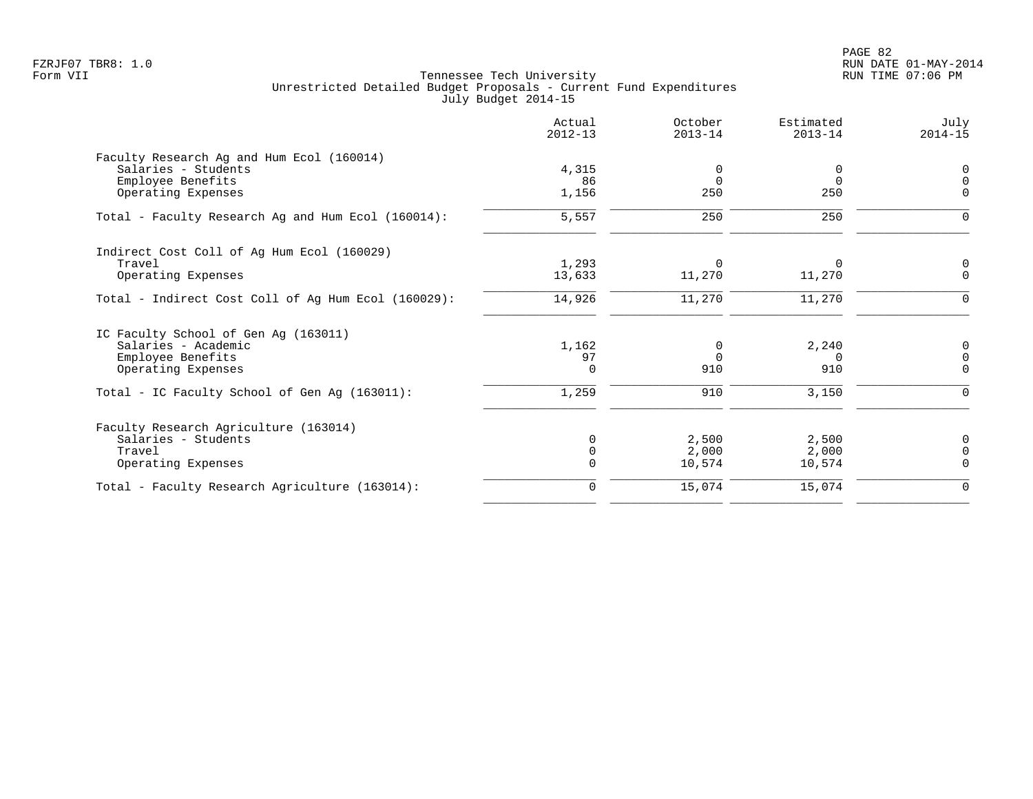PAGE 82 FZRJF07 TBR8: 1.0 RUN DATE 01-MAY-2014

| Actual<br>$2012 - 13$ | October<br>$2013 - 14$ | Estimated<br>$2013 - 14$ | July<br>$2014 - 15$   |
|-----------------------|------------------------|--------------------------|-----------------------|
|                       |                        |                          |                       |
| 4,315                 | 0                      | 0                        | $\mathsf{O}$          |
| 86                    |                        | $\Omega$                 | $\Omega$              |
| 1,156                 |                        |                          | $\Omega$              |
| 5,557                 | 250                    | 250                      | 0                     |
|                       |                        |                          |                       |
| 1,293                 | $\Omega$               | $\Omega$                 | 0                     |
| 13,633                | 11,270                 | 11,270                   | $\Omega$              |
| 14,926                | 11,270                 | 11,270                   | 0                     |
|                       |                        |                          |                       |
| 1,162                 | 0                      | 2,240                    | 0                     |
| 97                    | $\Omega$               | $\Omega$                 | $\mathbf 0$           |
| $\Omega$              | 910                    | 910                      | $\Omega$              |
| 1,259                 | 910                    | 3,150                    | 0                     |
|                       |                        |                          |                       |
| $\Omega$              |                        |                          | 0                     |
| $\Omega$              | 2,000                  |                          | $\mathbf 0$           |
| $\Omega$              | 10,574                 | 10,574                   | $\mathbf 0$           |
| $\mathbf 0$           | 15,074                 | 15,074                   | $\mathbf 0$           |
|                       |                        | $\Omega$<br>250<br>2,500 | 250<br>2,500<br>2,000 |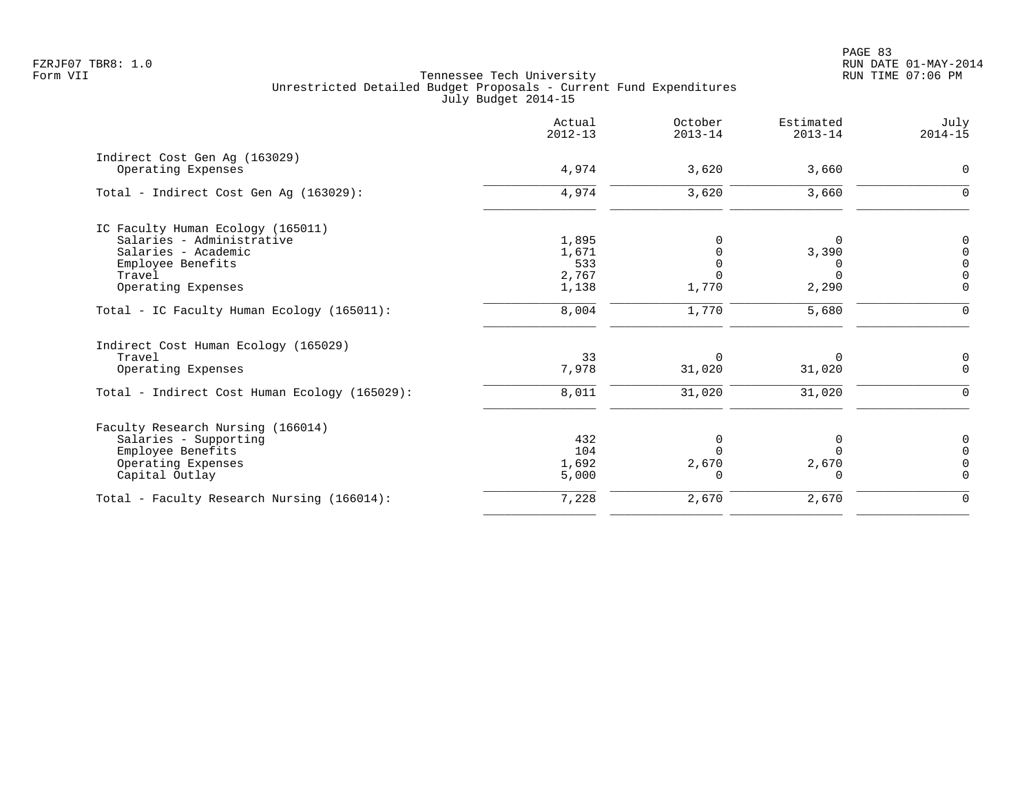| Actual<br>$2012 - 13$ | October<br>$2013 - 14$  | Estimated<br>$2013 - 14$ | July<br>$2014 - 15$        |
|-----------------------|-------------------------|--------------------------|----------------------------|
|                       |                         |                          |                            |
|                       |                         |                          | $\Omega$                   |
| 4,974                 | 3,620                   | 3,660                    |                            |
|                       |                         |                          |                            |
| 1,895                 |                         | 0                        | $\Omega$                   |
| 1,671                 |                         | 3,390                    | $\Omega$                   |
| 533                   |                         | $\Omega$                 | $\Omega$                   |
|                       |                         |                          | $\Omega$                   |
|                       |                         |                          | $\Omega$                   |
| 8,004                 | 1,770                   | 5,680                    | $\Omega$                   |
|                       |                         |                          |                            |
| 33                    | $\Omega$                | $\Omega$                 | 0                          |
| 7,978                 | 31,020                  | 31,020                   | $\mathbf 0$                |
| 8,011                 | 31,020                  | 31,020                   | $\Omega$                   |
|                       |                         |                          |                            |
| 432                   | $\Omega$                | 0                        | $\Omega$                   |
| 104                   |                         | $\Omega$                 | $\Omega$                   |
| 1,692                 | 2,670                   | 2,670                    | $\Omega$                   |
| 5,000                 | U                       | $\Omega$                 | $\Omega$                   |
| 7,228                 | 2,670                   | 2,670                    | $\Omega$                   |
|                       | 4,974<br>2,767<br>1,138 | 3,620<br>1,770           | 3,660<br>$\Omega$<br>2,290 |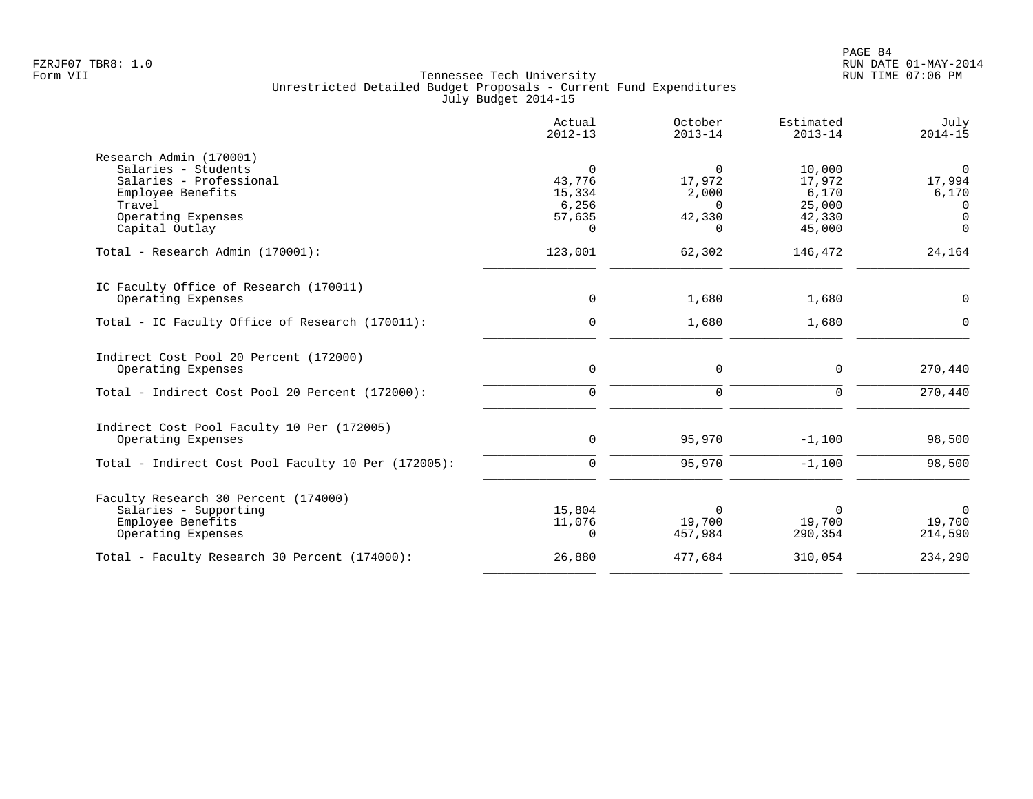|                                                                                                                                                  | Actual<br>$2012 - 13$                                | October<br>$2013 - 14$                                 | Estimated<br>$2013 - 14$                                | July<br>$2014 - 15$                               |
|--------------------------------------------------------------------------------------------------------------------------------------------------|------------------------------------------------------|--------------------------------------------------------|---------------------------------------------------------|---------------------------------------------------|
| Research Admin (170001)<br>Salaries - Students<br>Salaries - Professional<br>Employee Benefits<br>Travel<br>Operating Expenses<br>Capital Outlay | 0<br>43,776<br>15,334<br>6,256<br>57,635<br>$\Omega$ | 0<br>17,972<br>2,000<br>$\Omega$<br>42,330<br>$\Omega$ | 10,000<br>17,972<br>6,170<br>25,000<br>42,330<br>45,000 | 0<br>17,994<br>6,170<br>0<br>$\Omega$<br>$\Omega$ |
| Total - Research Admin (170001):                                                                                                                 | 123,001                                              | 62,302                                                 | 146,472                                                 | 24,164                                            |
| IC Faculty Office of Research (170011)<br>Operating Expenses                                                                                     | $\mathbf 0$                                          | 1,680                                                  | 1,680                                                   | 0                                                 |
| Total - IC Faculty Office of Research (170011):                                                                                                  | $\mathsf{O}$                                         | 1,680                                                  | 1,680                                                   | $\overline{0}$                                    |
| Indirect Cost Pool 20 Percent (172000)<br>Operating Expenses                                                                                     | $\mathbf 0$                                          | 0                                                      | $\mathbf 0$                                             | 270,440                                           |
| Total - Indirect Cost Pool 20 Percent (172000):                                                                                                  | $\mathbf 0$                                          | $\mathbf 0$                                            | $\Omega$                                                | 270,440                                           |
| Indirect Cost Pool Faculty 10 Per (172005)<br>Operating Expenses                                                                                 | 0                                                    | 95,970                                                 | $-1,100$                                                | 98,500                                            |
| Total - Indirect Cost Pool Faculty 10 Per (172005):                                                                                              | $\Omega$                                             | 95,970                                                 | $-1,100$                                                | 98,500                                            |
| Faculty Research 30 Percent (174000)<br>Salaries - Supporting<br>Employee Benefits<br>Operating Expenses                                         | 15,804<br>11,076<br>$\Omega$                         | $\Omega$<br>19,700<br>457,984                          | $\Omega$<br>19,700<br>290,354                           | $\Omega$<br>19,700<br>214,590                     |
| Total - Faculty Research 30 Percent (174000):                                                                                                    | 26,880                                               | 477,684                                                | 310,054                                                 | 234,290                                           |
|                                                                                                                                                  |                                                      |                                                        |                                                         |                                                   |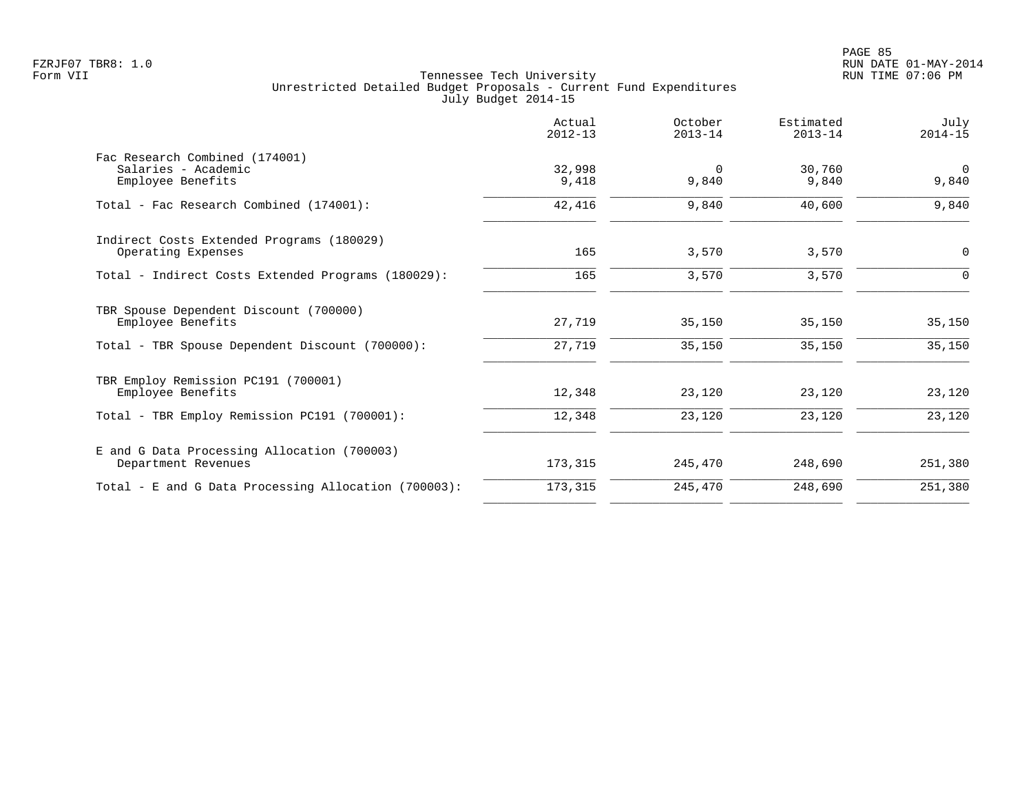|                                                                            | Actual<br>$2012 - 13$ | October<br>$2013 - 14$ | Estimated<br>$2013 - 14$ | July<br>$2014 - 15$  |
|----------------------------------------------------------------------------|-----------------------|------------------------|--------------------------|----------------------|
| Fac Research Combined (174001)<br>Salaries - Academic<br>Employee Benefits | 32,998<br>9,418       | $\Omega$<br>9,840      | 30,760<br>9,840          | $\mathbf 0$<br>9,840 |
| Total - Fac Research Combined (174001):                                    | 42,416                | 9,840                  | 40,600                   | 9,840                |
| Indirect Costs Extended Programs (180029)<br>Operating Expenses            | 165                   | 3,570                  | 3,570                    | 0                    |
| Total - Indirect Costs Extended Programs (180029):                         | 165                   | 3,570                  | 3,570                    | $\Omega$             |
| TBR Spouse Dependent Discount (700000)<br>Employee Benefits                | 27,719                | 35,150                 | 35,150                   | 35,150               |
| Total - TBR Spouse Dependent Discount (700000):                            | 27,719                | 35,150                 | 35,150                   | 35,150               |
| TBR Employ Remission PC191 (700001)<br>Employee Benefits                   | 12,348                | 23,120                 | 23,120                   | 23,120               |
| Total - TBR Employ Remission PC191 (700001):                               | 12,348                | 23,120                 | 23,120                   | 23,120               |
| E and G Data Processing Allocation (700003)<br>Department Revenues         | 173,315               | 245,470                | 248,690                  | 251,380              |
| Total - E and G Data Processing Allocation (700003):                       | 173,315               | 245,470                | 248,690                  | 251,380              |
|                                                                            |                       |                        |                          |                      |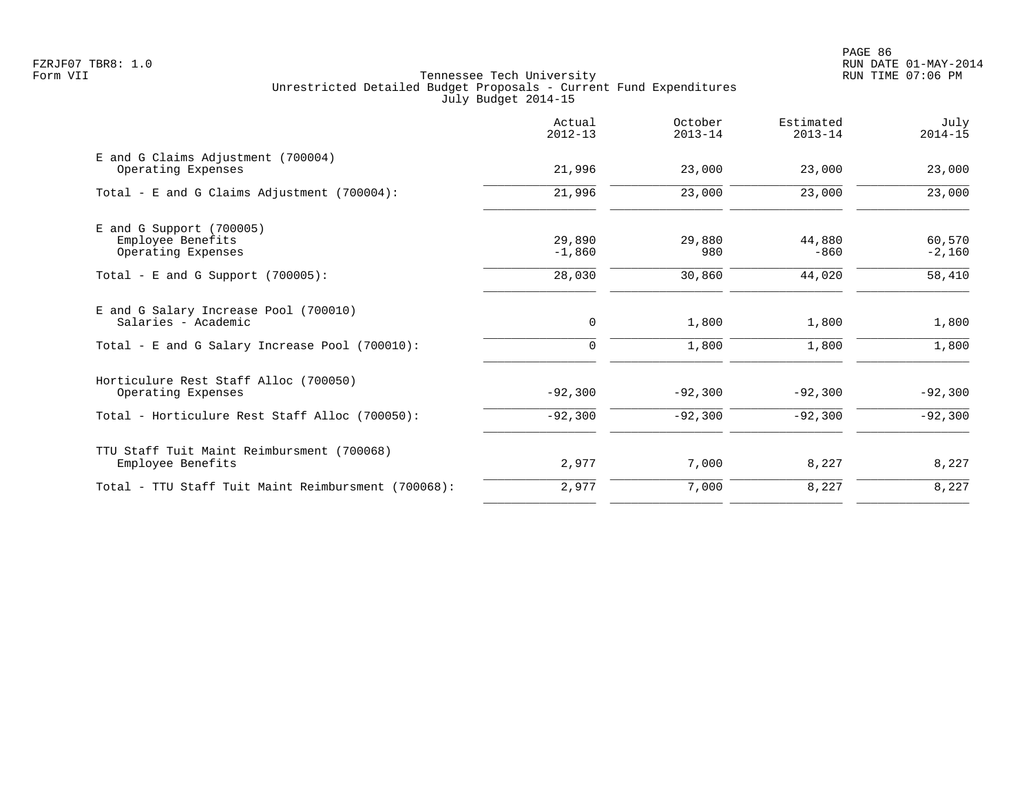|                                                                 | Actual<br>$2012 - 13$ | October<br>$2013 - 14$ | Estimated<br>$2013 - 14$ | July<br>$2014 - 15$ |
|-----------------------------------------------------------------|-----------------------|------------------------|--------------------------|---------------------|
| E and G Claims Adjustment (700004)<br>Operating Expenses        | 21,996                | 23,000                 | 23,000                   | 23,000              |
| Total - E and G Claims Adjustment (700004):                     | 21,996                | 23,000                 | 23,000                   | 23,000              |
| $E$ and G Support (700005)                                      |                       |                        |                          |                     |
| Employee Benefits<br>Operating Expenses                         | 29,890<br>$-1,860$    | 29,880<br>980          | 44,880<br>$-860$         | 60,570<br>$-2,160$  |
| Total - E and G Support $(700005)$ :                            | 28,030                | 30,860                 | 44,020                   | 58,410              |
| E and G Salary Increase Pool (700010)<br>Salaries - Academic    | 0                     | 1,800                  | 1,800                    | 1,800               |
| Total - E and G Salary Increase Pool (700010):                  | $\mathbf 0$           | 1,800                  | 1,800                    | 1,800               |
| Horticulure Rest Staff Alloc (700050)<br>Operating Expenses     | $-92,300$             | $-92,300$              | $-92,300$                | $-92,300$           |
| Total - Horticulure Rest Staff Alloc (700050):                  | $-92,300$             | $-92,300$              | $-92,300$                | $-92,300$           |
| TTU Staff Tuit Maint Reimbursment (700068)<br>Employee Benefits | 2,977                 | 7,000                  | 8,227                    | 8,227               |
| Total - TTU Staff Tuit Maint Reimbursment (700068):             | 2,977                 | 7,000                  | 8,227                    | 8,227               |
|                                                                 |                       |                        |                          |                     |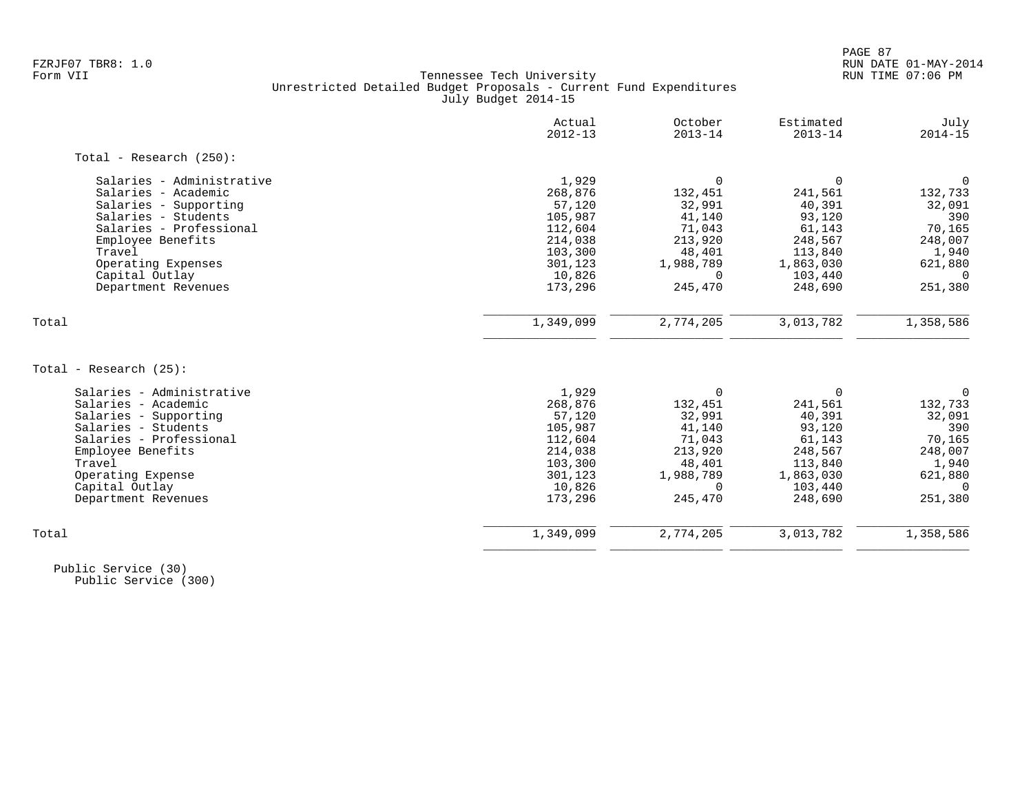|                            | Actual<br>$2012 - 13$ | October<br>$2013 - 14$ | Estimated<br>$2013 - 14$ | July<br>$2014 - 15$ |
|----------------------------|-----------------------|------------------------|--------------------------|---------------------|
| Total - Research $(250)$ : |                       |                        |                          |                     |
| Salaries - Administrative  | 1,929                 | $\Omega$               | $\Omega$                 | $\Omega$            |
| Salaries - Academic        | 268,876               | 132,451                | 241,561                  | 132,733             |
| Salaries - Supporting      | 57,120                | 32,991                 | 40,391                   | 32,091              |
| Salaries - Students        | 105,987               | 41,140                 | 93,120                   | 390                 |
| Salaries - Professional    | 112,604               | 71,043                 | 61,143                   | 70,165              |
| Employee Benefits          | 214,038               | 213,920                | 248,567                  | 248,007             |
| Travel                     | 103,300               | 48,401                 | 113,840                  | 1,940               |
| Operating Expenses         | 301,123               | 1,988,789              | 1,863,030                | 621,880             |
| Capital Outlay             | 10,826                | $\Omega$               | 103,440                  | $\Omega$            |
| Department Revenues        | 173,296               | 245,470                | 248,690                  | 251,380             |
| Total                      | 1,349,099             | 2,774,205              | 3,013,782                | 1,358,586           |
|                            |                       |                        |                          |                     |
| Total - Research (25):     |                       |                        |                          |                     |
| Salaries - Administrative  | 1,929                 | 0                      | $\Omega$                 | $\mathbf 0$         |
| Salaries - Academic        | 268,876               | 132,451                | 241,561                  | 132,733             |
| Salaries - Supporting      | 57,120                | 32,991                 | 40,391                   | 32,091              |
| Salaries - Students        | 105,987               | 41,140                 | 93,120                   | 390                 |
| Salaries - Professional    | 112,604               | 71,043                 | 61,143                   | 70,165              |
| Employee Benefits          | 214,038               | 213,920                | 248,567                  | 248,007             |
| Travel                     | 103,300               | 48,401                 | 113,840                  | 1,940               |
| Operating Expense          | 301,123               | 1,988,789              | 1,863,030                | 621,880             |
| Capital Outlay             | 10,826                | $\Omega$               | 103,440                  | $\Omega$            |
| Department Revenues        | 173,296               | 245,470                | 248,690                  | 251,380             |
| Total                      | 1,349,099             | 2,774,205              | 3,013,782                | 1,358,586           |
|                            |                       |                        |                          |                     |

 Public Service (30) Public Service (300)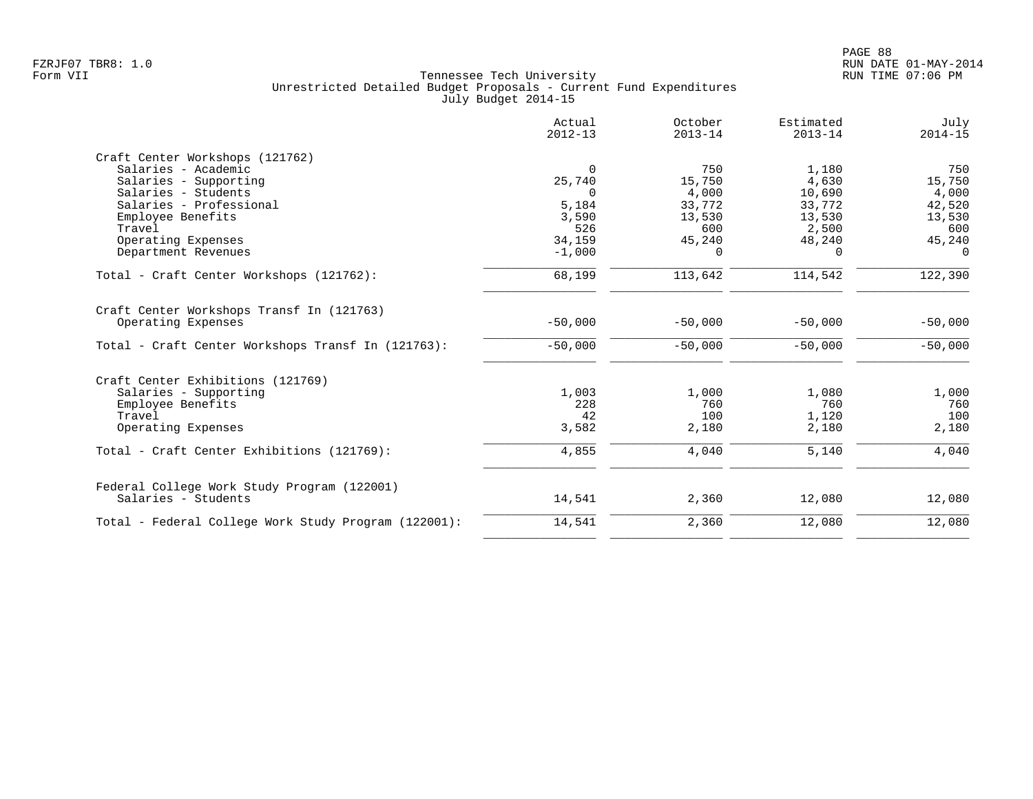|                                                      | Actual<br>$2012 - 13$ | October<br>$2013 - 14$ | Estimated<br>$2013 - 14$ | July<br>$2014 - 15$ |
|------------------------------------------------------|-----------------------|------------------------|--------------------------|---------------------|
| Craft Center Workshops (121762)                      |                       |                        |                          |                     |
| Salaries - Academic                                  | $\Omega$              | 750                    | 1,180                    | 750                 |
| Salaries - Supporting                                | 25,740                | 15,750                 | 4,630                    | 15,750              |
| Salaries - Students                                  | $\Omega$              | 4,000                  | 10,690                   | 4,000               |
| Salaries - Professional                              | 5,184                 | 33,772                 | 33,772                   | 42,520              |
| Employee Benefits                                    | 3,590                 | 13,530                 | 13,530                   | 13,530              |
| Travel                                               | 526                   | 600                    | 2,500                    | 600                 |
| Operating Expenses                                   | 34,159                | 45,240                 | 48,240                   | 45,240              |
| Department Revenues                                  | $-1,000$              | $\Omega$               | $\Omega$                 | $\Omega$            |
| Total - Craft Center Workshops (121762):             | 68,199                | 113,642                | 114,542                  | 122,390             |
| Craft Center Workshops Transf In (121763)            |                       |                        |                          |                     |
| Operating Expenses                                   | $-50,000$             | $-50,000$              | $-50,000$                | $-50,000$           |
| Total - Craft Center Workshops Transf In (121763):   | $-50,000$             | $-50,000$              | $-50,000$                | $-50,000$           |
| Craft Center Exhibitions (121769)                    |                       |                        |                          |                     |
| Salaries - Supporting                                | 1,003                 | 1,000                  | 1,080                    | 1,000               |
| Employee Benefits                                    | 228                   | 760                    | 760                      | 760                 |
| Travel                                               | 42                    | 100                    | 1,120                    | 100                 |
| Operating Expenses                                   | 3,582                 | 2,180                  | 2,180                    | 2,180               |
| Total - Craft Center Exhibitions (121769):           | 4,855                 | 4,040                  | 5,140                    | 4,040               |
| Federal College Work Study Program (122001)          |                       |                        |                          |                     |
| Salaries - Students                                  | 14,541                | 2,360                  | 12,080                   | 12,080              |
| Total - Federal College Work Study Program (122001): | 14,541                | 2,360                  | 12,080                   | 12,080              |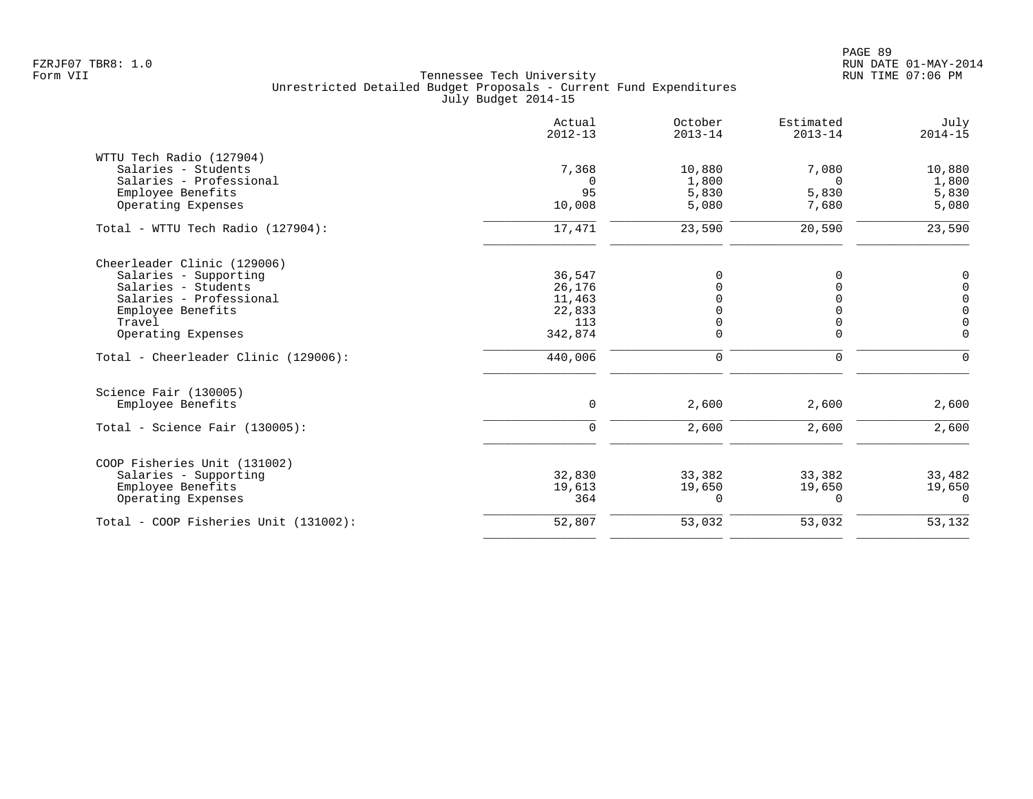|                                       | Actual<br>$2012 - 13$ | October<br>$2013 - 14$ | Estimated<br>$2013 - 14$ | July<br>$2014 - 15$ |
|---------------------------------------|-----------------------|------------------------|--------------------------|---------------------|
| WTTU Tech Radio (127904)              |                       |                        |                          |                     |
| Salaries - Students                   | 7,368                 | 10,880                 | 7,080                    | 10,880              |
| Salaries - Professional               | 0                     | 1,800                  | $\Omega$                 | 1,800               |
| Employee Benefits                     | 95                    | 5,830                  | 5,830                    | 5,830               |
| Operating Expenses                    | 10,008                | 5,080                  | 7,680                    | 5,080               |
| Total - WTTU Tech Radio (127904):     | 17,471                | 23,590                 | 20,590                   | 23,590              |
| Cheerleader Clinic (129006)           |                       |                        |                          |                     |
| Salaries - Supporting                 | 36,547                | 0                      | 0                        | 0                   |
| Salaries - Students                   | 26,176                |                        | $\Omega$                 | $\mathbf 0$         |
| Salaries - Professional               | 11,463                |                        | $\Omega$                 | $\mathsf{O}$        |
| Employee Benefits                     | 22,833                |                        | $\Omega$                 | $\mathsf{O}\xspace$ |
| Travel                                | 113                   | 0                      | $\overline{0}$           | $\mathsf 0$         |
| Operating Expenses                    | 342,874               | 0                      | $\mathbf 0$              | $\mathbf 0$         |
| Total - Cheerleader Clinic (129006):  | 440,006               | $\mathbf 0$            | $\mathbf 0$              | $\Omega$            |
| Science Fair (130005)                 |                       |                        |                          |                     |
| Employee Benefits                     | 0                     | 2,600                  | 2,600                    | 2,600               |
| Total - Science Fair $(130005)$ :     | 0                     | 2,600                  | 2,600                    | 2,600               |
| COOP Fisheries Unit (131002)          |                       |                        |                          |                     |
| Salaries - Supporting                 | 32,830                | 33,382                 | 33,382                   | 33,482              |
| Employee Benefits                     | 19,613                | 19,650                 | 19,650                   | 19,650              |
| Operating Expenses                    | 364                   | $\Omega$               | $\Omega$                 | $\Omega$            |
| Total - COOP Fisheries Unit (131002): | 52,807                | 53,032                 | 53,032                   | 53,132              |
|                                       |                       |                        |                          |                     |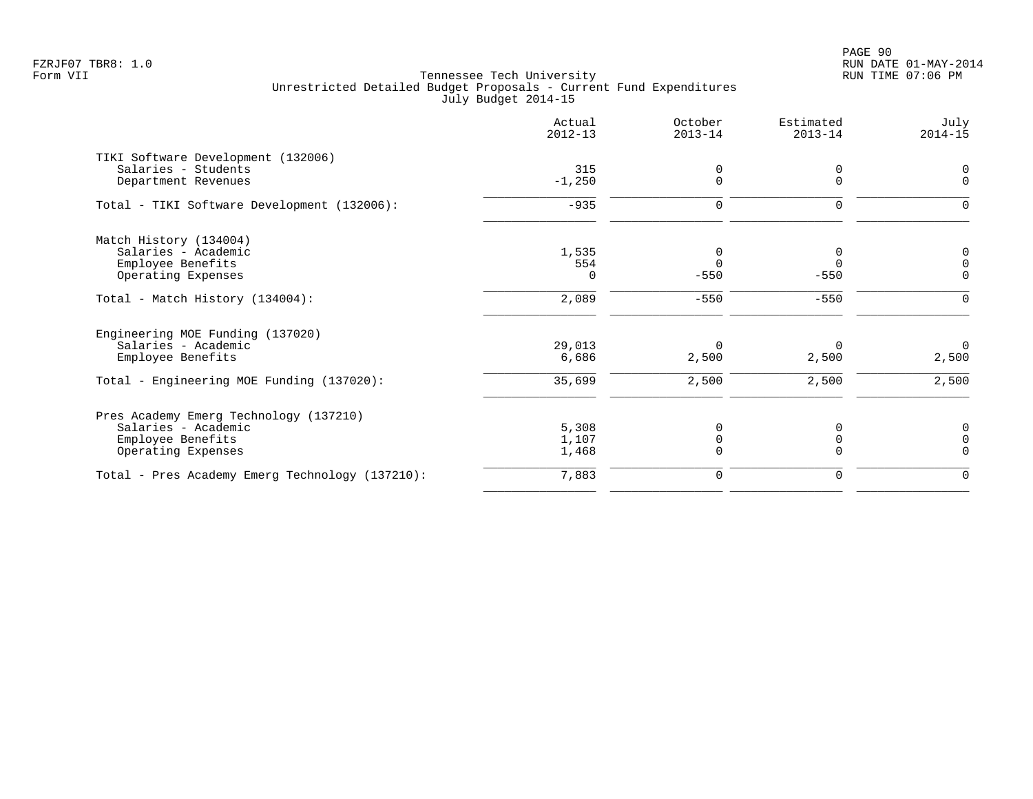|                                                 | Actual<br>$2012 - 13$ | October<br>$2013 - 14$ | Estimated<br>$2013 - 14$ | July<br>$2014 - 15$ |
|-------------------------------------------------|-----------------------|------------------------|--------------------------|---------------------|
| TIKI Software Development (132006)              |                       |                        |                          |                     |
| Salaries - Students                             | 315                   | $\Omega$               | 0                        |                     |
| Department Revenues                             | $-1,250$              |                        |                          | $\Omega$            |
| Total - TIKI Software Development (132006):     | $-935$                | $\mathbf 0$            | $\mathbf 0$              |                     |
| Match History (134004)                          |                       |                        |                          |                     |
| Salaries - Academic                             | 1,535                 | 0                      | 0                        | 0                   |
| Employee Benefits                               | 554                   | $\Omega$               | $\mathbf 0$              | $\Omega$            |
| Operating Expenses                              | $\Omega$              | $-550$                 | $-550$                   | $\Omega$            |
| Total - Match History (134004):                 | 2,089                 | $-550$                 | $-550$                   | ∩                   |
| Engineering MOE Funding (137020)                |                       |                        |                          |                     |
| Salaries - Academic                             | 29,013                | $\Omega$               | $\Omega$                 | $\mathbf 0$         |
| Employee Benefits                               | 6,686                 | 2,500                  | 2,500                    | 2,500               |
| Total - Engineering MOE Funding (137020):       | 35,699                | 2,500                  | 2,500                    | 2,500               |
| Pres Academy Emerg Technology (137210)          |                       |                        |                          |                     |
| Salaries - Academic                             | 5,308                 | O                      | 0                        | 0                   |
| Employee Benefits                               | 1,107                 |                        | 0                        |                     |
| Operating Expenses                              | 1,468                 | $\Omega$               | 0                        | $\Omega$            |
| Total - Pres Academy Emerg Technology (137210): | 7,883                 | 0                      | 0                        | $\Omega$            |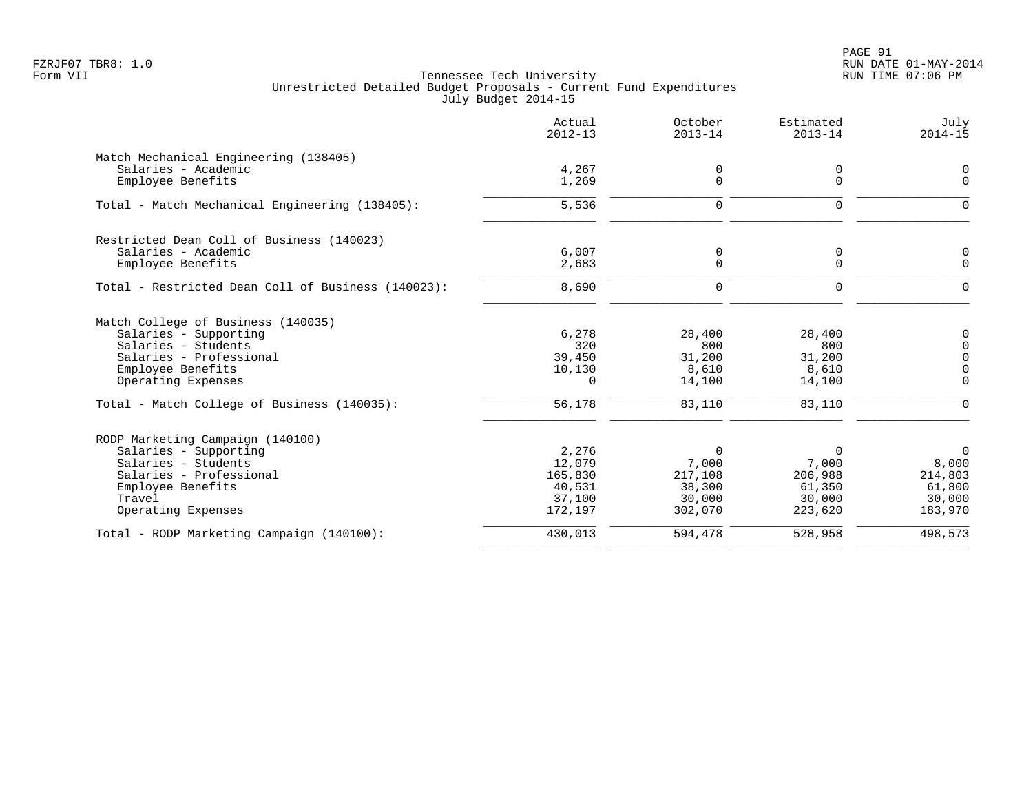PAGE 91 FZRJF07 TBR8: 1.0 RUN DATE 01-MAY-2014

|                                                                                                                                                                  | Actual<br>$2012 - 13$                                     | October<br>$2013 - 14$                                      | Estimated<br>$2013 - 14$                                    | July<br>$2014 - 15$                                               |
|------------------------------------------------------------------------------------------------------------------------------------------------------------------|-----------------------------------------------------------|-------------------------------------------------------------|-------------------------------------------------------------|-------------------------------------------------------------------|
| Match Mechanical Engineering (138405)<br>Salaries - Academic<br>Employee Benefits                                                                                | 4,267<br>1,269                                            | 0<br>$\mathbf 0$                                            | 0<br>0                                                      | 0<br>$\mathbf 0$                                                  |
| Total - Match Mechanical Engineering (138405):                                                                                                                   | 5,536                                                     | $\mathbf 0$                                                 | $\mathbf 0$                                                 | $\mathbf 0$                                                       |
| Restricted Dean Coll of Business (140023)<br>Salaries - Academic<br>Employee Benefits                                                                            | 6,007<br>2,683                                            | 0<br>$\mathbf 0$                                            | 0<br>$\mathbf 0$                                            | 0<br>0                                                            |
| Total - Restricted Dean Coll of Business (140023):                                                                                                               | 8,690                                                     | $\mathbf 0$                                                 | $\mathbf 0$                                                 | $\mathbf 0$                                                       |
| Match College of Business (140035)<br>Salaries - Supporting<br>Salaries - Students<br>Salaries - Professional<br>Employee Benefits<br>Operating Expenses         | 6,278<br>320<br>39,450<br>10,130<br>0                     | 28,400<br>800<br>31,200<br>8,610<br>14,100                  | 28,400<br>800<br>31,200<br>8,610<br>14,100                  | 0<br>0<br>0<br>$\mathbf 0$<br>$\mathbf 0$                         |
| Total - Match College of Business (140035):                                                                                                                      | 56,178                                                    | 83,110                                                      | 83,110                                                      | $\mathbf 0$                                                       |
| RODP Marketing Campaign (140100)<br>Salaries - Supporting<br>Salaries - Students<br>Salaries - Professional<br>Employee Benefits<br>Travel<br>Operating Expenses | 2,276<br>12,079<br>165,830<br>40,531<br>37,100<br>172,197 | $\Omega$<br>7,000<br>217,108<br>38,300<br>30,000<br>302,070 | $\Omega$<br>7,000<br>206,988<br>61,350<br>30,000<br>223,620 | $\overline{0}$<br>8,000<br>214,803<br>61,800<br>30,000<br>183,970 |
| Total - RODP Marketing Campaign (140100):                                                                                                                        | 430,013                                                   | 594,478                                                     | 528,958                                                     | 498,573                                                           |
|                                                                                                                                                                  |                                                           |                                                             |                                                             |                                                                   |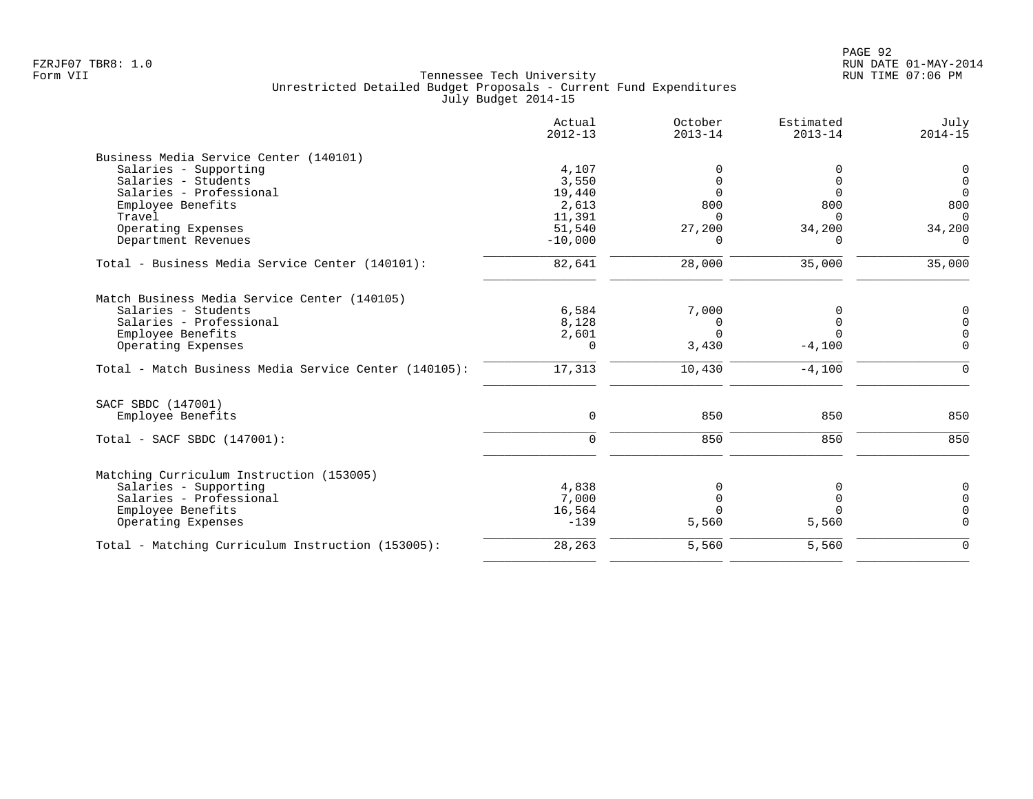|                                                       | Actual<br>$2012 - 13$ | October<br>$2013 - 14$ | Estimated<br>$2013 - 14$ | July<br>$2014 - 15$ |
|-------------------------------------------------------|-----------------------|------------------------|--------------------------|---------------------|
| Business Media Service Center (140101)                |                       |                        |                          |                     |
| Salaries - Supporting                                 | 4,107                 |                        |                          | $\mathbf 0$         |
| Salaries - Students                                   | 3,550                 | $\Omega$               | $\Omega$                 | $\mathbf 0$         |
| Salaries - Professional                               | 19,440                | $\Omega$               | $\Omega$                 | $\Omega$            |
| Employee Benefits                                     | 2,613                 | 800                    | 800                      | 800                 |
| Travel                                                | 11,391                | $\Omega$               | $\Omega$                 | $\Omega$            |
| Operating Expenses                                    | 51,540                | 27,200                 | 34,200                   | 34,200              |
| Department Revenues                                   | $-10,000$             | $\Omega$               | $\Omega$                 | $\Omega$            |
| Total - Business Media Service Center (140101):       | 82,641                | 28,000                 | 35,000                   | 35,000              |
| Match Business Media Service Center (140105)          |                       |                        |                          |                     |
| Salaries - Students                                   | 6,584                 | 7,000                  | O                        | $\mathbf 0$         |
| Salaries - Professional                               | 8,128                 | 0                      | 0                        | $\mathbf 0$         |
| Employee Benefits                                     | 2,601                 | $\Omega$               | $\Omega$                 | $\Omega$            |
| Operating Expenses                                    | $\Omega$              | 3,430                  | $-4,100$                 | $\Omega$            |
| Total - Match Business Media Service Center (140105): | 17,313                | 10,430                 | $-4,100$                 | $\Omega$            |
| SACF SBDC (147001)                                    |                       |                        |                          |                     |
| Employee Benefits                                     | $\mathbf 0$           | 850                    | 850                      | 850                 |
|                                                       |                       |                        |                          |                     |
| Total - SACF SBDC (147001):                           | $\Omega$              | 850                    | 850                      | 850                 |
| Matching Curriculum Instruction (153005)              |                       |                        |                          |                     |
| Salaries - Supporting                                 | 4,838                 | U                      | 0                        | $\mathbf 0$         |
| Salaries - Professional                               | 7,000                 | <sup>n</sup>           | 0                        | $\Omega$            |
| Employee Benefits                                     | 16,564                | U                      | $\Omega$                 | $\Omega$            |
| Operating Expenses                                    | $-139$                | 5,560                  | 5,560                    | $\Omega$            |
| Total - Matching Curriculum Instruction (153005):     | 28,263                | 5,560                  | 5,560                    | $\Omega$            |
|                                                       |                       |                        |                          |                     |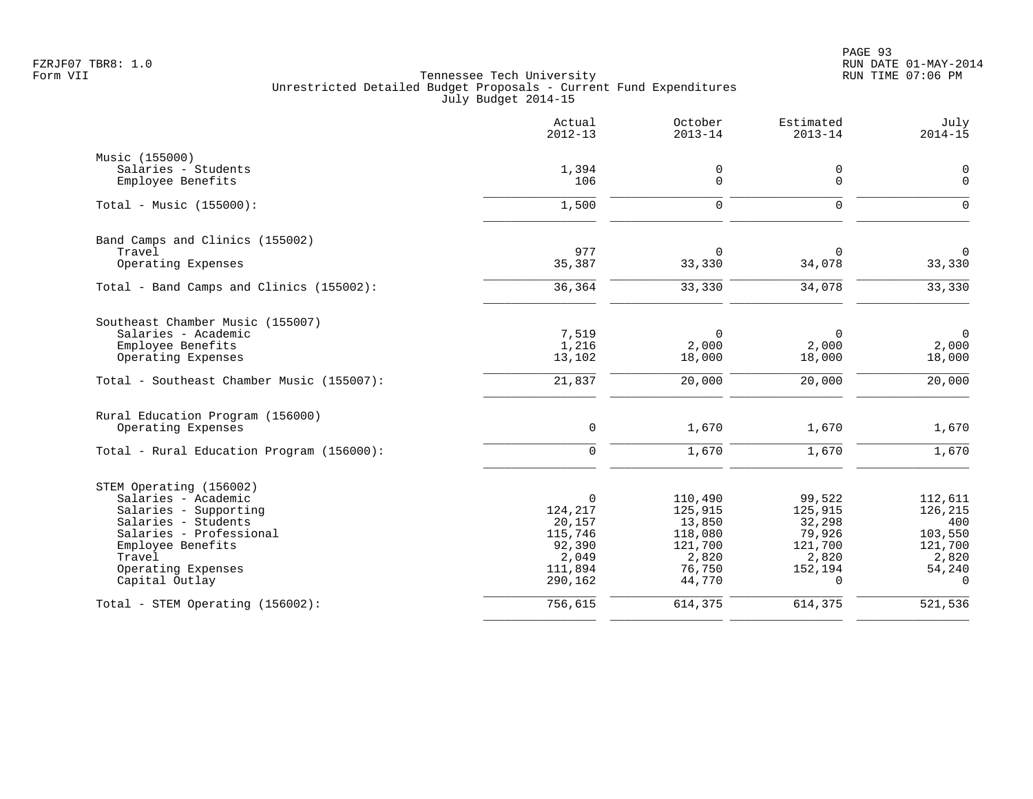|                                                | Actual<br>$2012 - 13$ | October<br>$2013 - 14$ | Estimated<br>$2013 - 14$ | July<br>$2014 - 15$ |
|------------------------------------------------|-----------------------|------------------------|--------------------------|---------------------|
| Music (155000)                                 |                       |                        |                          |                     |
| Salaries - Students                            | 1,394                 | 0                      | 0                        | $\mathbf 0$         |
| Employee Benefits                              | 106                   | 0                      | 0                        | $\mathbf 0$         |
| Total - Music $(155000)$ :                     | 1,500                 | $\mathbf 0$            | $\mathbf 0$              | $\Omega$            |
| Band Camps and Clinics (155002)                |                       |                        |                          |                     |
| Travel                                         | 977                   | 0                      | 0                        | $\mathbf 0$         |
| Operating Expenses                             | 35,387                | 33,330                 | 34,078                   | 33,330              |
| Total - Band Camps and Clinics (155002):       | 36,364                | 33,330                 | 34,078                   | 33,330              |
| Southeast Chamber Music (155007)               |                       |                        |                          |                     |
| Salaries - Academic                            | 7,519                 | $\Omega$               | $\Omega$                 | $\mathbf 0$         |
| Employee Benefits                              | 1,216                 | 2,000                  | 2,000                    | 2,000               |
| Operating Expenses                             | 13,102                | 18,000                 | 18,000                   | 18,000              |
| Total - Southeast Chamber Music (155007):      | 21,837                | 20,000                 | 20,000                   | 20,000              |
| Rural Education Program (156000)               |                       |                        |                          |                     |
| Operating Expenses                             | $\mathbf 0$           | 1,670                  | 1,670                    | 1,670               |
| Total - Rural Education Program (156000):      | $\mathbf 0$           | 1,670                  | 1,670                    | 1,670               |
| STEM Operating (156002)                        |                       |                        |                          |                     |
| Salaries - Academic                            | $\mathbf 0$           | 110,490                | 99,522                   | 112,611             |
| Salaries - Supporting                          | 124,217               | 125,915                | 125,915                  | 126,215             |
| Salaries - Students<br>Salaries - Professional | 20,157<br>115,746     | 13,850<br>118,080      | 32,298<br>79,926         | 400<br>103,550      |
| Employee Benefits                              | 92,390                | 121,700                | 121,700                  | 121,700             |
| Travel                                         | 2,049                 | 2,820                  | 2,820                    | 2,820               |
| Operating Expenses                             | 111,894               | 76,750                 | 152,194                  | 54,240              |
| Capital Outlay                                 | 290,162               | 44,770                 | $\Omega$                 | $\Omega$            |
| Total - STEM Operating (156002):               | 756,615               | 614,375                | 614,375                  | 521,536             |
|                                                |                       |                        |                          |                     |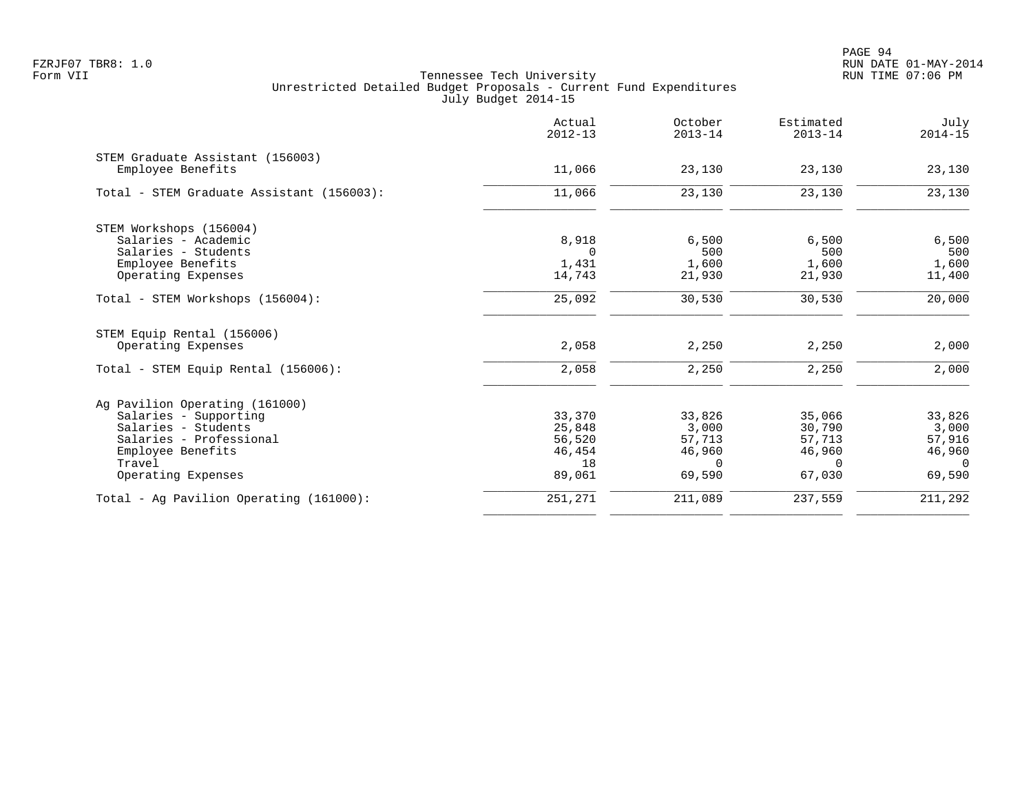|                                           | Actual<br>$2012 - 13$ | October<br>$2013 - 14$ | Estimated<br>$2013 - 14$ | July<br>$2014 - 15$ |
|-------------------------------------------|-----------------------|------------------------|--------------------------|---------------------|
| STEM Graduate Assistant (156003)          |                       |                        |                          |                     |
| Employee Benefits                         | 11,066                | 23,130                 | 23,130                   | 23,130              |
| Total - STEM Graduate Assistant (156003): | 11,066                | 23,130                 | 23,130                   | 23,130              |
| STEM Workshops (156004)                   |                       |                        |                          |                     |
| Salaries - Academic                       | 8,918                 | 6,500                  | 6,500                    | 6,500               |
| Salaries - Students                       | $\Omega$              | 500                    | 500                      | 500                 |
| Employee Benefits                         | 1,431                 | 1,600                  | 1,600                    | 1,600               |
| Operating Expenses                        | 14,743                | 21,930                 | 21,930                   | 11,400              |
| Total - STEM Workshops (156004):          | 25,092                | 30,530                 | 30,530                   | 20,000              |
| STEM Equip Rental (156006)                |                       |                        |                          |                     |
| Operating Expenses                        | 2,058                 | 2,250                  | 2,250                    | 2,000               |
| Total - STEM Equip Rental (156006):       | 2,058                 | 2,250                  | 2,250                    | 2,000               |
| Ag Pavilion Operating (161000)            |                       |                        |                          |                     |
| Salaries - Supporting                     | 33,370                | 33,826                 | 35,066                   | 33,826              |
| Salaries - Students                       | 25,848                | 3,000                  | 30,790                   | 3,000               |
| Salaries - Professional                   | 56,520                | 57,713                 | 57,713                   | 57,916              |
| Employee Benefits                         | 46,454                | 46,960                 | 46,960                   | 46,960              |
| Travel                                    | 18                    | $\Omega$               | $\Omega$                 | $\cap$              |
| Operating Expenses                        | 89,061                | 69,590                 | 67,030                   | 69,590              |
| Total - Ag Pavilion Operating (161000):   | 251,271               | 211,089                | 237,559                  | 211,292             |
|                                           |                       |                        |                          |                     |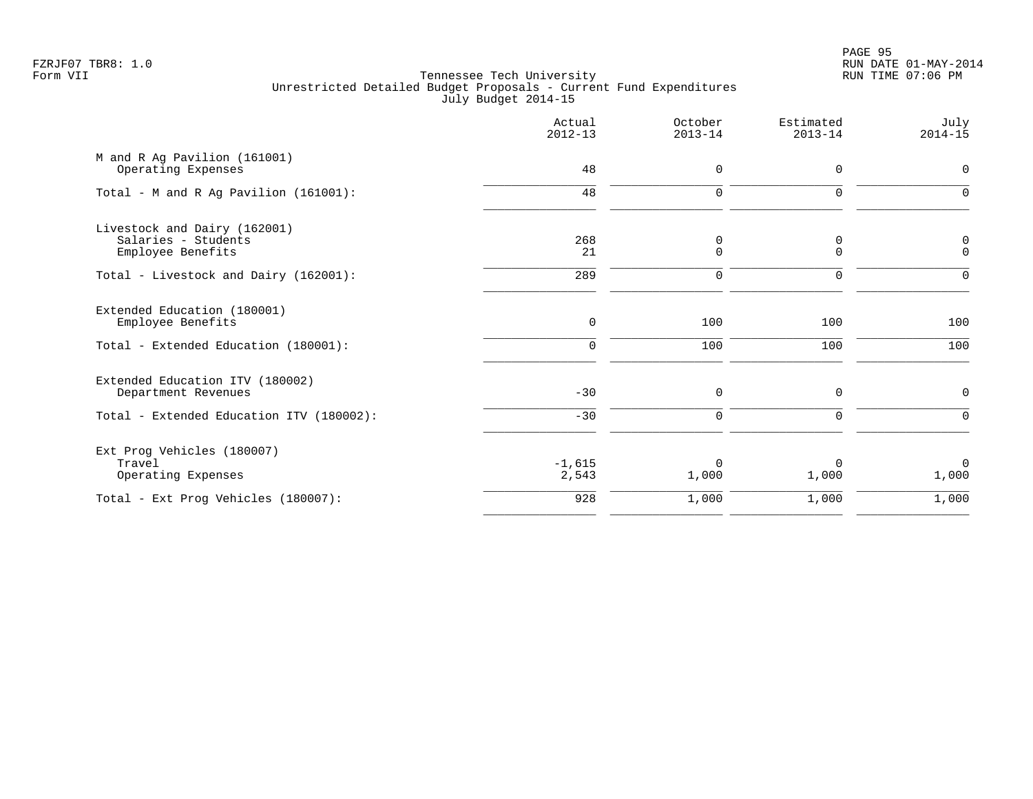PAGE 95 FZRJF07 TBR8: 1.0 RUN DATE 01-MAY-2014

|                                                                          | Actual<br>$2012 - 13$ | October<br>$2013 - 14$ | Estimated<br>$2013 - 14$ | July<br>$2014 - 15$  |
|--------------------------------------------------------------------------|-----------------------|------------------------|--------------------------|----------------------|
| M and R Ag Pavilion (161001)<br>Operating Expenses                       | 48                    | 0                      | 0                        | $\mathbf 0$          |
| Total - M and R Ag Pavilion (161001):                                    | 48                    | $\mathbf 0$            | $\mathbf 0$              | $\Omega$             |
| Livestock and Dairy (162001)<br>Salaries - Students<br>Employee Benefits | 268<br>21             | 0<br>0                 | 0<br>0                   | 0<br>$\mathbf 0$     |
| Total - Livestock and Dairy (162001):                                    | 289                   | $\mathbf 0$            | $\mathbf 0$              | 0                    |
| Extended Education (180001)<br>Employee Benefits                         | $\mathbf 0$           | 100                    | 100                      | 100                  |
| Total - Extended Education (180001):                                     | $\Omega$              | 100                    | 100                      | 100                  |
| Extended Education ITV (180002)<br>Department Revenues                   | $-30$                 | 0                      | 0                        | $\mathbf 0$          |
| Total - Extended Education ITV (180002):                                 | $-30$                 | $\Omega$               | $\Omega$                 | $\Omega$             |
| Ext Prog Vehicles (180007)<br>Travel<br>Operating Expenses               | $-1,615$<br>2,543     | $\Omega$<br>1,000      | 1,000                    | $\mathbf 0$<br>1,000 |
| Total - Ext Prog Vehicles (180007):                                      | 928                   | 1,000                  | 1,000                    | 1,000                |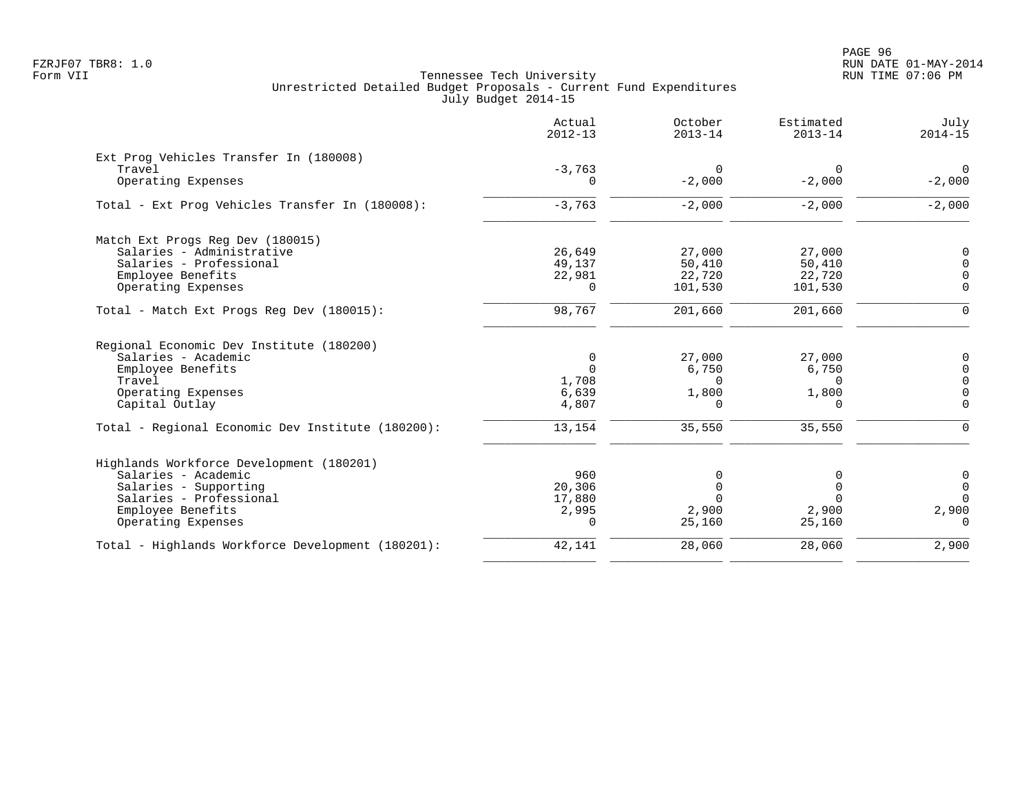|                                                   | Actual<br>$2012 - 13$ | October<br>$2013 - 14$ | Estimated<br>$2013 - 14$ | July<br>$2014 - 15$ |
|---------------------------------------------------|-----------------------|------------------------|--------------------------|---------------------|
| Ext Prog Vehicles Transfer In (180008)            |                       |                        |                          |                     |
| Travel                                            | $-3,763$              | $\Omega$               | $\Omega$                 | $\Omega$            |
| Operating Expenses                                | $\Omega$              | $-2,000$               | $-2,000$                 | $-2,000$            |
| Total - Ext Prog Vehicles Transfer In (180008):   | $-3,763$              | $-2,000$               | $-2,000$                 | $-2,000$            |
| Match Ext Progs Reg Dev (180015)                  |                       |                        |                          |                     |
| Salaries - Administrative                         | 26,649                | 27,000                 | 27,000                   | $\Omega$            |
| Salaries - Professional                           | 49,137                | 50,410                 | 50,410                   | $\Omega$            |
| Employee Benefits                                 | 22,981                | 22,720                 | 22,720                   | $\Omega$            |
| Operating Expenses                                | $\Omega$              | 101,530                | 101,530                  | $\Omega$            |
| Total - Match Ext Progs Reg Dev (180015):         | 98,767                | 201,660                | 201,660                  | $\Omega$            |
| Regional Economic Dev Institute (180200)          |                       |                        |                          |                     |
| Salaries - Academic                               | 0                     | 27,000                 | 27,000                   | 0                   |
| Employee Benefits                                 | $\Omega$              | 6,750                  | 6,750                    | $\Omega$            |
| Travel                                            | 1,708                 | $\Omega$               | $\Omega$                 | $\Omega$            |
| Operating Expenses                                | 6,639                 | 1,800                  | 1,800                    | $\mathbf 0$         |
| Capital Outlay                                    | 4,807                 | $\Omega$               | $\Omega$                 | $\Omega$            |
| Total - Regional Economic Dev Institute (180200): | 13,154                | 35,550                 | 35,550                   | $\Omega$            |
| Highlands Workforce Development (180201)          |                       |                        |                          |                     |
| Salaries - Academic                               | 960                   | 0                      |                          | 0                   |
| Salaries - Supporting                             | 20,306                |                        | U                        | $\Omega$            |
| Salaries - Professional                           | 17,880                |                        |                          | $\Omega$            |
| Employee Benefits                                 | 2,995                 | 2,900                  | 2,900                    | 2,900               |
| Operating Expenses                                | 0                     | 25,160                 | 25,160                   | $\Omega$            |
| Total - Highlands Workforce Development (180201): | 42,141                | 28,060                 | 28,060                   | 2,900               |
|                                                   |                       |                        |                          |                     |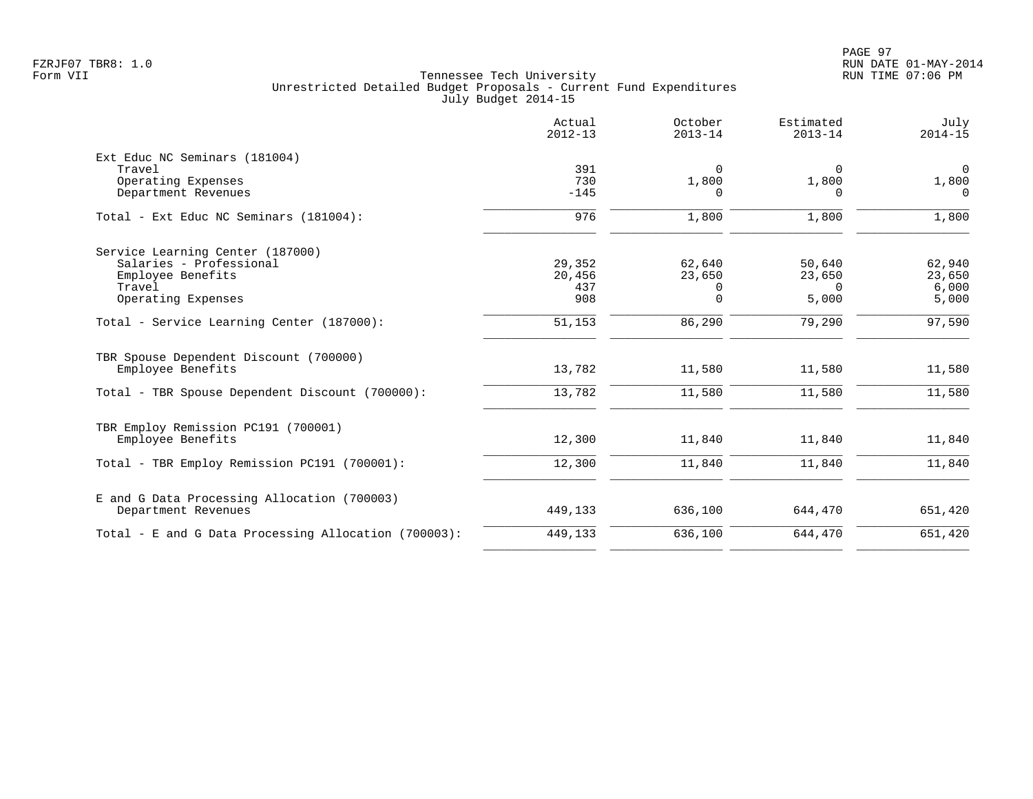|                                                                                                                  | Actual<br>$2012 - 13$          | October<br>$2013 - 14$     | Estimated<br>$2013 - 14$              | July<br>$2014 - 15$                 |
|------------------------------------------------------------------------------------------------------------------|--------------------------------|----------------------------|---------------------------------------|-------------------------------------|
| Ext Educ NC Seminars (181004)<br>Travel<br>Operating Expenses<br>Department Revenues                             | 391<br>730<br>$-145$           | $\Omega$<br>1,800<br>0     | 0<br>1,800<br>0                       | $\mathbf 0$<br>1,800<br>$\mathbf 0$ |
| Total - Ext Educ NC Seminars (181004):                                                                           | 976                            | 1,800                      | 1,800                                 | 1,800                               |
| Service Learning Center (187000)<br>Salaries - Professional<br>Employee Benefits<br>Travel<br>Operating Expenses | 29,352<br>20,456<br>437<br>908 | 62,640<br>23,650<br>0<br>0 | 50,640<br>23,650<br>$\Omega$<br>5,000 | 62,940<br>23,650<br>6,000<br>5,000  |
| Total - Service Learning Center (187000):                                                                        | 51,153                         | 86,290                     | 79,290                                | 97,590                              |
| TBR Spouse Dependent Discount (700000)<br>Employee Benefits<br>Total - TBR Spouse Dependent Discount (700000):   | 13,782<br>13,782               | 11,580<br>11,580           | 11,580<br>11,580                      | 11,580<br>11,580                    |
| TBR Employ Remission PC191 (700001)<br>Employee Benefits<br>Total - TBR Employ Remission PC191 (700001):         | 12,300<br>12,300               | 11,840<br>11,840           | 11,840<br>11,840                      | 11,840<br>11,840                    |
| E and G Data Processing Allocation (700003)<br>Department Revenues                                               | 449,133                        | 636,100                    | 644,470                               | 651,420                             |
| Total - E and G Data Processing Allocation (700003):                                                             | 449,133                        | 636,100                    | 644,470                               | 651,420                             |
|                                                                                                                  |                                |                            |                                       |                                     |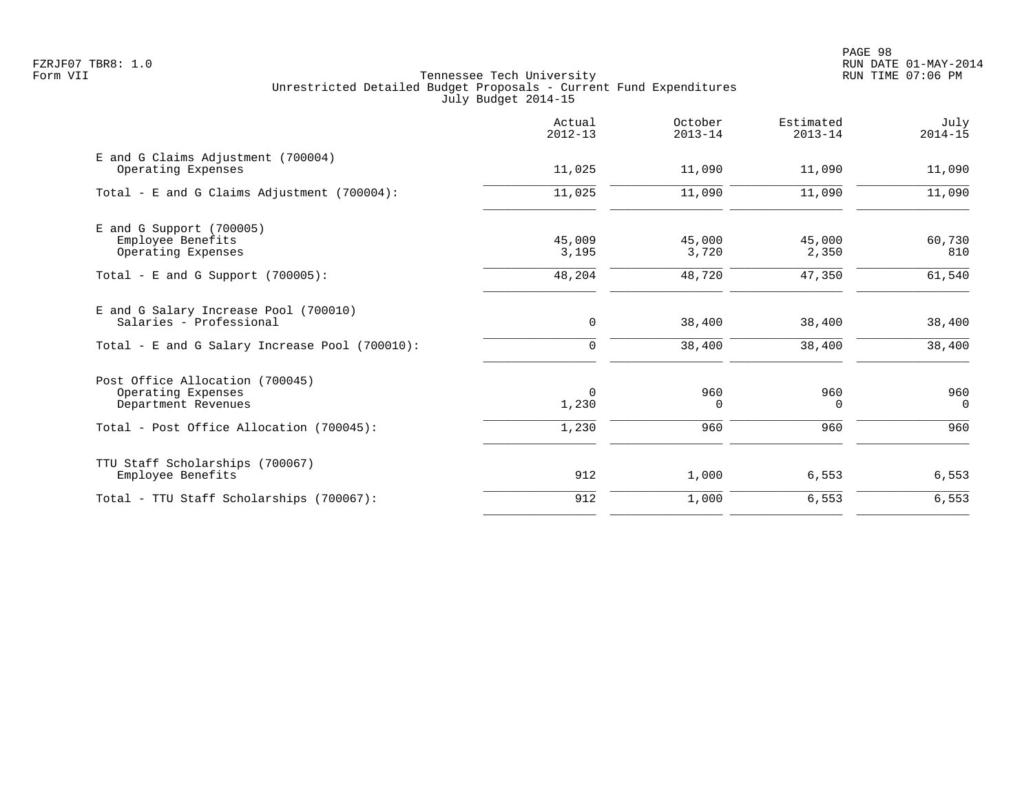PAGE 98 FZRJF07 TBR8: 1.0 RUN DATE 01-MAY-2014

|                                                                              | Actual<br>$2012 - 13$ | October<br>$2013 - 14$ | Estimated<br>$2013 - 14$ | July<br>$2014 - 15$ |
|------------------------------------------------------------------------------|-----------------------|------------------------|--------------------------|---------------------|
| E and G Claims Adjustment (700004)<br>Operating Expenses                     | 11,025                | 11,090                 | 11,090                   | 11,090              |
| Total - E and G Claims Adjustment $(700004)$ :                               | 11,025                | 11,090                 | 11,090                   | 11,090              |
| $E$ and G Support (700005)<br>Employee Benefits<br>Operating Expenses        | 45,009<br>3,195       | 45,000<br>3,720        | 45,000<br>2,350          | 60,730<br>810       |
| Total - E and G Support $(700005)$ :                                         | 48,204                | 48,720                 | 47,350                   | 61,540              |
| E and G Salary Increase Pool (700010)<br>Salaries - Professional             | $\mathbf 0$           | 38,400                 | 38,400                   | 38,400              |
| Total - E and G Salary Increase Pool (700010):                               | 0                     | 38,400                 | 38,400                   | 38,400              |
| Post Office Allocation (700045)<br>Operating Expenses<br>Department Revenues | $\mathbf 0$<br>1,230  | 960<br>$\Omega$        | 960<br>$\Omega$          | 960<br>$\Omega$     |
| Total - Post Office Allocation (700045):                                     | 1,230                 | 960                    | 960                      | 960                 |
| TTU Staff Scholarships (700067)<br>Employee Benefits                         | 912                   | 1,000                  | 6,553                    | 6,553               |
| Total - TTU Staff Scholarships (700067):                                     | 912                   | 1,000                  | 6,553                    | 6,553               |
|                                                                              |                       |                        |                          |                     |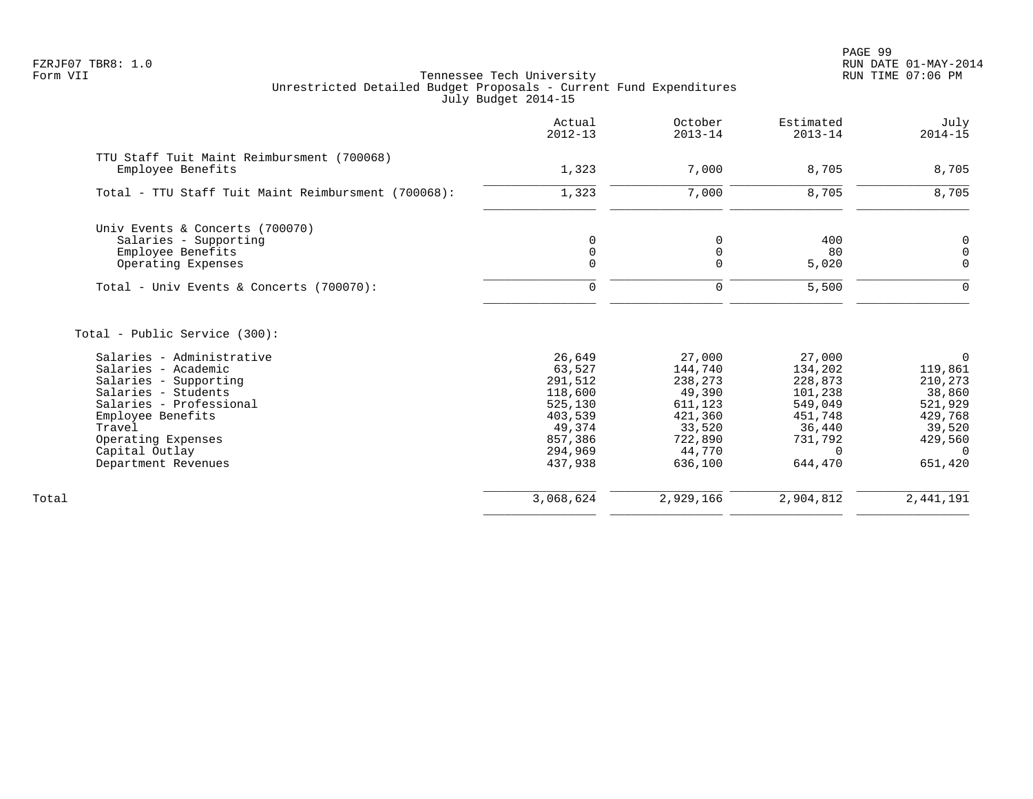PAGE 99 FZRJF07 TBR8: 1.0 RUN DATE 01-MAY-2014

|                                                                                                                                                                                                                                     | Actual<br>$2012 - 13$                                                                                   | October<br>$2013 - 14$                                                                                 | Estimated<br>$2013 - 14$                                                                                  | July<br>$2014 - 15$                                                                                        |
|-------------------------------------------------------------------------------------------------------------------------------------------------------------------------------------------------------------------------------------|---------------------------------------------------------------------------------------------------------|--------------------------------------------------------------------------------------------------------|-----------------------------------------------------------------------------------------------------------|------------------------------------------------------------------------------------------------------------|
| TTU Staff Tuit Maint Reimbursment (700068)<br>Employee Benefits                                                                                                                                                                     | 1,323                                                                                                   | 7,000                                                                                                  | 8,705                                                                                                     | 8,705                                                                                                      |
| Total - TTU Staff Tuit Maint Reimbursment (700068):                                                                                                                                                                                 | 1,323                                                                                                   | 7,000                                                                                                  | 8,705                                                                                                     | 8,705                                                                                                      |
| Univ Events & Concerts (700070)<br>Salaries - Supporting<br>Employee Benefits<br>Operating Expenses                                                                                                                                 | $\mathbf 0$<br>$\mathbf 0$<br>$\Omega$                                                                  | $\mathbf 0$<br>$\mathbf 0$<br>$\mathbf 0$                                                              | 400<br>80<br>5,020                                                                                        | 0<br>0<br>$\mathbf 0$                                                                                      |
| Total - Univ Events & Concerts (700070):                                                                                                                                                                                            | $\Omega$                                                                                                | $\mathbf 0$                                                                                            | 5,500                                                                                                     | $\Omega$                                                                                                   |
| Total - Public Service (300):<br>Salaries - Administrative<br>Salaries - Academic<br>Salaries - Supporting<br>Salaries - Students<br>Salaries - Professional<br>Employee Benefits<br>Travel<br>Operating Expenses<br>Capital Outlay | 26,649<br>63,527<br>291,512<br>118,600<br>525,130<br>403,539<br>49,374<br>857,386<br>294,969<br>437,938 | 27,000<br>144,740<br>238,273<br>49,390<br>611,123<br>421,360<br>33,520<br>722,890<br>44,770<br>636,100 | 27,000<br>134,202<br>228,873<br>101,238<br>549,049<br>451,748<br>36,440<br>731,792<br>$\Omega$<br>644,470 | $\Omega$<br>119,861<br>210,273<br>38,860<br>521,929<br>429,768<br>39,520<br>429,560<br>$\Omega$<br>651,420 |
| Department Revenues                                                                                                                                                                                                                 |                                                                                                         |                                                                                                        |                                                                                                           |                                                                                                            |
| Total                                                                                                                                                                                                                               | 3,068,624                                                                                               | 2,929,166                                                                                              | 2,904,812                                                                                                 | 2,441,191                                                                                                  |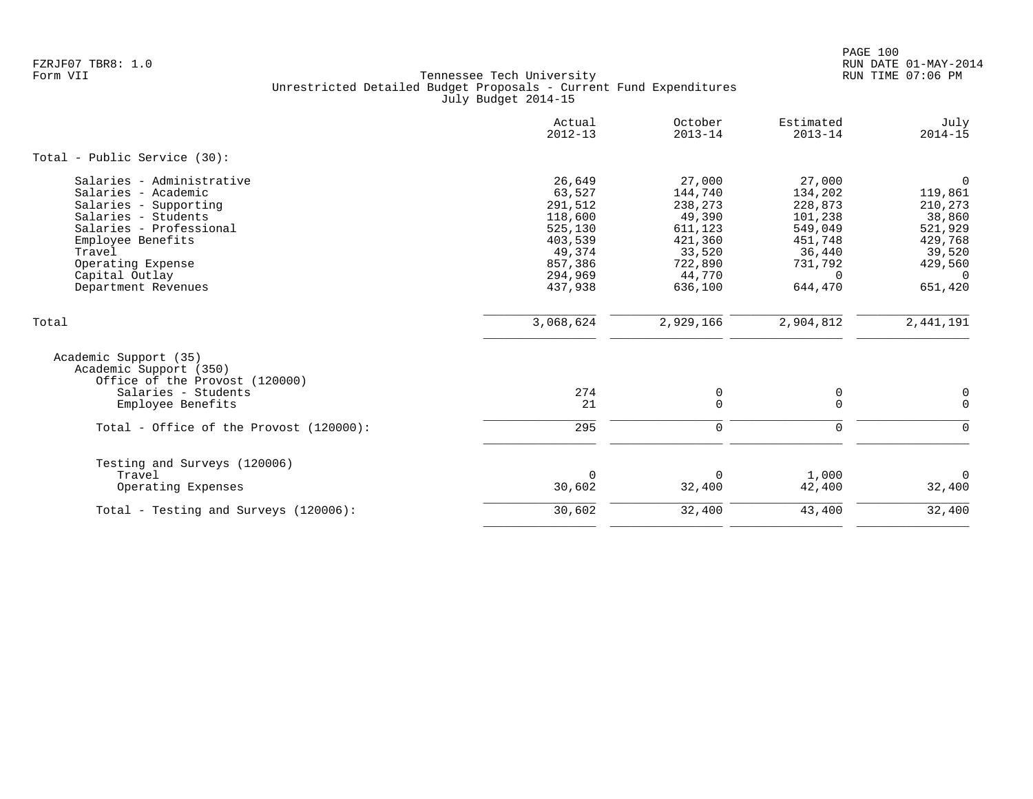|                                                                                                                                                                                                                          | Actual<br>$2012 - 13$                                                                                   | October<br>$2013 - 14$                                                                                 | Estimated<br>$2013 - 14$                                                                                  | July<br>$2014 - 15$                                                                                              |
|--------------------------------------------------------------------------------------------------------------------------------------------------------------------------------------------------------------------------|---------------------------------------------------------------------------------------------------------|--------------------------------------------------------------------------------------------------------|-----------------------------------------------------------------------------------------------------------|------------------------------------------------------------------------------------------------------------------|
| Total - Public Service (30):                                                                                                                                                                                             |                                                                                                         |                                                                                                        |                                                                                                           |                                                                                                                  |
| Salaries - Administrative<br>Salaries - Academic<br>Salaries - Supporting<br>Salaries - Students<br>Salaries - Professional<br>Employee Benefits<br>Travel<br>Operating Expense<br>Capital Outlay<br>Department Revenues | 26,649<br>63,527<br>291,512<br>118,600<br>525,130<br>403,539<br>49,374<br>857,386<br>294,969<br>437,938 | 27,000<br>144,740<br>238,273<br>49,390<br>611,123<br>421,360<br>33,520<br>722,890<br>44,770<br>636,100 | 27,000<br>134,202<br>228,873<br>101,238<br>549,049<br>451,748<br>36,440<br>731,792<br>$\Omega$<br>644,470 | $\overline{0}$<br>119,861<br>210,273<br>38,860<br>521,929<br>429,768<br>39,520<br>429,560<br>$\Omega$<br>651,420 |
| Total                                                                                                                                                                                                                    | 3,068,624                                                                                               | 2,929,166                                                                                              | 2,904,812                                                                                                 | 2,441,191                                                                                                        |
| Academic Support (35)<br>Academic Support (350)<br>Office of the Provost (120000)<br>Salaries - Students<br>Employee Benefits                                                                                            | 274<br>21                                                                                               | 0<br>$\Omega$                                                                                          | 0<br>$\mathbf 0$                                                                                          | 0<br>$\Omega$                                                                                                    |
| Total - Office of the Provost (120000):                                                                                                                                                                                  | 295                                                                                                     | $\Omega$                                                                                               | 0                                                                                                         | $\Omega$                                                                                                         |
| Testing and Surveys (120006)<br>Travel<br>Operating Expenses                                                                                                                                                             | $\Omega$<br>30,602                                                                                      | $\Omega$<br>32,400                                                                                     | 1,000<br>42,400                                                                                           | $\Omega$<br>32,400                                                                                               |
| Total - Testing and Surveys (120006):                                                                                                                                                                                    | 30,602                                                                                                  | 32,400                                                                                                 | 43,400                                                                                                    | 32,400                                                                                                           |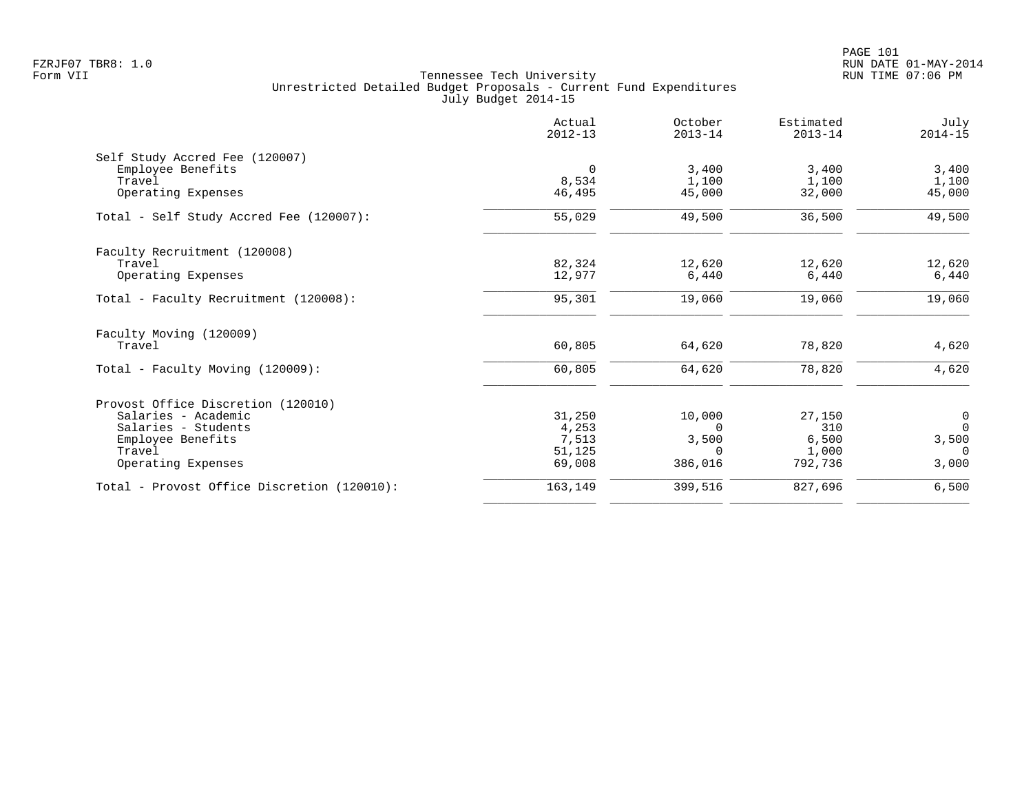|                                             | Actual<br>$2012 - 13$ | October<br>$2013 - 14$ | Estimated<br>$2013 - 14$ | July<br>$2014 - 15$              |
|---------------------------------------------|-----------------------|------------------------|--------------------------|----------------------------------|
| Self Study Accred Fee (120007)              |                       |                        |                          |                                  |
| Employee Benefits                           | $\overline{0}$        | 3,400                  | 3,400                    | 3,400                            |
| Travel                                      | 8,534                 | 1,100                  | 1,100                    | 1,100                            |
| Operating Expenses                          | 46,495                | 45,000                 | 32,000                   | 45,000                           |
| Total - Self Study Accred Fee (120007):     | 55,029                | 49,500                 | 36,500                   | 49,500                           |
| Faculty Recruitment (120008)                |                       |                        |                          |                                  |
| Travel                                      | 82,324                | 12,620                 | 12,620                   | 12,620                           |
| Operating Expenses                          | 12,977                | 6,440                  | 6,440                    | 6,440                            |
| Total - Faculty Recruitment (120008):       | 95,301                | 19,060                 | 19,060                   | 19,060                           |
| Faculty Moving (120009)                     |                       |                        |                          |                                  |
| Travel                                      | 60,805                | 64,620                 | 78,820                   | 4,620                            |
| Total - Faculty Moving (120009):            | 60,805                | 64,620                 | 78,820                   | 4,620                            |
| Provost Office Discretion (120010)          |                       |                        |                          |                                  |
| Salaries - Academic                         | 31,250                | 10,000                 | 27,150                   |                                  |
| Salaries - Students                         | 4,253                 | $\Omega$               | 310                      | $\begin{matrix}0\\0\end{matrix}$ |
| Employee Benefits                           | 7,513                 | 3,500                  | 6,500                    | 3,500                            |
| Travel                                      | 51,125                | $\Omega$               | 1,000                    | $\Omega$                         |
| Operating Expenses                          | 69,008                | 386,016                | 792,736                  | 3,000                            |
| Total - Provost Office Discretion (120010): | 163,149               | 399,516                | 827,696                  | 6,500                            |
|                                             |                       |                        |                          |                                  |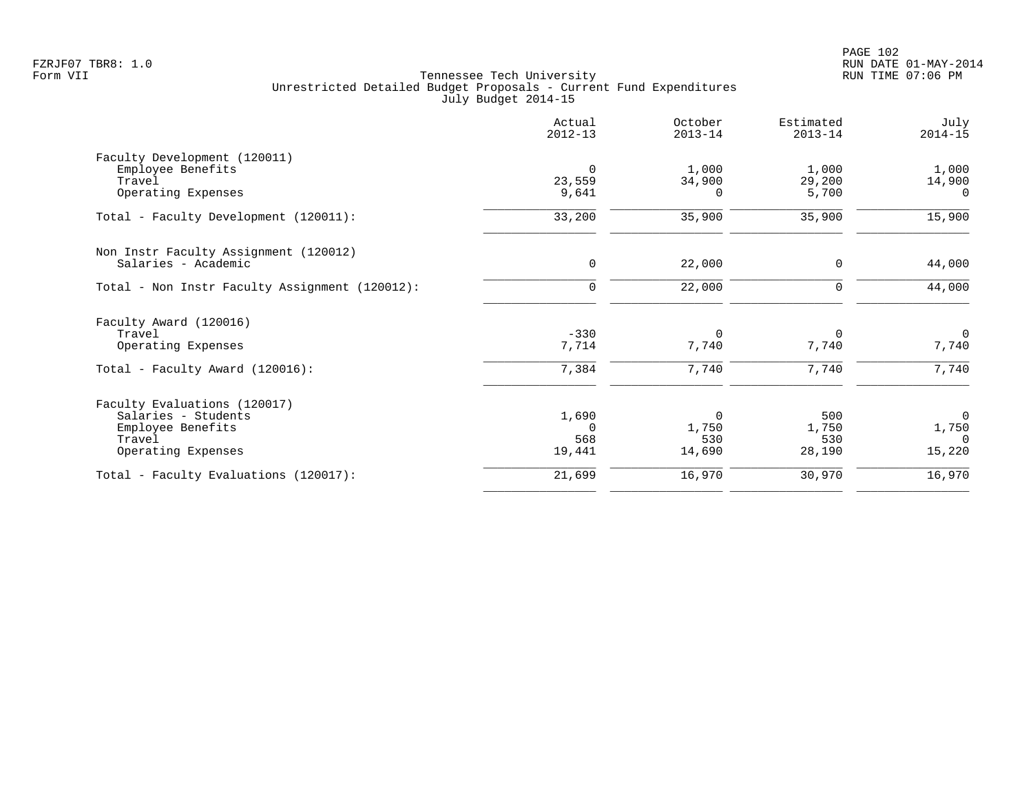|                                                | Actual<br>$2012 - 13$ | October<br>$2013 - 14$ | Estimated<br>$2013 - 14$ | July<br>$2014 - 15$ |
|------------------------------------------------|-----------------------|------------------------|--------------------------|---------------------|
| Faculty Development (120011)                   |                       |                        |                          |                     |
| Employee Benefits                              | $\mathbf 0$           | 1,000                  | 1,000                    | 1,000               |
| Travel                                         | 23,559                | 34,900                 | 29,200                   | 14,900              |
| Operating Expenses                             | 9,641                 | 0                      | 5,700                    | $\Omega$            |
| Total - Faculty Development (120011):          | 33,200                | 35,900                 | 35,900                   | 15,900              |
| Non Instr Faculty Assignment (120012)          |                       |                        |                          |                     |
| Salaries - Academic                            | $\mathbf 0$           | 22,000                 | $\mathbf 0$              | 44,000              |
| Total - Non Instr Faculty Assignment (120012): | $\mathbf 0$           | 22,000                 | 0                        | 44,000              |
| Faculty Award (120016)                         |                       |                        |                          |                     |
| Travel                                         | $-330$                | $\Omega$               | $\Omega$                 | $\mathbf 0$         |
| Operating Expenses                             | 7,714                 | 7,740                  | 7,740                    | 7,740               |
| Total - Faculty Award (120016):                | 7,384                 | 7,740                  | 7,740                    | 7,740               |
| Faculty Evaluations (120017)                   |                       |                        |                          |                     |
| Salaries - Students                            | 1,690                 | $\mathbf 0$            | 500                      | $\mathbf 0$         |
| Employee Benefits                              | $\Omega$              | 1,750                  | 1,750                    | 1,750               |
| Travel                                         | 568                   | 530                    | 530                      | $\Omega$            |
| Operating Expenses                             | 19,441                | 14,690                 | 28,190                   | 15,220              |
| Total - Faculty Evaluations (120017):          | 21,699                | 16,970                 | 30,970                   | 16,970              |
|                                                |                       |                        |                          |                     |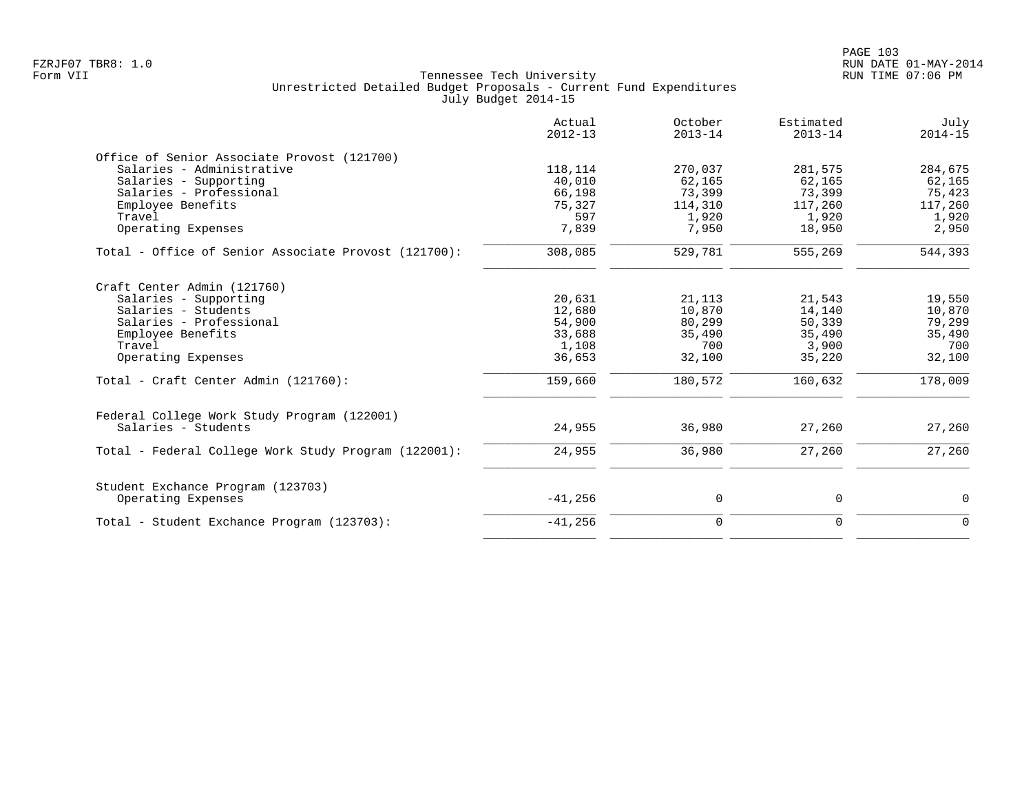| Actual<br>$2012 - 13$ | October<br>$2013 - 14$                        | Estimated<br>$2013 - 14$                    | July<br>$2014 - 15$                           |
|-----------------------|-----------------------------------------------|---------------------------------------------|-----------------------------------------------|
|                       |                                               |                                             |                                               |
| 118,114               | 270,037                                       | 281,575                                     | 284,675                                       |
| 40,010                | 62,165                                        | 62,165                                      | 62,165                                        |
| 66,198                | 73,399                                        | 73,399                                      | 75,423                                        |
| 75,327                | 114,310                                       | 117,260                                     | 117,260                                       |
| 597                   | 1,920                                         | 1,920                                       | 1,920                                         |
| 7,839                 | 7,950                                         | 18,950                                      | 2,950                                         |
| 308,085               | 529,781                                       | 555,269                                     | 544,393                                       |
|                       |                                               |                                             |                                               |
|                       |                                               |                                             | 19,550                                        |
|                       |                                               |                                             | 10,870                                        |
|                       |                                               |                                             | 79,299                                        |
|                       |                                               |                                             | 35,490                                        |
|                       |                                               |                                             | 700                                           |
| 36,653                | 32,100                                        | 35,220                                      | 32,100                                        |
| 159,660               | 180,572                                       | 160,632                                     | 178,009                                       |
|                       |                                               |                                             |                                               |
| 24,955                | 36,980                                        | 27,260                                      | 27,260                                        |
| 24,955                | 36,980                                        | 27,260                                      | 27,260                                        |
|                       |                                               |                                             |                                               |
| $-41,256$             | 0                                             | 0                                           | $\mathbf 0$                                   |
| $-41,256$             | $\mathbf 0$                                   | $\mathbf 0$                                 | $\Omega$                                      |
|                       | 20,631<br>12,680<br>54,900<br>33,688<br>1,108 | 21,113<br>10,870<br>80,299<br>35,490<br>700 | 21,543<br>14,140<br>50,339<br>35,490<br>3,900 |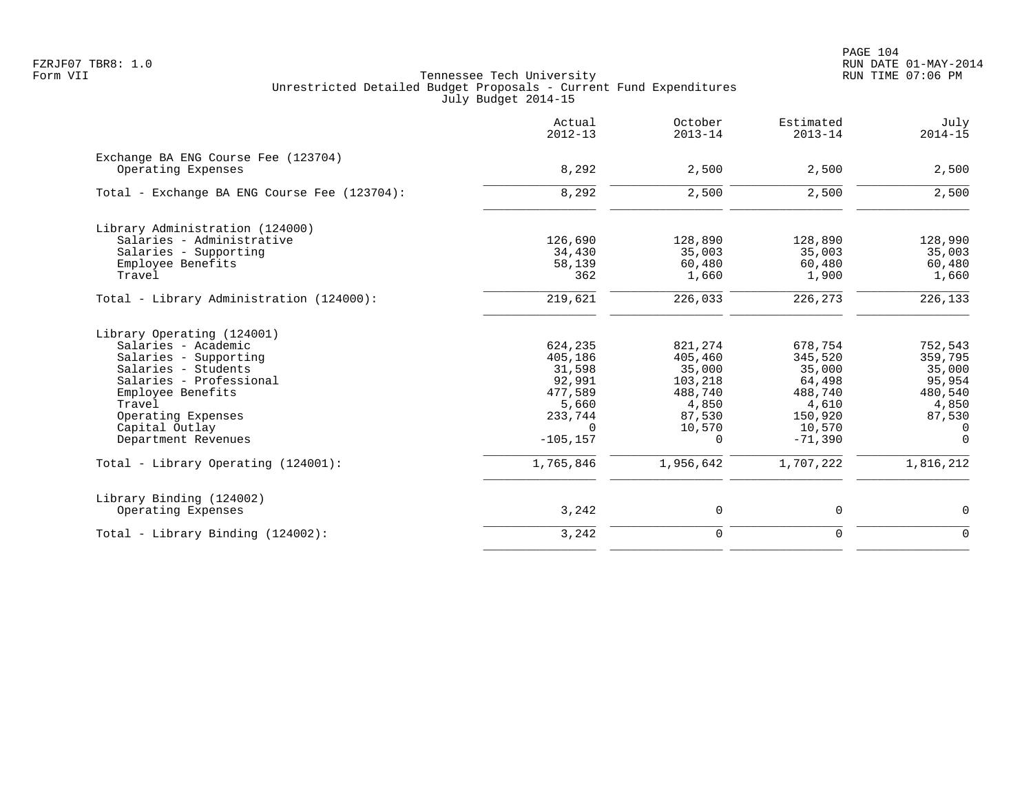PAGE 104 FZRJF07 TBR8: 1.0 RUN DATE 01-MAY-2014

|                                                           | Actual<br>$2012 - 13$ | October<br>$2013 - 14$ | Estimated<br>$2013 - 14$ | July<br>$2014 - 15$ |
|-----------------------------------------------------------|-----------------------|------------------------|--------------------------|---------------------|
| Exchange BA ENG Course Fee (123704)<br>Operating Expenses | 8,292                 | 2,500                  | 2,500                    | 2,500               |
| Total - Exchange BA ENG Course Fee (123704):              | 8,292                 | 2,500                  | 2,500                    | 2,500               |
| Library Administration (124000)                           |                       |                        |                          |                     |
| Salaries - Administrative                                 | 126,690               | 128,890                | 128,890                  | 128,990             |
| Salaries - Supporting                                     | 34,430                | 35,003                 | 35,003                   | 35,003              |
| Employee Benefits                                         | 58,139                | 60,480                 | 60,480                   | 60,480              |
| Travel                                                    | 362                   | 1,660                  | 1,900                    | 1,660               |
| Total - Library Administration (124000):                  | 219,621               | 226,033                | 226,273                  | 226,133             |
| Library Operating (124001)                                |                       |                        |                          |                     |
| Salaries - Academic                                       | 624,235               | 821,274                | 678,754                  | 752,543             |
| Salaries - Supporting                                     | 405,186               | 405,460                | 345,520                  | 359,795             |
| Salaries - Students                                       | 31,598                | 35,000                 | 35,000                   | 35,000              |
| Salaries - Professional                                   | 92,991                | 103,218                | 64,498                   | 95,954              |
| Employee Benefits                                         | 477,589               | 488,740                | 488,740                  | 480,540             |
| Travel                                                    | 5,660                 | 4,850                  | 4,610                    | 4,850               |
| Operating Expenses<br>Capital Outlay                      | 233,744<br>$\Omega$   | 87,530<br>10,570       | 150,920<br>10,570        | 87,530<br>0         |
| Department Revenues                                       | $-105, 157$           | 0                      | $-71,390$                | $\mathbf 0$         |
| Total - Library Operating (124001):                       | 1,765,846             | 1,956,642              | 1,707,222                | 1,816,212           |
| Library Binding (124002)                                  |                       |                        |                          |                     |
| Operating Expenses                                        | 3,242                 | $\mathsf{O}$           | 0                        | 0                   |
| $Total - Library Binding (124002):$                       | 3,242                 | $\mathbf 0$            | $\Omega$                 | $\mathbf 0$         |
|                                                           |                       |                        |                          |                     |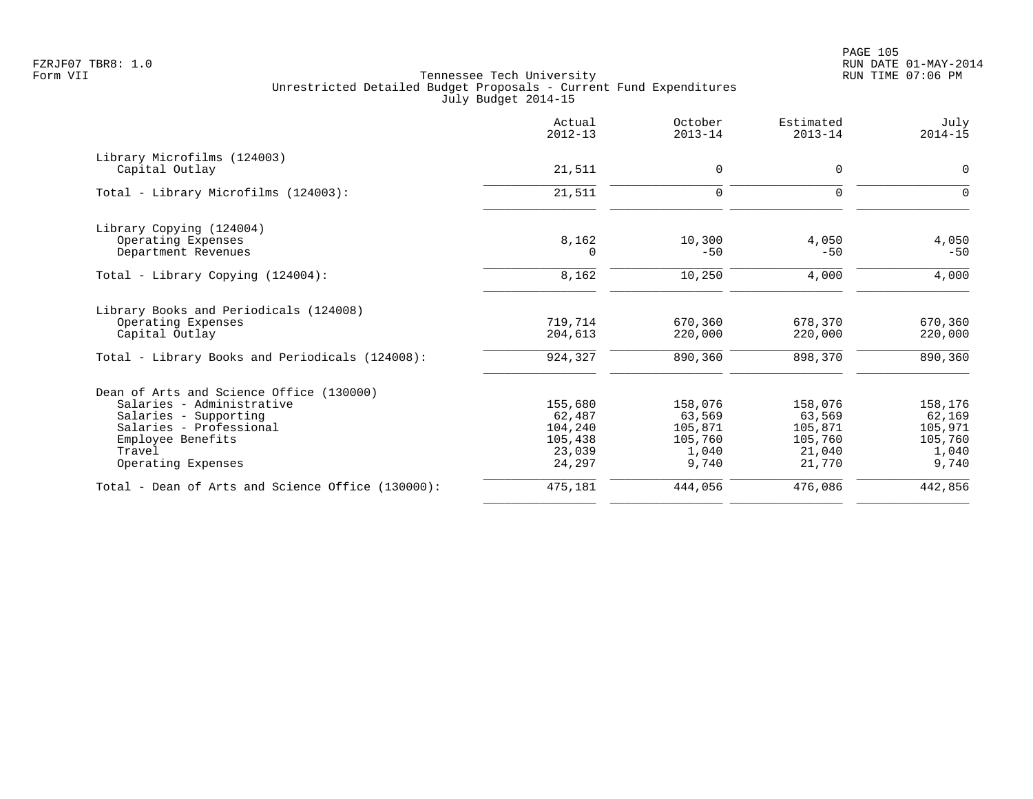PAGE 105 FZRJF07 TBR8: 1.0 RUN DATE 01-MAY-2014

|                                                   | Actual<br>$2012 - 13$ | October<br>$2013 - 14$ | Estimated<br>$2013 - 14$ | July<br>$2014 - 15$ |
|---------------------------------------------------|-----------------------|------------------------|--------------------------|---------------------|
| Library Microfilms (124003)                       |                       |                        |                          |                     |
| Capital Outlay                                    | 21,511                | 0                      | $\mathbf{0}$             | 0                   |
| Total - Library Microfilms (124003):              | 21,511                | $\mathbf 0$            | $\mathbf 0$              | $\Omega$            |
| Library Copying (124004)                          |                       |                        |                          |                     |
| Operating Expenses                                | 8,162                 | 10,300                 | 4,050                    | 4,050               |
| Department Revenues                               | $\Omega$              | $-50$                  | $-50$                    | $-50$               |
| Total - Library Copying (124004):                 | 8,162                 | 10,250                 | 4,000                    | 4,000               |
| Library Books and Periodicals (124008)            |                       |                        |                          |                     |
| Operating Expenses                                | 719,714               | 670,360                | 678,370                  | 670,360             |
| Capital Outlay                                    | 204,613               | 220,000                | 220,000                  | 220,000             |
| Total - Library Books and Periodicals (124008):   | 924,327               | 890,360                | 898,370                  | 890,360             |
| Dean of Arts and Science Office (130000)          |                       |                        |                          |                     |
| Salaries - Administrative                         | 155,680               | 158,076                | 158,076                  | 158,176             |
| Salaries - Supporting                             | 62,487                | 63,569                 | 63,569                   | 62,169              |
| Salaries - Professional                           | 104,240               | 105,871                | 105,871                  | 105,971             |
| Employee Benefits                                 | 105,438               | 105,760                | 105,760                  | 105,760             |
| Travel                                            | 23,039                | 1,040                  | 21,040                   | 1,040               |
| Operating Expenses                                | 24,297                | 9,740                  | 21,770                   | 9,740               |
| Total - Dean of Arts and Science Office (130000): | 475,181               | 444,056                | 476,086                  | 442,856             |
|                                                   |                       |                        |                          |                     |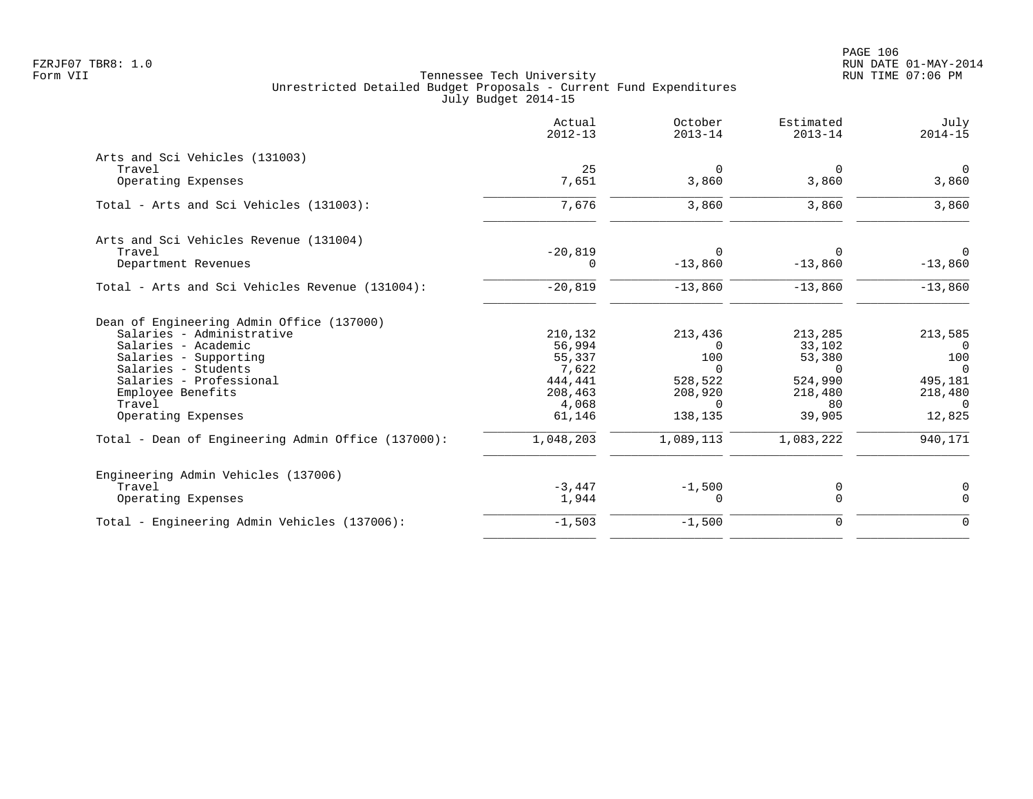|                                                    | Actual<br>$2012 - 13$ | October<br>$2013 - 14$ | Estimated<br>$2013 - 14$ | July<br>$2014 - 15$ |
|----------------------------------------------------|-----------------------|------------------------|--------------------------|---------------------|
| Arts and Sci Vehicles (131003)                     |                       |                        |                          |                     |
| Travel                                             | 25                    | $\overline{0}$         | 0                        | $\overline{0}$      |
| Operating Expenses                                 | 7,651                 | 3,860                  | 3,860                    | 3,860               |
| Total - Arts and Sci Vehicles (131003):            | 7,676                 | 3,860                  | 3,860                    | 3,860               |
| Arts and Sci Vehicles Revenue (131004)             |                       |                        |                          |                     |
| Travel                                             | $-20,819$             | $\Omega$               | $\Omega$                 | $\Omega$            |
| Department Revenues                                | 0                     | $-13,860$              | $-13,860$                | $-13,860$           |
| Total - Arts and Sci Vehicles Revenue (131004):    | $-20,819$             | $-13,860$              | $-13,860$                | $-13,860$           |
| Dean of Engineering Admin Office (137000)          |                       |                        |                          |                     |
| Salaries - Administrative                          | 210,132               | 213,436                | 213,285                  | 213,585             |
| Salaries - Academic                                | 56,994                | $\Omega$               | 33,102                   | $\Omega$            |
| Salaries - Supporting                              | 55,337                | 100                    | 53,380                   | 100                 |
| Salaries - Students                                | 7,622                 | $\Omega$               | $\Omega$                 | $\Omega$            |
| Salaries - Professional                            | 444,441               | 528,522                | 524,990                  | 495,181             |
| Employee Benefits                                  | 208,463               | 208,920                | 218,480                  | 218,480             |
| Travel                                             | 4,068                 | $\Omega$               | 80                       | $\Omega$            |
| Operating Expenses                                 | 61,146                | 138,135                | 39,905                   | 12,825              |
| Total - Dean of Engineering Admin Office (137000): | 1,048,203             | 1,089,113              | 1,083,222                | 940,171             |
| Engineering Admin Vehicles (137006)                |                       |                        |                          |                     |
| Travel                                             | $-3.447$              | $-1,500$               | 0                        | 0                   |
| Operating Expenses                                 | 1,944                 | 0                      | $\mathbf 0$              | $\mathbf 0$         |
| Total - Engineering Admin Vehicles (137006):       | $-1,503$              | $-1,500$               | $\mathbf 0$              | $\mathbf 0$         |
|                                                    |                       |                        |                          |                     |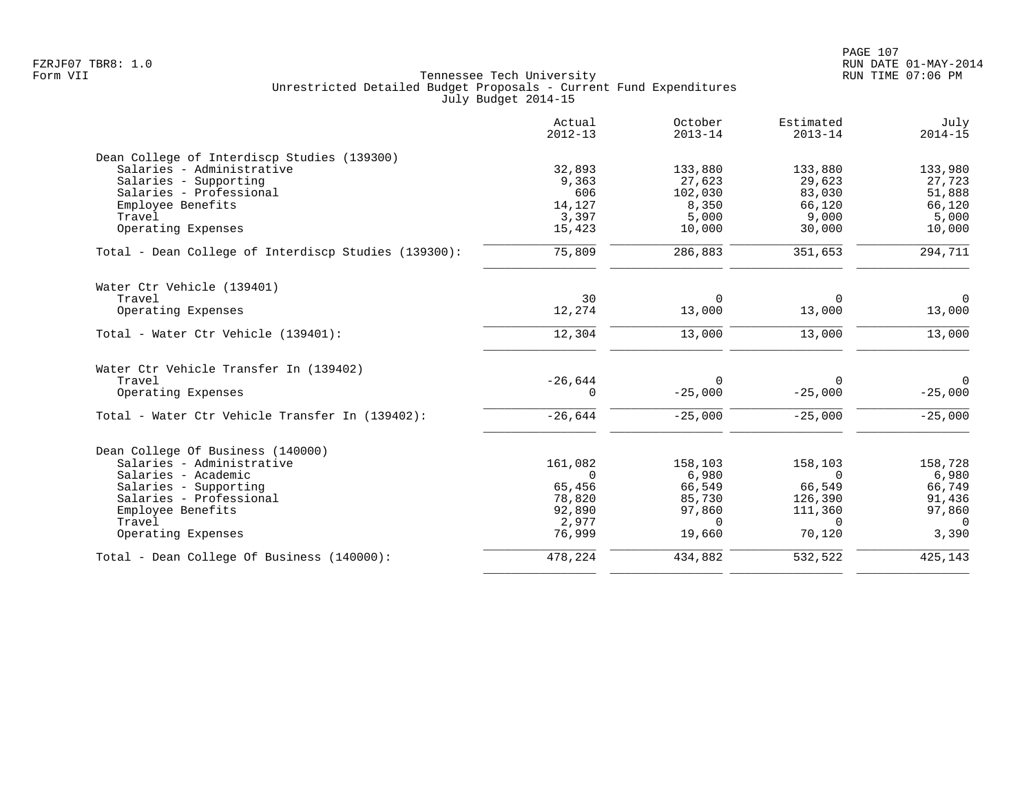|                                                      | Actual<br>$2012 - 13$ | October<br>$2013 - 14$ | Estimated<br>$2013 - 14$ | July<br>$2014 - 15$ |
|------------------------------------------------------|-----------------------|------------------------|--------------------------|---------------------|
| Dean College of Interdiscp Studies (139300)          |                       |                        |                          |                     |
| Salaries - Administrative                            | 32,893                | 133,880                | 133,880                  | 133,980             |
| Salaries - Supporting                                | 9,363                 | 27,623                 | 29,623                   | 27,723              |
| Salaries - Professional                              | 606                   | 102,030                | 83,030                   | 51,888              |
| Employee Benefits                                    | 14,127                | 8,350                  | 66,120                   | 66,120              |
| Travel                                               | 3,397                 | 5,000                  | 9,000                    | 5,000               |
| Operating Expenses                                   | 15,423                | 10,000                 | 30,000                   | 10,000              |
| Total - Dean College of Interdiscp Studies (139300): | 75,809                | 286,883                | 351,653                  | 294,711             |
| Water Ctr Vehicle (139401)                           |                       |                        |                          |                     |
| Travel                                               | 30                    | $\mathbf 0$            | 0                        | $\overline{0}$      |
| Operating Expenses                                   | 12,274                | 13,000                 | 13,000                   | 13,000              |
|                                                      |                       |                        |                          |                     |
| Total - Water Ctr Vehicle (139401):                  | 12,304                | 13,000                 | 13,000                   | 13,000              |
| Water Ctr Vehicle Transfer In (139402)               |                       |                        |                          |                     |
| Travel                                               | $-26,644$             | 0                      | $\Omega$                 | $\Omega$            |
| Operating Expenses                                   | $\Omega$              | $-25,000$              | $-25,000$                | $-25,000$           |
| Total - Water Ctr Vehicle Transfer In (139402):      | $-26,644$             | $-25,000$              | $-25,000$                | $-25,000$           |
| Dean College Of Business (140000)                    |                       |                        |                          |                     |
| Salaries - Administrative                            | 161,082               | 158,103                | 158,103                  | 158,728             |
| Salaries - Academic                                  | $\Omega$              | 6,980                  | $\Omega$                 | 6,980               |
| Salaries - Supporting                                | 65,456                | 66,549                 | 66,549                   | 66,749              |
| Salaries - Professional                              | 78,820                | 85,730                 | 126,390                  | 91,436              |
| Employee Benefits                                    | 92,890                | 97,860                 | 111,360                  | 97,860              |
| Travel                                               | 2,977                 | $\Omega$               | $\Omega$                 | $\Omega$            |
| Operating Expenses                                   | 76,999                | 19,660                 | 70,120                   | 3,390               |
| Total - Dean College Of Business (140000):           | 478,224               | 434,882                | 532,522                  | 425,143             |
|                                                      |                       |                        |                          |                     |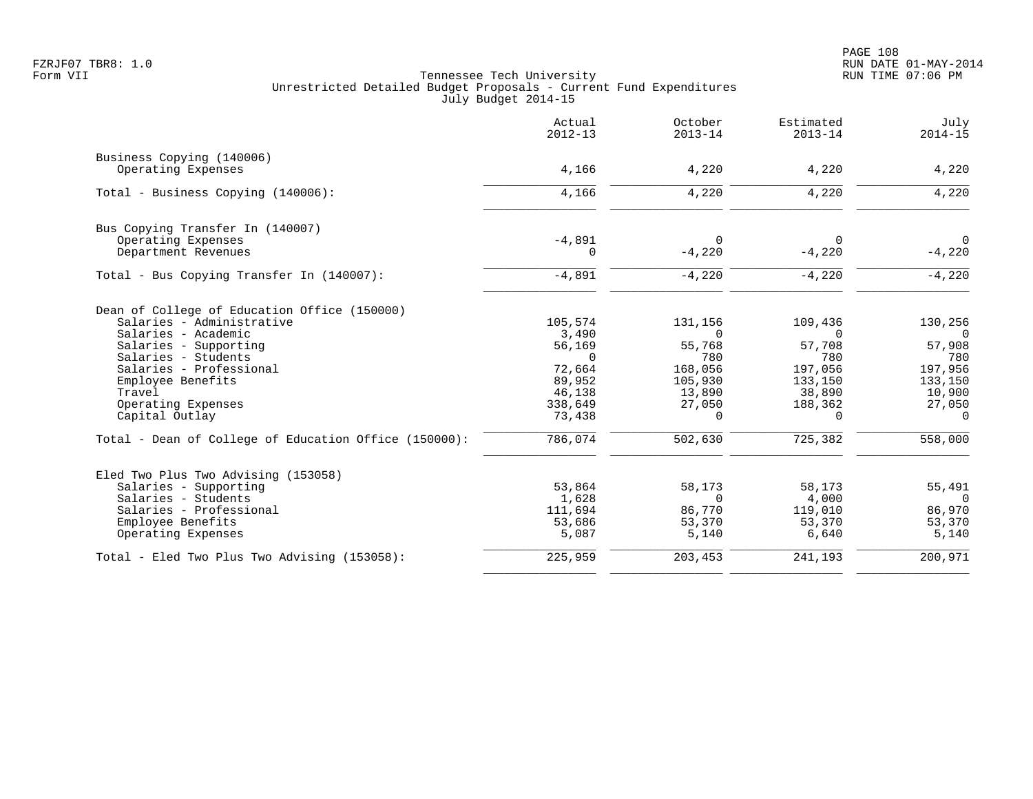|                                                       | Actual<br>$2012 - 13$ | October<br>$2013 - 14$ | Estimated<br>$2013 - 14$ | July<br>$2014 - 15$ |
|-------------------------------------------------------|-----------------------|------------------------|--------------------------|---------------------|
| Business Copying (140006)                             |                       |                        |                          |                     |
| Operating Expenses                                    | 4,166                 | 4,220                  | 4,220                    | 4,220               |
| Total - Business Copying (140006):                    | 4,166                 | 4,220                  | 4,220                    | 4,220               |
| Bus Copying Transfer In (140007)                      |                       |                        |                          |                     |
| Operating Expenses                                    | $-4,891$              | $\Omega$               | $\Omega$                 | $\overline{0}$      |
| Department Revenues                                   | $\Omega$              | $-4,220$               | $-4,220$                 | $-4,220$            |
| Total - Bus Copying Transfer In (140007):             | $-4,891$              | $-4,220$               | $-4,220$                 | $-4,220$            |
| Dean of College of Education Office (150000)          |                       |                        |                          |                     |
| Salaries - Administrative                             | 105,574               | 131,156                | 109,436                  | 130,256             |
| Salaries - Academic                                   | 3,490                 | $\Omega$               | $\mathbf 0$              | $\overline{0}$      |
| Salaries - Supporting                                 | 56,169                | 55,768                 | 57,708                   | 57,908              |
| Salaries - Students                                   | $\Omega$              | 780                    | 780                      | 780                 |
| Salaries - Professional                               | 72,664                | 168,056                | 197,056                  | 197,956             |
| Employee Benefits                                     | 89,952                | 105,930                | 133,150                  | 133,150             |
| Travel                                                | 46,138                | 13,890                 | 38,890                   | 10,900              |
| Operating Expenses                                    | 338,649               | 27,050                 | 188,362                  | 27,050              |
| Capital Outlay                                        | 73,438                | $\Omega$               | $\Omega$                 | $\Omega$            |
| Total - Dean of College of Education Office (150000): | 786,074               | 502,630                | 725,382                  | 558,000             |
| Eled Two Plus Two Advising (153058)                   |                       |                        |                          |                     |
| Salaries - Supporting                                 | 53,864                | 58,173                 | 58,173                   | 55,491              |
| Salaries - Students                                   | 1,628                 | $\Omega$               | 4,000                    | $\Omega$            |
| Salaries - Professional                               | 111,694               | 86,770                 | 119,010                  | 86,970              |
| Employee Benefits                                     | 53,686                | 53,370                 | 53,370                   | 53,370              |
| Operating Expenses                                    | 5,087                 | 5,140                  | 6,640                    | 5,140               |
| Total - Eled Two Plus Two Advising (153058):          | 225,959               | 203,453                | 241,193                  | 200,971             |
|                                                       |                       |                        |                          |                     |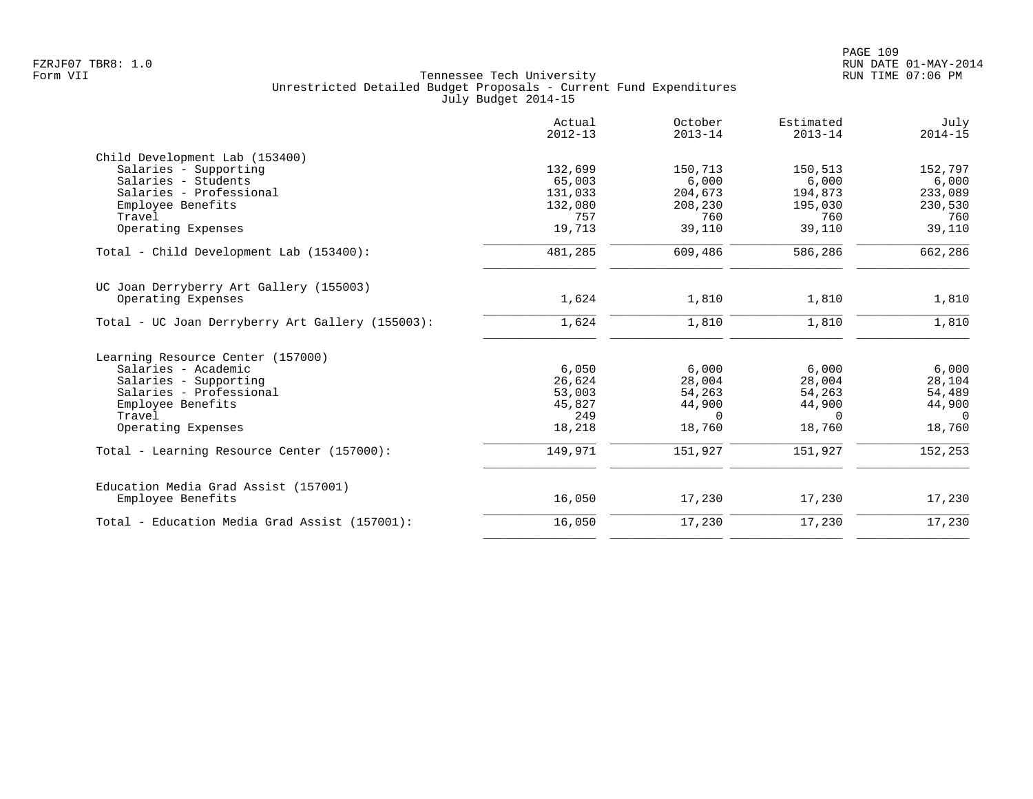| Actual<br>$2012 - 13$ | October<br>$2013 - 14$                                    | Estimated<br>$2013 - 14$                                 | July<br>$2014 - 15$                                                |
|-----------------------|-----------------------------------------------------------|----------------------------------------------------------|--------------------------------------------------------------------|
|                       |                                                           |                                                          |                                                                    |
|                       |                                                           |                                                          | 152,797                                                            |
|                       |                                                           |                                                          | 6,000                                                              |
|                       |                                                           |                                                          | 233,089                                                            |
| 132,080               | 208,230                                                   | 195,030                                                  | 230,530                                                            |
| 757                   | 760                                                       | 760                                                      | 760                                                                |
| 19,713                | 39,110                                                    | 39,110                                                   | 39,110                                                             |
| 481,285               | 609,486                                                   | 586,286                                                  | 662,286                                                            |
|                       |                                                           |                                                          |                                                                    |
| 1,624                 | 1,810                                                     | 1,810                                                    | 1,810                                                              |
| 1,624                 | 1,810                                                     | 1,810                                                    | 1,810                                                              |
|                       |                                                           |                                                          |                                                                    |
|                       |                                                           |                                                          | 6,000                                                              |
|                       |                                                           |                                                          | 28,104                                                             |
|                       |                                                           |                                                          | 54,489                                                             |
| 45,827                | 44,900                                                    |                                                          | 44,900                                                             |
| 249                   | $\Omega$                                                  | $\Omega$                                                 | $\Omega$                                                           |
| 18,218                | 18,760                                                    | 18,760                                                   | 18,760                                                             |
| 149,971               | 151,927                                                   | 151,927                                                  | 152,253                                                            |
|                       |                                                           |                                                          |                                                                    |
| 16,050                | 17,230                                                    | 17,230                                                   | 17,230                                                             |
| 16,050                | 17,230                                                    | 17,230                                                   | 17,230                                                             |
|                       | 132,699<br>65,003<br>131,033<br>6,050<br>26,624<br>53,003 | 150,713<br>6,000<br>204,673<br>6,000<br>28,004<br>54,263 | 150,513<br>6,000<br>194,873<br>6,000<br>28,004<br>54,263<br>44,900 |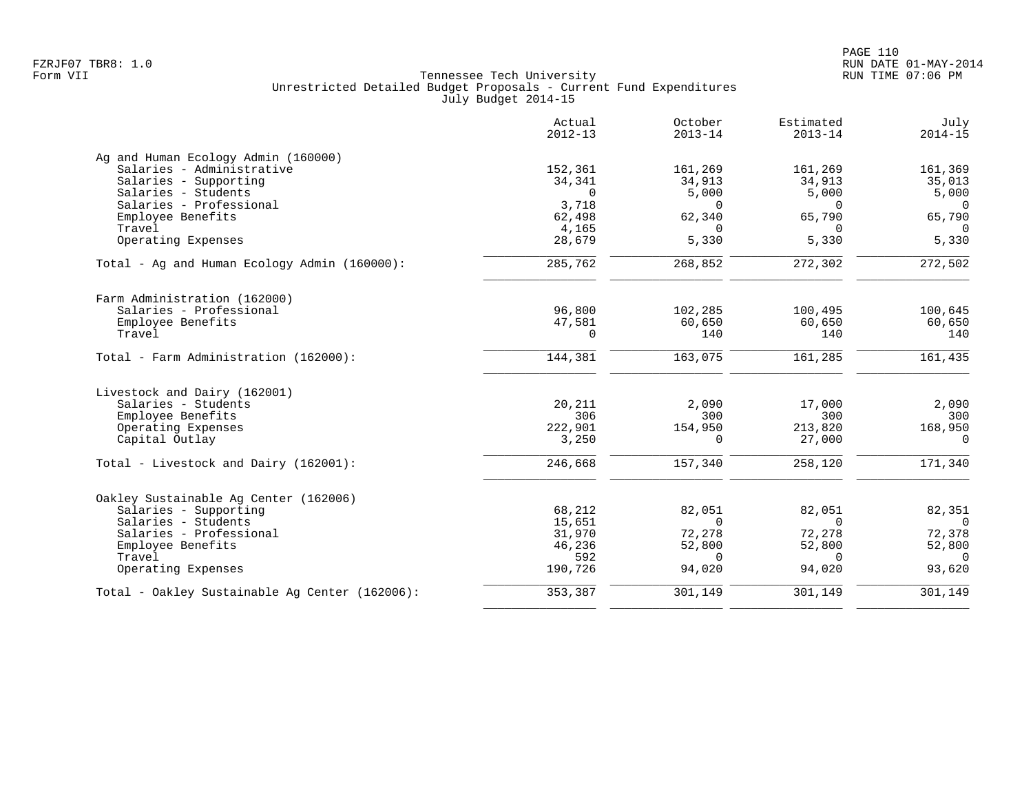| Actual<br>$2012 - 13$ | October<br>$2013 - 14$             | Estimated<br>$2013 - 14$ | July<br>$2014 - 15$                    |
|-----------------------|------------------------------------|--------------------------|----------------------------------------|
|                       |                                    |                          |                                        |
| 152,361               | 161,269                            | 161,269                  | 161,369                                |
| 34,341                | 34,913                             | 34,913                   | 35,013                                 |
| $\Omega$              | 5,000                              | 5,000                    | 5,000                                  |
|                       | $\Omega$                           | $\Omega$                 | $\Omega$                               |
|                       | 62,340                             |                          | 65,790                                 |
|                       |                                    |                          | $\Omega$                               |
|                       |                                    |                          | 5,330                                  |
| 285,762               | 268,852                            | 272,302                  | 272,502                                |
|                       |                                    |                          |                                        |
| 96,800                | 102,285                            | 100,495                  | 100,645                                |
| 47,581                | 60,650                             | 60,650                   | 60,650                                 |
| $\Omega$              | 140                                | 140                      | 140                                    |
| 144,381               | 163,075                            | 161,285                  | 161,435                                |
|                       |                                    |                          |                                        |
| 20,211                | 2,090                              | 17,000                   | 2,090                                  |
| 306                   | 300                                | 300                      | 300                                    |
| 222,901               | 154,950                            | 213,820                  | 168,950                                |
| 3,250                 | $\Omega$                           | 27,000                   | $\Omega$                               |
| 246,668               | 157,340                            | 258,120                  | 171,340                                |
|                       |                                    |                          |                                        |
| 68,212                | 82,051                             | 82,051                   | 82,351                                 |
| 15,651                | $\Omega$                           | $\Omega$                 | $\overline{0}$                         |
| 31,970                | 72,278                             | 72,278                   | 72,378                                 |
| 46,236                | 52,800                             | 52,800                   | 52,800                                 |
| 592                   | $\Omega$                           | $\Omega$                 | $\Omega$                               |
| 190,726               | 94,020                             | 94,020                   | 93,620                                 |
| 353,387               | 301,149                            |                          | 301,149                                |
|                       | 3,718<br>62,498<br>4,165<br>28,679 | $\Omega$<br>5,330        | 65,790<br>$\Omega$<br>5,330<br>301,149 |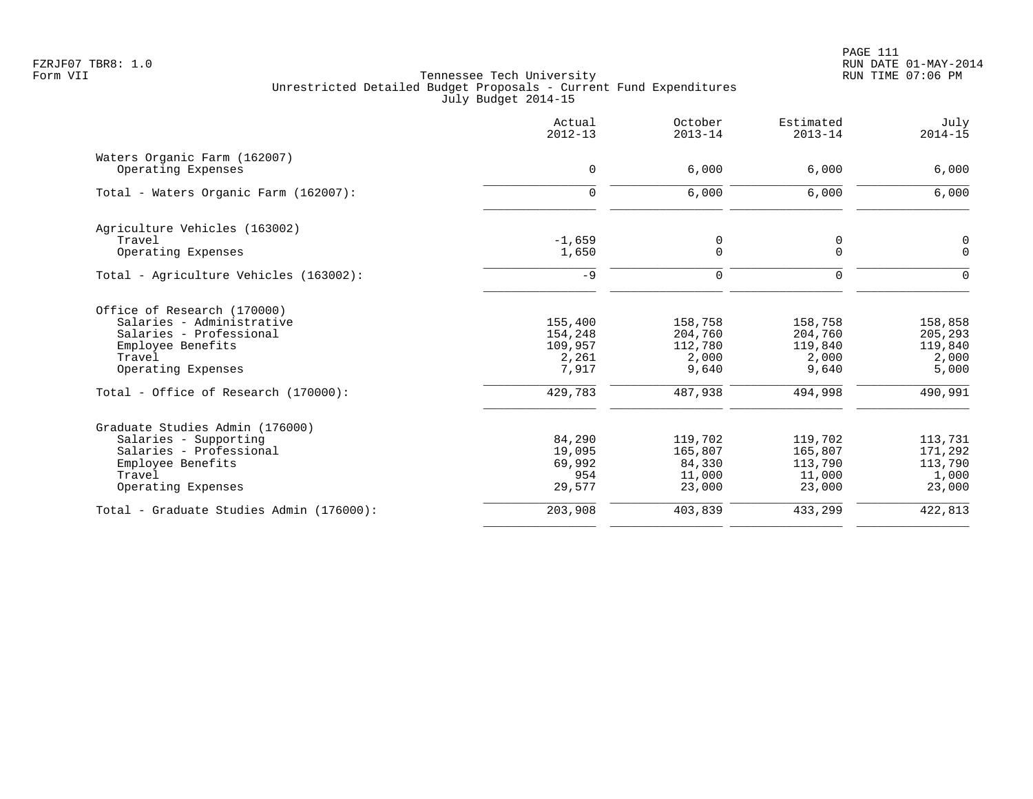|                                          | Actual<br>$2012 - 13$ | October<br>$2013 - 14$ | Estimated<br>$2013 - 14$ | July<br>$2014 - 15$ |
|------------------------------------------|-----------------------|------------------------|--------------------------|---------------------|
| Waters Organic Farm (162007)             |                       |                        |                          |                     |
| Operating Expenses                       | $\mathbf 0$           | 6,000                  | 6,000                    | 6,000               |
| Total - Waters Organic Farm (162007):    | $\Omega$              | 6,000                  | 6,000                    | 6,000               |
| Agriculture Vehicles (163002)            |                       |                        |                          |                     |
| Travel                                   | $-1,659$              | 0                      | 0                        | $\mathsf 0$         |
| Operating Expenses                       | 1,650                 | $\mathbf 0$            | $\Omega$                 | $\Omega$            |
| Total - Agriculture Vehicles (163002):   | $-9$                  | $\Omega$               | $\Omega$                 | $\Omega$            |
| Office of Research (170000)              |                       |                        |                          |                     |
| Salaries - Administrative                | 155,400               | 158,758                | 158,758                  | 158,858             |
| Salaries - Professional                  | 154,248               | 204,760                | 204,760                  | 205,293             |
| Employee Benefits                        | 109,957               | 112,780                | 119,840                  | 119,840             |
| Travel<br>Operating Expenses             | 2,261<br>7,917        | 2,000<br>9,640         | 2,000<br>9,640           | 2,000<br>5,000      |
| Total - Office of Research (170000):     | 429,783               | 487,938                | 494,998                  | 490,991             |
| Graduate Studies Admin (176000)          |                       |                        |                          |                     |
| Salaries - Supporting                    | 84,290                | 119,702                | 119,702                  | 113,731             |
| Salaries - Professional                  | 19,095                | 165,807                | 165,807                  | 171,292             |
| Employee Benefits                        | 69,992                | 84,330                 | 113,790                  | 113,790             |
| Travel                                   | 954                   | 11,000                 | 11,000                   | 1,000               |
| Operating Expenses                       | 29,577                | 23,000                 | 23,000                   | 23,000              |
| Total - Graduate Studies Admin (176000): | 203,908               | 403,839                | 433,299                  | 422,813             |
|                                          |                       |                        |                          |                     |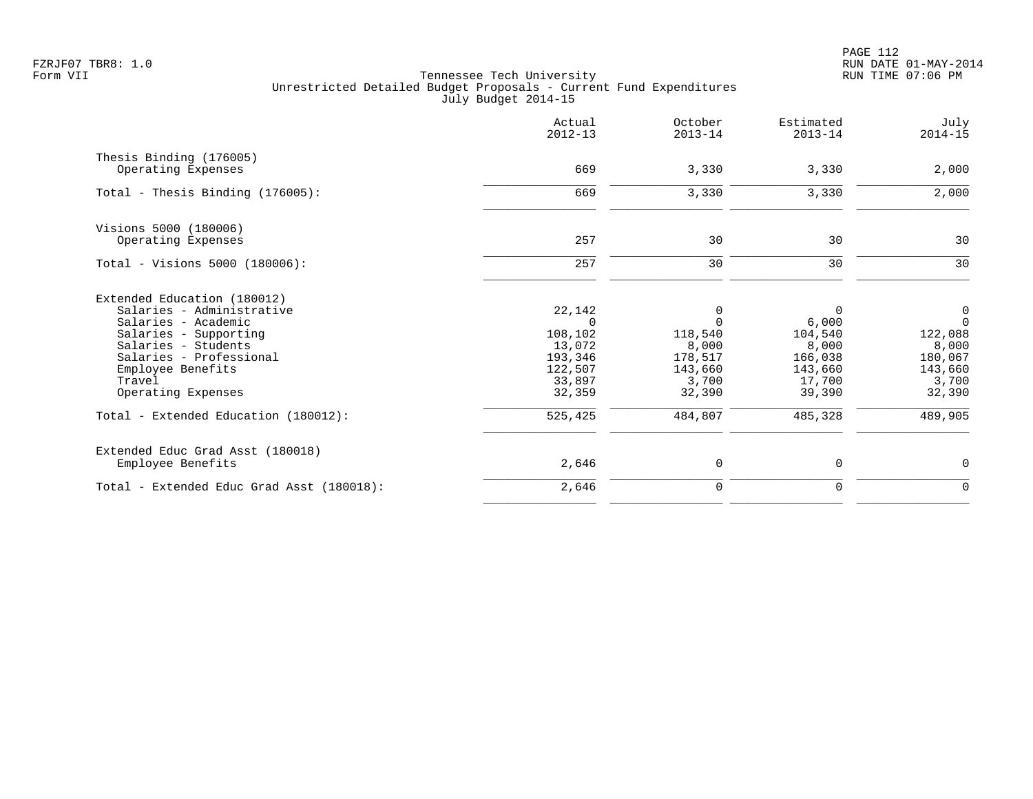PAGE 112 FZRJF07 TBR8: 1.0 RUN DATE 01-MAY-2014

|                                                | Actual<br>$2012 - 13$ | October<br>$2013 - 14$ | Estimated<br>$2013 - 14$ | July<br>$2014 - 15$ |
|------------------------------------------------|-----------------------|------------------------|--------------------------|---------------------|
| Thesis Binding (176005)                        |                       |                        |                          |                     |
| Operating Expenses                             | 669                   | 3,330                  | 3,330                    | 2,000               |
| Total - Thesis Binding $(176005)$ :            | 669                   | 3,330                  | 3,330                    | 2,000               |
| Visions 5000 (180006)                          |                       |                        |                          |                     |
| Operating Expenses                             | 257                   | 30                     | 30                       | 30                  |
| Total - Visions 5000 (180006):                 | 257                   | 30                     | 30                       | 30                  |
| Extended Education (180012)                    |                       |                        |                          |                     |
| Salaries - Administrative                      | 22,142                | 0                      | 0                        | $\overline{0}$      |
| Salaries - Academic                            | $\Omega$              | $\Omega$               | 6,000                    | $\Omega$            |
| Salaries - Supporting                          | 108,102               | 118,540                | 104,540                  | 122,088             |
| Salaries - Students<br>Salaries - Professional | 13,072<br>193,346     | 8,000<br>178,517       | 8,000<br>166,038         | 8,000<br>180,067    |
| Employee Benefits                              | 122,507               | 143,660                | 143,660                  | 143,660             |
| Travel                                         | 33,897                | 3,700                  | 17,700                   | 3,700               |
| Operating Expenses                             | 32,359                | 32,390                 | 39,390                   | 32,390              |
| Total - Extended Education (180012):           | 525,425               | 484,807                | 485,328                  | 489,905             |
| Extended Educ Grad Asst (180018)               |                       |                        |                          |                     |
| Employee Benefits                              | 2,646                 | 0                      | 0                        | 0                   |
| Total - Extended Educ Grad Asst (180018):      | 2,646                 | $\mathbf 0$            | $\mathbf 0$              | $\mathbf 0$         |
|                                                |                       |                        |                          |                     |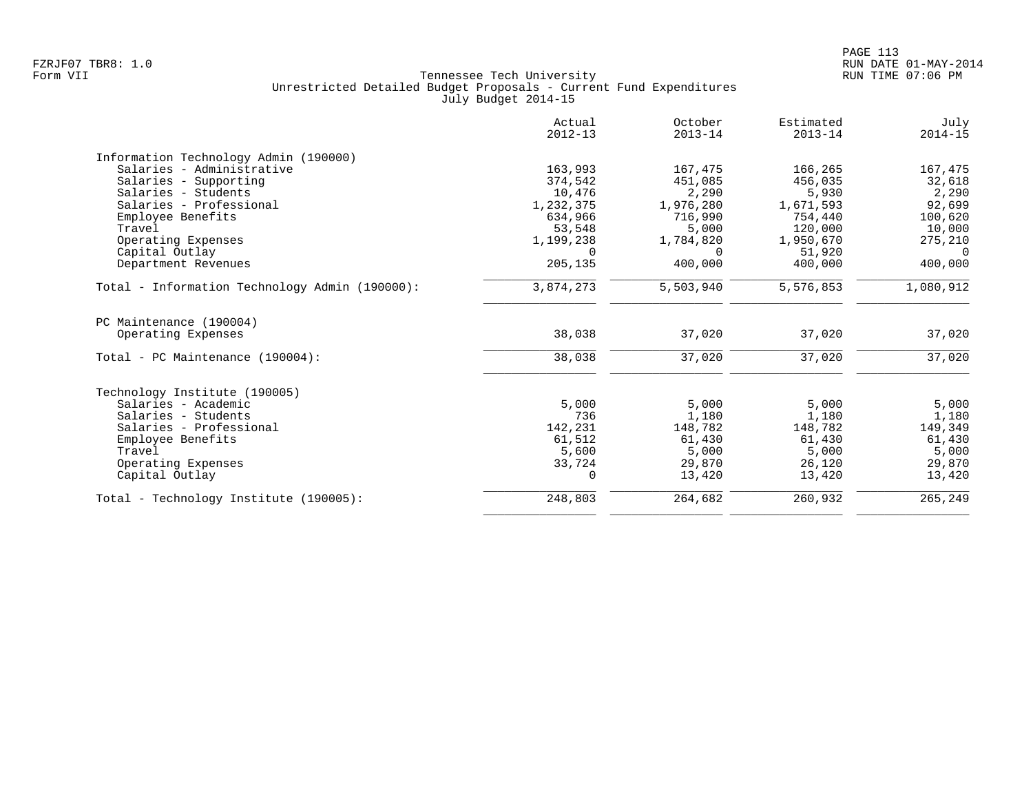|                                                | Actual<br>$2012 - 13$ | October<br>$2013 - 14$ | Estimated<br>$2013 - 14$ | July<br>$2014 - 15$ |
|------------------------------------------------|-----------------------|------------------------|--------------------------|---------------------|
| Information Technology Admin (190000)          |                       |                        |                          |                     |
| Salaries - Administrative                      | 163,993               | 167,475                | 166,265                  | 167,475             |
| Salaries - Supporting                          | 374,542               | 451,085                | 456,035                  | 32,618              |
| Salaries - Students                            | 10,476                | 2,290                  | 5,930                    | 2,290               |
| Salaries - Professional                        | 1,232,375             | 1,976,280              | 1,671,593                | 92,699              |
| Employee Benefits                              | 634,966               | 716,990                | 754,440                  | 100,620             |
| Travel                                         | 53,548                | 5,000                  | 120,000                  | 10,000              |
| Operating Expenses                             | 1,199,238             | 1,784,820              | 1,950,670                | 275,210             |
| Capital Outlay                                 | $\Omega$              | $\Omega$               | 51,920                   | $\Omega$            |
| Department Revenues                            | 205,135               | 400,000                | 400,000                  | 400,000             |
| Total - Information Technology Admin (190000): | 3,874,273             | 5,503,940              | 5,576,853                | 1,080,912           |
| PC Maintenance (190004)                        |                       |                        |                          |                     |
| Operating Expenses                             | 38,038                | 37,020                 | 37,020                   | 37,020              |
| Total - PC Maintenance (190004):               | 38,038                | 37,020                 | 37,020                   | 37,020              |
| Technology Institute (190005)                  |                       |                        |                          |                     |
| Salaries - Academic                            | 5,000                 | 5,000                  | 5,000                    | 5,000               |
| Salaries - Students                            | 736                   | 1,180                  | 1,180                    | 1,180               |
| Salaries - Professional                        | 142,231               | 148,782                | 148,782                  | 149,349             |
| Employee Benefits                              | 61,512                | 61,430                 | 61,430                   | 61,430              |
| Travel                                         | 5,600                 | 5,000                  | 5,000                    | 5,000               |
| Operating Expenses                             | 33,724                | 29,870                 | 26,120                   | 29,870              |
| Capital Outlay                                 | 0                     | 13,420                 | 13,420                   | 13,420              |
| Total - Technology Institute (190005):         | 248,803               | 264,682                | 260,932                  | 265,249             |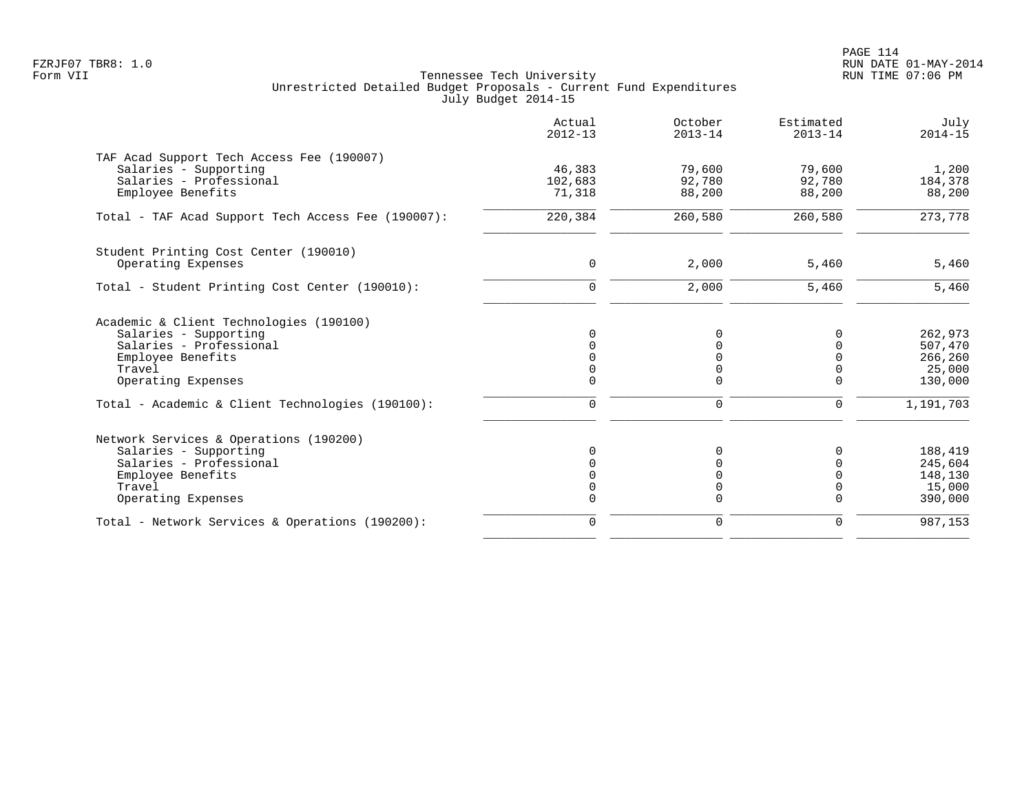PAGE 114 FZRJF07 TBR8: 1.0 RUN DATE 01-MAY-2014

| Actual<br>$2012 - 13$ | October<br>$2013 - 14$ | Estimated<br>$2013 - 14$ | July<br>$2014 - 15$                                                                       |
|-----------------------|------------------------|--------------------------|-------------------------------------------------------------------------------------------|
|                       |                        |                          | 1,200                                                                                     |
| 102,683<br>71,318     | 92,780<br>88,200       | 92,780<br>88,200         | 184,378<br>88,200                                                                         |
| 220,384               | 260,580                | 260,580                  | 273,778                                                                                   |
|                       |                        |                          |                                                                                           |
|                       |                        |                          | 5,460                                                                                     |
| $\Omega$              | 2,000                  | 5,460                    | 5,460                                                                                     |
|                       |                        |                          |                                                                                           |
| $\Omega$              | $\Omega$               | 0                        | 262,973                                                                                   |
|                       |                        |                          | 507,470                                                                                   |
|                       |                        |                          | 266,260<br>25,000                                                                         |
| $\Omega$              | $\Omega$               | $\mathbf 0$              | 130,000                                                                                   |
| $\mathbf 0$           | 0                      | 0                        | 1,191,703                                                                                 |
|                       |                        |                          |                                                                                           |
|                       | O                      | 0                        | 188,419                                                                                   |
|                       |                        |                          | 245,604                                                                                   |
|                       |                        |                          | 148,130                                                                                   |
| $\Omega$              | $\Omega$               | $\Omega$                 | 15,000<br>390,000                                                                         |
| $\mathbf 0$           | 0                      | $\Omega$                 | 987,153                                                                                   |
|                       | 46,383<br>$\mathbf 0$  | 79,600<br>2,000          | 79,600<br>5,460<br>$\mathbf 0$<br>$\mathbf 0$<br>$\mathbf 0$<br>$\Omega$<br>$\Omega$<br>0 |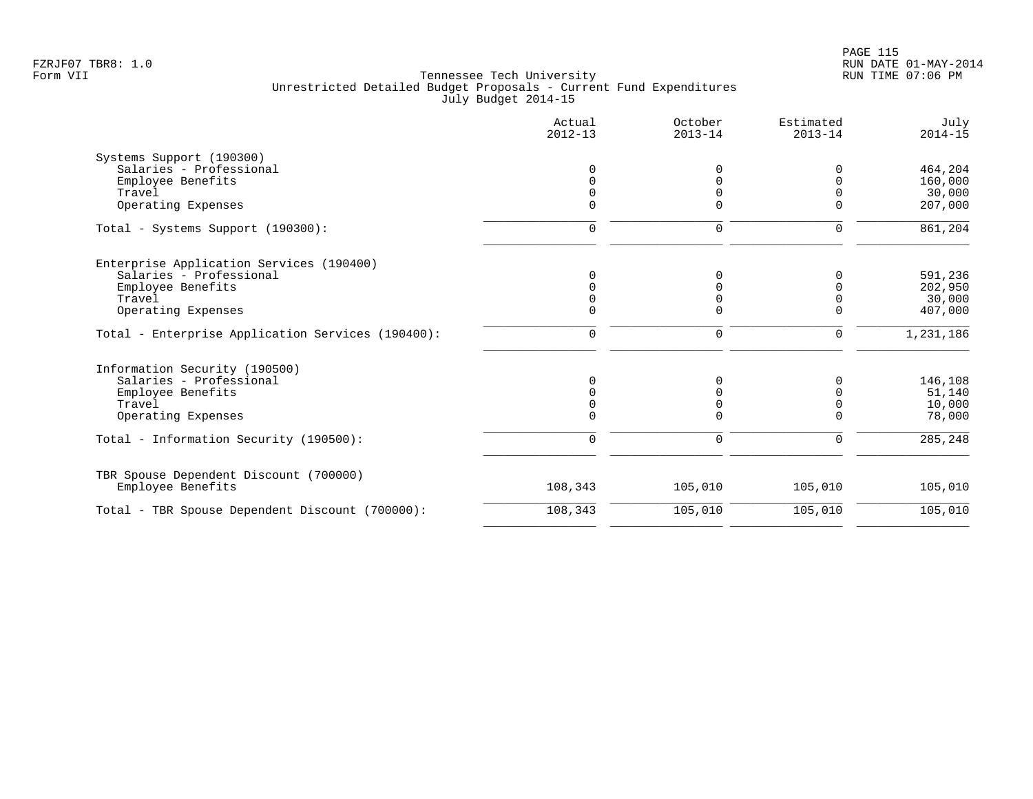| Actual<br>$2012 - 13$ | October<br>$2013 - 14$ | Estimated<br>$2013 - 14$ | July<br>$2014 - 15$ |
|-----------------------|------------------------|--------------------------|---------------------|
|                       |                        |                          |                     |
|                       |                        | O                        | 464,204             |
|                       |                        | U                        | 160,000             |
|                       |                        | $\Omega$                 | 30,000              |
|                       | <sup>n</sup>           | U                        | 207,000             |
| $\mathbf 0$           | 0                      | $\mathbf 0$              | 861,204             |
|                       |                        |                          |                     |
|                       | U                      | O                        | 591,236             |
|                       |                        | U                        | 202,950             |
|                       |                        | $\Omega$                 | 30,000              |
|                       | $\Omega$               | $\mathbf 0$              | 407,000             |
| 0                     | 0                      | 0                        | 1,231,186           |
|                       |                        |                          |                     |
| $\Omega$              | $\Omega$               | 0                        | 146,108             |
|                       |                        | 0                        | 51,140              |
|                       |                        | $\mathbf 0$              | 10,000              |
|                       | $\Omega$               | $\Omega$                 | 78,000              |
| $\mathbf 0$           | 0                      | $\mathbf 0$              | 285,248             |
| 108,343               | 105,010                | 105,010                  | 105,010             |
|                       |                        |                          |                     |
|                       |                        |                          | 105,010             |
|                       | 108,343                | 105,010                  | 105,010             |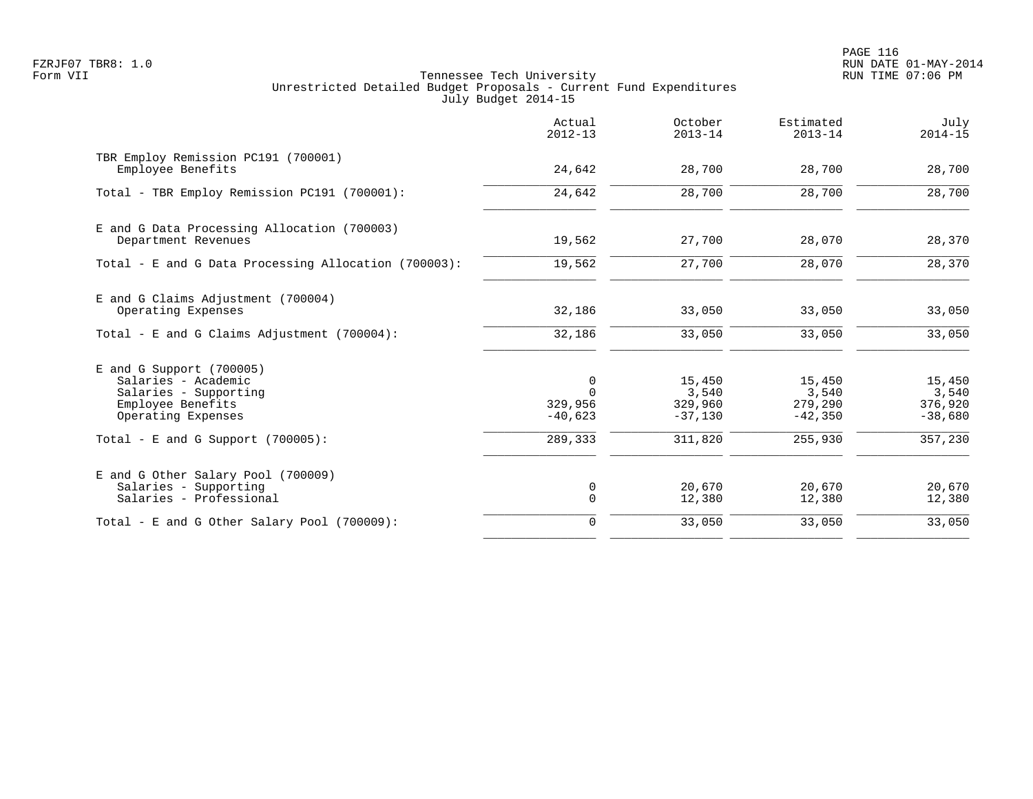PAGE 116 FZRJF07 TBR8: 1.0 RUN DATE 01-MAY-2014

|                                                                                                                       | Actual<br>$2012 - 13$                 | October<br>$2013 - 14$                  | Estimated<br>$2013 - 14$                | July<br>$2014 - 15$                     |
|-----------------------------------------------------------------------------------------------------------------------|---------------------------------------|-----------------------------------------|-----------------------------------------|-----------------------------------------|
| TBR Employ Remission PC191 (700001)<br>Employee Benefits                                                              | 24,642                                | 28,700                                  | 28,700                                  | 28,700                                  |
| Total - TBR Employ Remission PC191 (700001):                                                                          | 24,642                                | 28,700                                  | 28,700                                  | 28,700                                  |
| E and G Data Processing Allocation (700003)<br>Department Revenues                                                    | 19,562                                | 27,700                                  | 28,070                                  | 28,370                                  |
| Total - E and G Data Processing Allocation (700003):                                                                  | 19,562                                | 27,700                                  | 28,070                                  | 28,370                                  |
| E and G Claims Adjustment (700004)<br>Operating Expenses<br>Total - E and G Claims Adjustment (700004):               | 32,186<br>32,186                      | 33,050<br>33,050                        | 33,050<br>33,050                        | 33,050<br>33,050                        |
| $E$ and G Support (700005)<br>Salaries - Academic<br>Salaries - Supporting<br>Employee Benefits<br>Operating Expenses | 0<br>$\Omega$<br>329,956<br>$-40,623$ | 15,450<br>3,540<br>329,960<br>$-37,130$ | 15,450<br>3,540<br>279,290<br>$-42,350$ | 15,450<br>3,540<br>376,920<br>$-38,680$ |
| Total - E and G Support $(700005)$ :                                                                                  | 289,333                               | 311,820                                 | 255,930                                 | 357,230                                 |
| E and G Other Salary Pool (700009)<br>Salaries - Supporting<br>Salaries - Professional                                | 0<br>$\mathbf 0$                      | 20,670<br>12,380                        | 20,670<br>12,380                        | 20,670<br>12,380                        |
| Total - E and G Other Salary Pool (700009):                                                                           | $\mathbf 0$                           | 33,050                                  | 33,050                                  | 33,050                                  |
|                                                                                                                       |                                       |                                         |                                         |                                         |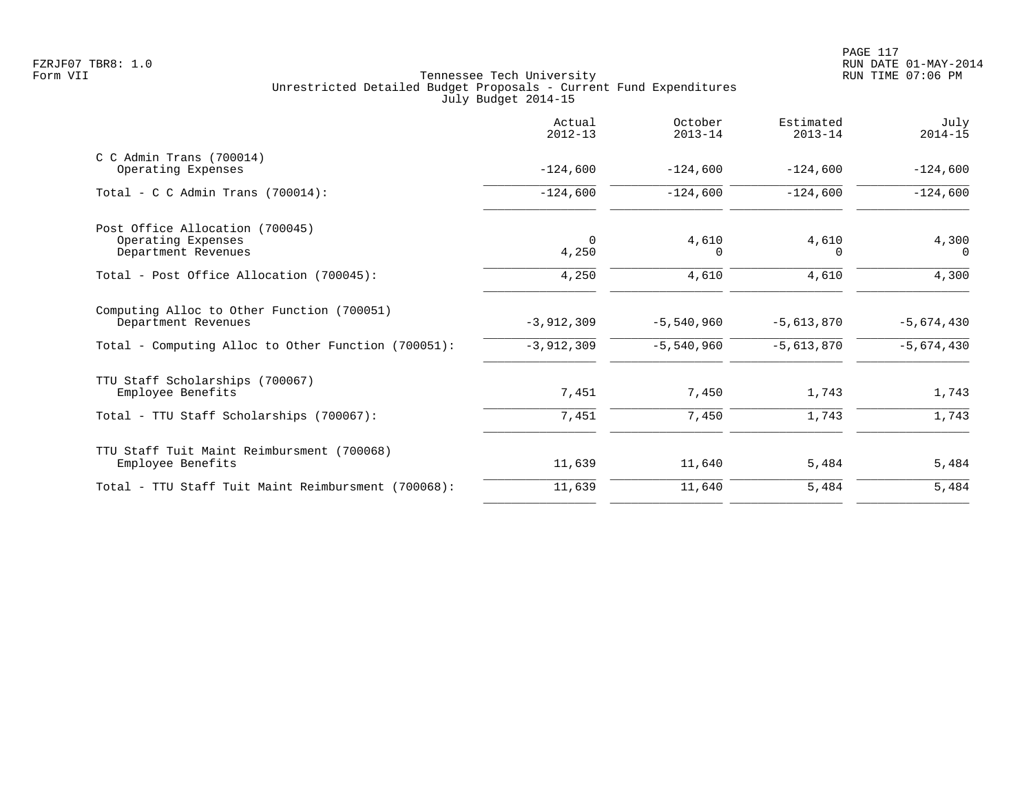|                                                     | Actual<br>$2012 - 13$ | October<br>$2013 - 14$ | Estimated<br>$2013 - 14$ | July<br>$2014 - 15$ |
|-----------------------------------------------------|-----------------------|------------------------|--------------------------|---------------------|
| $C$ C Admin Trans (700014)                          |                       |                        |                          |                     |
| Operating Expenses                                  | $-124,600$            | $-124,600$             | $-124,600$               | $-124,600$          |
| Total - C C Admin Trans $(700014)$ :                | $-124,600$            | $-124,600$             | $-124,600$               | $-124,600$          |
| Post Office Allocation (700045)                     |                       |                        |                          |                     |
| Operating Expenses                                  | $\Omega$              | 4,610                  | 4,610                    | 4,300               |
| Department Revenues                                 | 4,250                 | $\Omega$               | 0                        | $\Omega$            |
| Total - Post Office Allocation (700045):            | 4,250                 | 4,610                  | 4,610                    | 4,300               |
| Computing Alloc to Other Function (700051)          |                       |                        |                          |                     |
| Department Revenues                                 | $-3,912,309$          | $-5,540,960$           | $-5,613,870$             | $-5,674,430$        |
| Total - Computing Alloc to Other Function (700051): | $-3,912,309$          | $-5,540,960$           | $-5,613,870$             | $-5,674,430$        |
| TTU Staff Scholarships (700067)                     |                       |                        |                          |                     |
| Employee Benefits                                   | 7,451                 | 7,450                  | 1,743                    | 1,743               |
| Total - TTU Staff Scholarships (700067):            | 7,451                 | 7,450                  | 1,743                    | 1,743               |
| TTU Staff Tuit Maint Reimbursment (700068)          |                       |                        |                          |                     |
| Employee Benefits                                   | 11,639                | 11,640                 | 5,484                    | 5,484               |
| Total - TTU Staff Tuit Maint Reimbursment (700068): | 11,639                | 11,640                 | 5,484                    | 5,484               |
|                                                     |                       |                        |                          |                     |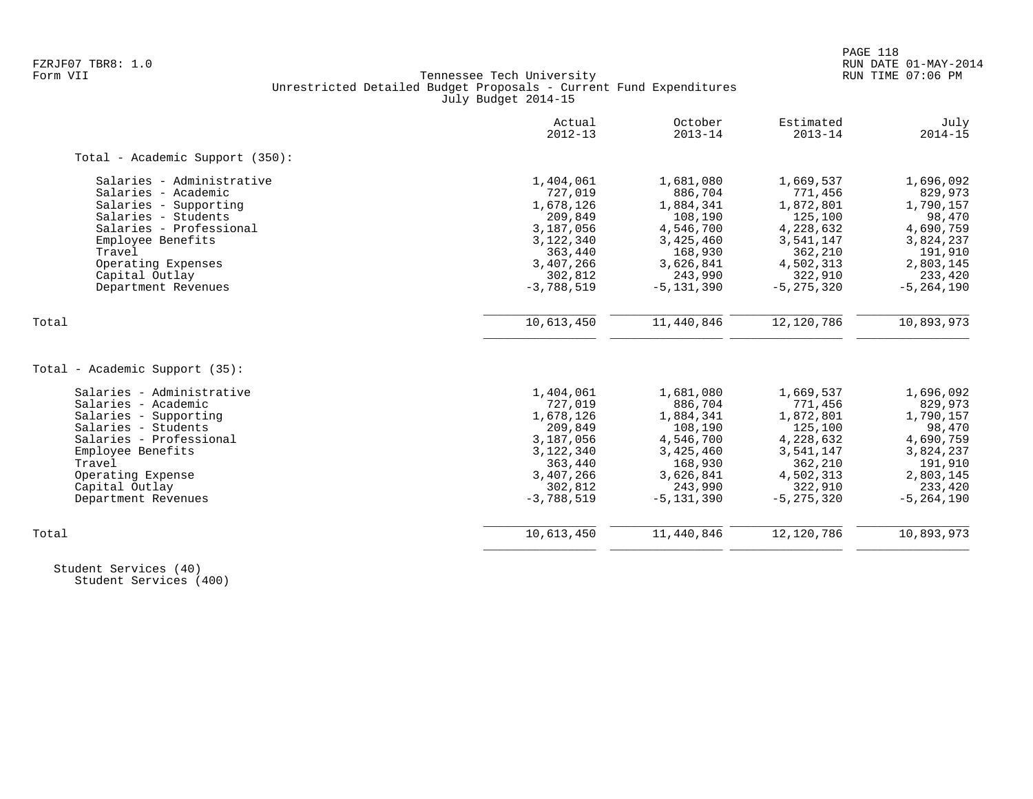# FZRJF07 TBR8: 1.0 RUN DATE 01-MAY-2014 Tennessee Tech University Unrestricted Detailed Budget Proposals - Current Fund Expenditures July Budget 2014-15

|                                 | Actual<br>$2012 - 13$ | October<br>$2013 - 14$ | Estimated<br>$2013 - 14$ | July<br>$2014 - 15$ |
|---------------------------------|-----------------------|------------------------|--------------------------|---------------------|
| Total - Academic Support (350): |                       |                        |                          |                     |
| Salaries - Administrative       | 1,404,061             | 1,681,080              | 1,669,537                | 1,696,092           |
| Salaries - Academic             | 727,019               | 886,704                | 771,456                  | 829,973             |
| Salaries - Supporting           | 1,678,126             | 1,884,341              | 1,872,801                | 1,790,157           |
| Salaries - Students             | 209,849               | 108,190                | 125,100                  | 98,470              |
| Salaries - Professional         | 3,187,056             | 4,546,700              | 4,228,632                | 4,690,759           |
| Employee Benefits               | 3,122,340             | 3,425,460              | 3,541,147                | 3,824,237           |
| Travel                          | 363,440               | 168,930                | 362,210                  | 191,910             |
| Operating Expenses              | 3,407,266             | 3,626,841              | 4,502,313                | 2,803,145           |
| Capital Outlay                  | 302,812               | 243,990                | 322,910                  | 233,420             |
| Department Revenues             | $-3,788,519$          | $-5, 131, 390$         | $-5, 275, 320$           | $-5, 264, 190$      |
| Total                           | 10,613,450            | 11,440,846             | 12,120,786               | 10,893,973          |
|                                 |                       |                        |                          |                     |
| Total - Academic Support (35):  |                       |                        |                          |                     |
| Salaries - Administrative       | 1,404,061             | 1,681,080              | 1,669,537                | 1,696,092           |
| Salaries - Academic             | 727,019               | 886,704                | 771,456                  | 829,973             |
| Salaries - Supporting           | 1,678,126             | 1,884,341              | 1,872,801                | 1,790,157           |
| Salaries - Students             | 209,849               | 108,190                | 125,100                  | 98,470              |
| Salaries - Professional         | 3,187,056             | 4,546,700              | 4,228,632                | 4,690,759           |
| Employee Benefits               | 3,122,340             | 3,425,460              | 3,541,147                | 3,824,237           |
| Travel                          | 363,440               | 168,930                | 362,210                  | 191,910             |
| Operating Expense               | 3,407,266             | 3,626,841              | 4,502,313                | 2,803,145           |
| Capital Outlay                  | 302,812               | 243,990                | 322,910                  | 233,420             |
| Department Revenues             | $-3,788,519$          | $-5, 131, 390$         | $-5, 275, 320$           | $-5, 264, 190$      |
| Total                           | 10,613,450            | 11,440,846             | 12,120,786               | 10,893,973          |
|                                 |                       |                        |                          |                     |

 Student Services (40) Student Services (400)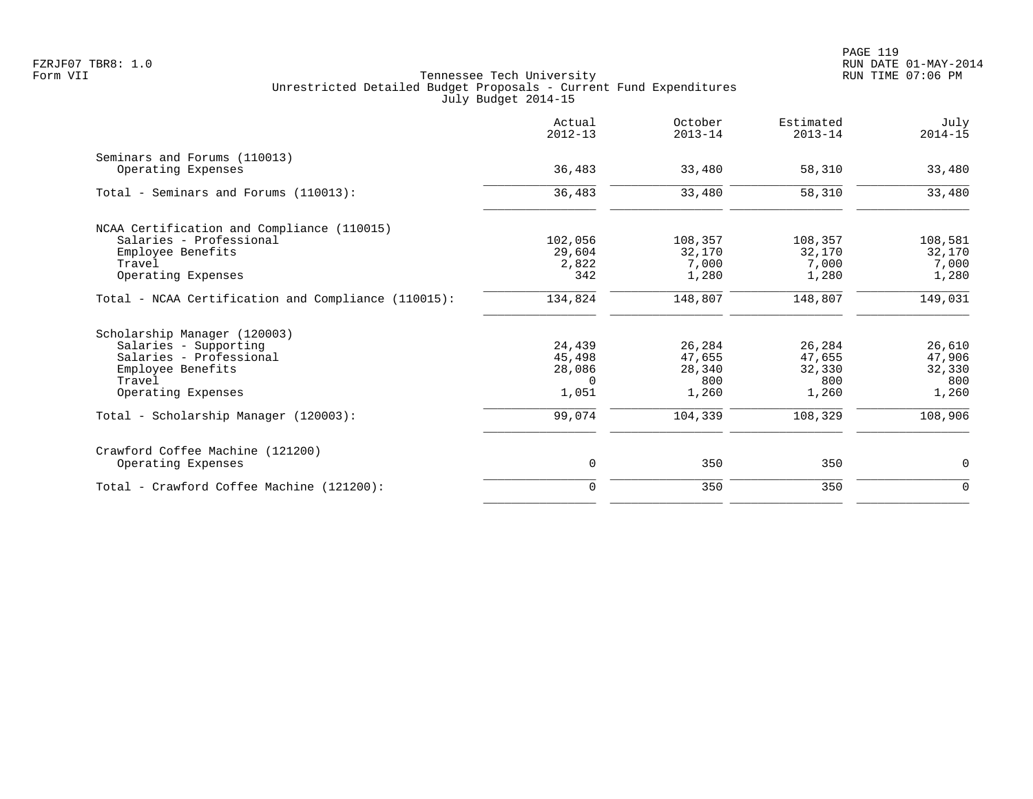| Actual<br>$2012 - 13$ | October<br>$2013 - 14$ | Estimated<br>$2013 - 14$ | July<br>$2014 - 15$ |
|-----------------------|------------------------|--------------------------|---------------------|
|                       |                        |                          |                     |
|                       |                        |                          | 33,480              |
| 36,483                | 33,480                 | 58,310                   | 33,480              |
|                       |                        |                          |                     |
| 102,056               | 108,357                | 108,357                  | 108,581             |
| 29,604                | 32,170                 | 32,170                   | 32,170              |
| 2,822                 | 7,000                  | 7,000                    | 7,000               |
| 342                   | 1,280                  | 1,280                    | 1,280               |
| 134,824               | 148,807                | 148,807                  | 149,031             |
|                       |                        |                          |                     |
| 24,439                | 26,284                 | 26,284                   | 26,610              |
|                       |                        | 47,655                   | 47,906              |
| 28,086                | 28,340                 | 32,330                   | 32,330              |
| $\Omega$              | 800                    | 800                      | 800                 |
| 1,051                 | 1,260                  | 1,260                    | 1,260               |
| 99,074                | 104,339                | 108,329                  | 108,906             |
|                       |                        |                          |                     |
| 0                     | 350                    | 350                      | 0                   |
| $\mathbf 0$           | 350                    | 350                      | $\mathbf 0$         |
|                       | 36,483<br>45,498       | 33,480<br>47,655         | 58,310              |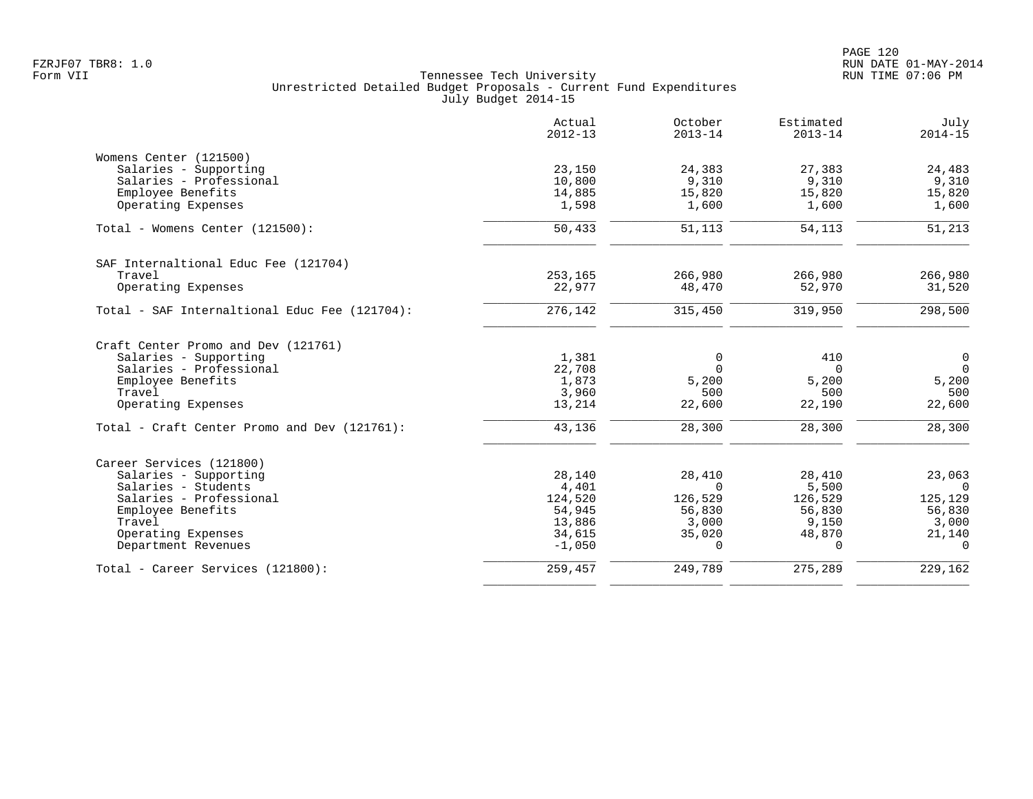|                                               | Actual<br>$2012 - 13$ | October<br>$2013 - 14$ | Estimated<br>$2013 - 14$ | July<br>$2014 - 15$ |
|-----------------------------------------------|-----------------------|------------------------|--------------------------|---------------------|
| Womens Center (121500)                        |                       |                        |                          |                     |
| Salaries - Supporting                         | 23,150                | 24,383                 | 27,383                   | 24,483              |
| Salaries - Professional                       | 10,800                | 9,310                  | 9,310                    | 9,310               |
| Employee Benefits                             | 14,885                | 15,820                 | 15,820                   | 15,820              |
| Operating Expenses                            | 1,598                 | 1,600                  | 1,600                    | 1,600               |
| Total - Womens Center (121500):               | 50,433                | 51,113                 | 54,113                   | 51,213              |
| SAF Internaltional Educ Fee (121704)          |                       |                        |                          |                     |
| Travel                                        | 253,165               | 266,980                | 266,980                  | 266,980             |
| Operating Expenses                            | 22,977                | 48,470                 | 52,970                   | 31,520              |
| Total - SAF Internaltional Educ Fee (121704): | 276,142               | 315,450                | 319,950                  | 298,500             |
| Craft Center Promo and Dev (121761)           |                       |                        |                          |                     |
| Salaries - Supporting                         | 1,381                 | 0                      | 410                      | $\mathsf{O}$        |
| Salaries - Professional                       | 22,708                | $\Omega$               | $\Omega$                 | $\overline{0}$      |
| Employee Benefits                             | 1,873                 | 5,200                  | 5,200                    | 5,200               |
| Travel                                        | 3,960                 | 500                    | 500                      | 500                 |
| Operating Expenses                            | 13,214                | 22,600                 | 22,190                   | 22,600              |
| Total - Craft Center Promo and Dev (121761):  | 43,136                | 28,300                 | 28,300                   | 28,300              |
| Career Services (121800)                      |                       |                        |                          |                     |
| Salaries - Supporting                         | 28,140                | 28,410                 | 28,410                   | 23,063              |
| Salaries - Students                           | 4,401                 | $\Omega$               | 5,500                    | $\Omega$            |
| Salaries - Professional                       | 124,520               | 126,529                | 126,529                  | 125,129             |
| Employee Benefits                             | 54,945                | 56,830                 | 56,830                   | 56,830              |
| Travel                                        | 13,886                | 3,000                  | 9,150                    | 3,000               |
| Operating Expenses                            | 34,615                | 35,020                 | 48,870                   | 21,140              |
| Department Revenues                           | $-1,050$              | $\Omega$               | $\Omega$                 | $\Omega$            |
| Total - Career Services (121800):             | 259,457               | 249,789                | 275,289                  | 229,162             |
|                                               |                       |                        |                          |                     |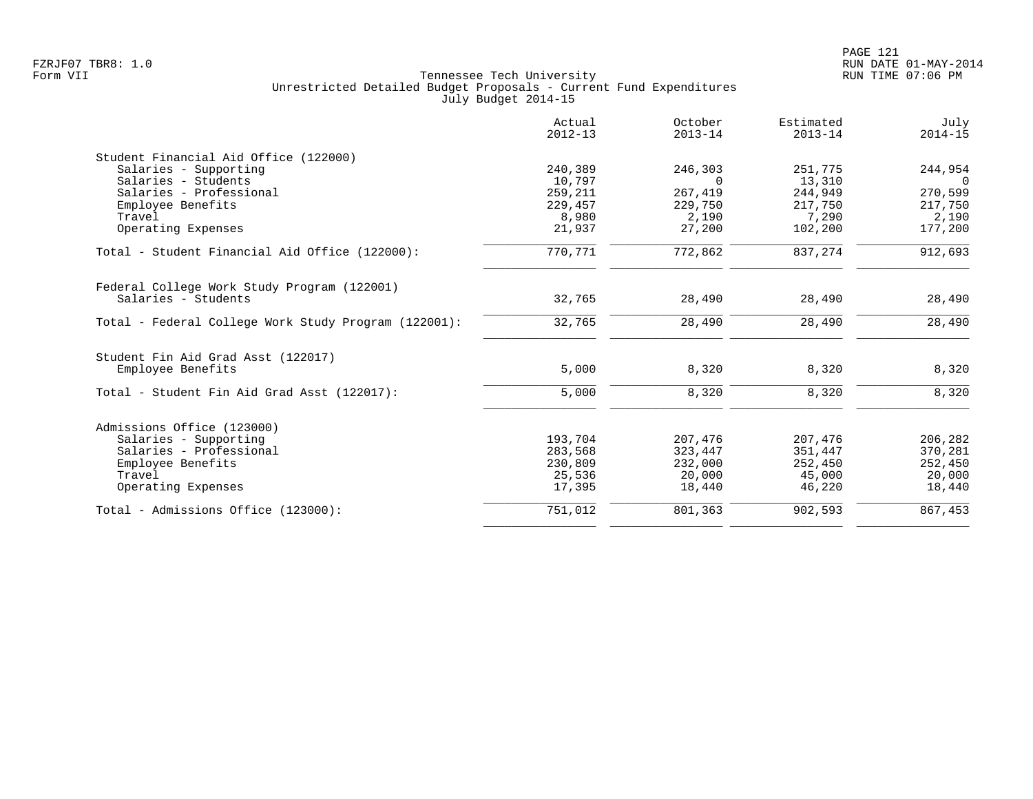|                                                                    | Actual<br>$2012 - 13$ | October<br>$2013 - 14$ | Estimated<br>$2013 - 14$ | July<br>$2014 - 15$ |
|--------------------------------------------------------------------|-----------------------|------------------------|--------------------------|---------------------|
| Student Financial Aid Office (122000)                              |                       |                        |                          |                     |
| Salaries - Supporting                                              | 240,389               | 246,303                | 251,775                  | 244,954             |
| Salaries - Students                                                | 10,797                | $\Omega$               | 13,310                   | $\Omega$            |
| Salaries - Professional                                            | 259,211               | 267,419                | 244,949                  | 270,599             |
| Employee Benefits                                                  | 229,457               | 229,750                | 217,750                  | 217,750             |
| Travel                                                             | 8,980                 | 2,190                  | 7,290                    | 2,190               |
| Operating Expenses                                                 | 21,937                | 27,200                 | 102,200                  | 177,200             |
| Total - Student Financial Aid Office (122000):                     | 770,771               | 772,862                | 837, 274                 | 912,693             |
| Federal College Work Study Program (122001)<br>Salaries - Students | 32,765                | 28,490                 | 28,490                   | 28,490              |
|                                                                    |                       |                        |                          |                     |
| Total - Federal College Work Study Program (122001):               | 32,765                | 28,490                 | 28,490                   | 28,490              |
| Student Fin Aid Grad Asst (122017)                                 |                       |                        |                          |                     |
| Employee Benefits                                                  | 5,000                 | 8,320                  | 8,320                    | 8,320               |
| Total - Student Fin Aid Grad Asst (122017):                        | 5,000                 | 8,320                  | 8,320                    | 8,320               |
| Admissions Office (123000)                                         |                       |                        |                          |                     |
| Salaries - Supporting                                              | 193,704               | 207,476                | 207,476                  | 206,282             |
| Salaries - Professional                                            | 283,568               | 323,447                | 351,447                  | 370,281             |
| Employee Benefits                                                  | 230,809               | 232,000                | 252,450                  | 252,450             |
| Travel                                                             | 25,536                | 20,000                 | 45,000                   | 20,000              |
| Operating Expenses                                                 | 17,395                | 18,440                 | 46,220                   | 18,440              |
| Total - Admissions Office (123000):                                | 751,012               | 801,363                | 902,593                  | 867,453             |
|                                                                    |                       |                        |                          |                     |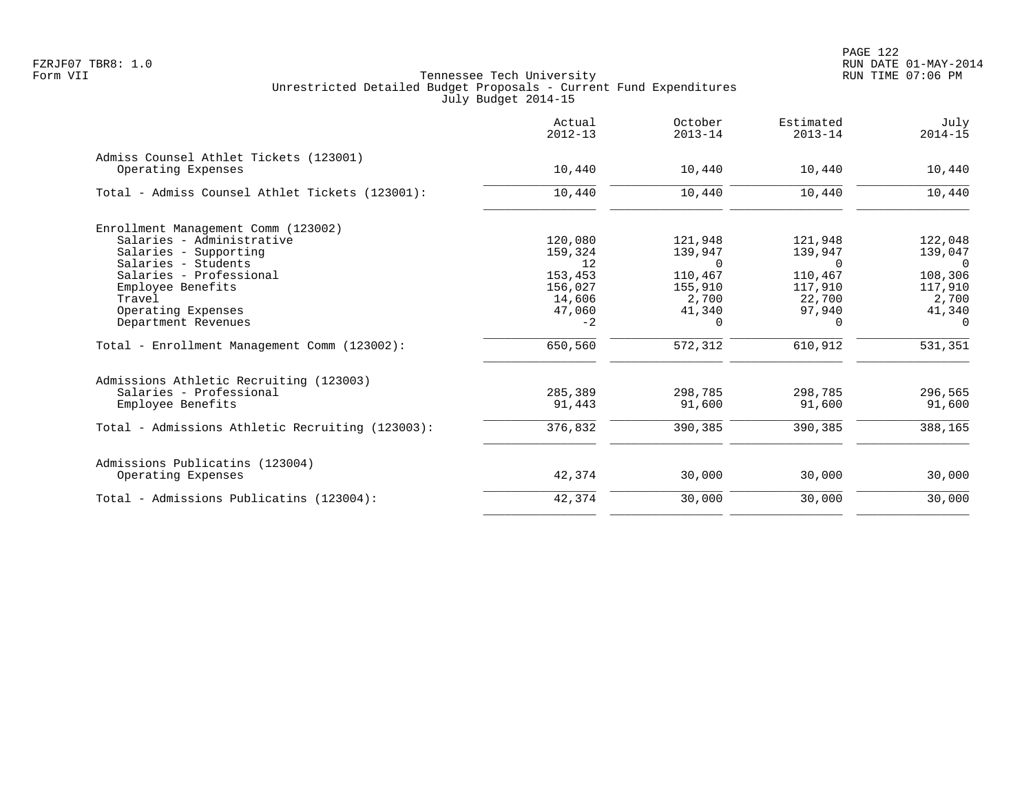|                                                              | Actual<br>$2012 - 13$ | October<br>$2013 - 14$ | Estimated<br>$2013 - 14$ | July<br>$2014 - 15$ |
|--------------------------------------------------------------|-----------------------|------------------------|--------------------------|---------------------|
| Admiss Counsel Athlet Tickets (123001)<br>Operating Expenses | 10,440                | 10,440                 | 10,440                   | 10,440              |
| Total - Admiss Counsel Athlet Tickets (123001):              | 10,440                | 10,440                 | 10,440                   | 10,440              |
|                                                              |                       |                        |                          |                     |
| Enrollment Management Comm (123002)                          |                       |                        |                          |                     |
| Salaries - Administrative                                    | 120,080               | 121,948                | 121,948                  | 122,048             |
| Salaries - Supporting                                        | 159,324               | 139,947                | 139,947                  | 139,047             |
| Salaries - Students                                          | 12                    | 0                      | 0                        | $\overline{0}$      |
| Salaries - Professional                                      | 153,453               | 110,467                | 110,467                  | 108,306             |
| Employee Benefits                                            | 156,027               | 155,910                | 117,910                  | 117,910             |
| Travel                                                       | 14,606                | 2,700                  | 22,700                   | 2,700               |
| Operating Expenses                                           | 47,060                | 41,340                 | 97,940                   | 41,340              |
| Department Revenues                                          | $-2$                  | 0                      | $\Omega$                 | $\Omega$            |
| Total - Enrollment Management Comm (123002):                 | 650,560               | 572,312                | 610,912                  | 531,351             |
| Admissions Athletic Recruiting (123003)                      |                       |                        |                          |                     |
| Salaries - Professional                                      | 285,389               | 298,785                | 298,785                  | 296,565             |
| Employee Benefits                                            | 91,443                | 91,600                 | 91,600                   | 91,600              |
| Total - Admissions Athletic Recruiting (123003):             | 376,832               | 390,385                | 390,385                  | 388,165             |
| Admissions Publicatins (123004)                              |                       |                        |                          |                     |
| Operating Expenses                                           | 42,374                | 30,000                 | 30,000                   | 30,000              |
| Total - Admissions Publicatins (123004):                     | 42,374                | 30,000                 | 30,000                   | 30,000              |
|                                                              |                       |                        |                          |                     |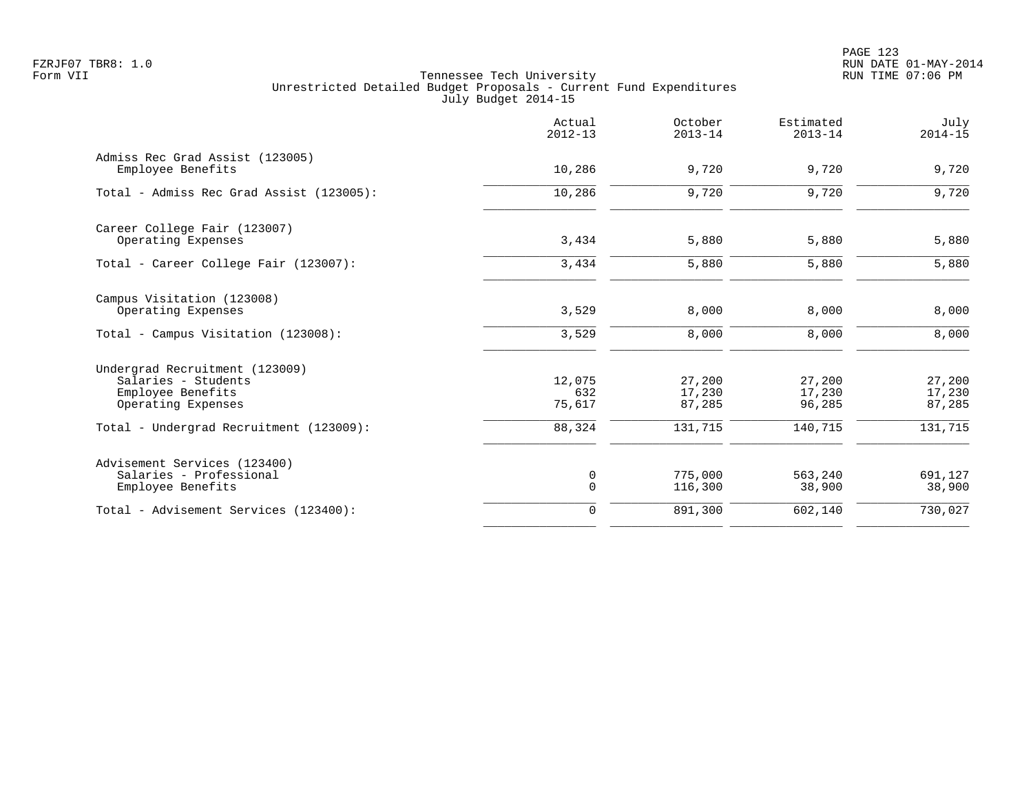PAGE 123 FZRJF07 TBR8: 1.0 RUN DATE 01-MAY-2014

|                                                                                                  | Actual<br>$2012 - 13$      | October<br>$2013 - 14$     | Estimated<br>$2013 - 14$   | July<br>$2014 - 15$        |
|--------------------------------------------------------------------------------------------------|----------------------------|----------------------------|----------------------------|----------------------------|
| Admiss Rec Grad Assist (123005)<br>Employee Benefits                                             | 10,286                     | 9,720                      | 9,720                      | 9,720                      |
| Total - Admiss Rec Grad Assist (123005):                                                         | 10,286                     | 9,720                      | 9,720                      | 9,720                      |
| Career College Fair (123007)<br>Operating Expenses                                               | 3,434                      | 5,880                      | 5,880                      | 5,880                      |
| Total - Career College Fair (123007):                                                            | 3,434                      | 5,880                      | 5,880                      | 5,880                      |
| Campus Visitation (123008)<br>Operating Expenses                                                 | 3,529                      | 8,000                      | 8,000                      | 8,000                      |
| Total - Campus Visitation (123008):                                                              | 3,529                      | 8,000                      | 8,000                      | 8,000                      |
| Undergrad Recruitment (123009)<br>Salaries - Students<br>Employee Benefits<br>Operating Expenses | 12,075<br>632<br>75,617    | 27,200<br>17,230<br>87,285 | 27,200<br>17,230<br>96,285 | 27,200<br>17,230<br>87,285 |
| Total - Undergrad Recruitment (123009):                                                          | 88,324                     | 131,715                    | 140,715                    | 131,715                    |
| Advisement Services (123400)<br>Salaries - Professional<br>Employee Benefits                     | $\mathbf 0$<br>$\mathbf 0$ | 775,000<br>116,300         | 563,240<br>38,900          | 691,127<br>38,900          |
| Total - Advisement Services (123400):                                                            | $\Omega$                   | 891,300                    | 602,140                    | 730,027                    |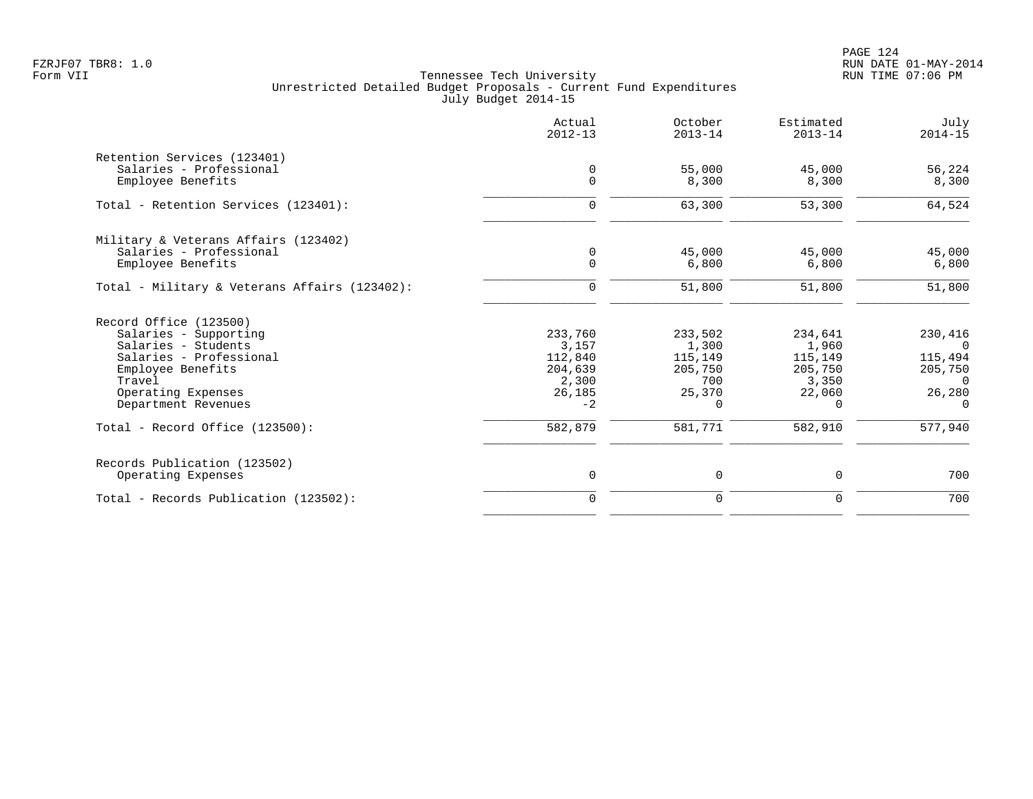PAGE 124 FZRJF07 TBR8: 1.0 RUN DATE 01-MAY-2014

|                                               | Actual<br>$2012 - 13$ | October<br>$2013 - 14$ | Estimated<br>$2013 - 14$ | July<br>$2014 - 15$ |
|-----------------------------------------------|-----------------------|------------------------|--------------------------|---------------------|
| Retention Services (123401)                   |                       |                        |                          |                     |
| Salaries - Professional                       | 0                     | 55,000                 | 45,000                   | 56,224              |
| Employee Benefits                             | $\mathbf 0$           | 8,300                  | 8,300                    | 8,300               |
| Total - Retention Services (123401):          | $\mathbf 0$           | 63,300                 | 53,300                   | 64,524              |
| Military & Veterans Affairs (123402)          |                       |                        |                          |                     |
| Salaries - Professional                       | 0                     | 45,000                 | 45,000                   | 45,000              |
| Employee Benefits                             | $\Omega$              | 6,800                  | 6,800                    | 6,800               |
| Total - Military & Veterans Affairs (123402): | $\mathbf 0$           | 51,800                 | 51,800                   | 51,800              |
| Record Office (123500)                        |                       |                        |                          |                     |
| Salaries - Supporting                         | 233,760               | 233,502                | 234,641                  | 230,416             |
| Salaries - Students                           | 3,157                 | 1,300                  | 1,960                    | $\Omega$            |
| Salaries - Professional                       | 112,840               | 115,149                | 115,149                  | 115,494             |
| Employee Benefits                             | 204,639               | 205,750                | 205,750                  | 205,750             |
| Travel                                        | 2,300                 | 700                    | 3,350                    | $\Omega$            |
| Operating Expenses                            | 26,185                | 25,370                 | 22,060                   | 26,280              |
| Department Revenues                           | $-2$                  | $\Omega$               | $\Omega$                 | $\Omega$            |
| Total - Record Office (123500):               | 582,879               | 581,771                | 582,910                  | 577,940             |
| Records Publication (123502)                  |                       |                        |                          |                     |
| Operating Expenses                            | $\mathbf 0$           | 0                      | 0                        | 700                 |
| Total - Records Publication (123502):         | $\mathbf 0$           | 0                      | 0                        | 700                 |
|                                               |                       |                        |                          |                     |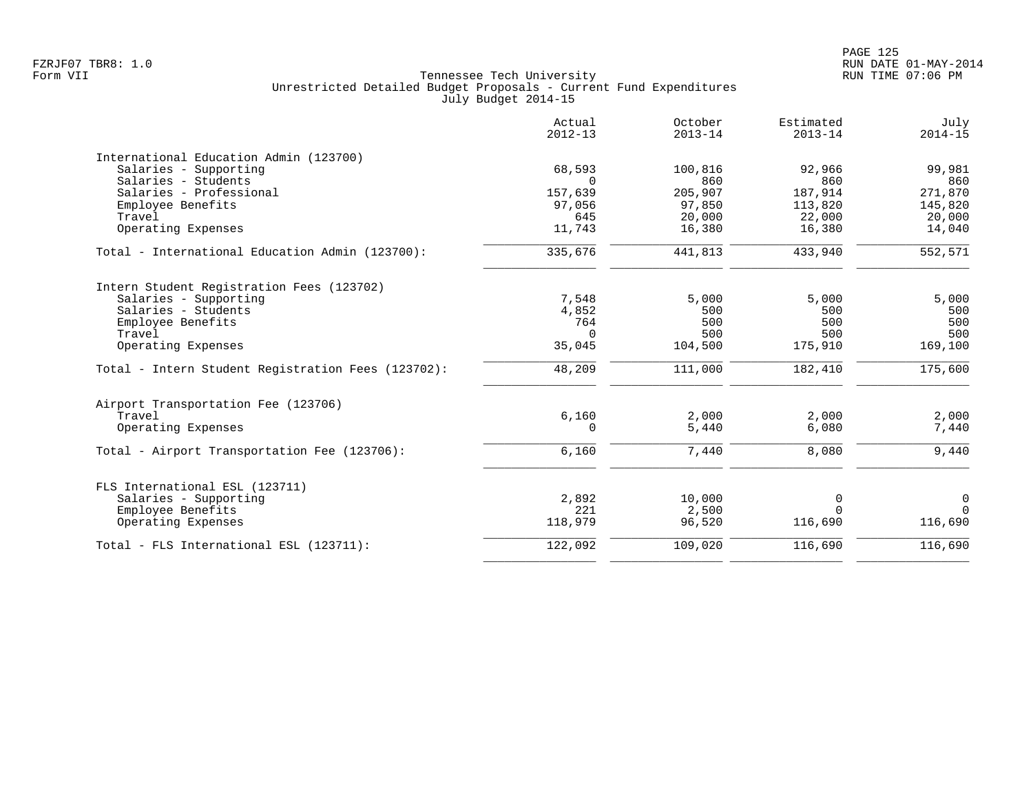|                                                    | Actual<br>$2012 - 13$ | October<br>$2013 - 14$ | Estimated<br>$2013 - 14$ | July<br>$2014 - 15$ |
|----------------------------------------------------|-----------------------|------------------------|--------------------------|---------------------|
| International Education Admin (123700)             |                       |                        |                          |                     |
| Salaries - Supporting                              | 68,593                | 100,816                | 92,966                   | 99,981              |
| Salaries - Students                                | $\Omega$              | 860                    | 860                      | 860                 |
| Salaries - Professional                            | 157,639               | 205,907                | 187,914                  | 271,870             |
| Employee Benefits                                  | 97,056                | 97,850                 | 113,820                  | 145,820             |
| Travel                                             | 645                   | 20,000                 | 22,000                   | 20,000              |
| Operating Expenses                                 | 11,743                | 16,380                 | 16,380                   | 14,040              |
| Total - International Education Admin (123700):    | 335,676               | 441,813                | 433,940                  | 552,571             |
| Intern Student Registration Fees (123702)          |                       |                        |                          |                     |
| Salaries - Supporting                              | 7,548                 | 5,000                  | 5,000                    | 5,000               |
| Salaries - Students                                | 4,852                 | 500                    | 500                      | 500                 |
| Employee Benefits                                  | 764                   | 500                    | 500                      | 500                 |
| Travel                                             | $\Omega$              | 500                    | 500                      | 500                 |
| Operating Expenses                                 | 35,045                | 104,500                | 175,910                  | 169,100             |
| Total - Intern Student Registration Fees (123702): | 48,209                | 111,000                | 182,410                  | 175,600             |
| Airport Transportation Fee (123706)                |                       |                        |                          |                     |
| Travel                                             | 6,160                 | 2,000                  | 2,000                    | 2,000               |
| Operating Expenses                                 | $\Omega$              | 5,440                  | 6,080                    | 7,440               |
| Total - Airport Transportation Fee (123706):       | 6,160                 | 7,440                  | 8,080                    | 9,440               |
| FLS International ESL (123711)                     |                       |                        |                          |                     |
| Salaries - Supporting                              | 2,892                 | 10,000                 | $\mathbf 0$              | $\mathbf 0$         |
| Employee Benefits                                  | 221                   | 2,500                  | $\Omega$                 | $\Omega$            |
| Operating Expenses                                 | 118,979               | 96,520                 | 116,690                  | 116,690             |
| Total - FLS International ESL (123711):            | 122,092               | 109,020                | 116,690                  | 116,690             |
|                                                    |                       |                        |                          |                     |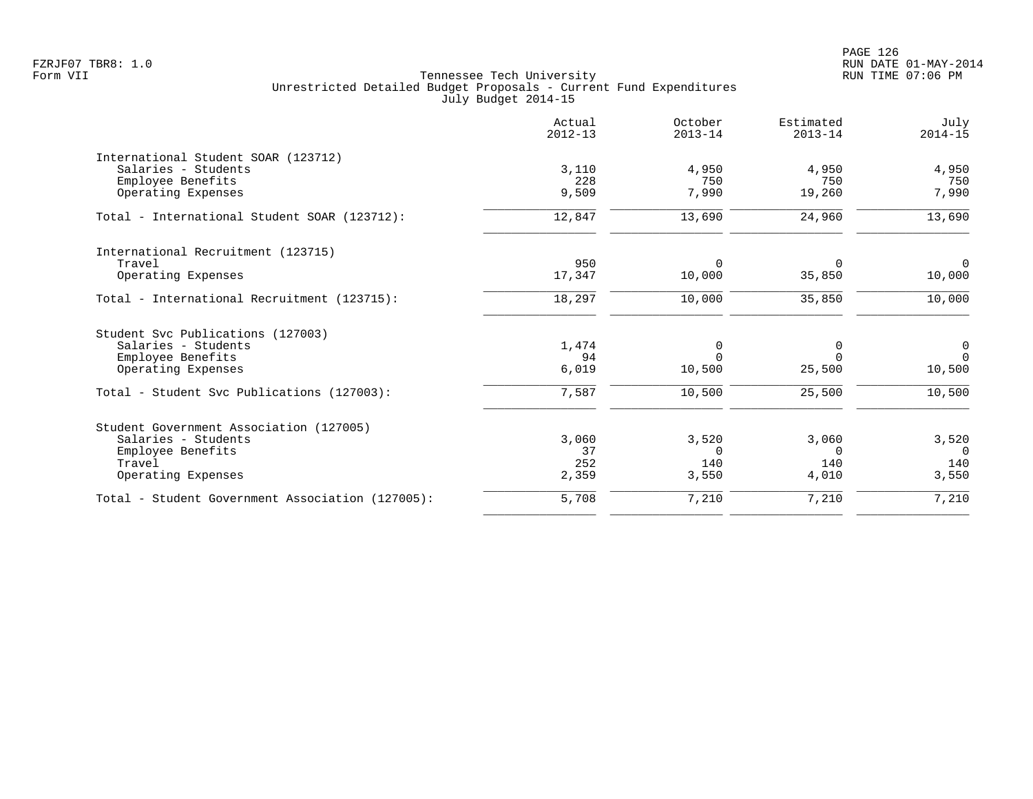|                                                  | Actual<br>$2012 - 13$ | October<br>$2013 - 14$ | Estimated<br>$2013 - 14$ | July<br>$2014 - 15$ |
|--------------------------------------------------|-----------------------|------------------------|--------------------------|---------------------|
| International Student SOAR (123712)              |                       |                        |                          |                     |
| Salaries - Students                              | 3,110                 | 4,950                  | 4,950                    | 4,950               |
| Employee Benefits                                | 228                   | 750                    | 750                      | 750                 |
| Operating Expenses                               | 9,509                 | 7,990                  | 19,260                   | 7,990               |
| Total - International Student SOAR (123712):     | 12,847                | 13,690                 | 24,960                   | 13,690              |
| International Recruitment (123715)               |                       |                        |                          |                     |
| Travel                                           | 950                   | $\Omega$               | $\Omega$                 | $\Omega$            |
| Operating Expenses                               | 17,347                | 10,000                 | 35,850                   | 10,000              |
| Total - International Recruitment (123715):      | 18,297                | 10,000                 | 35,850                   | 10,000              |
| Student Svc Publications (127003)                |                       |                        |                          |                     |
| Salaries - Students                              | 1,474                 | 0                      | 0                        | $\overline{0}$      |
| Employee Benefits                                | 94                    | $\Omega$               | $\Omega$                 | $\Omega$            |
| Operating Expenses                               | 6,019                 | 10,500                 | 25,500                   | 10,500              |
| Total - Student Svc Publications (127003):       | 7,587                 | 10,500                 | 25,500                   | 10,500              |
| Student Government Association (127005)          |                       |                        |                          |                     |
| Salaries - Students                              | 3,060                 | 3,520                  | 3,060                    | 3,520               |
| Employee Benefits                                | 37                    | $\Omega$               | $\Omega$                 | $\Omega$            |
| Travel                                           | 252                   | 140                    | 140                      | 140                 |
| Operating Expenses                               | 2,359                 | 3,550                  | 4,010                    | 3,550               |
| Total - Student Government Association (127005): | 5,708                 | 7,210                  | 7,210                    | 7,210               |
|                                                  |                       |                        |                          |                     |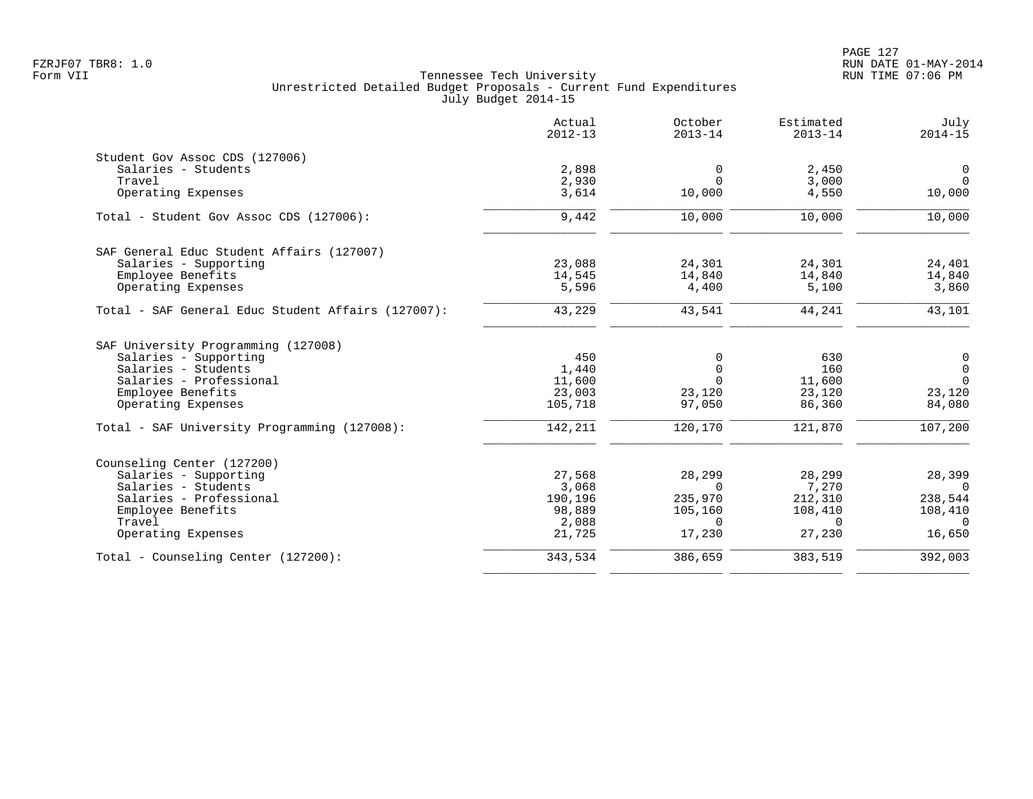|                                                    | Actual<br>$2012 - 13$ | October<br>$2013 - 14$ | Estimated<br>$2013 - 14$ | July<br>$2014 - 15$ |
|----------------------------------------------------|-----------------------|------------------------|--------------------------|---------------------|
| Student Gov Assoc CDS (127006)                     |                       |                        |                          |                     |
| Salaries - Students                                | 2,898                 | 0                      | 2,450                    | $\mathbf 0$         |
| Travel                                             | 2,930                 | $\Omega$               | 3,000                    | $\Omega$            |
| Operating Expenses                                 | 3,614                 | 10,000                 | 4,550                    | 10,000              |
| Total - Student Gov Assoc CDS (127006):            | 9,442                 | 10,000                 | 10,000                   | 10,000              |
| SAF General Educ Student Affairs (127007)          |                       |                        |                          |                     |
| Salaries - Supporting                              | 23,088                | 24,301                 | 24,301                   | 24,401              |
| Employee Benefits                                  | 14,545                | 14,840                 | 14,840                   | 14,840              |
| Operating Expenses                                 | 5,596                 | 4,400                  | 5,100                    | 3,860               |
| Total - SAF General Educ Student Affairs (127007): | 43,229                | 43,541                 | 44,241                   | 43,101              |
| SAF University Programming (127008)                |                       |                        |                          |                     |
| Salaries - Supporting                              | 450                   | 0                      | 630                      | 0                   |
| Salaries - Students                                | 1,440                 | 0                      | 160                      | $\mathsf{O}$        |
| Salaries - Professional                            | 11,600                | $\Omega$               | 11,600                   | $\Omega$            |
| Employee Benefits                                  | 23,003                | 23,120                 | 23,120                   | 23,120              |
| Operating Expenses                                 | 105,718               | 97,050                 | 86,360                   | 84,080              |
| Total - SAF University Programming (127008):       | 142,211               | 120,170                | 121,870                  | 107,200             |
| Counseling Center (127200)                         |                       |                        |                          |                     |
| Salaries - Supporting                              | 27,568                | 28,299                 | 28,299                   | 28,399              |
| Salaries - Students                                | 3,068                 | $\Omega$               | 7,270                    | $\Omega$            |
| Salaries - Professional                            | 190,196               | 235,970                | 212,310                  | 238,544             |
| Employee Benefits                                  | 98,889                | 105,160                | 108,410                  | 108,410             |
| Travel                                             | 2,088                 | $\Omega$               | $\Omega$                 | $\Omega$            |
| Operating Expenses                                 | 21,725                | 17,230                 | 27,230                   | 16,650              |
| Total - Counseling Center (127200):                | 343,534               | 386,659                | 383,519                  | 392,003             |
|                                                    |                       |                        |                          |                     |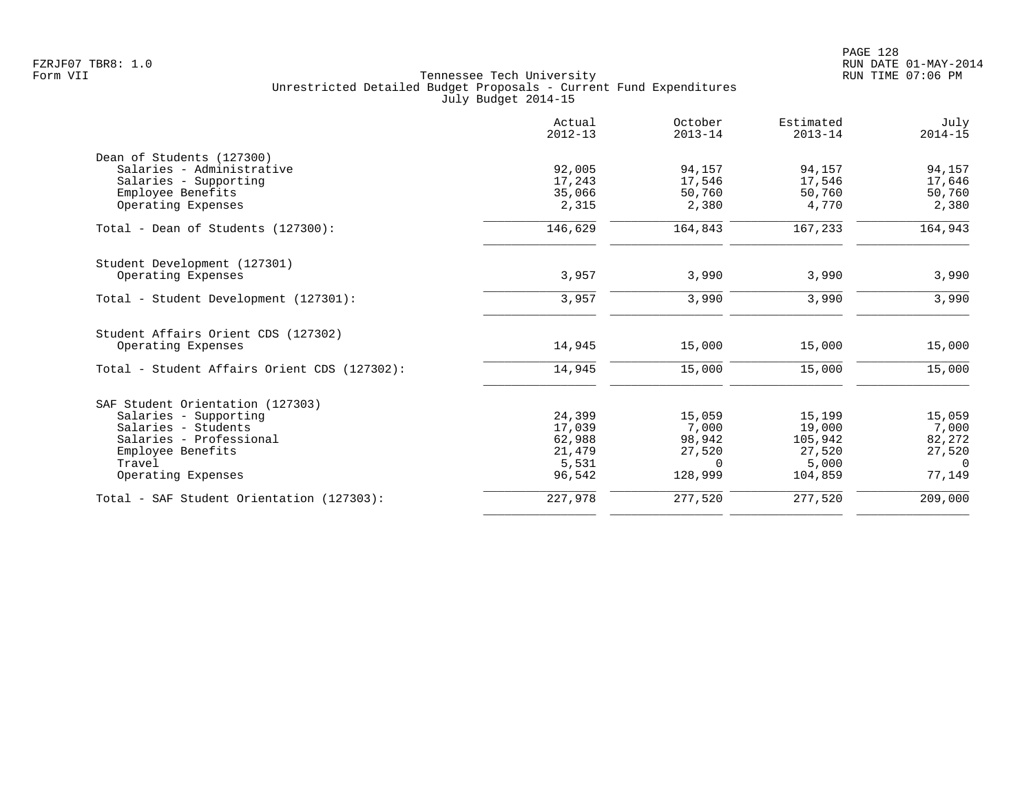|                                                           | Actual<br>$2012 - 13$ | October<br>$2013 - 14$ | Estimated<br>$2013 - 14$ | July<br>$2014 - 15$ |
|-----------------------------------------------------------|-----------------------|------------------------|--------------------------|---------------------|
| Dean of Students (127300)                                 |                       |                        |                          |                     |
| Salaries - Administrative                                 | 92,005                | 94,157                 | 94,157                   | 94,157              |
| Salaries - Supporting                                     | 17,243                | 17,546                 | 17,546                   | 17,646              |
| Employee Benefits                                         | 35,066                | 50,760                 | 50,760                   | 50,760              |
| Operating Expenses                                        | 2,315                 | 2,380                  | 4,770                    | 2,380               |
| Total - Dean of Students (127300):                        | 146,629               | 164,843                | 167,233                  | 164,943             |
| Student Development (127301)                              |                       |                        |                          |                     |
| Operating Expenses                                        | 3,957                 | 3,990                  | 3,990                    | 3,990               |
| Total - Student Development (127301):                     | 3,957                 | 3,990                  | 3,990                    | 3,990               |
|                                                           |                       |                        |                          |                     |
| Student Affairs Orient CDS (127302)<br>Operating Expenses | 14,945                | 15,000                 | 15,000                   | 15,000              |
| Total - Student Affairs Orient CDS (127302):              | 14,945                | 15,000                 | 15,000                   | 15,000              |
|                                                           |                       |                        |                          |                     |
| SAF Student Orientation (127303)                          |                       |                        |                          |                     |
| Salaries - Supporting                                     | 24,399                | 15,059                 | 15,199                   | 15,059              |
| Salaries - Students                                       | 17,039                | 7,000                  | 19,000                   | 7,000               |
| Salaries - Professional                                   | 62,988                | 98,942                 | 105,942                  | 82,272              |
| Employee Benefits                                         | 21,479                | 27,520                 | 27,520                   | 27,520              |
| Travel                                                    | 5,531                 | $\Omega$               | 5,000                    | $\cap$              |
| Operating Expenses                                        | 96,542                | 128,999                | 104,859                  | 77,149              |
| Total - SAF Student Orientation (127303):                 | 227,978               | 277,520                | 277,520                  | 209,000             |
|                                                           |                       |                        |                          |                     |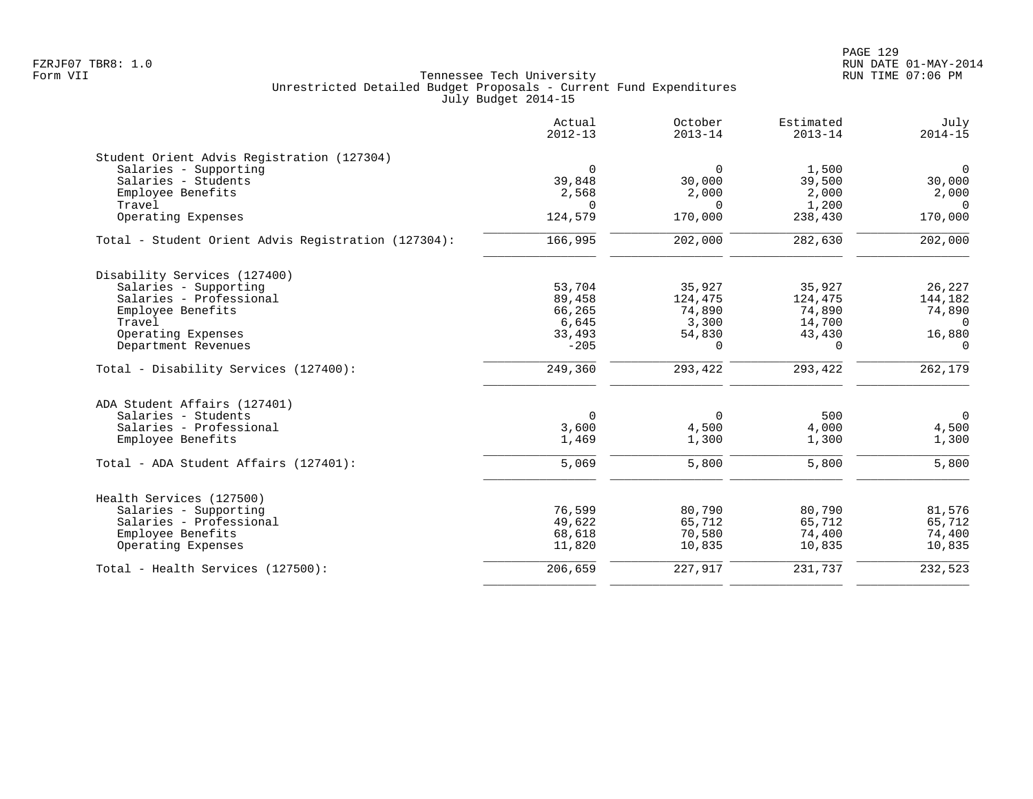|                                                     | Actual<br>$2012 - 13$ | October<br>$2013 - 14$ | Estimated<br>$2013 - 14$ | July<br>$2014 - 15$ |
|-----------------------------------------------------|-----------------------|------------------------|--------------------------|---------------------|
| Student Orient Advis Registration (127304)          |                       |                        |                          |                     |
| Salaries - Supporting                               | $\mathbf 0$           | $\Omega$               | 1,500                    | $\mathsf{O}$        |
| Salaries - Students                                 | 39,848                | 30,000                 | 39,500                   | 30,000              |
| Employee Benefits                                   | 2,568                 | 2,000                  | 2,000                    | 2,000               |
| Travel                                              | $\Omega$              | $\Omega$               | 1,200                    | $\Omega$            |
| Operating Expenses                                  | 124,579               | 170,000                | 238,430                  | 170,000             |
| Total - Student Orient Advis Registration (127304): | 166,995               | 202,000                | 282,630                  | 202,000             |
| Disability Services (127400)                        |                       |                        |                          |                     |
| Salaries - Supporting                               | 53,704                | 35,927                 | 35,927                   | 26,227              |
| Salaries - Professional                             | 89,458                | 124,475                | 124,475                  | 144,182             |
| Employee Benefits                                   | 66,265                | 74,890                 | 74,890                   | 74,890              |
| Travel                                              | 6,645                 | 3,300                  | 14,700                   | $\Omega$            |
| Operating Expenses                                  | 33,493                | 54,830                 | 43,430                   | 16,880              |
| Department Revenues                                 | $-205$                | 0                      | $\Omega$                 | $\Omega$            |
| Total - Disability Services (127400):               | 249,360               | 293,422                | 293,422                  | 262,179             |
| ADA Student Affairs (127401)                        |                       |                        |                          |                     |
| Salaries - Students                                 | $\mathbf 0$           | $\Omega$               | 500                      | $\overline{0}$      |
| Salaries - Professional                             | 3,600                 | 4,500                  | 4,000                    | 4,500               |
| Employee Benefits                                   | 1,469                 | 1,300                  | 1,300                    | 1,300               |
| Total - ADA Student Affairs (127401):               | 5,069                 | 5,800                  | 5,800                    | 5,800               |
| Health Services (127500)                            |                       |                        |                          |                     |
| Salaries - Supporting                               | 76,599                | 80,790                 | 80,790                   | 81,576              |
| Salaries - Professional                             | 49,622                | 65,712                 | 65,712                   | 65,712              |
| Employee Benefits                                   | 68,618                | 70,580                 | 74,400                   | 74,400              |
| Operating Expenses                                  | 11,820                | 10,835                 | 10,835                   | 10,835              |
| Total - Health Services (127500):                   | 206,659               | 227,917                | 231,737                  | 232,523             |
|                                                     |                       |                        |                          |                     |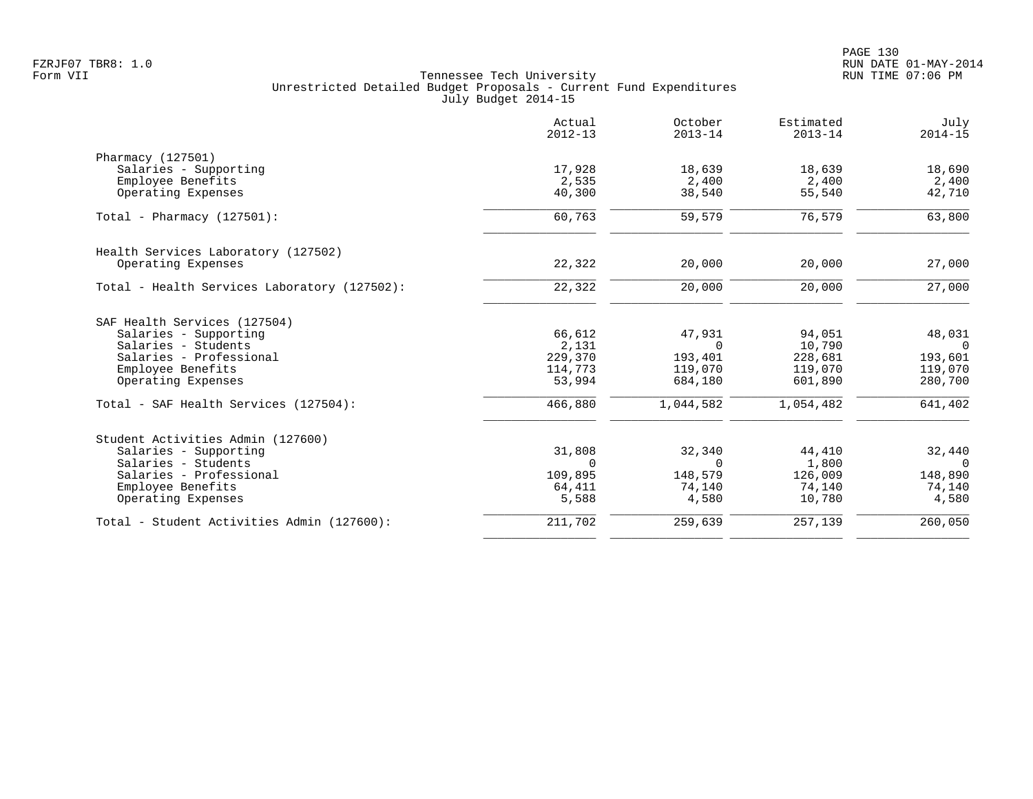|                                              | Actual<br>$2012 - 13$ | October<br>$2013 - 14$ | Estimated<br>$2013 - 14$ | July<br>$2014 - 15$ |
|----------------------------------------------|-----------------------|------------------------|--------------------------|---------------------|
| Pharmacy (127501)                            |                       |                        |                          |                     |
| Salaries - Supporting                        | 17,928                | 18,639                 | 18,639                   | 18,690              |
| Employee Benefits                            | 2,535                 | 2,400                  | 2,400                    | 2,400               |
| Operating Expenses                           | 40,300                | 38,540                 | 55,540                   | 42,710              |
| Total - Pharmacy $(127501)$ :                | 60,763                | 59,579                 | 76,579                   | 63,800              |
| Health Services Laboratory (127502)          |                       |                        |                          |                     |
| Operating Expenses                           | 22,322                | 20,000                 | 20,000                   | 27,000              |
| Total - Health Services Laboratory (127502): | 22,322                | 20,000                 | 20,000                   | 27,000              |
| SAF Health Services (127504)                 |                       |                        |                          |                     |
| Salaries - Supporting                        | 66,612                | 47,931                 | 94,051                   | 48,031              |
| Salaries - Students                          | 2,131                 | $\Omega$               | 10,790                   | $\Omega$            |
| Salaries - Professional                      | 229,370               | 193,401                | 228,681                  | 193,601             |
| Employee Benefits                            | 114,773               | 119,070                | 119,070                  | 119,070             |
| Operating Expenses                           | 53,994                | 684,180                | 601,890                  | 280,700             |
| Total - SAF Health Services (127504):        | 466,880               | 1,044,582              | 1,054,482                | 641,402             |
| Student Activities Admin (127600)            |                       |                        |                          |                     |
| Salaries - Supporting                        | 31,808                | 32,340                 | 44,410                   | 32,440              |
| Salaries - Students                          | $\Omega$              | $\Omega$               | 1,800                    | $\Omega$            |
| Salaries - Professional                      | 109,895               | 148,579                | 126,009                  | 148,890             |
| Employee Benefits                            | 64,411                | 74,140                 | 74,140                   | 74,140              |
| Operating Expenses                           | 5,588                 | 4,580                  | 10,780                   | 4,580               |
| Total - Student Activities Admin (127600):   | 211,702               | 259,639                | 257,139                  | 260,050             |
|                                              |                       |                        |                          |                     |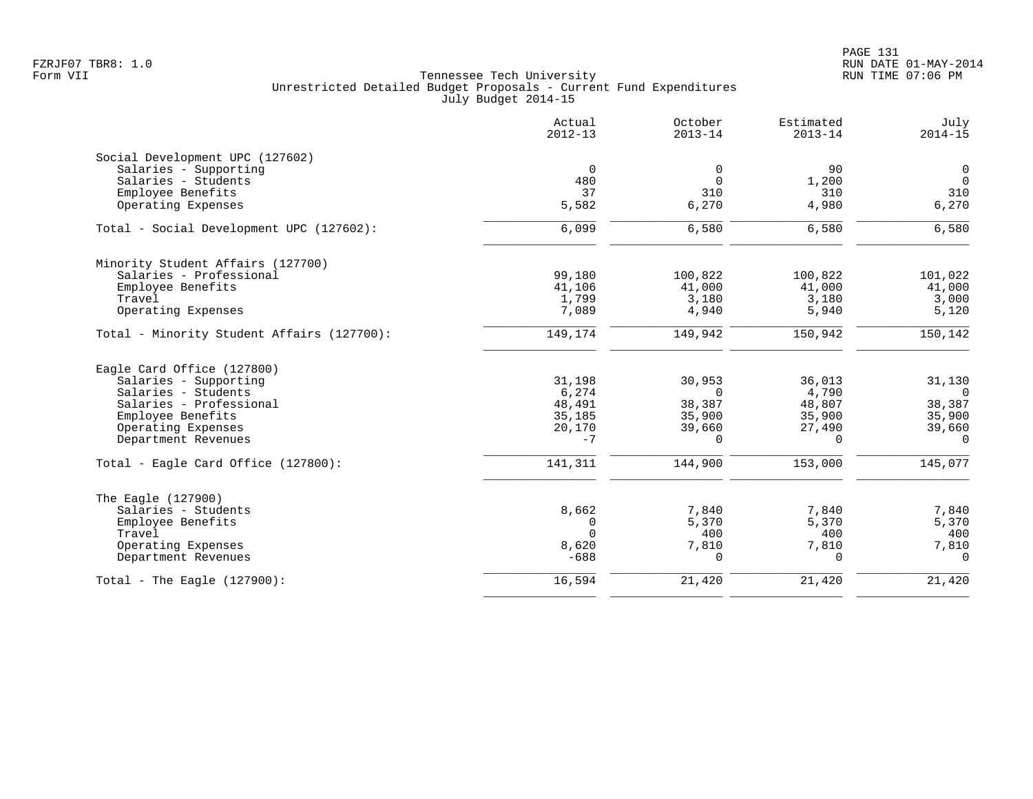|                                            | Actual<br>$2012 - 13$ | October<br>$2013 - 14$ | Estimated<br>$2013 - 14$ | July<br>$2014 - 15$ |
|--------------------------------------------|-----------------------|------------------------|--------------------------|---------------------|
| Social Development UPC (127602)            |                       |                        |                          |                     |
| Salaries - Supporting                      | $\mathbf 0$           | 0                      | 90                       | $\mathbf 0$         |
| Salaries - Students                        | 480                   | $\mathbf 0$            | 1,200                    | $\overline{0}$      |
| Employee Benefits                          | 37                    | 310                    | 310                      | 310                 |
| Operating Expenses                         | 5,582                 | 6,270                  | 4,980                    | 6,270               |
| Total - Social Development UPC (127602):   | 6,099                 | 6,580                  | 6,580                    | 6,580               |
| Minority Student Affairs (127700)          |                       |                        |                          |                     |
| Salaries - Professional                    | 99,180                | 100,822                | 100,822                  | 101,022             |
| Employee Benefits                          | 41,106                | 41,000                 | 41,000                   | 41,000              |
| Travel                                     | 1,799                 | 3,180                  | 3,180                    | 3,000               |
| Operating Expenses                         | 7,089                 | 4,940                  | 5,940                    | 5,120               |
| Total - Minority Student Affairs (127700): | 149,174               | 149,942                | 150,942                  | 150,142             |
| Eagle Card Office (127800)                 |                       |                        |                          |                     |
| Salaries - Supporting                      | 31,198                | 30,953                 | 36,013                   | 31,130              |
| Salaries - Students                        | 6,274                 | $\Omega$               | 4,790                    | $\Omega$            |
| Salaries - Professional                    | 48,491                | 38,387                 | 48,807                   | 38,387              |
| Employee Benefits                          | 35,185                | 35,900                 | 35,900                   | 35,900              |
| Operating Expenses                         | 20,170                | 39,660                 | 27,490                   | 39,660              |
| Department Revenues                        | $-7$                  | $\Omega$               | $\Omega$                 | $\Omega$            |
| Total - Eagle Card Office (127800):        | 141,311               | 144,900                | 153,000                  | 145,077             |
| The Eagle (127900)                         |                       |                        |                          |                     |
| Salaries - Students                        | 8,662                 | 7,840                  | 7,840                    | 7,840               |
| Employee Benefits                          | 0                     | 5,370                  | 5,370                    | 5,370               |
| Travel                                     | $\Omega$              | 400                    | 400                      | 400                 |
| Operating Expenses                         | 8,620                 | 7,810                  | 7,810                    | 7,810               |
| Department Revenues                        | $-688$                | $\Omega$               | $\Omega$                 | $\Omega$            |
| Total - The Eagle $(127900)$ :             | 16,594                | 21,420                 | 21,420                   | 21,420              |
|                                            |                       |                        |                          |                     |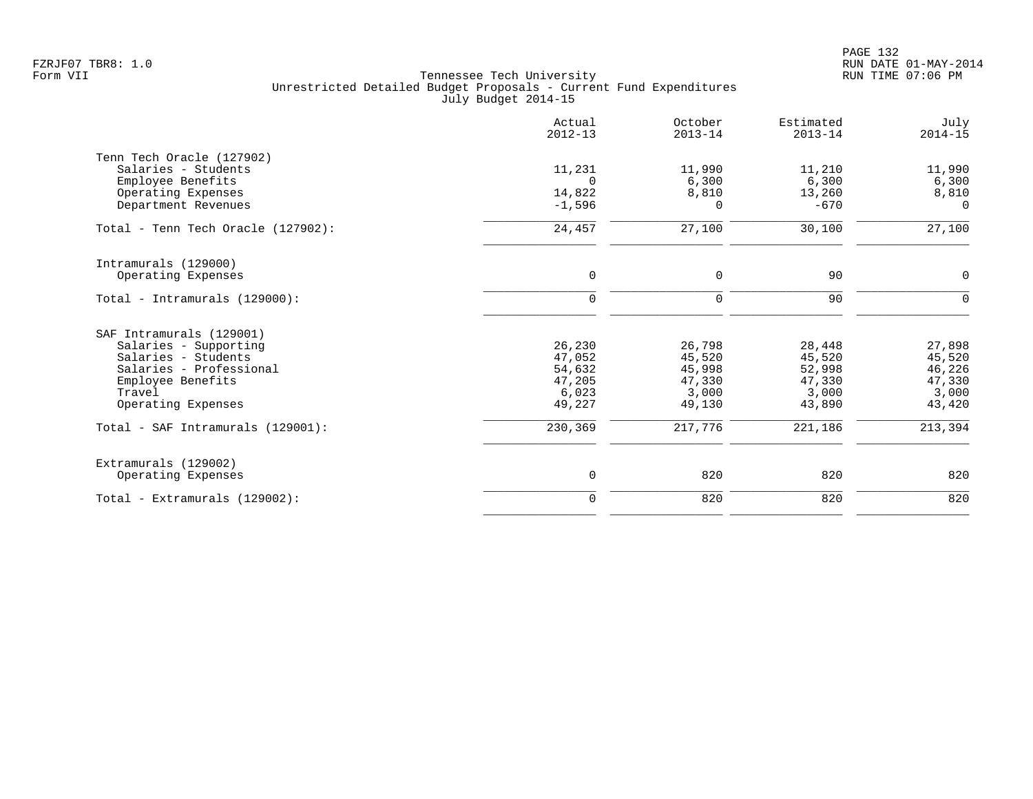|                                    | Actual<br>$2012 - 13$ | October<br>$2013 - 14$ | Estimated<br>$2013 - 14$ | July<br>$2014 - 15$ |
|------------------------------------|-----------------------|------------------------|--------------------------|---------------------|
| Tenn Tech Oracle (127902)          |                       |                        |                          |                     |
| Salaries - Students                | 11,231                | 11,990                 | 11,210                   | 11,990              |
| Employee Benefits                  | $\Omega$              | 6,300                  | 6,300                    | 6,300               |
| Operating Expenses                 | 14,822                | 8,810                  | 13,260                   | 8,810               |
| Department Revenues                | $-1,596$              | $\Omega$               | $-670$                   | $\Omega$            |
| Total - Tenn Tech Oracle (127902): | 24,457                | 27,100                 | 30,100                   | 27,100              |
| Intramurals (129000)               |                       |                        |                          |                     |
| Operating Expenses                 | $\mathbf 0$           | 0                      | 90                       | $\mathbf 0$         |
| Total - Intramurals $(129000)$ :   | $\mathbf 0$           | 0                      | 90                       | $\Omega$            |
| SAF Intramurals (129001)           |                       |                        |                          |                     |
| Salaries - Supporting              | 26,230                | 26,798                 | 28,448                   | 27,898              |
| Salaries - Students                | 47,052                | 45,520                 | 45,520                   | 45,520              |
| Salaries - Professional            | 54,632                | 45,998                 | 52,998                   | 46,226              |
| Employee Benefits                  | 47,205                | 47,330                 | 47,330                   | 47,330              |
| Travel                             | 6,023                 | 3,000                  | 3,000                    | 3,000               |
| Operating Expenses                 | 49,227                | 49,130                 | 43,890                   | 43,420              |
| Total - SAF Intramurals (129001):  | 230,369               | 217,776                | 221,186                  | 213,394             |
| Extramurals (129002)               |                       |                        |                          |                     |
| Operating Expenses                 | 0                     | 820                    | 820                      | 820                 |
| Total - Extramurals (129002):      | $\mathbf 0$           | 820                    | 820                      | 820                 |
|                                    |                       |                        |                          |                     |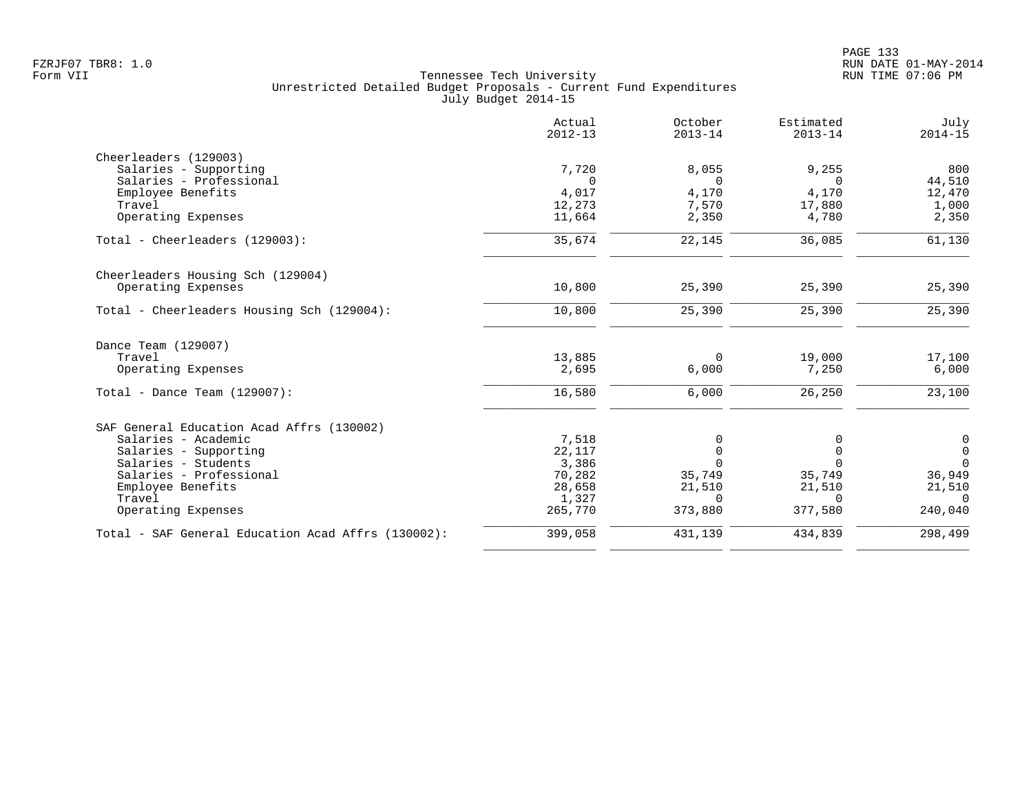|                                                    | Actual<br>$2012 - 13$ | October<br>$2013 - 14$ | Estimated<br>$2013 - 14$ | July<br>$2014 - 15$ |
|----------------------------------------------------|-----------------------|------------------------|--------------------------|---------------------|
| Cheerleaders (129003)                              |                       |                        |                          |                     |
| Salaries - Supporting                              | 7,720                 | 8,055                  | 9,255                    | 800                 |
| Salaries - Professional                            | $\Omega$              | $\Omega$               | $\cap$                   | 44,510              |
| Employee Benefits                                  | 4,017                 | 4,170                  | 4,170                    | 12,470              |
| Travel                                             | 12,273                | 7,570                  | 17,880                   | 1,000               |
| Operating Expenses                                 | 11,664                | 2,350                  | 4,780                    | 2,350               |
| Total - Cheerleaders (129003):                     | 35,674                | 22,145                 | 36,085                   | 61,130              |
| Cheerleaders Housing Sch (129004)                  |                       |                        |                          |                     |
| Operating Expenses                                 | 10,800                | 25,390                 | 25,390                   | 25,390              |
| Total - Cheerleaders Housing Sch (129004):         | 10,800                | 25,390                 | 25,390                   | 25,390              |
| Dance Team (129007)                                |                       |                        |                          |                     |
| Travel                                             | 13,885                | $\Omega$               | 19,000                   | 17,100              |
| Operating Expenses                                 | 2,695                 | 6,000                  | 7,250                    | 6,000               |
| Total - Dance Team $(129007)$ :                    | 16,580                | 6,000                  | 26,250                   | 23,100              |
| SAF General Education Acad Affrs (130002)          |                       |                        |                          |                     |
| Salaries - Academic                                | 7,518                 | $\Omega$               | 0                        | 0                   |
| Salaries - Supporting                              | 22,117                | 0                      | $\mathbf 0$              | $\mathbf 0$         |
| Salaries - Students                                | 3,386                 | $\cap$                 | $\Omega$                 | $\Omega$            |
| Salaries - Professional                            | 70,282                | 35,749                 | 35,749                   | 36,949              |
| Employee Benefits                                  | 28,658                | 21,510                 | 21,510                   | 21,510              |
| Travel                                             | 1,327                 | $\Omega$               | $\Omega$                 | $\Omega$            |
| Operating Expenses                                 | 265,770               | 373,880                | 377,580                  | 240,040             |
| Total - SAF General Education Acad Affrs (130002): | 399,058               | 431,139                | 434,839                  | 298,499             |
|                                                    |                       |                        |                          |                     |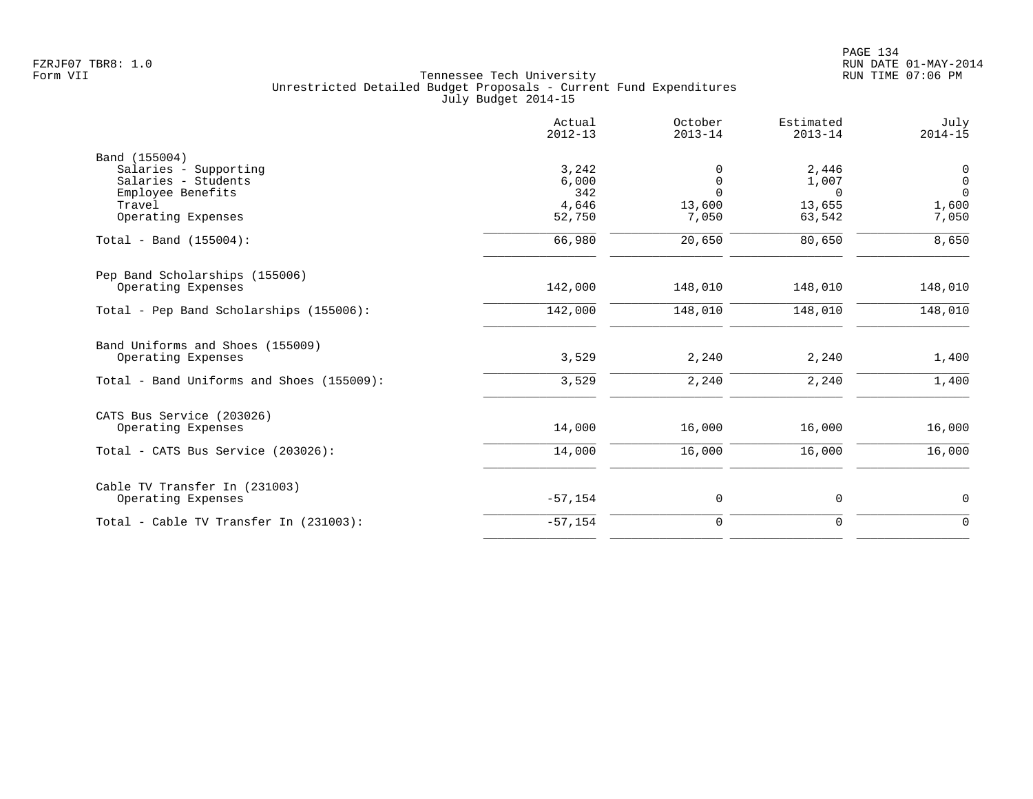|                                           | Actual<br>$2012 - 13$ | October<br>$2013 - 14$ | Estimated<br>$2013 - 14$ | July<br>$2014 - 15$ |
|-------------------------------------------|-----------------------|------------------------|--------------------------|---------------------|
| Band (155004)                             |                       |                        |                          |                     |
| Salaries - Supporting                     | 3,242                 | 0                      | 2,446                    | $\mathbf 0$         |
| Salaries - Students                       | 6,000                 | $\mathbf 0$            | 1,007                    | $\mathsf{O}$        |
| Employee Benefits                         | 342                   | $\Omega$               | $\Omega$                 | $\Omega$            |
| Travel<br>Operating Expenses              | 4,646<br>52,750       | 13,600<br>7,050        | 13,655<br>63,542         | 1,600<br>7,050      |
|                                           |                       |                        |                          |                     |
| Total - Band $(155004)$ :                 | 66,980                | 20,650                 | 80,650                   | 8,650               |
| Pep Band Scholarships (155006)            |                       |                        |                          |                     |
| Operating Expenses                        | 142,000               | 148,010                | 148,010                  | 148,010             |
| Total - Pep Band Scholarships (155006):   | 142,000               | 148,010                | 148,010                  | 148,010             |
|                                           |                       |                        |                          |                     |
| Band Uniforms and Shoes (155009)          |                       | 2,240                  | 2,240                    |                     |
| Operating Expenses                        | 3,529                 |                        |                          | 1,400               |
| Total - Band Uniforms and Shoes (155009): | 3,529                 | 2,240                  | 2,240                    | 1,400               |
| CATS Bus Service (203026)                 |                       |                        |                          |                     |
| Operating Expenses                        | 14,000                | 16,000                 | 16,000                   | 16,000              |
| Total - CATS Bus Service (203026):        | 14,000                | 16,000                 | 16,000                   | 16,000              |
| Cable TV Transfer In (231003)             |                       |                        |                          |                     |
| Operating Expenses                        | $-57,154$             | 0                      | 0                        | $\mathbf 0$         |
| Total - Cable TV Transfer In (231003):    | $-57,154$             | $\mathbf 0$            | $\mathbf 0$              | $\Omega$            |
|                                           |                       |                        |                          |                     |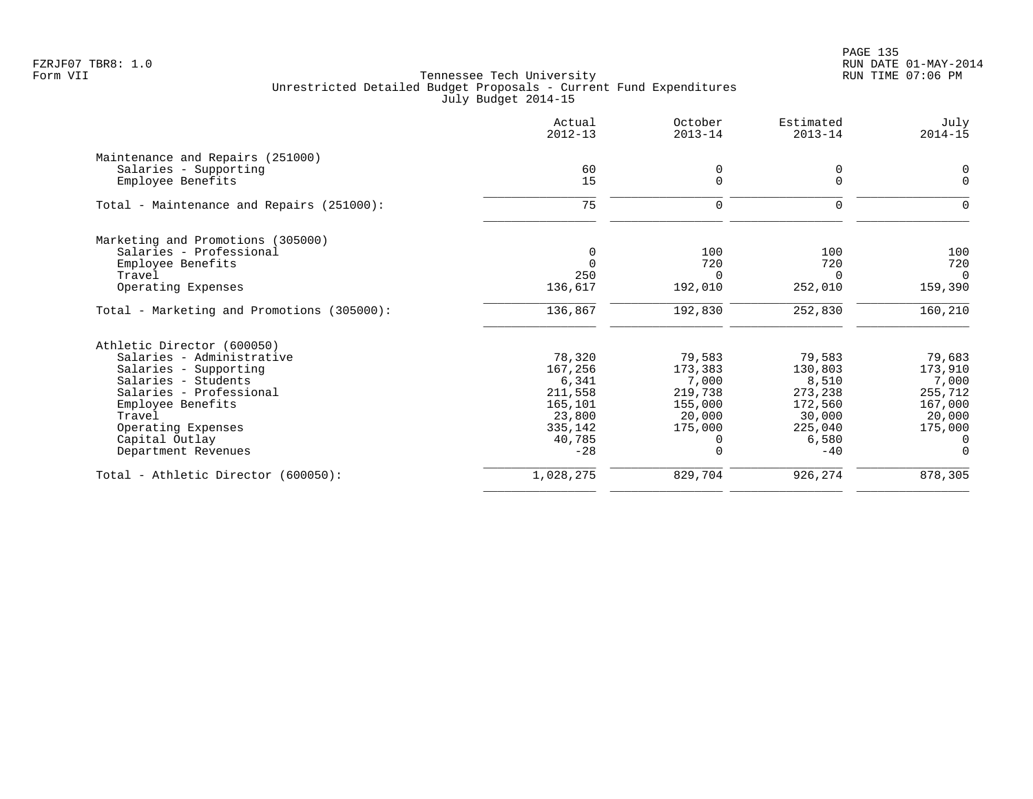PAGE 135 FZRJF07 TBR8: 1.0 RUN DATE 01-MAY-2014

|                                            | Actual<br>$2012 - 13$ | October<br>$2013 - 14$ | Estimated<br>$2013 - 14$ | July<br>$2014 - 15$ |
|--------------------------------------------|-----------------------|------------------------|--------------------------|---------------------|
| Maintenance and Repairs (251000)           |                       |                        |                          |                     |
| Salaries - Supporting                      | 60                    | 0                      | 0                        | $\Omega$            |
| Employee Benefits                          | 15                    | $\Omega$               | $\Omega$                 | $\Omega$            |
| Total - Maintenance and Repairs (251000):  | 75                    | 0                      | 0                        | O                   |
| Marketing and Promotions (305000)          |                       |                        |                          |                     |
| Salaries - Professional                    | 0                     | 100                    | 100                      | 100                 |
| Employee Benefits                          | $\Omega$              | 720                    | 720                      | 720                 |
| Travel                                     | 250                   | 0                      | $\Omega$                 | $\Omega$            |
| Operating Expenses                         | 136,617               | 192,010                | 252,010                  | 159,390             |
| Total - Marketing and Promotions (305000): | 136,867               | 192,830                | 252,830                  | 160,210             |
| Athletic Director (600050)                 |                       |                        |                          |                     |
| Salaries - Administrative                  | 78,320                | 79,583                 | 79,583                   | 79,683              |
| Salaries - Supporting                      | 167,256               | 173,383                | 130,803                  | 173,910             |
| Salaries - Students                        | 6,341                 | 7,000                  | 8,510                    | 7,000               |
| Salaries - Professional                    | 211,558               | 219,738                | 273,238                  | 255,712             |
| Employee Benefits                          | 165,101               | 155,000                | 172,560                  | 167,000             |
| Travel                                     | 23,800                | 20,000                 | 30,000                   | 20,000              |
| Operating Expenses                         | 335,142               | 175,000                | 225,040                  | 175,000             |
| Capital Outlay                             | 40,785                | <sup>0</sup>           | 6,580                    | $\Omega$            |
| Department Revenues                        | $-28$                 | $\Omega$               | $-40$                    | $\Omega$            |
| Total - Athletic Director (600050):        | 1,028,275             | 829,704                | 926,274                  | 878,305             |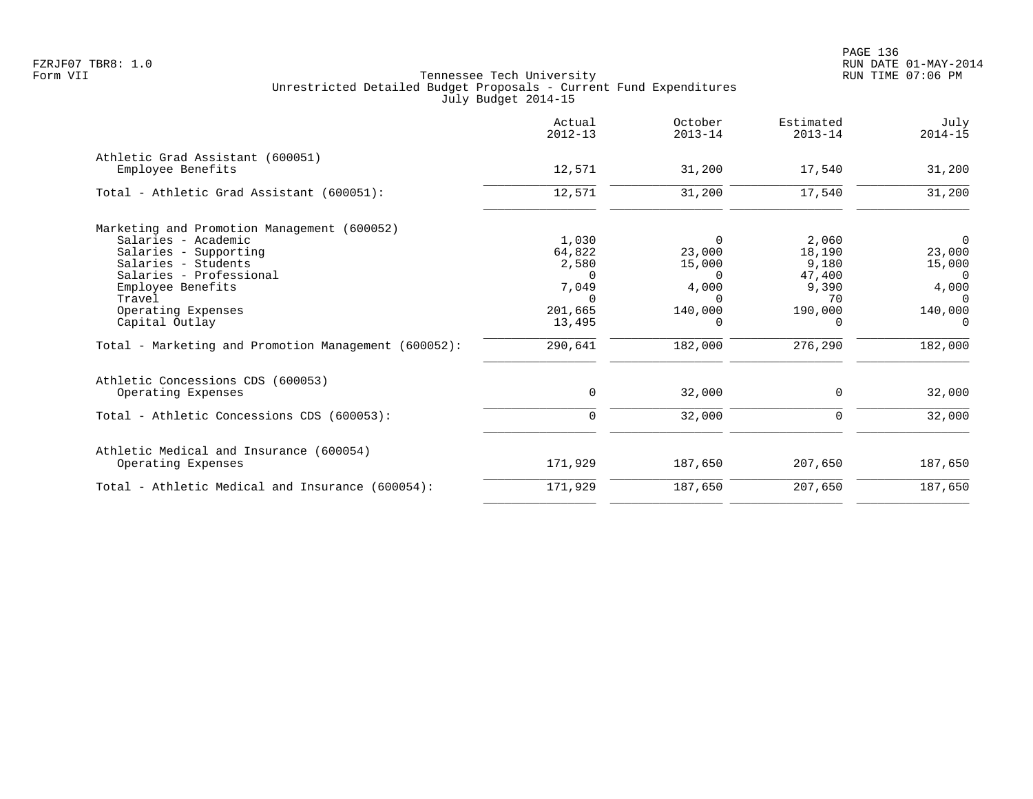|                                                       | Actual<br>$2012 - 13$ | October<br>$2013 - 14$ | Estimated<br>$2013 - 14$ | July<br>$2014 - 15$ |
|-------------------------------------------------------|-----------------------|------------------------|--------------------------|---------------------|
| Athletic Grad Assistant (600051)<br>Employee Benefits | 12,571                | 31,200                 | 17,540                   | 31,200              |
|                                                       |                       |                        |                          |                     |
| Total - Athletic Grad Assistant (600051):             | 12,571                | 31,200                 | 17,540                   | 31,200              |
| Marketing and Promotion Management (600052)           |                       |                        |                          |                     |
| Salaries - Academic                                   | 1,030                 | 0                      | 2,060                    | $\overline{0}$      |
| Salaries - Supporting                                 | 64,822                | 23,000                 | 18,190                   | 23,000              |
| Salaries - Students                                   | 2,580                 | 15,000                 | 9,180                    | 15,000              |
| Salaries - Professional                               | $\cap$                | $\Omega$               | 47,400                   | $\Omega$            |
| Employee Benefits                                     | 7,049                 | 4,000                  | 9,390                    | 4,000               |
| Travel                                                | $\Omega$              | $\Omega$               | 70                       | $\Omega$            |
| Operating Expenses                                    | 201,665               | 140,000                | 190,000                  | 140,000             |
| Capital Outlay                                        | 13,495                | 0                      | $\Omega$                 | $\Omega$            |
| Total - Marketing and Promotion Management (600052):  | 290,641               | 182,000                | 276,290                  | 182,000             |
| Athletic Concessions CDS (600053)                     |                       |                        |                          |                     |
| Operating Expenses                                    | 0                     | 32,000                 | 0                        | 32,000              |
| Total - Athletic Concessions CDS (600053):            | $\mathbf 0$           | 32,000                 | $\mathbf 0$              | 32,000              |
| Athletic Medical and Insurance (600054)               |                       |                        |                          |                     |
| Operating Expenses                                    | 171,929               | 187,650                | 207,650                  | 187,650             |
| Total - Athletic Medical and Insurance (600054):      | 171,929               | 187,650                | 207,650                  | 187,650             |
|                                                       |                       |                        |                          |                     |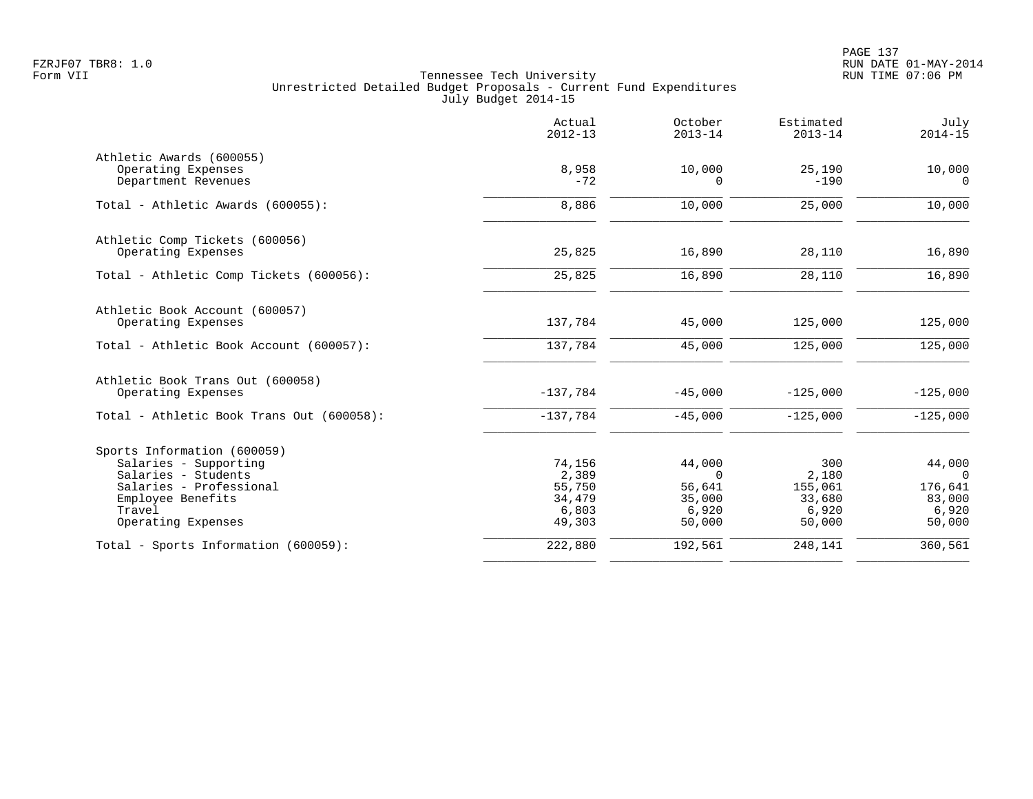PAGE 137 FZRJF07 TBR8: 1.0 RUN DATE 01-MAY-2014

|                                                | Actual<br>$2012 - 13$ | October<br>$2013 - 14$ | Estimated<br>$2013 - 14$ | July<br>$2014 - 15$ |
|------------------------------------------------|-----------------------|------------------------|--------------------------|---------------------|
| Athletic Awards (600055)                       |                       |                        |                          |                     |
| Operating Expenses<br>Department Revenues      | 8,958<br>$-72$        | 10,000<br><sup>n</sup> | 25,190<br>$-190$         | 10,000<br>$\Omega$  |
| Total - Athletic Awards (600055):              | 8,886                 | 10,000                 | 25,000                   | 10,000              |
| Athletic Comp Tickets (600056)                 |                       |                        |                          |                     |
| Operating Expenses                             | 25,825                | 16,890                 | 28,110                   | 16,890              |
| Total - Athletic Comp Tickets (600056):        | 25,825                | 16,890                 | 28,110                   | 16,890              |
| Athletic Book Account (600057)                 |                       |                        |                          |                     |
| Operating Expenses                             | 137,784               | 45,000                 | 125,000                  | 125,000             |
| Total - Athletic Book Account (600057):        | 137,784               | 45,000                 | 125,000                  | 125,000             |
| Athletic Book Trans Out (600058)               |                       |                        |                          |                     |
| Operating Expenses                             | $-137,784$            | $-45,000$              | $-125,000$               | $-125,000$          |
| Total - Athletic Book Trans Out (600058):      | $-137,784$            | $-45,000$              | $-125,000$               | $-125,000$          |
| Sports Information (600059)                    |                       |                        |                          |                     |
| Salaries - Supporting                          | 74,156                | 44,000                 | 300                      | 44,000              |
| Salaries - Students<br>Salaries - Professional | 2,389<br>55,750       | $\Omega$<br>56,641     | 2,180<br>155,061         | $\Omega$<br>176,641 |
| Employee Benefits                              | 34,479                | 35,000                 | 33,680                   | 83,000              |
| Travel                                         | 6,803                 | 6,920                  | 6,920                    | 6,920               |
| Operating Expenses                             | 49,303                | 50,000                 | 50,000                   | 50,000              |
| Total - Sports Information (600059):           | 222,880               | 192,561                | 248,141                  | 360,561             |
|                                                |                       |                        |                          |                     |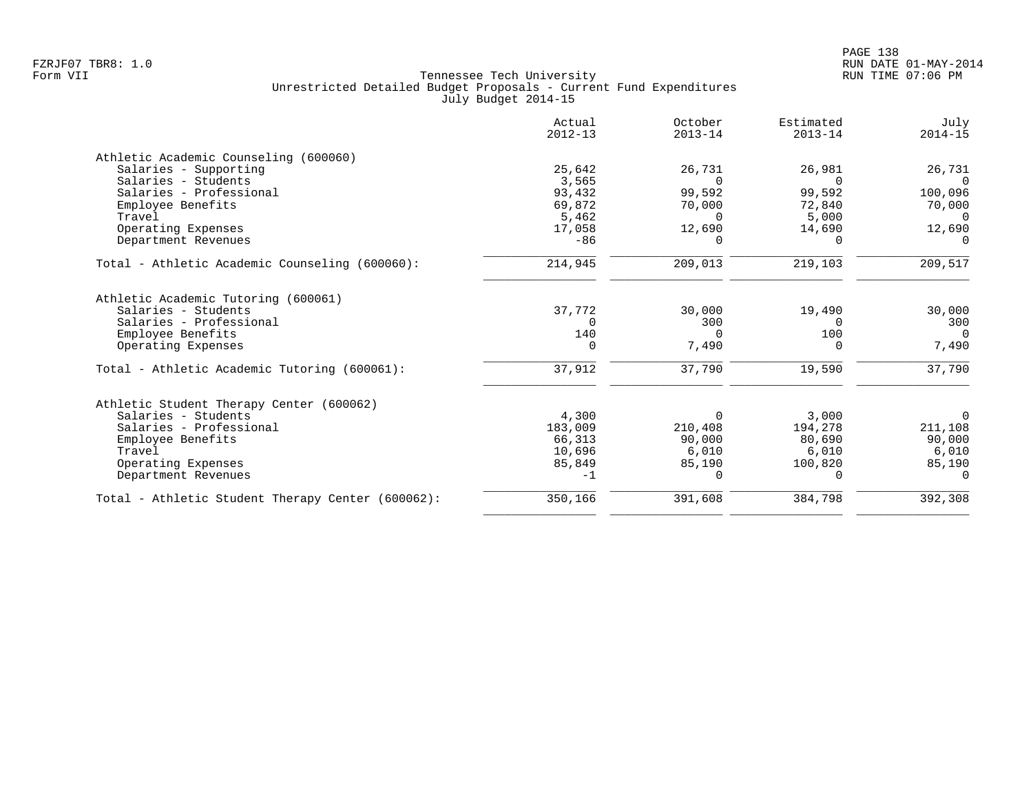|                                                   | Actual<br>$2012 - 13$ | October<br>$2013 - 14$ | Estimated<br>$2013 - 14$ | July<br>$2014 - 15$ |
|---------------------------------------------------|-----------------------|------------------------|--------------------------|---------------------|
| Athletic Academic Counseling (600060)             |                       |                        |                          |                     |
| Salaries - Supporting                             | 25,642                | 26,731                 | 26,981                   | 26,731              |
| Salaries - Students                               | 3,565                 | $\Omega$               | $\Omega$                 | $\Omega$            |
| Salaries - Professional                           | 93,432                | 99,592                 | 99,592                   | 100,096             |
| Employee Benefits                                 | 69,872                | 70,000                 | 72,840                   | 70,000              |
| Travel                                            | 5,462                 | $\Omega$               | 5,000                    | $\Omega$            |
| Operating Expenses                                | 17,058                | 12,690                 | 14,690                   | 12,690              |
| Department Revenues                               | $-86$                 |                        | $\Omega$                 |                     |
| Total - Athletic Academic Counseling (600060):    | 214,945               | 209,013                | 219,103                  | 209,517             |
| Athletic Academic Tutoring (600061)               |                       |                        |                          |                     |
| Salaries - Students                               | 37,772                | 30,000                 | 19,490                   | 30,000              |
| Salaries - Professional                           | $\Omega$              | 300                    | $\Omega$                 | 300                 |
| Employee Benefits                                 | 140                   | $\Omega$               | 100                      | $\Omega$            |
| Operating Expenses                                | $\Omega$              | 7,490                  | $\Omega$                 | 7,490               |
| Total - Athletic Academic Tutoring (600061):      | 37,912                | 37,790                 | 19,590                   | 37,790              |
| Athletic Student Therapy Center (600062)          |                       |                        |                          |                     |
| Salaries - Students                               | 4,300                 | $\Omega$               | 3,000                    | 0                   |
| Salaries - Professional                           | 183,009               | 210,408                | 194,278                  | 211,108             |
| Employee Benefits                                 | 66,313                | 90,000                 | 80,690                   | 90,000              |
| Travel                                            | 10,696                | 6,010                  | 6,010                    | 6,010               |
| Operating Expenses                                | 85,849                | 85,190                 | 100,820                  | 85,190              |
| Department Revenues                               | $-1$                  | $\Omega$               | $\Omega$                 | $\Omega$            |
| Total - Athletic Student Therapy Center (600062): | 350,166               | 391,608                | 384,798                  | 392,308             |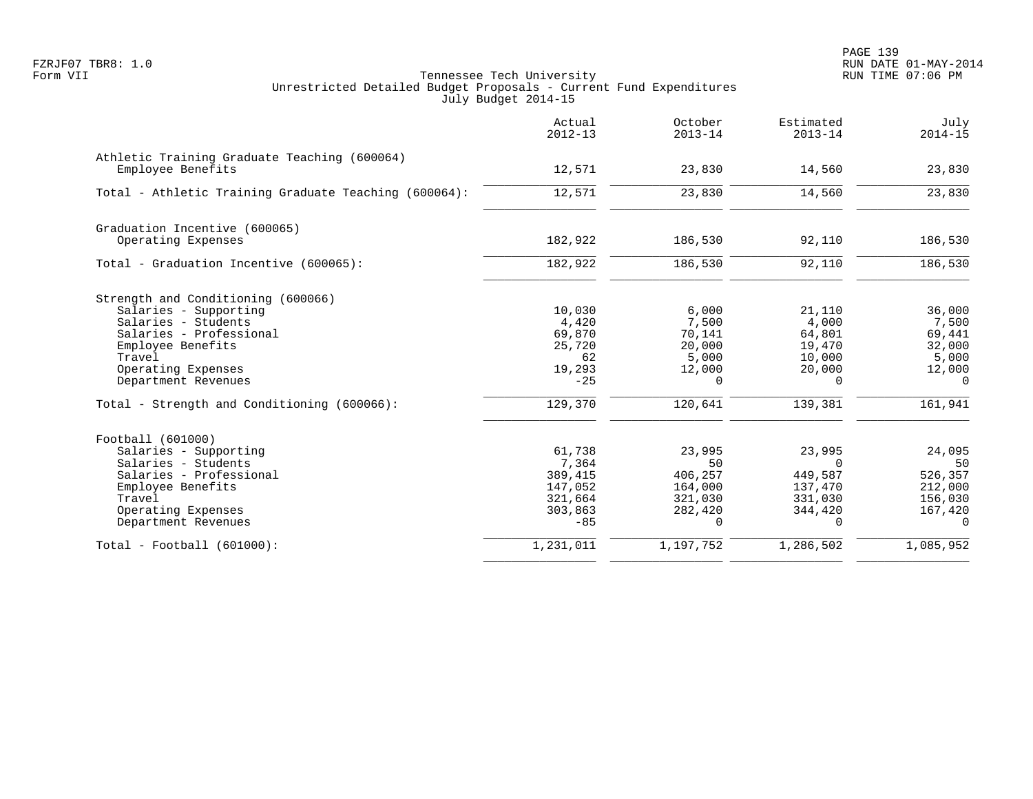|                                                                   | Actual<br>$2012 - 13$ | October<br>$2013 - 14$ | Estimated<br>$2013 - 14$ | July<br>$2014 - 15$ |
|-------------------------------------------------------------------|-----------------------|------------------------|--------------------------|---------------------|
| Athletic Training Graduate Teaching (600064)<br>Employee Benefits | 12,571                | 23,830                 | 14,560                   | 23,830              |
| Total - Athletic Training Graduate Teaching (600064):             | 12,571                | 23,830                 | 14,560                   | 23,830              |
| Graduation Incentive (600065)                                     |                       |                        |                          |                     |
| Operating Expenses                                                | 182,922               | 186,530                | 92,110                   | 186,530             |
| Total - Graduation Incentive (600065):                            | 182,922               | 186,530                | 92,110                   | 186,530             |
| Strength and Conditioning (600066)                                |                       |                        |                          |                     |
| Salaries - Supporting                                             | 10,030                | 6.000                  | 21,110                   | 36,000              |
| Salaries - Students<br>Salaries - Professional                    | 4,420<br>69,870       | 7,500<br>70,141        | 4,000<br>64,801          | 7,500<br>69,441     |
| Employee Benefits                                                 | 25,720                | 20,000                 | 19,470                   | 32,000              |
| Travel                                                            | 62                    | 5,000                  | 10,000                   | 5,000               |
| Operating Expenses                                                | 19,293                | 12,000                 | 20,000                   | 12,000              |
| Department Revenues                                               | $-25$                 | $\Omega$               | $\Omega$                 | $\Omega$            |
| Total - Strength and Conditioning (600066):                       | 129,370               | 120,641                | 139,381                  | 161,941             |
| Football (601000)                                                 |                       |                        |                          |                     |
| Salaries - Supporting                                             | 61,738                | 23,995                 | 23,995                   | 24,095              |
| Salaries - Students<br>Salaries - Professional                    | 7,364<br>389,415      | 50<br>406,257          | $\Omega$<br>449,587      | 50<br>526,357       |
| Employee Benefits                                                 | 147,052               | 164,000                | 137,470                  | 212,000             |
| Travel                                                            | 321,664               | 321,030                | 331,030                  | 156,030             |
| Operating Expenses                                                | 303,863               | 282,420                | 344,420                  | 167,420             |
| Department Revenues                                               | $-85$                 | $\mathbf 0$            | $\Omega$                 | $\Omega$            |
| Total - Football (601000):                                        | 1,231,011             | 1,197,752              | 1,286,502                | 1,085,952           |
|                                                                   |                       |                        |                          |                     |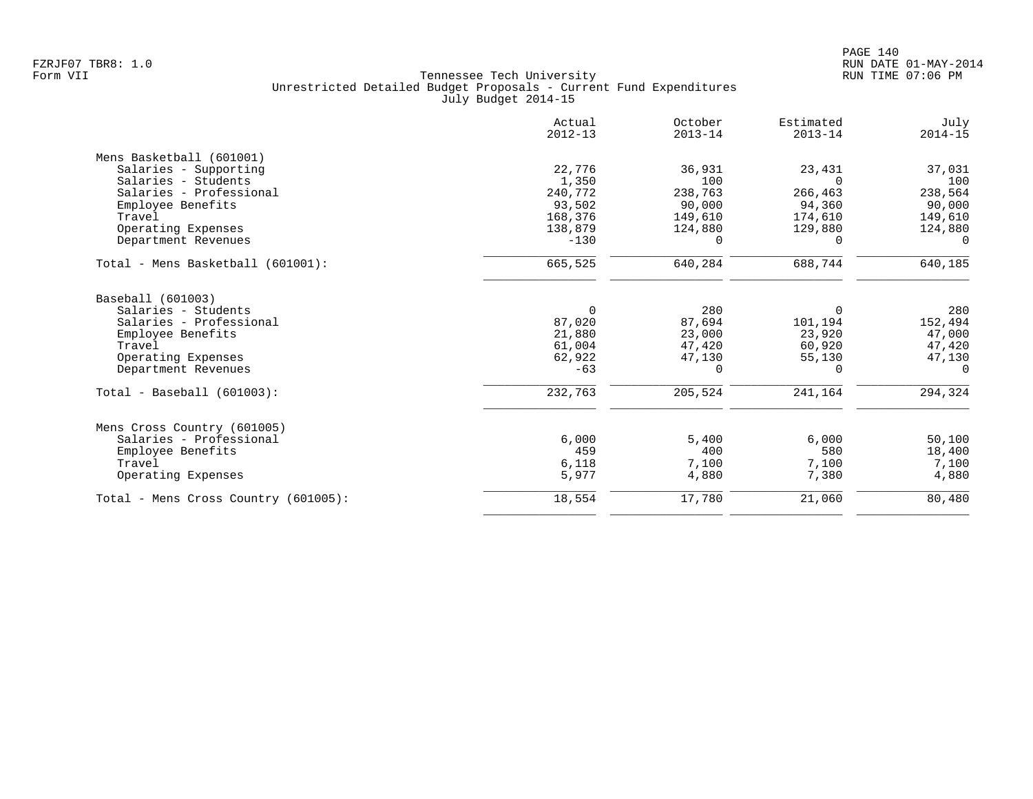| Actual<br>$2012 - 13$ | October<br>$2013 - 14$                                    | Estimated<br>$2013 - 14$                         | July<br>$2014 - 15$                                    |
|-----------------------|-----------------------------------------------------------|--------------------------------------------------|--------------------------------------------------------|
|                       |                                                           |                                                  |                                                        |
| 22,776                | 36,931                                                    | 23,431                                           | 37,031                                                 |
| 1,350                 | 100                                                       | $\Omega$                                         | 100                                                    |
| 240,772               | 238,763                                                   | 266,463                                          | 238,564                                                |
| 93,502                | 90,000                                                    | 94,360                                           | 90,000                                                 |
| 168,376               | 149,610                                                   | 174,610                                          | 149,610                                                |
| 138,879               | 124,880                                                   | 129,880                                          | 124,880                                                |
| $-130$                | $\Omega$                                                  | 0                                                | $\Omega$                                               |
| 665,525               | 640,284                                                   | 688,744                                          | 640,185                                                |
|                       |                                                           |                                                  |                                                        |
|                       |                                                           |                                                  | 280                                                    |
|                       |                                                           |                                                  | 152,494                                                |
|                       |                                                           |                                                  | 47,000                                                 |
|                       |                                                           |                                                  | 47,420                                                 |
|                       |                                                           |                                                  | 47,130                                                 |
|                       |                                                           |                                                  | $\Omega$                                               |
| 232,763               | 205,524                                                   | 241,164                                          | 294,324                                                |
|                       |                                                           |                                                  |                                                        |
| 6,000                 | 5,400                                                     | 6,000                                            | 50,100                                                 |
| 459                   | 400                                                       | 580                                              | 18,400                                                 |
| 6,118                 | 7,100                                                     | 7,100                                            | 7,100                                                  |
| 5,977                 | 4,880                                                     | 7,380                                            | 4,880                                                  |
|                       |                                                           |                                                  |                                                        |
|                       | $\Omega$<br>87,020<br>21,880<br>61,004<br>62,922<br>$-63$ | 280<br>87,694<br>23,000<br>47,420<br>47,130<br>0 | $\Omega$<br>101,194<br>23,920<br>60,920<br>55,130<br>0 |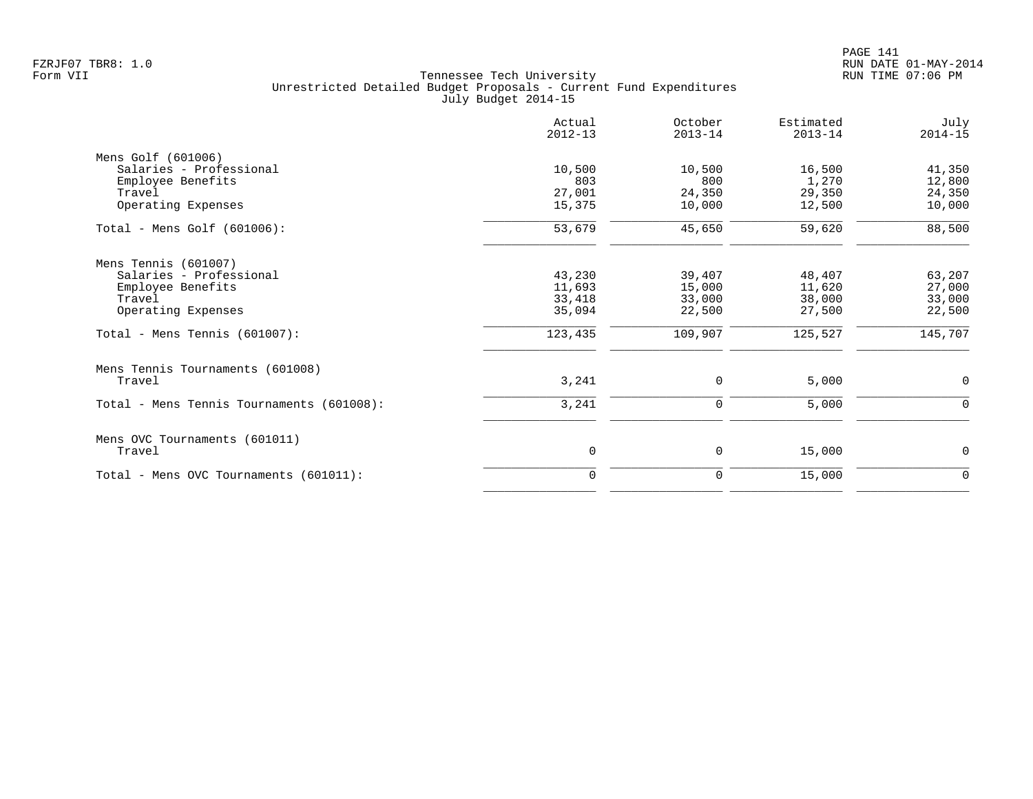|                                           | Actual<br>$2012 - 13$ | October<br>$2013 - 14$ | Estimated<br>$2013 - 14$ | July<br>$2014 - 15$ |
|-------------------------------------------|-----------------------|------------------------|--------------------------|---------------------|
| Mens Golf (601006)                        |                       |                        |                          |                     |
| Salaries - Professional                   | 10,500                | 10,500                 | 16,500                   | 41,350              |
| Employee Benefits                         | 803                   | 800                    | 1,270                    | 12,800              |
| Travel                                    | 27,001                | 24,350                 | 29,350                   | 24,350              |
| Operating Expenses                        | 15,375                | 10,000                 | 12,500                   | 10,000              |
| Total - Mens Golf $(601006)$ :            | 53,679                | 45,650                 | 59,620                   | 88,500              |
| Mens Tennis (601007)                      |                       |                        |                          |                     |
| Salaries - Professional                   | 43,230                | 39,407                 | 48,407                   | 63,207              |
| Employee Benefits                         | 11,693                | 15,000                 | 11,620                   | 27,000              |
| Travel                                    | 33,418                | 33,000                 | 38,000                   | 33,000              |
| Operating Expenses                        | 35,094                | 22,500                 | 27,500                   | 22,500              |
| Total - Mens Tennis $(601007)$ :          | 123,435               | 109,907                | 125,527                  | 145,707             |
| Mens Tennis Tournaments (601008)          |                       |                        |                          |                     |
| Travel                                    | 3,241                 | 0                      | 5,000                    | 0                   |
| Total - Mens Tennis Tournaments (601008): | 3,241                 | $\mathbf 0$            | 5,000                    | $\mathbf 0$         |
| Mens OVC Tournaments (601011)             |                       |                        |                          |                     |
| Travel                                    | 0                     | 0                      | 15,000                   | $\mathbf 0$         |
| Total - Mens OVC Tournaments (601011):    | $\Omega$              | 0                      | 15,000                   | $\mathbf 0$         |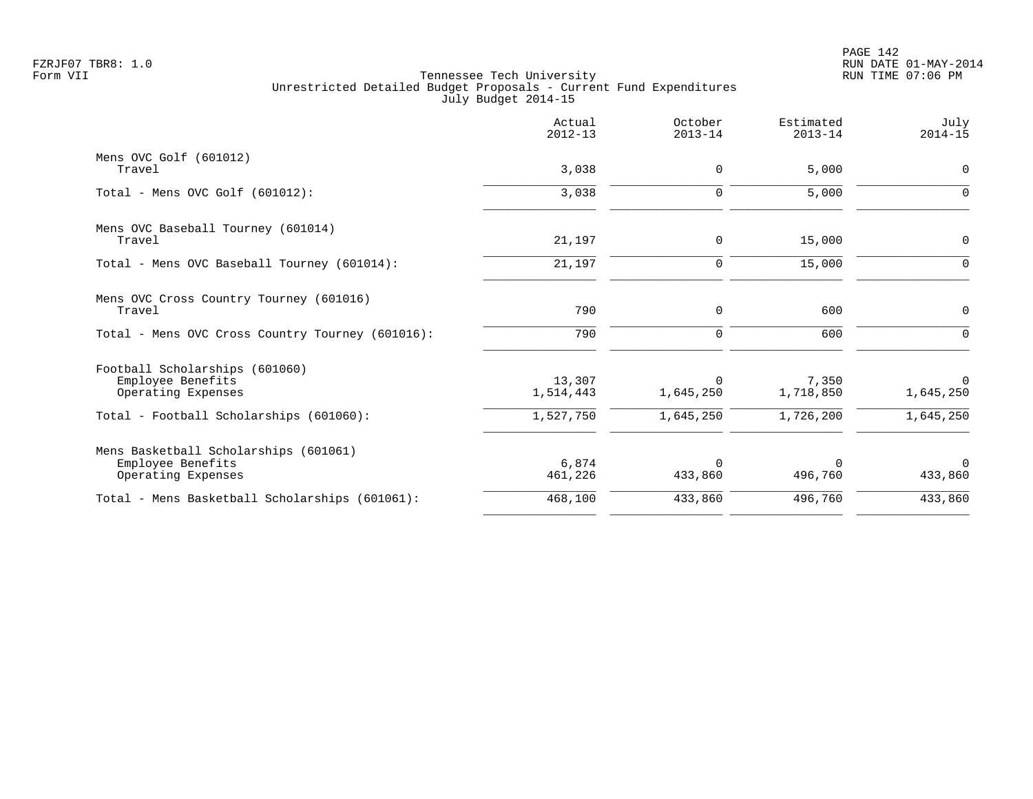|                                                  | Actual<br>$2012 - 13$ | October<br>$2013 - 14$ | Estimated<br>$2013 - 14$ | July<br>$2014 - 15$ |
|--------------------------------------------------|-----------------------|------------------------|--------------------------|---------------------|
| Mens OVC Golf (601012)                           |                       |                        |                          |                     |
| Travel                                           | 3,038                 | 0                      | 5,000                    | $\mathbf 0$         |
| Total - Mens OVC Golf $(601012)$ :               | 3,038                 | $\mathbf 0$            | 5,000                    | $\Omega$            |
| Mens OVC Baseball Tourney (601014)               |                       |                        |                          |                     |
| Travel                                           | 21,197                | 0                      | 15,000                   | $\mathbf 0$         |
| Total - Mens OVC Baseball Tourney (601014):      | 21,197                | 0                      | 15,000                   | $\Omega$            |
| Mens OVC Cross Country Tourney (601016)          |                       |                        |                          |                     |
| Travel                                           | 790                   | 0                      | 600                      | $\mathbf 0$         |
| Total - Mens OVC Cross Country Tourney (601016): | 790                   | $\mathbf 0$            | 600                      |                     |
| Football Scholarships (601060)                   |                       |                        |                          |                     |
| Employee Benefits                                | 13,307                | $\Omega$               | 7,350                    | $\mathbf 0$         |
| Operating Expenses                               | 1,514,443             | 1,645,250              | 1,718,850                | 1,645,250           |
| Total - Football Scholarships (601060):          | 1,527,750             | 1,645,250              | 1,726,200                | 1,645,250           |
| Mens Basketball Scholarships (601061)            |                       |                        |                          |                     |
| Employee Benefits                                | 6,874                 | $\Omega$               | $\Omega$                 | $\Omega$            |
| Operating Expenses                               | 461,226               | 433,860                | 496,760                  | 433,860             |
| Total - Mens Basketball Scholarships (601061):   | 468,100               | 433,860                | 496,760                  | 433,860             |
|                                                  |                       |                        |                          |                     |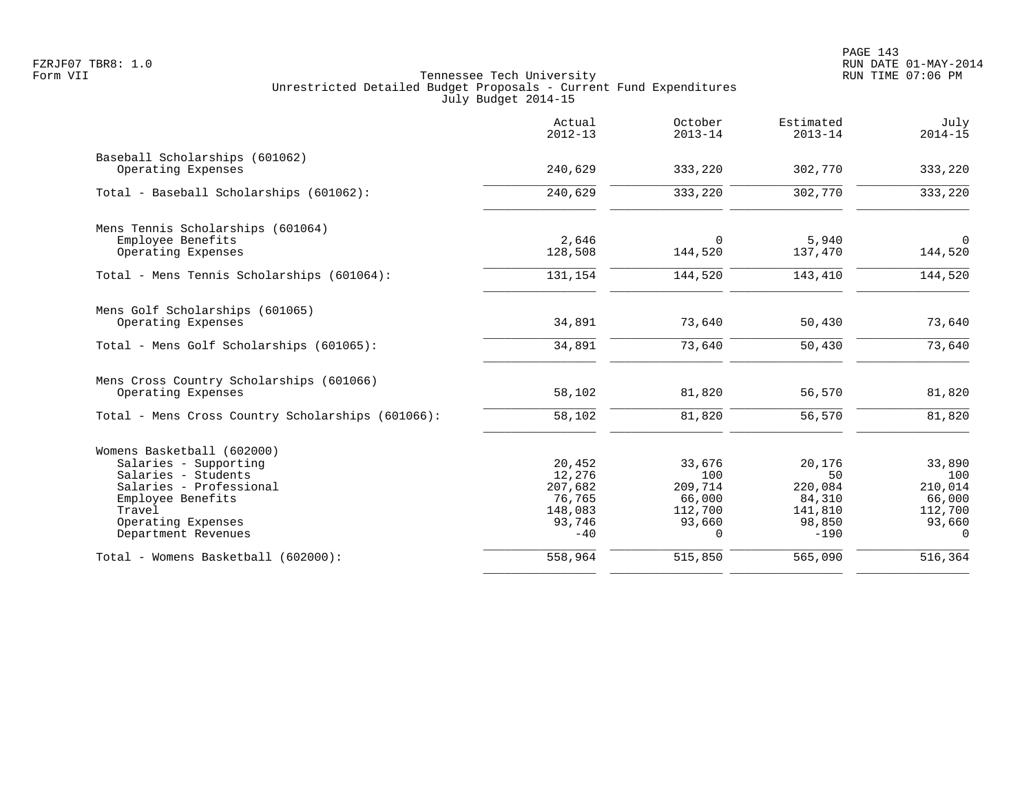| 333,220<br>333,220<br>$\overline{0}$ |
|--------------------------------------|
|                                      |
|                                      |
|                                      |
|                                      |
|                                      |
| 144,520                              |
| 144,520                              |
|                                      |
| 73,640                               |
| 73,640                               |
|                                      |
| 81,820                               |
| 81,820                               |
|                                      |
| 33,890                               |
| 100                                  |
| 210,014                              |
| 66,000<br>112,700                    |
| 93,660                               |
| $\Omega$                             |
| 516,364                              |
|                                      |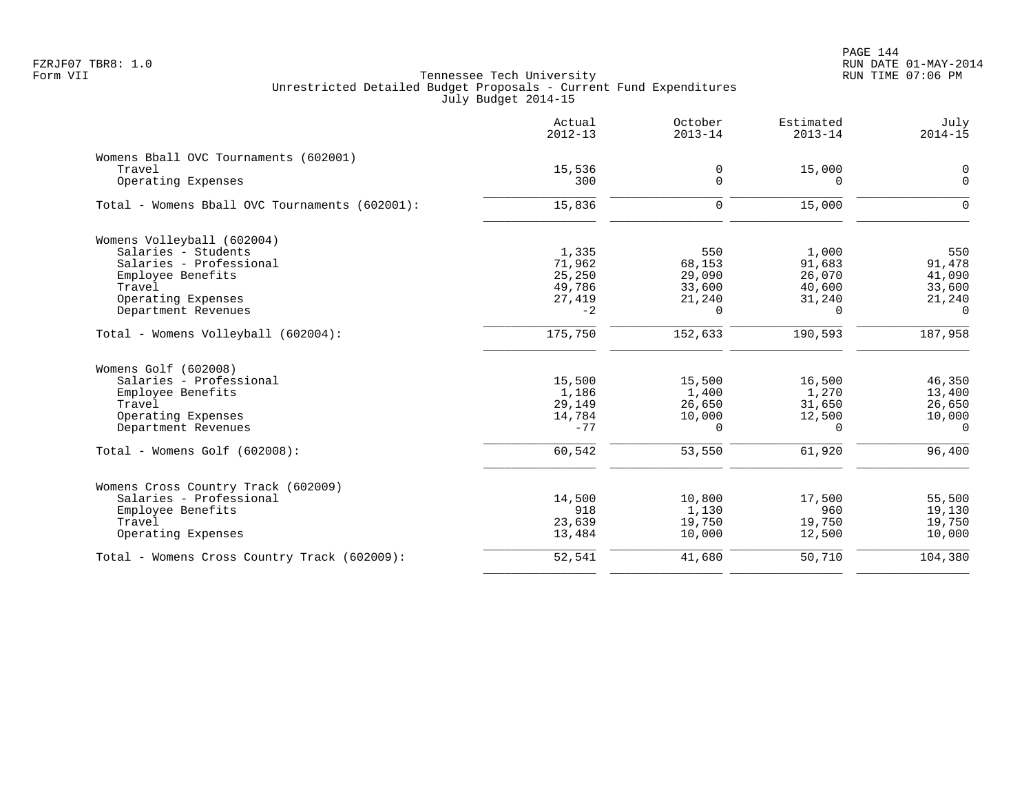|                                                | Actual<br>$2012 - 13$ | October<br>$2013 - 14$ | Estimated<br>$2013 - 14$ | July<br>$2014 - 15$ |
|------------------------------------------------|-----------------------|------------------------|--------------------------|---------------------|
| Womens Bball OVC Tournaments (602001)          |                       |                        |                          |                     |
| Travel                                         | 15,536                | 0                      | 15,000                   | $\overline{0}$      |
| Operating Expenses                             | 300                   | $\mathbf 0$            | $\Omega$                 | $\mathbf 0$         |
| Total - Womens Bball OVC Tournaments (602001): | 15,836                | $\mathbf 0$            | 15,000                   | $\Omega$            |
| Womens Volleyball (602004)                     |                       |                        |                          |                     |
| Salaries - Students                            | 1,335                 | 550                    | 1,000                    | 550                 |
| Salaries - Professional                        | 71,962                | 68,153                 | 91,683                   | 91,478              |
| Employee Benefits                              | 25,250                | 29,090                 | 26,070                   | 41,090              |
| Travel                                         | 49,786                | 33,600                 | 40,600                   | 33,600              |
| Operating Expenses                             | 27,419                | 21,240                 | 31,240                   | 21,240              |
| Department Revenues                            | $-2$                  | 0                      | $\Omega$                 | $\Omega$            |
| Total - Womens Volleyball (602004):            | 175,750               | 152,633                | 190,593                  | 187,958             |
| Womens Golf (602008)                           |                       |                        |                          |                     |
| Salaries - Professional                        | 15,500                | 15,500                 | 16,500                   | 46,350              |
| Employee Benefits                              | 1,186                 | 1,400                  | 1,270                    | 13,400              |
| Travel                                         | 29,149                | 26,650                 | 31,650                   | 26,650              |
| Operating Expenses                             | 14,784                | 10,000                 | 12,500                   | 10,000              |
| Department Revenues                            | $-77$                 | $\Omega$               | $\Omega$                 | $\Omega$            |
| Total - Womens Golf (602008):                  | 60,542                | 53,550                 | 61,920                   | 96,400              |
| Womens Cross Country Track (602009)            |                       |                        |                          |                     |
| Salaries - Professional                        | 14,500                | 10,800                 | 17,500                   | 55,500              |
| Employee Benefits                              | 918                   | 1,130                  | 960                      | 19,130              |
| Travel                                         | 23,639                | 19,750                 | 19,750                   | 19,750              |
| Operating Expenses                             | 13,484                | 10,000                 | 12,500                   | 10,000              |
| Total - Womens Cross Country Track (602009):   | 52,541                | 41,680                 | 50,710                   | 104,380             |
|                                                |                       |                        |                          |                     |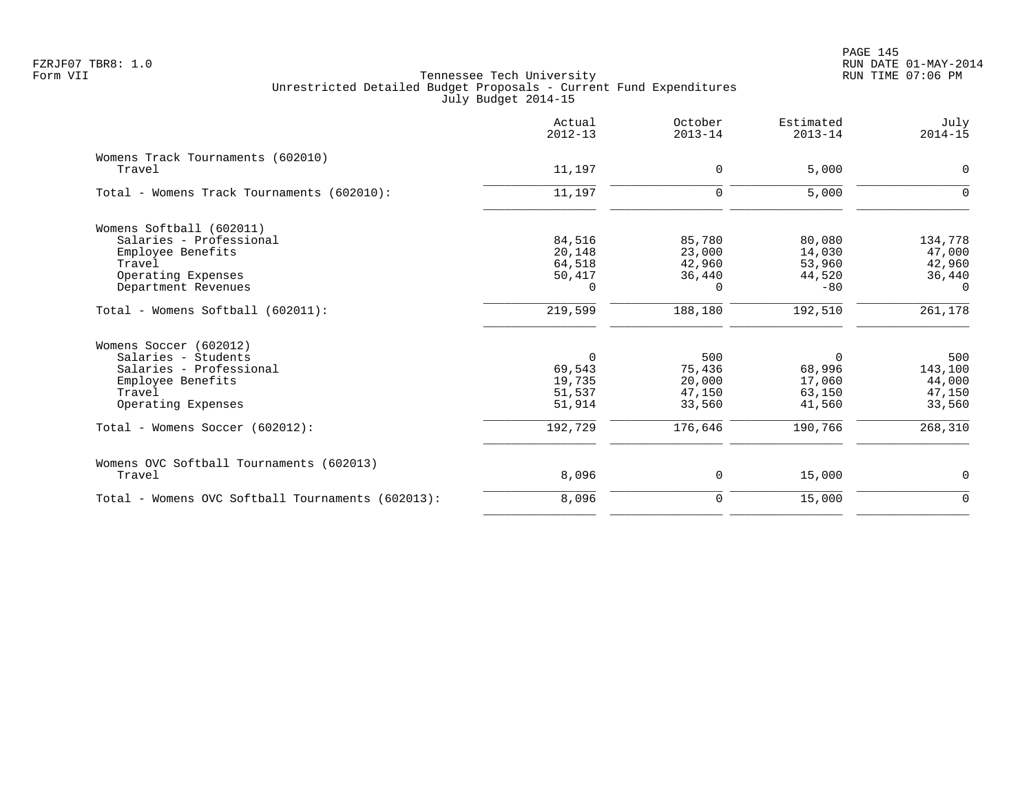|                                                   | Actual<br>$2012 - 13$ | October<br>$2013 - 14$ | Estimated<br>$2013 - 14$ | July<br>$2014 - 15$ |
|---------------------------------------------------|-----------------------|------------------------|--------------------------|---------------------|
| Womens Track Tournaments (602010)<br>Travel       | 11,197                | 0                      | 5,000                    | 0                   |
| Total - Womens Track Tournaments (602010):        | 11,197                | 0                      | 5,000                    | $\Omega$            |
| Womens Softball (602011)                          |                       |                        |                          |                     |
| Salaries - Professional                           | 84,516                | 85,780                 | 80,080                   | 134,778             |
| Employee Benefits                                 | 20,148                | 23,000                 | 14,030                   | 47,000              |
| Travel                                            | 64,518                | 42,960                 | 53,960                   | 42,960              |
| Operating Expenses                                | 50,417                | 36,440                 | 44,520                   | 36,440              |
| Department Revenues                               | $\Omega$              | $\Omega$               | $-80$                    | $\Omega$            |
| Total - Womens Softball (602011):                 | 219,599               | 188,180                | 192,510                  | 261,178             |
| Womens Soccer (602012)                            |                       |                        |                          |                     |
| Salaries - Students                               | $\mathbf 0$           | 500                    | $\Omega$                 | 500                 |
| Salaries - Professional                           | 69,543                | 75,436                 | 68,996                   | 143,100             |
| Employee Benefits                                 | 19,735                | 20,000                 | 17,060                   | 44,000              |
| Travel                                            | 51,537                | 47,150                 | 63,150                   | 47,150              |
| Operating Expenses                                | 51,914                | 33,560                 | 41,560                   | 33,560              |
| Total - Womens Soccer (602012):                   | 192,729               | 176,646                | 190,766                  | 268,310             |
| Womens OVC Softball Tournaments (602013)          |                       |                        |                          |                     |
| Travel                                            | 8,096                 | 0                      | 15,000                   | $\mathbf 0$         |
| Total - Womens OVC Softball Tournaments (602013): | 8,096                 | 0                      | 15,000                   | $\mathbf 0$         |
|                                                   |                       |                        |                          |                     |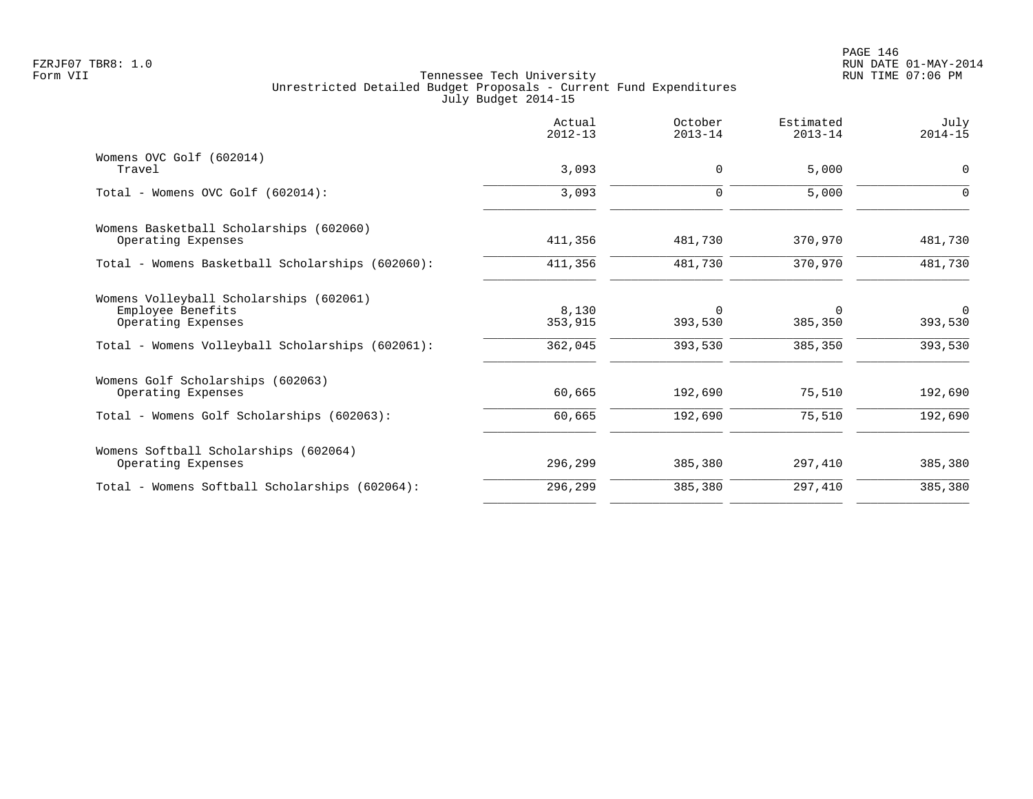PAGE 146 FZRJF07 TBR8: 1.0 RUN DATE 01-MAY-2014

|                                                                                                                                        | Actual<br>$2012 - 13$       | October<br>$2013 - 14$         | Estimated<br>$2013 - 14$       | July<br>$2014 - 15$                  |
|----------------------------------------------------------------------------------------------------------------------------------------|-----------------------------|--------------------------------|--------------------------------|--------------------------------------|
| Womens OVC Golf (602014)<br>Travel                                                                                                     | 3,093                       | 0                              | 5,000                          | 0                                    |
| Total - Womens OVC Golf (602014):                                                                                                      | 3,093                       | $\mathbf 0$                    | 5,000                          | $\Omega$                             |
| Womens Basketball Scholarships (602060)<br>Operating Expenses                                                                          | 411,356                     | 481,730                        | 370,970                        | 481,730                              |
| Total - Womens Basketball Scholarships (602060):                                                                                       | 411,356                     | 481,730                        | 370,970                        | 481,730                              |
| Womens Volleyball Scholarships (602061)<br>Employee Benefits<br>Operating Expenses<br>Total - Womens Volleyball Scholarships (602061): | 8,130<br>353,915<br>362,045 | $\Omega$<br>393,530<br>393,530 | $\Omega$<br>385,350<br>385,350 | $\overline{0}$<br>393,530<br>393,530 |
| Womens Golf Scholarships (602063)<br>Operating Expenses<br>Total - Womens Golf Scholarships (602063):                                  | 60,665<br>60,665            | 192,690<br>192,690             | 75,510<br>75,510               | 192,690<br>192,690                   |
| Womens Softball Scholarships (602064)                                                                                                  |                             |                                |                                |                                      |
| Operating Expenses                                                                                                                     | 296,299                     | 385,380                        | 297,410                        | 385,380                              |
| Total - Womens Softball Scholarships (602064):                                                                                         | 296,299                     | 385,380                        | 297,410                        | 385,380                              |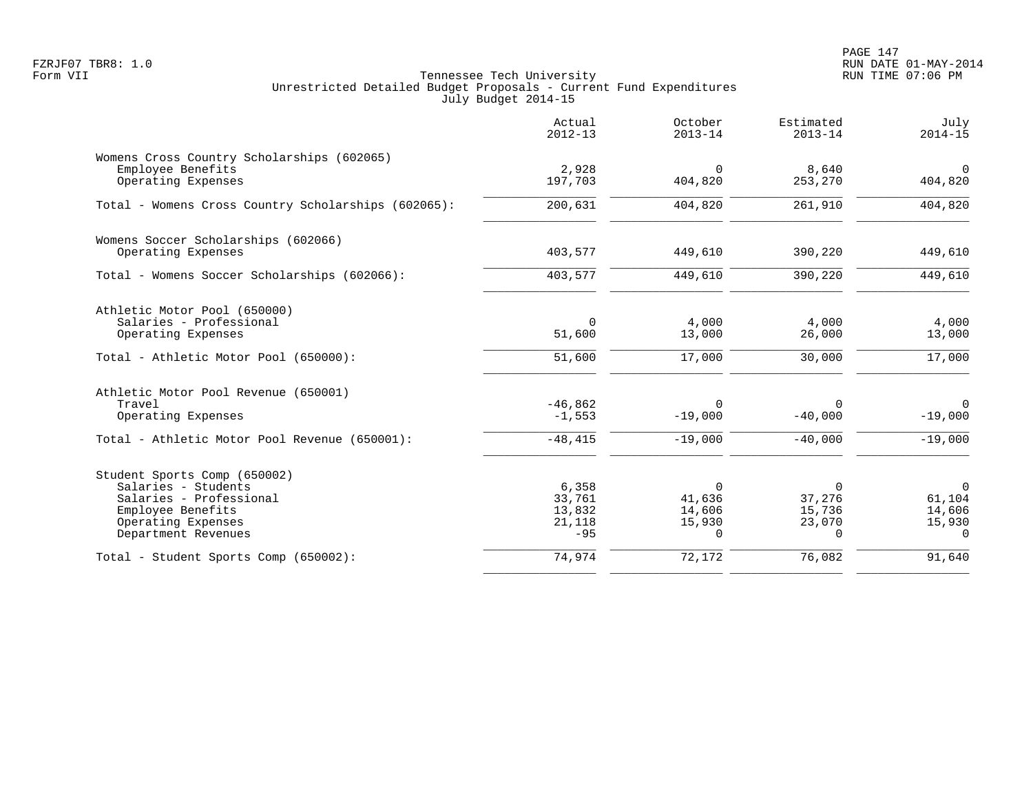PAGE 147 FZRJF07 TBR8: 1.0 RUN DATE 01-MAY-2014

|                                                                 | Actual<br>$2012 - 13$ | October<br>$2013 - 14$ | Estimated<br>$2013 - 14$ | July<br>$2014 - 15$  |
|-----------------------------------------------------------------|-----------------------|------------------------|--------------------------|----------------------|
| Womens Cross Country Scholarships (602065)<br>Employee Benefits | 2,928                 | $\Omega$               | 8,640                    | $\mathbf 0$          |
| Operating Expenses                                              | 197,703               | 404,820                | 253,270                  | 404,820              |
| Total - Womens Cross Country Scholarships (602065):             | 200,631               | 404,820                | 261,910                  | 404,820              |
| Womens Soccer Scholarships (602066)                             |                       |                        |                          |                      |
| Operating Expenses                                              | 403,577               | 449,610                | 390,220                  | 449,610              |
| Total - Womens Soccer Scholarships (602066):                    | 403,577               | 449,610                | 390,220                  | $\overline{449,610}$ |
| Athletic Motor Pool (650000)                                    |                       |                        |                          |                      |
| Salaries - Professional                                         | $\Omega$              | 4,000                  | 4,000                    | 4,000                |
| Operating Expenses                                              | 51,600                | 13,000                 | 26,000                   | 13,000               |
| Total - Athletic Motor Pool (650000):                           | 51,600                | 17,000                 | 30,000                   | 17,000               |
| Athletic Motor Pool Revenue (650001)                            |                       |                        |                          |                      |
| Travel                                                          | $-46,862$             | 0                      | $\Omega$                 | $\mathbf 0$          |
| Operating Expenses                                              | $-1,553$              | $-19,000$              | $-40,000$                | $-19,000$            |
| Total - Athletic Motor Pool Revenue (650001):                   | $-48, 415$            | $-19,000$              | $-40,000$                | $-19,000$            |
| Student Sports Comp (650002)                                    |                       |                        |                          |                      |
| Salaries - Students                                             | 6,358                 | 0                      | 0                        | $\overline{0}$       |
| Salaries - Professional<br>Employee Benefits                    | 33,761<br>13,832      | 41,636<br>14,606       | 37,276<br>15,736         | 61,104<br>14,606     |
| Operating Expenses                                              | 21,118                | 15,930                 | 23,070                   | 15,930               |
| Department Revenues                                             | $-95$                 | $\Omega$               | $\Omega$                 | $\Omega$             |
| Total - Student Sports Comp (650002):                           | 74,974                | 72,172                 | 76,082                   | 91,640               |
|                                                                 |                       |                        |                          |                      |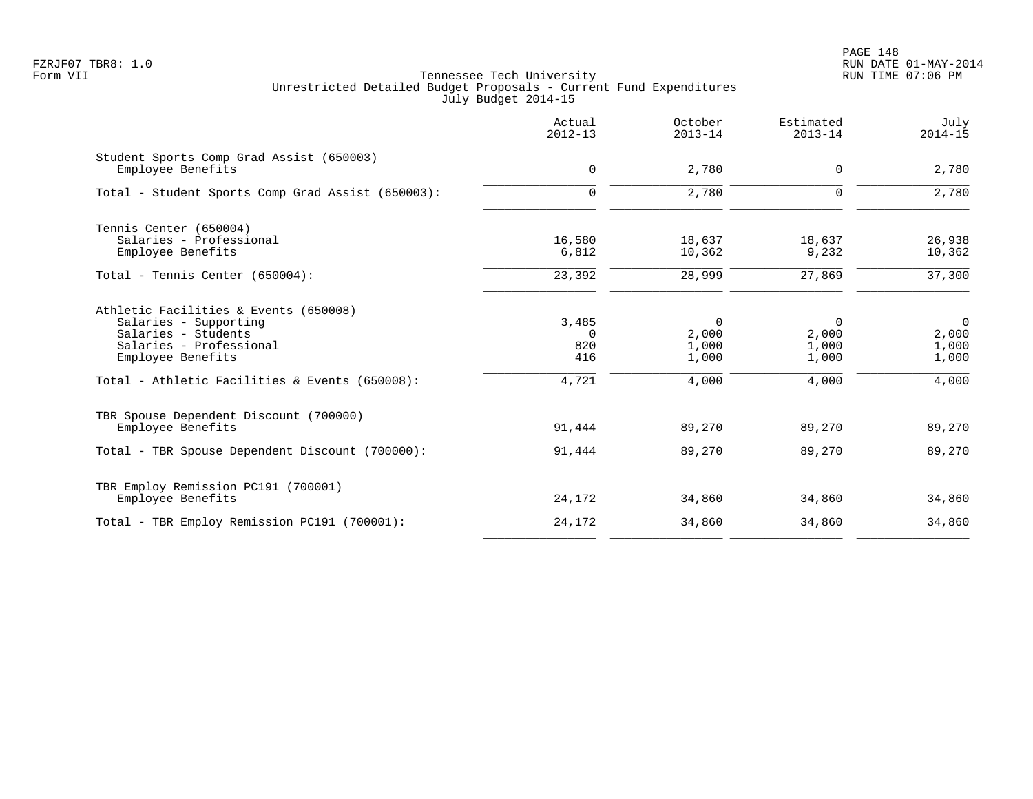|                                                                                                                                                                                         | Actual<br>$2012 - 13$                    | October<br>$2013 - 14$                             | Estimated<br>$2013 - 14$              | July<br>$2014 - 15$                                |
|-----------------------------------------------------------------------------------------------------------------------------------------------------------------------------------------|------------------------------------------|----------------------------------------------------|---------------------------------------|----------------------------------------------------|
| Student Sports Comp Grad Assist (650003)<br>Employee Benefits                                                                                                                           | 0                                        | 2,780                                              | $\mathbf 0$                           | 2,780                                              |
| Total - Student Sports Comp Grad Assist (650003):                                                                                                                                       | $\mathbf 0$                              | 2,780                                              | $\mathbf 0$                           | 2,780                                              |
| Tennis Center (650004)<br>Salaries - Professional<br>Employee Benefits                                                                                                                  | 16,580<br>6,812                          | 18,637<br>10,362                                   | 18,637<br>9,232                       | 26,938<br>10,362                                   |
| Total - Tennis Center (650004):                                                                                                                                                         | 23,392                                   | 28,999                                             | 27,869                                | 37,300                                             |
| Athletic Facilities & Events (650008)<br>Salaries - Supporting<br>Salaries - Students<br>Salaries - Professional<br>Employee Benefits<br>Total - Athletic Facilities & Events (650008): | 3,485<br>$\Omega$<br>820<br>416<br>4,721 | $\overline{0}$<br>2,000<br>1,000<br>1,000<br>4,000 | 0<br>2,000<br>1,000<br>1,000<br>4,000 | $\overline{0}$<br>2,000<br>1,000<br>1,000<br>4,000 |
| TBR Spouse Dependent Discount (700000)<br>Employee Benefits                                                                                                                             | 91,444                                   | 89,270                                             | 89,270                                | 89,270                                             |
| Total - TBR Spouse Dependent Discount (700000):                                                                                                                                         | 91,444                                   | 89,270                                             | 89,270                                | 89,270                                             |
| TBR Employ Remission PC191 (700001)<br>Employee Benefits                                                                                                                                | 24,172                                   | 34,860                                             | 34,860                                | 34,860                                             |
| Total - TBR Employ Remission PC191 (700001):                                                                                                                                            | 24,172                                   | 34,860                                             | 34,860                                | 34,860                                             |
|                                                                                                                                                                                         |                                          |                                                    |                                       |                                                    |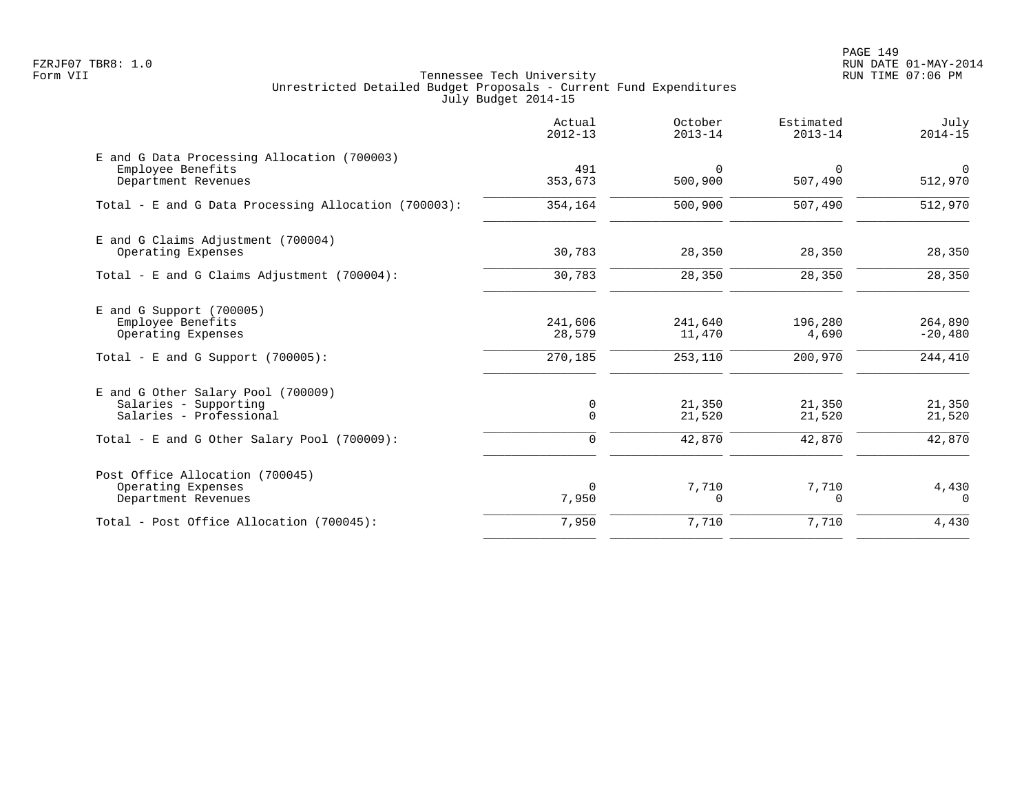PAGE 149 FZRJF07 TBR8: 1.0 RUN DATE 01-MAY-2014

|                                                                                                               | Actual<br>$2012 - 13$        | October<br>$2013 - 14$       | Estimated<br>$2013 - 14$    | July<br>$2014 - 15$             |
|---------------------------------------------------------------------------------------------------------------|------------------------------|------------------------------|-----------------------------|---------------------------------|
| E and G Data Processing Allocation (700003)<br>Employee Benefits<br>Department Revenues                       | 491<br>353,673               | $\Omega$<br>500,900          | $\Omega$<br>507,490         | $\mathbf 0$<br>512,970          |
| Total - E and G Data Processing Allocation (700003):                                                          | 354,164                      | 500,900                      | 507,490                     | 512,970                         |
| E and G Claims Adjustment (700004)<br>Operating Expenses                                                      | 30,783                       | 28,350                       | 28,350                      | 28,350                          |
| Total - E and G Claims Adjustment $(700004)$ :                                                                | 30,783                       | 28,350                       | 28,350                      | 28,350                          |
| $E$ and G Support (700005)<br>Employee Benefits<br>Operating Expenses<br>Total - E and G Support $(700005)$ : | 241,606<br>28,579<br>270,185 | 241,640<br>11,470<br>253,110 | 196,280<br>4,690<br>200,970 | 264,890<br>$-20,480$<br>244,410 |
| E and G Other Salary Pool (700009)<br>Salaries - Supporting<br>Salaries - Professional                        | 0<br>$\Omega$                | 21,350<br>21,520             | 21,350<br>21,520            | 21,350<br>21,520                |
| Total - E and G Other Salary Pool (700009):                                                                   | 0                            | 42,870                       | 42,870                      | 42,870                          |
| Post Office Allocation (700045)<br>Operating Expenses<br>Department Revenues                                  | $\Omega$<br>7,950            | 7,710<br>0                   | 7,710<br>$\Omega$           | 4,430<br>$\Omega$               |
| Total - Post Office Allocation (700045):                                                                      | 7,950                        | 7,710                        | 7,710                       | 4,430                           |
|                                                                                                               |                              |                              |                             |                                 |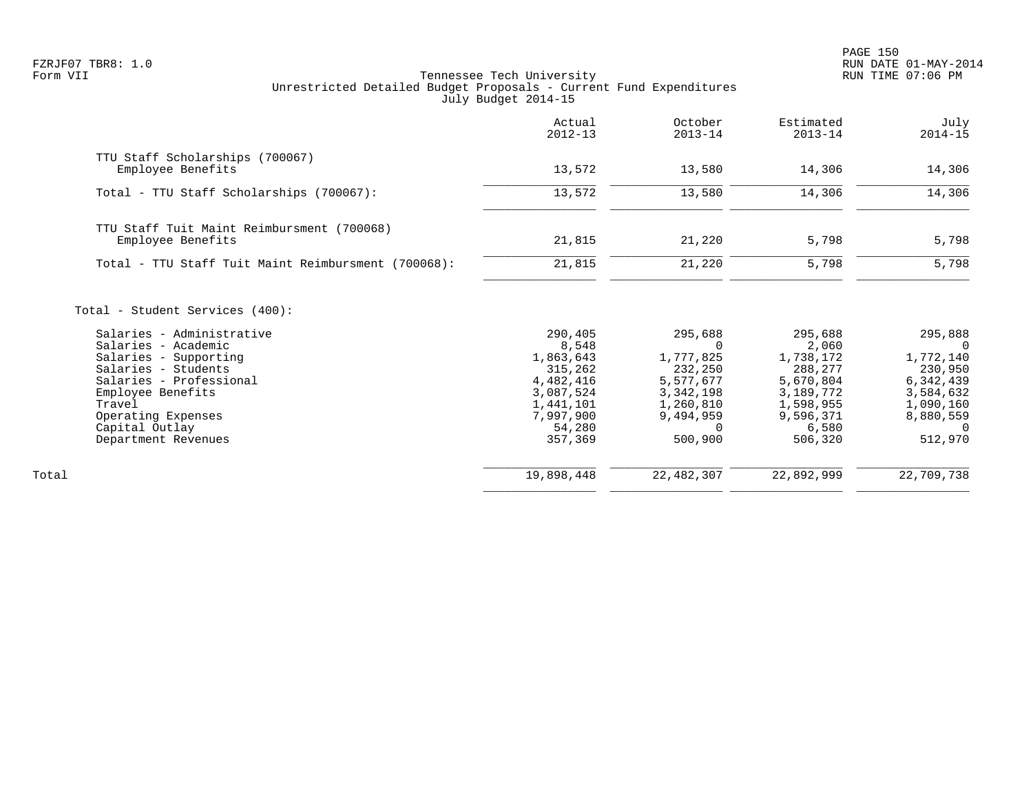PAGE 150 FZRJF07 TBR8: 1.0 RUN DATE 01-MAY-2014

|                                                                                                                                                                                               | Actual<br>$2012 - 13$                                                           | October<br>$2013 - 14$                                                               | Estimated<br>$2013 - 14$                                                        | July<br>$2014 - 15$                                                                  |
|-----------------------------------------------------------------------------------------------------------------------------------------------------------------------------------------------|---------------------------------------------------------------------------------|--------------------------------------------------------------------------------------|---------------------------------------------------------------------------------|--------------------------------------------------------------------------------------|
| TTU Staff Scholarships (700067)<br>Employee Benefits                                                                                                                                          | 13,572                                                                          | 13,580                                                                               | 14,306                                                                          | 14,306                                                                               |
|                                                                                                                                                                                               |                                                                                 |                                                                                      |                                                                                 |                                                                                      |
| Total - TTU Staff Scholarships (700067):                                                                                                                                                      | 13,572                                                                          | 13,580                                                                               | 14,306                                                                          | 14,306                                                                               |
| TTU Staff Tuit Maint Reimbursment (700068)                                                                                                                                                    |                                                                                 |                                                                                      |                                                                                 |                                                                                      |
| Employee Benefits                                                                                                                                                                             | 21,815                                                                          | 21,220                                                                               | 5,798                                                                           | 5,798                                                                                |
| Total - TTU Staff Tuit Maint Reimbursment (700068):                                                                                                                                           | 21,815                                                                          | 21,220                                                                               | 5,798                                                                           | 5,798                                                                                |
| Total - Student Services (400):<br>Salaries - Administrative<br>Salaries - Academic<br>Salaries - Supporting<br>Salaries - Students<br>Salaries - Professional<br>Employee Benefits<br>Travel | 290,405<br>8,548<br>1,863,643<br>315,262<br>4,482,416<br>3,087,524<br>1,441,101 | 295,688<br>$\Omega$<br>1,777,825<br>232,250<br>5,577,677<br>3, 342, 198<br>1,260,810 | 295,688<br>2,060<br>1,738,172<br>288,277<br>5,670,804<br>3,189,772<br>1,598,955 | 295,888<br>$\Omega$<br>1,772,140<br>230,950<br>6, 342, 439<br>3,584,632<br>1,090,160 |
| Operating Expenses                                                                                                                                                                            | 7,997,900                                                                       | 9,494,959                                                                            | 9,596,371                                                                       | 8,880,559                                                                            |
| Capital Outlay                                                                                                                                                                                | 54,280                                                                          | $\Omega$                                                                             | 6,580                                                                           | $\Omega$                                                                             |
| Department Revenues                                                                                                                                                                           | 357,369                                                                         | 500,900                                                                              | 506,320                                                                         | 512,970                                                                              |
| Total                                                                                                                                                                                         | 19,898,448                                                                      | 22, 482, 307                                                                         | 22,892,999                                                                      | 22,709,738                                                                           |
|                                                                                                                                                                                               |                                                                                 |                                                                                      |                                                                                 |                                                                                      |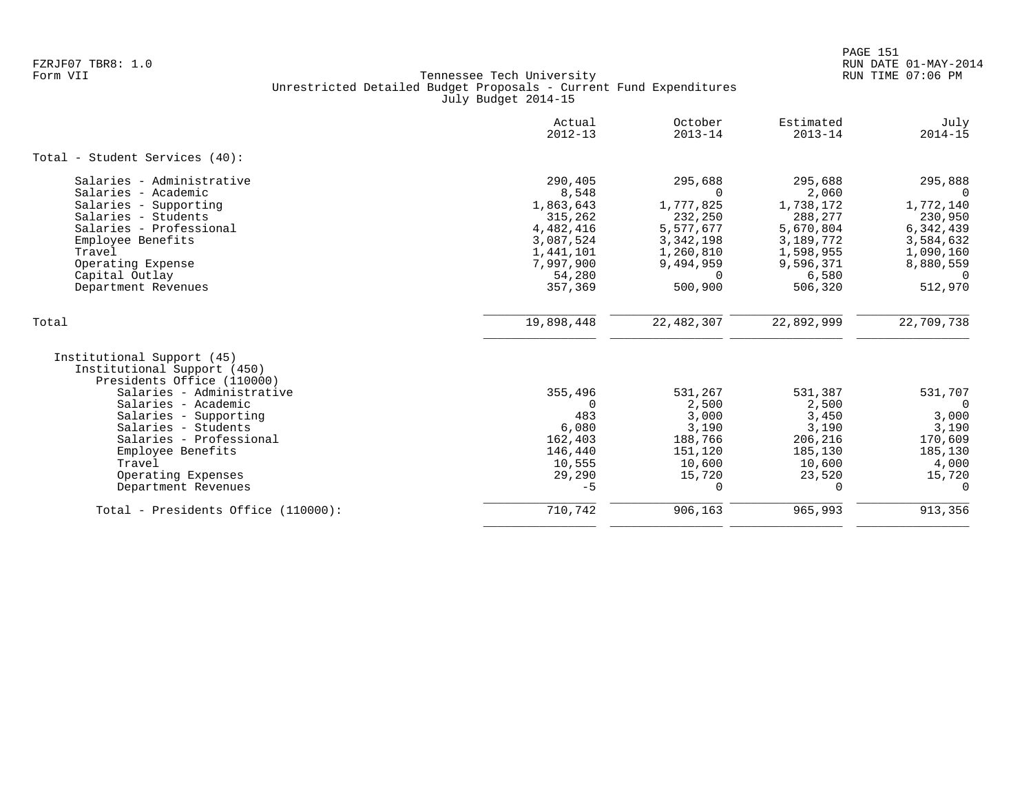|                                                                                                                                                                                                                                                                                                    | Actual<br>$2012 - 13$                                                                                             | October<br>$2013 - 14$                                                                                                   | Estimated<br>$2013 - 14$                                                                                         | July<br>$2014 - 15$                                                                                                    |
|----------------------------------------------------------------------------------------------------------------------------------------------------------------------------------------------------------------------------------------------------------------------------------------------------|-------------------------------------------------------------------------------------------------------------------|--------------------------------------------------------------------------------------------------------------------------|------------------------------------------------------------------------------------------------------------------|------------------------------------------------------------------------------------------------------------------------|
| Total - Student Services (40):                                                                                                                                                                                                                                                                     |                                                                                                                   |                                                                                                                          |                                                                                                                  |                                                                                                                        |
| Salaries - Administrative<br>Salaries - Academic<br>Salaries - Supporting<br>Salaries - Students<br>Salaries - Professional<br>Employee Benefits<br>Travel<br>Operating Expense<br>Capital Outlay<br>Department Revenues                                                                           | 290,405<br>8,548<br>1,863,643<br>315,262<br>4,482,416<br>3,087,524<br>1,441,101<br>7,997,900<br>54,280<br>357,369 | 295,688<br>$\Omega$<br>1,777,825<br>232,250<br>5,577,677<br>3, 342, 198<br>1,260,810<br>9,494,959<br>$\Omega$<br>500,900 | 295,688<br>2,060<br>1,738,172<br>288,277<br>5,670,804<br>3,189,772<br>1,598,955<br>9,596,371<br>6,580<br>506,320 | 295,888<br>$\Omega$<br>1,772,140<br>230,950<br>6,342,439<br>3,584,632<br>1,090,160<br>8,880,559<br>$\Omega$<br>512,970 |
| Total                                                                                                                                                                                                                                                                                              | 19,898,448                                                                                                        | 22, 482, 307                                                                                                             | 22,892,999                                                                                                       | 22,709,738                                                                                                             |
| Institutional Support (45)<br>Institutional Support (450)<br>Presidents Office (110000)<br>Salaries - Administrative<br>Salaries - Academic<br>Salaries - Supporting<br>Salaries - Students<br>Salaries - Professional<br>Employee Benefits<br>Travel<br>Operating Expenses<br>Department Revenues | 355,496<br>$\Omega$<br>483<br>6,080<br>162,403<br>146,440<br>10,555<br>29,290<br>$-5$                             | 531,267<br>2,500<br>3,000<br>3,190<br>188,766<br>151,120<br>10,600<br>15,720<br>$\Omega$                                 | 531,387<br>2,500<br>3,450<br>3,190<br>206,216<br>185,130<br>10,600<br>23,520<br>0                                | 531,707<br>$\Omega$<br>3,000<br>3,190<br>170,609<br>185,130<br>4,000<br>15,720<br>0                                    |
| Total - Presidents Office (110000):                                                                                                                                                                                                                                                                | 710,742                                                                                                           | 906,163                                                                                                                  | 965,993                                                                                                          | 913,356                                                                                                                |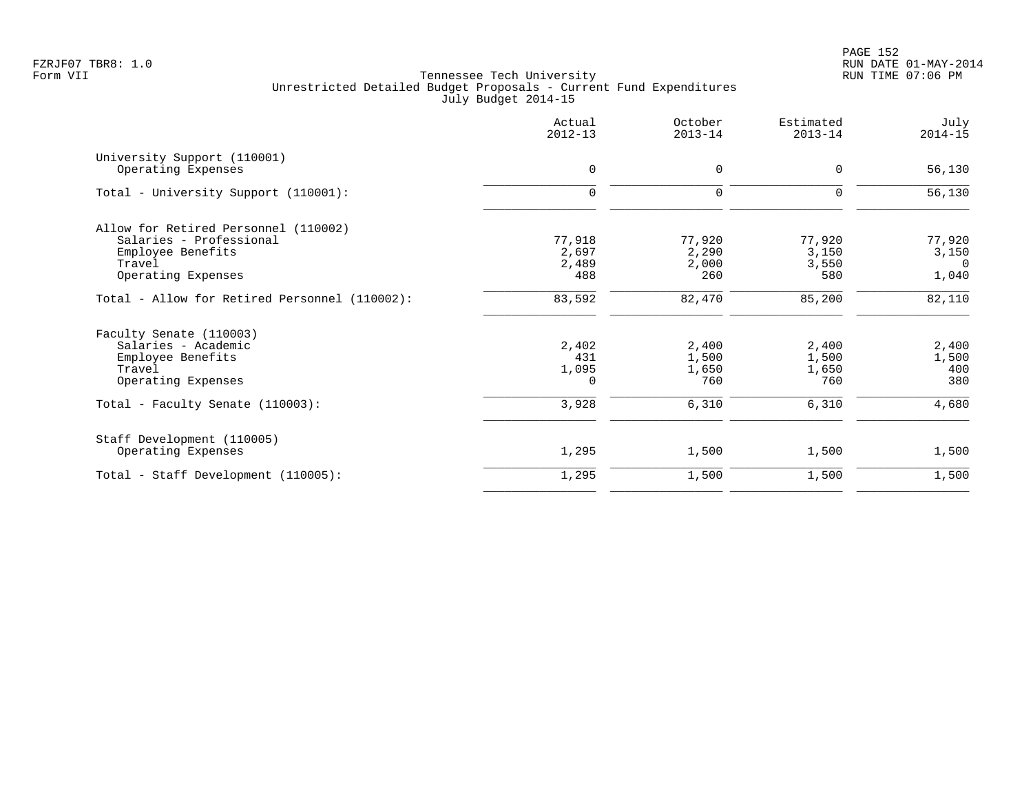|                                                   | Actual<br>$2012 - 13$ | October<br>$2013 - 14$ | Estimated<br>$2013 - 14$ | July<br>$2014 - 15$ |
|---------------------------------------------------|-----------------------|------------------------|--------------------------|---------------------|
| University Support (110001)<br>Operating Expenses | 0                     | $\mathbf 0$            | 0                        | 56,130              |
| Total - University Support (110001):              | $\mathbf 0$           | 0                      | 0                        | 56,130              |
| Allow for Retired Personnel (110002)              |                       |                        |                          |                     |
| Salaries - Professional                           | 77,918                | 77,920                 | 77,920                   | 77,920              |
| Employee Benefits                                 | 2,697                 | 2,290                  | 3,150                    | 3,150               |
| Travel<br>Operating Expenses                      | 2,489<br>488          | 2,000<br>260           | 3,550<br>580             | $\Omega$<br>1,040   |
| Total - Allow for Retired Personnel (110002):     | 83,592                | 82,470                 | 85,200                   | 82,110              |
| Faculty Senate (110003)                           |                       |                        |                          |                     |
| Salaries - Academic                               | 2,402                 | 2,400                  | 2,400                    | 2,400               |
| Employee Benefits                                 | 431                   | 1,500                  | 1,500                    | 1,500               |
| Travel<br>Operating Expenses                      | 1,095<br>0            | 1,650<br>760           | 1,650<br>760             | 400<br>380          |
|                                                   |                       |                        |                          |                     |
| Total - Faculty Senate (110003):                  | 3,928                 | 6,310                  | 6,310                    | 4,680               |
| Staff Development (110005)                        |                       |                        |                          |                     |
| Operating Expenses                                | 1,295                 | 1,500                  | 1,500                    | 1,500               |
| Total - Staff Development (110005):               | 1,295                 | 1,500                  | 1,500                    | 1,500               |
|                                                   |                       |                        |                          |                     |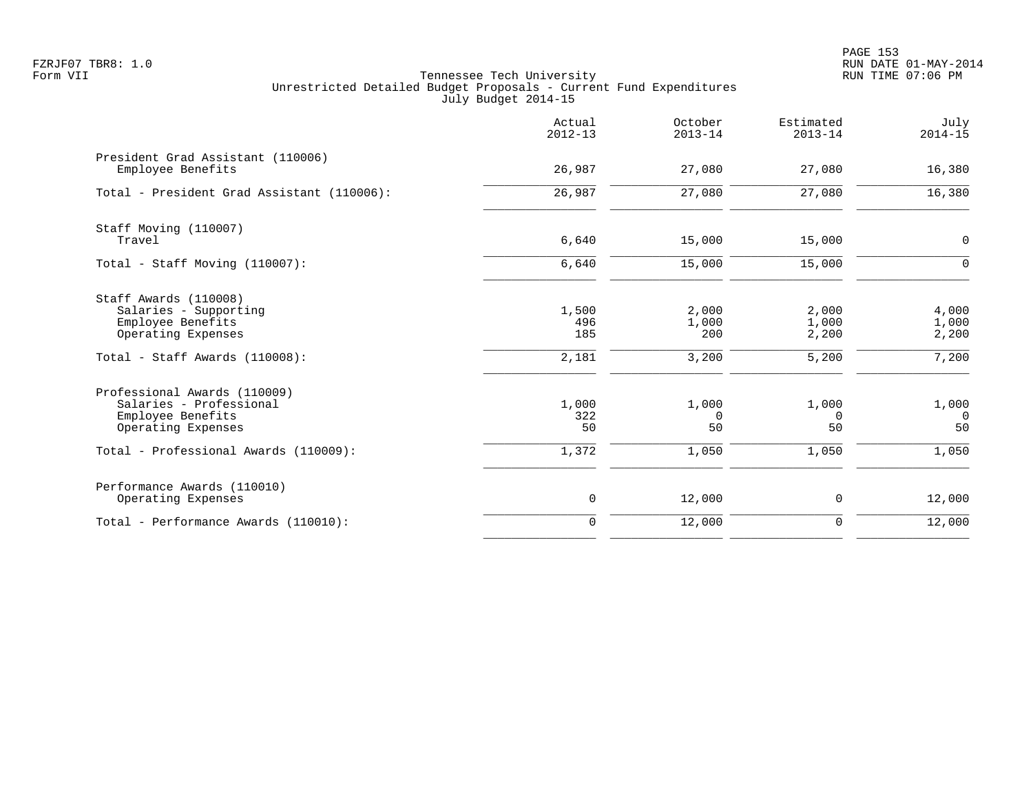PAGE 153 FZRJF07 TBR8: 1.0 RUN DATE 01-MAY-2014

|                                                                                                                                             | Actual<br>$2012 - 13$        | October<br>$2013 - 14$         | Estimated<br>$2013 - 14$         | July<br>$2014 - 15$              |
|---------------------------------------------------------------------------------------------------------------------------------------------|------------------------------|--------------------------------|----------------------------------|----------------------------------|
| President Grad Assistant (110006)<br>Employee Benefits                                                                                      | 26,987                       | 27,080                         | 27,080                           | 16,380                           |
| Total - President Grad Assistant (110006):                                                                                                  | 26,987                       | 27,080                         | 27,080                           | 16,380                           |
| Staff Moving (110007)<br>Travel                                                                                                             | 6,640                        | 15,000                         | 15,000                           | 0                                |
| Total - Staff Moving $(110007)$ :                                                                                                           | 6,640                        | 15,000                         | 15,000                           | $\Omega$                         |
| Staff Awards (110008)<br>Salaries - Supporting<br>Employee Benefits<br>Operating Expenses<br>Total - Staff Awards (110008):                 | 1,500<br>496<br>185<br>2,181 | 2,000<br>1,000<br>200<br>3,200 | 2,000<br>1,000<br>2,200<br>5,200 | 4,000<br>1,000<br>2,200<br>7,200 |
| Professional Awards (110009)<br>Salaries - Professional<br>Employee Benefits<br>Operating Expenses<br>Total - Professional Awards (110009): | 1,000<br>322<br>50<br>1,372  | 1,000<br>0<br>50<br>1,050      | 1,000<br>$\Omega$<br>50<br>1,050 | 1,000<br>$\Omega$<br>50<br>1,050 |
| Performance Awards (110010)<br>Operating Expenses                                                                                           | $\mathbf 0$                  | 12,000                         | $\mathbf 0$                      | 12,000                           |
| Total - Performance Awards (110010):                                                                                                        | $\mathbf 0$                  | 12,000                         | $\mathbf 0$                      | 12,000                           |
|                                                                                                                                             |                              |                                |                                  |                                  |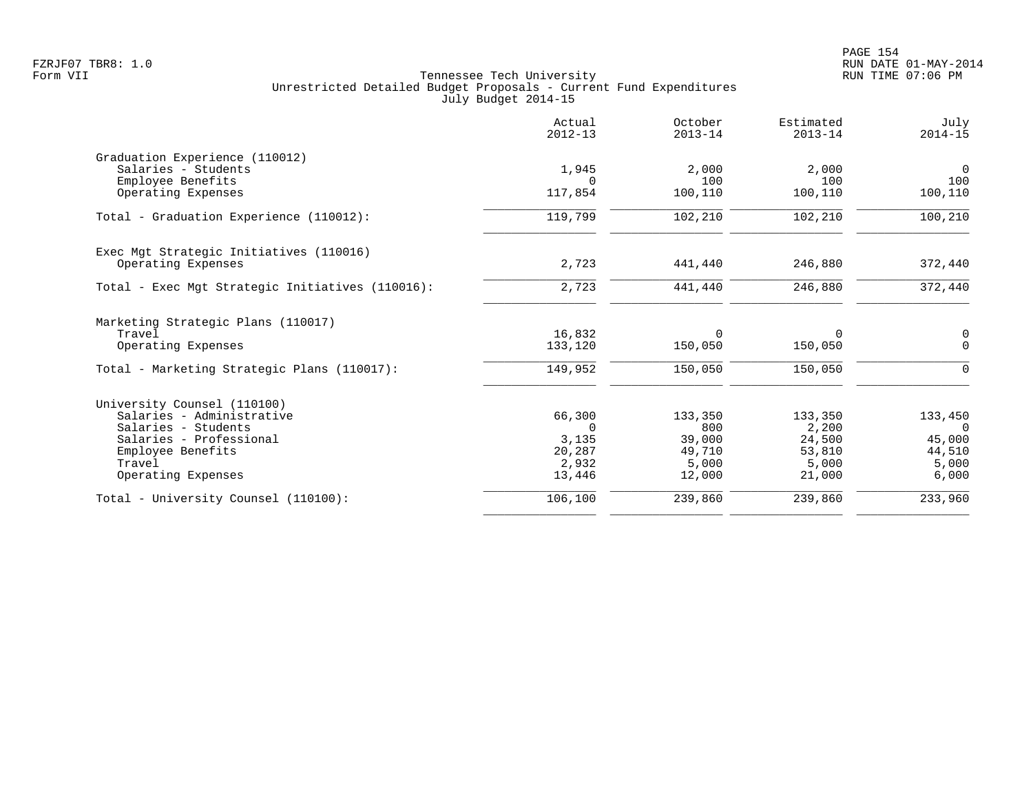|                                                  | Actual<br>$2012 - 13$ | October<br>$2013 - 14$ | Estimated<br>$2013 - 14$ | July<br>$2014 - 15$ |
|--------------------------------------------------|-----------------------|------------------------|--------------------------|---------------------|
| Graduation Experience (110012)                   |                       |                        |                          |                     |
| Salaries - Students                              | 1,945                 | 2,000                  | 2,000                    | $\overline{0}$      |
| Employee Benefits                                | $\Omega$              | 100                    | 100                      | 100                 |
| Operating Expenses                               | 117,854               | 100,110                | 100,110                  | 100,110             |
| Total - Graduation Experience (110012):          | 119,799               | 102,210                | 102,210                  | 100,210             |
| Exec Mgt Strategic Initiatives (110016)          |                       |                        |                          |                     |
| Operating Expenses                               | 2,723                 | 441,440                | 246,880                  | 372,440             |
| Total - Exec Mgt Strategic Initiatives (110016): | 2,723                 | 441,440                | 246,880                  | 372,440             |
| Marketing Strategic Plans (110017)               |                       |                        |                          |                     |
| Travel                                           | 16,832                | $\Omega$               | $\Omega$                 | $\mathbf 0$         |
| Operating Expenses                               | 133,120               | 150,050                | 150,050                  | $\mathbf 0$         |
| Total - Marketing Strategic Plans (110017):      | 149,952               | 150,050                | 150,050                  | 0                   |
| University Counsel (110100)                      |                       |                        |                          |                     |
| Salaries - Administrative                        | 66,300                | 133,350                | 133,350                  | 133,450             |
| Salaries - Students                              | $\Omega$              | 800                    | 2,200                    | $\Omega$            |
| Salaries - Professional                          | 3,135                 | 39,000                 | 24,500                   | 45,000              |
| Employee Benefits                                | 20,287                | 49,710                 | 53,810                   | 44,510              |
| Travel                                           | 2,932                 | 5,000                  | 5,000                    | 5,000               |
| Operating Expenses                               | 13,446                | 12,000                 | 21,000                   | 6,000               |
| Total - University Counsel (110100):             | 106,100               | 239,860                | 239,860                  | 233,960             |
|                                                  |                       |                        |                          |                     |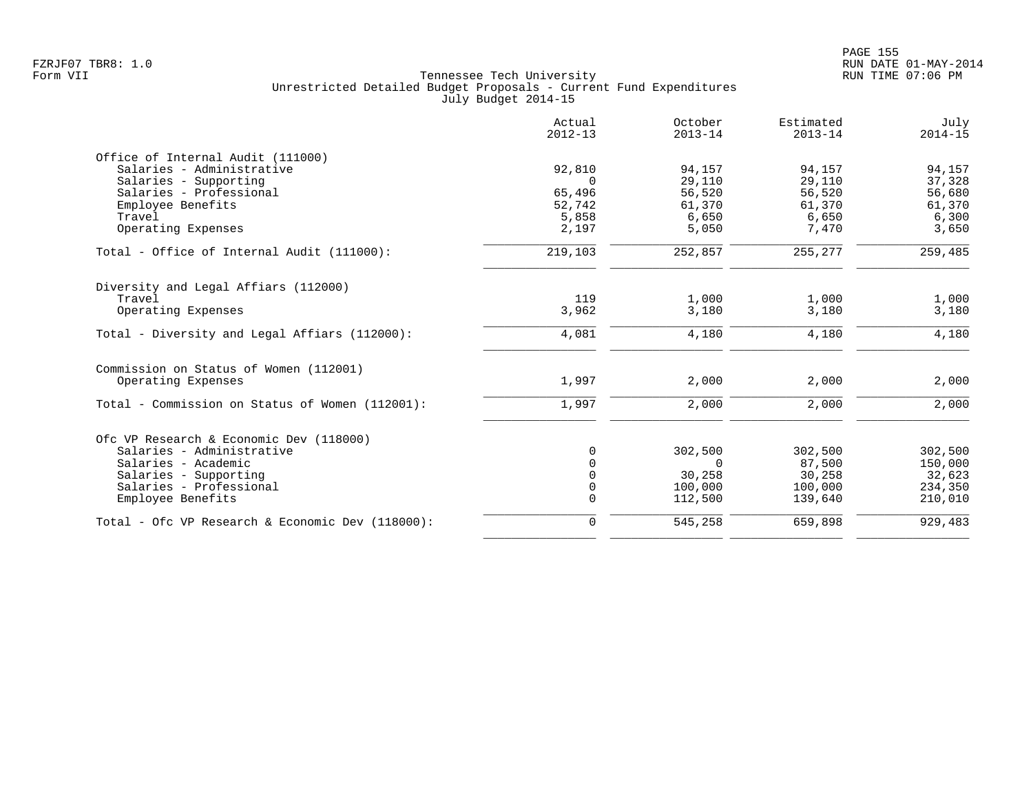|                                                                                                                                                   | Actual<br>$2012 - 13$                           | October<br>$2013 - 14$                        | Estimated<br>$2013 - 14$                      | July<br>$2014 - 15$                           |
|---------------------------------------------------------------------------------------------------------------------------------------------------|-------------------------------------------------|-----------------------------------------------|-----------------------------------------------|-----------------------------------------------|
| Office of Internal Audit (111000)<br>Salaries - Administrative<br>Salaries - Supporting<br>Salaries - Professional<br>Employee Benefits<br>Travel | 92,810<br>$\Omega$<br>65,496<br>52,742<br>5,858 | 94,157<br>29,110<br>56,520<br>61,370<br>6,650 | 94,157<br>29,110<br>56,520<br>61,370<br>6,650 | 94,157<br>37,328<br>56,680<br>61,370<br>6,300 |
| Operating Expenses                                                                                                                                | 2,197                                           | 5,050                                         | 7,470                                         | 3,650                                         |
| Total - Office of Internal Audit (111000):                                                                                                        | 219,103                                         | 252,857                                       | 255,277                                       | 259,485                                       |
| Diversity and Legal Affiars (112000)<br>Travel<br>Operating Expenses                                                                              | 119<br>3,962                                    | 1,000<br>3,180                                | 1,000<br>3,180                                | 1,000<br>3,180                                |
| Total - Diversity and Legal Affiars (112000):                                                                                                     | 4,081                                           | 4,180                                         | 4,180                                         | 4,180                                         |
| Commission on Status of Women (112001)<br>Operating Expenses                                                                                      | 1,997                                           | 2,000                                         | 2,000                                         | 2,000                                         |
| Total - Commission on Status of Women (112001):                                                                                                   | 1,997                                           | 2,000                                         | 2,000                                         | 2,000                                         |
| Ofc VP Research & Economic Dev (118000)                                                                                                           |                                                 |                                               |                                               |                                               |
| Salaries - Administrative                                                                                                                         | $\Omega$                                        | 302,500                                       | 302,500                                       | 302,500                                       |
| Salaries - Academic                                                                                                                               |                                                 | $\Omega$                                      | 87,500                                        | 150,000                                       |
| Salaries - Supporting                                                                                                                             |                                                 | 30,258                                        | 30,258                                        | 32,623                                        |
| Salaries - Professional                                                                                                                           |                                                 | 100,000                                       | 100,000                                       | 234,350                                       |
| Employee Benefits                                                                                                                                 | $\Omega$                                        | 112,500                                       | 139,640                                       | 210,010                                       |
| Total - Ofc VP Research & Economic Dev $(118000)$ :                                                                                               | $\mathbf 0$                                     | 545,258                                       | 659,898                                       | 929,483                                       |
|                                                                                                                                                   |                                                 |                                               |                                               |                                               |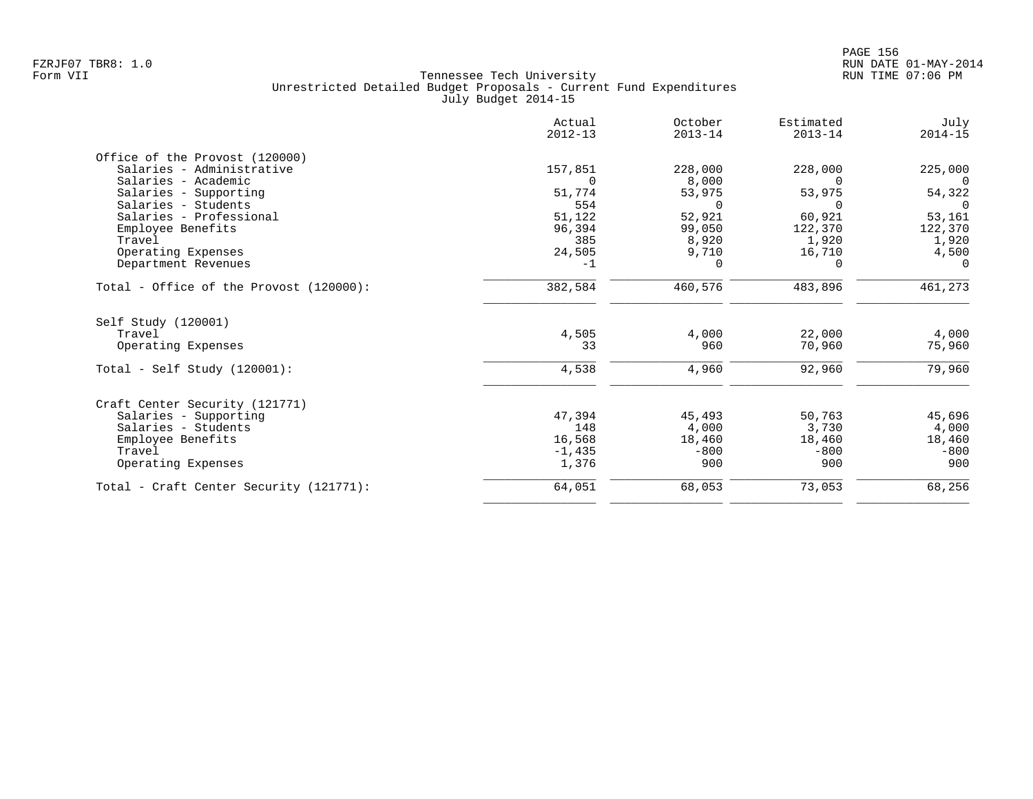|                                         | Actual<br>$2012 - 13$ | October<br>$2013 - 14$ | Estimated<br>$2013 - 14$ | July<br>$2014 - 15$ |
|-----------------------------------------|-----------------------|------------------------|--------------------------|---------------------|
| Office of the Provost (120000)          |                       |                        |                          |                     |
| Salaries - Administrative               | 157,851               | 228,000                | 228,000                  | 225,000             |
| Salaries - Academic                     | $\Omega$              | 8,000                  | $\Omega$                 | $\Omega$            |
| Salaries - Supporting                   | 51,774                | 53,975                 | 53,975                   | 54,322              |
| Salaries - Students                     | 554                   | $\Omega$               |                          | $\Omega$            |
| Salaries - Professional                 | 51,122                | 52,921                 | 60,921                   | 53,161              |
| Employee Benefits                       | 96,394                | 99,050                 | 122,370                  | 122,370             |
| Travel                                  | 385                   | 8,920                  | 1,920                    | 1,920               |
| Operating Expenses                      | 24,505                | 9,710                  | 16,710                   | 4,500               |
| Department Revenues                     | $-1$                  | $\Omega$               | $\Omega$                 | $\Omega$            |
| Total - Office of the Provost (120000): | 382,584               | 460,576                | 483,896                  | 461,273             |
| Self Study (120001)                     |                       |                        |                          |                     |
| Travel                                  | 4,505                 | 4,000                  | 22,000                   | 4,000               |
| Operating Expenses                      | 33                    | 960                    | 70,960                   | 75,960              |
| Total - Self Study $(120001)$ :         | 4,538                 | 4,960                  | 92,960                   | 79,960              |
| Craft Center Security (121771)          |                       |                        |                          |                     |
| Salaries - Supporting                   | 47,394                | 45,493                 | 50,763                   | 45,696              |
| Salaries - Students                     | 148                   | 4,000                  | 3,730                    | 4,000               |
| Employee Benefits                       | 16,568                | 18,460                 | 18,460                   | 18,460              |
| Travel                                  | $-1,435$              | $-800$                 | $-800$                   | $-800$              |
| Operating Expenses                      | 1,376                 | 900                    | 900                      | 900                 |
| Total - Craft Center Security (121771): | 64,051                | 68,053                 | 73,053                   | 68,256              |
|                                         |                       |                        |                          |                     |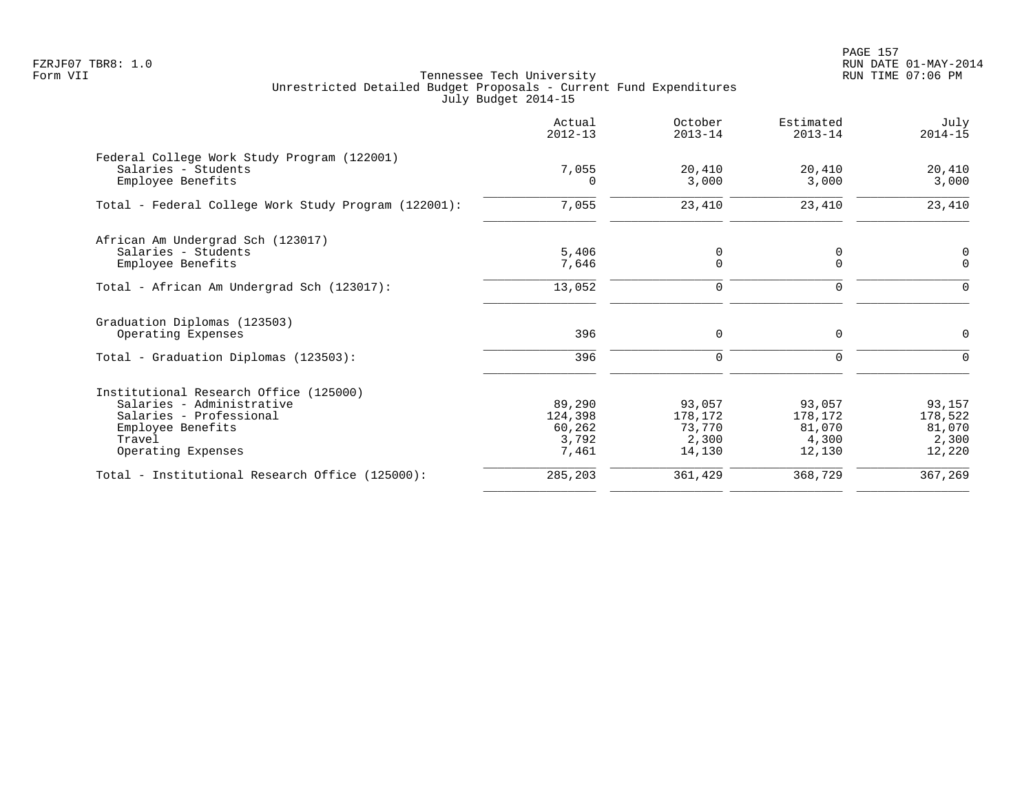PAGE 157 FZRJF07 TBR8: 1.0 RUN DATE 01-MAY-2014

| Actual<br>$2012 - 13$                         | October<br>$2013 - 14$                         | Estimated<br>$2013 - 14$                       | July<br>$2014 - 15$                            |
|-----------------------------------------------|------------------------------------------------|------------------------------------------------|------------------------------------------------|
| 7,055                                         | 20,410                                         | 20,410                                         | 20,410<br>3,000                                |
| 7,055                                         | 23,410                                         | 23,410                                         | 23,410                                         |
| 5,406<br>7,646                                | 0<br>$\mathbf 0$                               | 0<br>$\mathbf 0$                               | 0<br>$\mathbf 0$                               |
| 13,052                                        | $\mathbf 0$                                    | $\mathbf 0$                                    | $\mathbf 0$                                    |
| 396                                           | $\mathbf 0$                                    | $\mathbf 0$                                    | 0<br>$\Omega$                                  |
|                                               |                                                |                                                |                                                |
| 89,290<br>124,398<br>60,262<br>3,792<br>7,461 | 93,057<br>178,172<br>73,770<br>2,300<br>14,130 | 93,057<br>178,172<br>81,070<br>4,300<br>12,130 | 93,157<br>178,522<br>81,070<br>2,300<br>12,220 |
| 285,203                                       | 361,429                                        | 368,729                                        | 367,269                                        |
|                                               | $\Omega$<br>396                                | 3,000<br>$\mathbf 0$                           | 3,000<br>$\Omega$                              |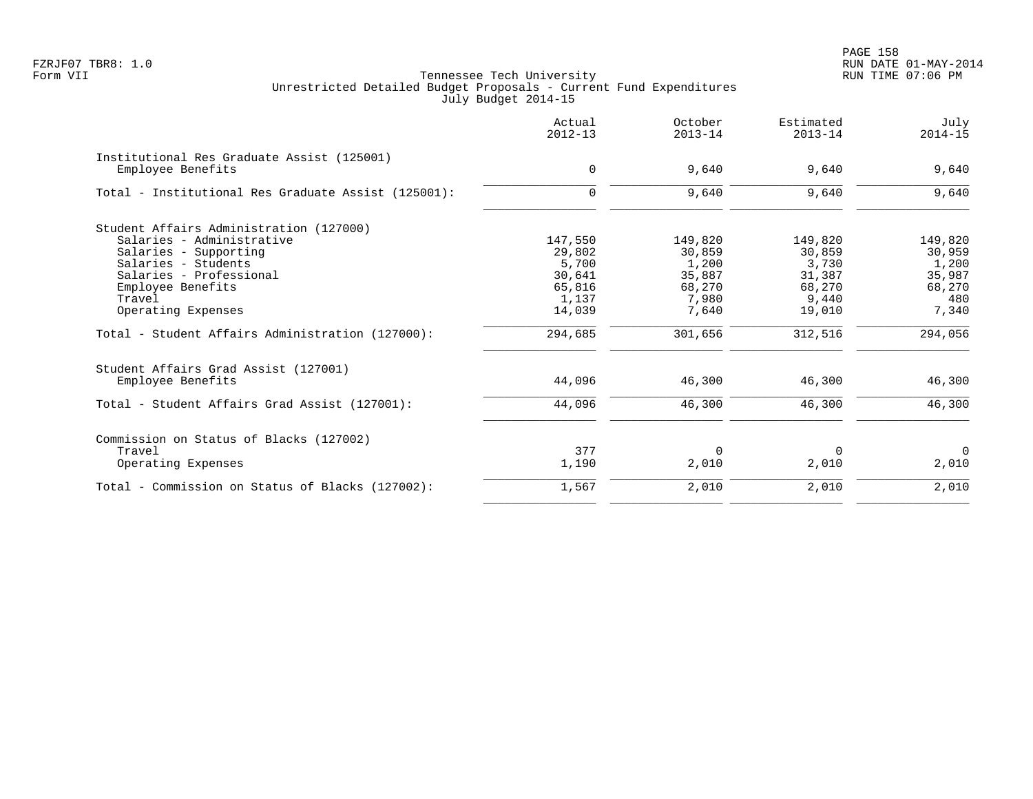en and the set of the set of the set of the set of the set of the set of the set of the set of the set of the set of the set of the set of the set of the set of the set of the set of the set of the set of the set of the se FZRJF07 TBR8: 1.0 RUN DATE 01-MAY-2014

| Actual<br>$2012 - 13$ | October<br>$2013 - 14$                                                 | Estimated<br>$2013 - 14$                                         | July<br>$2014 - 15$                                              |
|-----------------------|------------------------------------------------------------------------|------------------------------------------------------------------|------------------------------------------------------------------|
|                       |                                                                        |                                                                  | 9,640                                                            |
|                       |                                                                        |                                                                  |                                                                  |
| $\Omega$              | 9,640                                                                  | 9,640                                                            | 9,640                                                            |
|                       |                                                                        |                                                                  |                                                                  |
|                       |                                                                        |                                                                  | 149,820                                                          |
|                       |                                                                        |                                                                  | 30,959                                                           |
|                       |                                                                        |                                                                  | 1,200                                                            |
|                       |                                                                        |                                                                  | 35,987                                                           |
|                       |                                                                        |                                                                  | 68,270                                                           |
|                       |                                                                        |                                                                  | 480                                                              |
| 14,039                | 7,640                                                                  | 19,010                                                           | 7,340                                                            |
| 294,685               | 301,656                                                                | 312,516                                                          | 294,056                                                          |
|                       |                                                                        |                                                                  |                                                                  |
| 44,096                | 46,300                                                                 | 46,300                                                           | 46,300                                                           |
| 44,096                | 46,300                                                                 | 46,300                                                           | 46,300                                                           |
|                       |                                                                        |                                                                  |                                                                  |
| 377                   | $\Omega$                                                               | $\Omega$                                                         | $\Omega$                                                         |
| 1,190                 | 2,010                                                                  | 2,010                                                            | 2,010                                                            |
| 1,567                 | 2,010                                                                  | 2,010                                                            | 2,010                                                            |
|                       | $\mathbf 0$<br>147,550<br>29,802<br>5,700<br>30,641<br>65,816<br>1,137 | 9,640<br>149,820<br>30,859<br>1,200<br>35,887<br>68,270<br>7,980 | 9,640<br>149,820<br>30,859<br>3,730<br>31,387<br>68,270<br>9,440 |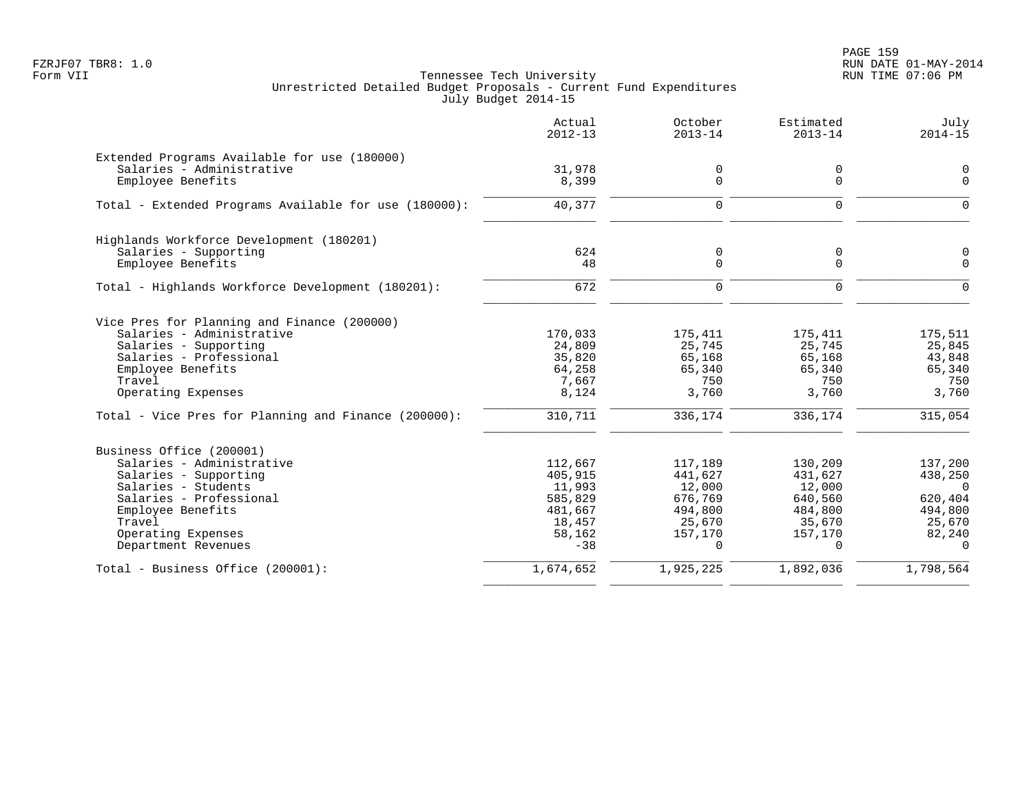PAGE 159 FZRJF07 TBR8: 1.0 RUN DATE 01-MAY-2014

|                                                                           | Actual<br>$2012 - 13$ | October<br>$2013 - 14$ | Estimated<br>$2013 - 14$ | July<br>$2014 - 15$     |
|---------------------------------------------------------------------------|-----------------------|------------------------|--------------------------|-------------------------|
| Extended Programs Available for use (180000)<br>Salaries - Administrative | 31,978                | 0                      | 0                        | $\mathbf 0$             |
| Employee Benefits                                                         | 8,399                 | 0                      | $\mathbf 0$              | $\Omega$                |
| Total - Extended Programs Available for use (180000):                     | 40, 377               | $\Omega$               | $\Omega$                 | $\Omega$                |
| Highlands Workforce Development (180201)                                  |                       |                        |                          |                         |
| Salaries - Supporting<br>Employee Benefits                                | 624<br>48             | 0<br>0                 | 0<br>$\mathbf 0$         | $\mathbf 0$<br>$\Omega$ |
| Total - Highlands Workforce Development (180201):                         | 672                   | $\Omega$               | $\Omega$                 | $\Omega$                |
| Vice Pres for Planning and Finance (200000)                               |                       |                        |                          |                         |
| Salaries - Administrative                                                 | 170,033               | 175,411                | 175,411                  | 175,511                 |
| Salaries - Supporting                                                     | 24,809                | 25,745                 | 25,745                   | 25,845                  |
| Salaries - Professional                                                   | 35,820                | 65,168                 | 65,168                   | 43,848                  |
| Employee Benefits<br>Travel                                               | 64,258<br>7,667       | 65,340<br>750          | 65,340<br>750            | 65,340<br>750           |
| Operating Expenses                                                        | 8,124                 | 3,760                  | 3,760                    | 3,760                   |
| Total - Vice Pres for Planning and Finance (200000):                      | 310,711               | 336,174                | 336,174                  | 315,054                 |
| Business Office (200001)                                                  |                       |                        |                          |                         |
| Salaries - Administrative                                                 | 112,667               | 117,189                | 130,209                  | 137,200                 |
| Salaries - Supporting                                                     | 405,915               | 441,627                | 431,627                  | 438,250                 |
| Salaries - Students                                                       | 11,993                | 12,000                 | 12,000                   | $\Omega$                |
| Salaries - Professional                                                   | 585,829               | 676,769                | 640,560                  | 620,404                 |
| Employee Benefits                                                         | 481,667               | 494,800                | 484,800                  | 494,800                 |
| Travel                                                                    | 18,457                | 25,670                 | 35,670                   | 25,670                  |
| Operating Expenses<br>Department Revenues                                 | 58,162<br>$-38$       | 157,170<br>$\Omega$    | 157,170<br>$\Omega$      | 82,240<br>$\Omega$      |
| Total - Business Office (200001):                                         | 1,674,652             | 1,925,225              | 1,892,036                | 1,798,564               |
|                                                                           |                       |                        |                          |                         |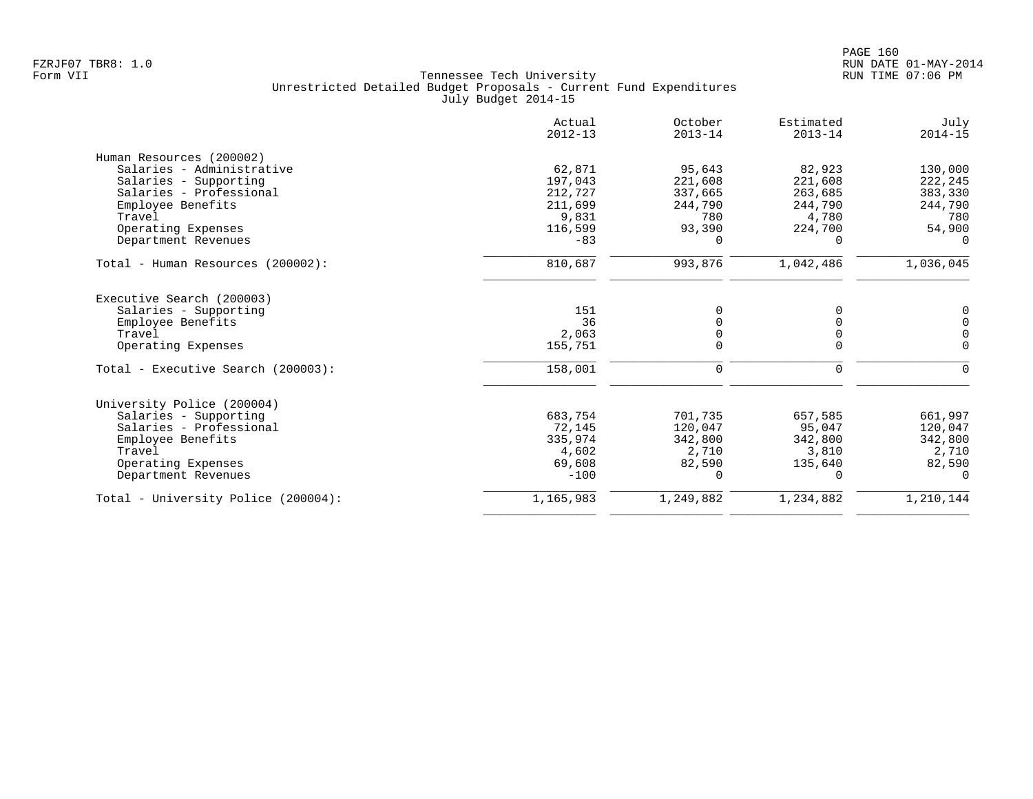|                                     | Actual<br>$2012 - 13$ | October<br>$2013 - 14$ | Estimated<br>$2013 - 14$ | July<br>$2014 - 15$ |
|-------------------------------------|-----------------------|------------------------|--------------------------|---------------------|
| Human Resources (200002)            |                       |                        |                          |                     |
| Salaries - Administrative           | 62,871                | 95,643                 | 82,923                   | 130,000             |
| Salaries - Supporting               | 197,043               | 221,608                | 221,608                  | 222,245             |
| Salaries - Professional             | 212,727               | 337,665                | 263,685                  | 383,330             |
| Employee Benefits                   | 211,699               | 244,790                | 244,790                  | 244,790             |
| Travel                              | 9,831                 | 780                    | 4,780                    | 780                 |
| Operating Expenses                  | 116,599               | 93,390                 | 224,700                  | 54,900              |
| Department Revenues                 | $-83$                 | $\Omega$               | $\Omega$                 | $\Omega$            |
| Total - Human Resources (200002):   | 810,687               | 993,876                | 1,042,486                | 1,036,045           |
| Executive Search (200003)           |                       |                        |                          |                     |
| Salaries - Supporting               | 151                   | 0                      | 0                        | 0                   |
| Employee Benefits                   | 36                    | $\Omega$               | O                        | $\mathbf 0$         |
| Travel                              | 2,063                 | 0                      | 0                        | $\mathbf 0$         |
| Operating Expenses                  | 155,751               | $\Omega$               | $\Omega$                 | $\Omega$            |
| Total - Executive Search (200003):  | 158,001               | 0                      | 0                        | 0                   |
| University Police (200004)          |                       |                        |                          |                     |
| Salaries - Supporting               | 683,754               | 701,735                | 657,585                  | 661,997             |
| Salaries - Professional             | 72,145                | 120,047                | 95,047                   | 120,047             |
| Employee Benefits                   | 335,974               | 342,800                | 342,800                  | 342,800             |
| Travel                              | 4,602                 | 2,710                  | 3,810                    | 2,710               |
| Operating Expenses                  | 69,608                | 82,590                 | 135,640                  | 82,590              |
| Department Revenues                 | $-100$                | $\Omega$               | $\Omega$                 | $\Omega$            |
| Total - University Police (200004): | 1,165,983             | 1,249,882              | 1,234,882                | 1,210,144           |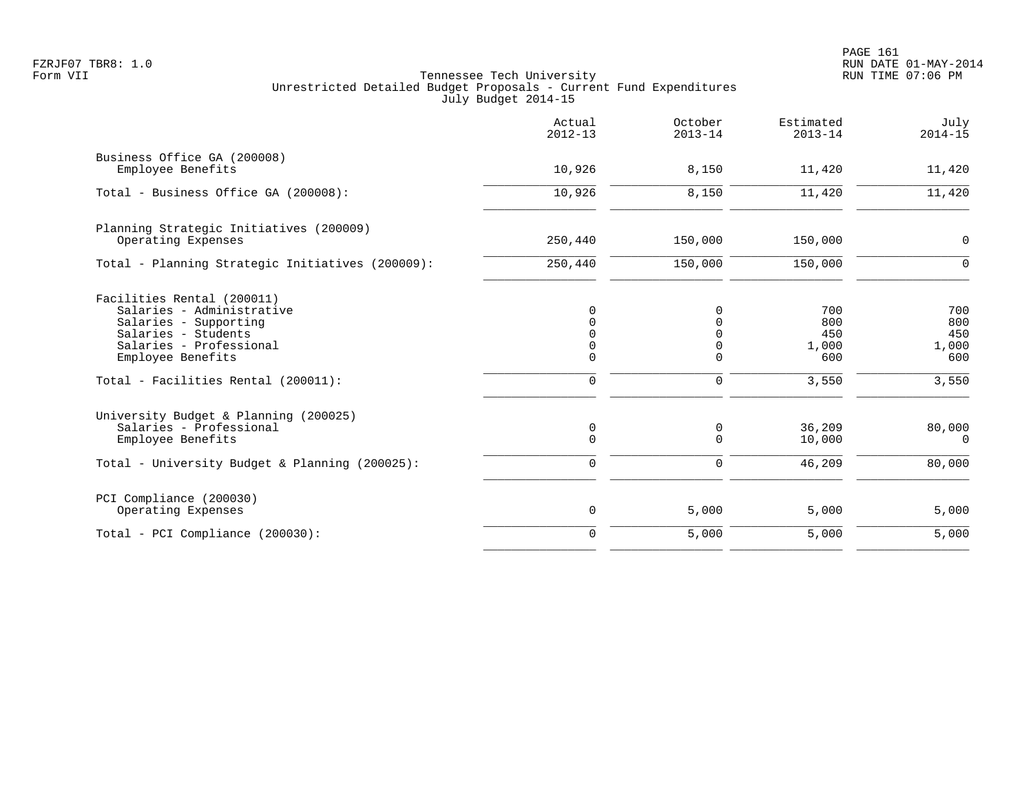|                                                                                                                                                                                                | Actual<br>$2012 - 13$                         | October<br>$2013 - 14$                                       | Estimated<br>$2013 - 14$                   | July<br>$2014 - 15$                        |
|------------------------------------------------------------------------------------------------------------------------------------------------------------------------------------------------|-----------------------------------------------|--------------------------------------------------------------|--------------------------------------------|--------------------------------------------|
| Business Office GA (200008)<br>Employee Benefits                                                                                                                                               | 10,926                                        | 8,150                                                        | 11,420                                     | 11,420                                     |
| Total - Business Office GA (200008):                                                                                                                                                           | 10,926                                        | 8,150                                                        | 11,420                                     | 11,420                                     |
| Planning Strategic Initiatives (200009)<br>Operating Expenses                                                                                                                                  | 250,440                                       | 150,000                                                      | 150,000                                    | 0                                          |
| Total - Planning Strategic Initiatives (200009):                                                                                                                                               | 250,440                                       | 150,000                                                      | 150,000                                    | 0                                          |
| Facilities Rental (200011)<br>Salaries - Administrative<br>Salaries - Supporting<br>Salaries - Students<br>Salaries - Professional<br>Employee Benefits<br>Total - Facilities Rental (200011): | 0<br>$\Omega$<br>$\Omega$<br>$\mathbf 0$<br>0 | 0<br>$\Omega$<br>$\Omega$<br>0<br>$\mathbf 0$<br>$\mathbf 0$ | 700<br>800<br>450<br>1,000<br>600<br>3,550 | 700<br>800<br>450<br>1,000<br>600<br>3,550 |
| University Budget & Planning (200025)<br>Salaries - Professional<br>Employee Benefits<br>Total - University Budget & Planning (200025):                                                        | $\mathbf 0$<br>$\mathbf 0$<br>$\mathbf 0$     | $\mathbf 0$<br>$\mathbf 0$<br>$\mathbf 0$                    | 36,209<br>10,000<br>46,209                 | 80,000<br>$\overline{0}$<br>80,000         |
| PCI Compliance (200030)<br>Operating Expenses                                                                                                                                                  | $\mathbf 0$                                   | 5,000                                                        | 5,000                                      | 5,000                                      |
| Total - PCI Compliance (200030):                                                                                                                                                               | $\mathbf 0$                                   | 5,000                                                        | 5,000                                      | 5,000                                      |
|                                                                                                                                                                                                |                                               |                                                              |                                            |                                            |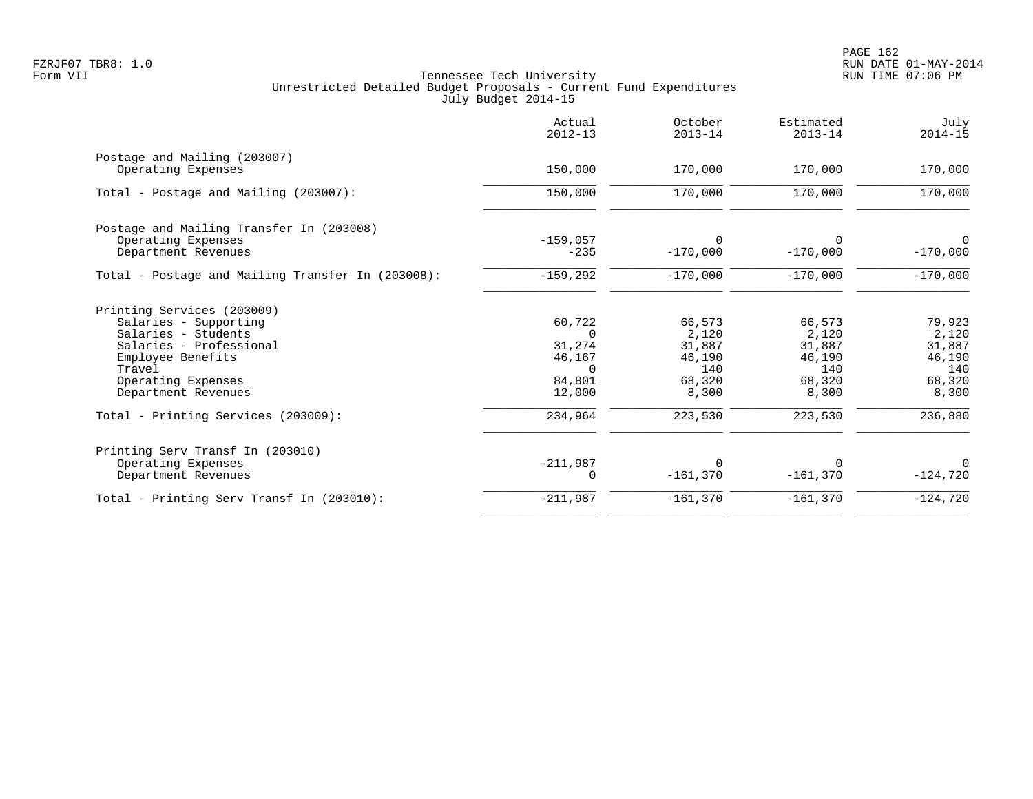|                                                    | Actual<br>$2012 - 13$ | October<br>$2013 - 14$ | Estimated<br>$2013 - 14$ | July<br>$2014 - 15$ |
|----------------------------------------------------|-----------------------|------------------------|--------------------------|---------------------|
| Postage and Mailing (203007)<br>Operating Expenses | 150,000               | 170,000                | 170,000                  | 170,000             |
|                                                    |                       |                        |                          |                     |
| Total - Postage and Mailing (203007):              | 150,000               | 170,000                | 170,000                  | 170,000             |
| Postage and Mailing Transfer In (203008)           |                       |                        |                          |                     |
| Operating Expenses                                 | $-159,057$            | $\Omega$               | $\Omega$                 | $\mathbf 0$         |
| Department Revenues                                | $-235$                | $-170,000$             | $-170,000$               | $-170,000$          |
| Total - Postage and Mailing Transfer In (203008):  | $-159,292$            | $-170,000$             | $-170,000$               | $-170,000$          |
| Printing Services (203009)                         |                       |                        |                          |                     |
| Salaries - Supporting                              | 60,722                | 66,573                 | 66,573                   | 79,923              |
| Salaries - Students                                | $\Omega$              | 2,120                  | 2,120                    | 2,120               |
| Salaries - Professional                            | 31,274                | 31,887                 | 31,887                   | 31,887              |
| Employee Benefits                                  | 46,167                | 46,190                 | 46,190                   | 46,190              |
| Travel                                             | $\Omega$              | 140                    | 140                      | 140                 |
| Operating Expenses<br>Department Revenues          | 84,801<br>12,000      | 68,320<br>8,300        | 68,320<br>8,300          | 68,320<br>8,300     |
| Total - Printing Services (203009):                | 234,964               | 223,530                | 223,530                  | 236,880             |
| Printing Serv Transf In (203010)                   |                       |                        |                          |                     |
| Operating Expenses                                 | $-211,987$            | $\Omega$               |                          | $\Omega$            |
| Department Revenues                                | 0                     | $-161,370$             | $-161,370$               | $-124,720$          |
| Total - Printing Serv Transf In (203010):          | $-211,987$            | $-161,370$             | $-161,370$               | $-124,720$          |
|                                                    |                       |                        |                          |                     |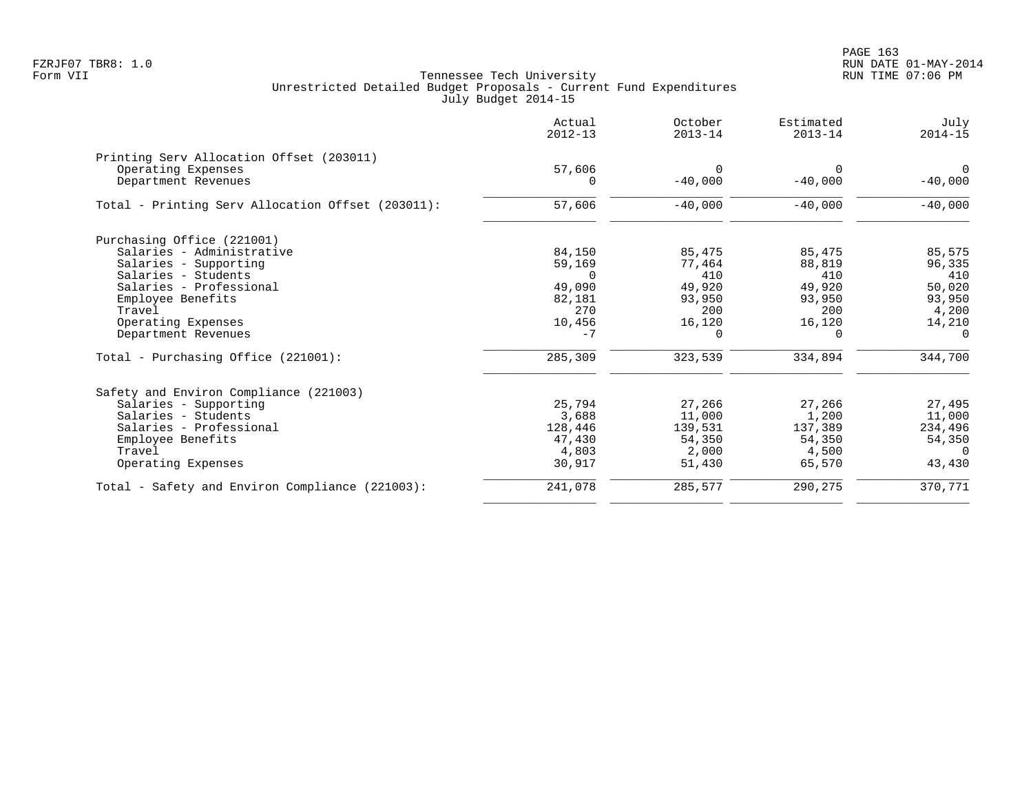PAGE 163 FZRJF07 TBR8: 1.0 RUN DATE 01-MAY-2014

|                                                   | Actual<br>$2012 - 13$ | October<br>$2013 - 14$ | Estimated<br>$2013 - 14$ | July<br>$2014 - 15$   |
|---------------------------------------------------|-----------------------|------------------------|--------------------------|-----------------------|
| Printing Serv Allocation Offset (203011)          |                       |                        |                          |                       |
| Operating Expenses<br>Department Revenues         | 57,606<br>$\Omega$    | $\Omega$<br>$-40,000$  | $\Omega$<br>$-40,000$    | $\Omega$<br>$-40,000$ |
| Total - Printing Serv Allocation Offset (203011): | 57,606                | $-40,000$              | $-40,000$                | $-40,000$             |
| Purchasing Office (221001)                        |                       |                        |                          |                       |
| Salaries - Administrative                         | 84,150                | 85,475                 | 85,475                   | 85,575                |
| Salaries - Supporting                             | 59,169                | 77,464                 | 88,819                   | 96,335                |
| Salaries - Students                               | $\cap$                | 410                    | 410                      | 410                   |
| Salaries - Professional                           | 49,090                | 49,920                 | 49,920                   | 50,020                |
| Employee Benefits                                 | 82,181                | 93,950                 | 93,950                   | 93,950                |
| Travel                                            | 270                   | 200                    | 200                      | 4,200                 |
| Operating Expenses                                | 10,456                | 16,120                 | 16,120                   | 14,210                |
| Department Revenues                               | $-7$                  | $\Omega$               | $\Omega$                 | $\Omega$              |
| Total - Purchasing Office (221001):               | 285,309               | 323,539                | 334,894                  | 344,700               |
| Safety and Environ Compliance (221003)            |                       |                        |                          |                       |
| Salaries - Supporting                             | 25,794                | 27,266                 | 27,266                   | 27,495                |
| Salaries - Students                               | 3,688                 | 11,000                 | 1,200                    | 11,000                |
| Salaries - Professional                           | 128,446               | 139,531                | 137,389                  | 234,496               |
| Employee Benefits                                 | 47,430                | 54,350                 | 54,350                   | 54,350                |
| Travel                                            | 4,803                 | 2,000                  | 4,500                    | $\Omega$              |
| Operating Expenses                                | 30,917                | 51,430                 | 65,570                   | 43,430                |
| Total - Safety and Environ Compliance (221003):   | 241,078               | 285,577                | 290,275                  | 370,771               |
|                                                   |                       |                        |                          |                       |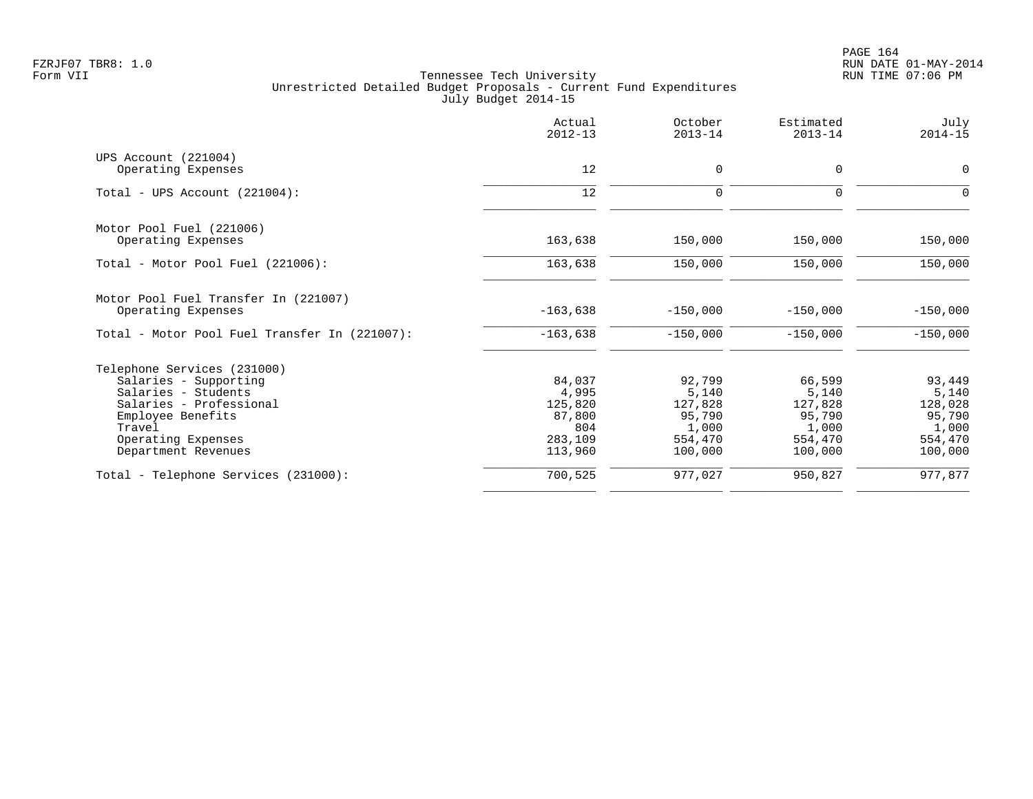|                                                            | Actual<br>$2012 - 13$ | October<br>$2013 - 14$ | Estimated<br>$2013 - 14$ | July<br>$2014 - 15$ |
|------------------------------------------------------------|-----------------------|------------------------|--------------------------|---------------------|
| UPS Account (221004)                                       |                       |                        |                          |                     |
| Operating Expenses                                         | 12                    | $\mathbf 0$            | 0                        | $\mathbf 0$         |
| Total - UPS Account $(221004)$ :                           | 12                    | $\mathbf 0$            | 0                        | $\Omega$            |
| Motor Pool Fuel (221006)                                   |                       |                        |                          |                     |
| Operating Expenses                                         | 163,638               | 150,000                | 150,000                  | 150,000             |
| Total - Motor Pool Fuel (221006):                          | 163,638               | 150,000                | 150,000                  | 150,000             |
| Motor Pool Fuel Transfer In (221007)<br>Operating Expenses | $-163,638$            | $-150,000$             | $-150,000$               | $-150,000$          |
| Total - Motor Pool Fuel Transfer In (221007):              | $-163,638$            | $-150,000$             | $-150,000$               | $-150,000$          |
| Telephone Services (231000)                                |                       |                        |                          |                     |
| Salaries - Supporting                                      | 84,037                | 92,799                 | 66,599                   | 93,449              |
| Salaries - Students                                        | 4,995                 | 5,140                  | 5,140                    | 5,140               |
| Salaries - Professional                                    | 125,820               | 127,828                | 127,828                  | 128,028             |
| Employee Benefits                                          | 87,800                | 95,790                 | 95,790                   | 95,790              |
| Travel                                                     | 804                   | 1,000                  | 1,000                    | 1,000               |
| Operating Expenses                                         | 283,109               | 554,470                | 554,470                  | 554,470             |
| Department Revenues                                        | 113,960               | 100,000                | 100,000                  | 100,000             |
| Total - Telephone Services (231000):                       | 700,525               | 977,027                | 950,827                  | 977,877             |
|                                                            |                       |                        |                          |                     |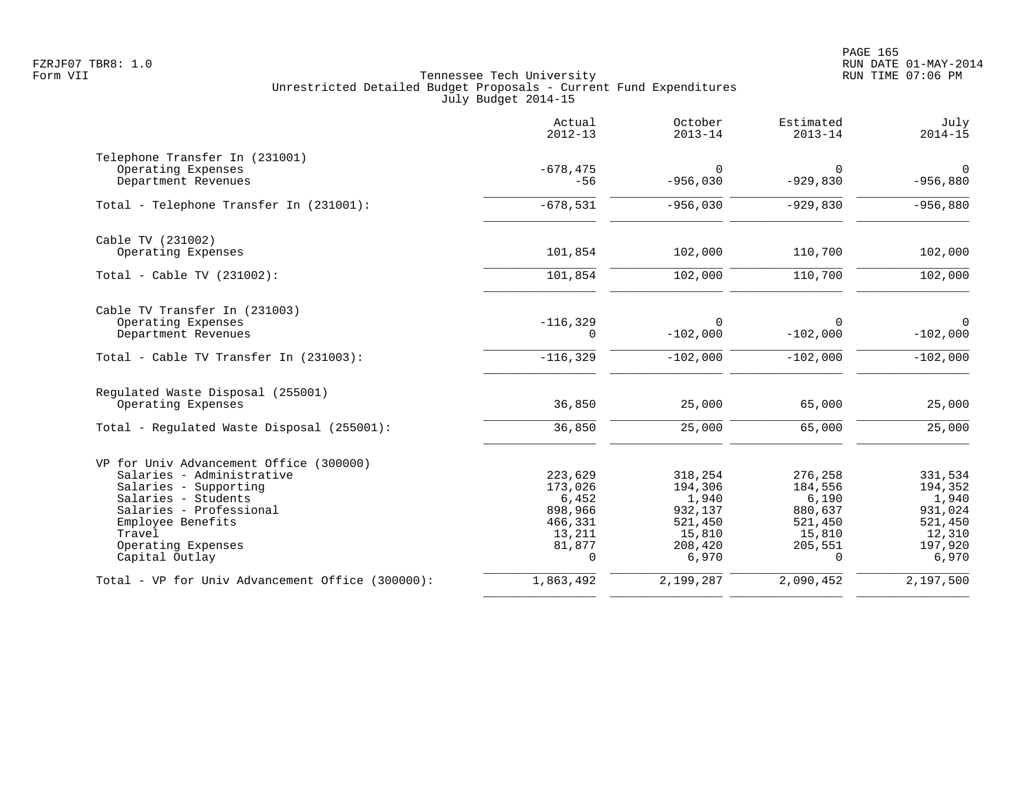|                                                  | Actual<br>$2012 - 13$ | October<br>$2013 - 14$ | Estimated<br>$2013 - 14$ | July<br>$2014 - 15$ |
|--------------------------------------------------|-----------------------|------------------------|--------------------------|---------------------|
| Telephone Transfer In (231001)                   |                       |                        |                          |                     |
| Operating Expenses                               | $-678, 475$           | $\Omega$               | 0                        | $\mathbf 0$         |
| Department Revenues                              | $-56$                 | $-956,030$             | $-929,830$               | $-956,880$          |
| Total - Telephone Transfer In (231001):          | $-678,531$            | $-956,030$             | $-929,830$               | $-956,880$          |
| Cable TV (231002)                                |                       |                        |                          |                     |
| Operating Expenses                               | 101,854               | 102,000                | 110,700                  | 102,000             |
| Total - Cable TV $(231002)$ :                    | 101,854               | 102,000                | 110,700                  | 102,000             |
| Cable TV Transfer In (231003)                    |                       |                        |                          |                     |
| Operating Expenses                               | $-116, 329$           | $\Omega$               | <sup>0</sup>             | 0                   |
| Department Revenues                              | 0                     | $-102,000$             | $-102,000$               | $-102,000$          |
| Total - Cable TV Transfer In (231003):           | $-116, 329$           | $-102,000$             | $-102,000$               | $-102,000$          |
| Regulated Waste Disposal (255001)                |                       |                        |                          |                     |
| Operating Expenses                               | 36,850                | 25,000                 | 65,000                   | 25,000              |
| Total - Regulated Waste Disposal (255001):       | 36,850                | 25,000                 | 65,000                   | 25,000              |
| VP for Univ Advancement Office (300000)          |                       |                        |                          |                     |
| Salaries - Administrative                        | 223,629               | 318,254                | 276,258                  | 331,534             |
| Salaries - Supporting                            | 173,026               | 194,306                | 184,556                  | 194,352             |
| Salaries - Students                              | 6,452                 | 1,940                  | 6,190                    | 1,940               |
| Salaries - Professional                          | 898,966               | 932,137                | 880,637                  | 931,024             |
| Employee Benefits<br>Travel                      | 466,331<br>13,211     | 521,450                | 521,450<br>15,810        | 521,450<br>12,310   |
| Operating Expenses                               | 81,877                | 15,810<br>208,420      | 205,551                  | 197,920             |
| Capital Outlay                                   | $\Omega$              | 6,970                  | $\Omega$                 | 6,970               |
| Total - VP for Univ Advancement Office (300000): | 1,863,492             | 2,199,287              | 2,090,452                | 2,197,500           |
|                                                  |                       |                        |                          |                     |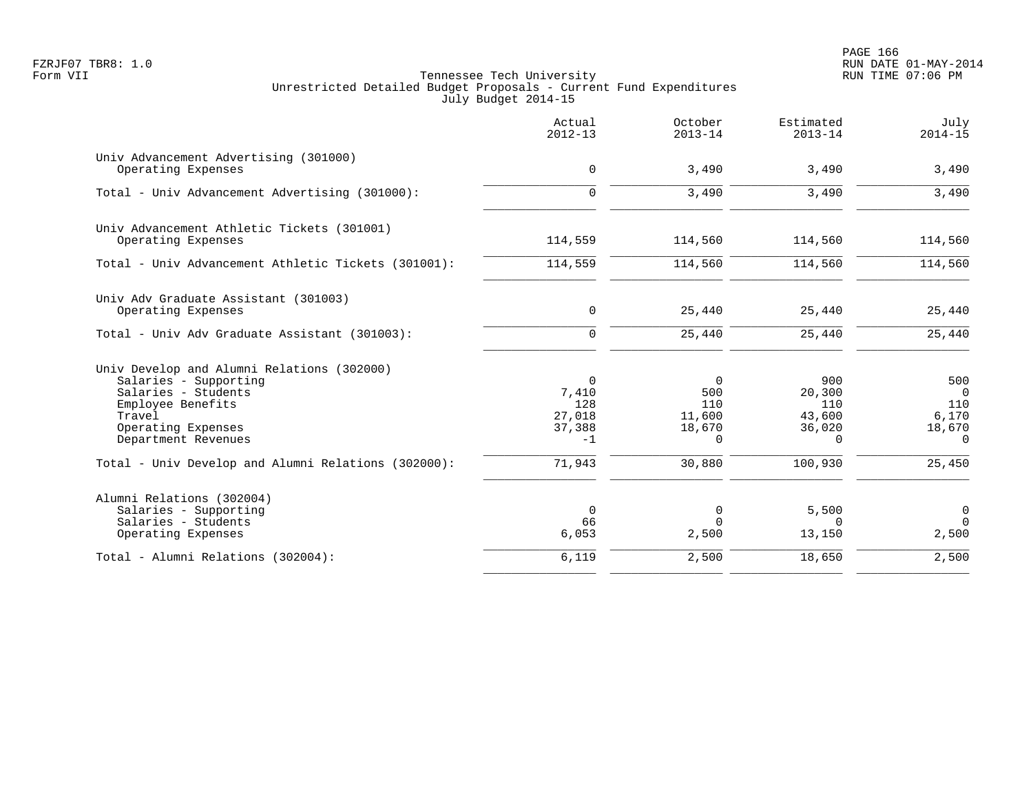PAGE 166 FZRJF07 TBR8: 1.0 RUN DATE 01-MAY-2014

|                                                                                                                                                                        | Actual<br>$2012 - 13$                                | October<br>$2013 - 14$                                 | Estimated<br>$2013 - 14$                             | July<br>$2014 - 15$                                         |
|------------------------------------------------------------------------------------------------------------------------------------------------------------------------|------------------------------------------------------|--------------------------------------------------------|------------------------------------------------------|-------------------------------------------------------------|
| Univ Advancement Advertising (301000)<br>Operating Expenses                                                                                                            | $\mathsf{O}$                                         | 3,490                                                  | 3,490                                                | 3,490                                                       |
| Total - Univ Advancement Advertising (301000):                                                                                                                         | $\Omega$                                             | 3,490                                                  | 3,490                                                | 3,490                                                       |
| Univ Advancement Athletic Tickets (301001)<br>Operating Expenses                                                                                                       | 114,559                                              | 114,560                                                | 114,560                                              | 114,560                                                     |
| Total - Univ Advancement Athletic Tickets (301001):                                                                                                                    | 114,559                                              | 114,560                                                | 114,560                                              | 114,560                                                     |
| Univ Adv Graduate Assistant (301003)<br>Operating Expenses                                                                                                             | $\mathsf{O}$                                         | 25,440                                                 | 25,440                                               | 25,440                                                      |
| Total - Univ Adv Graduate Assistant (301003):                                                                                                                          | $\overline{0}$                                       | 25,440                                                 | 25,440                                               | 25,440                                                      |
| Univ Develop and Alumni Relations (302000)<br>Salaries - Supporting<br>Salaries - Students<br>Employee Benefits<br>Travel<br>Operating Expenses<br>Department Revenues | $\Omega$<br>7,410<br>128<br>27,018<br>37,388<br>$-1$ | $\Omega$<br>500<br>110<br>11,600<br>18,670<br>$\Omega$ | 900<br>20,300<br>110<br>43,600<br>36,020<br>$\Omega$ | 500<br>$\overline{0}$<br>110<br>6,170<br>18,670<br>$\Omega$ |
| Total - Univ Develop and Alumni Relations (302000):                                                                                                                    | 71,943                                               | 30,880                                                 | 100,930                                              | 25,450                                                      |
| Alumni Relations (302004)<br>Salaries - Supporting<br>Salaries - Students<br>Operating Expenses                                                                        | $\mathbf 0$<br>66<br>6,053                           | 0<br>$\Omega$<br>2,500                                 | 5,500<br>$\Omega$<br>13,150                          | 0<br>$\Omega$<br>2,500                                      |
| Total - Alumni Relations (302004):                                                                                                                                     | 6,119                                                | 2,500                                                  | 18,650                                               | 2,500                                                       |
|                                                                                                                                                                        |                                                      |                                                        |                                                      |                                                             |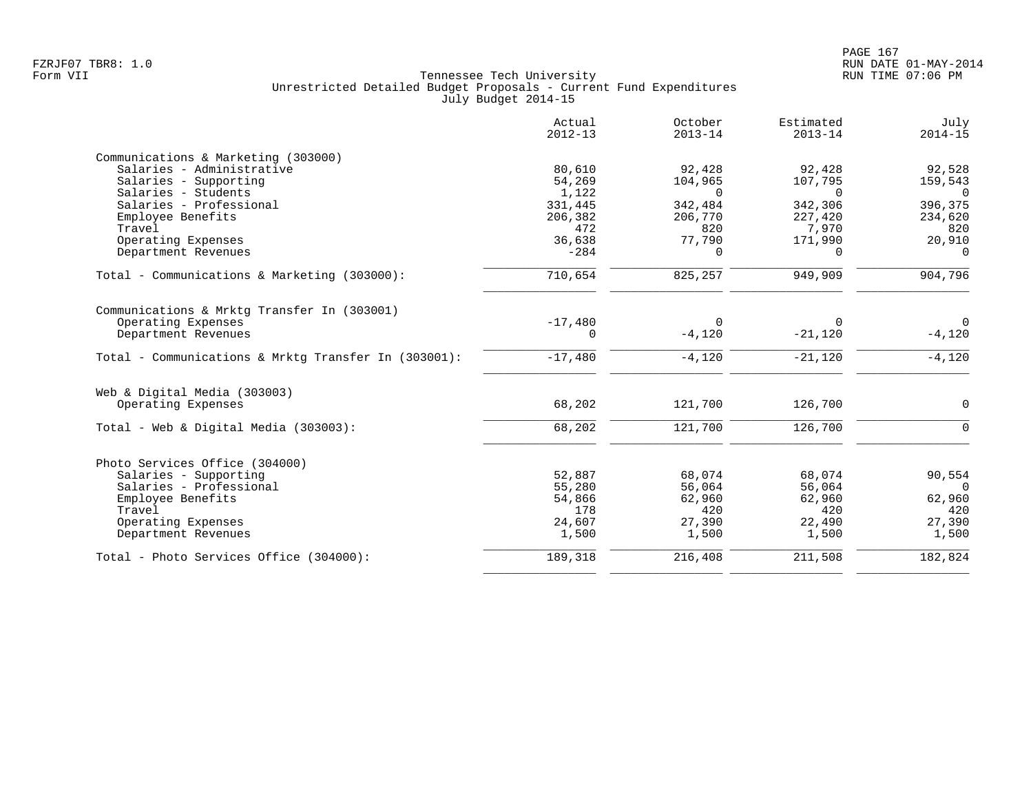|                                                      | Actual<br>$2012 - 13$ | October<br>$2013 - 14$ | Estimated<br>$2013 - 14$ | July<br>$2014 - 15$ |
|------------------------------------------------------|-----------------------|------------------------|--------------------------|---------------------|
| Communications & Marketing (303000)                  |                       |                        |                          |                     |
| Salaries - Administrative                            | 80,610                | 92,428                 | 92,428                   | 92,528              |
| Salaries - Supporting                                | 54,269                | 104,965                | 107,795                  | 159,543             |
| Salaries - Students                                  | 1,122                 | $\Omega$               | $\Omega$                 | $\bigcap$           |
| Salaries - Professional                              | 331,445               | 342,484                | 342,306                  | 396,375             |
| Employee Benefits                                    | 206,382               | 206,770                | 227,420                  | 234,620             |
| Travel                                               | 472                   | 820                    | 7,970                    | 820                 |
| Operating Expenses                                   | 36,638                | 77,790                 | 171,990                  | 20,910              |
| Department Revenues                                  | $-284$                | $\Omega$               | $\Omega$                 | $\Omega$            |
| Total - Communications & Marketing (303000):         | 710,654               | 825,257                | 949,909                  | 904,796             |
| Communications & Mrktg Transfer In (303001)          |                       |                        |                          |                     |
| Operating Expenses                                   | $-17,480$             | $\Omega$               | $\Omega$                 | $\Omega$            |
| Department Revenues                                  | 0                     | $-4,120$               | $-21,120$                | $-4,120$            |
| Total - Communications & Mrktq Transfer In (303001): | $-17,480$             | $-4,120$               | $-21,120$                | $-4,120$            |
| Web & Digital Media (303003)                         |                       |                        |                          |                     |
| Operating Expenses                                   | 68,202                | 121,700                | 126,700                  | $\Omega$            |
| Total - Web & Digital Media (303003):                | 68,202                | 121,700                | 126,700                  | $\Omega$            |
|                                                      |                       |                        |                          |                     |
| Photo Services Office (304000)                       |                       |                        |                          |                     |
| Salaries - Supporting                                | 52,887                | 68,074                 | 68,074                   | 90,554              |
| Salaries - Professional                              | 55,280                | 56,064                 | 56,064                   | $\Omega$            |
| Employee Benefits                                    | 54,866                | 62,960                 | 62,960                   | 62,960              |
| Travel                                               | 178                   | 420                    | 420                      | 420                 |
| Operating Expenses                                   | 24,607                | 27,390                 | 22,490                   | 27,390              |
| Department Revenues                                  | 1,500                 | 1,500                  | 1,500                    | 1,500               |
| Total - Photo Services Office (304000):              | 189,318               | 216,408                | 211,508                  | 182,824             |
|                                                      |                       |                        |                          |                     |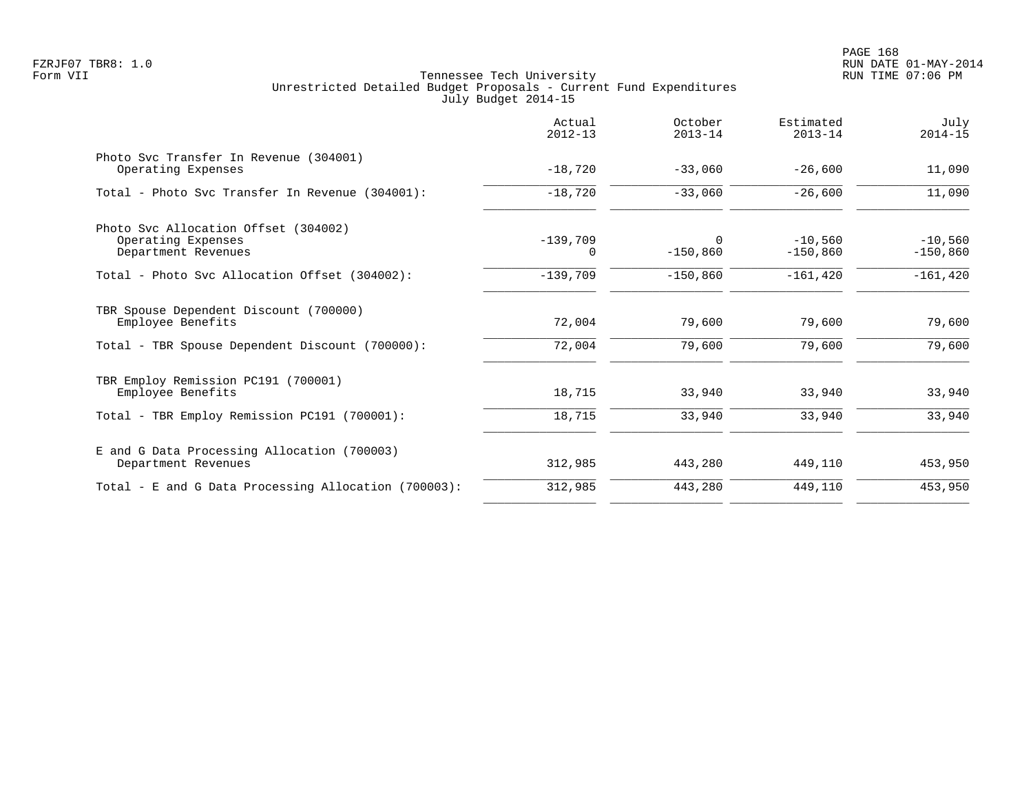|                                                                                   | Actual<br>$2012 - 13$  | October<br>$2013 - 14$ | Estimated<br>$2013 - 14$ | July<br>$2014 - 15$     |
|-----------------------------------------------------------------------------------|------------------------|------------------------|--------------------------|-------------------------|
| Photo Syc Transfer In Revenue (304001)<br>Operating Expenses                      | $-18,720$              | $-33,060$              | $-26,600$                | 11,090                  |
| Total - Photo Svc Transfer In Revenue (304001):                                   | $-18,720$              | $-33,060$              | $-26,600$                | 11,090                  |
| Photo Svc Allocation Offset (304002)<br>Operating Expenses<br>Department Revenues | $-139,709$<br>$\Omega$ | $\Omega$<br>$-150,860$ | $-10,560$<br>$-150,860$  | $-10,560$<br>$-150,860$ |
| Total - Photo Svc Allocation Offset (304002):                                     | $-139,709$             | $-150,860$             | $-161, 420$              | $-161, 420$             |
| TBR Spouse Dependent Discount (700000)<br>Employee Benefits                       | 72,004                 | 79,600                 | 79,600                   | 79,600                  |
| Total - TBR Spouse Dependent Discount (700000):                                   | 72,004                 | 79,600                 | 79,600                   | 79,600                  |
| TBR Employ Remission PC191 (700001)<br>Employee Benefits                          | 18,715                 | 33,940                 | 33,940                   | 33,940                  |
| Total - TBR Employ Remission PC191 (700001):                                      | 18,715                 | 33,940                 | 33,940                   | 33,940                  |
| E and G Data Processing Allocation (700003)<br>Department Revenues                | 312,985                | 443,280                | 449,110                  | 453,950                 |
| Total - E and G Data Processing Allocation (700003):                              | 312,985                | 443,280                | 449,110                  | 453,950                 |
|                                                                                   |                        |                        |                          |                         |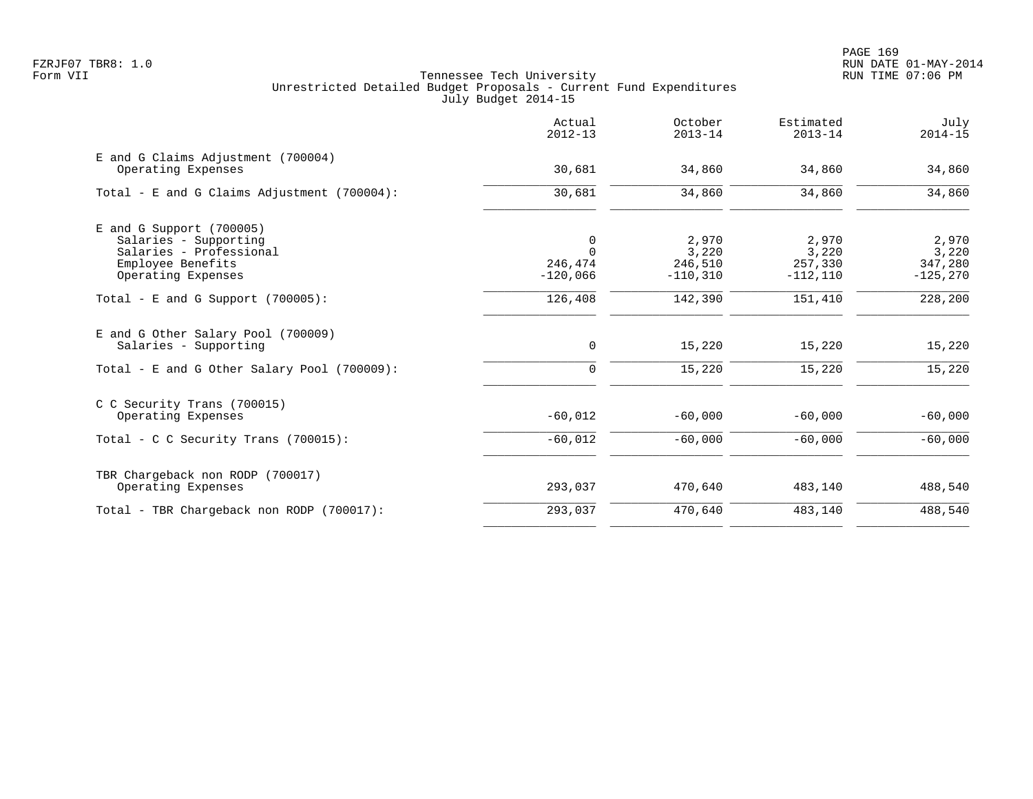PAGE 169 FZRJF07 TBR8: 1.0 RUN DATE 01-MAY-2014

|                                                                                                                           | Actual<br>$2012 - 13$                  | October<br>$2013 - 14$                   | Estimated<br>$2013 - 14$                | July<br>$2014 - 15$                      |
|---------------------------------------------------------------------------------------------------------------------------|----------------------------------------|------------------------------------------|-----------------------------------------|------------------------------------------|
| E and G Claims Adjustment (700004)<br>Operating Expenses                                                                  | 30,681                                 | 34,860                                   | 34,860                                  | 34,860                                   |
| Total - E and G Claims Adjustment (700004):                                                                               | 30,681                                 | 34,860                                   | 34,860                                  | 34,860                                   |
| $E$ and G Support (700005)<br>Salaries - Supporting<br>Salaries - Professional<br>Employee Benefits<br>Operating Expenses | 0<br>$\Omega$<br>246,474<br>$-120,066$ | 2,970<br>3,220<br>246,510<br>$-110, 310$ | 2,970<br>3,220<br>257,330<br>$-112,110$ | 2,970<br>3,220<br>347,280<br>$-125, 270$ |
| Total - E and G Support $(700005)$ :                                                                                      | 126,408                                | 142,390                                  | 151,410                                 | 228,200                                  |
| E and G Other Salary Pool (700009)<br>Salaries - Supporting                                                               | $\mathsf{O}$                           | 15,220                                   | 15,220                                  | 15,220                                   |
| Total - E and G Other Salary Pool $(700009)$ :                                                                            | 0                                      | 15,220                                   | 15,220                                  | 15,220                                   |
| C C Security Trans (700015)<br>Operating Expenses                                                                         | $-60,012$                              | $-60,000$                                | $-60,000$                               | $-60,000$                                |
| Total - C C Security Trans $(700015)$ :                                                                                   | $-60,012$                              | $-60,000$                                | $-60,000$                               | $-60,000$                                |
| TBR Chargeback non RODP (700017)<br>Operating Expenses                                                                    | 293,037                                | 470,640                                  | 483,140                                 | 488,540                                  |
| Total - TBR Chargeback non RODP (700017):                                                                                 | 293,037                                | 470,640                                  | 483,140                                 | 488,540                                  |
|                                                                                                                           |                                        |                                          |                                         |                                          |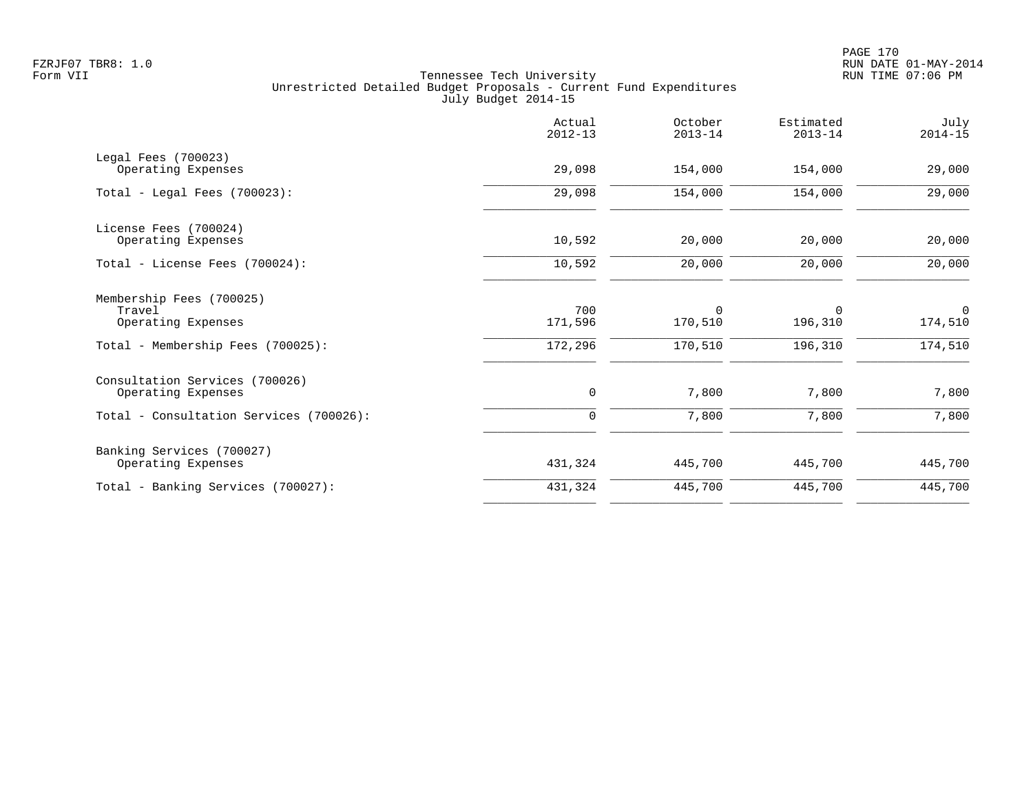|                                                                                                 | Actual<br>$2012 - 13$     | October<br>$2013 - 14$            | Estimated<br>$2013 - 14$          | July<br>$2014 - 15$               |
|-------------------------------------------------------------------------------------------------|---------------------------|-----------------------------------|-----------------------------------|-----------------------------------|
| Legal Fees (700023)<br>Operating Expenses                                                       | 29,098                    | 154,000                           | 154,000                           | 29,000                            |
| Total - Legal Fees $(700023)$ :                                                                 | 29,098                    | 154,000                           | 154,000                           | 29,000                            |
| License Fees (700024)<br>Operating Expenses                                                     | 10,592                    | 20,000                            | 20,000                            | 20,000                            |
| Total - License Fees (700024):                                                                  | 10,592                    | 20,000                            | 20,000                            | 20,000                            |
| Membership Fees (700025)<br>Travel<br>Operating Expenses<br>Total - Membership Fees (700025):   | 700<br>171,596<br>172,296 | $\mathbf 0$<br>170,510<br>170,510 | $\mathbf 0$<br>196,310<br>196,310 | $\mathbf 0$<br>174,510<br>174,510 |
| Consultation Services (700026)<br>Operating Expenses<br>Total - Consultation Services (700026): | 0<br>$\mathbf 0$          | 7,800<br>7,800                    | 7,800<br>7,800                    | 7,800<br>7,800                    |
|                                                                                                 |                           |                                   |                                   |                                   |
| Banking Services (700027)<br>Operating Expenses                                                 | 431,324                   | 445,700                           | 445,700                           | 445,700                           |
| Total - Banking Services (700027):                                                              | 431,324                   | 445,700                           | 445,700                           | 445,700                           |
|                                                                                                 |                           |                                   |                                   |                                   |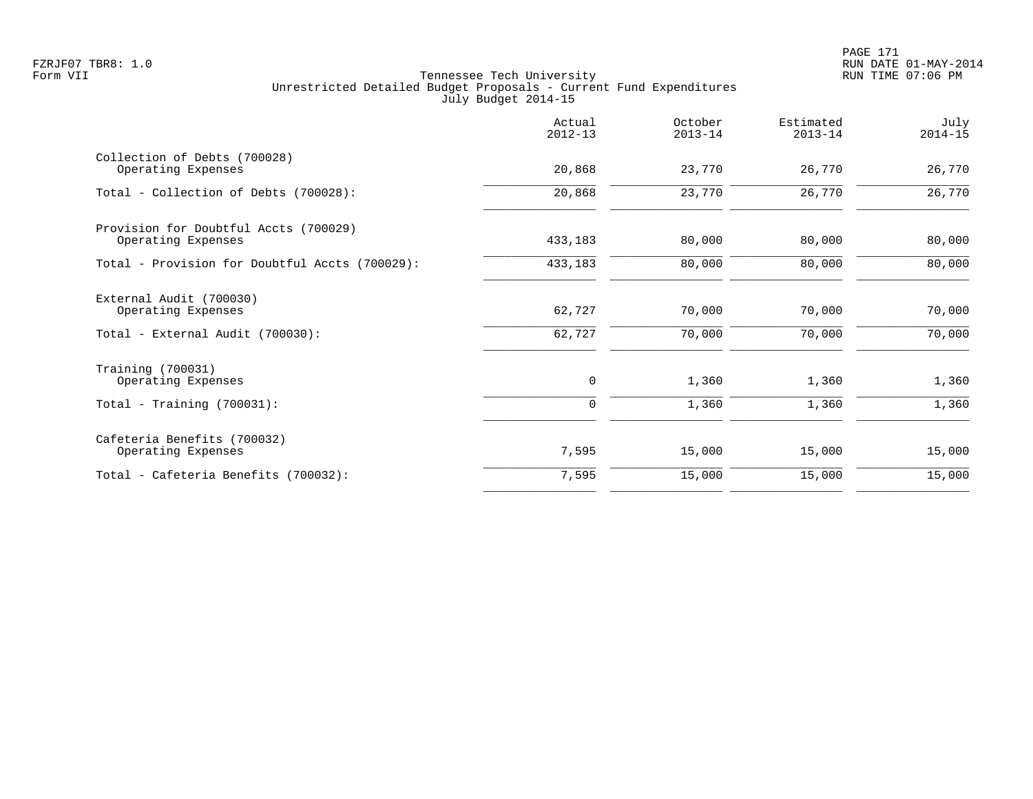|                                                             | Actual<br>$2012 - 13$ | October<br>$2013 - 14$ | Estimated<br>$2013 - 14$ | July<br>$2014 - 15$ |
|-------------------------------------------------------------|-----------------------|------------------------|--------------------------|---------------------|
| Collection of Debts (700028)<br>Operating Expenses          | 20,868                | 23,770                 | 26,770                   | 26,770              |
| Total - Collection of Debts (700028):                       | 20,868                | 23,770                 | 26,770                   | 26,770              |
| Provision for Doubtful Accts (700029)<br>Operating Expenses | 433,183               | 80,000                 | 80,000                   | 80,000              |
| Total - Provision for Doubtful Accts (700029):              | 433,183               | 80,000                 | 80,000                   | 80,000              |
| External Audit (700030)<br>Operating Expenses               | 62,727                | 70,000                 | 70,000                   | 70,000              |
| Total - External Audit (700030):                            | 62,727                | 70,000                 | 70,000                   | 70,000              |
| Training (700031)<br>Operating Expenses                     | 0                     | 1,360                  | 1,360                    | 1,360               |
| Total - Training $(700031)$ :                               | 0                     | 1,360                  | 1,360                    | 1,360               |
| Cafeteria Benefits (700032)<br>Operating Expenses           | 7,595                 | 15,000                 | 15,000                   | 15,000              |
| Total - Cafeteria Benefits (700032):                        | 7,595                 | 15,000                 | 15,000                   | 15,000              |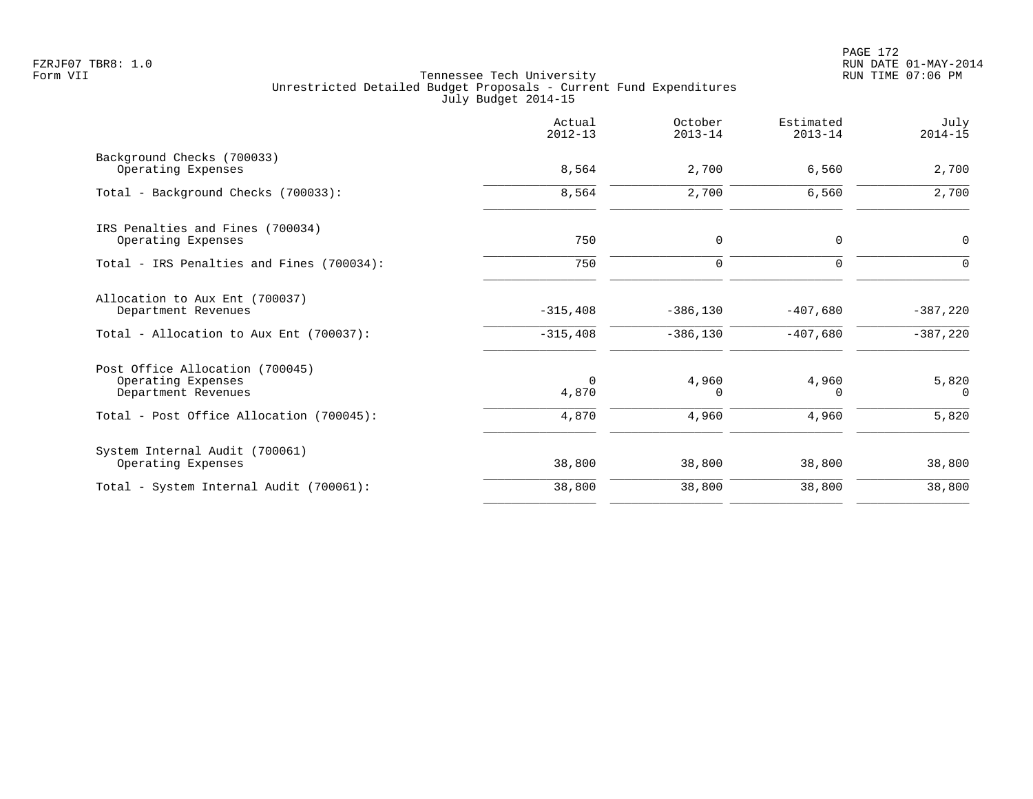|                                                                              | Actual<br>$2012 - 13$ | October<br>$2013 - 14$ | Estimated<br>$2013 - 14$ | July<br>$2014 - 15$ |
|------------------------------------------------------------------------------|-----------------------|------------------------|--------------------------|---------------------|
| Background Checks (700033)<br>Operating Expenses                             | 8,564                 | 2,700                  | 6,560                    | 2,700               |
| Total - Background Checks (700033):                                          | 8,564                 | 2,700                  | 6,560                    | 2,700               |
| IRS Penalties and Fines (700034)<br>Operating Expenses                       | 750                   | 0                      | 0                        | 0                   |
| Total - IRS Penalties and Fines (700034):                                    | 750                   | $\mathbf 0$            | $\Omega$                 | $\Omega$            |
| Allocation to Aux Ent (700037)<br>Department Revenues                        | $-315,408$            | $-386, 130$            | $-407,680$               | $-387,220$          |
| Total - Allocation to Aux Ent (700037):                                      | $-315,408$            | $-386,130$             | $-407,680$               | $-387,220$          |
| Post Office Allocation (700045)<br>Operating Expenses<br>Department Revenues | 0<br>4,870            | 4,960<br>0             | 4,960<br>0               | 5,820<br>0          |
| Total - Post Office Allocation (700045):                                     | 4,870                 | 4,960                  | 4,960                    | 5,820               |
| System Internal Audit (700061)<br>Operating Expenses                         | 38,800                | 38,800                 | 38,800                   | 38,800              |
| Total - System Internal Audit (700061):                                      | 38,800                | 38,800                 | 38,800                   | 38,800              |
|                                                                              |                       |                        |                          |                     |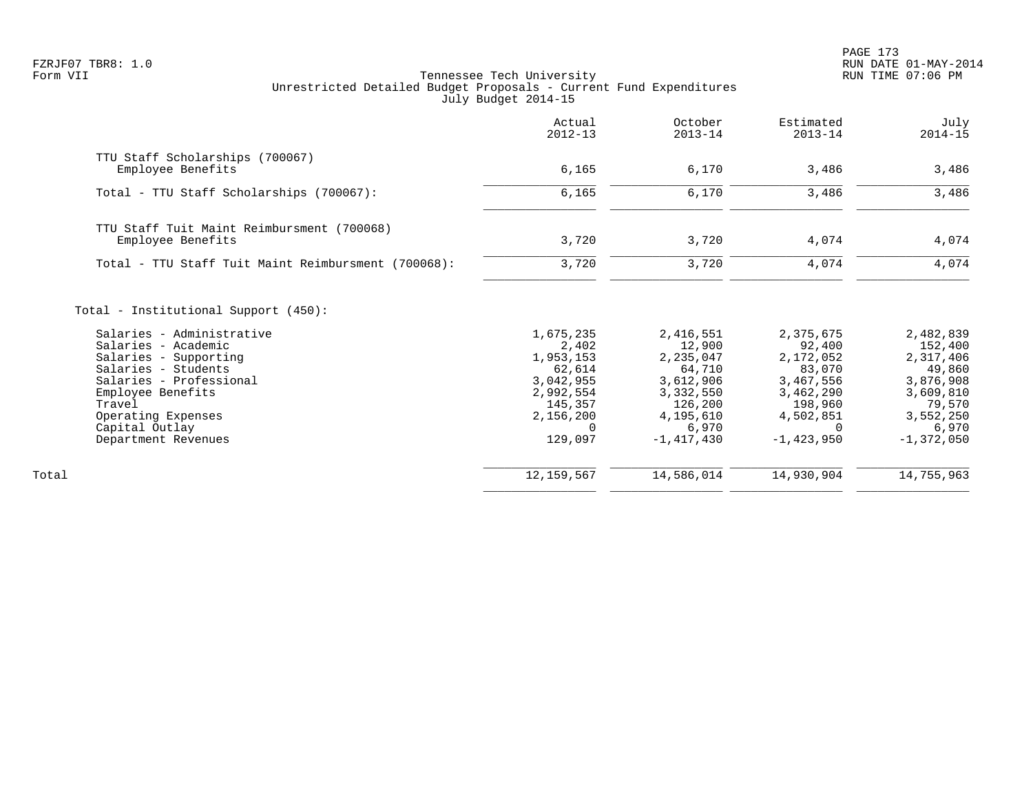PAGE 173 FZRJF07 TBR8: 1.0 RUN DATE 01-MAY-2014

|                                                                                          | Actual<br>$2012 - 13$             | October<br>$2013 - 14$            | Estimated<br>$2013 - 14$          | July<br>$2014 - 15$               |
|------------------------------------------------------------------------------------------|-----------------------------------|-----------------------------------|-----------------------------------|-----------------------------------|
| TTU Staff Scholarships (700067)<br>Employee Benefits                                     | 6,165                             | 6,170                             | 3,486                             | 3,486                             |
|                                                                                          |                                   |                                   |                                   |                                   |
| Total - TTU Staff Scholarships (700067):                                                 | 6,165                             | 6,170                             | 3,486                             | 3,486                             |
| TTU Staff Tuit Maint Reimbursment (700068)                                               |                                   |                                   |                                   |                                   |
| Employee Benefits                                                                        | 3,720                             | 3,720                             | 4,074                             | 4,074                             |
| Total - TTU Staff Tuit Maint Reimbursment (700068):                                      | 3,720                             | 3,720                             | 4,074                             | 4,074                             |
| Total - Institutional Support (450):<br>Salaries - Administrative<br>Salaries - Academic | 1,675,235<br>2,402<br>1,953,153   | 2,416,551<br>12,900<br>2,235,047  | 2,375,675<br>92,400<br>2,172,052  | 2,482,839<br>152,400<br>2,317,406 |
| Salaries - Supporting<br>Salaries - Students<br>Salaries - Professional                  | 62,614<br>3,042,955               | 64,710<br>3,612,906               | 83,070<br>3,467,556               | 49,860<br>3,876,908               |
| Employee Benefits<br>Travel<br>Operating Expenses                                        | 2,992,554<br>145,357<br>2,156,200 | 3,332,550<br>126,200<br>4,195,610 | 3,462,290<br>198,960<br>4,502,851 | 3,609,810<br>79,570<br>3,552,250  |
| Capital Outlay<br>Department Revenues                                                    | 0<br>129,097                      | 6,970<br>$-1, 417, 430$           | $\Omega$<br>$-1,423,950$          | 6,970<br>$-1,372,050$             |
| Total                                                                                    | 12, 159, 567                      | 14,586,014                        | 14,930,904                        | 14,755,963                        |
|                                                                                          |                                   |                                   |                                   |                                   |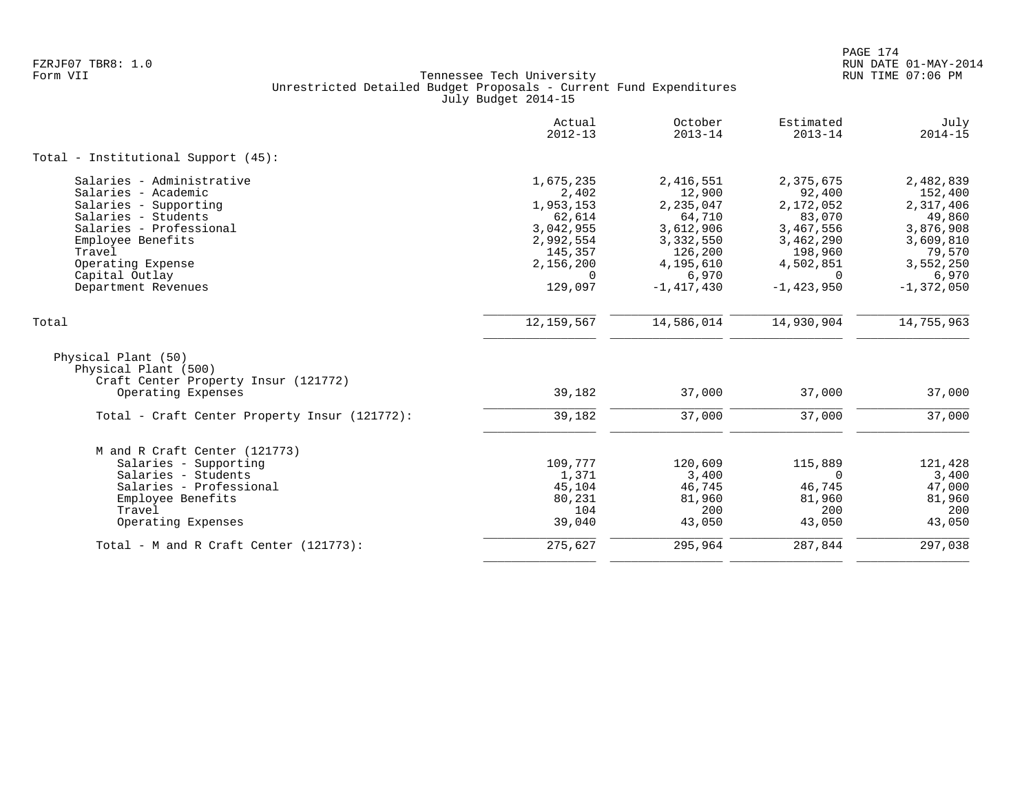|                                                                                                           | Actual<br>$2012 - 13$ | October<br>$2013 - 14$ | Estimated<br>$2013 - 14$ | July<br>$2014 - 15$ |
|-----------------------------------------------------------------------------------------------------------|-----------------------|------------------------|--------------------------|---------------------|
| Total - Institutional Support (45):                                                                       |                       |                        |                          |                     |
| Salaries - Administrative                                                                                 | 1,675,235             | 2,416,551              | 2,375,675                | 2,482,839           |
| Salaries - Academic                                                                                       | 2,402                 | 12,900                 | 92,400                   | 152,400             |
| Salaries - Supporting                                                                                     | 1,953,153             | 2,235,047              | 2,172,052                | 2,317,406           |
| Salaries - Students                                                                                       | 62,614                | 64,710                 | 83,070                   | 49,860              |
| Salaries - Professional                                                                                   | 3,042,955             | 3,612,906              | 3,467,556                | 3,876,908           |
| Employee Benefits                                                                                         | 2,992,554             | 3,332,550              | 3,462,290                | 3,609,810           |
| Travel                                                                                                    | 145,357               | 126,200                | 198,960                  | 79,570              |
| Operating Expense                                                                                         | 2,156,200             | 4,195,610              | 4,502,851                | 3,552,250           |
| Capital Outlay                                                                                            | $\Omega$              | 6,970                  | $\Omega$                 | 6,970               |
| Department Revenues                                                                                       | 129,097               | $-1, 417, 430$         | $-1, 423, 950$           | $-1,372,050$        |
| Total                                                                                                     | 12, 159, 567          | 14,586,014             | 14,930,904               | 14,755,963          |
| Physical Plant (50)<br>Physical Plant (500)<br>Craft Center Property Insur (121772)<br>Operating Expenses | 39,182                | 37,000                 | 37,000                   | 37,000              |
|                                                                                                           |                       |                        |                          |                     |
| Total - Craft Center Property Insur (121772):                                                             | 39,182                | 37,000                 | 37,000                   | 37,000              |
| M and R Craft Center (121773)                                                                             |                       |                        |                          |                     |
| Salaries - Supporting                                                                                     | 109,777               | 120,609                | 115,889                  | 121,428             |
| Salaries - Students                                                                                       | 1,371                 | 3,400                  | $\Omega$                 | 3,400               |
| Salaries - Professional                                                                                   | 45,104                | 46,745                 | 46,745                   | 47,000              |
| Employee Benefits                                                                                         | 80,231                | 81,960                 | 81,960                   | 81,960              |
| Travel                                                                                                    | 104                   | 200                    | 200                      | 200                 |
| Operating Expenses                                                                                        | 39,040                | 43,050                 | 43,050                   | 43,050              |
| Total - M and R Craft Center (121773):                                                                    | 275,627               | 295,964                | 287,844                  | 297,038             |
|                                                                                                           |                       |                        |                          |                     |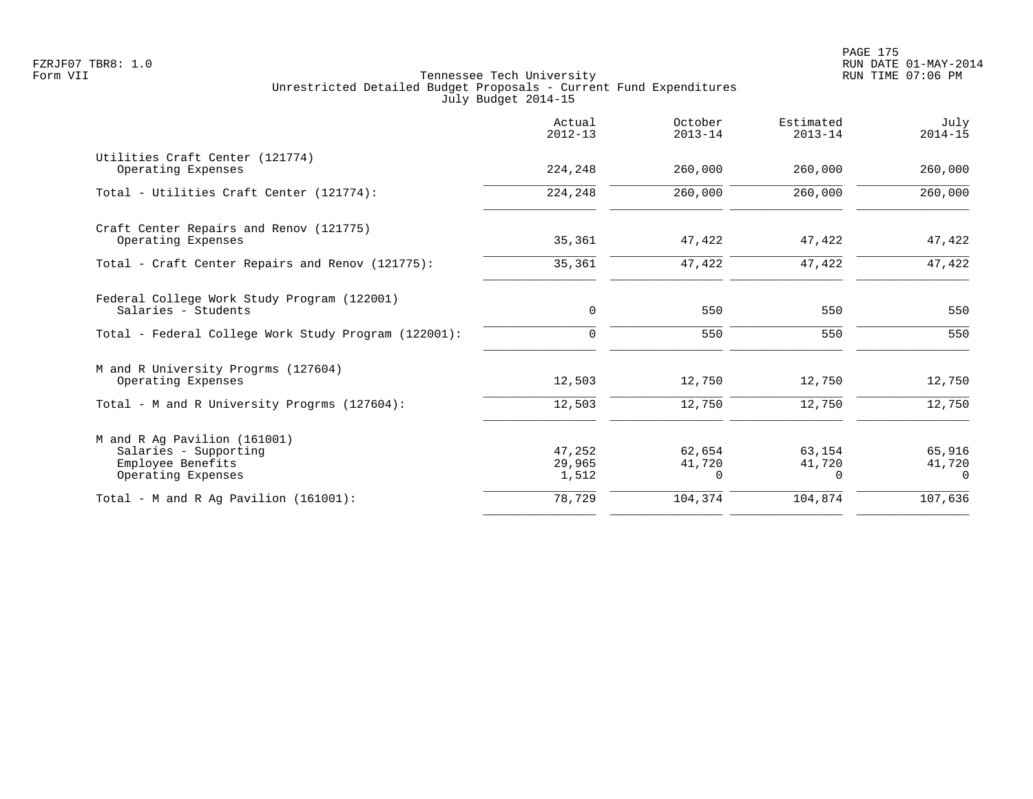|                                                                                                  | Actual<br>$2012 - 13$     | October<br>$2013 - 14$       | Estimated<br>$2013 - 14$     | July<br>$2014 - 15$          |
|--------------------------------------------------------------------------------------------------|---------------------------|------------------------------|------------------------------|------------------------------|
| Utilities Craft Center (121774)<br>Operating Expenses                                            | 224,248                   | 260,000                      | 260,000                      | 260,000                      |
| Total - Utilities Craft Center (121774):                                                         | 224,248                   | 260,000                      | 260,000                      | 260,000                      |
| Craft Center Repairs and Renov (121775)<br>Operating Expenses                                    | 35,361                    | 47,422                       | 47,422                       | 47,422                       |
| Total - Craft Center Repairs and Renov (121775):                                                 | 35,361                    | 47,422                       | 47,422                       | 47,422                       |
| Federal College Work Study Program (122001)<br>Salaries - Students                               | $\mathbf 0$               | 550                          | 550                          | 550                          |
| Total - Federal College Work Study Program (122001):                                             | $\Omega$                  | 550                          | 550                          | 550                          |
| M and R University Progrms (127604)<br>Operating Expenses                                        | 12,503                    | 12,750                       | 12,750                       | 12,750                       |
| Total - M and R University Progrms (127604):                                                     | 12,503                    | 12,750                       | 12,750                       | 12,750                       |
| M and R Ag Pavilion (161001)<br>Salaries - Supporting<br>Employee Benefits<br>Operating Expenses | 47,252<br>29,965<br>1,512 | 62,654<br>41,720<br>$\Omega$ | 63,154<br>41,720<br>$\Omega$ | 65,916<br>41,720<br>$\Omega$ |
| Total - M and R Aq Pavilion $(161001)$ :                                                         | 78,729                    | 104,374                      | 104,874                      | 107,636                      |
|                                                                                                  |                           |                              |                              |                              |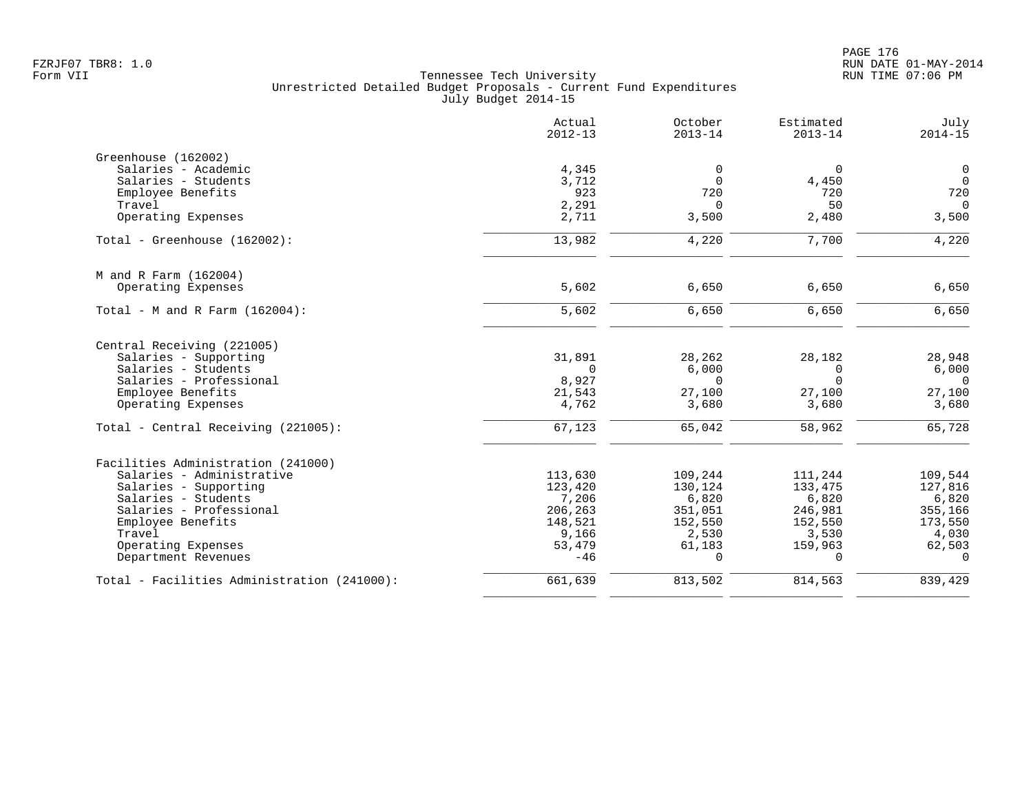|                                             | Actual<br>$2012 - 13$ | October<br>$2013 - 14$ | Estimated<br>$2013 - 14$ | July<br>$2014 - 15$ |
|---------------------------------------------|-----------------------|------------------------|--------------------------|---------------------|
| Greenhouse (162002)                         |                       |                        |                          |                     |
| Salaries - Academic                         | 4,345                 | 0                      | $\mathbf 0$              | $\mathbf 0$         |
| Salaries - Students                         | 3,712                 | $\Omega$               | 4,450                    | $\overline{0}$      |
| Employee Benefits                           | 923                   | 720                    | 720                      | 720                 |
| Travel                                      | 2,291                 | $\Omega$               | 50                       | $\Omega$            |
| Operating Expenses                          | 2,711                 | 3,500                  | 2,480                    | 3,500               |
| Total - Greenhouse (162002):                | 13,982                | 4,220                  | 7,700                    | 4,220               |
| M and R Farm (162004)                       |                       |                        |                          |                     |
| Operating Expenses                          | 5,602                 | 6,650                  | 6,650                    | 6,650               |
| Total - M and R Farm $(162004)$ :           | 5,602                 | 6,650                  | 6,650                    | 6,650               |
| Central Receiving (221005)                  |                       |                        |                          |                     |
| Salaries - Supporting                       | 31,891                | 28,262                 | 28,182                   | 28,948              |
| Salaries - Students                         | $\Omega$              | 6,000                  | $\mathbf 0$              | 6,000               |
| Salaries - Professional                     | 8,927                 | $\Omega$               | $\Omega$                 | $\Omega$            |
| Employee Benefits                           | 21,543                | 27,100                 | 27,100                   | 27,100              |
| Operating Expenses                          | 4,762                 | 3,680                  | 3,680                    | 3,680               |
| Total - Central Receiving (221005):         | 67,123                | 65,042                 | 58,962                   | 65,728              |
| Facilities Administration (241000)          |                       |                        |                          |                     |
| Salaries - Administrative                   | 113,630               | 109,244                | 111,244                  | 109,544             |
| Salaries - Supporting                       | 123,420               | 130,124                | 133,475                  | 127,816             |
| Salaries - Students                         | 7,206                 | 6,820                  | 6,820                    | 6,820               |
| Salaries - Professional                     | 206,263               | 351,051                | 246,981                  | 355,166             |
| Employee Benefits                           | 148,521               | 152,550                | 152,550                  | 173,550             |
| Travel                                      | 9,166                 | 2,530                  | 3,530                    | 4,030               |
| Operating Expenses                          | 53,479                | 61,183                 | 159,963                  | 62,503              |
| Department Revenues                         | $-46$                 | $\Omega$               | $\Omega$                 | $\Omega$            |
| Total - Facilities Administration (241000): | 661,639               | 813,502                | 814,563                  | 839,429             |
|                                             |                       |                        |                          |                     |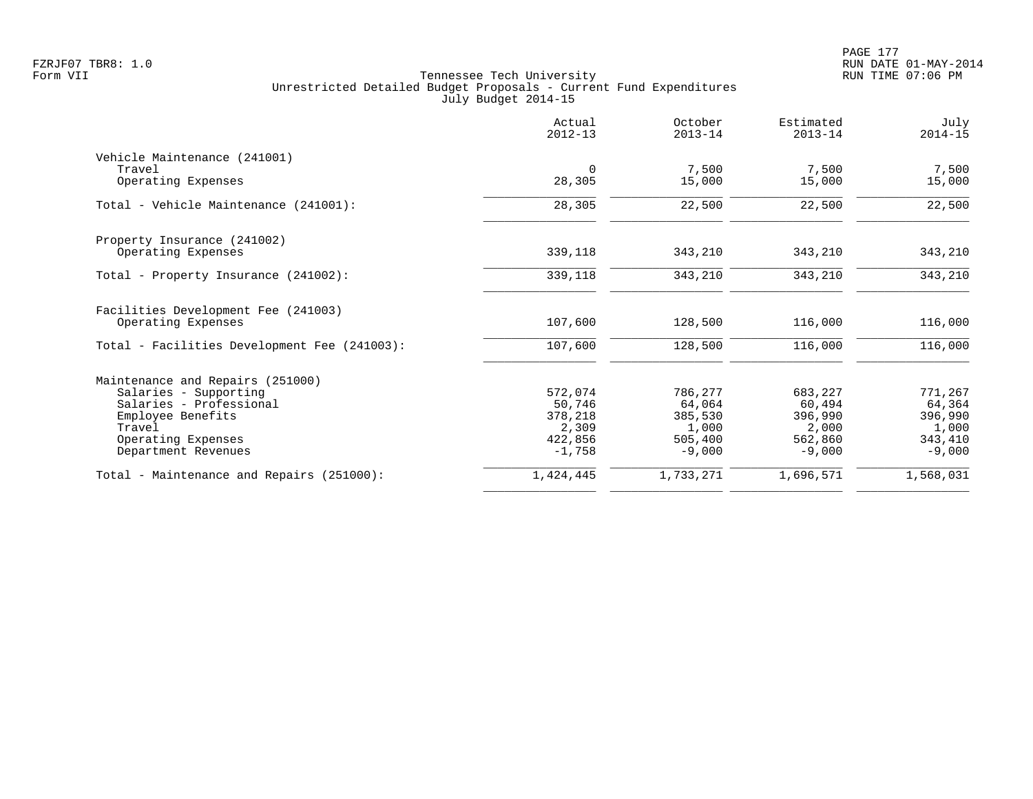| Actual<br>$2012 - 13$ | October<br>$2013 - 14$                                                 | Estimated<br>$2013 - 14$                                               | July<br>$2014 - 15$                                                    |
|-----------------------|------------------------------------------------------------------------|------------------------------------------------------------------------|------------------------------------------------------------------------|
|                       |                                                                        |                                                                        |                                                                        |
| $\mathbf 0$           | 7,500                                                                  | 7,500                                                                  | 7,500                                                                  |
|                       |                                                                        |                                                                        | 15,000                                                                 |
| 28,305                | 22,500                                                                 | 22,500                                                                 | 22,500                                                                 |
|                       |                                                                        |                                                                        |                                                                        |
| 339,118               | 343,210                                                                | 343,210                                                                | 343,210                                                                |
| 339,118               | 343,210                                                                | 343,210                                                                | 343,210                                                                |
|                       |                                                                        |                                                                        | 116,000                                                                |
|                       |                                                                        |                                                                        |                                                                        |
| 107,600               | 128,500                                                                | 116,000                                                                | 116,000                                                                |
|                       |                                                                        |                                                                        |                                                                        |
| 572,074               | 786,277                                                                | 683,227                                                                | 771,267                                                                |
|                       |                                                                        |                                                                        | 64,364                                                                 |
|                       |                                                                        |                                                                        | 396,990                                                                |
|                       |                                                                        |                                                                        | 1,000                                                                  |
|                       |                                                                        |                                                                        | 343,410                                                                |
|                       |                                                                        |                                                                        | $-9,000$                                                               |
| 1,424,445             | 1,733,271                                                              | 1,696,571                                                              | 1,568,031                                                              |
|                       | 28,305<br>107,600<br>50,746<br>378,218<br>2,309<br>422,856<br>$-1,758$ | 15,000<br>128,500<br>64,064<br>385,530<br>1,000<br>505,400<br>$-9,000$ | 15,000<br>116,000<br>60,494<br>396,990<br>2,000<br>562,860<br>$-9,000$ |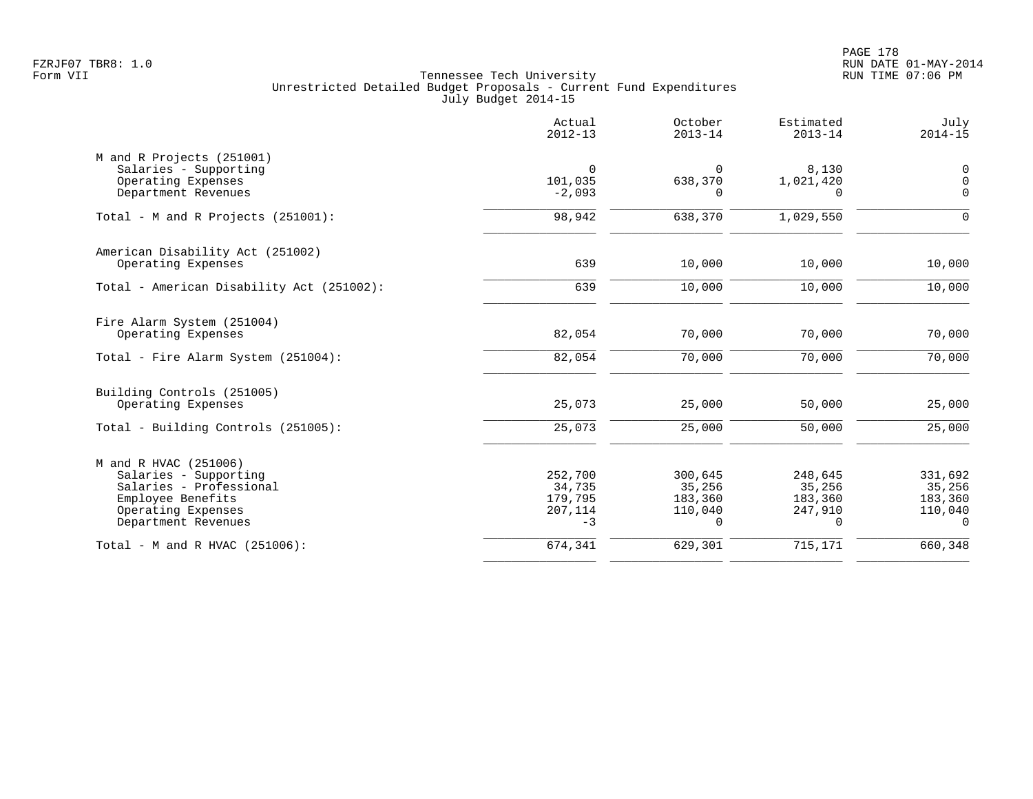PAGE 178 FZRJF07 TBR8: 1.0 RUN DATE 01-MAY-2014

|                                                                                                                                             | Actual<br>$2012 - 13$                           | October<br>$2013 - 14$                                 | Estimated<br>$2013 - 14$                            | July<br>$2014 - 15$                                 |
|---------------------------------------------------------------------------------------------------------------------------------------------|-------------------------------------------------|--------------------------------------------------------|-----------------------------------------------------|-----------------------------------------------------|
| M and R Projects (251001)<br>Salaries - Supporting<br>Operating Expenses<br>Department Revenues                                             | $\mathbf 0$<br>101,035<br>$-2,093$              | $\mathbf 0$<br>638,370<br>O                            | 8,130<br>1,021,420<br>O                             | $\mathsf{0}$<br>$\mathsf{O}\xspace$<br>$\mathbf 0$  |
| Total - M and R Projects (251001):                                                                                                          | 98,942                                          | 638,370                                                | 1,029,550                                           | 0                                                   |
| American Disability Act (251002)<br>Operating Expenses                                                                                      | 639                                             | 10,000                                                 | 10,000                                              | 10,000                                              |
| Total - American Disability Act (251002):                                                                                                   | 639                                             | 10,000                                                 | 10,000                                              | 10,000                                              |
| Fire Alarm System (251004)<br>Operating Expenses<br>Total - Fire Alarm System (251004):                                                     | 82,054<br>82,054                                | 70,000<br>70,000                                       | 70,000<br>70,000                                    | 70,000<br>70,000                                    |
| Building Controls (251005)<br>Operating Expenses<br>Total - Building Controls (251005):                                                     | 25,073<br>25,073                                | 25,000<br>25,000                                       | 50,000<br>50,000                                    | 25,000<br>25,000                                    |
| M and R HVAC (251006)<br>Salaries - Supporting<br>Salaries - Professional<br>Employee Benefits<br>Operating Expenses<br>Department Revenues | 252,700<br>34,735<br>179,795<br>207,114<br>$-3$ | 300,645<br>35,256<br>183,360<br>110,040<br>$\mathbf 0$ | 248,645<br>35,256<br>183,360<br>247,910<br>$\Omega$ | 331,692<br>35,256<br>183,360<br>110,040<br>$\Omega$ |
| Total - M and R HVAC (251006):                                                                                                              | 674,341                                         | 629,301                                                | 715,171                                             | 660,348                                             |
|                                                                                                                                             |                                                 |                                                        |                                                     |                                                     |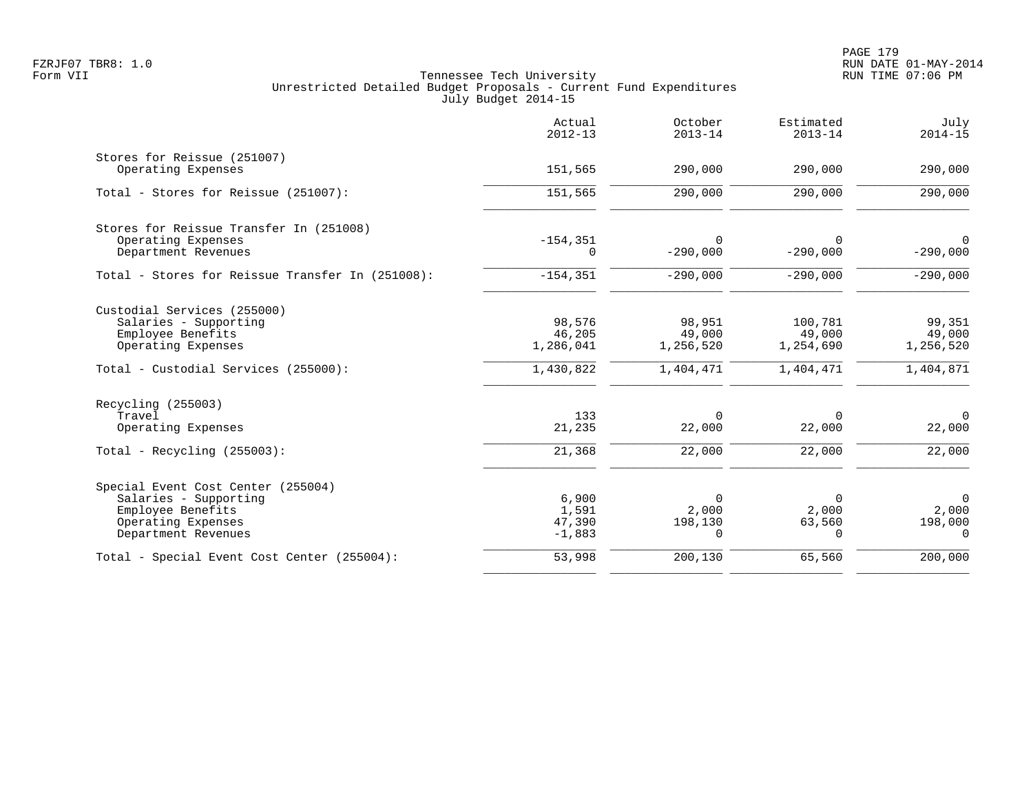|                                                   | Actual<br>$2012 - 13$ | October<br>$2013 - 14$ | Estimated<br>$2013 - 14$ | July<br>$2014 - 15$ |
|---------------------------------------------------|-----------------------|------------------------|--------------------------|---------------------|
| Stores for Reissue (251007)<br>Operating Expenses | 151,565               | 290,000                | 290,000                  | 290,000             |
|                                                   |                       |                        |                          |                     |
| Total - Stores for Reissue (251007):              | 151,565               | 290,000                | 290,000                  | 290,000             |
| Stores for Reissue Transfer In (251008)           |                       |                        |                          |                     |
| Operating Expenses                                | $-154, 351$           | $\Omega$               | $\Omega$                 | $\overline{0}$      |
| Department Revenues                               | $\Omega$              | $-290,000$             | $-290,000$               | $-290,000$          |
| Total - Stores for Reissue Transfer In (251008):  | $-154, 351$           | $-290,000$             | $-290,000$               | $-290,000$          |
| Custodial Services (255000)                       |                       |                        |                          |                     |
| Salaries - Supporting                             | 98,576                | 98,951                 | 100,781                  | 99,351              |
| Employee Benefits                                 | 46,205                | 49,000                 | 49,000                   | 49,000              |
| Operating Expenses                                | 1,286,041             | 1,256,520              | 1,254,690                | 1,256,520           |
| Total - Custodial Services (255000):              | 1,430,822             | 1,404,471              | 1,404,471                | 1,404,871           |
| Recycling (255003)                                |                       |                        |                          |                     |
| Travel                                            | 133                   | 0                      | 0                        | $\mathbf 0$         |
| Operating Expenses                                | 21,235                | 22,000                 | 22,000                   | 22,000              |
| Total - Recycling $(255003)$ :                    | 21,368                | 22,000                 | 22,000                   | 22,000              |
| Special Event Cost Center (255004)                |                       |                        |                          |                     |
| Salaries - Supporting                             | 6,900                 | $\Omega$               | $\Omega$                 | $\overline{0}$      |
| Employee Benefits                                 | 1,591                 | 2,000                  | 2,000                    | 2,000               |
| Operating Expenses<br>Department Revenues         | 47,390<br>$-1,883$    | 198,130<br>$\Omega$    | 63,560<br>$\Omega$       | 198,000<br>$\Omega$ |
|                                                   |                       |                        |                          |                     |
| Total - Special Event Cost Center (255004):       | 53,998                | 200,130                | 65,560                   | 200,000             |
|                                                   |                       |                        |                          |                     |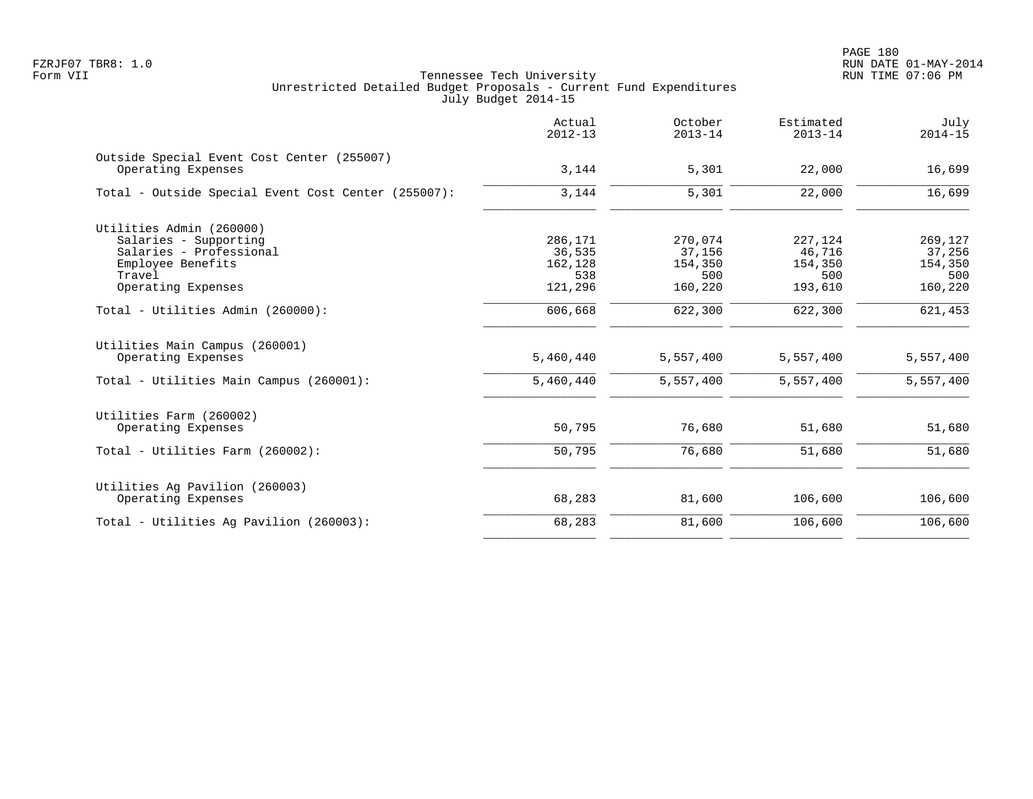|                                                                  | Actual<br>$2012 - 13$ | October<br>$2013 - 14$ | Estimated<br>$2013 - 14$ | July<br>$2014 - 15$ |
|------------------------------------------------------------------|-----------------------|------------------------|--------------------------|---------------------|
| Outside Special Event Cost Center (255007)<br>Operating Expenses | 3,144                 | 5,301                  | 22,000                   | 16,699              |
| Total - Outside Special Event Cost Center (255007):              | 3,144                 | 5,301                  | 22,000                   | 16,699              |
| Utilities Admin (260000)                                         |                       |                        |                          |                     |
| Salaries - Supporting                                            | 286,171               | 270,074                | 227,124                  | 269,127             |
| Salaries - Professional                                          | 36,535                | 37,156                 | 46,716                   | 37,256              |
| Employee Benefits                                                | 162,128               | 154,350                | 154,350                  | 154,350             |
| Travel                                                           | 538                   | 500                    | 500                      | 500                 |
| Operating Expenses                                               | 121,296               | 160,220                | 193,610                  | 160,220             |
| Total - Utilities Admin (260000):                                | 606,668               | 622,300                | 622,300                  | 621,453             |
| Utilities Main Campus (260001)<br>Operating Expenses             | 5,460,440             | 5,557,400              | 5,557,400                | 5,557,400           |
| Total - Utilities Main Campus (260001):                          | 5,460,440             | 5,557,400              | 5,557,400                | 5,557,400           |
| Utilities Farm (260002)                                          |                       |                        |                          |                     |
| Operating Expenses                                               | 50,795                | 76,680                 | 51,680                   | 51,680              |
| Total - Utilities Farm (260002):                                 | 50,795                | 76,680                 | 51,680                   | 51,680              |
| Utilities Ag Pavilion (260003)                                   |                       |                        |                          |                     |
| Operating Expenses                                               | 68,283                | 81,600                 | 106,600                  | 106,600             |
| Total - Utilities Aq Pavilion (260003):                          | 68,283                | 81,600                 | 106,600                  | 106,600             |
|                                                                  |                       |                        |                          |                     |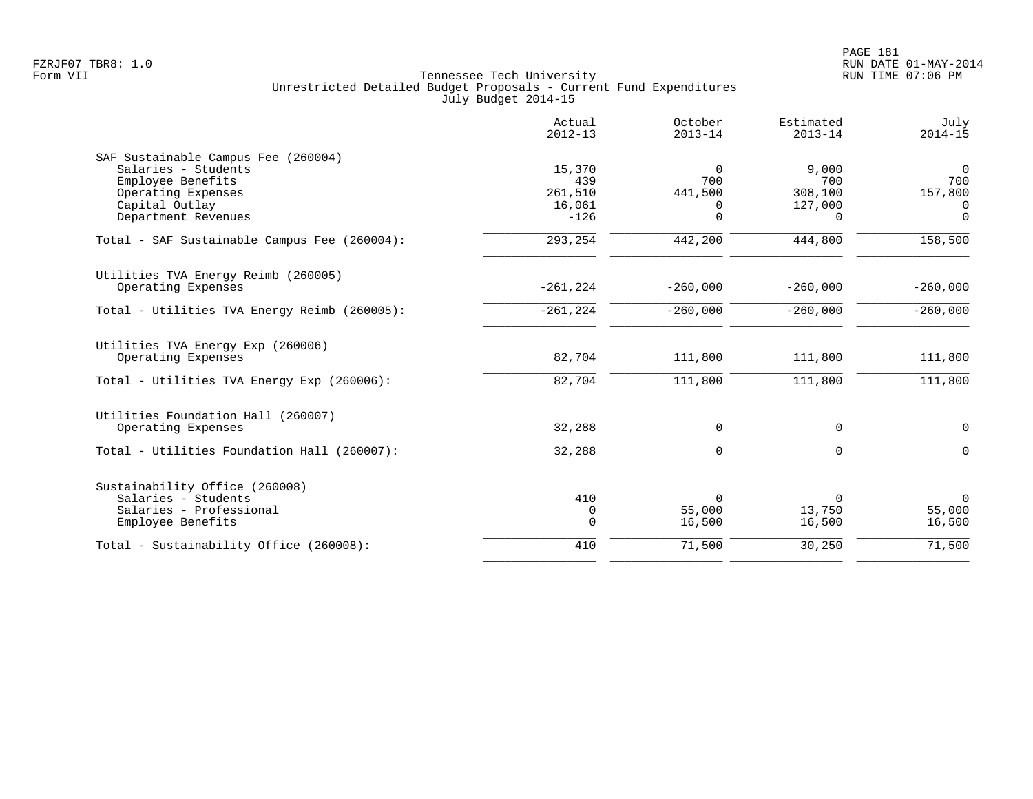|                                              | Actual<br>$2012 - 13$ | October<br>$2013 - 14$ | Estimated<br>$2013 - 14$ | July<br>$2014 - 15$ |
|----------------------------------------------|-----------------------|------------------------|--------------------------|---------------------|
| SAF Sustainable Campus Fee (260004)          |                       |                        |                          |                     |
| Salaries - Students                          | 15,370                | $\Omega$               | 9,000                    | $\overline{0}$      |
| Employee Benefits                            | 439                   | 700                    | 700                      | 700                 |
| Operating Expenses                           | 261,510               | 441,500                | 308,100                  | 157,800             |
| Capital Outlay                               | 16,061                | 0<br>$\Omega$          | 127,000                  | $\Omega$            |
| Department Revenues                          | $-126$                |                        | $\Omega$                 | $\Omega$            |
| Total - SAF Sustainable Campus Fee (260004): | 293,254               | 442,200                | 444,800                  | 158,500             |
| Utilities TVA Energy Reimb (260005)          |                       |                        |                          |                     |
| Operating Expenses                           | $-261, 224$           | $-260,000$             | $-260,000$               | $-260,000$          |
| Total - Utilities TVA Energy Reimb (260005): | $-261, 224$           | $-260,000$             | $-260,000$               | $-260,000$          |
| Utilities TVA Energy Exp (260006)            |                       |                        |                          |                     |
| Operating Expenses                           | 82,704                | 111,800                | 111,800                  | 111,800             |
| Total - Utilities TVA Energy Exp (260006):   | 82,704                | 111,800                | 111,800                  | 111,800             |
| Utilities Foundation Hall (260007)           |                       |                        |                          |                     |
| Operating Expenses                           | 32,288                | $\mathbf 0$            | 0                        | 0                   |
| Total - Utilities Foundation Hall (260007):  | 32,288                | $\mathbf 0$            | $\mathbf 0$              | $\Omega$            |
| Sustainability Office (260008)               |                       |                        |                          |                     |
| Salaries - Students                          | 410                   | 0                      | 0                        | $\mathbf 0$         |
| Salaries - Professional                      | 0                     | 55,000                 | 13,750                   | 55,000              |
| Employee Benefits                            | 0                     | 16,500                 | 16,500                   | 16,500              |
| Total - Sustainability Office (260008):      | 410                   | 71,500                 | 30,250                   | 71,500              |
|                                              |                       |                        |                          |                     |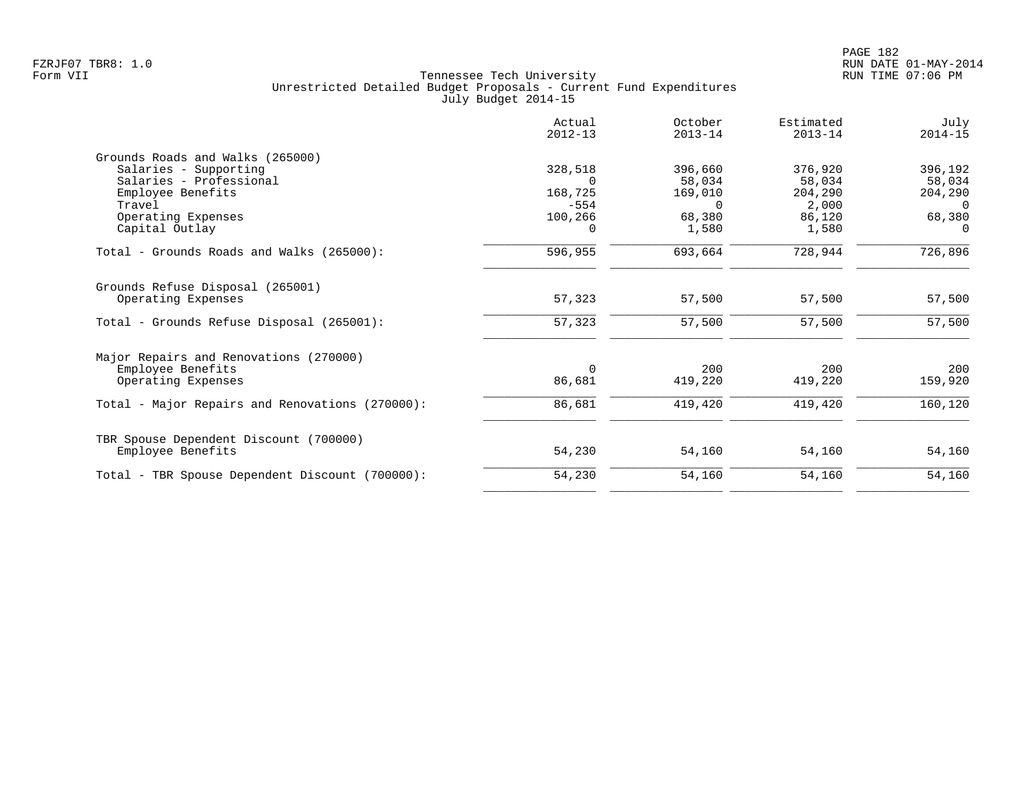|                                                 | Actual<br>$2012 - 13$ | October<br>$2013 - 14$ | Estimated<br>$2013 - 14$ | July<br>$2014 - 15$ |
|-------------------------------------------------|-----------------------|------------------------|--------------------------|---------------------|
| Grounds Roads and Walks (265000)                |                       |                        |                          |                     |
| Salaries - Supporting                           | 328,518               | 396,660                | 376,920                  | 396,192             |
| Salaries - Professional                         |                       | 58,034                 | 58,034                   | 58,034              |
| Employee Benefits<br>Travel                     | 168,725<br>$-554$     | 169,010                | 204,290                  | 204,290<br>$\Omega$ |
| Operating Expenses                              | 100,266               | $\Omega$<br>68,380     | 2,000<br>86,120          | 68,380              |
| Capital Outlay                                  | $\Omega$              | 1,580                  | 1,580                    | $\Omega$            |
| Total - Grounds Roads and Walks (265000):       | 596,955               | 693,664                | 728,944                  | 726,896             |
| Grounds Refuse Disposal (265001)                |                       |                        |                          |                     |
| Operating Expenses                              | 57,323                | 57,500                 | 57,500                   | 57,500              |
| Total - Grounds Refuse Disposal (265001):       | 57,323                | 57,500                 | 57,500                   | 57,500              |
| Major Repairs and Renovations (270000)          |                       |                        |                          |                     |
| Employee Benefits                               | $\Omega$              | 200                    | 200                      | 200                 |
| Operating Expenses                              | 86,681                | 419,220                | 419,220                  | 159,920             |
| Total - Major Repairs and Renovations (270000): | 86,681                | 419,420                | 419,420                  | 160,120             |
| TBR Spouse Dependent Discount (700000)          |                       |                        |                          |                     |
| Employee Benefits                               | 54,230                | 54,160                 | 54,160                   | 54,160              |
| Total - TBR Spouse Dependent Discount (700000): | 54,230                | 54,160                 | 54,160                   | 54,160              |
|                                                 |                       |                        |                          |                     |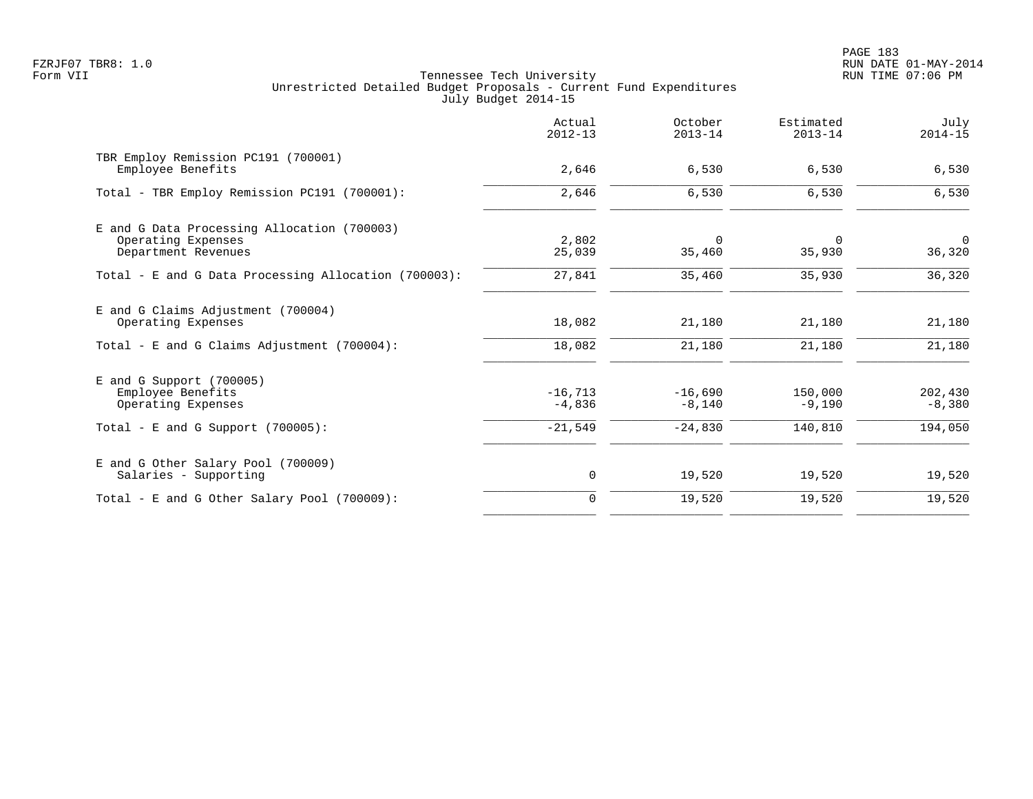PAGE 183 FZRJF07 TBR8: 1.0 RUN DATE 01-MAY-2014

|                                                                                          | Actual<br>$2012 - 13$ | October<br>$2013 - 14$ | Estimated<br>$2013 - 14$ | July<br>$2014 - 15$      |
|------------------------------------------------------------------------------------------|-----------------------|------------------------|--------------------------|--------------------------|
| TBR Employ Remission PC191 (700001)<br>Employee Benefits                                 | 2,646                 | 6,530                  | 6,530                    | 6,530                    |
| Total - TBR Employ Remission PC191 (700001):                                             | 2,646                 | 6,530                  | 6,530                    | 6,530                    |
| E and G Data Processing Allocation (700003)<br>Operating Expenses<br>Department Revenues | 2,802<br>25,039       | $\mathbf 0$<br>35,460  | 0<br>35,930              | $\overline{0}$<br>36,320 |
| Total - E and G Data Processing Allocation (700003):                                     | 27,841                | 35,460                 | 35,930                   | 36,320                   |
| E and G Claims Adjustment (700004)<br>Operating Expenses                                 | 18,082                | 21,180                 | 21,180                   | 21,180                   |
| Total - E and G Claims Adjustment (700004):                                              | 18,082                | 21,180                 | 21,180                   | 21,180                   |
| $E$ and G Support (700005)<br>Employee Benefits<br>Operating Expenses                    | $-16,713$<br>$-4,836$ | $-16,690$<br>$-8,140$  | 150,000<br>$-9,190$      | 202,430<br>$-8,380$      |
| Total - E and G Support $(700005)$ :                                                     | $-21,549$             | $-24,830$              | 140,810                  | 194,050                  |
| E and G Other Salary Pool (700009)<br>Salaries - Supporting                              | 0                     | 19,520                 | 19,520                   | 19,520                   |
| Total - E and G Other Salary Pool (700009):                                              | $\mathbf 0$           | 19,520                 | 19,520                   | 19,520                   |
|                                                                                          |                       |                        |                          |                          |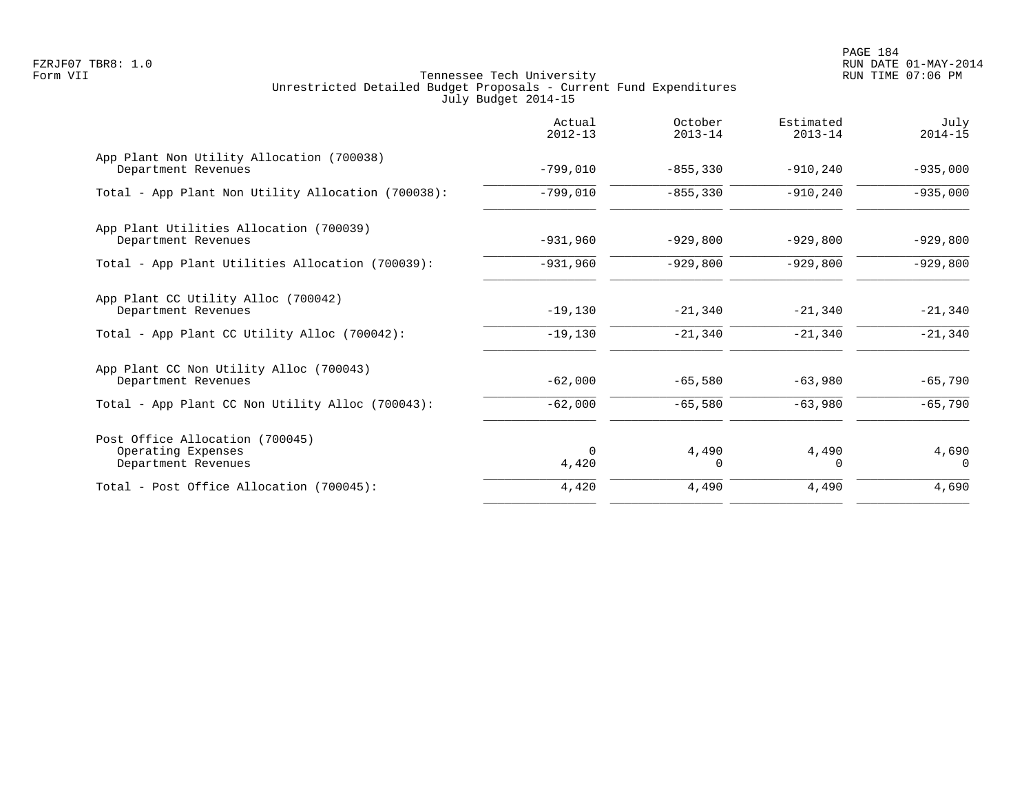|                                                                              | Actual<br>$2012 - 13$ | October<br>$2013 - 14$ | Estimated<br>$2013 - 14$ | July<br>$2014 - 15$ |
|------------------------------------------------------------------------------|-----------------------|------------------------|--------------------------|---------------------|
| App Plant Non Utility Allocation (700038)<br>Department Revenues             | $-799,010$            | $-855, 330$            | $-910, 240$              | $-935,000$          |
| Total - App Plant Non Utility Allocation (700038):                           | $-799,010$            | $-855, 330$            | $-910,240$               | $-935,000$          |
| App Plant Utilities Allocation (700039)<br>Department Revenues               | $-931,960$            | $-929,800$             | $-929,800$               | $-929,800$          |
| Total - App Plant Utilities Allocation (700039):                             | $-931,960$            | $-929,800$             | $-929,800$               | $-929,800$          |
| App Plant CC Utility Alloc (700042)<br>Department Revenues                   | $-19,130$             | $-21,340$              | $-21,340$                | $-21,340$           |
| Total - App Plant CC Utility Alloc (700042):                                 | $-19,130$             | $-21,340$              | $-21,340$                | $-21,340$           |
| App Plant CC Non Utility Alloc (700043)<br>Department Revenues               | $-62,000$             | $-65,580$              | $-63,980$                | $-65,790$           |
| Total - App Plant CC Non Utility Alloc (700043):                             | $-62,000$             | $-65,580$              | $-63,980$                | $-65,790$           |
| Post Office Allocation (700045)<br>Operating Expenses<br>Department Revenues | $\Omega$<br>4,420     | 4,490<br>0             | 4,490<br>$\Omega$        | 4,690<br>$\Omega$   |
| Total - Post Office Allocation (700045):                                     | 4,420                 | 4,490                  | 4,490                    | 4,690               |
|                                                                              |                       |                        |                          |                     |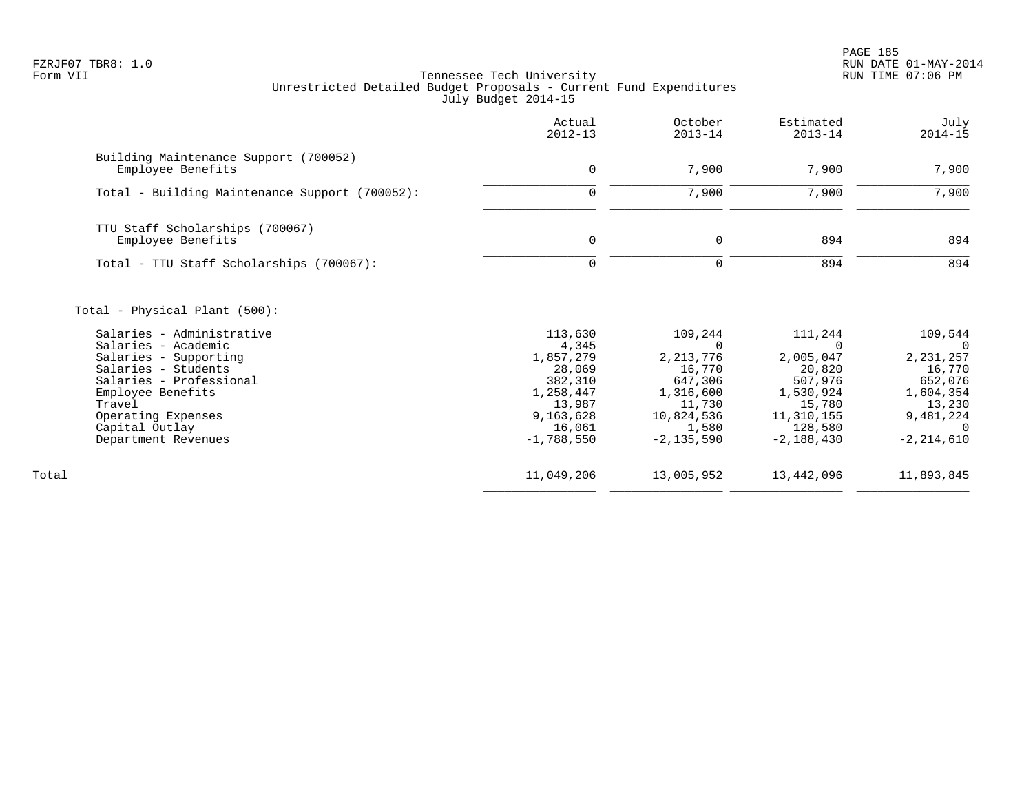PAGE 185 FZRJF07 TBR8: 1.0 RUN DATE 01-MAY-2014

|                                                                                                                                                                                                                                                            | Actual<br>$2012 - 13$                                                                                            | October<br>$2013 - 14$                                                                                      | Estimated<br>$2013 - 14$                                                                                  | July<br>$2014 - 15$                                                                                                  |
|------------------------------------------------------------------------------------------------------------------------------------------------------------------------------------------------------------------------------------------------------------|------------------------------------------------------------------------------------------------------------------|-------------------------------------------------------------------------------------------------------------|-----------------------------------------------------------------------------------------------------------|----------------------------------------------------------------------------------------------------------------------|
| Building Maintenance Support (700052)<br>Employee Benefits                                                                                                                                                                                                 | $\mathbf{0}$                                                                                                     | 7,900                                                                                                       | 7,900                                                                                                     | 7,900                                                                                                                |
| Total - Building Maintenance Support (700052):                                                                                                                                                                                                             | 0                                                                                                                | 7,900                                                                                                       | 7,900                                                                                                     | 7,900                                                                                                                |
| TTU Staff Scholarships (700067)<br>Employee Benefits                                                                                                                                                                                                       | $\mathbf 0$                                                                                                      | 0                                                                                                           | 894                                                                                                       | 894                                                                                                                  |
| Total - TTU Staff Scholarships (700067):                                                                                                                                                                                                                   | $\mathbf 0$                                                                                                      | $\mathbf 0$                                                                                                 | 894                                                                                                       | 894                                                                                                                  |
| Total - Physical Plant (500):<br>Salaries - Administrative<br>Salaries - Academic<br>Salaries - Supporting<br>Salaries - Students<br>Salaries - Professional<br>Employee Benefits<br>Travel<br>Operating Expenses<br>Capital Outlay<br>Department Revenues | 113,630<br>4,345<br>1,857,279<br>28,069<br>382,310<br>1,258,447<br>13,987<br>9,163,628<br>16,061<br>$-1,788,550$ | 109,244<br>2, 213, 776<br>16,770<br>647,306<br>1,316,600<br>11,730<br>10,824,536<br>1,580<br>$-2, 135, 590$ | 111,244<br>2,005,047<br>20,820<br>507,976<br>1,530,924<br>15,780<br>11,310,155<br>128,580<br>$-2,188,430$ | 109,544<br>- 0<br>2, 231, 257<br>16,770<br>652,076<br>1,604,354<br>13,230<br>9,481,224<br>$\Omega$<br>$-2, 214, 610$ |
| Total                                                                                                                                                                                                                                                      | 11,049,206                                                                                                       | 13,005,952                                                                                                  | 13,442,096                                                                                                | 11,893,845                                                                                                           |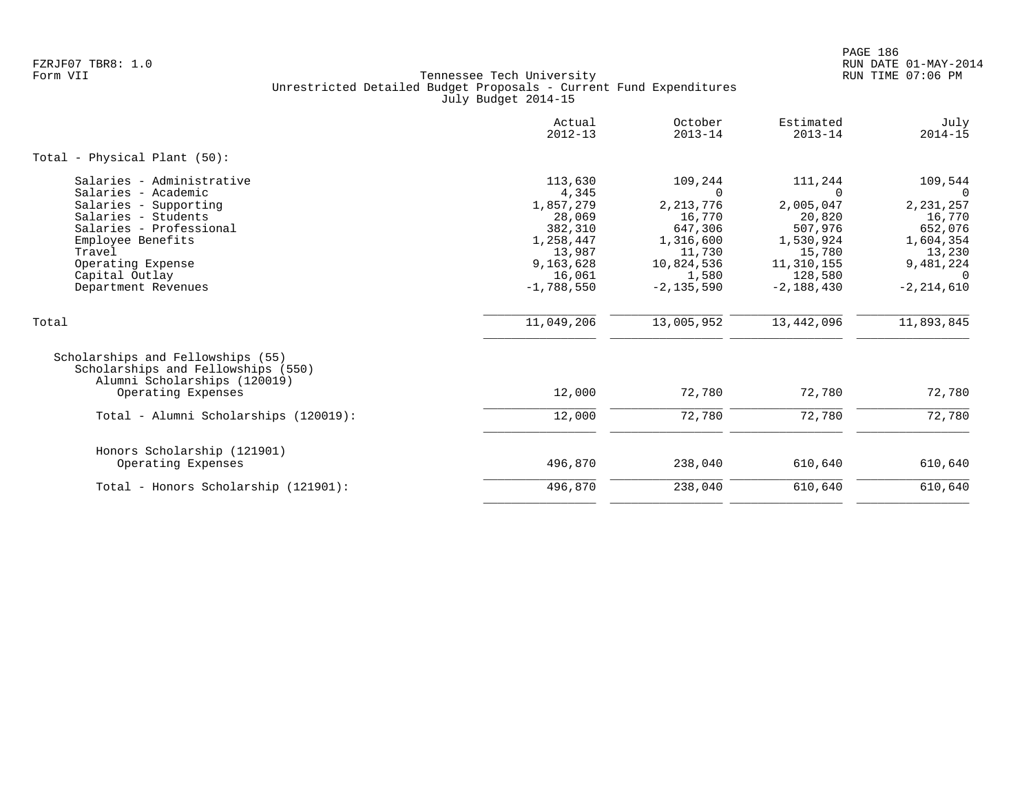|                                                                                                                                                                                                                          | Actual<br>$2012 - 13$                                                                                            | October<br>$2013 - 14$                                                                                                  | Estimated<br>$2013 - 14$                                                                                              | July<br>$2014 - 15$                                                                                                     |
|--------------------------------------------------------------------------------------------------------------------------------------------------------------------------------------------------------------------------|------------------------------------------------------------------------------------------------------------------|-------------------------------------------------------------------------------------------------------------------------|-----------------------------------------------------------------------------------------------------------------------|-------------------------------------------------------------------------------------------------------------------------|
| Total - Physical Plant (50):                                                                                                                                                                                             |                                                                                                                  |                                                                                                                         |                                                                                                                       |                                                                                                                         |
| Salaries - Administrative<br>Salaries - Academic<br>Salaries - Supporting<br>Salaries - Students<br>Salaries - Professional<br>Employee Benefits<br>Travel<br>Operating Expense<br>Capital Outlay<br>Department Revenues | 113,630<br>4,345<br>1,857,279<br>28,069<br>382,310<br>1,258,447<br>13,987<br>9,163,628<br>16,061<br>$-1,788,550$ | 109,244<br>$\Omega$<br>2, 213, 776<br>16,770<br>647,306<br>1,316,600<br>11,730<br>10,824,536<br>1,580<br>$-2, 135, 590$ | 111,244<br>$\Omega$<br>2,005,047<br>20,820<br>507,976<br>1,530,924<br>15,780<br>11,310,155<br>128,580<br>$-2,188,430$ | 109,544<br>$\Omega$<br>2, 231, 257<br>16,770<br>652,076<br>1,604,354<br>13,230<br>9,481,224<br>$\cap$<br>$-2, 214, 610$ |
| Total                                                                                                                                                                                                                    | 11,049,206                                                                                                       | 13,005,952                                                                                                              | 13,442,096                                                                                                            | 11,893,845                                                                                                              |
| Scholarships and Fellowships (55)<br>Scholarships and Fellowships (550)<br>Alumni Scholarships (120019)<br>Operating Expenses                                                                                            | 12,000                                                                                                           | 72,780                                                                                                                  | 72,780                                                                                                                | 72,780                                                                                                                  |
| Total - Alumni Scholarships (120019):                                                                                                                                                                                    | 12,000                                                                                                           | 72,780                                                                                                                  | 72,780                                                                                                                | 72,780                                                                                                                  |
| Honors Scholarship (121901)<br>Operating Expenses                                                                                                                                                                        | 496,870<br>496,870                                                                                               | 238,040<br>238,040                                                                                                      | 610,640<br>610,640                                                                                                    | 610,640<br>610,640                                                                                                      |
| Total - Honors Scholarship (121901):                                                                                                                                                                                     |                                                                                                                  |                                                                                                                         |                                                                                                                       |                                                                                                                         |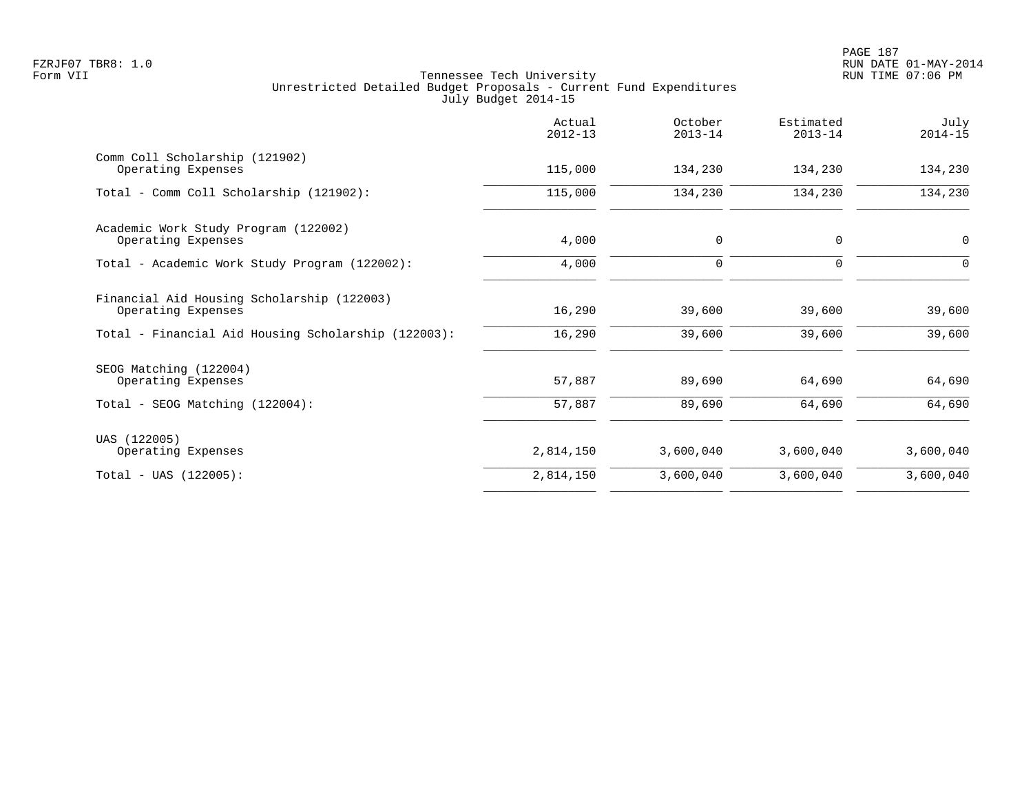|                                                                  | Actual<br>$2012 - 13$ | October<br>$2013 - 14$ | Estimated<br>$2013 - 14$ | July<br>$2014 - 15$ |
|------------------------------------------------------------------|-----------------------|------------------------|--------------------------|---------------------|
| Comm Coll Scholarship (121902)<br>Operating Expenses             | 115,000               | 134,230                | 134,230                  | 134,230             |
| Total - Comm Coll Scholarship (121902):                          | 115,000               | 134,230                | 134,230                  | 134,230             |
| Academic Work Study Program (122002)<br>Operating Expenses       | 4,000                 | 0                      | $\mathbf 0$              | $\mathbf 0$         |
| Total - Academic Work Study Program (122002):                    | 4,000                 | $\mathsf{O}$           | $\mathbf 0$              | $\Omega$            |
| Financial Aid Housing Scholarship (122003)<br>Operating Expenses | 16,290                | 39,600                 | 39,600                   | 39,600              |
| Total - Financial Aid Housing Scholarship (122003):              | 16,290                | 39,600                 | 39,600                   | 39,600              |
| SEOG Matching (122004)<br>Operating Expenses                     | 57,887                | 89,690                 | 64,690                   | 64,690              |
| Total - SEOG Matching (122004):                                  | 57,887                | 89,690                 | 64,690                   | 64,690              |
| UAS (122005)<br>Operating Expenses                               | 2,814,150             | 3,600,040              | 3,600,040                | 3,600,040           |
| $Total - UAS (122005):$                                          | 2,814,150             | 3,600,040              | 3,600,040                | 3,600,040           |
|                                                                  |                       |                        |                          |                     |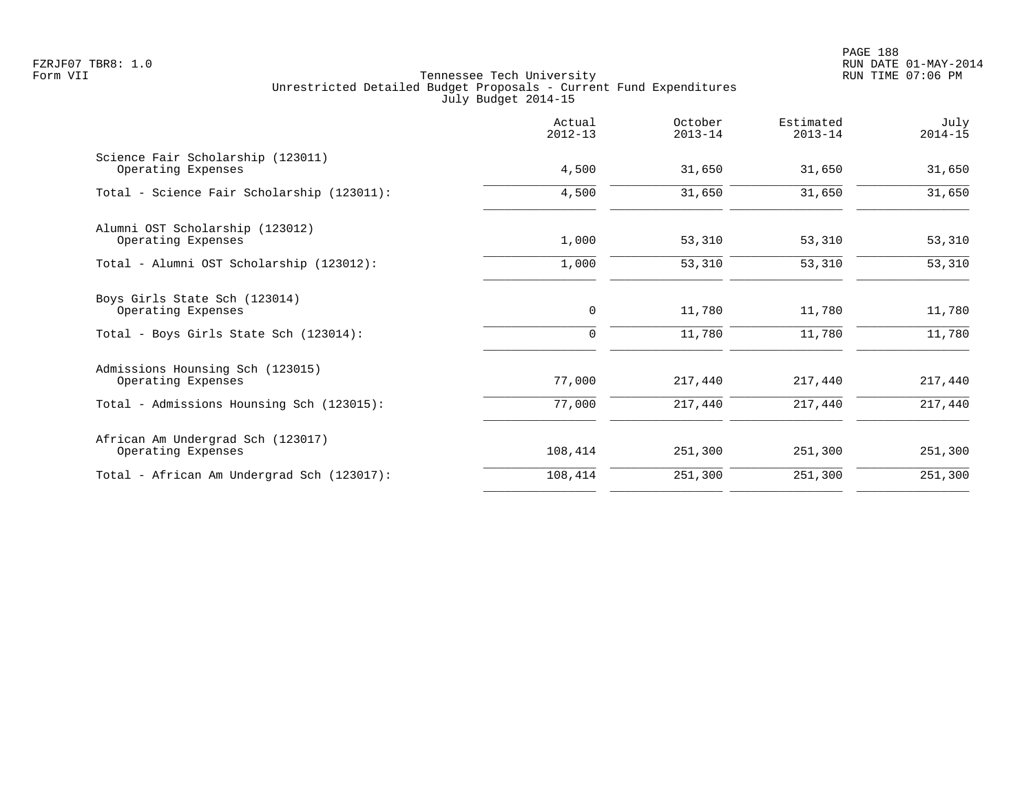PAGE 188 FZRJF07 TBR8: 1.0 RUN DATE 01-MAY-2014

|                                                         | Actual<br>$2012 - 13$ | October<br>$2013 - 14$ | Estimated<br>$2013 - 14$ | July<br>$2014 - 15$ |
|---------------------------------------------------------|-----------------------|------------------------|--------------------------|---------------------|
| Science Fair Scholarship (123011)<br>Operating Expenses | 4,500                 | 31,650                 | 31,650                   | 31,650              |
| Total - Science Fair Scholarship (123011):              | 4,500                 | 31,650                 | 31,650                   | 31,650              |
| Alumni OST Scholarship (123012)<br>Operating Expenses   | 1,000                 | 53,310                 | 53,310                   | 53,310              |
| Total - Alumni OST Scholarship (123012):                | 1,000                 | 53,310                 | 53,310                   | 53,310              |
| Boys Girls State Sch (123014)<br>Operating Expenses     | $\mathbf 0$           | 11,780                 | 11,780                   | 11,780              |
| Total - Boys Girls State Sch (123014):                  | $\mathbf 0$           | 11,780                 | 11,780                   | 11,780              |
| Admissions Hounsing Sch (123015)<br>Operating Expenses  | 77,000                | 217,440                | 217,440                  | 217,440             |
| Total - Admissions Hounsing Sch (123015):               | 77,000                | 217,440                | 217,440                  | 217,440             |
| African Am Undergrad Sch (123017)<br>Operating Expenses | 108,414               | 251,300                | 251,300                  | 251,300             |
| Total - African Am Undergrad Sch (123017):              | 108,414               | 251,300                | 251,300                  | 251,300             |
|                                                         |                       |                        |                          |                     |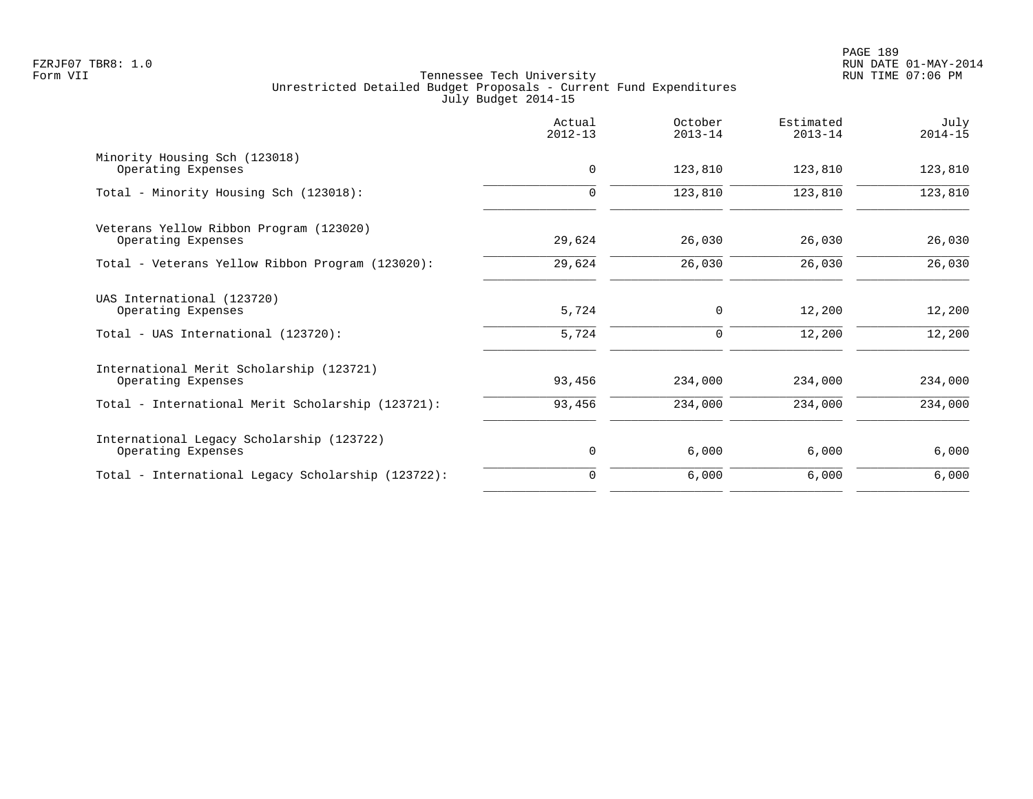|                                                                 | Actual<br>$2012 - 13$ | October<br>$2013 - 14$ | Estimated<br>$2013 - 14$ | July<br>$2014 - 15$ |
|-----------------------------------------------------------------|-----------------------|------------------------|--------------------------|---------------------|
| Minority Housing Sch (123018)<br>Operating Expenses             | $\mathbf 0$           | 123,810                | 123,810                  | 123,810             |
| Total - Minority Housing Sch (123018):                          | $\Omega$              | 123,810                | 123,810                  | 123,810             |
| Veterans Yellow Ribbon Program (123020)<br>Operating Expenses   | 29,624                | 26,030                 | 26,030                   | 26,030              |
| Total - Veterans Yellow Ribbon Program (123020):                | 29,624                | 26,030                 | 26,030                   | 26,030              |
| UAS International (123720)<br>Operating Expenses                | 5,724                 | 0                      | 12,200                   | 12,200              |
| Total - UAS International (123720):                             | 5,724                 | 0                      | 12,200                   | 12,200              |
| International Merit Scholarship (123721)<br>Operating Expenses  | 93,456                | 234,000                | 234,000                  | 234,000             |
| Total - International Merit Scholarship (123721):               | 93,456                | 234,000                | 234,000                  | 234,000             |
| International Legacy Scholarship (123722)<br>Operating Expenses | 0                     | 6,000                  | 6,000                    | 6,000               |
| Total - International Legacy Scholarship (123722):              | $\Omega$              | 6,000                  | 6,000                    | 6,000               |
|                                                                 |                       |                        |                          |                     |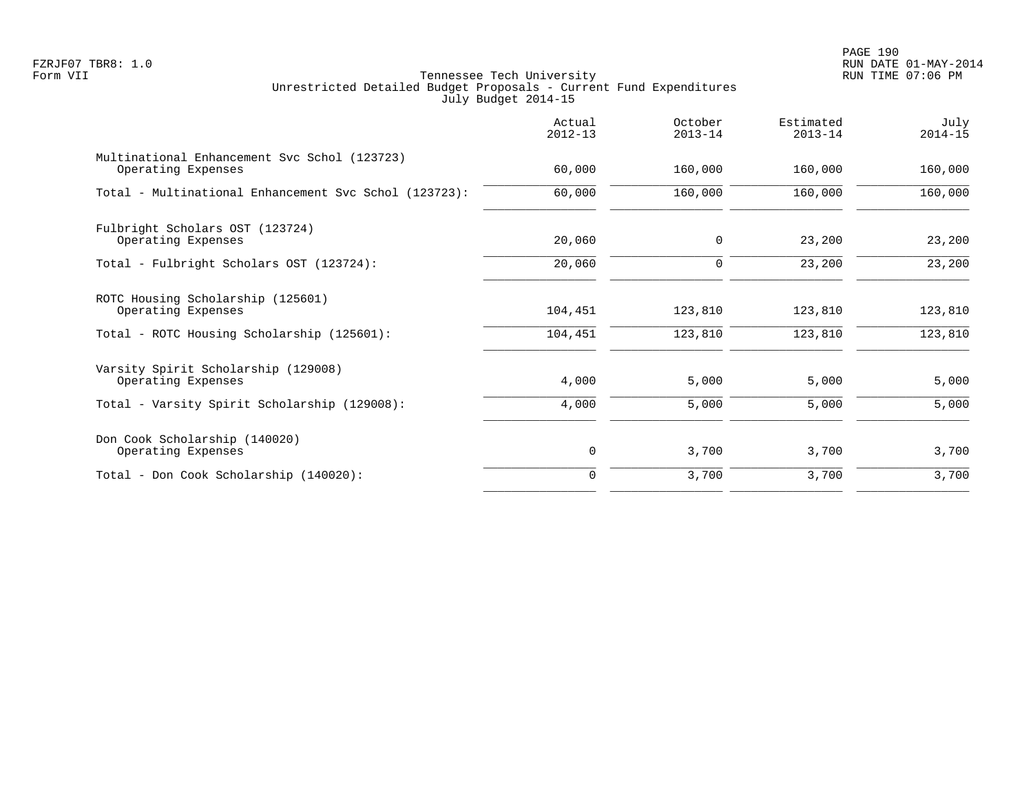PAGE 190 FZRJF07 TBR8: 1.0 RUN DATE 01-MAY-2014

|                                                                    | Actual<br>$2012 - 13$ | October<br>$2013 - 14$ | Estimated<br>$2013 - 14$ | July<br>$2014 - 15$ |
|--------------------------------------------------------------------|-----------------------|------------------------|--------------------------|---------------------|
| Multinational Enhancement Svc Schol (123723)<br>Operating Expenses | 60,000                | 160,000                | 160,000                  | 160,000             |
| Total - Multinational Enhancement Svc Schol (123723):              | 60,000                | 160,000                | 160,000                  | 160,000             |
| Fulbright Scholars OST (123724)<br>Operating Expenses              | 20,060                | 0                      | 23,200                   | 23,200              |
| Total - Fulbright Scholars OST (123724):                           | 20,060                | 0                      | 23,200                   | 23,200              |
| ROTC Housing Scholarship (125601)<br>Operating Expenses            | 104,451               | 123,810                | 123,810                  | 123,810             |
| Total - ROTC Housing Scholarship (125601):                         | 104,451               | 123,810                | 123,810                  | 123,810             |
| Varsity Spirit Scholarship (129008)<br>Operating Expenses          | 4,000                 | 5,000                  | 5,000                    | 5,000               |
| Total - Varsity Spirit Scholarship (129008):                       | 4,000                 | 5,000                  | 5,000                    | 5,000               |
| Don Cook Scholarship (140020)<br>Operating Expenses                | 0                     | 3,700                  | 3,700                    | 3,700               |
| Total - Don Cook Scholarship (140020):                             | $\Omega$              | 3,700                  | 3,700                    | 3,700               |
|                                                                    |                       |                        |                          |                     |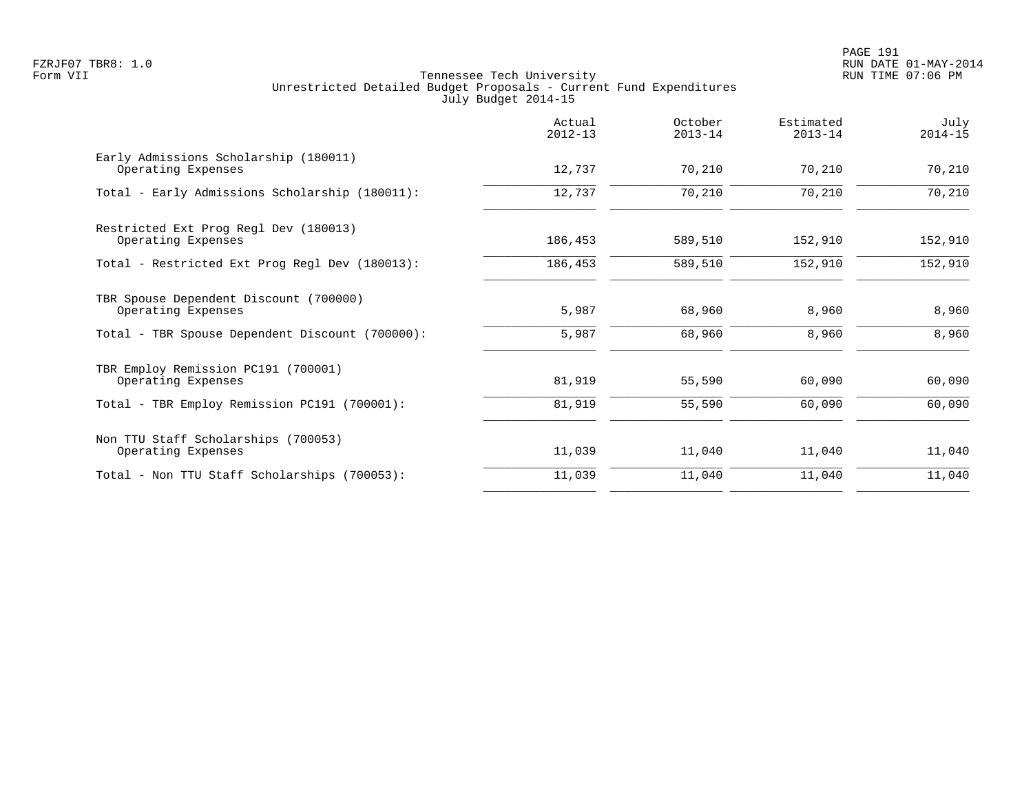| 70,210<br>70,210 | 70,210  |         |
|------------------|---------|---------|
|                  |         | 70,210  |
|                  | 70,210  | 70,210  |
| 589,510          | 152,910 | 152,910 |
| 589,510          | 152,910 | 152,910 |
| 68,960           | 8,960   | 8,960   |
| 68,960           | 8,960   | 8,960   |
| 55,590           | 60,090  | 60,090  |
| 55,590           | 60,090  | 60,090  |
| 11,040           | 11,040  | 11,040  |
| 11,040           | 11,040  | 11,040  |
|                  |         |         |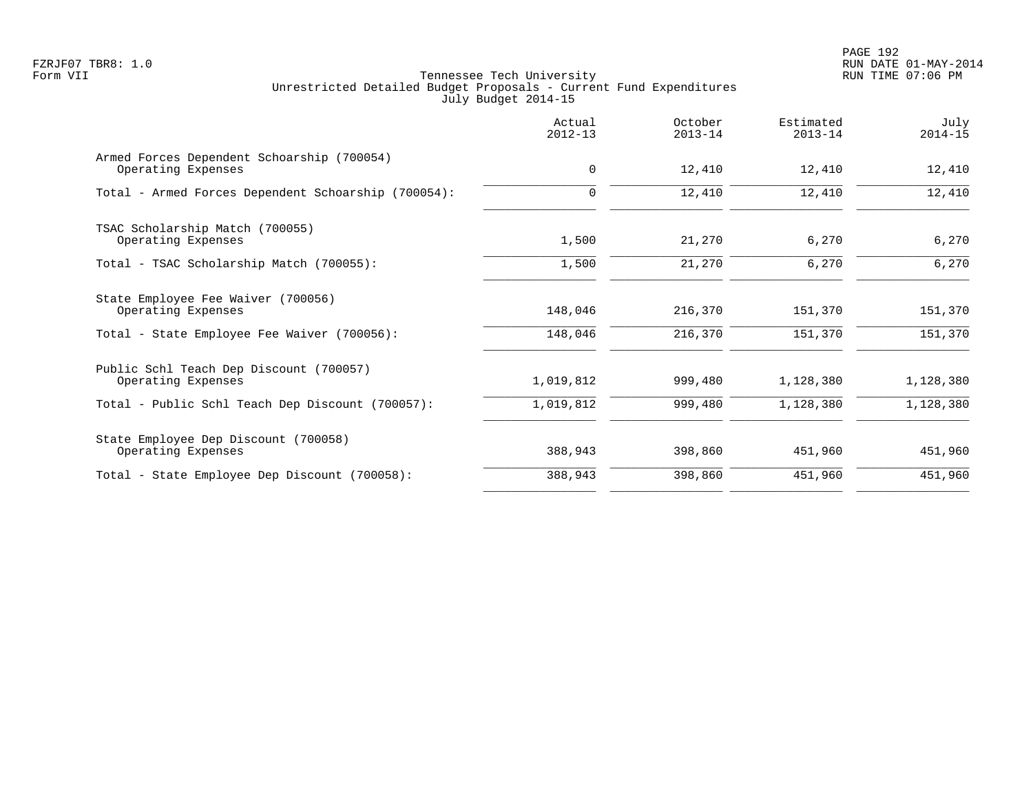|                                                                  | Actual<br>$2012 - 13$ | October<br>$2013 - 14$ | Estimated<br>$2013 - 14$ | July<br>$2014 - 15$ |
|------------------------------------------------------------------|-----------------------|------------------------|--------------------------|---------------------|
| Armed Forces Dependent Schoarship (700054)<br>Operating Expenses | $\mathbf 0$           | 12,410                 | 12,410                   | 12,410              |
| Total - Armed Forces Dependent Schoarship (700054):              | $\mathbf 0$           | 12,410                 | 12,410                   | 12,410              |
| TSAC Scholarship Match (700055)<br>Operating Expenses            | 1,500                 | 21,270                 | 6,270                    | 6,270               |
| Total - TSAC Scholarship Match (700055):                         | 1,500                 | 21,270                 | 6,270                    | 6,270               |
| State Employee Fee Waiver (700056)<br>Operating Expenses         | 148,046               | 216,370                | 151,370                  | 151,370             |
| Total - State Employee Fee Waiver (700056):                      | 148,046               | 216,370                | 151,370                  | 151,370             |
| Public Schl Teach Dep Discount (700057)<br>Operating Expenses    | 1,019,812             | 999,480                | 1,128,380                | 1,128,380           |
| Total - Public Schl Teach Dep Discount (700057):                 | 1,019,812             | 999,480                | 1,128,380                | 1,128,380           |
| State Employee Dep Discount (700058)<br>Operating Expenses       | 388,943               | 398,860                | 451,960                  | 451,960             |
| Total - State Employee Dep Discount (700058):                    | 388,943               | 398,860                | 451,960                  | 451,960             |
|                                                                  |                       |                        |                          |                     |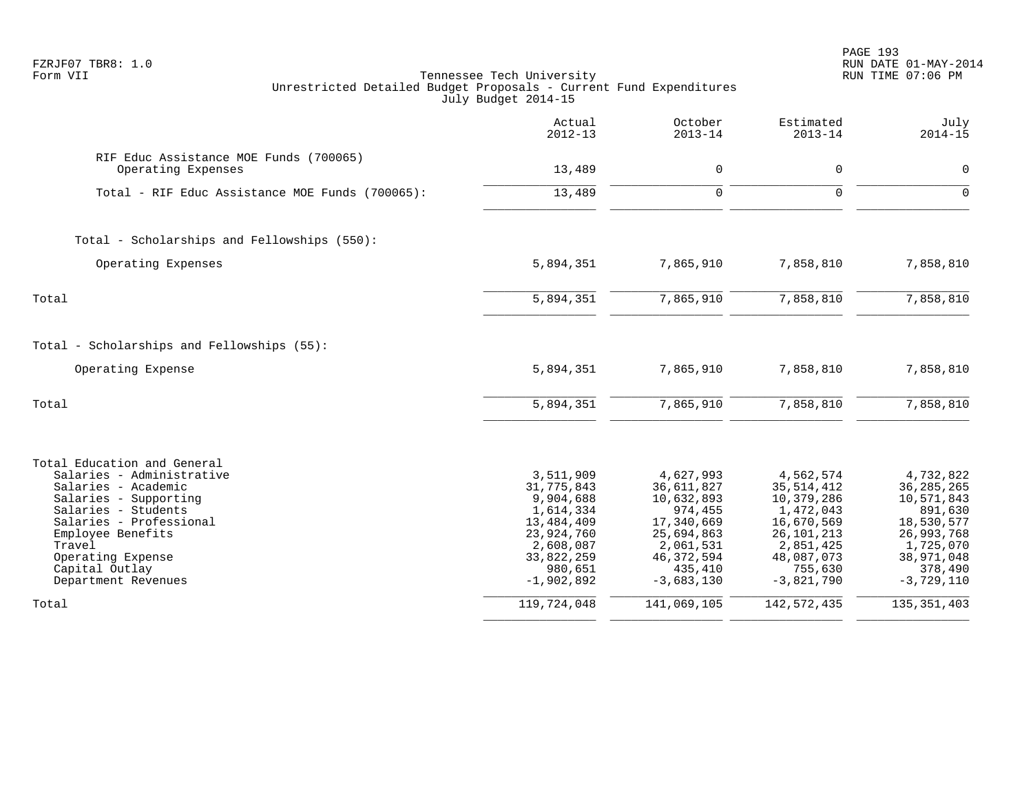| FZRJF07 TBR8: 1.0<br>Form VII<br>Unrestricted Detailed Budget Proposals - Current Fund Expenditures                                                                                                                                                     | Tennessee Tech University<br>July Budget 2014-15                                                                                    |                                                                                                                                      |                                                                                                                                          | PAGE 193<br>RUN DATE 01-MAY-2014<br>RUN TIME 07:06 PM                                                                                |
|---------------------------------------------------------------------------------------------------------------------------------------------------------------------------------------------------------------------------------------------------------|-------------------------------------------------------------------------------------------------------------------------------------|--------------------------------------------------------------------------------------------------------------------------------------|------------------------------------------------------------------------------------------------------------------------------------------|--------------------------------------------------------------------------------------------------------------------------------------|
|                                                                                                                                                                                                                                                         | Actual<br>$2012 - 13$                                                                                                               | October<br>$2013 - 14$                                                                                                               | Estimated<br>$2013 - 14$                                                                                                                 | July<br>$2014 - 15$                                                                                                                  |
| RIF Educ Assistance MOE Funds (700065)<br>Operating Expenses                                                                                                                                                                                            | 13,489                                                                                                                              | $\Omega$                                                                                                                             | $\mathbf 0$                                                                                                                              | 0                                                                                                                                    |
| Total - RIF Educ Assistance MOE Funds (700065):                                                                                                                                                                                                         | 13,489                                                                                                                              | $\Omega$                                                                                                                             | $\Omega$                                                                                                                                 | $\Omega$                                                                                                                             |
| Total - Scholarships and Fellowships (550):                                                                                                                                                                                                             |                                                                                                                                     |                                                                                                                                      |                                                                                                                                          |                                                                                                                                      |
| Operating Expenses                                                                                                                                                                                                                                      | 5,894,351                                                                                                                           | 7,865,910                                                                                                                            | 7,858,810                                                                                                                                | 7,858,810                                                                                                                            |
| Total                                                                                                                                                                                                                                                   | 5,894,351                                                                                                                           | 7,865,910                                                                                                                            | 7,858,810                                                                                                                                | 7,858,810                                                                                                                            |
| Total - Scholarships and Fellowships (55):                                                                                                                                                                                                              |                                                                                                                                     |                                                                                                                                      |                                                                                                                                          |                                                                                                                                      |
| Operating Expense                                                                                                                                                                                                                                       | 5,894,351                                                                                                                           | 7,865,910                                                                                                                            | 7,858,810                                                                                                                                | 7,858,810                                                                                                                            |
| Total                                                                                                                                                                                                                                                   | 5,894,351                                                                                                                           | 7,865,910                                                                                                                            | 7,858,810                                                                                                                                | 7,858,810                                                                                                                            |
| Total Education and General<br>Salaries - Administrative<br>Salaries - Academic<br>Salaries - Supporting<br>Salaries - Students<br>Salaries - Professional<br>Employee Benefits<br>Travel<br>Operating Expense<br>Capital Outlay<br>Department Revenues | 3,511,909<br>31,775,843<br>9,904,688<br>1,614,334<br>13,484,409<br>23,924,760<br>2,608,087<br>33,822,259<br>980,651<br>$-1,902,892$ | 4,627,993<br>36,611,827<br>10,632,893<br>974,455<br>17,340,669<br>25,694,863<br>2,061,531<br>46, 372, 594<br>435,410<br>$-3,683,130$ | 4,562,574<br>35, 514, 412<br>10,379,286<br>1,472,043<br>16,670,569<br>26, 101, 213<br>2,851,425<br>48,087,073<br>755,630<br>$-3,821,790$ | 4,732,822<br>36, 285, 265<br>10,571,843<br>891,630<br>18,530,577<br>26,993,768<br>1,725,070<br>38,971,048<br>378,490<br>$-3,729,110$ |
| Total                                                                                                                                                                                                                                                   | 119,724,048                                                                                                                         | 141,069,105                                                                                                                          | 142,572,435                                                                                                                              | 135, 351, 403                                                                                                                        |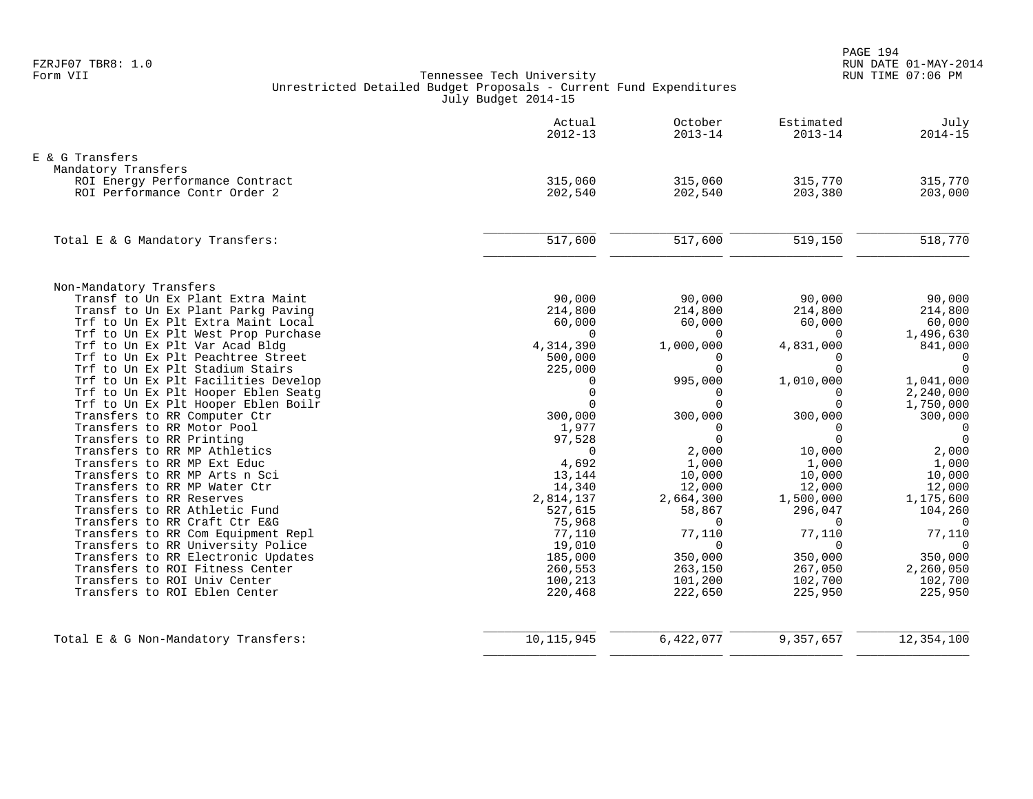|                                                                       | Actual<br>$2012 - 13$ | October<br>$2013 - 14$ | Estimated<br>$2013 - 14$ | July<br>$2014 - 15$  |
|-----------------------------------------------------------------------|-----------------------|------------------------|--------------------------|----------------------|
| E & G Transfers                                                       |                       |                        |                          |                      |
| Mandatory Transfers                                                   |                       |                        |                          |                      |
| ROI Energy Performance Contract                                       | 315,060               | 315,060                | 315,770                  | 315,770              |
| ROI Performance Contr Order 2                                         | 202,540               | 202,540                | 203,380                  | 203,000              |
| Total E & G Mandatory Transfers:                                      | 517,600               | 517,600                | 519,150                  | 518,770              |
|                                                                       |                       |                        |                          |                      |
| Non-Mandatory Transfers                                               |                       |                        |                          |                      |
| Transf to Un Ex Plant Extra Maint                                     | 90,000                | 90,000                 | 90,000                   | 90,000               |
| Transf to Un Ex Plant Parkg Paving                                    | 214,800               | 214,800                | 214,800                  | 214,800              |
| Trf to Un Ex Plt Extra Maint Local                                    | 60,000                | 60,000                 | 60,000                   | 60,000               |
| Trf to Un Ex Plt West Prop Purchase<br>Trf to Un Ex Plt Var Acad Bldg | $\Omega$<br>4,314,390 | $\Omega$<br>1,000,000  | $\Omega$<br>4,831,000    | 1,496,630<br>841,000 |
| Trf to Un Ex Plt Peachtree Street                                     | 500,000               | $\Omega$               | $\Omega$                 | $\mathbf 0$          |
| Trf to Un Ex Plt Stadium Stairs                                       | 225,000               | $\Omega$               | $\Omega$                 | $\Omega$             |
| Trf to Un Ex Plt Facilities Develop                                   | $\Omega$              | 995,000                | 1,010,000                | 1,041,000            |
| Trf to Un Ex Plt Hooper Eblen Seatg                                   | $\Omega$              | $\Omega$               | $\Omega$                 | 2,240,000            |
| Trf to Un Ex Plt Hooper Eblen Boilr                                   | $\Omega$              | $\Omega$               | $\Omega$                 | 1,750,000            |
| Transfers to RR Computer Ctr                                          | 300,000               | 300,000                | 300,000                  | 300,000              |
| Transfers to RR Motor Pool                                            | 1,977                 | $\Omega$               | $\Omega$                 | $\mathbf 0$          |
| Transfers to RR Printing                                              | 97,528                | $\Omega$               | $\Omega$                 | $\Omega$             |
| Transfers to RR MP Athletics                                          | $\Omega$              | 2,000                  | 10,000                   | 2,000                |
| Transfers to RR MP Ext Educ                                           | 4,692                 | 1,000                  | 1,000                    | 1,000                |
| Transfers to RR MP Arts n Sci                                         | 13,144                | 10,000                 | 10,000                   | 10,000               |
| Transfers to RR MP Water Ctr                                          | 14,340                | 12,000                 | 12,000                   | 12,000               |
| Transfers to RR Reserves                                              | 2,814,137             | 2,664,300              | 1,500,000                | 1,175,600            |
| Transfers to RR Athletic Fund<br>Transfers to RR Craft Ctr E&G        | 527,615               | 58,867<br>$\Omega$     | 296,047<br>$\Omega$      | 104,260<br>$\Omega$  |
| Transfers to RR Com Equipment Repl                                    | 75,968<br>77,110      | 77,110                 | 77,110                   | 77,110               |
| Transfers to RR University Police                                     | 19,010                | $\Omega$               | $\Omega$                 | $\Omega$             |
| Transfers to RR Electronic Updates                                    | 185,000               | 350,000                | 350,000                  | 350,000              |
| Transfers to ROI Fitness Center                                       | 260,553               | 263,150                | 267,050                  | 2,260,050            |
| Transfers to ROI Univ Center                                          | 100,213               | 101,200                | 102,700                  | 102,700              |
| Transfers to ROI Eblen Center                                         | 220,468               | 222,650                | 225,950                  | 225,950              |
| Total E & G Non-Mandatory Transfers:                                  | 10, 115, 945          | 6,422,077              | 9,357,657                | 12,354,100           |
|                                                                       |                       |                        |                          |                      |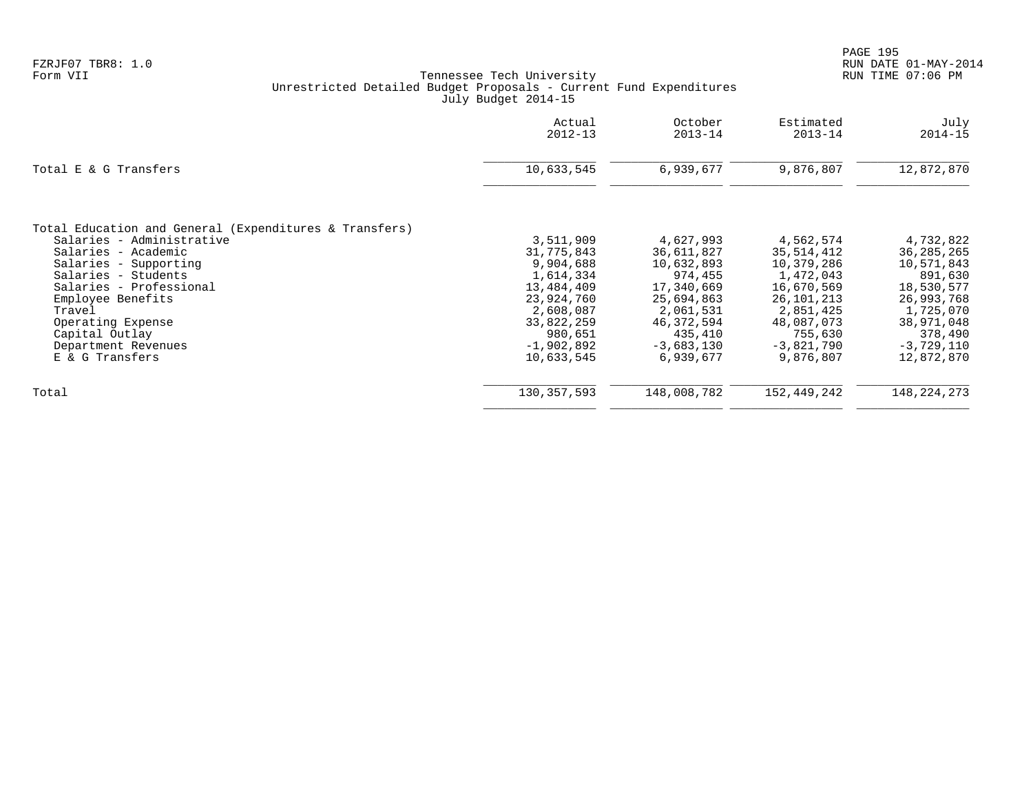|                                                                                                                                                                                                                                                                                                       | Actual<br>$2012 - 13$                                                                                                                             | October<br>$2013 - 14$                                                                                                                          | Estimated<br>$2013 - 14$                                                                                                                          | July<br>$2014 - 15$                                                                                                                                |
|-------------------------------------------------------------------------------------------------------------------------------------------------------------------------------------------------------------------------------------------------------------------------------------------------------|---------------------------------------------------------------------------------------------------------------------------------------------------|-------------------------------------------------------------------------------------------------------------------------------------------------|---------------------------------------------------------------------------------------------------------------------------------------------------|----------------------------------------------------------------------------------------------------------------------------------------------------|
| Total E & G Transfers                                                                                                                                                                                                                                                                                 | 10,633,545                                                                                                                                        | 6,939,677                                                                                                                                       | 9,876,807                                                                                                                                         | 12,872,870                                                                                                                                         |
| Total Education and General (Expenditures & Transfers)<br>Salaries - Administrative<br>Salaries - Academic<br>Salaries - Supporting<br>Salaries - Students<br>Salaries - Professional<br>Employee Benefits<br>Travel<br>Operating Expense<br>Capital Outlay<br>Department Revenues<br>E & G Transfers | 3,511,909<br>31,775,843<br>9,904,688<br>1,614,334<br>13,484,409<br>23,924,760<br>2,608,087<br>33,822,259<br>980,651<br>$-1,902,892$<br>10,633,545 | 4,627,993<br>36,611,827<br>10,632,893<br>974,455<br>17,340,669<br>25,694,863<br>2,061,531<br>46,372,594<br>435,410<br>$-3,683,130$<br>6,939,677 | 4,562,574<br>35,514,412<br>10,379,286<br>1,472,043<br>16,670,569<br>26,101,213<br>2,851,425<br>48,087,073<br>755,630<br>$-3,821,790$<br>9,876,807 | 4,732,822<br>36, 285, 265<br>10,571,843<br>891,630<br>18,530,577<br>26,993,768<br>1,725,070<br>38,971,048<br>378,490<br>$-3,729,110$<br>12,872,870 |
| Total                                                                                                                                                                                                                                                                                                 | 130, 357, 593                                                                                                                                     | 148,008,782                                                                                                                                     | 152,449,242                                                                                                                                       | 148, 224, 273                                                                                                                                      |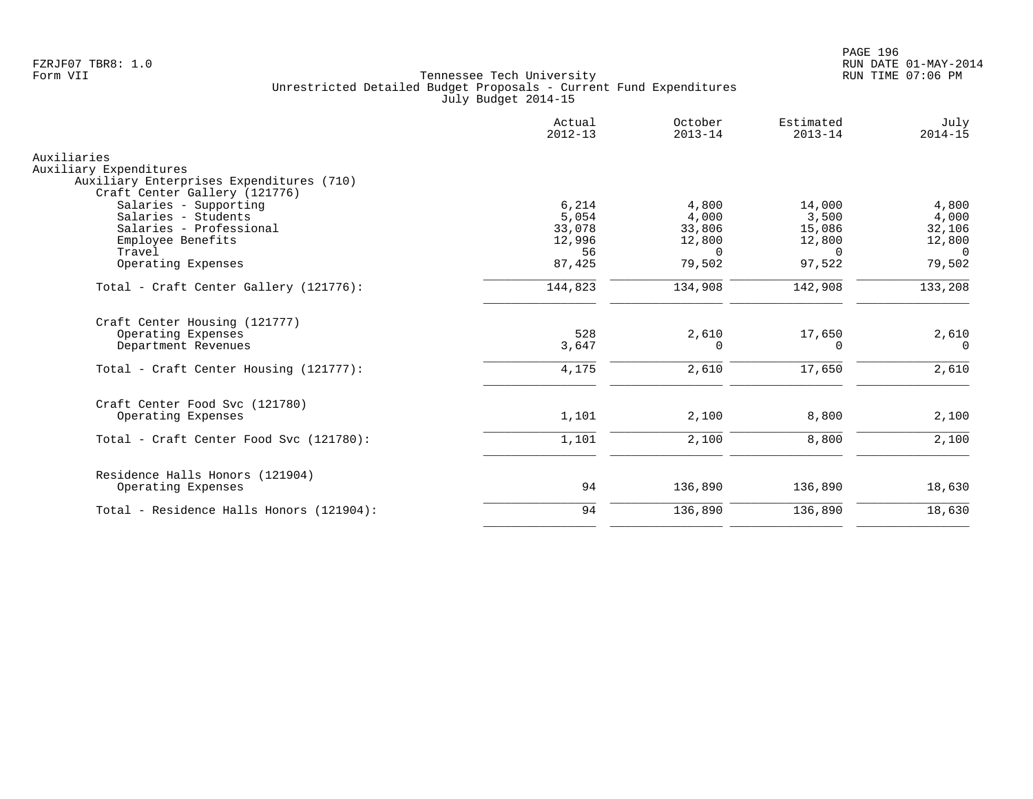|                                                       | Actual<br>$2012 - 13$ | October<br>$2013 - 14$ | Estimated<br>$2013 - 14$ | July<br>$2014 - 15$ |
|-------------------------------------------------------|-----------------------|------------------------|--------------------------|---------------------|
| Auxiliaries                                           |                       |                        |                          |                     |
| Auxiliary Expenditures                                |                       |                        |                          |                     |
| Auxiliary Enterprises Expenditures (710)              |                       |                        |                          |                     |
| Craft Center Gallery (121776)                         |                       |                        |                          |                     |
| Salaries - Supporting                                 | 6,214                 | 4,800                  | 14,000                   | 4,800               |
| Salaries - Students                                   | 5,054                 | 4,000                  | 3,500                    | 4,000               |
| Salaries - Professional                               | 33,078                | 33,806                 | 15,086                   | 32,106              |
| Employee Benefits                                     | 12,996                | 12,800                 | 12,800                   | 12,800              |
| Travel                                                | 56                    | $\Omega$               | $\Omega$                 | $\Omega$            |
| Operating Expenses                                    | 87,425                | 79,502                 | 97,522                   | 79,502              |
| Total - Craft Center Gallery (121776):                | 144,823               | 134,908                | 142,908                  | 133,208             |
| Craft Center Housing (121777)                         |                       |                        |                          |                     |
| Operating Expenses                                    | 528                   | 2,610                  | 17,650                   | 2,610               |
| Department Revenues                                   | 3,647                 | $\Omega$               | 0                        | $\Omega$            |
| Total - Craft Center Housing (121777):                | 4,175                 | 2,610                  | 17,650                   | 2,610               |
|                                                       |                       |                        |                          |                     |
| Craft Center Food Svc (121780)                        |                       |                        |                          |                     |
| Operating Expenses                                    | 1,101                 | 2,100                  | 8,800                    | 2,100               |
| Total - Craft Center Food Svc (121780):               | 1,101                 | 2,100                  | 8,800                    | 2,100               |
|                                                       |                       |                        |                          |                     |
| Residence Halls Honors (121904)<br>Operating Expenses | 94                    | 136,890                | 136,890                  | 18,630              |
|                                                       | 94                    |                        | 136,890                  | 18,630              |
| Total - Residence Halls Honors (121904):              |                       | 136,890                |                          |                     |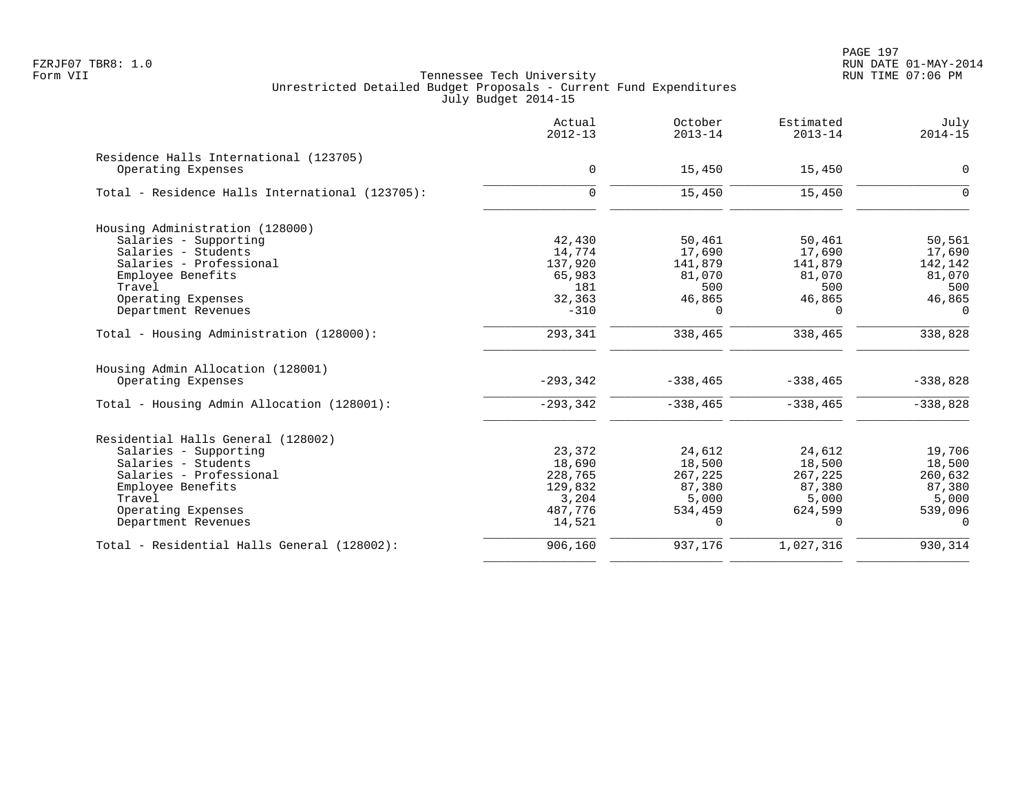PAGE 197 FZRJF07 TBR8: 1.0 RUN DATE 01-MAY-2014

|                                                 | Actual<br>$2012 - 13$ | October<br>$2013 - 14$ | Estimated<br>$2013 - 14$ | July<br>$2014 - 15$ |
|-------------------------------------------------|-----------------------|------------------------|--------------------------|---------------------|
| Residence Halls International (123705)          |                       |                        |                          |                     |
| Operating Expenses                              | 0                     | 15,450                 | 15,450                   | $\mathbf 0$         |
| Total - Residence Halls International (123705): | $\mathbf 0$           | 15,450                 | 15,450                   | $\Omega$            |
| Housing Administration (128000)                 |                       |                        |                          |                     |
| Salaries - Supporting                           | 42,430                | 50,461                 | 50,461                   | 50,561              |
| Salaries - Students                             | 14,774                | 17,690                 | 17,690                   | 17,690              |
| Salaries - Professional                         | 137,920               | 141,879                | 141,879                  | 142,142             |
| Employee Benefits                               | 65,983                | 81,070                 | 81,070                   | 81,070              |
| Travel                                          | 181                   | 500                    | 500                      | 500                 |
| Operating Expenses                              | 32,363                | 46,865                 | 46,865                   | 46,865              |
| Department Revenues                             | $-310$                | $\Omega$               | $\Omega$                 | $\Omega$            |
| Total - Housing Administration (128000):        | 293,341               | 338,465                | 338,465                  | 338,828             |
| Housing Admin Allocation (128001)               |                       |                        |                          |                     |
| Operating Expenses                              | $-293,342$            | $-338, 465$            | $-338, 465$              | $-338,828$          |
| Total - Housing Admin Allocation (128001):      | $-293, 342$           | $-338, 465$            | $-338, 465$              | $-338,828$          |
| Residential Halls General (128002)              |                       |                        |                          |                     |
| Salaries - Supporting                           | 23,372                | 24,612                 | 24,612                   | 19,706              |
| Salaries - Students                             | 18,690                | 18,500                 | 18,500                   | 18,500              |
| Salaries - Professional                         | 228,765               | 267,225                | 267,225                  | 260,632             |
| Employee Benefits                               | 129,832               | 87,380                 | 87,380                   | 87,380              |
| Travel                                          | 3,204                 | 5,000                  | 5,000                    | 5,000               |
| Operating Expenses                              | 487,776               | 534,459                | 624,599                  | 539,096             |
| Department Revenues                             | 14,521                | $\Omega$               | $\Omega$                 | $\Omega$            |
| Total - Residential Halls General (128002):     | 906,160               | 937,176                | 1,027,316                | 930,314             |
|                                                 |                       |                        |                          |                     |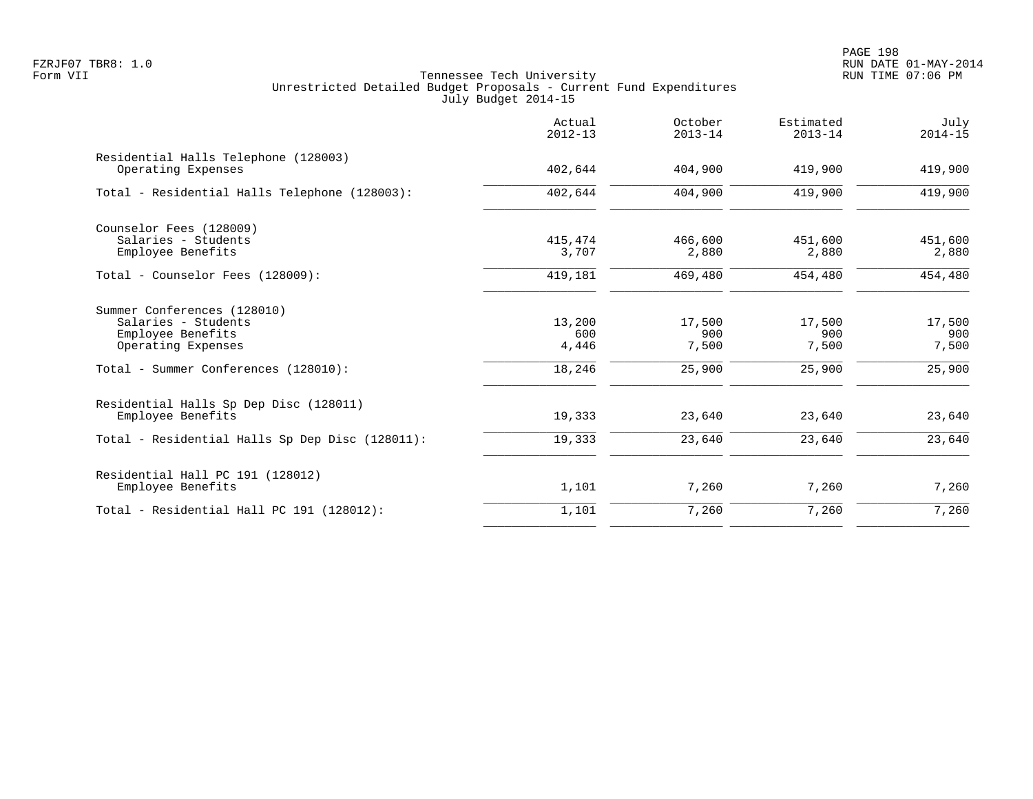|                                                                                               | Actual<br>$2012 - 13$  | October<br>$2013 - 14$ | Estimated<br>$2013 - 14$ | July<br>$2014 - 15$    |
|-----------------------------------------------------------------------------------------------|------------------------|------------------------|--------------------------|------------------------|
| Residential Halls Telephone (128003)<br>Operating Expenses                                    | 402,644                | 404,900                | 419,900                  | 419,900                |
| Total - Residential Halls Telephone (128003):                                                 | 402,644                | 404,900                | 419,900                  | 419,900                |
| Counselor Fees (128009)<br>Salaries - Students<br>Employee Benefits                           | 415,474<br>3,707       | 466,600<br>2,880       | 451,600<br>2,880         | 451,600<br>2,880       |
| Total - Counselor Fees (128009):                                                              | 419,181                | 469,480                | 454,480                  | 454,480                |
| Summer Conferences (128010)<br>Salaries - Students<br>Employee Benefits<br>Operating Expenses | 13,200<br>600<br>4,446 | 17,500<br>900<br>7,500 | 17,500<br>900<br>7,500   | 17,500<br>900<br>7,500 |
| Total - Summer Conferences (128010):                                                          | 18,246                 | 25,900                 | 25,900                   | 25,900                 |
| Residential Halls Sp Dep Disc (128011)<br>Employee Benefits                                   | 19,333                 | 23,640                 | 23,640                   | 23,640                 |
| Total - Residential Halls Sp Dep Disc (128011):                                               | 19,333                 | 23,640                 | 23,640                   | 23,640                 |
| Residential Hall PC 191 (128012)<br>Employee Benefits                                         | 1,101                  | 7,260                  | 7,260                    | 7,260                  |
| Total - Residential Hall PC 191 (128012):                                                     | 1,101                  | 7,260                  | 7,260                    | 7,260                  |
|                                                                                               |                        |                        |                          |                        |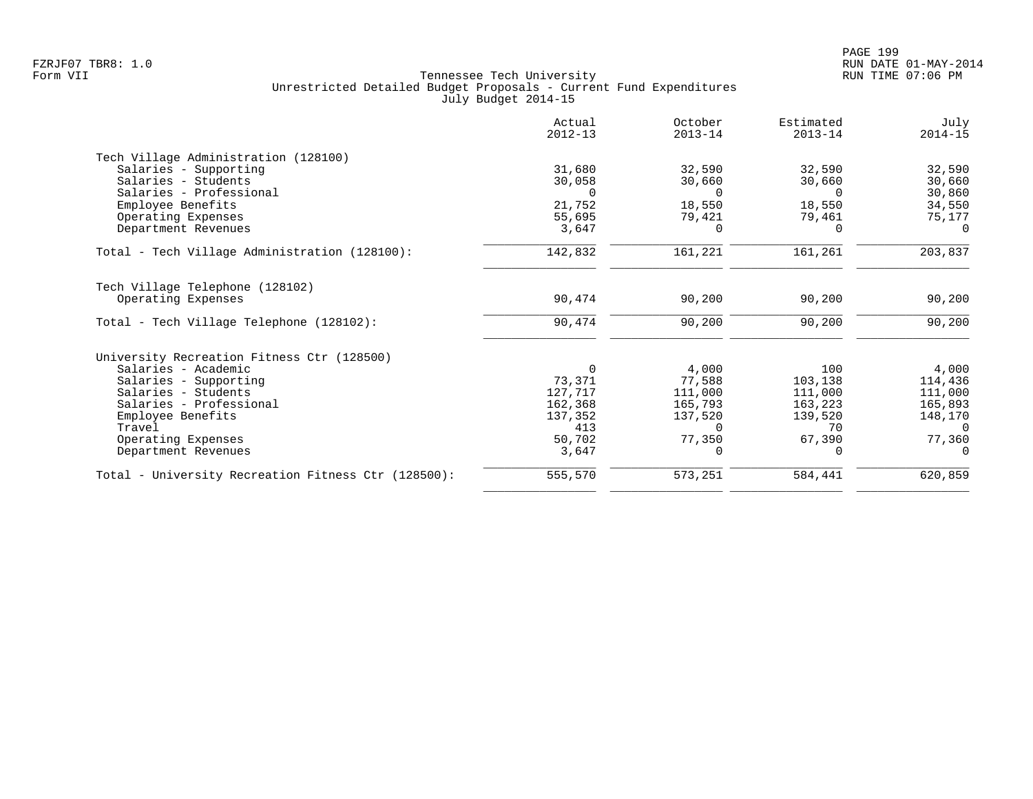|                                                     | Actual<br>$2012 - 13$ | October<br>$2013 - 14$ | Estimated<br>$2013 - 14$ | July<br>$2014 - 15$ |
|-----------------------------------------------------|-----------------------|------------------------|--------------------------|---------------------|
| Tech Village Administration (128100)                |                       |                        |                          |                     |
| Salaries - Supporting                               | 31,680                | 32,590                 | 32,590                   | 32,590              |
| Salaries - Students                                 | 30,058                | 30,660                 | 30,660                   | 30,660              |
| Salaries - Professional                             | $\Omega$              | $\Omega$               | $\Omega$                 | 30,860              |
| Employee Benefits                                   | 21,752                | 18,550                 | 18,550                   | 34,550              |
| Operating Expenses                                  | 55,695                | 79,421                 | 79,461                   | 75,177              |
| Department Revenues                                 | 3,647                 | 0                      | $\Omega$                 | $\Omega$            |
| Total - Tech Village Administration (128100):       | 142,832               | 161,221                | 161,261                  | 203,837             |
| Tech Village Telephone (128102)                     |                       |                        |                          |                     |
| Operating Expenses                                  | 90,474                | 90,200                 | 90,200                   | 90,200              |
| Total - Tech Village Telephone (128102):            | 90,474                | 90,200                 | 90,200                   | 90,200              |
| University Recreation Fitness Ctr (128500)          |                       |                        |                          |                     |
| Salaries - Academic                                 | $\Omega$              | 4,000                  | 100                      | 4,000               |
| Salaries - Supporting                               | 73,371                | 77,588                 | 103,138                  | 114,436             |
| Salaries - Students                                 | 127,717               | 111,000                | 111,000                  | 111,000             |
| Salaries - Professional                             | 162,368               | 165,793                | 163,223                  | 165,893             |
| Employee Benefits                                   | 137,352               | 137,520                | 139,520                  | 148,170             |
| Travel                                              | 413                   | $\Omega$               | 70                       | $\Omega$            |
| Operating Expenses                                  | 50,702                | 77,350                 | 67,390                   | 77,360              |
| Department Revenues                                 | 3,647                 |                        | $\Omega$                 | $\Omega$            |
| Total - University Recreation Fitness Ctr (128500): | 555,570               | 573,251                | 584,441                  | 620,859             |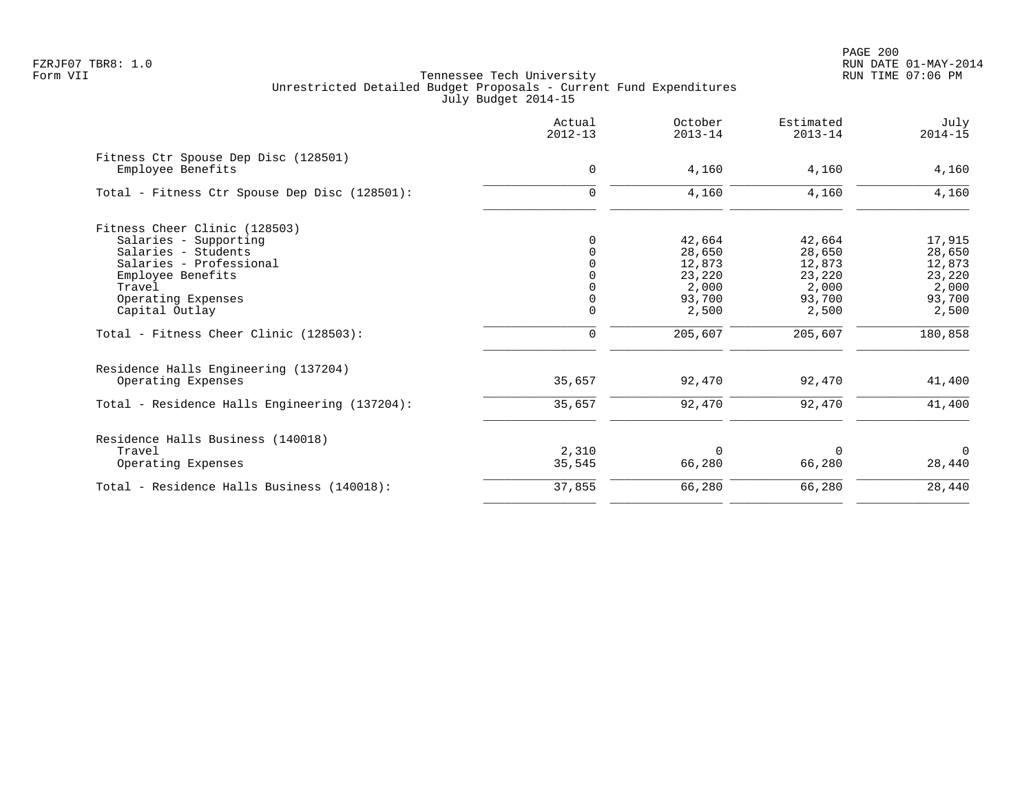PAGE 200 FZRJF07 TBR8: 1.0 RUN DATE 01-MAY-2014

|                                                           | Actual<br>$2012 - 13$ | October<br>$2013 - 14$ | Estimated<br>$2013 - 14$ | July<br>$2014 - 15$ |
|-----------------------------------------------------------|-----------------------|------------------------|--------------------------|---------------------|
| Fitness Ctr Spouse Dep Disc (128501)<br>Employee Benefits | 0                     | 4,160                  | 4,160                    | 4,160               |
| Total - Fitness Ctr Spouse Dep Disc (128501):             | $\Omega$              | 4,160                  | 4,160                    | 4,160               |
| Fitness Cheer Clinic (128503)                             |                       |                        |                          |                     |
| Salaries - Supporting                                     | <sup>0</sup>          | 42,664                 | 42,664                   | 17,915              |
| Salaries - Students                                       |                       | 28,650                 | 28,650                   | 28,650              |
| Salaries - Professional                                   |                       | 12,873                 | 12,873                   | 12,873              |
| Employee Benefits                                         |                       | 23,220                 | 23,220                   | 23,220              |
| Travel                                                    |                       | 2,000                  | 2,000                    | 2,000               |
| Operating Expenses                                        |                       | 93,700                 | 93,700                   | 93,700              |
| Capital Outlay                                            | $\mathbf 0$           | 2,500                  | 2,500                    | 2,500               |
| Total - Fitness Cheer Clinic (128503):                    | 0                     | 205,607                | 205,607                  | 180,858             |
| Residence Halls Engineering (137204)                      |                       |                        |                          |                     |
| Operating Expenses                                        | 35,657                | 92,470                 | 92,470                   | 41,400              |
| Total - Residence Halls Engineering (137204):             | 35,657                | 92,470                 | 92,470                   | 41,400              |
| Residence Halls Business (140018)                         |                       |                        |                          |                     |
| Travel                                                    | 2,310                 | $\Omega$               | $\Omega$                 | $\Omega$            |
| Operating Expenses                                        | 35,545                | 66,280                 | 66,280                   | 28,440              |
| Total - Residence Halls Business (140018):                | 37,855                | 66,280                 | 66,280                   | 28,440              |
|                                                           |                       |                        |                          |                     |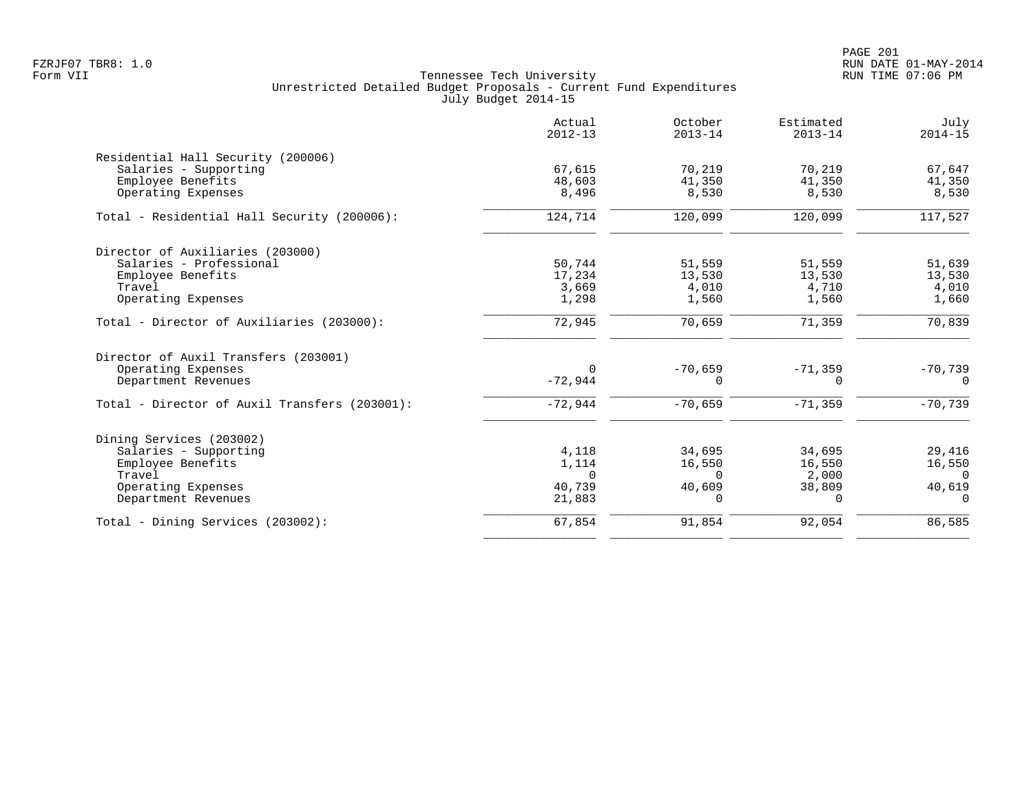|                                               | Actual<br>$2012 - 13$ | October<br>$2013 - 14$ | Estimated<br>$2013 - 14$ | July<br>$2014 - 15$ |
|-----------------------------------------------|-----------------------|------------------------|--------------------------|---------------------|
| Residential Hall Security (200006)            |                       |                        |                          |                     |
| Salaries - Supporting                         | 67,615                | 70,219                 | 70,219                   | 67,647              |
| Employee Benefits                             | 48,603                | 41,350                 | 41,350                   | 41,350              |
| Operating Expenses                            | 8,496                 | 8,530                  | 8,530                    | 8,530               |
| Total - Residential Hall Security (200006):   | 124,714               | 120,099                | 120,099                  | 117,527             |
| Director of Auxiliaries (203000)              |                       |                        |                          |                     |
| Salaries - Professional                       | 50,744                | 51,559                 | 51,559                   | 51,639              |
| Employee Benefits                             | 17,234                | 13,530                 | 13,530                   | 13,530              |
| Travel                                        | 3,669                 | 4,010                  | 4,710                    | 4,010               |
| Operating Expenses                            | 1,298                 | 1,560                  | 1,560                    | 1,660               |
| Total - Director of Auxiliaries (203000):     | 72,945                | 70,659                 | 71,359                   | 70,839              |
| Director of Auxil Transfers (203001)          |                       |                        |                          |                     |
| Operating Expenses                            | $\Omega$              | $-70,659$              | $-71,359$                | $-70,739$           |
| Department Revenues                           | $-72,944$             | $\Omega$               | $\Omega$                 | $\Omega$            |
| Total - Director of Auxil Transfers (203001): | $-72,944$             | $-70,659$              | $-71, 359$               | $-70,739$           |
| Dining Services (203002)                      |                       |                        |                          |                     |
| Salaries - Supporting                         | 4,118                 | 34,695                 | 34,695                   | 29,416              |
| Employee Benefits                             | 1,114                 | 16,550                 | 16,550                   | 16,550              |
| Travel                                        | $\Omega$              | $\Omega$               | 2,000                    | $\Omega$            |
| Operating Expenses                            | 40,739                | 40,609                 | 38,809                   | 40,619              |
| Department Revenues                           | 21,883                | 0                      | $\Omega$                 | $\Omega$            |
| Total - Dining Services (203002):             | 67,854                | 91,854                 | 92,054                   | 86,585              |
|                                               |                       |                        |                          |                     |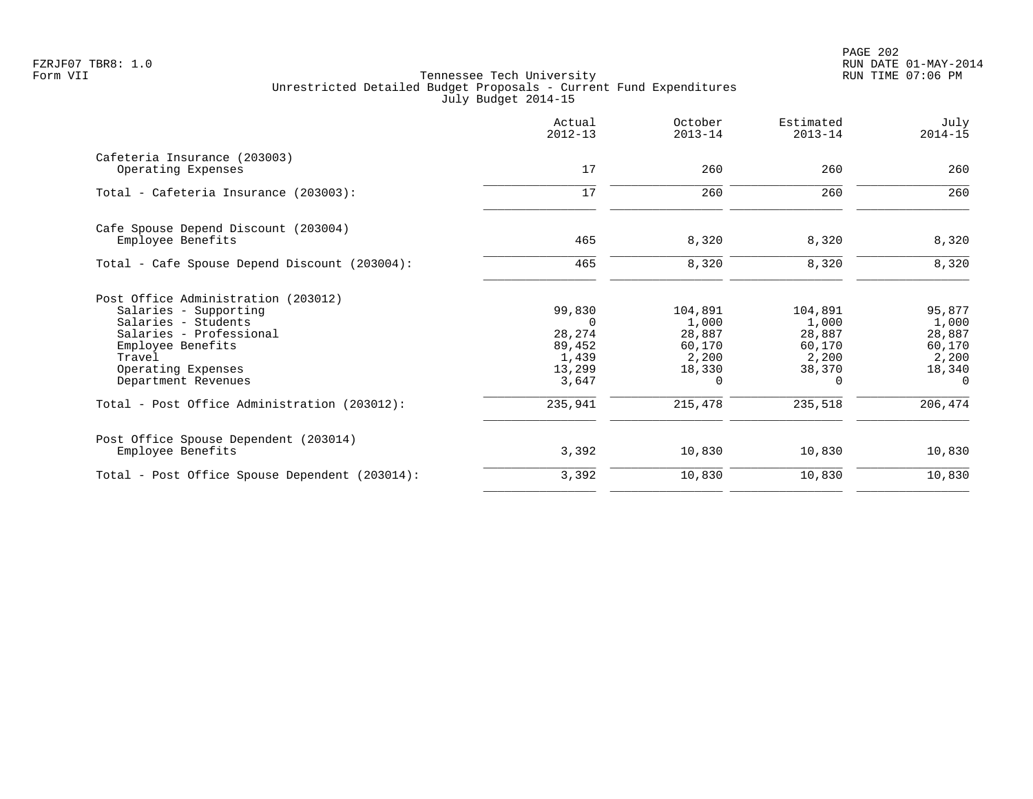|                                                | Actual<br>$2012 - 13$ | October<br>$2013 - 14$ | Estimated<br>$2013 - 14$ | July<br>$2014 - 15$ |
|------------------------------------------------|-----------------------|------------------------|--------------------------|---------------------|
| Cafeteria Insurance (203003)                   |                       |                        |                          |                     |
| Operating Expenses                             | 17                    | 260                    | 260                      | 260                 |
| Total - Cafeteria Insurance (203003):          | 17                    | 260                    | 260                      | 260                 |
| Cafe Spouse Depend Discount (203004)           |                       |                        |                          |                     |
| Employee Benefits                              | 465                   | 8,320                  | 8,320                    | 8,320               |
| Total - Cafe Spouse Depend Discount (203004):  | 465                   | 8,320                  | 8,320                    | 8,320               |
| Post Office Administration (203012)            |                       |                        |                          |                     |
| Salaries - Supporting                          | 99,830                | 104,891                | 104,891                  | 95,877              |
| Salaries - Students                            | $\Omega$              | 1,000                  | 1,000                    | 1,000               |
| Salaries - Professional                        | 28,274                | 28,887                 | 28,887                   | 28,887              |
| Employee Benefits<br>Travel                    | 89,452<br>1,439       | 60,170<br>2,200        | 60,170<br>2,200          | 60,170<br>2,200     |
| Operating Expenses                             | 13,299                | 18,330                 | 38,370                   | 18,340              |
| Department Revenues                            | 3,647                 | 0                      | $\Omega$                 | $\Omega$            |
| Total - Post Office Administration (203012):   | 235,941               | 215,478                | 235,518                  | 206,474             |
| Post Office Spouse Dependent (203014)          |                       |                        |                          |                     |
| Employee Benefits                              | 3,392                 | 10,830                 | 10,830                   | 10,830              |
| Total - Post Office Spouse Dependent (203014): | 3,392                 | 10,830                 | 10,830                   | 10,830              |
|                                                |                       |                        |                          |                     |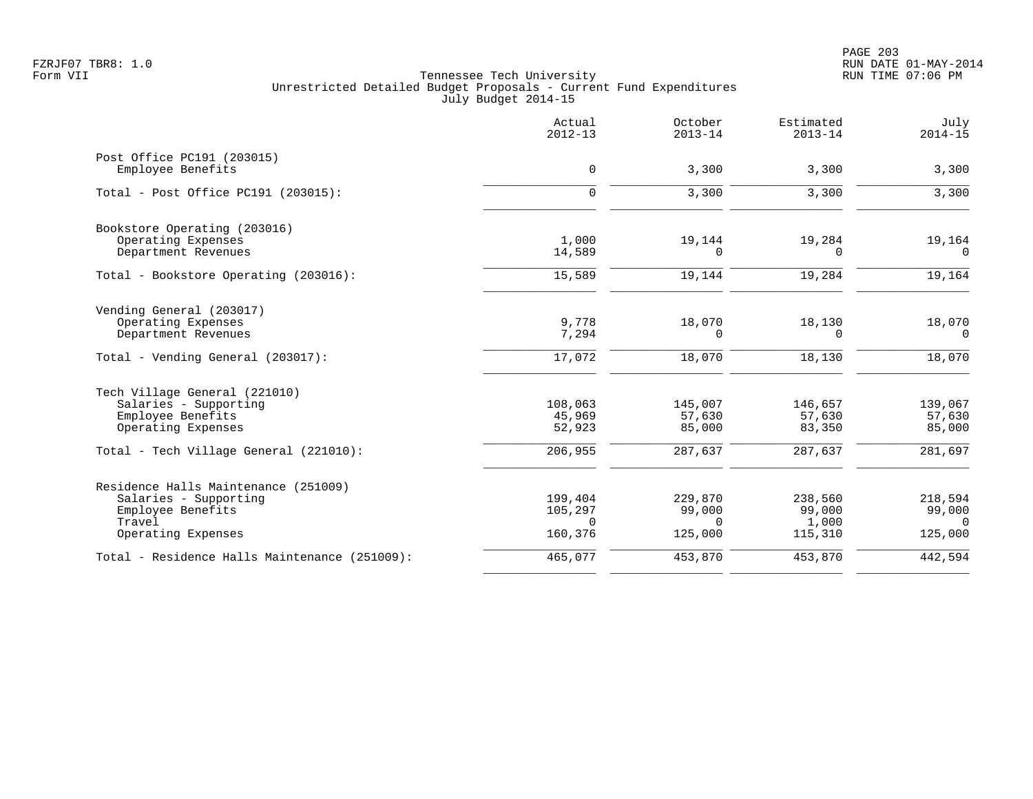PAGE 203 FZRJF07 TBR8: 1.0 RUN DATE 01-MAY-2014

|                                                                                                                    | Actual<br>$2012 - 13$                     | October<br>$2013 - 14$                   | Estimated<br>$2013 - 14$              | July<br>$2014 - 15$                      |
|--------------------------------------------------------------------------------------------------------------------|-------------------------------------------|------------------------------------------|---------------------------------------|------------------------------------------|
| Post Office PC191 (203015)<br>Employee Benefits                                                                    | $\mathbf 0$                               | 3,300                                    | 3,300                                 | 3,300                                    |
| Total - Post Office PC191 (203015):                                                                                | $\Omega$                                  | 3,300                                    | 3,300                                 | 3,300                                    |
| Bookstore Operating (203016)<br>Operating Expenses<br>Department Revenues                                          | 1,000<br>14,589                           | 19,144<br>$\Omega$                       | 19,284<br>0                           | 19,164<br>$\Omega$                       |
| Total - Bookstore Operating (203016):                                                                              | 15,589                                    | 19,144                                   | 19,284                                | 19,164                                   |
| Vending General (203017)<br>Operating Expenses<br>Department Revenues                                              | 9,778<br>7,294                            | 18,070<br>0                              | 18,130<br>0                           | 18,070<br>$\overline{0}$                 |
| Total - Vending General (203017):                                                                                  | 17,072                                    | 18,070                                   | 18,130                                | 18,070                                   |
| Tech Village General (221010)<br>Salaries - Supporting<br>Employee Benefits<br>Operating Expenses                  | 108,063<br>45,969<br>52,923               | 145,007<br>57,630<br>85,000              | 146,657<br>57,630<br>83,350           | 139,067<br>57,630<br>85,000              |
| Total - Tech Village General (221010):                                                                             | 206,955                                   | 287,637                                  | 287,637                               | 281,697                                  |
| Residence Halls Maintenance (251009)<br>Salaries - Supporting<br>Employee Benefits<br>Travel<br>Operating Expenses | 199,404<br>105,297<br>$\Omega$<br>160,376 | 229,870<br>99,000<br>$\Omega$<br>125,000 | 238,560<br>99,000<br>1,000<br>115,310 | 218,594<br>99,000<br>$\Omega$<br>125,000 |
| Total - Residence Halls Maintenance (251009):                                                                      | 465,077                                   | 453,870                                  | 453,870                               | 442,594                                  |
|                                                                                                                    |                                           |                                          |                                       |                                          |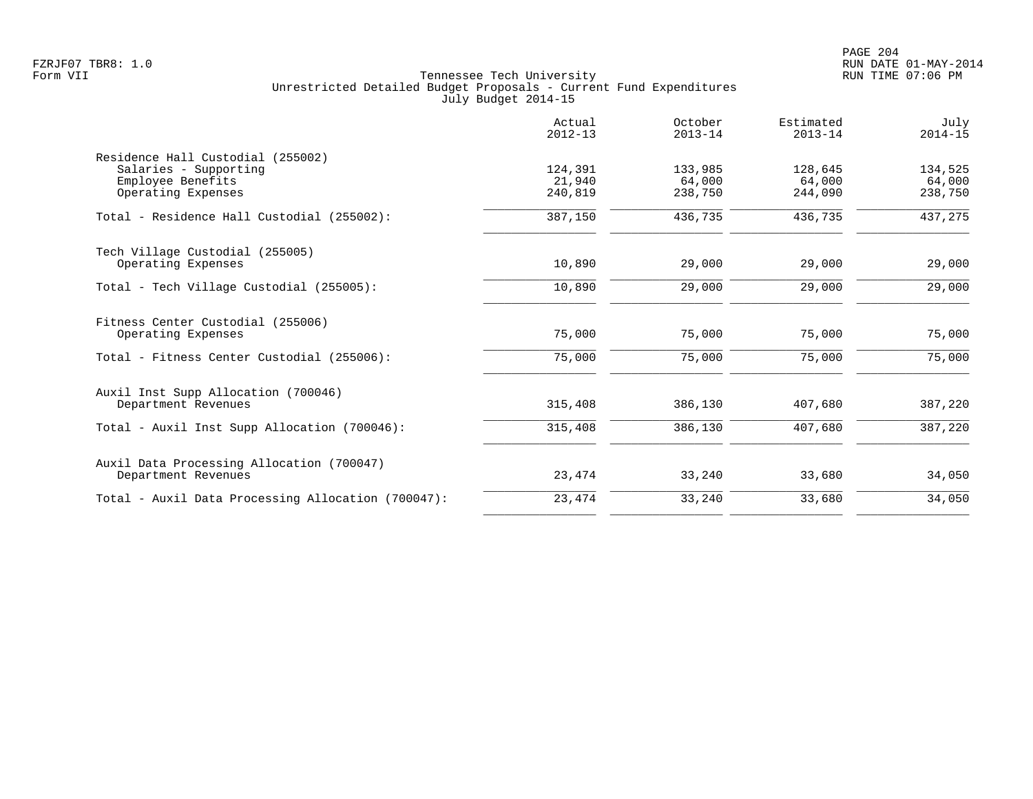|                                                                                                            | Actual<br>$2012 - 13$        | October<br>$2013 - 14$       | Estimated<br>$2013 - 14$     | July<br>$2014 - 15$          |
|------------------------------------------------------------------------------------------------------------|------------------------------|------------------------------|------------------------------|------------------------------|
| Residence Hall Custodial (255002)<br>Salaries - Supporting<br>Employee Benefits<br>Operating Expenses      | 124,391<br>21,940<br>240,819 | 133,985<br>64,000<br>238,750 | 128,645<br>64,000<br>244,090 | 134,525<br>64,000<br>238,750 |
| Total - Residence Hall Custodial (255002):                                                                 | 387,150                      | 436,735                      | 436,735                      | 437,275                      |
| Tech Village Custodial (255005)<br>Operating Expenses                                                      | 10,890                       | 29,000                       | 29,000                       | 29,000                       |
| Total - Tech Village Custodial (255005):                                                                   | 10,890                       | 29,000                       | 29,000                       | 29,000                       |
| Fitness Center Custodial (255006)<br>Operating Expenses<br>Total - Fitness Center Custodial (255006):      | 75,000<br>75,000             | 75,000<br>75,000             | 75,000<br>75,000             | 75,000<br>75,000             |
| Auxil Inst Supp Allocation (700046)<br>Department Revenues<br>Total - Auxil Inst Supp Allocation (700046): | 315,408<br>315,408           | 386,130<br>386,130           | 407,680<br>407,680           | 387,220<br>387,220           |
| Auxil Data Processing Allocation (700047)<br>Department Revenues                                           | 23,474                       | 33,240                       | 33,680                       | 34,050                       |
| Total - Auxil Data Processing Allocation (700047):                                                         | 23,474                       | 33,240                       | 33,680                       | 34,050                       |
|                                                                                                            |                              |                              |                              |                              |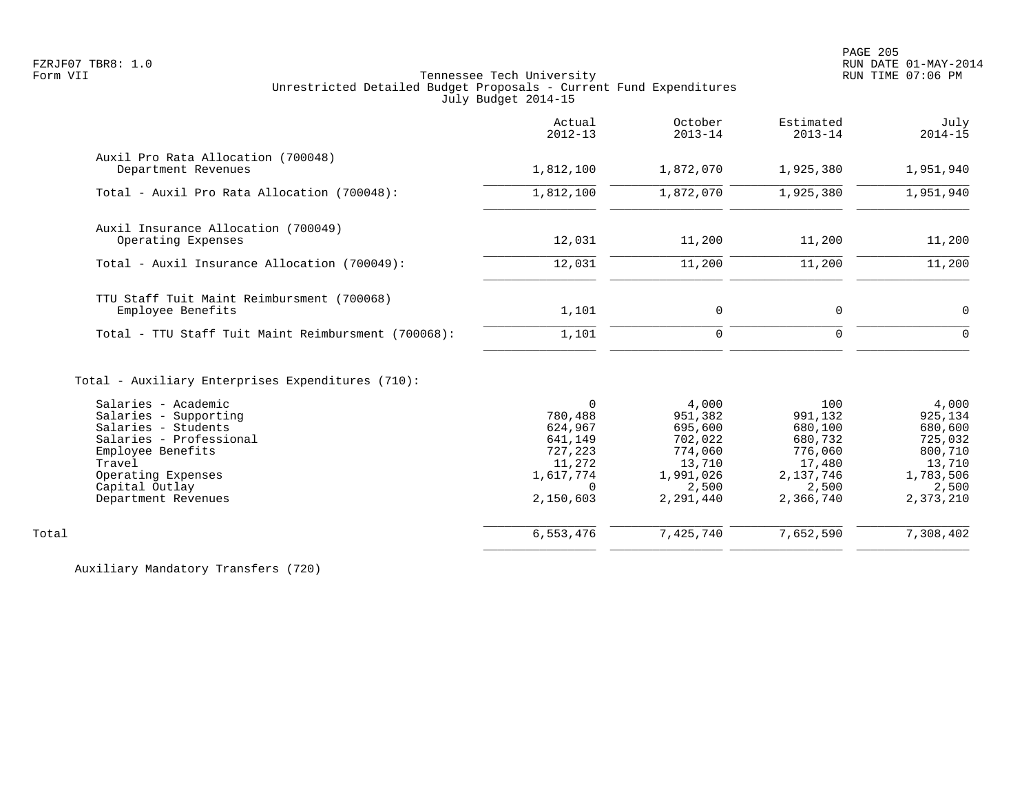|                                                                                                                                                                                              | Actual<br>$2012 - 13$                                                                                | October<br>$2013 - 14$                                                                         | Estimated<br>$2013 - 14$                                                                     | July<br>$2014 - 15$                                                                            |
|----------------------------------------------------------------------------------------------------------------------------------------------------------------------------------------------|------------------------------------------------------------------------------------------------------|------------------------------------------------------------------------------------------------|----------------------------------------------------------------------------------------------|------------------------------------------------------------------------------------------------|
| Auxil Pro Rata Allocation (700048)<br>Department Revenues                                                                                                                                    | 1,812,100                                                                                            | 1,872,070                                                                                      | 1,925,380                                                                                    | 1,951,940                                                                                      |
| Total - Auxil Pro Rata Allocation (700048):                                                                                                                                                  | 1,812,100                                                                                            | 1,872,070                                                                                      | 1,925,380                                                                                    | 1,951,940                                                                                      |
| Auxil Insurance Allocation (700049)<br>Operating Expenses                                                                                                                                    | 12,031                                                                                               | 11,200                                                                                         | 11,200                                                                                       | 11,200                                                                                         |
| Total - Auxil Insurance Allocation (700049):                                                                                                                                                 | 12,031                                                                                               | 11,200                                                                                         | 11,200                                                                                       | 11,200                                                                                         |
| TTU Staff Tuit Maint Reimbursment (700068)<br>Employee Benefits                                                                                                                              | 1,101                                                                                                | $\mathsf{O}$                                                                                   | $\mathbf{0}$                                                                                 | $\mathbf 0$                                                                                    |
| Total - TTU Staff Tuit Maint Reimbursment (700068):                                                                                                                                          | 1,101                                                                                                | 0                                                                                              | $\mathbf{0}$                                                                                 | $\Omega$                                                                                       |
| Total - Auxiliary Enterprises Expenditures (710):                                                                                                                                            |                                                                                                      |                                                                                                |                                                                                              |                                                                                                |
| Salaries - Academic<br>Salaries - Supporting<br>Salaries - Students<br>Salaries - Professional<br>Employee Benefits<br>Travel<br>Operating Expenses<br>Capital Outlay<br>Department Revenues | $\Omega$<br>780,488<br>624,967<br>641,149<br>727,223<br>11,272<br>1,617,774<br>$\Omega$<br>2,150,603 | 4,000<br>951,382<br>695,600<br>702,022<br>774,060<br>13,710<br>1,991,026<br>2,500<br>2,291,440 | 100<br>991,132<br>680,100<br>680,732<br>776,060<br>17,480<br>2,137,746<br>2,500<br>2,366,740 | 4,000<br>925,134<br>680,600<br>725,032<br>800,710<br>13,710<br>1,783,506<br>2,500<br>2,373,210 |
| Total                                                                                                                                                                                        | 6,553,476                                                                                            | 7,425,740                                                                                      | 7,652,590                                                                                    | 7,308,402                                                                                      |
|                                                                                                                                                                                              |                                                                                                      |                                                                                                |                                                                                              |                                                                                                |

Auxiliary Mandatory Transfers (720)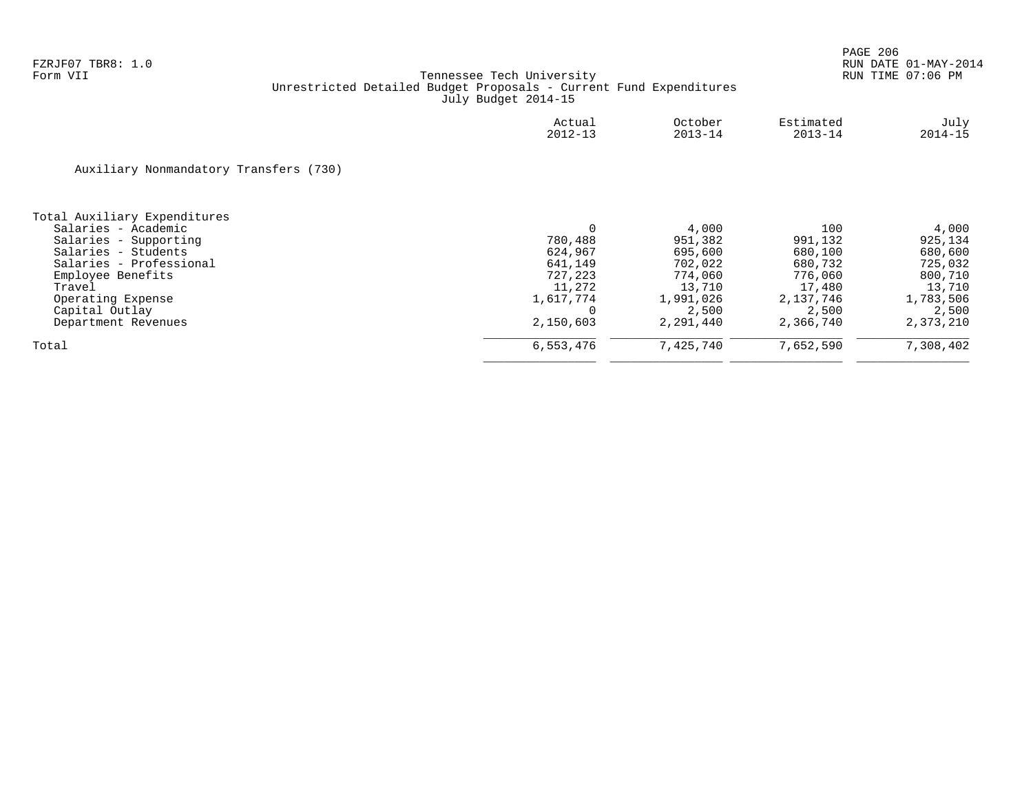|                                        | Actual<br>$2012 - 13$ | October<br>$2013 - 14$ | Estimated<br>$2013 - 14$ | July<br>$2014 - 15$ |
|----------------------------------------|-----------------------|------------------------|--------------------------|---------------------|
| Auxiliary Nonmandatory Transfers (730) |                       |                        |                          |                     |
| Total Auxiliary Expenditures           |                       |                        |                          |                     |
| Salaries - Academic                    | 0                     | 4,000                  | 100                      | 4,000               |
| Salaries - Supporting                  | 780,488               | 951,382                | 991,132                  | 925,134             |
| Salaries - Students                    | 624,967               | 695,600                | 680,100                  | 680,600             |
| Salaries - Professional                | 641,149               | 702,022                | 680,732                  | 725,032             |
| Employee Benefits                      | 727,223               | 774,060                | 776,060                  | 800,710             |
| Travel                                 | 11,272                | 13,710                 | 17,480                   | 13,710              |
| Operating Expense                      | 1,617,774             | 1,991,026              | 2,137,746                | 1,783,506           |
| Capital Outlay                         | $\Omega$              | 2,500                  | 2,500                    | 2,500               |
| Department Revenues                    | 2,150,603             | 2,291,440              | 2,366,740                | 2,373,210           |
| Total                                  | 6,553,476             | 7,425,740              | 7,652,590                | 7,308,402           |
|                                        |                       |                        |                          |                     |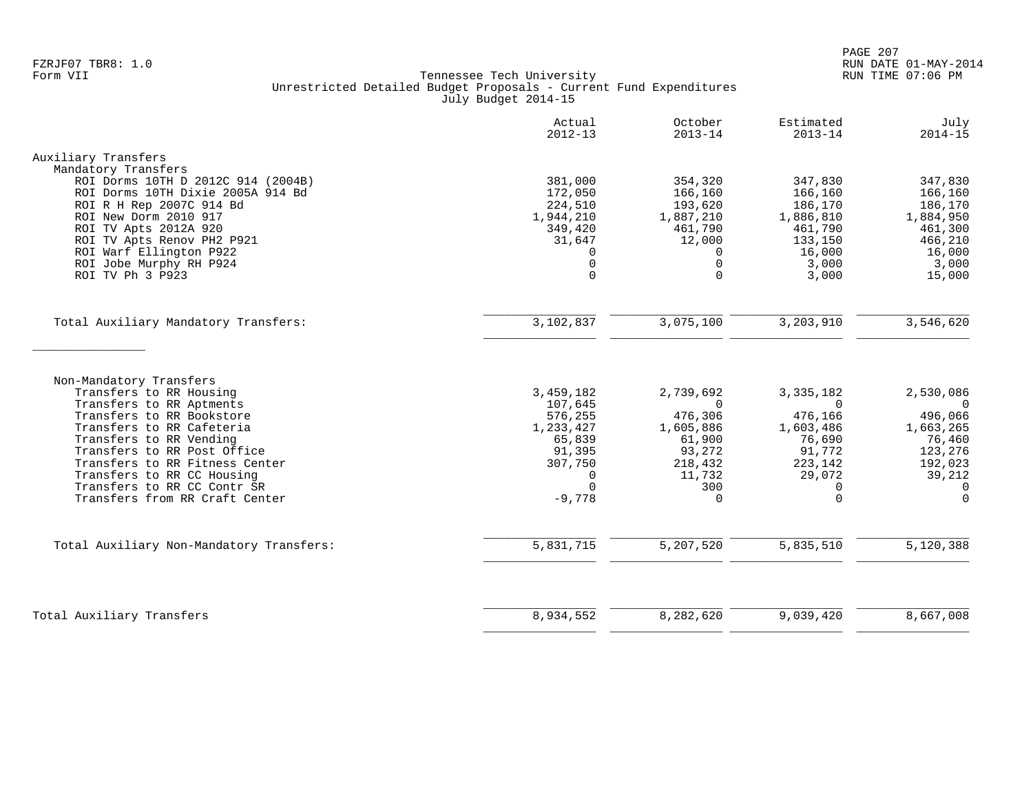|                                                                         | Actual<br>$2012 - 13$ | October<br>$2013 - 14$ | Estimated<br>$2013 - 14$ | July<br>$2014 - 15$         |
|-------------------------------------------------------------------------|-----------------------|------------------------|--------------------------|-----------------------------|
| Auxiliary Transfers                                                     |                       |                        |                          |                             |
| Mandatory Transfers                                                     |                       |                        |                          |                             |
| ROI Dorms 10TH D 2012C 914 (2004B)<br>ROI Dorms 10TH Dixie 2005A 914 Bd | 381,000               | 354,320                | 347,830                  | 347,830                     |
| ROI R H Rep 2007C 914 Bd                                                | 172,050<br>224,510    | 166,160<br>193,620     | 166,160<br>186,170       | 166,160<br>186,170          |
| ROI New Dorm 2010 917                                                   | 1,944,210             | 1,887,210              | 1,886,810                | 1,884,950                   |
| ROI TV Apts 2012A 920                                                   | 349,420               | 461,790                | 461,790                  | 461,300                     |
| ROI TV Apts Renov PH2 P921                                              | 31,647                | 12,000                 | 133,150                  | 466,210                     |
| ROI Warf Ellington P922                                                 | $\Omega$              | $\Omega$               | 16,000                   | 16,000                      |
| ROI Jobe Murphy RH P924                                                 | 0                     | $\mathbf 0$            | 3,000                    | 3,000                       |
| ROI TV Ph 3 P923                                                        | $\Omega$              | $\Omega$               | 3,000                    | 15,000                      |
| Total Auxiliary Mandatory Transfers:                                    | 3,102,837             | 3,075,100              | 3,203,910                | 3,546,620                   |
|                                                                         |                       |                        |                          |                             |
| Non-Mandatory Transfers                                                 |                       |                        |                          |                             |
| Transfers to RR Housing<br>Transfers to RR Aptments                     | 3,459,182<br>107,645  | 2,739,692<br>$\Omega$  | 3, 335, 182<br>$\Omega$  | 2,530,086<br>$\overline{0}$ |
| Transfers to RR Bookstore                                               | 576,255               | 476,306                | 476,166                  | 496,066                     |
| Transfers to RR Cafeteria                                               | 1,233,427             | 1,605,886              | 1,603,486                | 1,663,265                   |
| Transfers to RR Vending                                                 | 65,839                | 61,900                 | 76,690                   | 76,460                      |
| Transfers to RR Post Office                                             | 91,395                | 93,272                 | 91,772                   | 123,276                     |
| Transfers to RR Fitness Center                                          | 307,750               | 218,432                | 223,142                  | 192,023                     |
| Transfers to RR CC Housing<br>Transfers to RR CC Contr SR               | $\Omega$<br>$\Omega$  | 11,732<br>300          | 29,072<br>$\Omega$       | 39,212<br>$\Omega$          |
| Transfers from RR Craft Center                                          | $-9,778$              | $\Omega$               | $\Omega$                 | $\Omega$                    |
|                                                                         |                       |                        |                          |                             |
| Total Auxiliary Non-Mandatory Transfers:                                | 5,831,715             | 5,207,520              | 5,835,510                | 5,120,388                   |
|                                                                         |                       |                        |                          |                             |
| Total Auxiliary Transfers                                               | 8,934,552             | 8,282,620              | 9,039,420                | 8,667,008                   |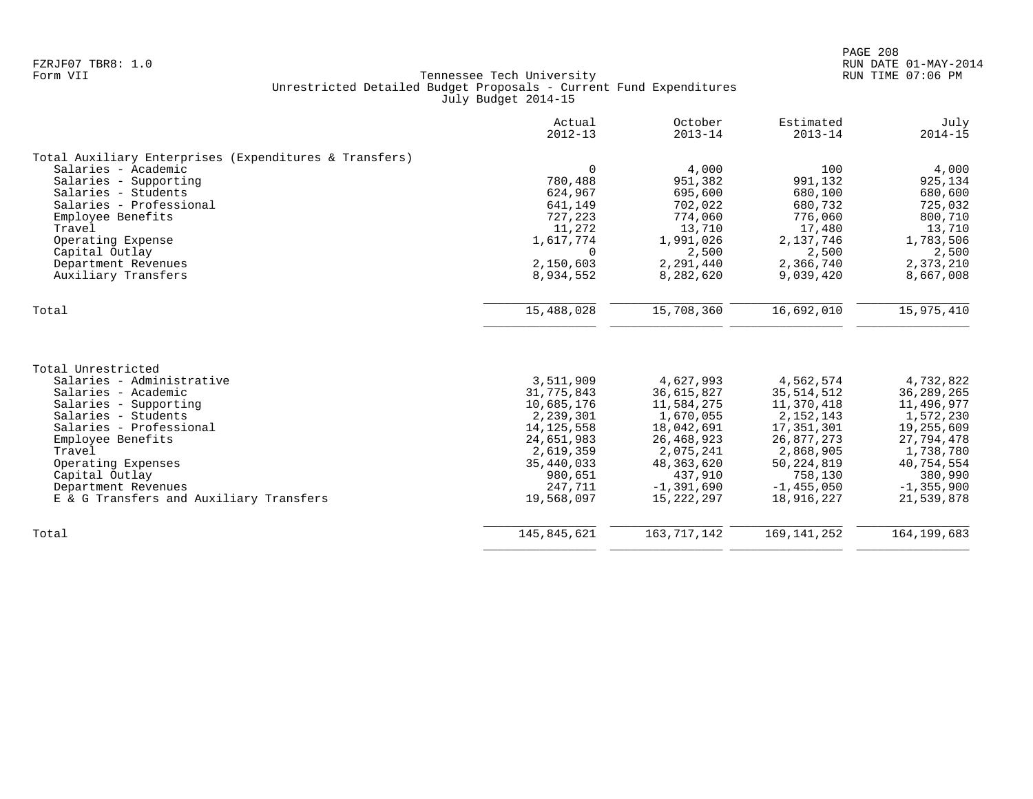|                                                        | Actual<br>$2012 - 13$ | October<br>$2013 - 14$ | Estimated<br>$2013 - 14$ | July<br>$2014 - 15$ |
|--------------------------------------------------------|-----------------------|------------------------|--------------------------|---------------------|
| Total Auxiliary Enterprises (Expenditures & Transfers) |                       |                        |                          |                     |
| Salaries - Academic                                    | $\Omega$              | 4,000                  | 100                      | 4,000               |
| Salaries - Supporting                                  | 780,488               | 951,382                | 991,132                  | 925,134             |
| Salaries - Students                                    | 624,967               | 695,600                | 680,100                  | 680,600             |
| Salaries - Professional                                | 641,149               | 702,022                | 680,732                  | 725,032             |
| Employee Benefits                                      | 727,223               | 774,060                | 776,060                  | 800,710             |
| Travel                                                 | 11,272                | 13,710                 | 17,480                   | 13,710              |
| Operating Expense                                      | 1,617,774             | 1,991,026              | 2,137,746                | 1,783,506           |
| Capital Outlay                                         | $\Omega$              | 2,500                  | 2,500                    | 2,500               |
| Department Revenues                                    | 2,150,603             | 2,291,440              | 2,366,740                | 2,373,210           |
| Auxiliary Transfers                                    | 8,934,552             | 8,282,620              | 9,039,420                | 8,667,008           |
| Total                                                  | 15,488,028            | 15,708,360             | 16,692,010               | 15,975,410          |
|                                                        |                       |                        |                          |                     |
| Total Unrestricted                                     |                       |                        |                          |                     |
| Salaries - Administrative                              | 3,511,909             | 4,627,993              | 4,562,574                | 4,732,822           |
| Salaries - Academic                                    | 31,775,843            | 36,615,827             | 35, 514, 512             | 36, 289, 265        |
| Salaries - Supporting                                  | 10,685,176            | 11,584,275             | 11,370,418               | 11,496,977          |
| Salaries - Students                                    | 2,239,301             | 1,670,055              | 2, 152, 143              | 1,572,230           |
| Salaries - Professional                                | 14, 125, 558          | 18,042,691             | 17,351,301               | 19,255,609          |
| Employee Benefits                                      | 24,651,983            | 26, 468, 923           | 26,877,273               | 27,794,478          |
| Travel                                                 | 2,619,359             | 2,075,241              | 2,868,905                | 1,738,780           |
| Operating Expenses                                     | 35,440,033            | 48, 363, 620           | 50, 224, 819             | 40,754,554          |
| Capital Outlay                                         | 980,651               | 437,910                | 758,130                  | 380,990             |
| Department Revenues                                    | 247,711               | $-1, 391, 690$         | $-1, 455, 050$           | $-1, 355, 900$      |
| E & G Transfers and Auxiliary Transfers                | 19,568,097            | 15,222,297             | 18,916,227               | 21,539,878          |
| Total                                                  | 145,845,621           | 163, 717, 142          | 169, 141, 252            | 164, 199, 683       |
|                                                        |                       |                        |                          |                     |